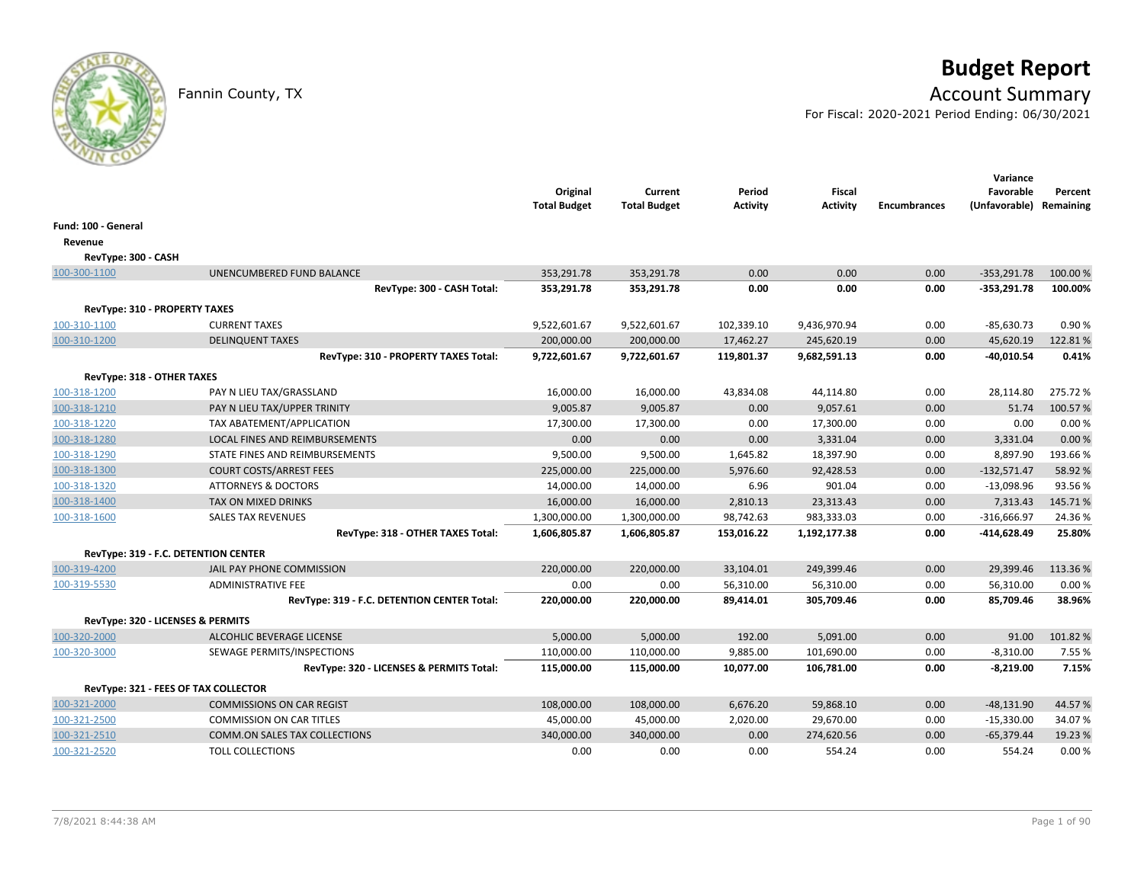# **Budget Report**

## Fannin County, TX **Account Summary**

For Fiscal: 2020-2021 Period Ending: 06/30/2021

|                                      |                                             | Original<br><b>Total Budget</b> | Current<br><b>Total Budget</b> | Period<br><b>Activity</b> | <b>Fiscal</b><br><b>Activity</b> | <b>Encumbrances</b> | Variance<br>Favorable<br>(Unfavorable) | Percent<br>Remaining |
|--------------------------------------|---------------------------------------------|---------------------------------|--------------------------------|---------------------------|----------------------------------|---------------------|----------------------------------------|----------------------|
| Fund: 100 - General                  |                                             |                                 |                                |                           |                                  |                     |                                        |                      |
| Revenue                              |                                             |                                 |                                |                           |                                  |                     |                                        |                      |
| RevType: 300 - CASH                  |                                             |                                 |                                |                           |                                  |                     |                                        |                      |
| 100-300-1100                         | UNENCUMBERED FUND BALANCE                   | 353,291.78                      | 353,291.78                     | 0.00                      | 0.00                             | 0.00                | $-353,291.78$                          | 100.00 %             |
|                                      | RevType: 300 - CASH Total:                  | 353,291.78                      | 353,291.78                     | 0.00                      | 0.00                             | 0.00                | $-353,291.78$                          | 100.00%              |
| <b>RevType: 310 - PROPERTY TAXES</b> |                                             |                                 |                                |                           |                                  |                     |                                        |                      |
| 100-310-1100                         | <b>CURRENT TAXES</b>                        | 9,522,601.67                    | 9,522,601.67                   | 102,339.10                | 9,436,970.94                     | 0.00                | $-85,630.73$                           | 0.90%                |
| 100-310-1200                         | <b>DELINQUENT TAXES</b>                     | 200,000.00                      | 200,000.00                     | 17,462.27                 | 245,620.19                       | 0.00                | 45,620.19                              | 122.81%              |
|                                      | RevType: 310 - PROPERTY TAXES Total:        | 9,722,601.67                    | 9,722,601.67                   | 119,801.37                | 9,682,591.13                     | 0.00                | $-40,010.54$                           | 0.41%                |
| RevType: 318 - OTHER TAXES           |                                             |                                 |                                |                           |                                  |                     |                                        |                      |
| 100-318-1200                         | PAY N LIEU TAX/GRASSLAND                    | 16,000.00                       | 16,000.00                      | 43,834.08                 | 44,114.80                        | 0.00                | 28,114.80                              | 275.72%              |
| 100-318-1210                         | PAY N LIEU TAX/UPPER TRINITY                | 9,005.87                        | 9,005.87                       | 0.00                      | 9,057.61                         | 0.00                | 51.74                                  | 100.57%              |
| 100-318-1220                         | TAX ABATEMENT/APPLICATION                   | 17,300.00                       | 17,300.00                      | 0.00                      | 17,300.00                        | 0.00                | 0.00                                   | 0.00%                |
| 100-318-1280                         | LOCAL FINES AND REIMBURSEMENTS              | 0.00                            | 0.00                           | 0.00                      | 3,331.04                         | 0.00                | 3,331.04                               | 0.00%                |
| 100-318-1290                         | STATE FINES AND REIMBURSEMENTS              | 9,500.00                        | 9,500.00                       | 1,645.82                  | 18,397.90                        | 0.00                | 8,897.90                               | 193.66%              |
| 100-318-1300                         | <b>COURT COSTS/ARREST FEES</b>              | 225,000.00                      | 225,000.00                     | 5,976.60                  | 92,428.53                        | 0.00                | $-132,571.47$                          | 58.92 %              |
| 100-318-1320                         | <b>ATTORNEYS &amp; DOCTORS</b>              | 14,000.00                       | 14,000.00                      | 6.96                      | 901.04                           | 0.00                | $-13,098.96$                           | 93.56%               |
| 100-318-1400                         | TAX ON MIXED DRINKS                         | 16,000.00                       | 16,000.00                      | 2,810.13                  | 23,313.43                        | 0.00                | 7,313.43                               | 145.71%              |
| 100-318-1600                         | <b>SALES TAX REVENUES</b>                   | 1,300,000.00                    | 1,300,000.00                   | 98,742.63                 | 983,333.03                       | 0.00                | $-316,666.97$                          | 24.36%               |
|                                      | RevType: 318 - OTHER TAXES Total:           | 1,606,805.87                    | 1,606,805.87                   | 153,016.22                | 1,192,177.38                     | 0.00                | -414,628.49                            | 25.80%               |
| RevType: 319 - F.C. DETENTION CENTER |                                             |                                 |                                |                           |                                  |                     |                                        |                      |
| 100-319-4200                         | JAIL PAY PHONE COMMISSION                   | 220,000.00                      | 220,000.00                     | 33,104.01                 | 249,399.46                       | 0.00                | 29,399.46                              | 113.36%              |
| 100-319-5530                         | <b>ADMINISTRATIVE FEE</b>                   | 0.00                            | 0.00                           | 56,310.00                 | 56,310.00                        | 0.00                | 56,310.00                              | 0.00%                |
|                                      | RevType: 319 - F.C. DETENTION CENTER Total: | 220,000.00                      | 220,000.00                     | 89,414.01                 | 305,709.46                       | 0.00                | 85,709.46                              | 38.96%               |
| RevType: 320 - LICENSES & PERMITS    |                                             |                                 |                                |                           |                                  |                     |                                        |                      |
| 100-320-2000                         | <b>ALCOHLIC BEVERAGE LICENSE</b>            | 5,000.00                        | 5,000.00                       | 192.00                    | 5,091.00                         | 0.00                | 91.00                                  | 101.82%              |
| 100-320-3000                         | SEWAGE PERMITS/INSPECTIONS                  | 110,000.00                      | 110,000.00                     | 9,885.00                  | 101,690.00                       | 0.00                | $-8,310.00$                            | 7.55 %               |
|                                      | RevType: 320 - LICENSES & PERMITS Total:    | 115,000.00                      | 115,000.00                     | 10,077.00                 | 106,781.00                       | 0.00                | $-8,219.00$                            | 7.15%                |
| RevType: 321 - FEES OF TAX COLLECTOR |                                             |                                 |                                |                           |                                  |                     |                                        |                      |
| 100-321-2000                         | <b>COMMISSIONS ON CAR REGIST</b>            | 108,000.00                      | 108,000.00                     | 6,676.20                  | 59,868.10                        | 0.00                | $-48,131.90$                           | 44.57%               |
| 100-321-2500                         | <b>COMMISSION ON CAR TITLES</b>             | 45,000.00                       | 45,000.00                      | 2,020.00                  | 29,670.00                        | 0.00                | $-15,330.00$                           | 34.07%               |
| 100-321-2510                         | <b>COMM.ON SALES TAX COLLECTIONS</b>        | 340,000.00                      | 340,000.00                     | 0.00                      | 274,620.56                       | 0.00                | $-65,379.44$                           | 19.23 %              |
| 100-321-2520                         | <b>TOLL COLLECTIONS</b>                     | 0.00                            | 0.00                           | 0.00                      | 554.24                           | 0.00                | 554.24                                 | 0.00%                |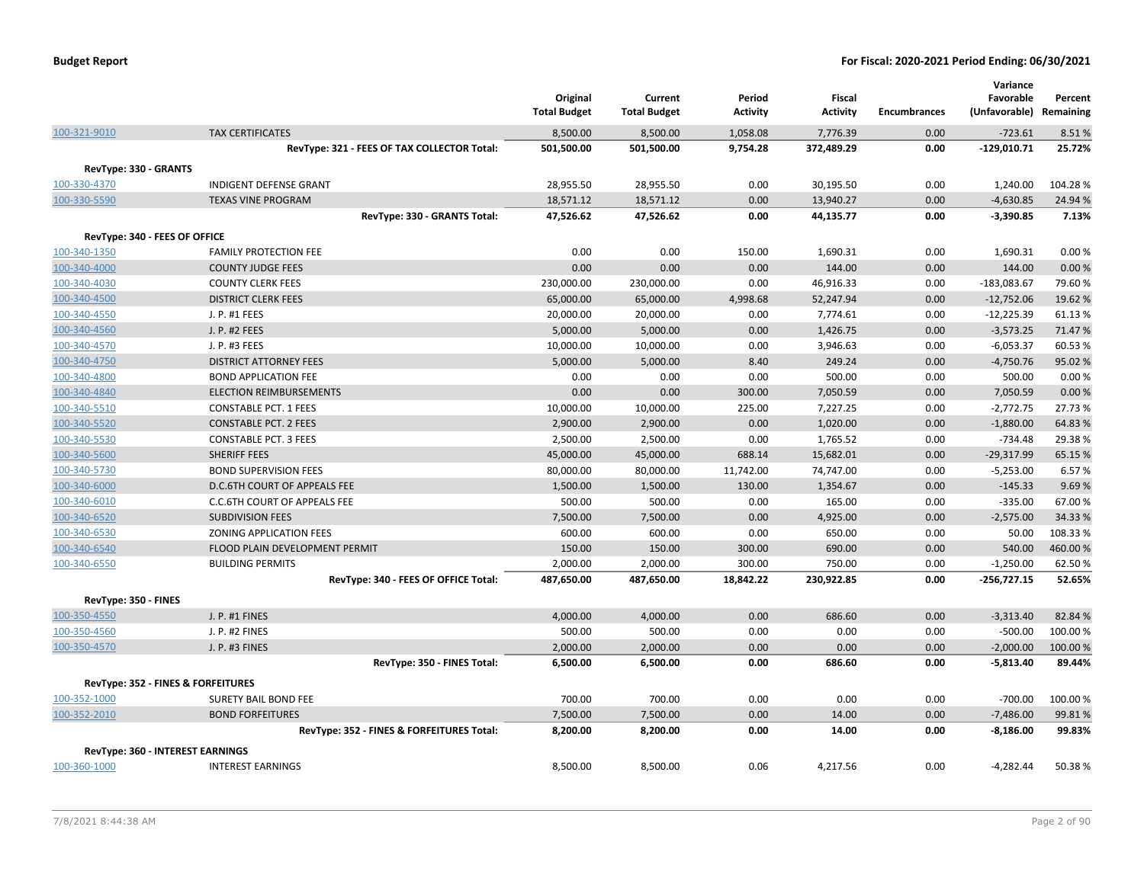|                               |                                                            | Original<br><b>Total Budget</b> | Current<br><b>Total Budget</b> | Period<br>Activity | Fiscal<br><b>Activity</b> | <b>Encumbrances</b> | Variance<br>Favorable<br>(Unfavorable) Remaining | Percent |
|-------------------------------|------------------------------------------------------------|---------------------------------|--------------------------------|--------------------|---------------------------|---------------------|--------------------------------------------------|---------|
| 100-321-9010                  | <b>TAX CERTIFICATES</b>                                    | 8,500.00                        | 8,500.00                       | 1,058.08           | 7,776.39                  | 0.00                | $-723.61$                                        | 8.51%   |
|                               | RevType: 321 - FEES OF TAX COLLECTOR Total:                | 501,500.00                      | 501,500.00                     | 9,754.28           | 372,489.29                | 0.00                | $-129,010.71$                                    | 25.72%  |
| RevType: 330 - GRANTS         |                                                            |                                 |                                |                    |                           |                     |                                                  |         |
| 100-330-4370                  | <b>INDIGENT DEFENSE GRANT</b>                              | 28,955.50                       | 28,955.50                      | 0.00               | 30,195.50                 | 0.00                | 1,240.00                                         | 104.28% |
| 100-330-5590                  | <b>TEXAS VINE PROGRAM</b>                                  | 18,571.12                       | 18,571.12                      | 0.00               | 13,940.27                 | 0.00                | $-4,630.85$                                      | 24.94 % |
|                               | RevType: 330 - GRANTS Total:                               | 47,526.62                       | 47,526.62                      | 0.00               | 44,135.77                 | 0.00                | $-3,390.85$                                      | 7.13%   |
|                               |                                                            |                                 |                                |                    |                           |                     |                                                  |         |
| RevType: 340 - FEES OF OFFICE | <b>FAMILY PROTECTION FEE</b>                               | 0.00                            | 0.00                           | 150.00             | 1,690.31                  | 0.00                | 1,690.31                                         | 0.00%   |
| 100-340-1350<br>100-340-4000  | <b>COUNTY JUDGE FEES</b>                                   | 0.00                            | 0.00                           | 0.00               | 144.00                    | 0.00                | 144.00                                           | 0.00%   |
| 100-340-4030                  | <b>COUNTY CLERK FEES</b>                                   | 230,000.00                      | 230,000.00                     | 0.00               | 46,916.33                 | 0.00                | $-183,083.67$                                    | 79.60%  |
| 100-340-4500                  | <b>DISTRICT CLERK FEES</b>                                 | 65,000.00                       | 65,000.00                      | 4,998.68           | 52,247.94                 | 0.00                | $-12,752.06$                                     | 19.62 % |
| 100-340-4550                  | J. P. #1 FEES                                              | 20,000.00                       | 20,000.00                      | 0.00               | 7,774.61                  | 0.00                | $-12,225.39$                                     | 61.13%  |
| 100-340-4560                  | J. P. #2 FEES                                              | 5,000.00                        | 5,000.00                       | 0.00               | 1,426.75                  | 0.00                | $-3,573.25$                                      | 71.47%  |
| 100-340-4570                  | J. P. #3 FEES                                              | 10,000.00                       | 10,000.00                      | 0.00               | 3,946.63                  | 0.00                | $-6,053.37$                                      | 60.53%  |
| 100-340-4750                  | <b>DISTRICT ATTORNEY FEES</b>                              | 5,000.00                        | 5,000.00                       | 8.40               | 249.24                    | 0.00                | $-4,750.76$                                      | 95.02%  |
| 100-340-4800                  | <b>BOND APPLICATION FEE</b>                                | 0.00                            | 0.00                           | 0.00               | 500.00                    | 0.00                | 500.00                                           | 0.00%   |
| 100-340-4840                  | <b>ELECTION REIMBURSEMENTS</b>                             | 0.00                            | 0.00                           | 300.00             | 7,050.59                  | 0.00                | 7,050.59                                         | 0.00%   |
| 100-340-5510                  | <b>CONSTABLE PCT. 1 FEES</b>                               | 10,000.00                       | 10,000.00                      | 225.00             | 7,227.25                  | 0.00                | $-2,772.75$                                      | 27.73 % |
| 100-340-5520                  | <b>CONSTABLE PCT. 2 FEES</b>                               | 2,900.00                        | 2,900.00                       | 0.00               | 1,020.00                  | 0.00                | $-1,880.00$                                      | 64.83%  |
| 100-340-5530                  | <b>CONSTABLE PCT. 3 FEES</b>                               | 2,500.00                        | 2,500.00                       | 0.00               | 1,765.52                  | 0.00                | $-734.48$                                        | 29.38%  |
| 100-340-5600                  | <b>SHERIFF FEES</b>                                        | 45,000.00                       | 45,000.00                      | 688.14             | 15,682.01                 | 0.00                | $-29,317.99$                                     | 65.15 % |
| 100-340-5730                  | <b>BOND SUPERVISION FEES</b>                               | 80,000.00                       | 80,000.00                      | 11,742.00          | 74,747.00                 | 0.00                | $-5,253.00$                                      | 6.57%   |
| 100-340-6000                  | <b>D.C.6TH COURT OF APPEALS FEE</b>                        | 1,500.00                        | 1,500.00                       | 130.00             | 1,354.67                  | 0.00                | $-145.33$                                        | 9.69%   |
| 100-340-6010                  | C.C.6TH COURT OF APPEALS FEE                               | 500.00                          | 500.00                         | 0.00               | 165.00                    | 0.00                | $-335.00$                                        | 67.00%  |
| 100-340-6520                  | <b>SUBDIVISION FEES</b>                                    | 7,500.00                        | 7,500.00                       | 0.00               | 4,925.00                  | 0.00                | $-2,575.00$                                      | 34.33 % |
| 100-340-6530                  | ZONING APPLICATION FEES                                    | 600.00                          | 600.00                         | 0.00               | 650.00                    | 0.00                | 50.00                                            | 108.33% |
| 100-340-6540                  | FLOOD PLAIN DEVELOPMENT PERMIT                             | 150.00                          | 150.00                         | 300.00             | 690.00                    | 0.00                | 540.00                                           | 460.00% |
| 100-340-6550                  | <b>BUILDING PERMITS</b>                                    | 2,000.00                        | 2,000.00                       | 300.00             | 750.00                    | 0.00                | $-1,250.00$                                      | 62.50%  |
|                               | RevType: 340 - FEES OF OFFICE Total:                       | 487,650.00                      | 487,650.00                     | 18,842.22          | 230,922.85                | 0.00                | $-256,727.15$                                    | 52.65%  |
| RevType: 350 - FINES          |                                                            |                                 |                                |                    |                           |                     |                                                  |         |
| 100-350-4550                  | J. P. #1 FINES                                             | 4,000.00                        | 4,000.00                       | 0.00               | 686.60                    | 0.00                | $-3,313.40$                                      | 82.84%  |
| 100-350-4560                  | J. P. #2 FINES                                             | 500.00                          | 500.00                         | 0.00               | 0.00                      | 0.00                | $-500.00$                                        | 100.00% |
| 100-350-4570                  | J. P. #3 FINES                                             | 2,000.00                        | 2,000.00                       | 0.00               | 0.00                      | 0.00                | $-2,000.00$                                      | 100.00% |
|                               | RevType: 350 - FINES Total:                                | 6,500.00                        | 6,500.00                       | 0.00               | 686.60                    | 0.00                | $-5,813.40$                                      | 89.44%  |
|                               |                                                            |                                 |                                |                    |                           |                     |                                                  |         |
| 100-352-1000                  | RevType: 352 - FINES & FORFEITURES<br>SURETY BAIL BOND FEE | 700.00                          | 700.00                         | 0.00               | 0.00                      | 0.00                | $-700.00$                                        | 100.00% |
| 100-352-2010                  | <b>BOND FORFEITURES</b>                                    | 7,500.00                        | 7,500.00                       | 0.00               | 14.00                     | 0.00                | $-7,486.00$                                      | 99.81%  |
|                               | RevType: 352 - FINES & FORFEITURES Total:                  | 8,200.00                        | 8,200.00                       | 0.00               | 14.00                     | 0.00                | $-8,186.00$                                      | 99.83%  |
|                               |                                                            |                                 |                                |                    |                           |                     |                                                  |         |
|                               | RevType: 360 - INTEREST EARNINGS                           |                                 |                                |                    |                           |                     |                                                  |         |
| 100-360-1000                  | <b>INTEREST EARNINGS</b>                                   | 8,500.00                        | 8,500.00                       | 0.06               | 4,217.56                  | 0.00                | $-4,282.44$                                      | 50.38%  |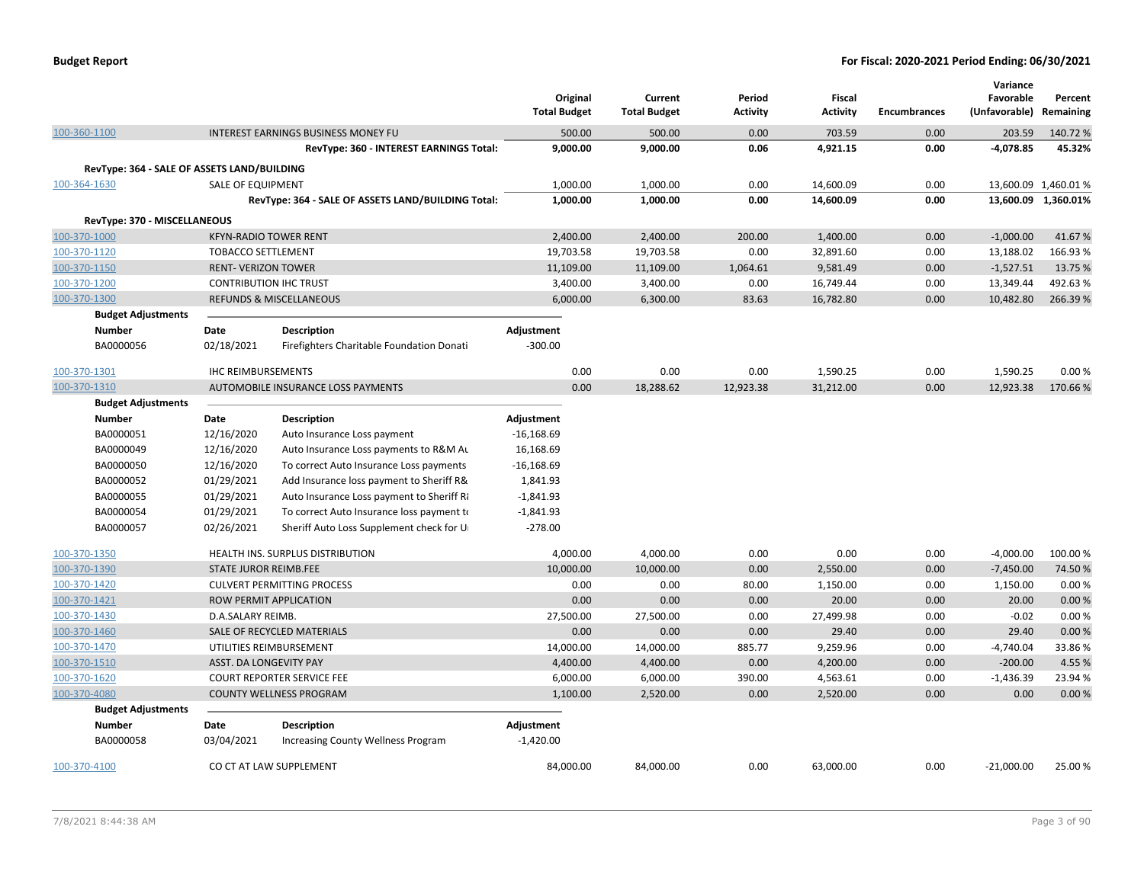| <b>Budget Report</b> |  |
|----------------------|--|
|----------------------|--|

|                                             |                               |                                                    | Original            | Current             | Period          | Fiscal          |              | Variance<br>Favorable   | Percent              |
|---------------------------------------------|-------------------------------|----------------------------------------------------|---------------------|---------------------|-----------------|-----------------|--------------|-------------------------|----------------------|
|                                             |                               |                                                    | <b>Total Budget</b> | <b>Total Budget</b> | <b>Activity</b> | <b>Activity</b> | Encumbrances | (Unfavorable) Remaining |                      |
| 100-360-1100                                |                               | INTEREST EARNINGS BUSINESS MONEY FU                | 500.00              | 500.00              | 0.00            | 703.59          | 0.00         | 203.59                  | 140.72%              |
|                                             |                               | RevType: 360 - INTEREST EARNINGS Total:            | 9,000.00            | 9,000.00            | 0.06            | 4,921.15        | 0.00         | $-4,078.85$             | 45.32%               |
| RevType: 364 - SALE OF ASSETS LAND/BUILDING |                               |                                                    |                     |                     |                 |                 |              |                         |                      |
| 100-364-1630                                | <b>SALE OF EQUIPMENT</b>      |                                                    | 1,000.00            | 1,000.00            | 0.00            | 14,600.09       | 0.00         |                         | 13,600.09 1,460.01 % |
|                                             |                               | RevType: 364 - SALE OF ASSETS LAND/BUILDING Total: | 1,000.00            | 1,000.00            | 0.00            | 14,600.09       | 0.00         |                         | 13,600.09 1,360.01%  |
| RevType: 370 - MISCELLANEOUS                |                               |                                                    |                     |                     |                 |                 |              |                         |                      |
| 100-370-1000                                | <b>KFYN-RADIO TOWER RENT</b>  |                                                    | 2,400.00            | 2,400.00            | 200.00          | 1,400.00        | 0.00         | $-1,000.00$             | 41.67%               |
| 100-370-1120                                | <b>TOBACCO SETTLEMENT</b>     |                                                    | 19,703.58           | 19,703.58           | 0.00            | 32,891.60       | 0.00         | 13,188.02               | 166.93%              |
| 100-370-1150                                | <b>RENT- VERIZON TOWER</b>    |                                                    | 11,109.00           | 11,109.00           | 1,064.61        | 9,581.49        | 0.00         | $-1,527.51$             | 13.75 %              |
| 100-370-1200                                | <b>CONTRIBUTION IHC TRUST</b> |                                                    | 3,400.00            | 3,400.00            | 0.00            | 16,749.44       | 0.00         | 13,349.44               | 492.63%              |
| 100-370-1300                                |                               | <b>REFUNDS &amp; MISCELLANEOUS</b>                 | 6,000.00            | 6,300.00            | 83.63           | 16,782.80       | 0.00         | 10,482.80               | 266.39%              |
| <b>Budget Adjustments</b>                   |                               |                                                    |                     |                     |                 |                 |              |                         |                      |
| <b>Number</b>                               | Date                          | Description                                        | Adjustment          |                     |                 |                 |              |                         |                      |
| BA0000056                                   | 02/18/2021                    | Firefighters Charitable Foundation Donati          | $-300.00$           |                     |                 |                 |              |                         |                      |
| 100-370-1301                                | <b>IHC REIMBURSEMENTS</b>     |                                                    | 0.00                | 0.00                | 0.00            | 1,590.25        | 0.00         | 1,590.25                | 0.00%                |
| 100-370-1310                                |                               | <b>AUTOMOBILE INSURANCE LOSS PAYMENTS</b>          | 0.00                | 18,288.62           | 12,923.38       | 31,212.00       | 0.00         | 12,923.38               | 170.66%              |
| <b>Budget Adjustments</b>                   |                               |                                                    |                     |                     |                 |                 |              |                         |                      |
| <b>Number</b>                               | Date                          | Description                                        | Adjustment          |                     |                 |                 |              |                         |                      |
| BA0000051                                   | 12/16/2020                    | Auto Insurance Loss payment                        | $-16,168.69$        |                     |                 |                 |              |                         |                      |
| BA0000049                                   | 12/16/2020                    | Auto Insurance Loss payments to R&M Au             | 16,168.69           |                     |                 |                 |              |                         |                      |
| BA0000050                                   | 12/16/2020                    | To correct Auto Insurance Loss payments            | $-16,168.69$        |                     |                 |                 |              |                         |                      |
| BA0000052                                   | 01/29/2021                    | Add Insurance loss payment to Sheriff R&           | 1,841.93            |                     |                 |                 |              |                         |                      |
| BA0000055                                   | 01/29/2021                    | Auto Insurance Loss payment to Sheriff Ra          | $-1,841.93$         |                     |                 |                 |              |                         |                      |
| BA0000054                                   | 01/29/2021                    | To correct Auto Insurance loss payment to          | $-1,841.93$         |                     |                 |                 |              |                         |                      |
| BA0000057                                   | 02/26/2021                    | Sheriff Auto Loss Supplement check for U           | $-278.00$           |                     |                 |                 |              |                         |                      |
| 100-370-1350                                |                               | <b>HEALTH INS. SURPLUS DISTRIBUTION</b>            | 4,000.00            | 4,000.00            | 0.00            | 0.00            | 0.00         | $-4,000.00$             | 100.00%              |
| 100-370-1390                                | STATE JUROR REIMB.FEE         |                                                    | 10,000.00           | 10,000.00           | 0.00            | 2,550.00        | 0.00         | $-7,450.00$             | 74.50%               |
| 100-370-1420                                |                               | <b>CULVERT PERMITTING PROCESS</b>                  | 0.00                | 0.00                | 80.00           | 1,150.00        | 0.00         | 1,150.00                | 0.00%                |
| 100-370-1421                                |                               | <b>ROW PERMIT APPLICATION</b>                      | 0.00                | 0.00                | 0.00            | 20.00           | 0.00         | 20.00                   | 0.00%                |
| 100-370-1430                                | D.A.SALARY REIMB.             |                                                    | 27,500.00           | 27,500.00           | 0.00            | 27,499.98       | 0.00         | $-0.02$                 | 0.00%                |
| 100-370-1460                                |                               | SALE OF RECYCLED MATERIALS                         | 0.00                | 0.00                | 0.00            | 29.40           | 0.00         | 29.40                   | 0.00%                |
| 100-370-1470                                |                               | UTILITIES REIMBURSEMENT                            | 14,000.00           | 14,000.00           | 885.77          | 9,259.96        | 0.00         | $-4,740.04$             | 33.86%               |
| 100-370-1510                                | ASST. DA LONGEVITY PAY        |                                                    | 4,400.00            | 4,400.00            | 0.00            | 4,200.00        | 0.00         | $-200.00$               | 4.55 %               |
| 100-370-1620                                |                               | <b>COURT REPORTER SERVICE FEE</b>                  | 6,000.00            | 6,000.00            | 390.00          | 4,563.61        | 0.00         | $-1,436.39$             | 23.94 %              |
| 100-370-4080                                |                               | COUNTY WELLNESS PROGRAM                            | 1,100.00            | 2,520.00            | 0.00            | 2,520.00        | 0.00         | 0.00                    | 0.00%                |
| <b>Budget Adjustments</b>                   |                               |                                                    |                     |                     |                 |                 |              |                         |                      |
| <b>Number</b>                               | Date                          | <b>Description</b>                                 | Adjustment          |                     |                 |                 |              |                         |                      |
| BA0000058                                   | 03/04/2021                    | <b>Increasing County Wellness Program</b>          | $-1,420.00$         |                     |                 |                 |              |                         |                      |
| 100-370-4100                                |                               | CO CT AT LAW SUPPLEMENT                            | 84,000.00           | 84,000.00           | 0.00            | 63,000.00       | 0.00         | $-21,000.00$            | 25.00 %              |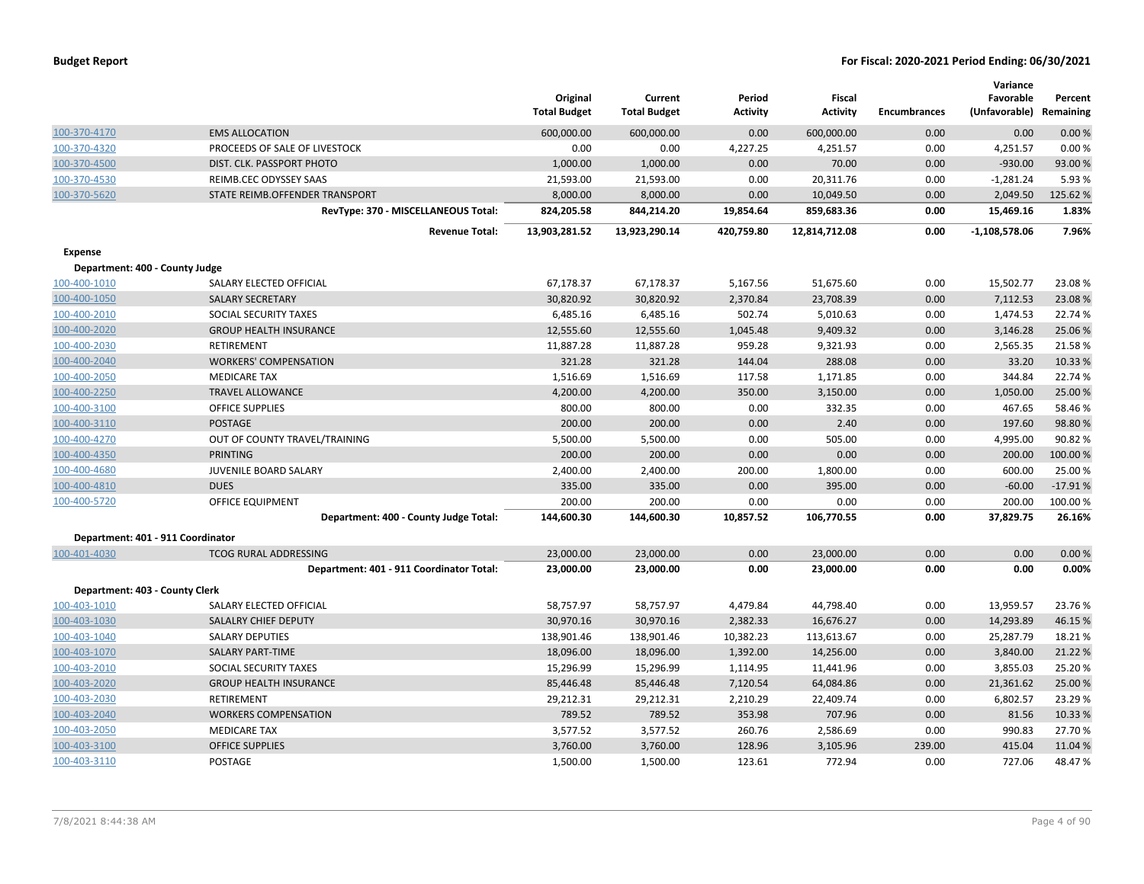| <b>Budget Report</b> |  |
|----------------------|--|
|----------------------|--|

|                                   |                                          | Original            | Current             | Period          | <b>Fiscal</b>   |                     | Variance<br>Favorable | Percent   |
|-----------------------------------|------------------------------------------|---------------------|---------------------|-----------------|-----------------|---------------------|-----------------------|-----------|
|                                   |                                          | <b>Total Budget</b> | <b>Total Budget</b> | <b>Activity</b> | <b>Activity</b> | <b>Encumbrances</b> | (Unfavorable)         | Remaining |
| 100-370-4170                      | <b>EMS ALLOCATION</b>                    | 600,000.00          | 600,000.00          | 0.00            | 600,000.00      | 0.00                | 0.00                  | 0.00%     |
| 100-370-4320                      | PROCEEDS OF SALE OF LIVESTOCK            | 0.00                | 0.00                | 4,227.25        | 4,251.57        | 0.00                | 4,251.57              | 0.00%     |
| 100-370-4500                      | DIST. CLK. PASSPORT PHOTO                | 1,000.00            | 1,000.00            | 0.00            | 70.00           | 0.00                | $-930.00$             | 93.00 %   |
| 100-370-4530                      | REIMB.CEC ODYSSEY SAAS                   | 21,593.00           | 21,593.00           | 0.00            | 20,311.76       | 0.00                | $-1,281.24$           | 5.93 %    |
| 100-370-5620                      | STATE REIMB.OFFENDER TRANSPORT           | 8,000.00            | 8,000.00            | 0.00            | 10,049.50       | 0.00                | 2,049.50              | 125.62%   |
|                                   | RevType: 370 - MISCELLANEOUS Total:      | 824,205.58          | 844,214.20          | 19,854.64       | 859,683.36      | 0.00                | 15,469.16             | 1.83%     |
|                                   | <b>Revenue Total:</b>                    | 13,903,281.52       | 13,923,290.14       | 420,759.80      | 12,814,712.08   | 0.00                | $-1,108,578.06$       | 7.96%     |
| <b>Expense</b>                    |                                          |                     |                     |                 |                 |                     |                       |           |
| Department: 400 - County Judge    |                                          |                     |                     |                 |                 |                     |                       |           |
| 100-400-1010                      | SALARY ELECTED OFFICIAL                  | 67,178.37           | 67,178.37           | 5,167.56        | 51.675.60       | 0.00                | 15,502.77             | 23.08%    |
| 100-400-1050                      | <b>SALARY SECRETARY</b>                  | 30,820.92           | 30,820.92           | 2,370.84        | 23,708.39       | 0.00                | 7,112.53              | 23.08%    |
| 100-400-2010                      | SOCIAL SECURITY TAXES                    | 6,485.16            | 6,485.16            | 502.74          | 5,010.63        | 0.00                | 1,474.53              | 22.74 %   |
| 100-400-2020                      | <b>GROUP HEALTH INSURANCE</b>            | 12,555.60           | 12,555.60           | 1,045.48        | 9,409.32        | 0.00                | 3,146.28              | 25.06 %   |
| 100-400-2030                      | <b>RETIREMENT</b>                        | 11,887.28           | 11,887.28           | 959.28          | 9,321.93        | 0.00                | 2,565.35              | 21.58%    |
| 100-400-2040                      | <b>WORKERS' COMPENSATION</b>             | 321.28              | 321.28              | 144.04          | 288.08          | 0.00                | 33.20                 | 10.33 %   |
| 100-400-2050                      | <b>MEDICARE TAX</b>                      | 1,516.69            | 1,516.69            | 117.58          | 1,171.85        | 0.00                | 344.84                | 22.74 %   |
| 100-400-2250                      | <b>TRAVEL ALLOWANCE</b>                  | 4,200.00            | 4,200.00            | 350.00          | 3,150.00        | 0.00                | 1,050.00              | 25.00 %   |
| 100-400-3100                      | <b>OFFICE SUPPLIES</b>                   | 800.00              | 800.00              | 0.00            | 332.35          | 0.00                | 467.65                | 58.46%    |
| 100-400-3110                      | <b>POSTAGE</b>                           | 200.00              | 200.00              | 0.00            | 2.40            | 0.00                | 197.60                | 98.80%    |
| 100-400-4270                      | OUT OF COUNTY TRAVEL/TRAINING            | 5,500.00            | 5,500.00            | 0.00            | 505.00          | 0.00                | 4,995.00              | 90.82%    |
| 100-400-4350                      | <b>PRINTING</b>                          | 200.00              | 200.00              | 0.00            | 0.00            | 0.00                | 200.00                | 100.00%   |
| 100-400-4680                      | <b>JUVENILE BOARD SALARY</b>             | 2,400.00            | 2,400.00            | 200.00          | 1,800.00        | 0.00                | 600.00                | 25.00 %   |
| 100-400-4810                      | <b>DUES</b>                              | 335.00              | 335.00              | 0.00            | 395.00          | 0.00                | $-60.00$              | $-17.91%$ |
| 100-400-5720                      | <b>OFFICE EQUIPMENT</b>                  | 200.00              | 200.00              | 0.00            | 0.00            | 0.00                | 200.00                | 100.00%   |
|                                   | Department: 400 - County Judge Total:    | 144,600.30          | 144,600.30          | 10,857.52       | 106,770.55      | 0.00                | 37,829.75             | 26.16%    |
| Department: 401 - 911 Coordinator |                                          |                     |                     |                 |                 |                     |                       |           |
| 100-401-4030                      | <b>TCOG RURAL ADDRESSING</b>             | 23,000.00           | 23,000.00           | 0.00            | 23,000.00       | 0.00                | 0.00                  | 0.00%     |
|                                   | Department: 401 - 911 Coordinator Total: | 23,000.00           | 23,000.00           | 0.00            | 23,000.00       | 0.00                | 0.00                  | 0.00%     |
| Department: 403 - County Clerk    |                                          |                     |                     |                 |                 |                     |                       |           |
| 100-403-1010                      | SALARY ELECTED OFFICIAL                  | 58,757.97           | 58,757.97           | 4,479.84        | 44,798.40       | 0.00                | 13,959.57             | 23.76%    |
| 100-403-1030                      | SALALRY CHIEF DEPUTY                     | 30,970.16           | 30,970.16           | 2,382.33        | 16,676.27       | 0.00                | 14,293.89             | 46.15 %   |
| 100-403-1040                      | <b>SALARY DEPUTIES</b>                   | 138,901.46          | 138,901.46          | 10,382.23       | 113,613.67      | 0.00                | 25,287.79             | 18.21%    |
| 100-403-1070                      | <b>SALARY PART-TIME</b>                  | 18,096.00           | 18,096.00           | 1,392.00        | 14,256.00       | 0.00                | 3,840.00              | 21.22 %   |
| 100-403-2010                      | SOCIAL SECURITY TAXES                    | 15,296.99           | 15,296.99           | 1,114.95        | 11,441.96       | 0.00                | 3,855.03              | 25.20%    |
| 100-403-2020                      | <b>GROUP HEALTH INSURANCE</b>            | 85,446.48           | 85,446.48           | 7,120.54        | 64,084.86       | 0.00                | 21.361.62             | 25.00 %   |
| 100-403-2030                      | <b>RETIREMENT</b>                        | 29,212.31           | 29,212.31           | 2,210.29        | 22,409.74       | 0.00                | 6,802.57              | 23.29 %   |
| 100-403-2040                      | <b>WORKERS COMPENSATION</b>              | 789.52              | 789.52              | 353.98          | 707.96          | 0.00                | 81.56                 | 10.33 %   |
| 100-403-2050                      | <b>MEDICARE TAX</b>                      | 3,577.52            | 3,577.52            | 260.76          | 2,586.69        | 0.00                | 990.83                | 27.70%    |
| 100-403-3100                      | <b>OFFICE SUPPLIES</b>                   | 3,760.00            | 3,760.00            | 128.96          | 3,105.96        | 239.00              | 415.04                | 11.04 %   |
| 100-403-3110                      | POSTAGE                                  | 1,500.00            | 1,500.00            | 123.61          | 772.94          | 0.00                | 727.06                | 48.47%    |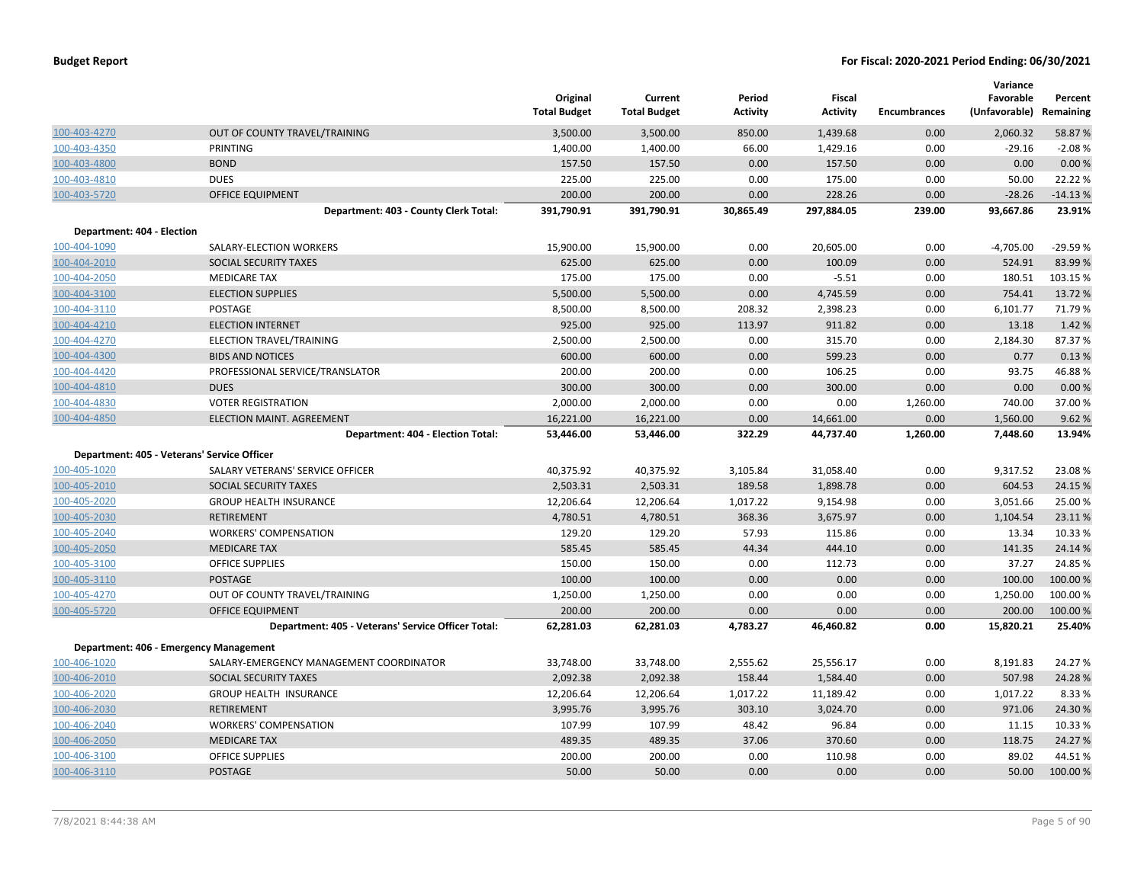|                            |                                                    | Original<br><b>Total Budget</b> | Current<br><b>Total Budget</b> | Period<br><b>Activity</b> | Fiscal<br><b>Activity</b> | <b>Encumbrances</b> | Variance<br>Favorable<br>(Unfavorable) Remaining | Percent   |
|----------------------------|----------------------------------------------------|---------------------------------|--------------------------------|---------------------------|---------------------------|---------------------|--------------------------------------------------|-----------|
| 100-403-4270               | OUT OF COUNTY TRAVEL/TRAINING                      | 3,500.00                        | 3,500.00                       | 850.00                    | 1,439.68                  | 0.00                | 2,060.32                                         | 58.87 %   |
| 100-403-4350               | PRINTING                                           | 1,400.00                        | 1,400.00                       | 66.00                     | 1,429.16                  | 0.00                | $-29.16$                                         | $-2.08%$  |
| 100-403-4800               | <b>BOND</b>                                        | 157.50                          | 157.50                         | 0.00                      | 157.50                    | 0.00                | 0.00                                             | 0.00 %    |
| 100-403-4810               | <b>DUES</b>                                        | 225.00                          | 225.00                         | 0.00                      | 175.00                    | 0.00                | 50.00                                            | 22.22 %   |
| 100-403-5720               | <b>OFFICE EQUIPMENT</b>                            | 200.00                          | 200.00                         | 0.00                      | 228.26                    | 0.00                | $-28.26$                                         | $-14.13%$ |
|                            | Department: 403 - County Clerk Total:              | 391,790.91                      | 391,790.91                     | 30,865.49                 | 297,884.05                | 239.00              | 93,667.86                                        | 23.91%    |
| Department: 404 - Election |                                                    |                                 |                                |                           |                           |                     |                                                  |           |
| 100-404-1090               | SALARY-ELECTION WORKERS                            | 15,900.00                       | 15,900.00                      | 0.00                      | 20,605.00                 | 0.00                | $-4,705.00$                                      | $-29.59%$ |
| 100-404-2010               | SOCIAL SECURITY TAXES                              | 625.00                          | 625.00                         | 0.00                      | 100.09                    | 0.00                | 524.91                                           | 83.99 %   |
| 100-404-2050               | <b>MEDICARE TAX</b>                                | 175.00                          | 175.00                         | 0.00                      | $-5.51$                   | 0.00                | 180.51                                           | 103.15 %  |
| 100-404-3100               | <b>ELECTION SUPPLIES</b>                           | 5,500.00                        | 5,500.00                       | 0.00                      | 4,745.59                  | 0.00                | 754.41                                           | 13.72 %   |
| 100-404-3110               | POSTAGE                                            | 8,500.00                        | 8,500.00                       | 208.32                    | 2,398.23                  | 0.00                | 6,101.77                                         | 71.79%    |
| 100-404-4210               | <b>ELECTION INTERNET</b>                           | 925.00                          | 925.00                         | 113.97                    | 911.82                    | 0.00                | 13.18                                            | 1.42 %    |
| 100-404-4270               | ELECTION TRAVEL/TRAINING                           | 2,500.00                        | 2,500.00                       | 0.00                      | 315.70                    | 0.00                | 2,184.30                                         | 87.37%    |
| 100-404-4300               | <b>BIDS AND NOTICES</b>                            | 600.00                          | 600.00                         | 0.00                      | 599.23                    | 0.00                | 0.77                                             | 0.13%     |
| 100-404-4420               | PROFESSIONAL SERVICE/TRANSLATOR                    | 200.00                          | 200.00                         | 0.00                      | 106.25                    | 0.00                | 93.75                                            | 46.88%    |
| 100-404-4810               | <b>DUES</b>                                        | 300.00                          | 300.00                         | 0.00                      | 300.00                    | 0.00                | 0.00                                             | 0.00%     |
| 100-404-4830               | <b>VOTER REGISTRATION</b>                          | 2,000.00                        | 2,000.00                       | 0.00                      | 0.00                      | 1,260.00            | 740.00                                           | 37.00 %   |
| 100-404-4850               | <b>ELECTION MAINT, AGREEMENT</b>                   | 16,221.00                       | 16,221.00                      | 0.00                      | 14,661.00                 | 0.00                | 1,560.00                                         | 9.62%     |
|                            | Department: 404 - Election Total:                  | 53,446.00                       | 53,446.00                      | 322.29                    | 44,737.40                 | 1,260.00            | 7,448.60                                         | 13.94%    |
|                            | Department: 405 - Veterans' Service Officer        |                                 |                                |                           |                           |                     |                                                  |           |
| 100-405-1020               | SALARY VETERANS' SERVICE OFFICER                   | 40,375.92                       | 40,375.92                      | 3,105.84                  | 31,058.40                 | 0.00                | 9,317.52                                         | 23.08%    |
| 100-405-2010               | SOCIAL SECURITY TAXES                              | 2,503.31                        | 2,503.31                       | 189.58                    | 1,898.78                  | 0.00                | 604.53                                           | 24.15 %   |
| 100-405-2020               | <b>GROUP HEALTH INSURANCE</b>                      | 12,206.64                       | 12,206.64                      | 1,017.22                  | 9,154.98                  | 0.00                | 3,051.66                                         | 25.00 %   |
| 100-405-2030               | <b>RETIREMENT</b>                                  | 4,780.51                        | 4,780.51                       | 368.36                    | 3,675.97                  | 0.00                | 1,104.54                                         | 23.11%    |
| 100-405-2040               | <b>WORKERS' COMPENSATION</b>                       | 129.20                          | 129.20                         | 57.93                     | 115.86                    | 0.00                | 13.34                                            | 10.33 %   |
| 100-405-2050               | <b>MEDICARE TAX</b>                                | 585.45                          | 585.45                         | 44.34                     | 444.10                    | 0.00                | 141.35                                           | 24.14 %   |
| 100-405-3100               | <b>OFFICE SUPPLIES</b>                             | 150.00                          | 150.00                         | 0.00                      | 112.73                    | 0.00                | 37.27                                            | 24.85 %   |
| 100-405-3110               | POSTAGE                                            | 100.00                          | 100.00                         | 0.00                      | 0.00                      | 0.00                | 100.00                                           | 100.00 %  |
| 100-405-4270               | OUT OF COUNTY TRAVEL/TRAINING                      | 1,250.00                        | 1,250.00                       | 0.00                      | 0.00                      | 0.00                | 1,250.00                                         | 100.00 %  |
| 100-405-5720               | <b>OFFICE EQUIPMENT</b>                            | 200.00                          | 200.00                         | 0.00                      | 0.00                      | 0.00                | 200.00                                           | 100.00 %  |
|                            | Department: 405 - Veterans' Service Officer Total: | 62,281.03                       | 62,281.03                      | 4,783.27                  | 46,460.82                 | 0.00                | 15,820.21                                        | 25.40%    |
|                            | Department: 406 - Emergency Management             |                                 |                                |                           |                           |                     |                                                  |           |
| 100-406-1020               | SALARY-EMERGENCY MANAGEMENT COORDINATOR            | 33,748.00                       | 33,748.00                      | 2,555.62                  | 25,556.17                 | 0.00                | 8,191.83                                         | 24.27 %   |
| 100-406-2010               | SOCIAL SECURITY TAXES                              | 2,092.38                        | 2,092.38                       | 158.44                    | 1,584.40                  | 0.00                | 507.98                                           | 24.28%    |
| 100-406-2020               | <b>GROUP HEALTH INSURANCE</b>                      | 12,206.64                       | 12,206.64                      | 1,017.22                  | 11,189.42                 | 0.00                | 1,017.22                                         | 8.33 %    |
| 100-406-2030               | <b>RETIREMENT</b>                                  | 3,995.76                        | 3,995.76                       | 303.10                    | 3,024.70                  | 0.00                | 971.06                                           | 24.30 %   |
| 100-406-2040               | <b>WORKERS' COMPENSATION</b>                       | 107.99                          | 107.99                         | 48.42                     | 96.84                     | 0.00                | 11.15                                            | 10.33 %   |
| 100-406-2050               | <b>MEDICARE TAX</b>                                | 489.35                          | 489.35                         | 37.06                     | 370.60                    | 0.00                | 118.75                                           | 24.27 %   |
| 100-406-3100               | <b>OFFICE SUPPLIES</b>                             | 200.00                          | 200.00                         | 0.00                      | 110.98                    | 0.00                | 89.02                                            | 44.51%    |
| 100-406-3110               | <b>POSTAGE</b>                                     | 50.00                           | 50.00                          | 0.00                      | 0.00                      | 0.00                | 50.00                                            | 100.00 %  |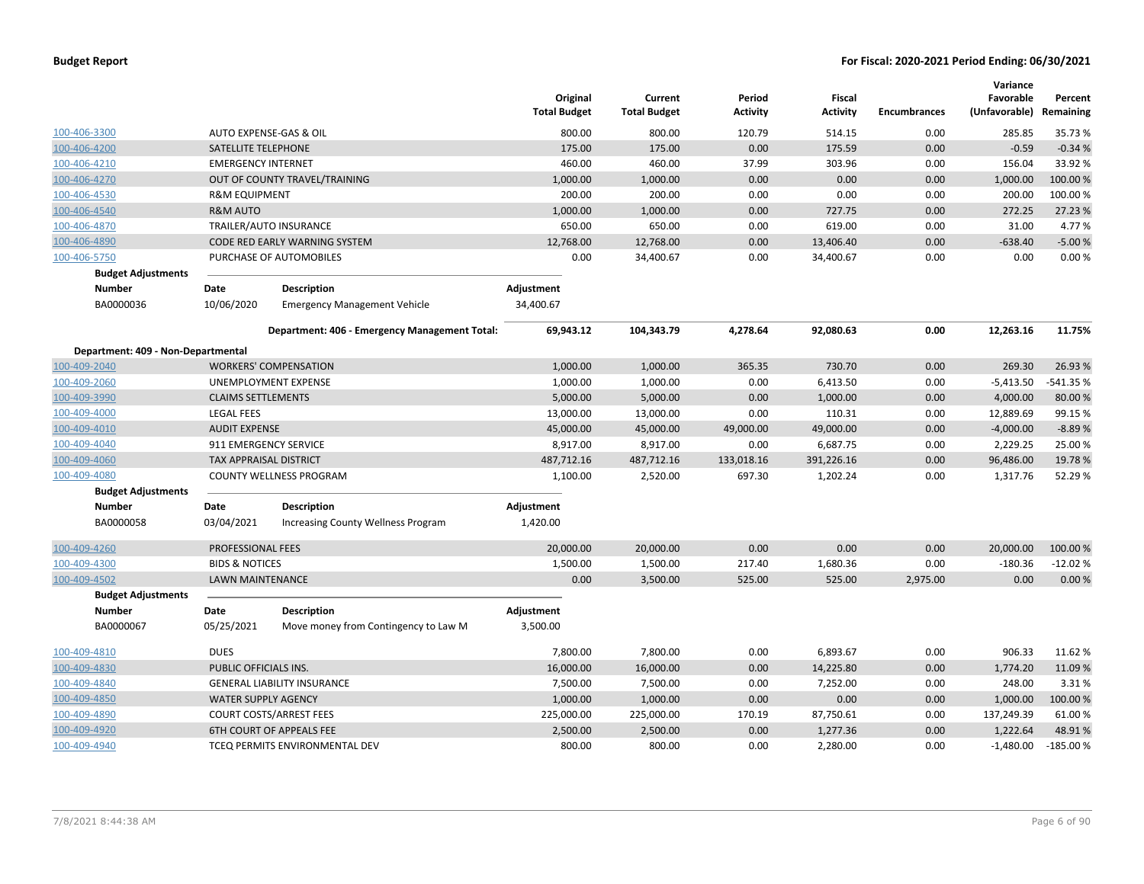|                                    |                              |                                               | Original<br><b>Total Budget</b> | Current<br><b>Total Budget</b> | Period<br><b>Activity</b> | Fiscal<br><b>Activity</b> | <b>Encumbrances</b> | Variance<br>Favorable<br>(Unfavorable) | Percent<br>Remaining |
|------------------------------------|------------------------------|-----------------------------------------------|---------------------------------|--------------------------------|---------------------------|---------------------------|---------------------|----------------------------------------|----------------------|
| 100-406-3300                       |                              | AUTO EXPENSE-GAS & OIL                        | 800.00                          | 800.00                         | 120.79                    | 514.15                    | 0.00                | 285.85                                 | 35.73%               |
| 100-406-4200                       | SATELLITE TELEPHONE          |                                               | 175.00                          | 175.00                         | 0.00                      | 175.59                    | 0.00                | $-0.59$                                | $-0.34%$             |
| 100-406-4210                       | <b>EMERGENCY INTERNET</b>    |                                               | 460.00                          | 460.00                         | 37.99                     | 303.96                    | 0.00                | 156.04                                 | 33.92%               |
| 100-406-4270                       |                              | OUT OF COUNTY TRAVEL/TRAINING                 | 1,000.00                        | 1,000.00                       | 0.00                      | 0.00                      | 0.00                | 1,000.00                               | 100.00 %             |
| 100-406-4530                       | <b>R&amp;M EQUIPMENT</b>     |                                               | 200.00                          | 200.00                         | 0.00                      | 0.00                      | 0.00                | 200.00                                 | 100.00 %             |
| 100-406-4540                       | <b>R&amp;M AUTO</b>          |                                               | 1,000.00                        | 1,000.00                       | 0.00                      | 727.75                    | 0.00                | 272.25                                 | 27.23 %              |
| 100-406-4870                       |                              | TRAILER/AUTO INSURANCE                        | 650.00                          | 650.00                         | 0.00                      | 619.00                    | 0.00                | 31.00                                  | 4.77%                |
| 100-406-4890                       |                              | CODE RED EARLY WARNING SYSTEM                 | 12,768.00                       | 12,768.00                      | 0.00                      | 13,406.40                 | 0.00                | $-638.40$                              | $-5.00%$             |
| 100-406-5750                       |                              | PURCHASE OF AUTOMOBILES                       | 0.00                            | 34,400.67                      | 0.00                      | 34,400.67                 | 0.00                | 0.00                                   | 0.00%                |
| <b>Budget Adjustments</b>          |                              |                                               |                                 |                                |                           |                           |                     |                                        |                      |
| <b>Number</b>                      | Date                         | <b>Description</b>                            | Adjustment                      |                                |                           |                           |                     |                                        |                      |
| BA0000036                          | 10/06/2020                   | <b>Emergency Management Vehicle</b>           | 34,400.67                       |                                |                           |                           |                     |                                        |                      |
|                                    |                              | Department: 406 - Emergency Management Total: | 69,943.12                       | 104,343.79                     | 4,278.64                  | 92,080.63                 | 0.00                | 12,263.16                              | 11.75%               |
| Department: 409 - Non-Departmental |                              |                                               |                                 |                                |                           |                           |                     |                                        |                      |
| 100-409-2040                       |                              | <b>WORKERS' COMPENSATION</b>                  | 1,000.00                        | 1,000.00                       | 365.35                    | 730.70                    | 0.00                | 269.30                                 | 26.93%               |
| 100-409-2060                       |                              | UNEMPLOYMENT EXPENSE                          | 1,000.00                        | 1,000.00                       | 0.00                      | 6,413.50                  | 0.00                | $-5,413.50$                            | -541.35 %            |
| 100-409-3990                       | <b>CLAIMS SETTLEMENTS</b>    |                                               | 5,000.00                        | 5,000.00                       | 0.00                      | 1,000.00                  | 0.00                | 4,000.00                               | 80.00%               |
| 100-409-4000                       | <b>LEGAL FEES</b>            |                                               | 13,000.00                       | 13,000.00                      | 0.00                      | 110.31                    | 0.00                | 12,889.69                              | 99.15%               |
| 100-409-4010                       | <b>AUDIT EXPENSE</b>         |                                               | 45,000.00                       | 45,000.00                      | 49,000.00                 | 49,000.00                 | 0.00                | $-4,000.00$                            | $-8.89%$             |
| 100-409-4040                       | 911 EMERGENCY SERVICE        |                                               | 8,917.00                        | 8,917.00                       | 0.00                      | 6,687.75                  | 0.00                | 2,229.25                               | 25.00 %              |
| 100-409-4060                       | TAX APPRAISAL DISTRICT       |                                               | 487,712.16                      | 487,712.16                     | 133,018.16                | 391,226.16                | 0.00                | 96,486.00                              | 19.78%               |
| 100-409-4080                       |                              | <b>COUNTY WELLNESS PROGRAM</b>                | 1,100.00                        | 2,520.00                       | 697.30                    | 1,202.24                  | 0.00                | 1,317.76                               | 52.29%               |
| <b>Budget Adjustments</b>          |                              |                                               |                                 |                                |                           |                           |                     |                                        |                      |
| <b>Number</b>                      | Date                         | <b>Description</b>                            | Adjustment                      |                                |                           |                           |                     |                                        |                      |
| BA0000058                          | 03/04/2021                   | <b>Increasing County Wellness Program</b>     | 1,420.00                        |                                |                           |                           |                     |                                        |                      |
| 100-409-4260                       | PROFESSIONAL FEES            |                                               | 20,000.00                       | 20,000.00                      | 0.00                      | 0.00                      | 0.00                | 20,000.00                              | 100.00 %             |
| 100-409-4300                       | <b>BIDS &amp; NOTICES</b>    |                                               | 1,500.00                        | 1,500.00                       | 217.40                    | 1,680.36                  | 0.00                | $-180.36$                              | $-12.02%$            |
| 100-409-4502                       | <b>LAWN MAINTENANCE</b>      |                                               | 0.00                            | 3,500.00                       | 525.00                    | 525.00                    | 2,975.00            | 0.00                                   | 0.00%                |
| <b>Budget Adjustments</b>          |                              |                                               |                                 |                                |                           |                           |                     |                                        |                      |
| <b>Number</b>                      | Date                         | <b>Description</b>                            | Adjustment                      |                                |                           |                           |                     |                                        |                      |
| BA0000067                          | 05/25/2021                   | Move money from Contingency to Law M          | 3,500.00                        |                                |                           |                           |                     |                                        |                      |
| 100-409-4810                       | <b>DUES</b>                  |                                               | 7,800.00                        | 7,800.00                       | 0.00                      | 6,893.67                  | 0.00                | 906.33                                 | 11.62%               |
| 100-409-4830                       | <b>PUBLIC OFFICIALS INS.</b> |                                               | 16,000.00                       | 16,000.00                      | 0.00                      | 14,225.80                 | 0.00                | 1,774.20                               | 11.09%               |
| 100-409-4840                       |                              | <b>GENERAL LIABILITY INSURANCE</b>            | 7,500.00                        | 7,500.00                       | 0.00                      | 7,252.00                  | 0.00                | 248.00                                 | 3.31%                |
| 100-409-4850                       | <b>WATER SUPPLY AGENCY</b>   |                                               | 1,000.00                        | 1,000.00                       | 0.00                      | 0.00                      | 0.00                | 1,000.00                               | 100.00 %             |
| 100-409-4890                       |                              | <b>COURT COSTS/ARREST FEES</b>                | 225,000.00                      | 225,000.00                     | 170.19                    | 87,750.61                 | 0.00                | 137,249.39                             | 61.00%               |
| 100-409-4920                       |                              | <b>6TH COURT OF APPEALS FEE</b>               | 2,500.00                        | 2,500.00                       | 0.00                      | 1,277.36                  | 0.00                | 1,222.64                               | 48.91%               |
| 100-409-4940                       |                              | TCEQ PERMITS ENVIRONMENTAL DEV                | 800.00                          | 800.00                         | 0.00                      | 2,280.00                  | 0.00                | $-1,480.00$                            | $-185.00%$           |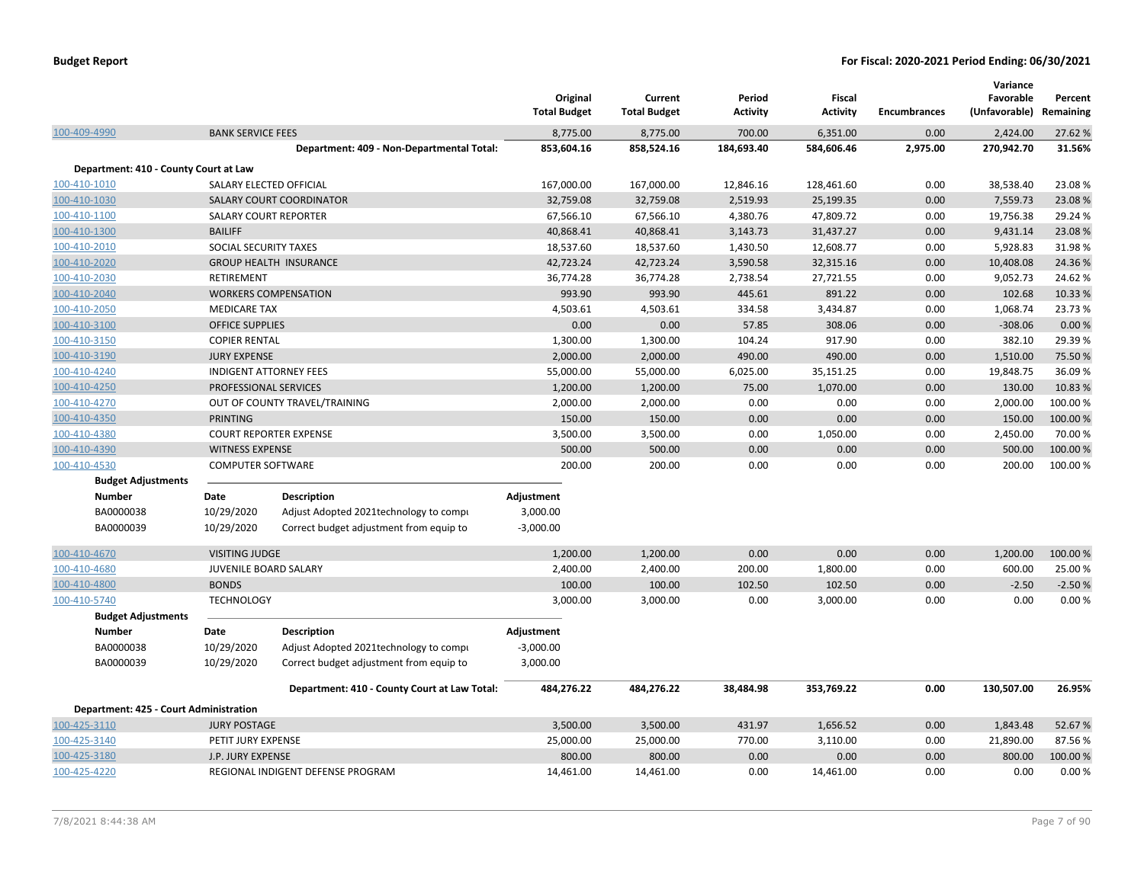|                                        |                          |                                              | Original<br><b>Total Budget</b> | Current<br><b>Total Budget</b> | Period<br><b>Activity</b> | Fiscal<br><b>Activity</b> | <b>Encumbrances</b> | Variance<br>Favorable<br>(Unfavorable) | Percent<br>Remaining |
|----------------------------------------|--------------------------|----------------------------------------------|---------------------------------|--------------------------------|---------------------------|---------------------------|---------------------|----------------------------------------|----------------------|
| 100-409-4990                           | <b>BANK SERVICE FEES</b> |                                              | 8,775.00                        | 8,775.00                       | 700.00                    | 6,351.00                  | 0.00                | 2,424.00                               | 27.62%               |
|                                        |                          | Department: 409 - Non-Departmental Total:    | 853,604.16                      | 858,524.16                     | 184,693.40                | 584,606.46                | 2,975.00            | 270,942.70                             | 31.56%               |
| Department: 410 - County Court at Law  |                          |                                              |                                 |                                |                           |                           |                     |                                        |                      |
| 100-410-1010                           |                          | SALARY ELECTED OFFICIAL                      | 167,000.00                      | 167,000.00                     | 12,846.16                 | 128,461.60                | 0.00                | 38,538.40                              | 23.08%               |
| 100-410-1030                           |                          | <b>SALARY COURT COORDINATOR</b>              | 32,759.08                       | 32,759.08                      | 2,519.93                  | 25,199.35                 | 0.00                | 7,559.73                               | 23.08%               |
| 100-410-1100                           |                          | <b>SALARY COURT REPORTER</b>                 | 67,566.10                       | 67,566.10                      | 4,380.76                  | 47,809.72                 | 0.00                | 19,756.38                              | 29.24 %              |
| 100-410-1300                           | <b>BAILIFF</b>           |                                              | 40,868.41                       | 40,868.41                      | 3,143.73                  | 31,437.27                 | 0.00                | 9,431.14                               | 23.08%               |
| 100-410-2010                           | SOCIAL SECURITY TAXES    |                                              | 18,537.60                       | 18,537.60                      | 1,430.50                  | 12,608.77                 | 0.00                | 5,928.83                               | 31.98%               |
| 100-410-2020                           |                          | <b>GROUP HEALTH INSURANCE</b>                | 42,723.24                       | 42,723.24                      | 3,590.58                  | 32,315.16                 | 0.00                | 10,408.08                              | 24.36%               |
| 100-410-2030                           | RETIREMENT               |                                              | 36,774.28                       | 36,774.28                      | 2,738.54                  | 27,721.55                 | 0.00                | 9,052.73                               | 24.62%               |
| 100-410-2040                           |                          | <b>WORKERS COMPENSATION</b>                  | 993.90                          | 993.90                         | 445.61                    | 891.22                    | 0.00                | 102.68                                 | 10.33 %              |
| 100-410-2050                           | <b>MEDICARE TAX</b>      |                                              | 4,503.61                        | 4,503.61                       | 334.58                    | 3,434.87                  | 0.00                | 1,068.74                               | 23.73%               |
| 100-410-3100                           | <b>OFFICE SUPPLIES</b>   |                                              | 0.00                            | 0.00                           | 57.85                     | 308.06                    | 0.00                | $-308.06$                              | 0.00%                |
| 100-410-3150                           | <b>COPIER RENTAL</b>     |                                              | 1,300.00                        | 1,300.00                       | 104.24                    | 917.90                    | 0.00                | 382.10                                 | 29.39%               |
| 100-410-3190                           | <b>JURY EXPENSE</b>      |                                              | 2,000.00                        | 2,000.00                       | 490.00                    | 490.00                    | 0.00                | 1,510.00                               | 75.50%               |
| 100-410-4240                           |                          | <b>INDIGENT ATTORNEY FEES</b>                | 55,000.00                       | 55,000.00                      | 6,025.00                  | 35,151.25                 | 0.00                | 19,848.75                              | 36.09%               |
| 100-410-4250                           |                          | PROFESSIONAL SERVICES                        | 1,200.00                        | 1,200.00                       | 75.00                     | 1,070.00                  | 0.00                | 130.00                                 | 10.83%               |
| 100-410-4270                           |                          | OUT OF COUNTY TRAVEL/TRAINING                | 2,000.00                        | 2,000.00                       | 0.00                      | 0.00                      | 0.00                | 2,000.00                               | 100.00%              |
| 100-410-4350                           | <b>PRINTING</b>          |                                              | 150.00                          | 150.00                         | 0.00                      | 0.00                      | 0.00                | 150.00                                 | 100.00%              |
| 100-410-4380                           |                          | <b>COURT REPORTER EXPENSE</b>                | 3,500.00                        | 3,500.00                       | 0.00                      | 1,050.00                  | 0.00                | 2,450.00                               | 70.00%               |
| 100-410-4390                           | <b>WITNESS EXPENSE</b>   |                                              | 500.00                          | 500.00                         | 0.00                      | 0.00                      | 0.00                | 500.00                                 | 100.00 %             |
| 100-410-4530                           | <b>COMPUTER SOFTWARE</b> |                                              | 200.00                          | 200.00                         | 0.00                      | 0.00                      | 0.00                | 200.00                                 | 100.00 %             |
| <b>Budget Adjustments</b>              |                          |                                              |                                 |                                |                           |                           |                     |                                        |                      |
| <b>Number</b>                          | Date                     | Description                                  | Adjustment                      |                                |                           |                           |                     |                                        |                      |
| BA0000038                              | 10/29/2020               | Adjust Adopted 2021technology to compi       | 3,000.00                        |                                |                           |                           |                     |                                        |                      |
| BA0000039                              | 10/29/2020               | Correct budget adjustment from equip to      | $-3,000.00$                     |                                |                           |                           |                     |                                        |                      |
| 100-410-4670                           | <b>VISITING JUDGE</b>    |                                              | 1,200.00                        | 1,200.00                       | 0.00                      | 0.00                      | 0.00                | 1,200.00                               | 100.00%              |
| 100-410-4680                           |                          | JUVENILE BOARD SALARY                        | 2,400.00                        | 2,400.00                       | 200.00                    | 1,800.00                  | 0.00                | 600.00                                 | 25.00%               |
| 100-410-4800                           | <b>BONDS</b>             |                                              | 100.00                          | 100.00                         | 102.50                    | 102.50                    | 0.00                | $-2.50$                                | $-2.50%$             |
| 100-410-5740                           | <b>TECHNOLOGY</b>        |                                              | 3,000.00                        | 3,000.00                       | 0.00                      | 3,000.00                  | 0.00                | 0.00                                   | 0.00%                |
| <b>Budget Adjustments</b>              |                          |                                              |                                 |                                |                           |                           |                     |                                        |                      |
| <b>Number</b>                          | Date                     | <b>Description</b>                           | Adjustment                      |                                |                           |                           |                     |                                        |                      |
| BA0000038                              | 10/29/2020               | Adjust Adopted 2021 technology to compi      | $-3,000.00$                     |                                |                           |                           |                     |                                        |                      |
| BA0000039                              | 10/29/2020               | Correct budget adjustment from equip to      | 3,000.00                        |                                |                           |                           |                     |                                        |                      |
|                                        |                          |                                              |                                 |                                |                           |                           |                     |                                        |                      |
|                                        |                          | Department: 410 - County Court at Law Total: | 484,276.22                      | 484,276.22                     | 38,484.98                 | 353,769.22                | 0.00                | 130,507.00                             | 26.95%               |
| Department: 425 - Court Administration |                          |                                              |                                 |                                |                           |                           |                     |                                        |                      |
| 100-425-3110                           | <b>JURY POSTAGE</b>      |                                              | 3,500.00                        | 3,500.00                       | 431.97                    | 1,656.52                  | 0.00                | 1,843.48                               | 52.67%               |
| 100-425-3140                           | PETIT JURY EXPENSE       |                                              | 25,000.00                       | 25,000.00                      | 770.00                    | 3,110.00                  | 0.00                | 21,890.00                              | 87.56%               |
| 100-425-3180                           | J.P. JURY EXPENSE        |                                              | 800.00                          | 800.00                         | 0.00                      | 0.00                      | 0.00                | 800.00                                 | 100.00%              |
| 100-425-4220                           |                          | REGIONAL INDIGENT DEFENSE PROGRAM            | 14,461.00                       | 14,461.00                      | 0.00                      | 14,461.00                 | 0.00                | 0.00                                   | 0.00%                |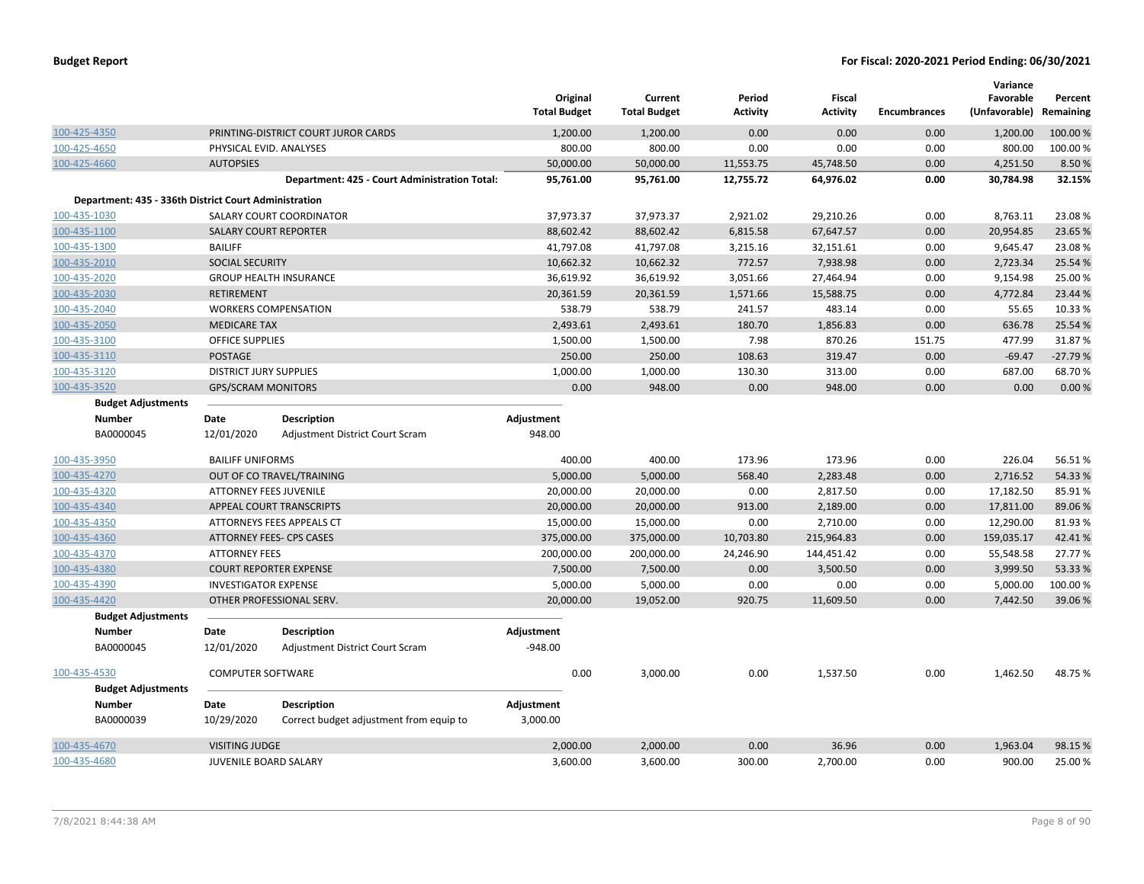|              |                                                       |                               |                                               | Original<br><b>Total Budget</b> | Current<br><b>Total Budget</b> | Period<br><b>Activity</b> | <b>Fiscal</b><br><b>Activity</b> | <b>Encumbrances</b> | Variance<br>Favorable<br>(Unfavorable) | Percent<br>Remaining |
|--------------|-------------------------------------------------------|-------------------------------|-----------------------------------------------|---------------------------------|--------------------------------|---------------------------|----------------------------------|---------------------|----------------------------------------|----------------------|
| 100-425-4350 |                                                       |                               | PRINTING-DISTRICT COURT JUROR CARDS           | 1,200.00                        | 1,200.00                       | 0.00                      | 0.00                             | 0.00                | 1,200.00                               | 100.00 %             |
| 100-425-4650 |                                                       | PHYSICAL EVID. ANALYSES       |                                               | 800.00                          | 800.00                         | 0.00                      | 0.00                             | 0.00                | 800.00                                 | 100.00%              |
| 100-425-4660 |                                                       | <b>AUTOPSIES</b>              |                                               | 50,000.00                       | 50,000.00                      | 11,553.75                 | 45,748.50                        | 0.00                | 4,251.50                               | 8.50%                |
|              |                                                       |                               | Department: 425 - Court Administration Total: | 95,761.00                       | 95,761.00                      | 12,755.72                 | 64,976.02                        | 0.00                | 30,784.98                              | 32.15%               |
|              | Department: 435 - 336th District Court Administration |                               |                                               |                                 |                                |                           |                                  |                     |                                        |                      |
| 100-435-1030 |                                                       |                               | SALARY COURT COORDINATOR                      | 37,973.37                       | 37,973.37                      | 2,921.02                  | 29,210.26                        | 0.00                | 8,763.11                               | 23.08%               |
| 100-435-1100 |                                                       | SALARY COURT REPORTER         |                                               | 88,602.42                       | 88,602.42                      | 6,815.58                  | 67,647.57                        | 0.00                | 20,954.85                              | 23.65%               |
| 100-435-1300 |                                                       | <b>BAILIFF</b>                |                                               | 41,797.08                       | 41,797.08                      | 3,215.16                  | 32,151.61                        | 0.00                | 9,645.47                               | 23.08%               |
| 100-435-2010 |                                                       | SOCIAL SECURITY               |                                               | 10,662.32                       | 10,662.32                      | 772.57                    | 7,938.98                         | 0.00                | 2,723.34                               | 25.54 %              |
| 100-435-2020 |                                                       |                               | <b>GROUP HEALTH INSURANCE</b>                 | 36,619.92                       | 36,619.92                      | 3,051.66                  | 27,464.94                        | 0.00                | 9,154.98                               | 25.00%               |
| 100-435-2030 |                                                       | <b>RETIREMENT</b>             |                                               | 20,361.59                       | 20,361.59                      | 1,571.66                  | 15,588.75                        | 0.00                | 4,772.84                               | 23.44 %              |
| 100-435-2040 |                                                       |                               | <b>WORKERS COMPENSATION</b>                   | 538.79                          | 538.79                         | 241.57                    | 483.14                           | 0.00                | 55.65                                  | 10.33 %              |
| 100-435-2050 |                                                       | <b>MEDICARE TAX</b>           |                                               | 2,493.61                        | 2,493.61                       | 180.70                    | 1,856.83                         | 0.00                | 636.78                                 | 25.54 %              |
| 100-435-3100 |                                                       | <b>OFFICE SUPPLIES</b>        |                                               | 1,500.00                        | 1,500.00                       | 7.98                      | 870.26                           | 151.75              | 477.99                                 | 31.87%               |
| 100-435-3110 |                                                       | <b>POSTAGE</b>                |                                               | 250.00                          | 250.00                         | 108.63                    | 319.47                           | 0.00                | $-69.47$                               | $-27.79%$            |
| 100-435-3120 |                                                       | <b>DISTRICT JURY SUPPLIES</b> |                                               | 1,000.00                        | 1,000.00                       | 130.30                    | 313.00                           | 0.00                | 687.00                                 | 68.70%               |
| 100-435-3520 |                                                       | <b>GPS/SCRAM MONITORS</b>     |                                               | 0.00                            | 948.00                         | 0.00                      | 948.00                           | 0.00                | 0.00                                   | 0.00%                |
|              | <b>Budget Adjustments</b>                             |                               |                                               |                                 |                                |                           |                                  |                     |                                        |                      |
|              | <b>Number</b>                                         | Date                          | <b>Description</b>                            | Adjustment                      |                                |                           |                                  |                     |                                        |                      |
|              | BA0000045                                             | 12/01/2020                    | Adjustment District Court Scram               | 948.00                          |                                |                           |                                  |                     |                                        |                      |
| 100-435-3950 |                                                       | <b>BAILIFF UNIFORMS</b>       |                                               | 400.00                          | 400.00                         | 173.96                    | 173.96                           | 0.00                | 226.04                                 | 56.51%               |
| 100-435-4270 |                                                       |                               | OUT OF CO TRAVEL/TRAINING                     | 5,000.00                        | 5,000.00                       | 568.40                    | 2,283.48                         | 0.00                | 2,716.52                               | 54.33%               |
| 100-435-4320 |                                                       | ATTORNEY FEES JUVENILE        |                                               | 20,000.00                       | 20,000.00                      | 0.00                      | 2,817.50                         | 0.00                | 17,182.50                              | 85.91%               |
| 100-435-4340 |                                                       |                               | APPEAL COURT TRANSCRIPTS                      | 20,000.00                       | 20,000.00                      | 913.00                    | 2,189.00                         | 0.00                | 17,811.00                              | 89.06%               |
| 100-435-4350 |                                                       |                               | ATTORNEYS FEES APPEALS CT                     | 15,000.00                       | 15,000.00                      | 0.00                      | 2,710.00                         | 0.00                | 12,290.00                              | 81.93%               |
| 100-435-4360 |                                                       |                               | <b>ATTORNEY FEES- CPS CASES</b>               | 375,000.00                      | 375,000.00                     | 10,703.80                 | 215,964.83                       | 0.00                | 159,035.17                             | 42.41%               |
| 100-435-4370 |                                                       | <b>ATTORNEY FEES</b>          |                                               | 200,000.00                      | 200,000.00                     | 24,246.90                 | 144,451.42                       | 0.00                | 55,548.58                              | 27.77%               |
| 100-435-4380 |                                                       |                               | <b>COURT REPORTER EXPENSE</b>                 | 7,500.00                        | 7,500.00                       | 0.00                      | 3,500.50                         | 0.00                | 3,999.50                               | 53.33 %              |
| 100-435-4390 |                                                       | <b>INVESTIGATOR EXPENSE</b>   |                                               | 5,000.00                        | 5,000.00                       | 0.00                      | 0.00                             | 0.00                | 5,000.00                               | 100.00%              |
| 100-435-4420 |                                                       |                               | OTHER PROFESSIONAL SERV.                      | 20,000.00                       | 19,052.00                      | 920.75                    | 11,609.50                        | 0.00                | 7,442.50                               | 39.06%               |
|              | <b>Budget Adjustments</b>                             |                               |                                               |                                 |                                |                           |                                  |                     |                                        |                      |
|              | <b>Number</b>                                         | Date                          | <b>Description</b>                            | Adjustment                      |                                |                           |                                  |                     |                                        |                      |
|              | BA0000045                                             | 12/01/2020                    | Adjustment District Court Scram               | $-948.00$                       |                                |                           |                                  |                     |                                        |                      |
| 100-435-4530 |                                                       | <b>COMPUTER SOFTWARE</b>      |                                               | 0.00                            | 3,000.00                       | 0.00                      | 1,537.50                         | 0.00                | 1,462.50                               | 48.75%               |
|              | <b>Budget Adjustments</b>                             |                               |                                               |                                 |                                |                           |                                  |                     |                                        |                      |
|              | <b>Number</b>                                         | Date                          | <b>Description</b>                            | Adjustment                      |                                |                           |                                  |                     |                                        |                      |
|              | BA0000039                                             | 10/29/2020                    | Correct budget adjustment from equip to       | 3,000.00                        |                                |                           |                                  |                     |                                        |                      |
| 100-435-4670 |                                                       | <b>VISITING JUDGE</b>         |                                               | 2,000.00                        | 2,000.00                       | 0.00                      | 36.96                            | 0.00                | 1,963.04                               | 98.15 %              |
| 100-435-4680 |                                                       | <b>JUVENILE BOARD SALARY</b>  |                                               | 3,600.00                        | 3.600.00                       | 300.00                    | 2,700.00                         | 0.00                | 900.00                                 | 25.00%               |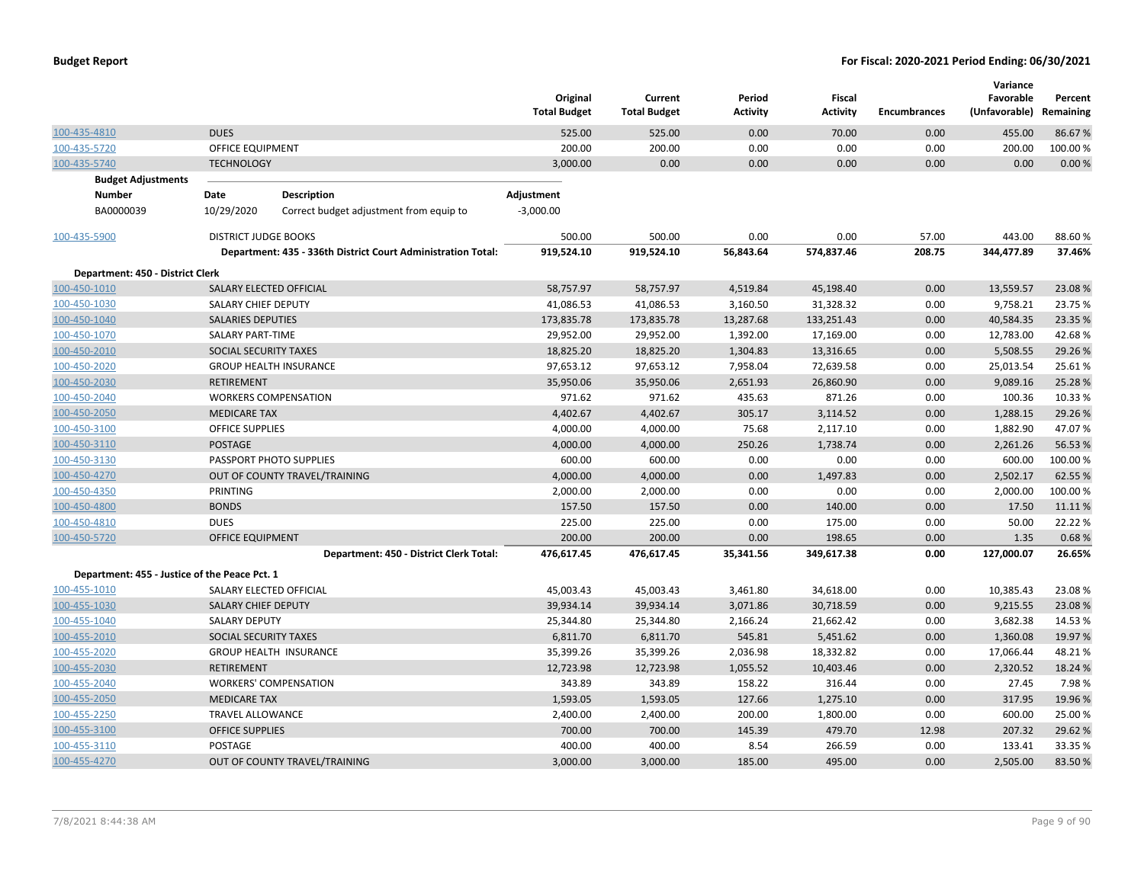|                                               |                             |                                                              | Original<br><b>Total Budget</b> | Current<br><b>Total Budget</b> | Period<br><b>Activity</b> | Fiscal<br><b>Activity</b> | Encumbrances | Variance<br>Favorable<br>(Unfavorable) Remaining | Percent  |
|-----------------------------------------------|-----------------------------|--------------------------------------------------------------|---------------------------------|--------------------------------|---------------------------|---------------------------|--------------|--------------------------------------------------|----------|
| 100-435-4810                                  | <b>DUES</b>                 |                                                              | 525.00                          | 525.00                         | 0.00                      | 70.00                     | 0.00         | 455.00                                           | 86.67%   |
| 100-435-5720                                  | <b>OFFICE EQUIPMENT</b>     |                                                              | 200.00                          | 200.00                         | 0.00                      | 0.00                      | 0.00         | 200.00                                           | 100.00%  |
| 100-435-5740                                  | <b>TECHNOLOGY</b>           |                                                              | 3,000.00                        | 0.00                           | 0.00                      | 0.00                      | 0.00         | 0.00                                             | 0.00%    |
| <b>Budget Adjustments</b>                     |                             |                                                              |                                 |                                |                           |                           |              |                                                  |          |
| <b>Number</b>                                 | Date                        | <b>Description</b>                                           | Adjustment                      |                                |                           |                           |              |                                                  |          |
| BA0000039                                     | 10/29/2020                  | Correct budget adjustment from equip to                      | $-3,000.00$                     |                                |                           |                           |              |                                                  |          |
| 100-435-5900                                  | <b>DISTRICT JUDGE BOOKS</b> |                                                              | 500.00                          | 500.00                         | 0.00                      | 0.00                      | 57.00        | 443.00                                           | 88.60%   |
|                                               |                             | Department: 435 - 336th District Court Administration Total: | 919,524.10                      | 919,524.10                     | 56,843.64                 | 574,837.46                | 208.75       | 344,477.89                                       | 37.46%   |
| Department: 450 - District Clerk              |                             |                                                              |                                 |                                |                           |                           |              |                                                  |          |
| 100-450-1010                                  | SALARY ELECTED OFFICIAL     |                                                              | 58,757.97                       | 58,757.97                      | 4,519.84                  | 45,198.40                 | 0.00         | 13,559.57                                        | 23.08%   |
| 100-450-1030                                  | SALARY CHIEF DEPUTY         |                                                              | 41,086.53                       | 41,086.53                      | 3,160.50                  | 31,328.32                 | 0.00         | 9,758.21                                         | 23.75 %  |
| 100-450-1040                                  | <b>SALARIES DEPUTIES</b>    |                                                              | 173,835.78                      | 173,835.78                     | 13,287.68                 | 133,251.43                | 0.00         | 40,584.35                                        | 23.35 %  |
| 100-450-1070                                  | <b>SALARY PART-TIME</b>     |                                                              | 29,952.00                       | 29,952.00                      | 1,392.00                  | 17,169.00                 | 0.00         | 12,783.00                                        | 42.68%   |
| 100-450-2010                                  | SOCIAL SECURITY TAXES       |                                                              | 18,825.20                       | 18,825.20                      | 1,304.83                  | 13,316.65                 | 0.00         | 5,508.55                                         | 29.26%   |
| 100-450-2020                                  |                             | <b>GROUP HEALTH INSURANCE</b>                                | 97,653.12                       | 97,653.12                      | 7,958.04                  | 72,639.58                 | 0.00         | 25,013.54                                        | 25.61%   |
| 100-450-2030                                  | <b>RETIREMENT</b>           |                                                              | 35,950.06                       | 35,950.06                      | 2,651.93                  | 26,860.90                 | 0.00         | 9,089.16                                         | 25.28%   |
| 100-450-2040                                  |                             | <b>WORKERS COMPENSATION</b>                                  | 971.62                          | 971.62                         | 435.63                    | 871.26                    | 0.00         | 100.36                                           | 10.33 %  |
| 100-450-2050                                  | <b>MEDICARE TAX</b>         |                                                              | 4,402.67                        | 4,402.67                       | 305.17                    | 3,114.52                  | 0.00         | 1,288.15                                         | 29.26 %  |
| 100-450-3100                                  | <b>OFFICE SUPPLIES</b>      |                                                              | 4,000.00                        | 4,000.00                       | 75.68                     | 2,117.10                  | 0.00         | 1,882.90                                         | 47.07%   |
| 100-450-3110                                  | POSTAGE                     |                                                              | 4,000.00                        | 4,000.00                       | 250.26                    | 1,738.74                  | 0.00         | 2,261.26                                         | 56.53%   |
| 100-450-3130                                  |                             | PASSPORT PHOTO SUPPLIES                                      | 600.00                          | 600.00                         | 0.00                      | 0.00                      | 0.00         | 600.00                                           | 100.00 % |
| 100-450-4270                                  |                             | OUT OF COUNTY TRAVEL/TRAINING                                | 4,000.00                        | 4,000.00                       | 0.00                      | 1,497.83                  | 0.00         | 2,502.17                                         | 62.55%   |
| 100-450-4350                                  | <b>PRINTING</b>             |                                                              | 2,000.00                        | 2,000.00                       | 0.00                      | 0.00                      | 0.00         | 2,000.00                                         | 100.00%  |
| 100-450-4800                                  | <b>BONDS</b>                |                                                              | 157.50                          | 157.50                         | 0.00                      | 140.00                    | 0.00         | 17.50                                            | 11.11%   |
| 100-450-4810                                  | <b>DUES</b>                 |                                                              | 225.00                          | 225.00                         | 0.00                      | 175.00                    | 0.00         | 50.00                                            | 22.22 %  |
| 100-450-5720                                  | OFFICE EQUIPMENT            |                                                              | 200.00                          | 200.00                         | 0.00                      | 198.65                    | 0.00         | 1.35                                             | 0.68%    |
|                                               |                             | Department: 450 - District Clerk Total:                      | 476,617.45                      | 476,617.45                     | 35,341.56                 | 349,617.38                | 0.00         | 127,000.07                                       | 26.65%   |
| Department: 455 - Justice of the Peace Pct. 1 |                             |                                                              |                                 |                                |                           |                           |              |                                                  |          |
| 100-455-1010                                  | SALARY ELECTED OFFICIAL     |                                                              | 45,003.43                       | 45,003.43                      | 3,461.80                  | 34,618.00                 | 0.00         | 10,385.43                                        | 23.08%   |
| 100-455-1030                                  | <b>SALARY CHIEF DEPUTY</b>  |                                                              | 39,934.14                       | 39,934.14                      | 3,071.86                  | 30,718.59                 | 0.00         | 9,215.55                                         | 23.08%   |
| 100-455-1040                                  | <b>SALARY DEPUTY</b>        |                                                              | 25,344.80                       | 25,344.80                      | 2,166.24                  | 21,662.42                 | 0.00         | 3,682.38                                         | 14.53 %  |
| 100-455-2010                                  | SOCIAL SECURITY TAXES       |                                                              | 6,811.70                        | 6,811.70                       | 545.81                    | 5,451.62                  | 0.00         | 1,360.08                                         | 19.97 %  |
| 100-455-2020                                  |                             | <b>GROUP HEALTH INSURANCE</b>                                | 35,399.26                       | 35,399.26                      | 2,036.98                  | 18,332.82                 | 0.00         | 17,066.44                                        | 48.21%   |
| 100-455-2030                                  | <b>RETIREMENT</b>           |                                                              | 12,723.98                       | 12,723.98                      | 1,055.52                  | 10,403.46                 | 0.00         | 2,320.52                                         | 18.24 %  |
| 100-455-2040                                  |                             | <b>WORKERS' COMPENSATION</b>                                 | 343.89                          | 343.89                         | 158.22                    | 316.44                    | 0.00         | 27.45                                            | 7.98%    |
| 100-455-2050                                  | <b>MEDICARE TAX</b>         |                                                              | 1,593.05                        | 1,593.05                       | 127.66                    | 1,275.10                  | 0.00         | 317.95                                           | 19.96 %  |
| 100-455-2250                                  | <b>TRAVEL ALLOWANCE</b>     |                                                              | 2,400.00                        | 2,400.00                       | 200.00                    | 1,800.00                  | 0.00         | 600.00                                           | 25.00 %  |
| 100-455-3100                                  | <b>OFFICE SUPPLIES</b>      |                                                              | 700.00                          | 700.00                         | 145.39                    | 479.70                    | 12.98        | 207.32                                           | 29.62%   |
| 100-455-3110                                  | POSTAGE                     |                                                              | 400.00                          | 400.00                         | 8.54                      | 266.59                    | 0.00         | 133.41                                           | 33.35 %  |
| 100-455-4270                                  |                             | OUT OF COUNTY TRAVEL/TRAINING                                | 3,000.00                        | 3,000.00                       | 185.00                    | 495.00                    | 0.00         | 2,505.00                                         | 83.50%   |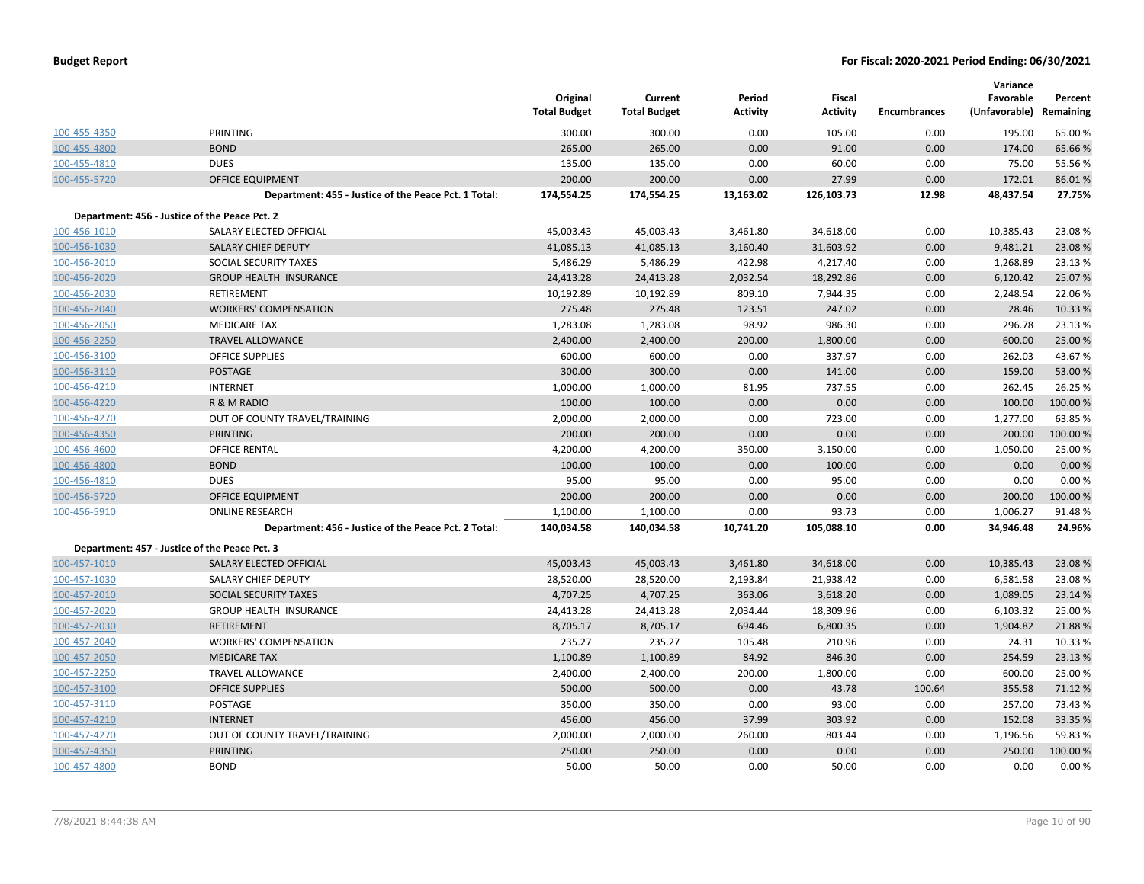|              |                                                      | Original<br><b>Total Budget</b> | Current<br><b>Total Budget</b> | Period<br><b>Activity</b> | <b>Fiscal</b><br><b>Activity</b> | <b>Encumbrances</b> | Variance<br>Favorable<br>(Unfavorable) Remaining | Percent  |
|--------------|------------------------------------------------------|---------------------------------|--------------------------------|---------------------------|----------------------------------|---------------------|--------------------------------------------------|----------|
| 100-455-4350 | <b>PRINTING</b>                                      | 300.00                          | 300.00                         | 0.00                      | 105.00                           | 0.00                | 195.00                                           | 65.00%   |
| 100-455-4800 | <b>BOND</b>                                          | 265.00                          | 265.00                         | 0.00                      | 91.00                            | 0.00                | 174.00                                           | 65.66%   |
| 100-455-4810 | <b>DUES</b>                                          | 135.00                          | 135.00                         | 0.00                      | 60.00                            | 0.00                | 75.00                                            | 55.56%   |
| 100-455-5720 | <b>OFFICE EQUIPMENT</b>                              | 200.00                          | 200.00                         | 0.00                      | 27.99                            | 0.00                | 172.01                                           | 86.01%   |
|              | Department: 455 - Justice of the Peace Pct. 1 Total: | 174,554.25                      | 174,554.25                     | 13,163.02                 | 126,103.73                       | 12.98               | 48,437.54                                        | 27.75%   |
|              | Department: 456 - Justice of the Peace Pct. 2        |                                 |                                |                           |                                  |                     |                                                  |          |
| 100-456-1010 | SALARY ELECTED OFFICIAL                              | 45,003.43                       | 45,003.43                      | 3,461.80                  | 34,618.00                        | 0.00                | 10,385.43                                        | 23.08%   |
| 100-456-1030 | SALARY CHIEF DEPUTY                                  | 41,085.13                       | 41,085.13                      | 3,160.40                  | 31,603.92                        | 0.00                | 9,481.21                                         | 23.08%   |
| 100-456-2010 | SOCIAL SECURITY TAXES                                | 5,486.29                        | 5,486.29                       | 422.98                    | 4,217.40                         | 0.00                | 1,268.89                                         | 23.13%   |
| 100-456-2020 | <b>GROUP HEALTH INSURANCE</b>                        | 24,413.28                       | 24,413.28                      | 2,032.54                  | 18,292.86                        | 0.00                | 6,120.42                                         | 25.07%   |
| 100-456-2030 | <b>RETIREMENT</b>                                    | 10,192.89                       | 10,192.89                      | 809.10                    | 7,944.35                         | 0.00                | 2,248.54                                         | 22.06%   |
| 100-456-2040 | <b>WORKERS' COMPENSATION</b>                         | 275.48                          | 275.48                         | 123.51                    | 247.02                           | 0.00                | 28.46                                            | 10.33 %  |
| 100-456-2050 | <b>MEDICARE TAX</b>                                  | 1,283.08                        | 1,283.08                       | 98.92                     | 986.30                           | 0.00                | 296.78                                           | 23.13 %  |
| 100-456-2250 | <b>TRAVEL ALLOWANCE</b>                              | 2,400.00                        | 2,400.00                       | 200.00                    | 1,800.00                         | 0.00                | 600.00                                           | 25.00 %  |
| 100-456-3100 | <b>OFFICE SUPPLIES</b>                               | 600.00                          | 600.00                         | 0.00                      | 337.97                           | 0.00                | 262.03                                           | 43.67%   |
| 100-456-3110 | <b>POSTAGE</b>                                       | 300.00                          | 300.00                         | 0.00                      | 141.00                           | 0.00                | 159.00                                           | 53.00 %  |
| 100-456-4210 | <b>INTERNET</b>                                      | 1,000.00                        | 1,000.00                       | 81.95                     | 737.55                           | 0.00                | 262.45                                           | 26.25 %  |
| 100-456-4220 | R & M RADIO                                          | 100.00                          | 100.00                         | 0.00                      | 0.00                             | 0.00                | 100.00                                           | 100.00 % |
| 100-456-4270 | OUT OF COUNTY TRAVEL/TRAINING                        | 2,000.00                        | 2,000.00                       | 0.00                      | 723.00                           | 0.00                | 1,277.00                                         | 63.85%   |
| 100-456-4350 | <b>PRINTING</b>                                      | 200.00                          | 200.00                         | 0.00                      | 0.00                             | 0.00                | 200.00                                           | 100.00%  |
| 100-456-4600 | OFFICE RENTAL                                        | 4,200.00                        | 4,200.00                       | 350.00                    | 3,150.00                         | 0.00                | 1,050.00                                         | 25.00%   |
| 100-456-4800 | <b>BOND</b>                                          | 100.00                          | 100.00                         | 0.00                      | 100.00                           | 0.00                | 0.00                                             | 0.00 %   |
| 100-456-4810 | <b>DUES</b>                                          | 95.00                           | 95.00                          | 0.00                      | 95.00                            | 0.00                | 0.00                                             | 0.00%    |
| 100-456-5720 | <b>OFFICE EQUIPMENT</b>                              | 200.00                          | 200.00                         | 0.00                      | 0.00                             | 0.00                | 200.00                                           | 100.00%  |
| 100-456-5910 | <b>ONLINE RESEARCH</b>                               | 1,100.00                        | 1,100.00                       | 0.00                      | 93.73                            | 0.00                | 1,006.27                                         | 91.48%   |
|              | Department: 456 - Justice of the Peace Pct. 2 Total: | 140,034.58                      | 140,034.58                     | 10,741.20                 | 105,088.10                       | 0.00                | 34,946.48                                        | 24.96%   |
|              | Department: 457 - Justice of the Peace Pct. 3        |                                 |                                |                           |                                  |                     |                                                  |          |
| 100-457-1010 | SALARY ELECTED OFFICIAL                              | 45,003.43                       | 45,003.43                      | 3,461.80                  | 34,618.00                        | 0.00                | 10,385.43                                        | 23.08%   |
| 100-457-1030 | SALARY CHIEF DEPUTY                                  | 28,520.00                       | 28,520.00                      | 2,193.84                  | 21,938.42                        | 0.00                | 6,581.58                                         | 23.08%   |
| 100-457-2010 | SOCIAL SECURITY TAXES                                | 4,707.25                        | 4,707.25                       | 363.06                    | 3,618.20                         | 0.00                | 1,089.05                                         | 23.14 %  |
| 100-457-2020 | <b>GROUP HEALTH INSURANCE</b>                        | 24,413.28                       | 24,413.28                      | 2,034.44                  | 18,309.96                        | 0.00                | 6,103.32                                         | 25.00 %  |
| 100-457-2030 | <b>RETIREMENT</b>                                    | 8,705.17                        | 8,705.17                       | 694.46                    | 6,800.35                         | 0.00                | 1,904.82                                         | 21.88%   |
| 100-457-2040 | <b>WORKERS' COMPENSATION</b>                         | 235.27                          | 235.27                         | 105.48                    | 210.96                           | 0.00                | 24.31                                            | 10.33 %  |
| 100-457-2050 | <b>MEDICARE TAX</b>                                  | 1,100.89                        | 1,100.89                       | 84.92                     | 846.30                           | 0.00                | 254.59                                           | 23.13 %  |
| 100-457-2250 | <b>TRAVEL ALLOWANCE</b>                              | 2,400.00                        | 2,400.00                       | 200.00                    | 1,800.00                         | 0.00                | 600.00                                           | 25.00 %  |
| 100-457-3100 | <b>OFFICE SUPPLIES</b>                               | 500.00                          | 500.00                         | 0.00                      | 43.78                            | 100.64              | 355.58                                           | 71.12 %  |
| 100-457-3110 | POSTAGE                                              | 350.00                          | 350.00                         | 0.00                      | 93.00                            | 0.00                | 257.00                                           | 73.43 %  |
| 100-457-4210 | <b>INTERNET</b>                                      | 456.00                          | 456.00                         | 37.99                     | 303.92                           | 0.00                | 152.08                                           | 33.35 %  |
| 100-457-4270 | OUT OF COUNTY TRAVEL/TRAINING                        | 2,000.00                        | 2,000.00                       | 260.00                    | 803.44                           | 0.00                | 1,196.56                                         | 59.83 %  |
| 100-457-4350 | <b>PRINTING</b>                                      | 250.00                          | 250.00                         | 0.00                      | 0.00                             | 0.00                | 250.00                                           | 100.00%  |
| 100-457-4800 | <b>BOND</b>                                          | 50.00                           | 50.00                          | 0.00                      | 50.00                            | 0.00                | 0.00                                             | 0.00%    |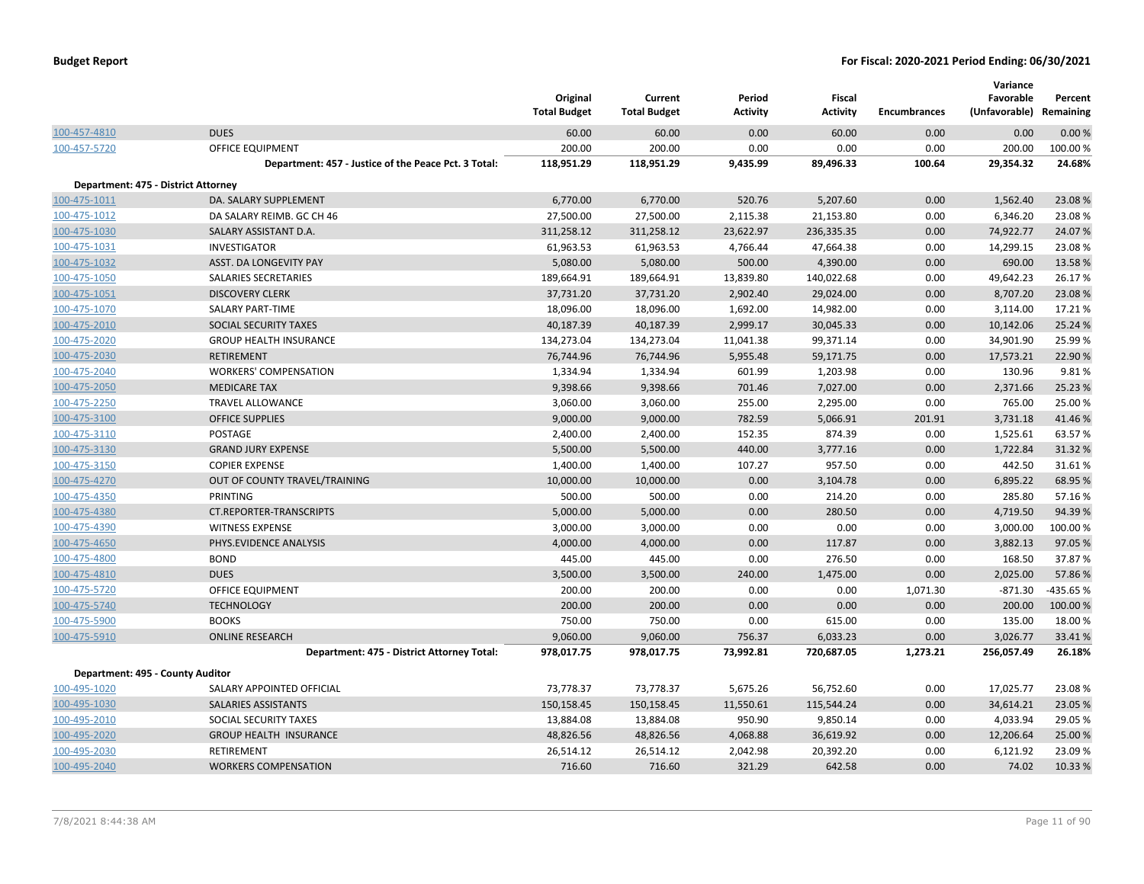|                                     |                                                      | Original<br><b>Total Budget</b> | Current<br><b>Total Budget</b> | Period<br><b>Activity</b> | <b>Fiscal</b><br><b>Activity</b> | <b>Encumbrances</b> | Variance<br>Favorable<br>(Unfavorable) Remaining | Percent   |
|-------------------------------------|------------------------------------------------------|---------------------------------|--------------------------------|---------------------------|----------------------------------|---------------------|--------------------------------------------------|-----------|
| 100-457-4810                        | <b>DUES</b>                                          | 60.00                           | 60.00                          | 0.00                      | 60.00                            | 0.00                | 0.00                                             | 0.00%     |
| 100-457-5720                        | OFFICE EQUIPMENT                                     | 200.00                          | 200.00                         | 0.00                      | 0.00                             | 0.00                | 200.00                                           | 100.00%   |
|                                     | Department: 457 - Justice of the Peace Pct. 3 Total: | 118,951.29                      | 118,951.29                     | 9,435.99                  | 89,496.33                        | 100.64              | 29,354.32                                        | 24.68%    |
| Department: 475 - District Attorney |                                                      |                                 |                                |                           |                                  |                     |                                                  |           |
| 100-475-1011                        | DA. SALARY SUPPLEMENT                                | 6,770.00                        | 6,770.00                       | 520.76                    | 5,207.60                         | 0.00                | 1,562.40                                         | 23.08%    |
| 100-475-1012                        | DA SALARY REIMB. GC CH 46                            | 27,500.00                       | 27,500.00                      | 2,115.38                  | 21,153.80                        | 0.00                | 6,346.20                                         | 23.08%    |
| 100-475-1030                        | SALARY ASSISTANT D.A.                                | 311,258.12                      | 311,258.12                     | 23,622.97                 | 236,335.35                       | 0.00                | 74,922.77                                        | 24.07%    |
| 100-475-1031                        | <b>INVESTIGATOR</b>                                  | 61,963.53                       | 61,963.53                      | 4,766.44                  | 47,664.38                        | 0.00                | 14,299.15                                        | 23.08%    |
| 100-475-1032                        | ASST. DA LONGEVITY PAY                               | 5,080.00                        | 5,080.00                       | 500.00                    | 4,390.00                         | 0.00                | 690.00                                           | 13.58%    |
| 100-475-1050                        | SALARIES SECRETARIES                                 | 189,664.91                      | 189,664.91                     | 13,839.80                 | 140,022.68                       | 0.00                | 49,642.23                                        | 26.17%    |
| 100-475-1051                        | <b>DISCOVERY CLERK</b>                               | 37,731.20                       | 37,731.20                      | 2,902.40                  | 29,024.00                        | 0.00                | 8,707.20                                         | 23.08%    |
| 100-475-1070                        | <b>SALARY PART-TIME</b>                              | 18,096.00                       | 18,096.00                      | 1,692.00                  | 14,982.00                        | 0.00                | 3,114.00                                         | 17.21%    |
| 100-475-2010                        | <b>SOCIAL SECURITY TAXES</b>                         | 40,187.39                       | 40,187.39                      | 2,999.17                  | 30,045.33                        | 0.00                | 10,142.06                                        | 25.24 %   |
| 100-475-2020                        | <b>GROUP HEALTH INSURANCE</b>                        | 134,273.04                      | 134,273.04                     | 11,041.38                 | 99,371.14                        | 0.00                | 34,901.90                                        | 25.99%    |
| 100-475-2030                        | <b>RETIREMENT</b>                                    | 76,744.96                       | 76,744.96                      | 5,955.48                  | 59,171.75                        | 0.00                | 17,573.21                                        | 22.90%    |
| 100-475-2040                        | <b>WORKERS' COMPENSATION</b>                         | 1,334.94                        | 1,334.94                       | 601.99                    | 1,203.98                         | 0.00                | 130.96                                           | 9.81%     |
| 100-475-2050                        | <b>MEDICARE TAX</b>                                  | 9,398.66                        | 9,398.66                       | 701.46                    | 7,027.00                         | 0.00                | 2,371.66                                         | 25.23 %   |
| 100-475-2250                        | TRAVEL ALLOWANCE                                     | 3,060.00                        | 3,060.00                       | 255.00                    | 2,295.00                         | 0.00                | 765.00                                           | 25.00 %   |
| 100-475-3100                        | <b>OFFICE SUPPLIES</b>                               | 9,000.00                        | 9,000.00                       | 782.59                    | 5,066.91                         | 201.91              | 3,731.18                                         | 41.46%    |
| 100-475-3110                        | POSTAGE                                              | 2,400.00                        | 2,400.00                       | 152.35                    | 874.39                           | 0.00                | 1,525.61                                         | 63.57%    |
| 100-475-3130                        | <b>GRAND JURY EXPENSE</b>                            | 5,500.00                        | 5,500.00                       | 440.00                    | 3,777.16                         | 0.00                | 1,722.84                                         | 31.32 %   |
| 100-475-3150                        | <b>COPIER EXPENSE</b>                                | 1,400.00                        | 1,400.00                       | 107.27                    | 957.50                           | 0.00                | 442.50                                           | 31.61%    |
| 100-475-4270                        | OUT OF COUNTY TRAVEL/TRAINING                        | 10,000.00                       | 10,000.00                      | 0.00                      | 3,104.78                         | 0.00                | 6,895.22                                         | 68.95%    |
| 100-475-4350                        | PRINTING                                             | 500.00                          | 500.00                         | 0.00                      | 214.20                           | 0.00                | 285.80                                           | 57.16%    |
| 100-475-4380                        | <b>CT.REPORTER-TRANSCRIPTS</b>                       | 5,000.00                        | 5,000.00                       | 0.00                      | 280.50                           | 0.00                | 4,719.50                                         | 94.39%    |
| 100-475-4390                        | <b>WITNESS EXPENSE</b>                               | 3,000.00                        | 3,000.00                       | 0.00                      | 0.00                             | 0.00                | 3,000.00                                         | 100.00%   |
| 100-475-4650                        | PHYS.EVIDENCE ANALYSIS                               | 4,000.00                        | 4,000.00                       | 0.00                      | 117.87                           | 0.00                | 3,882.13                                         | 97.05%    |
| 100-475-4800                        | <b>BOND</b>                                          | 445.00                          | 445.00                         | 0.00                      | 276.50                           | 0.00                | 168.50                                           | 37.87%    |
| 100-475-4810                        | <b>DUES</b>                                          | 3,500.00                        | 3,500.00                       | 240.00                    | 1,475.00                         | 0.00                | 2,025.00                                         | 57.86%    |
| 100-475-5720                        | <b>OFFICE EQUIPMENT</b>                              | 200.00                          | 200.00                         | 0.00                      | 0.00                             | 1,071.30            | $-871.30$                                        | -435.65 % |
| 100-475-5740                        | <b>TECHNOLOGY</b>                                    | 200.00                          | 200.00                         | 0.00                      | 0.00                             | 0.00                | 200.00                                           | 100.00%   |
| 100-475-5900                        | <b>BOOKS</b>                                         | 750.00                          | 750.00                         | 0.00                      | 615.00                           | 0.00                | 135.00                                           | 18.00 %   |
| 100-475-5910                        | <b>ONLINE RESEARCH</b>                               | 9,060.00                        | 9,060.00                       | 756.37                    | 6,033.23                         | 0.00                | 3,026.77                                         | 33.41%    |
|                                     | Department: 475 - District Attorney Total:           | 978,017.75                      | 978,017.75                     | 73,992.81                 | 720,687.05                       | 1,273.21            | 256,057.49                                       | 26.18%    |
| Department: 495 - County Auditor    |                                                      |                                 |                                |                           |                                  |                     |                                                  |           |
| 100-495-1020                        | SALARY APPOINTED OFFICIAL                            | 73,778.37                       | 73,778.37                      | 5,675.26                  | 56,752.60                        | 0.00                | 17,025.77                                        | 23.08%    |
| 100-495-1030                        | SALARIES ASSISTANTS                                  | 150,158.45                      | 150,158.45                     | 11,550.61                 | 115,544.24                       | 0.00                | 34,614.21                                        | 23.05 %   |
| 100-495-2010                        | SOCIAL SECURITY TAXES                                | 13,884.08                       | 13,884.08                      | 950.90                    | 9,850.14                         | 0.00                | 4,033.94                                         | 29.05 %   |
| 100-495-2020                        | <b>GROUP HEALTH INSURANCE</b>                        | 48,826.56                       | 48,826.56                      | 4,068.88                  | 36,619.92                        | 0.00                | 12,206.64                                        | 25.00 %   |
| 100-495-2030                        | <b>RETIREMENT</b>                                    | 26,514.12                       | 26,514.12                      | 2,042.98                  | 20,392.20                        | 0.00                | 6,121.92                                         | 23.09%    |
| 100-495-2040                        | <b>WORKERS COMPENSATION</b>                          | 716.60                          | 716.60                         | 321.29                    | 642.58                           | 0.00                | 74.02                                            | 10.33%    |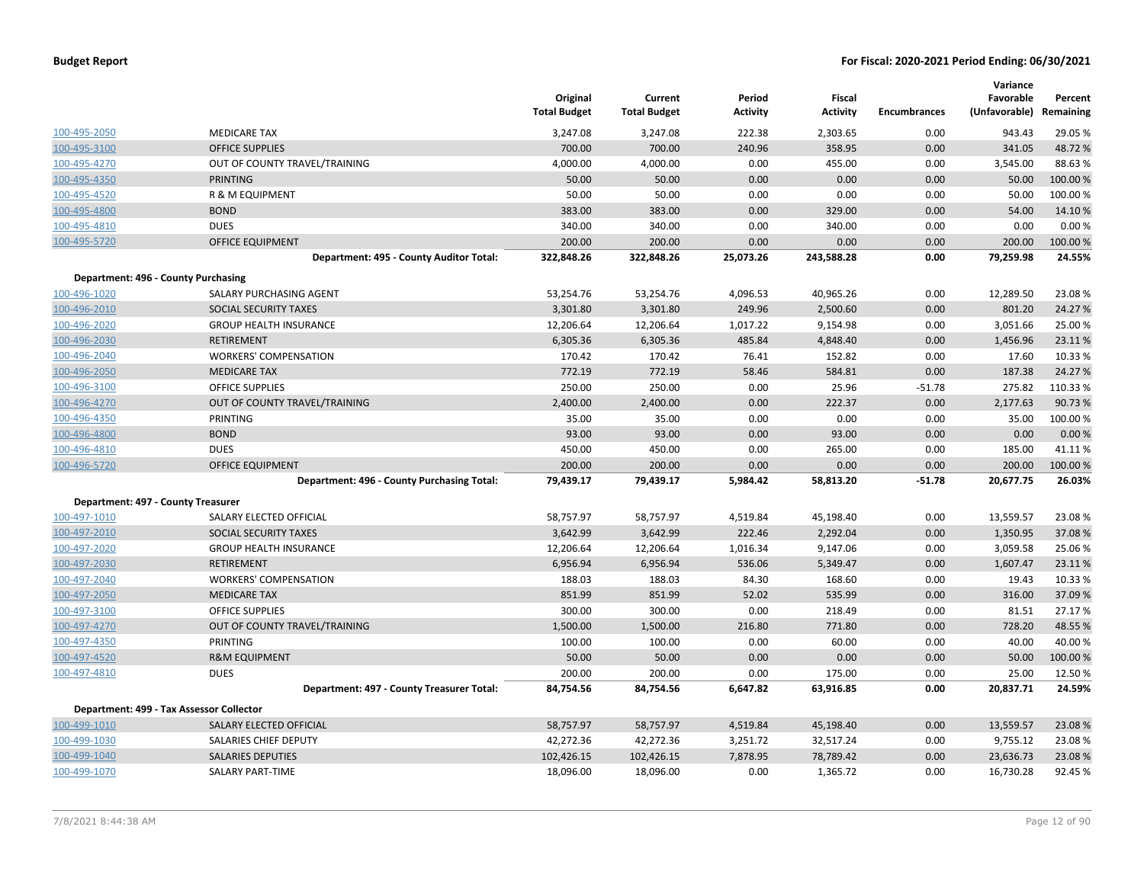|                                    |                                            | Original<br><b>Total Budget</b> | Current<br><b>Total Budget</b> | Period<br><b>Activity</b> | Fiscal<br><b>Activity</b> | <b>Encumbrances</b> | Variance<br>Favorable<br>(Unfavorable) | Percent<br>Remaining |
|------------------------------------|--------------------------------------------|---------------------------------|--------------------------------|---------------------------|---------------------------|---------------------|----------------------------------------|----------------------|
| 100-495-2050                       | <b>MEDICARE TAX</b>                        | 3,247.08                        | 3,247.08                       | 222.38                    | 2,303.65                  | 0.00                | 943.43                                 | 29.05 %              |
| 100-495-3100                       | <b>OFFICE SUPPLIES</b>                     | 700.00                          | 700.00                         | 240.96                    | 358.95                    | 0.00                | 341.05                                 | 48.72%               |
| 100-495-4270                       | OUT OF COUNTY TRAVEL/TRAINING              | 4,000.00                        | 4,000.00                       | 0.00                      | 455.00                    | 0.00                | 3,545.00                               | 88.63%               |
| 100-495-4350                       | <b>PRINTING</b>                            | 50.00                           | 50.00                          | 0.00                      | 0.00                      | 0.00                | 50.00                                  | 100.00 %             |
| 100-495-4520                       | R & M EQUIPMENT                            | 50.00                           | 50.00                          | 0.00                      | 0.00                      | 0.00                | 50.00                                  | 100.00%              |
| 100-495-4800                       | <b>BOND</b>                                | 383.00                          | 383.00                         | 0.00                      | 329.00                    | 0.00                | 54.00                                  | 14.10%               |
| 100-495-4810                       | <b>DUES</b>                                | 340.00                          | 340.00                         | 0.00                      | 340.00                    | 0.00                | 0.00                                   | 0.00%                |
| 100-495-5720                       | OFFICE EQUIPMENT                           | 200.00                          | 200.00                         | 0.00                      | 0.00                      | 0.00                | 200.00                                 | 100.00 %             |
|                                    | Department: 495 - County Auditor Total:    | 322,848.26                      | 322,848.26                     | 25,073.26                 | 243,588.28                | 0.00                | 79,259.98                              | 24.55%               |
|                                    | Department: 496 - County Purchasing        |                                 |                                |                           |                           |                     |                                        |                      |
| 100-496-1020                       | SALARY PURCHASING AGENT                    | 53,254.76                       | 53,254.76                      | 4,096.53                  | 40,965.26                 | 0.00                | 12,289.50                              | 23.08%               |
| 100-496-2010                       | SOCIAL SECURITY TAXES                      | 3,301.80                        | 3,301.80                       | 249.96                    | 2,500.60                  | 0.00                | 801.20                                 | 24.27 %              |
| 100-496-2020                       | <b>GROUP HEALTH INSURANCE</b>              | 12,206.64                       | 12,206.64                      | 1,017.22                  | 9,154.98                  | 0.00                | 3,051.66                               | 25.00 %              |
| 100-496-2030                       | <b>RETIREMENT</b>                          | 6,305.36                        | 6,305.36                       | 485.84                    | 4,848.40                  | 0.00                | 1,456.96                               | 23.11%               |
| 100-496-2040                       | <b>WORKERS' COMPENSATION</b>               | 170.42                          | 170.42                         | 76.41                     | 152.82                    | 0.00                | 17.60                                  | 10.33%               |
| 100-496-2050                       | <b>MEDICARE TAX</b>                        | 772.19                          | 772.19                         | 58.46                     | 584.81                    | 0.00                | 187.38                                 | 24.27 %              |
| 100-496-3100                       | <b>OFFICE SUPPLIES</b>                     | 250.00                          | 250.00                         | 0.00                      | 25.96                     | $-51.78$            | 275.82                                 | 110.33%              |
| 100-496-4270                       | OUT OF COUNTY TRAVEL/TRAINING              | 2,400.00                        | 2,400.00                       | 0.00                      | 222.37                    | 0.00                | 2,177.63                               | 90.73 %              |
| 100-496-4350                       | <b>PRINTING</b>                            | 35.00                           | 35.00                          | 0.00                      | 0.00                      | 0.00                | 35.00                                  | 100.00%              |
| 100-496-4800                       | <b>BOND</b>                                | 93.00                           | 93.00                          | 0.00                      | 93.00                     | 0.00                | 0.00                                   | 0.00%                |
| 100-496-4810                       | <b>DUES</b>                                | 450.00                          | 450.00                         | 0.00                      | 265.00                    | 0.00                | 185.00                                 | 41.11%               |
| 100-496-5720                       | <b>OFFICE EQUIPMENT</b>                    | 200.00                          | 200.00                         | 0.00                      | 0.00                      | 0.00                | 200.00                                 | 100.00%              |
|                                    | Department: 496 - County Purchasing Total: | 79,439.17                       | 79,439.17                      | 5,984.42                  | 58,813.20                 | $-51.78$            | 20,677.75                              | 26.03%               |
| Department: 497 - County Treasurer |                                            |                                 |                                |                           |                           |                     |                                        |                      |
| 100-497-1010                       | SALARY ELECTED OFFICIAL                    | 58,757.97                       | 58,757.97                      | 4,519.84                  | 45,198.40                 | 0.00                | 13,559.57                              | 23.08%               |
| 100-497-2010                       | <b>SOCIAL SECURITY TAXES</b>               | 3,642.99                        | 3,642.99                       | 222.46                    | 2,292.04                  | 0.00                | 1,350.95                               | 37.08%               |
| 100-497-2020                       | <b>GROUP HEALTH INSURANCE</b>              | 12,206.64                       | 12,206.64                      | 1,016.34                  | 9,147.06                  | 0.00                | 3,059.58                               | 25.06%               |
| 100-497-2030                       | <b>RETIREMENT</b>                          | 6,956.94                        | 6,956.94                       | 536.06                    | 5,349.47                  | 0.00                | 1,607.47                               | 23.11%               |
| 100-497-2040                       | <b>WORKERS' COMPENSATION</b>               | 188.03                          | 188.03                         | 84.30                     | 168.60                    | 0.00                | 19.43                                  | 10.33 %              |
| 100-497-2050                       | <b>MEDICARE TAX</b>                        | 851.99                          | 851.99                         | 52.02                     | 535.99                    | 0.00                | 316.00                                 | 37.09 %              |
| 100-497-3100                       | <b>OFFICE SUPPLIES</b>                     | 300.00                          | 300.00                         | 0.00                      | 218.49                    | 0.00                | 81.51                                  | 27.17%               |
| 100-497-4270                       | OUT OF COUNTY TRAVEL/TRAINING              | 1,500.00                        | 1,500.00                       | 216.80                    | 771.80                    | 0.00                | 728.20                                 | 48.55 %              |
| 100-497-4350                       | PRINTING                                   | 100.00                          | 100.00                         | 0.00                      | 60.00                     | 0.00                | 40.00                                  | 40.00%               |
| 100-497-4520                       | <b>R&amp;M EQUIPMENT</b>                   | 50.00                           | 50.00                          | 0.00                      | 0.00                      | 0.00                | 50.00                                  | 100.00%              |
| 100-497-4810                       | <b>DUES</b>                                | 200.00                          | 200.00                         | 0.00                      | 175.00                    | 0.00                | 25.00                                  | 12.50%               |
|                                    | Department: 497 - County Treasurer Total:  | 84,754.56                       | 84,754.56                      | 6,647.82                  | 63,916.85                 | 0.00                | 20,837.71                              | 24.59%               |
|                                    | Department: 499 - Tax Assessor Collector   |                                 |                                |                           |                           |                     |                                        |                      |
| 100-499-1010                       | SALARY ELECTED OFFICIAL                    | 58,757.97                       | 58,757.97                      | 4,519.84                  | 45,198.40                 | 0.00                | 13,559.57                              | 23.08%               |
| 100-499-1030                       | SALARIES CHIEF DEPUTY                      | 42,272.36                       | 42,272.36                      | 3,251.72                  | 32,517.24                 | 0.00                | 9,755.12                               | 23.08%               |
| 100-499-1040                       | <b>SALARIES DEPUTIES</b>                   | 102,426.15                      | 102,426.15                     | 7,878.95                  | 78,789.42                 | 0.00                | 23,636.73                              | 23.08%               |
| 100-499-1070                       | SALARY PART-TIME                           | 18,096.00                       | 18,096.00                      | 0.00                      | 1,365.72                  | 0.00                | 16,730.28                              | 92.45 %              |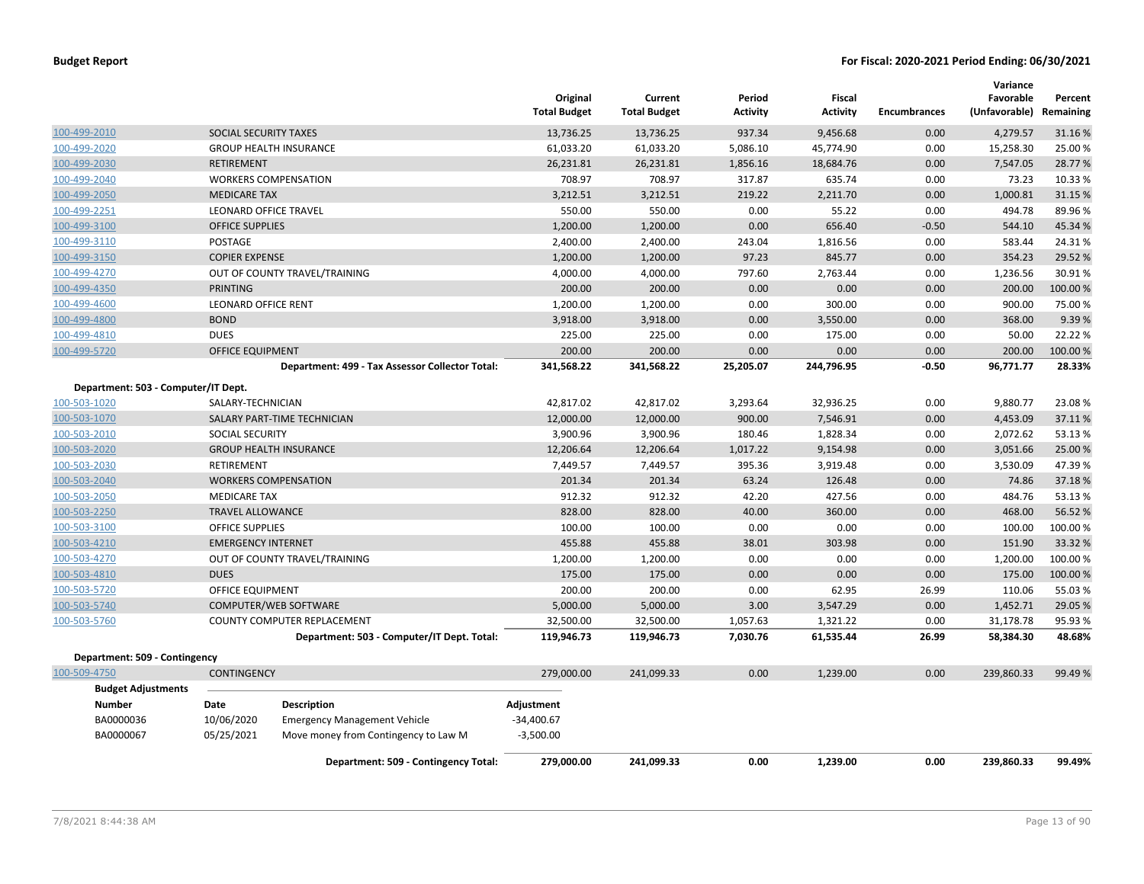|                                     |                            |                                                 | Original<br><b>Total Budget</b> | Current<br><b>Total Budget</b> | Period<br><b>Activity</b> | Fiscal<br><b>Activity</b> | <b>Encumbrances</b> | Variance<br>Favorable<br>(Unfavorable) | Percent<br>Remaining |
|-------------------------------------|----------------------------|-------------------------------------------------|---------------------------------|--------------------------------|---------------------------|---------------------------|---------------------|----------------------------------------|----------------------|
| 100-499-2010                        | SOCIAL SECURITY TAXES      |                                                 | 13,736.25                       | 13,736.25                      | 937.34                    | 9,456.68                  | 0.00                | 4,279.57                               | 31.16%               |
| 100-499-2020                        |                            | <b>GROUP HEALTH INSURANCE</b>                   | 61,033.20                       | 61,033.20                      | 5,086.10                  | 45,774.90                 | 0.00                | 15,258.30                              | 25.00 %              |
| 100-499-2030                        | <b>RETIREMENT</b>          |                                                 | 26,231.81                       | 26,231.81                      | 1,856.16                  | 18,684.76                 | 0.00                | 7,547.05                               | 28.77 %              |
| 100-499-2040                        |                            | <b>WORKERS COMPENSATION</b>                     | 708.97                          | 708.97                         | 317.87                    | 635.74                    | 0.00                | 73.23                                  | 10.33%               |
| 100-499-2050                        | <b>MEDICARE TAX</b>        |                                                 | 3,212.51                        | 3,212.51                       | 219.22                    | 2,211.70                  | 0.00                | 1,000.81                               | 31.15 %              |
| 100-499-2251                        |                            | <b>LEONARD OFFICE TRAVEL</b>                    | 550.00                          | 550.00                         | 0.00                      | 55.22                     | 0.00                | 494.78                                 | 89.96%               |
| 100-499-3100                        | <b>OFFICE SUPPLIES</b>     |                                                 | 1,200.00                        | 1,200.00                       | 0.00                      | 656.40                    | $-0.50$             | 544.10                                 | 45.34 %              |
| 100-499-3110                        | <b>POSTAGE</b>             |                                                 | 2,400.00                        | 2,400.00                       | 243.04                    | 1,816.56                  | 0.00                | 583.44                                 | 24.31%               |
| 100-499-3150                        | <b>COPIER EXPENSE</b>      |                                                 | 1,200.00                        | 1,200.00                       | 97.23                     | 845.77                    | 0.00                | 354.23                                 | 29.52 %              |
| 100-499-4270                        |                            | OUT OF COUNTY TRAVEL/TRAINING                   | 4,000.00                        | 4,000.00                       | 797.60                    | 2,763.44                  | 0.00                | 1,236.56                               | 30.91%               |
| 100-499-4350                        | <b>PRINTING</b>            |                                                 | 200.00                          | 200.00                         | 0.00                      | 0.00                      | 0.00                | 200.00                                 | 100.00 %             |
| 100-499-4600                        | <b>LEONARD OFFICE RENT</b> |                                                 | 1,200.00                        | 1,200.00                       | 0.00                      | 300.00                    | 0.00                | 900.00                                 | 75.00 %              |
| 100-499-4800                        | <b>BOND</b>                |                                                 | 3,918.00                        | 3,918.00                       | 0.00                      | 3,550.00                  | 0.00                | 368.00                                 | 9.39%                |
| 100-499-4810                        | <b>DUES</b>                |                                                 | 225.00                          | 225.00                         | 0.00                      | 175.00                    | 0.00                | 50.00                                  | 22.22 %              |
| 100-499-5720                        | <b>OFFICE EQUIPMENT</b>    |                                                 | 200.00                          | 200.00                         | 0.00                      | 0.00                      | 0.00                | 200.00                                 | 100.00 %             |
|                                     |                            | Department: 499 - Tax Assessor Collector Total: | 341,568.22                      | 341,568.22                     | 25,205.07                 | 244,796.95                | $-0.50$             | 96,771.77                              | 28.33%               |
| Department: 503 - Computer/IT Dept. |                            |                                                 |                                 |                                |                           |                           |                     |                                        |                      |
| 100-503-1020                        | SALARY-TECHNICIAN          |                                                 | 42,817.02                       | 42,817.02                      | 3,293.64                  | 32,936.25                 | 0.00                | 9,880.77                               | 23.08%               |
| 100-503-1070                        |                            | SALARY PART-TIME TECHNICIAN                     | 12,000.00                       | 12,000.00                      | 900.00                    | 7,546.91                  | 0.00                | 4,453.09                               | 37.11%               |
| 100-503-2010                        | <b>SOCIAL SECURITY</b>     |                                                 | 3,900.96                        | 3,900.96                       | 180.46                    | 1,828.34                  | 0.00                | 2,072.62                               | 53.13 %              |
| 100-503-2020                        |                            | <b>GROUP HEALTH INSURANCE</b>                   | 12,206.64                       | 12,206.64                      | 1,017.22                  | 9,154.98                  | 0.00                | 3,051.66                               | 25.00 %              |
| 100-503-2030                        | RETIREMENT                 |                                                 | 7,449.57                        | 7,449.57                       | 395.36                    | 3,919.48                  | 0.00                | 3,530.09                               | 47.39%               |
| 100-503-2040                        |                            | <b>WORKERS COMPENSATION</b>                     | 201.34                          | 201.34                         | 63.24                     | 126.48                    | 0.00                | 74.86                                  | 37.18%               |
| 100-503-2050                        | <b>MEDICARE TAX</b>        |                                                 | 912.32                          | 912.32                         | 42.20                     | 427.56                    | 0.00                | 484.76                                 | 53.13%               |
| 100-503-2250                        | <b>TRAVEL ALLOWANCE</b>    |                                                 | 828.00                          | 828.00                         | 40.00                     | 360.00                    | 0.00                | 468.00                                 | 56.52 %              |
| 100-503-3100                        | <b>OFFICE SUPPLIES</b>     |                                                 | 100.00                          | 100.00                         | 0.00                      | 0.00                      | 0.00                | 100.00                                 | 100.00%              |
| 100-503-4210                        | <b>EMERGENCY INTERNET</b>  |                                                 | 455.88                          | 455.88                         | 38.01                     | 303.98                    | 0.00                | 151.90                                 | 33.32 %              |
| 100-503-4270                        |                            | OUT OF COUNTY TRAVEL/TRAINING                   | 1,200.00                        | 1,200.00                       | 0.00                      | 0.00                      | 0.00                | 1,200.00                               | 100.00%              |
| 100-503-4810                        | <b>DUES</b>                |                                                 | 175.00                          | 175.00                         | 0.00                      | 0.00                      | 0.00                | 175.00                                 | 100.00%              |
| 100-503-5720                        | OFFICE EQUIPMENT           |                                                 | 200.00                          | 200.00                         | 0.00                      | 62.95                     | 26.99               | 110.06                                 | 55.03 %              |
| 100-503-5740                        |                            | COMPUTER/WEB SOFTWARE                           | 5,000.00                        | 5,000.00                       | 3.00                      | 3,547.29                  | 0.00                | 1,452.71                               | 29.05 %              |
| 100-503-5760                        |                            | COUNTY COMPUTER REPLACEMENT                     | 32,500.00                       | 32,500.00                      | 1,057.63                  | 1,321.22                  | 0.00                | 31,178.78                              | 95.93 %              |
|                                     |                            | Department: 503 - Computer/IT Dept. Total:      | 119,946.73                      | 119,946.73                     | 7,030.76                  | 61,535.44                 | 26.99               | 58,384.30                              | 48.68%               |
| Department: 509 - Contingency       |                            |                                                 |                                 |                                |                           |                           |                     |                                        |                      |
| 100-509-4750                        | <b>CONTINGENCY</b>         |                                                 | 279,000.00                      | 241,099.33                     | 0.00                      | 1,239.00                  | 0.00                | 239,860.33                             | 99.49 %              |
| <b>Budget Adjustments</b>           |                            |                                                 |                                 |                                |                           |                           |                     |                                        |                      |
| <b>Number</b>                       | Date                       | <b>Description</b>                              | Adjustment                      |                                |                           |                           |                     |                                        |                      |
| BA0000036                           | 10/06/2020                 | <b>Emergency Management Vehicle</b>             | $-34,400.67$                    |                                |                           |                           |                     |                                        |                      |
| BA0000067                           | 05/25/2021                 | Move money from Contingency to Law M            | $-3,500.00$                     |                                |                           |                           |                     |                                        |                      |
|                                     |                            | Department: 509 - Contingency Total:            | 279,000.00                      | 241,099.33                     | 0.00                      | 1,239.00                  | 0.00                | 239,860.33                             | 99.49%               |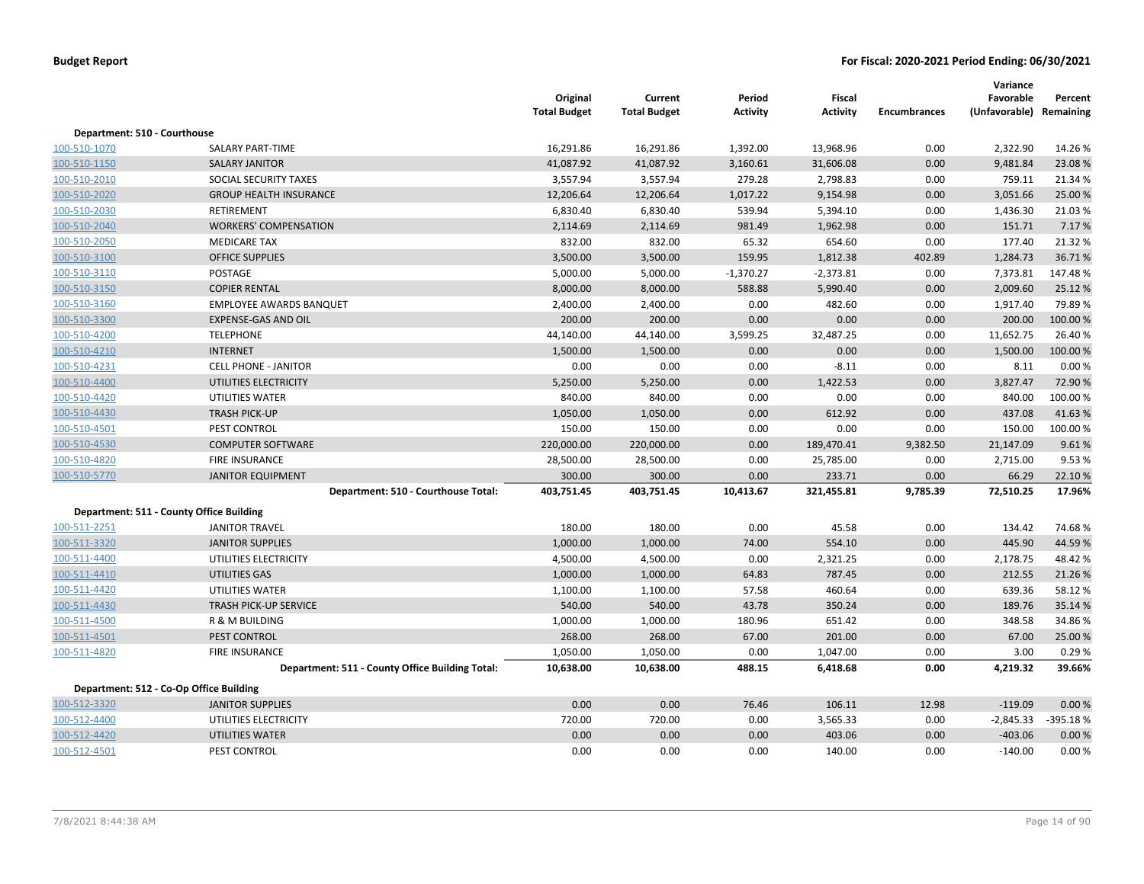|                                          |                                                 | Original<br><b>Total Budget</b> | Current<br><b>Total Budget</b> | Period<br><b>Activity</b> | Fiscal<br><b>Activity</b> | <b>Encumbrances</b> | Variance<br>Favorable<br>(Unfavorable) Remaining | Percent  |
|------------------------------------------|-------------------------------------------------|---------------------------------|--------------------------------|---------------------------|---------------------------|---------------------|--------------------------------------------------|----------|
| Department: 510 - Courthouse             |                                                 |                                 |                                |                           |                           |                     |                                                  |          |
| 100-510-1070                             | SALARY PART-TIME                                | 16,291.86                       | 16,291.86                      | 1,392.00                  | 13,968.96                 | 0.00                | 2,322.90                                         | 14.26%   |
| 100-510-1150                             | <b>SALARY JANITOR</b>                           | 41,087.92                       | 41,087.92                      | 3,160.61                  | 31,606.08                 | 0.00                | 9,481.84                                         | 23.08%   |
| 100-510-2010                             | SOCIAL SECURITY TAXES                           | 3,557.94                        | 3,557.94                       | 279.28                    | 2,798.83                  | 0.00                | 759.11                                           | 21.34 %  |
| 100-510-2020                             | <b>GROUP HEALTH INSURANCE</b>                   | 12,206.64                       | 12,206.64                      | 1,017.22                  | 9,154.98                  | 0.00                | 3,051.66                                         | 25.00 %  |
| 100-510-2030                             | RETIREMENT                                      | 6,830.40                        | 6,830.40                       | 539.94                    | 5,394.10                  | 0.00                | 1,436.30                                         | 21.03%   |
| 100-510-2040                             | <b>WORKERS' COMPENSATION</b>                    | 2,114.69                        | 2,114.69                       | 981.49                    | 1,962.98                  | 0.00                | 151.71                                           | 7.17%    |
| 100-510-2050                             | <b>MEDICARE TAX</b>                             | 832.00                          | 832.00                         | 65.32                     | 654.60                    | 0.00                | 177.40                                           | 21.32%   |
| 100-510-3100                             | <b>OFFICE SUPPLIES</b>                          | 3,500.00                        | 3,500.00                       | 159.95                    | 1,812.38                  | 402.89              | 1,284.73                                         | 36.71%   |
| 100-510-3110                             | POSTAGE                                         | 5,000.00                        | 5,000.00                       | $-1,370.27$               | $-2,373.81$               | 0.00                | 7,373.81                                         | 147.48%  |
| 100-510-3150                             | <b>COPIER RENTAL</b>                            | 8,000.00                        | 8,000.00                       | 588.88                    | 5,990.40                  | 0.00                | 2,009.60                                         | 25.12%   |
| 100-510-3160                             | <b>EMPLOYEE AWARDS BANQUET</b>                  | 2,400.00                        | 2,400.00                       | 0.00                      | 482.60                    | 0.00                | 1,917.40                                         | 79.89%   |
| 100-510-3300                             | <b>EXPENSE-GAS AND OIL</b>                      | 200.00                          | 200.00                         | 0.00                      | 0.00                      | 0.00                | 200.00                                           | 100.00%  |
| 100-510-4200                             | <b>TELEPHONE</b>                                | 44,140.00                       | 44,140.00                      | 3,599.25                  | 32,487.25                 | 0.00                | 11,652.75                                        | 26.40%   |
| 100-510-4210                             | <b>INTERNET</b>                                 | 1,500.00                        | 1,500.00                       | 0.00                      | 0.00                      | 0.00                | 1,500.00                                         | 100.00%  |
| 100-510-4231                             | <b>CELL PHONE - JANITOR</b>                     | 0.00                            | 0.00                           | 0.00                      | $-8.11$                   | 0.00                | 8.11                                             | 0.00%    |
| 100-510-4400                             | UTILITIES ELECTRICITY                           | 5,250.00                        | 5,250.00                       | 0.00                      | 1,422.53                  | 0.00                | 3,827.47                                         | 72.90%   |
| 100-510-4420                             | UTILITIES WATER                                 | 840.00                          | 840.00                         | 0.00                      | 0.00                      | 0.00                | 840.00                                           | 100.00%  |
| 100-510-4430                             | <b>TRASH PICK-UP</b>                            | 1,050.00                        | 1,050.00                       | 0.00                      | 612.92                    | 0.00                | 437.08                                           | 41.63%   |
| 100-510-4501                             | PEST CONTROL                                    | 150.00                          | 150.00                         | 0.00                      | 0.00                      | 0.00                | 150.00                                           | 100.00%  |
| 100-510-4530                             | <b>COMPUTER SOFTWARE</b>                        | 220,000.00                      | 220,000.00                     | 0.00                      | 189,470.41                | 9,382.50            | 21,147.09                                        | 9.61%    |
| 100-510-4820                             | <b>FIRE INSURANCE</b>                           | 28,500.00                       | 28,500.00                      | 0.00                      | 25,785.00                 | 0.00                | 2,715.00                                         | 9.53%    |
| 100-510-5770                             | <b>JANITOR EQUIPMENT</b>                        | 300.00                          | 300.00                         | 0.00                      | 233.71                    | 0.00                | 66.29                                            | 22.10%   |
|                                          | Department: 510 - Courthouse Total:             | 403,751.45                      | 403,751.45                     | 10,413.67                 | 321,455.81                | 9,785.39            | 72,510.25                                        | 17.96%   |
| Department: 511 - County Office Building |                                                 |                                 |                                |                           |                           |                     |                                                  |          |
| 100-511-2251                             | <b>JANITOR TRAVEL</b>                           | 180.00                          | 180.00                         | 0.00                      | 45.58                     | 0.00                | 134.42                                           | 74.68%   |
| 100-511-3320                             | <b>JANITOR SUPPLIES</b>                         | 1,000.00                        | 1,000.00                       | 74.00                     | 554.10                    | 0.00                | 445.90                                           | 44.59%   |
| 100-511-4400                             | UTILITIES ELECTRICITY                           | 4,500.00                        | 4,500.00                       | 0.00                      | 2,321.25                  | 0.00                | 2,178.75                                         | 48.42%   |
| 100-511-4410                             | UTILITIES GAS                                   | 1,000.00                        | 1,000.00                       | 64.83                     | 787.45                    | 0.00                | 212.55                                           | 21.26%   |
| 100-511-4420                             | UTILITIES WATER                                 | 1,100.00                        | 1,100.00                       | 57.58                     | 460.64                    | 0.00                | 639.36                                           | 58.12%   |
| 100-511-4430                             | <b>TRASH PICK-UP SERVICE</b>                    | 540.00                          | 540.00                         | 43.78                     | 350.24                    | 0.00                | 189.76                                           | 35.14%   |
| 100-511-4500                             | <b>R &amp; M BUILDING</b>                       | 1,000.00                        | 1,000.00                       | 180.96                    | 651.42                    | 0.00                | 348.58                                           | 34.86%   |
| 100-511-4501                             | PEST CONTROL                                    | 268.00                          | 268.00                         | 67.00                     | 201.00                    | 0.00                | 67.00                                            | 25.00 %  |
| 100-511-4820                             | FIRE INSURANCE                                  | 1,050.00                        | 1,050.00                       | 0.00                      | 1,047.00                  | 0.00                | 3.00                                             | 0.29%    |
|                                          | Department: 511 - County Office Building Total: | 10,638.00                       | 10,638.00                      | 488.15                    | 6,418.68                  | 0.00                | 4,219.32                                         | 39.66%   |
| Department: 512 - Co-Op Office Building  |                                                 |                                 |                                |                           |                           |                     |                                                  |          |
| 100-512-3320                             | <b>JANITOR SUPPLIES</b>                         | 0.00                            | 0.00                           | 76.46                     | 106.11                    | 12.98               | $-119.09$                                        | 0.00%    |
| 100-512-4400                             | UTILITIES ELECTRICITY                           | 720.00                          | 720.00                         | 0.00                      | 3,565.33                  | 0.00                | $-2,845.33$                                      | -395.18% |
| 100-512-4420                             | UTILITIES WATER                                 | 0.00                            | 0.00                           | 0.00                      | 403.06                    | 0.00                | $-403.06$                                        | 0.00%    |
| 100-512-4501                             | PEST CONTROL                                    | 0.00                            | 0.00                           | 0.00                      | 140.00                    | 0.00                | $-140.00$                                        | 0.00%    |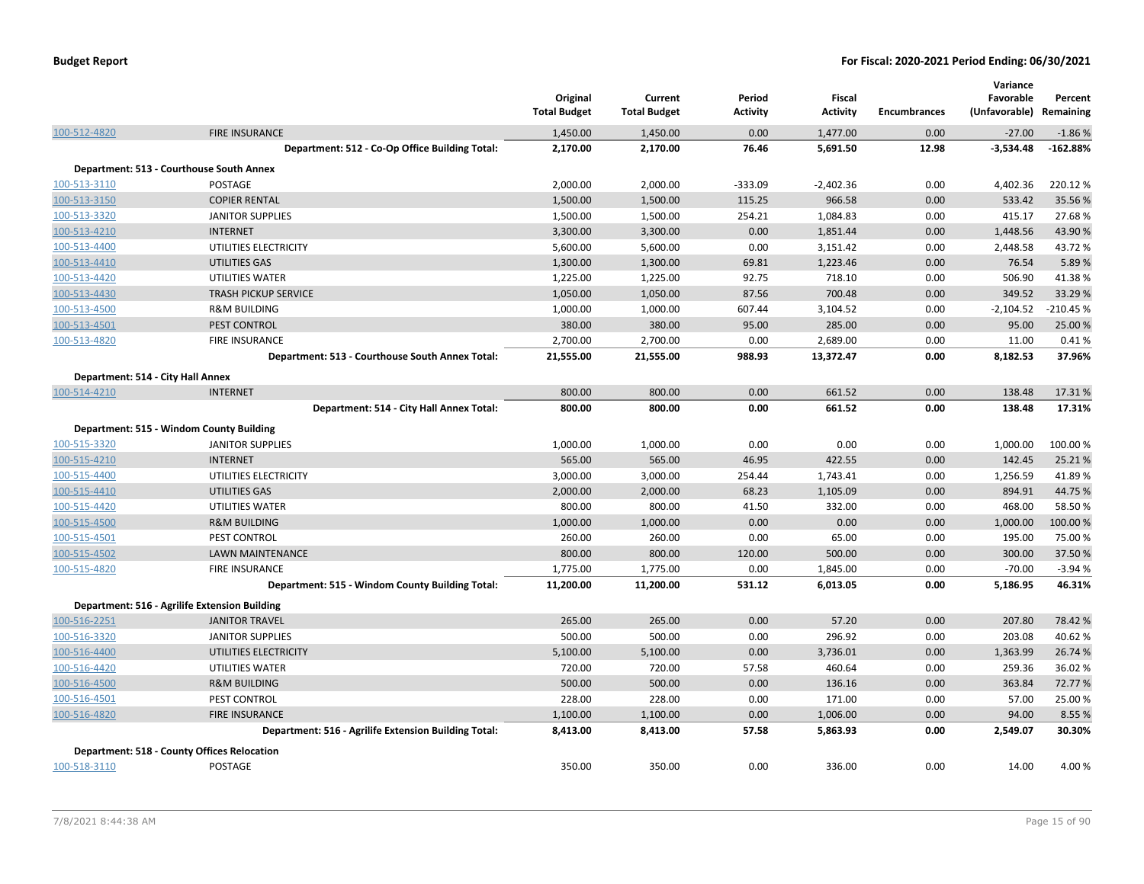|                                   |                                                                               | Original<br><b>Total Budget</b> | Current<br><b>Total Budget</b> | Period<br><b>Activity</b> | Fiscal<br><b>Activity</b> | <b>Encumbrances</b> | Variance<br>Favorable<br>(Unfavorable) Remaining | Percent           |
|-----------------------------------|-------------------------------------------------------------------------------|---------------------------------|--------------------------------|---------------------------|---------------------------|---------------------|--------------------------------------------------|-------------------|
| 100-512-4820                      | <b>FIRE INSURANCE</b>                                                         | 1,450.00                        | 1,450.00                       | 0.00                      | 1,477.00                  | 0.00                | $-27.00$                                         | $-1.86%$          |
|                                   | Department: 512 - Co-Op Office Building Total:                                | 2,170.00                        | 2,170.00                       | 76.46                     | 5,691.50                  | 12.98               | $-3,534.48$                                      | $-162.88%$        |
|                                   | Department: 513 - Courthouse South Annex                                      |                                 |                                |                           |                           |                     |                                                  |                   |
| 100-513-3110                      | <b>POSTAGE</b>                                                                | 2,000.00                        | 2,000.00                       | $-333.09$                 | $-2,402.36$               | 0.00                | 4,402.36                                         | 220.12%           |
| 100-513-3150                      | <b>COPIER RENTAL</b>                                                          | 1,500.00                        | 1,500.00                       | 115.25                    | 966.58                    | 0.00                | 533.42                                           | 35.56%            |
| 100-513-3320                      | <b>JANITOR SUPPLIES</b>                                                       | 1,500.00                        | 1,500.00                       | 254.21                    | 1,084.83                  | 0.00                | 415.17                                           | 27.68%            |
| 100-513-4210                      | <b>INTERNET</b>                                                               | 3,300.00                        | 3,300.00                       | 0.00                      | 1,851.44                  | 0.00                | 1,448.56                                         | 43.90%            |
| 100-513-4400                      | UTILITIES ELECTRICITY                                                         | 5,600.00                        | 5,600.00                       | 0.00                      | 3,151.42                  | 0.00                | 2,448.58                                         | 43.72%            |
| 100-513-4410                      | <b>UTILITIES GAS</b>                                                          | 1,300.00                        | 1,300.00                       | 69.81                     | 1,223.46                  | 0.00                | 76.54                                            | 5.89%             |
| 100-513-4420                      | UTILITIES WATER                                                               | 1,225.00                        | 1,225.00                       | 92.75                     | 718.10                    | 0.00                | 506.90                                           | 41.38%            |
| 100-513-4430                      | <b>TRASH PICKUP SERVICE</b>                                                   | 1,050.00                        | 1,050.00                       | 87.56                     | 700.48                    | 0.00                | 349.52                                           | 33.29 %           |
| 100-513-4500                      | <b>R&amp;M BUILDING</b>                                                       | 1,000.00                        | 1,000.00                       | 607.44                    | 3,104.52                  | 0.00                | $-2,104.52$                                      | $-210.45%$        |
| 100-513-4501                      | PEST CONTROL                                                                  | 380.00                          | 380.00                         | 95.00                     | 285.00                    | 0.00                | 95.00                                            | 25.00 %           |
| 100-513-4820                      | FIRE INSURANCE                                                                | 2,700.00                        | 2,700.00                       | 0.00                      | 2,689.00                  | 0.00                | 11.00                                            | 0.41%             |
|                                   | Department: 513 - Courthouse South Annex Total:                               | 21,555.00                       | 21,555.00                      | 988.93                    | 13,372.47                 | 0.00                | 8,182.53                                         | 37.96%            |
| Department: 514 - City Hall Annex |                                                                               |                                 |                                |                           |                           |                     |                                                  |                   |
| 100-514-4210                      | <b>INTERNET</b>                                                               | 800.00                          | 800.00                         | 0.00                      | 661.52                    | 0.00                | 138.48                                           | 17.31%            |
|                                   | Department: 514 - City Hall Annex Total:                                      | 800.00                          | 800.00                         | 0.00                      | 661.52                    | 0.00                | 138.48                                           | 17.31%            |
|                                   | Department: 515 - Windom County Building                                      |                                 |                                |                           |                           |                     |                                                  |                   |
| 100-515-3320                      | <b>JANITOR SUPPLIES</b>                                                       | 1,000.00                        | 1,000.00                       | 0.00                      | 0.00                      | 0.00                | 1,000.00                                         | 100.00%           |
| 100-515-4210                      | <b>INTERNET</b>                                                               | 565.00                          | 565.00                         | 46.95                     | 422.55                    | 0.00                | 142.45                                           | 25.21%            |
| 100-515-4400                      | UTILITIES ELECTRICITY                                                         | 3,000.00                        | 3,000.00                       | 254.44                    | 1,743.41                  | 0.00                | 1,256.59                                         | 41.89%            |
| 100-515-4410                      | <b>UTILITIES GAS</b>                                                          | 2,000.00                        | 2,000.00                       | 68.23                     | 1,105.09                  | 0.00                | 894.91                                           | 44.75%            |
| 100-515-4420                      | UTILITIES WATER                                                               | 800.00                          | 800.00                         | 41.50                     | 332.00                    | 0.00                | 468.00                                           | 58.50%            |
| 100-515-4500                      | <b>R&amp;M BUILDING</b>                                                       | 1,000.00                        | 1,000.00                       | 0.00                      | 0.00                      | 0.00                | 1,000.00                                         | 100.00%           |
| 100-515-4501                      | PEST CONTROL                                                                  | 260.00                          | 260.00                         | 0.00                      | 65.00                     | 0.00                | 195.00                                           | 75.00 %           |
| 100-515-4502                      | <b>LAWN MAINTENANCE</b>                                                       | 800.00                          | 800.00                         | 120.00                    | 500.00                    | 0.00                | 300.00                                           | 37.50%            |
| 100-515-4820                      | FIRE INSURANCE                                                                | 1,775.00                        | 1,775.00                       | 0.00                      | 1,845.00                  | 0.00                | $-70.00$                                         | $-3.94%$          |
|                                   | Department: 515 - Windom County Building Total:                               | 11,200.00                       | 11,200.00                      | 531.12                    | 6,013.05                  | 0.00                | 5,186.95                                         | 46.31%            |
|                                   | Department: 516 - Agrilife Extension Building                                 |                                 |                                |                           |                           |                     |                                                  |                   |
| 100-516-2251                      | <b>JANITOR TRAVEL</b>                                                         | 265.00                          | 265.00                         | 0.00                      | 57.20                     | 0.00                | 207.80                                           | 78.42%            |
| 100-516-3320                      | <b>JANITOR SUPPLIES</b>                                                       | 500.00                          | 500.00                         | 0.00                      | 296.92                    | 0.00                | 203.08                                           | 40.62%            |
| 100-516-4400                      | UTILITIES ELECTRICITY                                                         | 5,100.00                        | 5,100.00                       | 0.00                      | 3,736.01                  | 0.00                | 1,363.99                                         | 26.74 %           |
| 100-516-4420                      | UTILITIES WATER                                                               | 720.00                          | 720.00                         | 57.58                     | 460.64                    | 0.00                | 259.36                                           | 36.02%            |
| 100-516-4500                      | <b>R&amp;M BUILDING</b>                                                       | 500.00                          | 500.00                         | 0.00                      | 136.16                    | 0.00                | 363.84                                           | 72.77 %           |
|                                   |                                                                               | 228.00                          |                                | 0.00                      |                           | 0.00                | 57.00                                            |                   |
| 100-516-4501                      | PEST CONTROL                                                                  |                                 | 228.00                         | 0.00                      | 171.00                    | 0.00                | 94.00                                            | 25.00 %<br>8.55 % |
| 100-516-4820                      | <b>FIRE INSURANCE</b><br>Department: 516 - Agrilife Extension Building Total: | 1,100.00<br>8,413.00            | 1,100.00<br>8,413.00           | 57.58                     | 1,006.00<br>5,863.93      | 0.00                | 2,549.07                                         | 30.30%            |
|                                   |                                                                               |                                 |                                |                           |                           |                     |                                                  |                   |
|                                   | <b>Department: 518 - County Offices Relocation</b>                            |                                 |                                |                           |                           |                     |                                                  |                   |
| 100-518-3110                      | POSTAGE                                                                       | 350.00                          | 350.00                         | 0.00                      | 336.00                    | 0.00                | 14.00                                            | 4.00%             |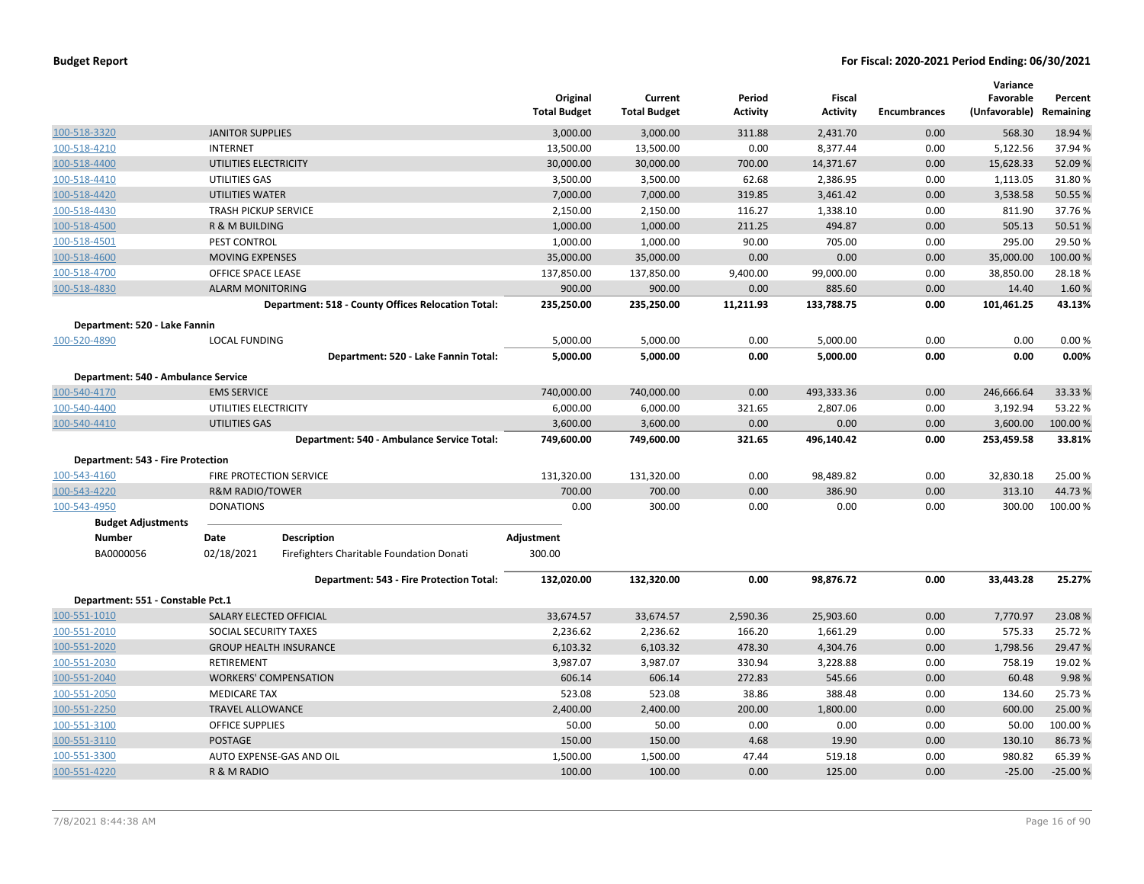|                                     |                             |                                                    | Original<br><b>Total Budget</b> | Current<br><b>Total Budget</b> | Period<br><b>Activity</b> | Fiscal<br><b>Activity</b> | <b>Encumbrances</b> | Variance<br>Favorable<br>(Unfavorable) | Percent<br>Remaining |
|-------------------------------------|-----------------------------|----------------------------------------------------|---------------------------------|--------------------------------|---------------------------|---------------------------|---------------------|----------------------------------------|----------------------|
| 100-518-3320                        | <b>JANITOR SUPPLIES</b>     |                                                    | 3,000.00                        | 3,000.00                       | 311.88                    | 2,431.70                  | 0.00                | 568.30                                 | 18.94 %              |
| 100-518-4210                        | <b>INTERNET</b>             |                                                    | 13,500.00                       | 13,500.00                      | 0.00                      | 8,377.44                  | 0.00                | 5,122.56                               | 37.94 %              |
| 100-518-4400                        | UTILITIES ELECTRICITY       |                                                    | 30,000.00                       | 30,000.00                      | 700.00                    | 14,371.67                 | 0.00                | 15,628.33                              | 52.09%               |
| 100-518-4410                        | UTILITIES GAS               |                                                    | 3,500.00                        | 3,500.00                       | 62.68                     | 2,386.95                  | 0.00                | 1,113.05                               | 31.80%               |
| 100-518-4420                        | <b>UTILITIES WATER</b>      |                                                    | 7,000.00                        | 7,000.00                       | 319.85                    | 3,461.42                  | 0.00                | 3,538.58                               | 50.55 %              |
| 100-518-4430                        | <b>TRASH PICKUP SERVICE</b> |                                                    | 2,150.00                        | 2,150.00                       | 116.27                    | 1,338.10                  | 0.00                | 811.90                                 | 37.76%               |
| 100-518-4500                        | R & M BUILDING              |                                                    | 1,000.00                        | 1,000.00                       | 211.25                    | 494.87                    | 0.00                | 505.13                                 | 50.51%               |
| 100-518-4501                        | PEST CONTROL                |                                                    | 1,000.00                        | 1,000.00                       | 90.00                     | 705.00                    | 0.00                | 295.00                                 | 29.50 %              |
| 100-518-4600                        | <b>MOVING EXPENSES</b>      |                                                    | 35,000.00                       | 35,000.00                      | 0.00                      | 0.00                      | 0.00                | 35,000.00                              | 100.00%              |
| 100-518-4700                        | OFFICE SPACE LEASE          |                                                    | 137,850.00                      | 137,850.00                     | 9,400.00                  | 99,000.00                 | 0.00                | 38,850.00                              | 28.18%               |
| 100-518-4830                        | <b>ALARM MONITORING</b>     |                                                    | 900.00                          | 900.00                         | 0.00                      | 885.60                    | 0.00                | 14.40                                  | 1.60%                |
|                                     |                             | Department: 518 - County Offices Relocation Total: | 235,250.00                      | 235,250.00                     | 11,211.93                 | 133,788.75                | 0.00                | 101,461.25                             | 43.13%               |
| Department: 520 - Lake Fannin       |                             |                                                    |                                 |                                |                           |                           |                     |                                        |                      |
| 100-520-4890                        | <b>LOCAL FUNDING</b>        |                                                    | 5,000.00                        | 5,000.00                       | 0.00                      | 5,000.00                  | 0.00                | 0.00                                   | 0.00%                |
|                                     |                             | Department: 520 - Lake Fannin Total:               | 5,000.00                        | 5,000.00                       | 0.00                      | 5,000.00                  | 0.00                | 0.00                                   | 0.00%                |
| Department: 540 - Ambulance Service |                             |                                                    |                                 |                                |                           |                           |                     |                                        |                      |
| 100-540-4170                        | <b>EMS SERVICE</b>          |                                                    | 740,000.00                      | 740,000.00                     | 0.00                      | 493,333.36                | 0.00                | 246,666.64                             | 33.33 %              |
| 100-540-4400                        | UTILITIES ELECTRICITY       |                                                    | 6,000.00                        | 6,000.00                       | 321.65                    | 2,807.06                  | 0.00                | 3,192.94                               | 53.22 %              |
| 100-540-4410                        | UTILITIES GAS               |                                                    | 3,600.00                        | 3,600.00                       | 0.00                      | 0.00                      | 0.00                | 3,600.00                               | 100.00 %             |
|                                     |                             | Department: 540 - Ambulance Service Total:         | 749,600.00                      | 749,600.00                     | 321.65                    | 496,140.42                | 0.00                | 253,459.58                             | 33.81%               |
| Department: 543 - Fire Protection   |                             |                                                    |                                 |                                |                           |                           |                     |                                        |                      |
| 100-543-4160                        |                             | FIRE PROTECTION SERVICE                            | 131,320.00                      | 131,320.00                     | 0.00                      | 98,489.82                 | 0.00                | 32,830.18                              | 25.00 %              |
| 100-543-4220                        | <b>R&amp;M RADIO/TOWER</b>  |                                                    | 700.00                          | 700.00                         | 0.00                      | 386.90                    | 0.00                | 313.10                                 | 44.73%               |
| 100-543-4950                        | <b>DONATIONS</b>            |                                                    | 0.00                            | 300.00                         | 0.00                      | 0.00                      | 0.00                | 300.00                                 | 100.00 %             |
| <b>Budget Adjustments</b>           |                             |                                                    |                                 |                                |                           |                           |                     |                                        |                      |
| Number                              | Date                        | <b>Description</b>                                 | Adjustment                      |                                |                           |                           |                     |                                        |                      |
| BA0000056                           | 02/18/2021                  | Firefighters Charitable Foundation Donati          | 300.00                          |                                |                           |                           |                     |                                        |                      |
|                                     |                             | Department: 543 - Fire Protection Total:           | 132,020.00                      | 132,320.00                     | 0.00                      | 98,876.72                 | 0.00                | 33,443.28                              | 25.27%               |
| Department: 551 - Constable Pct.1   |                             |                                                    |                                 |                                |                           |                           |                     |                                        |                      |
| 100-551-1010                        | SALARY ELECTED OFFICIAL     |                                                    | 33,674.57                       | 33,674.57                      | 2,590.36                  | 25,903.60                 | 0.00                | 7,770.97                               | 23.08%               |
| 100-551-2010                        | SOCIAL SECURITY TAXES       |                                                    | 2,236.62                        | 2,236.62                       | 166.20                    | 1,661.29                  | 0.00                | 575.33                                 | 25.72%               |
| 100-551-2020                        |                             | <b>GROUP HEALTH INSURANCE</b>                      | 6,103.32                        | 6,103.32                       | 478.30                    | 4,304.76                  | 0.00                | 1,798.56                               | 29.47 %              |
| 100-551-2030                        | RETIREMENT                  |                                                    | 3,987.07                        | 3,987.07                       | 330.94                    | 3,228.88                  | 0.00                | 758.19                                 | 19.02 %              |
| 100-551-2040                        |                             | <b>WORKERS' COMPENSATION</b>                       | 606.14                          | 606.14                         | 272.83                    | 545.66                    | 0.00                | 60.48                                  | 9.98%                |
| 100-551-2050                        | <b>MEDICARE TAX</b>         |                                                    | 523.08                          | 523.08                         | 38.86                     | 388.48                    | 0.00                | 134.60                                 | 25.73 %              |
| 100-551-2250                        | <b>TRAVEL ALLOWANCE</b>     |                                                    | 2,400.00                        | 2,400.00                       | 200.00                    | 1,800.00                  | 0.00                | 600.00                                 | 25.00 %              |
| 100-551-3100                        | <b>OFFICE SUPPLIES</b>      |                                                    | 50.00                           | 50.00                          | 0.00                      | 0.00                      | 0.00                | 50.00                                  | 100.00%              |
| 100-551-3110                        | POSTAGE                     |                                                    | 150.00                          | 150.00                         | 4.68                      | 19.90                     | 0.00                | 130.10                                 | 86.73%               |
| 100-551-3300                        |                             | AUTO EXPENSE-GAS AND OIL                           | 1,500.00                        | 1,500.00                       | 47.44                     | 519.18                    | 0.00                | 980.82                                 | 65.39 %              |
| 100-551-4220                        | R & M RADIO                 |                                                    | 100.00                          | 100.00                         | 0.00                      | 125.00                    | 0.00                | $-25.00$                               | $-25.00%$            |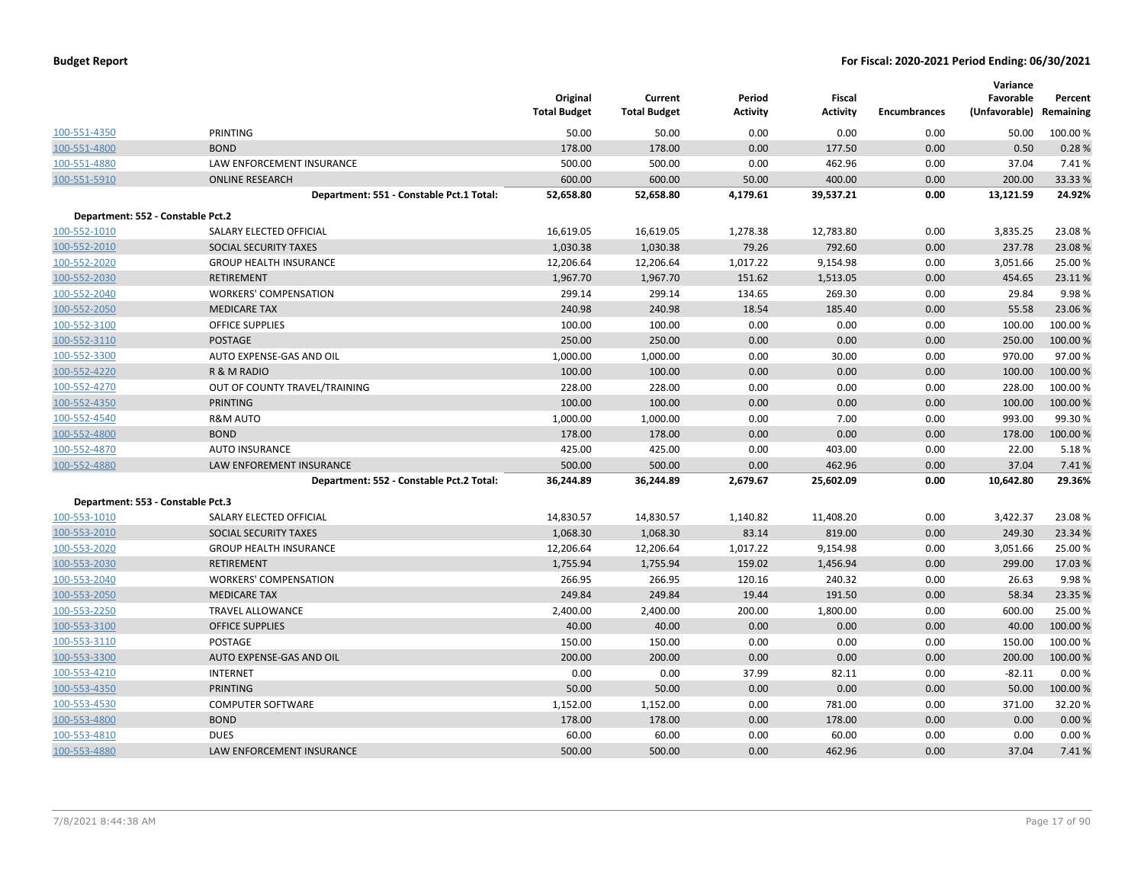| Budget Report |  |
|---------------|--|
|---------------|--|

|                                   |                                          | Original            | Current             | Period          | Fiscal    |                     | Variance<br>Favorable   | Percent  |
|-----------------------------------|------------------------------------------|---------------------|---------------------|-----------------|-----------|---------------------|-------------------------|----------|
|                                   |                                          | <b>Total Budget</b> | <b>Total Budget</b> | <b>Activity</b> | Activity  | <b>Encumbrances</b> | (Unfavorable) Remaining |          |
| 100-551-4350                      | PRINTING                                 | 50.00               | 50.00               | 0.00            | 0.00      | 0.00                | 50.00                   | 100.00%  |
| 100-551-4800                      | <b>BOND</b>                              | 178.00              | 178.00              | 0.00            | 177.50    | 0.00                | 0.50                    | 0.28%    |
| 100-551-4880                      | LAW ENFORCEMENT INSURANCE                | 500.00              | 500.00              | 0.00            | 462.96    | 0.00                | 37.04                   | 7.41%    |
| 100-551-5910                      | <b>ONLINE RESEARCH</b>                   | 600.00              | 600.00              | 50.00           | 400.00    | 0.00                | 200.00                  | 33.33 %  |
|                                   | Department: 551 - Constable Pct.1 Total: | 52,658.80           | 52,658.80           | 4,179.61        | 39,537.21 | 0.00                | 13,121.59               | 24.92%   |
| Department: 552 - Constable Pct.2 |                                          |                     |                     |                 |           |                     |                         |          |
| 100-552-1010                      | SALARY ELECTED OFFICIAL                  | 16,619.05           | 16,619.05           | 1,278.38        | 12,783.80 | 0.00                | 3,835.25                | 23.08%   |
| 100-552-2010                      | SOCIAL SECURITY TAXES                    | 1,030.38            | 1,030.38            | 79.26           | 792.60    | 0.00                | 237.78                  | 23.08%   |
| 100-552-2020                      | <b>GROUP HEALTH INSURANCE</b>            | 12,206.64           | 12,206.64           | 1,017.22        | 9,154.98  | 0.00                | 3,051.66                | 25.00%   |
| 100-552-2030                      | <b>RETIREMENT</b>                        | 1,967.70            | 1,967.70            | 151.62          | 1,513.05  | 0.00                | 454.65                  | 23.11%   |
| 100-552-2040                      | <b>WORKERS' COMPENSATION</b>             | 299.14              | 299.14              | 134.65          | 269.30    | 0.00                | 29.84                   | 9.98%    |
| 100-552-2050                      | <b>MEDICARE TAX</b>                      | 240.98              | 240.98              | 18.54           | 185.40    | 0.00                | 55.58                   | 23.06 %  |
| 100-552-3100                      | <b>OFFICE SUPPLIES</b>                   | 100.00              | 100.00              | 0.00            | 0.00      | 0.00                | 100.00                  | 100.00%  |
| 100-552-3110                      | <b>POSTAGE</b>                           | 250.00              | 250.00              | 0.00            | 0.00      | 0.00                | 250.00                  | 100.00%  |
| 100-552-3300                      | AUTO EXPENSE-GAS AND OIL                 | 1,000.00            | 1,000.00            | 0.00            | 30.00     | 0.00                | 970.00                  | 97.00%   |
| 100-552-4220                      | R & M RADIO                              | 100.00              | 100.00              | 0.00            | 0.00      | 0.00                | 100.00                  | 100.00%  |
| 100-552-4270                      | OUT OF COUNTY TRAVEL/TRAINING            | 228.00              | 228.00              | 0.00            | 0.00      | 0.00                | 228.00                  | 100.00%  |
| 100-552-4350                      | <b>PRINTING</b>                          | 100.00              | 100.00              | 0.00            | 0.00      | 0.00                | 100.00                  | 100.00%  |
| 100-552-4540                      | <b>R&amp;M AUTO</b>                      | 1,000.00            | 1,000.00            | 0.00            | 7.00      | 0.00                | 993.00                  | 99.30%   |
| 100-552-4800                      | <b>BOND</b>                              | 178.00              | 178.00              | 0.00            | 0.00      | 0.00                | 178.00                  | 100.00%  |
| 100-552-4870                      | <b>AUTO INSURANCE</b>                    | 425.00              | 425.00              | 0.00            | 403.00    | 0.00                | 22.00                   | 5.18%    |
| 100-552-4880                      | LAW ENFOREMENT INSURANCE                 | 500.00              | 500.00              | 0.00            | 462.96    | 0.00                | 37.04                   | 7.41%    |
|                                   | Department: 552 - Constable Pct.2 Total: | 36,244.89           | 36,244.89           | 2,679.67        | 25,602.09 | 0.00                | 10,642.80               | 29.36%   |
| Department: 553 - Constable Pct.3 |                                          |                     |                     |                 |           |                     |                         |          |
| 100-553-1010                      | SALARY ELECTED OFFICIAL                  | 14,830.57           | 14,830.57           | 1,140.82        | 11,408.20 | 0.00                | 3,422.37                | 23.08%   |
| 100-553-2010                      | SOCIAL SECURITY TAXES                    | 1,068.30            | 1,068.30            | 83.14           | 819.00    | 0.00                | 249.30                  | 23.34 %  |
| 100-553-2020                      | <b>GROUP HEALTH INSURANCE</b>            | 12,206.64           | 12,206.64           | 1,017.22        | 9,154.98  | 0.00                | 3,051.66                | 25.00%   |
| 100-553-2030                      | <b>RETIREMENT</b>                        | 1,755.94            | 1,755.94            | 159.02          | 1,456.94  | 0.00                | 299.00                  | 17.03 %  |
| 100-553-2040                      | <b>WORKERS' COMPENSATION</b>             | 266.95              | 266.95              | 120.16          | 240.32    | 0.00                | 26.63                   | 9.98%    |
| 100-553-2050                      | <b>MEDICARE TAX</b>                      | 249.84              | 249.84              | 19.44           | 191.50    | 0.00                | 58.34                   | 23.35 %  |
| 100-553-2250                      | <b>TRAVEL ALLOWANCE</b>                  | 2,400.00            | 2,400.00            | 200.00          | 1,800.00  | 0.00                | 600.00                  | 25.00 %  |
| 100-553-3100                      | <b>OFFICE SUPPLIES</b>                   | 40.00               | 40.00               | 0.00            | 0.00      | 0.00                | 40.00                   | 100.00%  |
| 100-553-3110                      | <b>POSTAGE</b>                           | 150.00              | 150.00              | 0.00            | 0.00      | 0.00                | 150.00                  | 100.00 % |
| 100-553-3300                      | AUTO EXPENSE-GAS AND OIL                 | 200.00              | 200.00              | 0.00            | 0.00      | 0.00                | 200.00                  | 100.00%  |
| 100-553-4210                      | INTERNET                                 | 0.00                | 0.00                | 37.99           | 82.11     | 0.00                | $-82.11$                | 0.00%    |
| 100-553-4350                      | <b>PRINTING</b>                          | 50.00               | 50.00               | 0.00            | 0.00      | 0.00                | 50.00                   | 100.00%  |
| 100-553-4530                      | <b>COMPUTER SOFTWARE</b>                 | 1,152.00            | 1,152.00            | 0.00            | 781.00    | 0.00                | 371.00                  | 32.20%   |
| 100-553-4800                      | <b>BOND</b>                              | 178.00              | 178.00              | 0.00            | 178.00    | 0.00                | 0.00                    | 0.00%    |
| 100-553-4810                      | <b>DUES</b>                              | 60.00               | 60.00               | 0.00            | 60.00     | 0.00                | 0.00                    | 0.00%    |
| 100-553-4880                      | <b>LAW ENFORCEMENT INSURANCE</b>         | 500.00              | 500.00              | 0.00            | 462.96    | 0.00                | 37.04                   | 7.41%    |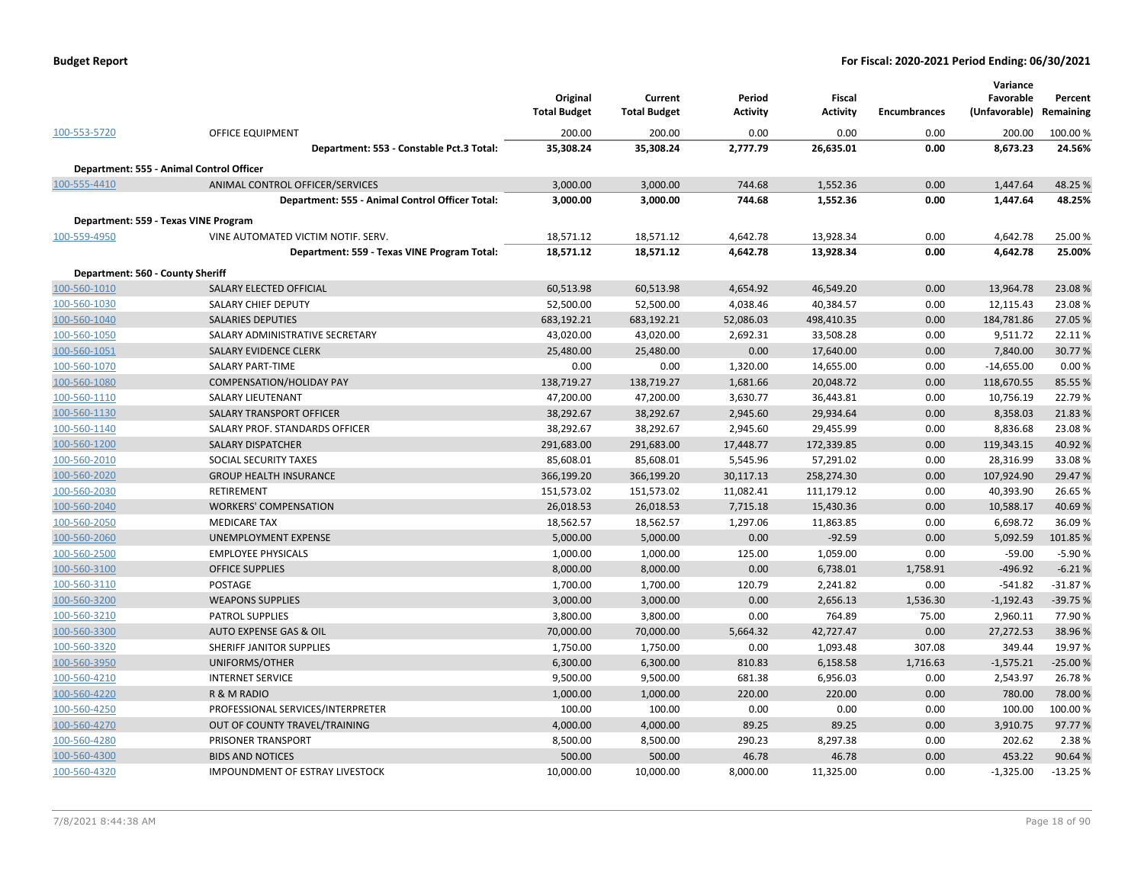|                                  |                                                 | Original<br><b>Total Budget</b> | Current<br><b>Total Budget</b> | Period<br>Activity | Fiscal<br><b>Activity</b> | <b>Encumbrances</b> | Variance<br>Favorable<br>(Unfavorable) | Percent<br>Remaining |
|----------------------------------|-------------------------------------------------|---------------------------------|--------------------------------|--------------------|---------------------------|---------------------|----------------------------------------|----------------------|
| 100-553-5720                     | <b>OFFICE EQUIPMENT</b>                         | 200.00                          | 200.00                         | 0.00               | 0.00                      | 0.00                | 200.00                                 | 100.00%              |
|                                  | Department: 553 - Constable Pct.3 Total:        | 35,308.24                       | 35,308.24                      | 2,777.79           | 26,635.01                 | 0.00                | 8,673.23                               | 24.56%               |
|                                  | Department: 555 - Animal Control Officer        |                                 |                                |                    |                           |                     |                                        |                      |
| 100-555-4410                     | ANIMAL CONTROL OFFICER/SERVICES                 | 3,000.00                        | 3,000.00                       | 744.68             | 1,552.36                  | 0.00                | 1,447.64                               | 48.25 %              |
|                                  | Department: 555 - Animal Control Officer Total: | 3,000.00                        | 3,000.00                       | 744.68             | 1,552.36                  | 0.00                | 1,447.64                               | 48.25%               |
|                                  | Department: 559 - Texas VINE Program            |                                 |                                |                    |                           |                     |                                        |                      |
| 100-559-4950                     | VINE AUTOMATED VICTIM NOTIF. SERV.              | 18,571.12                       | 18,571.12                      | 4,642.78           | 13,928.34                 | 0.00                | 4,642.78                               | 25.00 %              |
|                                  | Department: 559 - Texas VINE Program Total:     | 18,571.12                       | 18,571.12                      | 4,642.78           | 13,928.34                 | 0.00                | 4,642.78                               | 25.00%               |
| Department: 560 - County Sheriff |                                                 |                                 |                                |                    |                           |                     |                                        |                      |
| 100-560-1010                     | SALARY ELECTED OFFICIAL                         | 60,513.98                       | 60,513.98                      | 4,654.92           | 46,549.20                 | 0.00                | 13,964.78                              | 23.08%               |
| 100-560-1030                     | <b>SALARY CHIEF DEPUTY</b>                      | 52,500.00                       | 52,500.00                      | 4,038.46           | 40,384.57                 | 0.00                | 12,115.43                              | 23.08%               |
| 100-560-1040                     | <b>SALARIES DEPUTIES</b>                        | 683,192.21                      | 683,192.21                     | 52,086.03          | 498,410.35                | 0.00                | 184,781.86                             | 27.05 %              |
| 100-560-1050                     | SALARY ADMINISTRATIVE SECRETARY                 | 43,020.00                       | 43,020.00                      | 2,692.31           | 33,508.28                 | 0.00                | 9,511.72                               | 22.11%               |
| 100-560-1051                     | SALARY EVIDENCE CLERK                           | 25,480.00                       | 25,480.00                      | 0.00               | 17,640.00                 | 0.00                | 7,840.00                               | 30.77 %              |
| 100-560-1070                     | SALARY PART-TIME                                | 0.00                            | 0.00                           | 1,320.00           | 14,655.00                 | 0.00                | $-14,655.00$                           | 0.00%                |
| 100-560-1080                     | <b>COMPENSATION/HOLIDAY PAY</b>                 | 138,719.27                      | 138,719.27                     | 1,681.66           | 20,048.72                 | 0.00                | 118,670.55                             | 85.55%               |
| 100-560-1110                     | <b>SALARY LIEUTENANT</b>                        | 47,200.00                       | 47,200.00                      | 3,630.77           | 36,443.81                 | 0.00                | 10,756.19                              | 22.79 %              |
| 100-560-1130                     | SALARY TRANSPORT OFFICER                        | 38,292.67                       | 38,292.67                      | 2,945.60           | 29,934.64                 | 0.00                | 8,358.03                               | 21.83%               |
| 100-560-1140                     | SALARY PROF. STANDARDS OFFICER                  | 38,292.67                       | 38,292.67                      | 2,945.60           | 29,455.99                 | 0.00                | 8,836.68                               | 23.08%               |
| 100 FCD 1000                     | CALABY BICBATCHER                               | 204.502.00                      | $204.002.00$                   | 17.1077            | 1722225                   | $\sim$ $\sim$       | 11000127                               | 10.02.01             |

| 100-560-1110 | SALARY LIEUTENANT                      | 47,200.00  | 47,200.00  | 3,630.77  | 36,443.81  | 0.00     | 10,756.19   | 22.79 %   |
|--------------|----------------------------------------|------------|------------|-----------|------------|----------|-------------|-----------|
| 100-560-1130 | SALARY TRANSPORT OFFICER               | 38,292.67  | 38,292.67  | 2,945.60  | 29,934.64  | 0.00     | 8,358.03    | 21.83 %   |
| 100-560-1140 | SALARY PROF. STANDARDS OFFICER         | 38,292.67  | 38,292.67  | 2,945.60  | 29,455.99  | 0.00     | 8,836.68    | 23.08%    |
| 100-560-1200 | <b>SALARY DISPATCHER</b>               | 291,683.00 | 291,683.00 | 17,448.77 | 172,339.85 | 0.00     | 119,343.15  | 40.92%    |
| 100-560-2010 | SOCIAL SECURITY TAXES                  | 85,608.01  | 85,608.01  | 5,545.96  | 57,291.02  | 0.00     | 28,316.99   | 33.08%    |
| 100-560-2020 | <b>GROUP HEALTH INSURANCE</b>          | 366,199.20 | 366,199.20 | 30,117.13 | 258,274.30 | 0.00     | 107,924.90  | 29.47 %   |
| 100-560-2030 | <b>RETIREMENT</b>                      | 151,573.02 | 151,573.02 | 11,082.41 | 111,179.12 | 0.00     | 40,393.90   | 26.65 %   |
| 100-560-2040 | <b>WORKERS' COMPENSATION</b>           | 26,018.53  | 26,018.53  | 7,715.18  | 15,430.36  | 0.00     | 10,588.17   | 40.69%    |
| 100-560-2050 | <b>MEDICARE TAX</b>                    | 18,562.57  | 18,562.57  | 1,297.06  | 11,863.85  | 0.00     | 6,698.72    | 36.09 %   |
| 100-560-2060 | UNEMPLOYMENT EXPENSE                   | 5,000.00   | 5,000.00   | 0.00      | $-92.59$   | 0.00     | 5,092.59    | 101.85 %  |
| 100-560-2500 | <b>EMPLOYEE PHYSICALS</b>              | 1,000.00   | 1,000.00   | 125.00    | 1,059.00   | 0.00     | $-59.00$    | $-5.90%$  |
| 100-560-3100 | <b>OFFICE SUPPLIES</b>                 | 8,000.00   | 8,000.00   | 0.00      | 6,738.01   | 1,758.91 | $-496.92$   | $-6.21%$  |
| 100-560-3110 | <b>POSTAGE</b>                         | 1,700.00   | 1,700.00   | 120.79    | 2,241.82   | 0.00     | $-541.82$   | $-31.87%$ |
| 100-560-3200 | <b>WEAPONS SUPPLIES</b>                | 3,000.00   | 3,000.00   | 0.00      | 2,656.13   | 1,536.30 | $-1,192.43$ | $-39.75%$ |
| 100-560-3210 | <b>PATROL SUPPLIES</b>                 | 3,800.00   | 3,800.00   | 0.00      | 764.89     | 75.00    | 2,960.11    | 77.90 %   |
| 100-560-3300 | AUTO EXPENSE GAS & OIL                 | 70,000.00  | 70,000.00  | 5,664.32  | 42,727.47  | 0.00     | 27,272.53   | 38.96 %   |
| 100-560-3320 | SHERIFF JANITOR SUPPLIES               | 1,750.00   | 1,750.00   | 0.00      | 1,093.48   | 307.08   | 349.44      | 19.97 %   |
| 100-560-3950 | UNIFORMS/OTHER                         | 6,300.00   | 6,300.00   | 810.83    | 6,158.58   | 1,716.63 | $-1,575.21$ | $-25.00%$ |
| 100-560-4210 | <b>INTERNET SERVICE</b>                | 9,500.00   | 9,500.00   | 681.38    | 6,956.03   | 0.00     | 2,543.97    | 26.78%    |
| 100-560-4220 | R & M RADIO                            | 1,000.00   | 1,000.00   | 220.00    | 220.00     | 0.00     | 780.00      | 78.00 %   |
| 100-560-4250 | PROFESSIONAL SERVICES/INTERPRETER      | 100.00     | 100.00     | 0.00      | 0.00       | 0.00     | 100.00      | 100.00%   |
| 100-560-4270 | OUT OF COUNTY TRAVEL/TRAINING          | 4,000.00   | 4,000.00   | 89.25     | 89.25      | 0.00     | 3,910.75    | 97.77%    |
| 100-560-4280 | PRISONER TRANSPORT                     | 8,500.00   | 8,500.00   | 290.23    | 8,297.38   | 0.00     | 202.62      | 2.38%     |
| 100-560-4300 | <b>BIDS AND NOTICES</b>                | 500.00     | 500.00     | 46.78     | 46.78      | 0.00     | 453.22      | 90.64 %   |
| 100-560-4320 | <b>IMPOUNDMENT OF ESTRAY LIVESTOCK</b> | 10.000.00  | 10,000.00  | 8.000.00  | 11.325.00  | 0.00     | $-1,325.00$ | $-13.25%$ |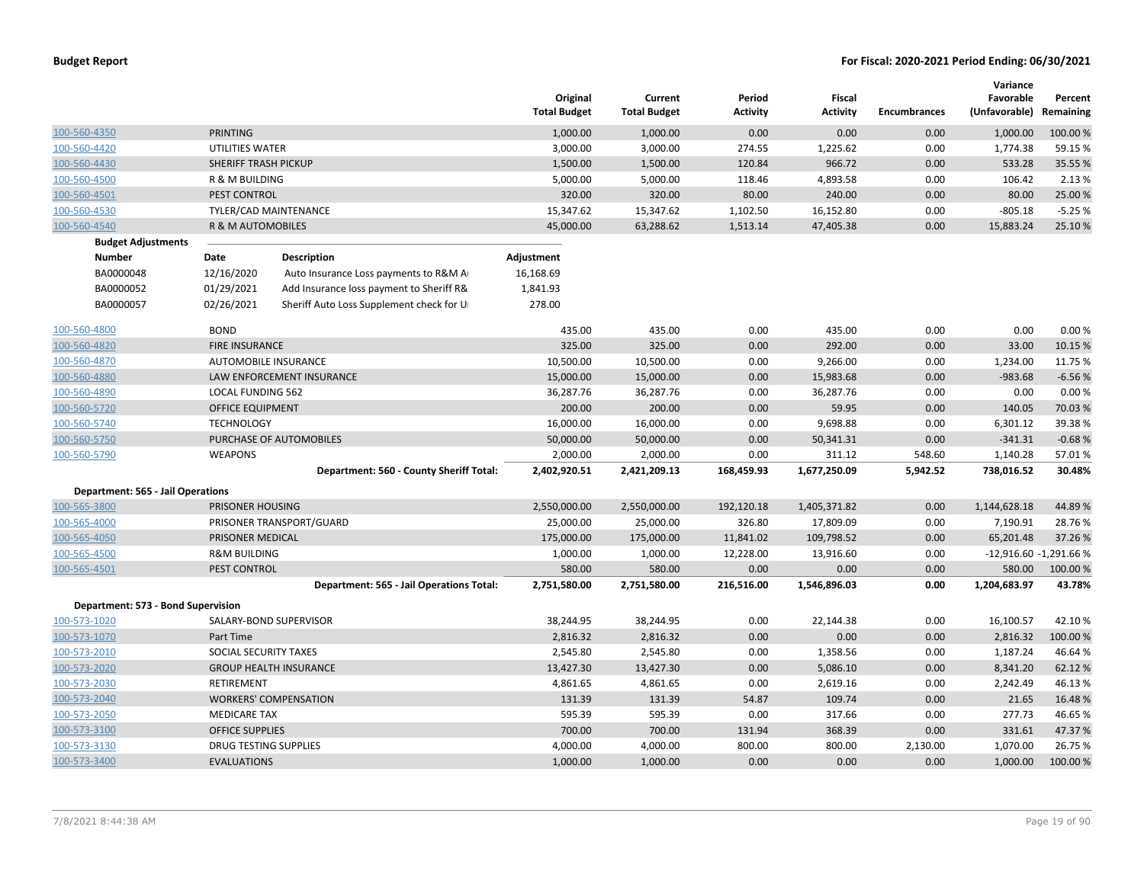|                                          |                             |                                          | Original<br><b>Total Budget</b> | Current<br><b>Total Budget</b> | Period<br>Activity | <b>Fiscal</b><br><b>Activity</b> | <b>Encumbrances</b> | Variance<br>Favorable<br>(Unfavorable) | Percent<br>Remaining   |
|------------------------------------------|-----------------------------|------------------------------------------|---------------------------------|--------------------------------|--------------------|----------------------------------|---------------------|----------------------------------------|------------------------|
| 100-560-4350                             | <b>PRINTING</b>             |                                          | 1,000.00                        | 1,000.00                       | 0.00               | 0.00                             | 0.00                | 1,000.00                               | 100.00 %               |
| 100-560-4420                             | UTILITIES WATER             |                                          | 3,000.00                        | 3,000.00                       | 274.55             | 1,225.62                         | 0.00                | 1,774.38                               | 59.15 %                |
| 100-560-4430                             | SHERIFF TRASH PICKUP        |                                          | 1,500.00                        | 1,500.00                       | 120.84             | 966.72                           | 0.00                | 533.28                                 | 35.55 %                |
| 100-560-4500                             | R & M BUILDING              |                                          | 5,000.00                        | 5,000.00                       | 118.46             | 4,893.58                         | 0.00                | 106.42                                 | 2.13 %                 |
| 100-560-4501                             | PEST CONTROL                |                                          | 320.00                          | 320.00                         | 80.00              | 240.00                           | 0.00                | 80.00                                  | 25.00 %                |
| 100-560-4530                             | TYLER/CAD MAINTENANCE       |                                          | 15,347.62                       | 15,347.62                      | 1,102.50           | 16,152.80                        | 0.00                | $-805.18$                              | $-5.25%$               |
| 100-560-4540                             | R & M AUTOMOBILES           |                                          | 45,000.00                       | 63,288.62                      | 1,513.14           | 47,405.38                        | 0.00                | 15,883.24                              | 25.10%                 |
| <b>Budget Adjustments</b>                |                             |                                          |                                 |                                |                    |                                  |                     |                                        |                        |
| <b>Number</b>                            | Date                        | <b>Description</b>                       | Adjustment                      |                                |                    |                                  |                     |                                        |                        |
| BA0000048                                | 12/16/2020                  | Auto Insurance Loss payments to R&M A    | 16,168.69                       |                                |                    |                                  |                     |                                        |                        |
| BA0000052                                | 01/29/2021                  | Add Insurance loss payment to Sheriff R& | 1,841.93                        |                                |                    |                                  |                     |                                        |                        |
| BA0000057                                | 02/26/2021                  | Sheriff Auto Loss Supplement check for U | 278.00                          |                                |                    |                                  |                     |                                        |                        |
| 100-560-4800                             | <b>BOND</b>                 |                                          | 435.00                          | 435.00                         | 0.00               | 435.00                           | 0.00                | 0.00                                   | 0.00%                  |
| 100-560-4820                             | FIRE INSURANCE              |                                          | 325.00                          | 325.00                         | 0.00               | 292.00                           | 0.00                | 33.00                                  | 10.15 %                |
| 100-560-4870                             | <b>AUTOMOBILE INSURANCE</b> |                                          | 10,500.00                       | 10,500.00                      | 0.00               | 9,266.00                         | 0.00                | 1,234.00                               | 11.75 %                |
| 100-560-4880                             |                             | LAW ENFORCEMENT INSURANCE                | 15,000.00                       | 15,000.00                      | 0.00               | 15,983.68                        | 0.00                | $-983.68$                              | $-6.56%$               |
| 100-560-4890                             | <b>LOCAL FUNDING 562</b>    |                                          | 36,287.76                       | 36,287.76                      | 0.00               | 36,287.76                        | 0.00                | 0.00                                   | 0.00%                  |
| 100-560-5720                             | <b>OFFICE EQUIPMENT</b>     |                                          | 200.00                          | 200.00                         | 0.00               | 59.95                            | 0.00                | 140.05                                 | 70.03%                 |
| 100-560-5740                             | <b>TECHNOLOGY</b>           |                                          | 16,000.00                       | 16,000.00                      | 0.00               | 9,698.88                         | 0.00                | 6,301.12                               | 39.38%                 |
| 100-560-5750                             |                             | PURCHASE OF AUTOMOBILES                  | 50,000.00                       | 50,000.00                      | 0.00               | 50,341.31                        | 0.00                | $-341.31$                              | $-0.68%$               |
| 100-560-5790                             | <b>WEAPONS</b>              |                                          | 2,000.00                        | 2,000.00                       | 0.00               | 311.12                           | 548.60              | 1,140.28                               | 57.01%                 |
|                                          |                             | Department: 560 - County Sheriff Total:  | 2,402,920.51                    | 2,421,209.13                   | 168,459.93         | 1,677,250.09                     | 5,942.52            | 738,016.52                             | 30.48%                 |
| <b>Department: 565 - Jail Operations</b> |                             |                                          |                                 |                                |                    |                                  |                     |                                        |                        |
| 100-565-3800                             | PRISONER HOUSING            |                                          | 2,550,000.00                    | 2,550,000.00                   | 192,120.18         | 1,405,371.82                     | 0.00                | 1,144,628.18                           | 44.89%                 |
| 100-565-4000                             |                             | PRISONER TRANSPORT/GUARD                 | 25,000.00                       | 25,000.00                      | 326.80             | 17,809.09                        | 0.00                | 7,190.91                               | 28.76%                 |
| 100-565-4050                             | PRISONER MEDICAL            |                                          | 175,000.00                      | 175,000.00                     | 11,841.02          | 109,798.52                       | 0.00                | 65,201.48                              | 37.26 %                |
| 100-565-4500                             | <b>R&amp;M BUILDING</b>     |                                          | 1,000.00                        | 1,000.00                       | 12,228.00          | 13,916.60                        | 0.00                |                                        | -12,916.60 -1,291.66 % |
| 100-565-4501                             | PEST CONTROL                |                                          | 580.00                          | 580.00                         | 0.00               | 0.00                             | 0.00                | 580.00                                 | 100.00 %               |
|                                          |                             | Department: 565 - Jail Operations Total: | 2,751,580.00                    | 2,751,580.00                   | 216,516.00         | 1,546,896.03                     | 0.00                | 1,204,683.97                           | 43.78%                 |
| Department: 573 - Bond Supervision       |                             |                                          |                                 |                                |                    |                                  |                     |                                        |                        |
| 100-573-1020                             |                             | SALARY-BOND SUPERVISOR                   | 38,244.95                       | 38,244.95                      | 0.00               | 22,144.38                        | 0.00                | 16,100.57                              | 42.10%                 |
| 100-573-1070                             | Part Time                   |                                          | 2,816.32                        | 2,816.32                       | 0.00               | 0.00                             | 0.00                | 2,816.32                               | 100.00 %               |
| 100-573-2010                             | SOCIAL SECURITY TAXES       |                                          | 2,545.80                        | 2,545.80                       | 0.00               | 1,358.56                         | 0.00                | 1,187.24                               | 46.64%                 |
| 100-573-2020                             |                             | <b>GROUP HEALTH INSURANCE</b>            | 13,427.30                       | 13,427.30                      | 0.00               | 5,086.10                         | 0.00                | 8,341.20                               | 62.12%                 |
| 100-573-2030                             | RETIREMENT                  |                                          | 4,861.65                        | 4,861.65                       | 0.00               | 2,619.16                         | 0.00                | 2,242.49                               | 46.13%                 |
| 100-573-2040                             |                             | <b>WORKERS' COMPENSATION</b>             | 131.39                          | 131.39                         | 54.87              | 109.74                           | 0.00                | 21.65                                  | 16.48%                 |
| 100-573-2050                             | <b>MEDICARE TAX</b>         |                                          | 595.39                          | 595.39                         | 0.00               | 317.66                           | 0.00                | 277.73                                 | 46.65%                 |
| 100-573-3100                             | <b>OFFICE SUPPLIES</b>      |                                          | 700.00                          | 700.00                         | 131.94             | 368.39                           | 0.00                | 331.61                                 | 47.37%                 |
| 100-573-3130                             | DRUG TESTING SUPPLIES       |                                          | 4,000.00                        | 4,000.00                       | 800.00             | 800.00                           | 2,130.00            | 1,070.00                               | 26.75 %                |
| 100-573-3400                             | <b>EVALUATIONS</b>          |                                          | 1,000.00                        | 1,000.00                       | 0.00               | 0.00                             | 0.00                | 1,000.00                               | 100.00%                |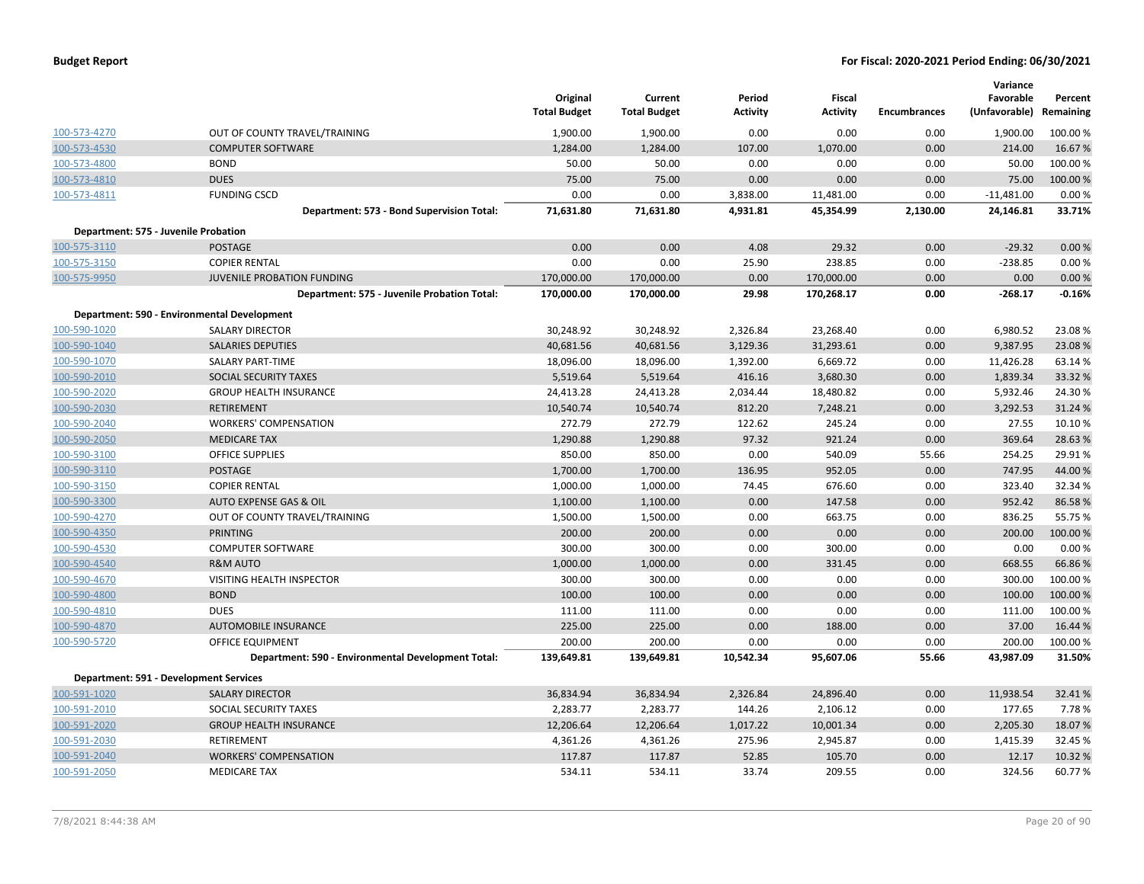|              |                                                    | Original<br><b>Total Budget</b> | Current<br><b>Total Budget</b> | Period<br><b>Activity</b> | Fiscal<br><b>Activity</b> | <b>Encumbrances</b> | Variance<br>Favorable<br>(Unfavorable) Remaining | Percent  |
|--------------|----------------------------------------------------|---------------------------------|--------------------------------|---------------------------|---------------------------|---------------------|--------------------------------------------------|----------|
| 100-573-4270 | OUT OF COUNTY TRAVEL/TRAINING                      | 1,900.00                        | 1,900.00                       | 0.00                      | 0.00                      | 0.00                | 1,900.00                                         | 100.00%  |
| 100-573-4530 | <b>COMPUTER SOFTWARE</b>                           | 1,284.00                        | 1,284.00                       | 107.00                    | 1,070.00                  | 0.00                | 214.00                                           | 16.67%   |
| 100-573-4800 | <b>BOND</b>                                        | 50.00                           | 50.00                          | 0.00                      | 0.00                      | 0.00                | 50.00                                            | 100.00%  |
| 100-573-4810 | <b>DUES</b>                                        | 75.00                           | 75.00                          | 0.00                      | 0.00                      | 0.00                | 75.00                                            | 100.00 % |
| 100-573-4811 | <b>FUNDING CSCD</b>                                | 0.00                            | 0.00                           | 3,838.00                  | 11,481.00                 | 0.00                | $-11,481.00$                                     | 0.00%    |
|              | Department: 573 - Bond Supervision Total:          | 71,631.80                       | 71,631.80                      | 4,931.81                  | 45,354.99                 | 2,130.00            | 24,146.81                                        | 33.71%   |
|              | Department: 575 - Juvenile Probation               |                                 |                                |                           |                           |                     |                                                  |          |
| 100-575-3110 | <b>POSTAGE</b>                                     | 0.00                            | 0.00                           | 4.08                      | 29.32                     | 0.00                | $-29.32$                                         | 0.00%    |
| 100-575-3150 | <b>COPIER RENTAL</b>                               | 0.00                            | 0.00                           | 25.90                     | 238.85                    | 0.00                | $-238.85$                                        | 0.00%    |
| 100-575-9950 | JUVENILE PROBATION FUNDING                         | 170,000.00                      | 170,000.00                     | 0.00                      | 170,000.00                | 0.00                | 0.00                                             | 0.00%    |
|              | Department: 575 - Juvenile Probation Total:        | 170,000.00                      | 170,000.00                     | 29.98                     | 170,268.17                | 0.00                | $-268.17$                                        | $-0.16%$ |
|              | Department: 590 - Environmental Development        |                                 |                                |                           |                           |                     |                                                  |          |
| 100-590-1020 | <b>SALARY DIRECTOR</b>                             | 30,248.92                       | 30,248.92                      | 2,326.84                  | 23,268.40                 | 0.00                | 6,980.52                                         | 23.08%   |
| 100-590-1040 | <b>SALARIES DEPUTIES</b>                           | 40,681.56                       | 40,681.56                      | 3,129.36                  | 31,293.61                 | 0.00                | 9,387.95                                         | 23.08%   |
| 100-590-1070 | <b>SALARY PART-TIME</b>                            | 18,096.00                       | 18,096.00                      | 1,392.00                  | 6,669.72                  | 0.00                | 11,426.28                                        | 63.14 %  |
| 100-590-2010 | SOCIAL SECURITY TAXES                              | 5,519.64                        | 5,519.64                       | 416.16                    | 3,680.30                  | 0.00                | 1,839.34                                         | 33.32 %  |
| 100-590-2020 | <b>GROUP HEALTH INSURANCE</b>                      | 24,413.28                       | 24,413.28                      | 2,034.44                  | 18,480.82                 | 0.00                | 5,932.46                                         | 24.30%   |
| 100-590-2030 | <b>RETIREMENT</b>                                  | 10,540.74                       | 10,540.74                      | 812.20                    | 7,248.21                  | 0.00                | 3,292.53                                         | 31.24 %  |
| 100-590-2040 | <b>WORKERS' COMPENSATION</b>                       | 272.79                          | 272.79                         | 122.62                    | 245.24                    | 0.00                | 27.55                                            | 10.10%   |
| 100-590-2050 | <b>MEDICARE TAX</b>                                | 1,290.88                        | 1,290.88                       | 97.32                     | 921.24                    | 0.00                | 369.64                                           | 28.63%   |
| 100-590-3100 | <b>OFFICE SUPPLIES</b>                             | 850.00                          | 850.00                         | 0.00                      | 540.09                    | 55.66               | 254.25                                           | 29.91%   |
| 100-590-3110 | POSTAGE                                            | 1,700.00                        | 1,700.00                       | 136.95                    | 952.05                    | 0.00                | 747.95                                           | 44.00 %  |
| 100-590-3150 | <b>COPIER RENTAL</b>                               | 1,000.00                        | 1,000.00                       | 74.45                     | 676.60                    | 0.00                | 323.40                                           | 32.34 %  |
| 100-590-3300 | AUTO EXPENSE GAS & OIL                             | 1,100.00                        | 1,100.00                       | 0.00                      | 147.58                    | 0.00                | 952.42                                           | 86.58%   |
| 100-590-4270 | OUT OF COUNTY TRAVEL/TRAINING                      | 1,500.00                        | 1,500.00                       | 0.00                      | 663.75                    | 0.00                | 836.25                                           | 55.75 %  |
| 100-590-4350 | <b>PRINTING</b>                                    | 200.00                          | 200.00                         | 0.00                      | 0.00                      | 0.00                | 200.00                                           | 100.00%  |
| 100-590-4530 | <b>COMPUTER SOFTWARE</b>                           | 300.00                          | 300.00                         | 0.00                      | 300.00                    | 0.00                | 0.00                                             | 0.00%    |
| 100-590-4540 | <b>R&amp;M AUTO</b>                                | 1,000.00                        | 1,000.00                       | 0.00                      | 331.45                    | 0.00                | 668.55                                           | 66.86%   |
| 100-590-4670 | <b>VISITING HEALTH INSPECTOR</b>                   | 300.00                          | 300.00                         | 0.00                      | 0.00                      | 0.00                | 300.00                                           | 100.00%  |
| 100-590-4800 | <b>BOND</b>                                        | 100.00                          | 100.00                         | 0.00                      | 0.00                      | 0.00                | 100.00                                           | 100.00%  |
| 100-590-4810 | <b>DUES</b>                                        | 111.00                          | 111.00                         | 0.00                      | 0.00                      | 0.00                | 111.00                                           | 100.00%  |
| 100-590-4870 | <b>AUTOMOBILE INSURANCE</b>                        | 225.00                          | 225.00                         | 0.00                      | 188.00                    | 0.00                | 37.00                                            | 16.44 %  |
| 100-590-5720 | OFFICE EQUIPMENT                                   | 200.00                          | 200.00                         | 0.00                      | 0.00                      | 0.00                | 200.00                                           | 100.00%  |
|              | Department: 590 - Environmental Development Total: | 139,649.81                      | 139,649.81                     | 10,542.34                 | 95,607.06                 | 55.66               | 43,987.09                                        | 31.50%   |
|              | Department: 591 - Development Services             |                                 |                                |                           |                           |                     |                                                  |          |
| 100-591-1020 | <b>SALARY DIRECTOR</b>                             | 36,834.94                       | 36,834.94                      | 2,326.84                  | 24,896.40                 | 0.00                | 11,938.54                                        | 32.41%   |
| 100-591-2010 | SOCIAL SECURITY TAXES                              | 2,283.77                        | 2,283.77                       | 144.26                    | 2,106.12                  | 0.00                | 177.65                                           | 7.78%    |
| 100-591-2020 | <b>GROUP HEALTH INSURANCE</b>                      | 12,206.64                       | 12,206.64                      | 1,017.22                  | 10,001.34                 | 0.00                | 2,205.30                                         | 18.07%   |
| 100-591-2030 | <b>RETIREMENT</b>                                  | 4,361.26                        | 4,361.26                       | 275.96                    | 2,945.87                  | 0.00                | 1,415.39                                         | 32.45 %  |
| 100-591-2040 | <b>WORKERS' COMPENSATION</b>                       | 117.87                          | 117.87                         | 52.85                     | 105.70                    | 0.00                | 12.17                                            | 10.32 %  |
| 100-591-2050 | <b>MEDICARE TAX</b>                                | 534.11                          | 534.11                         | 33.74                     | 209.55                    | 0.00                | 324.56                                           | 60.77%   |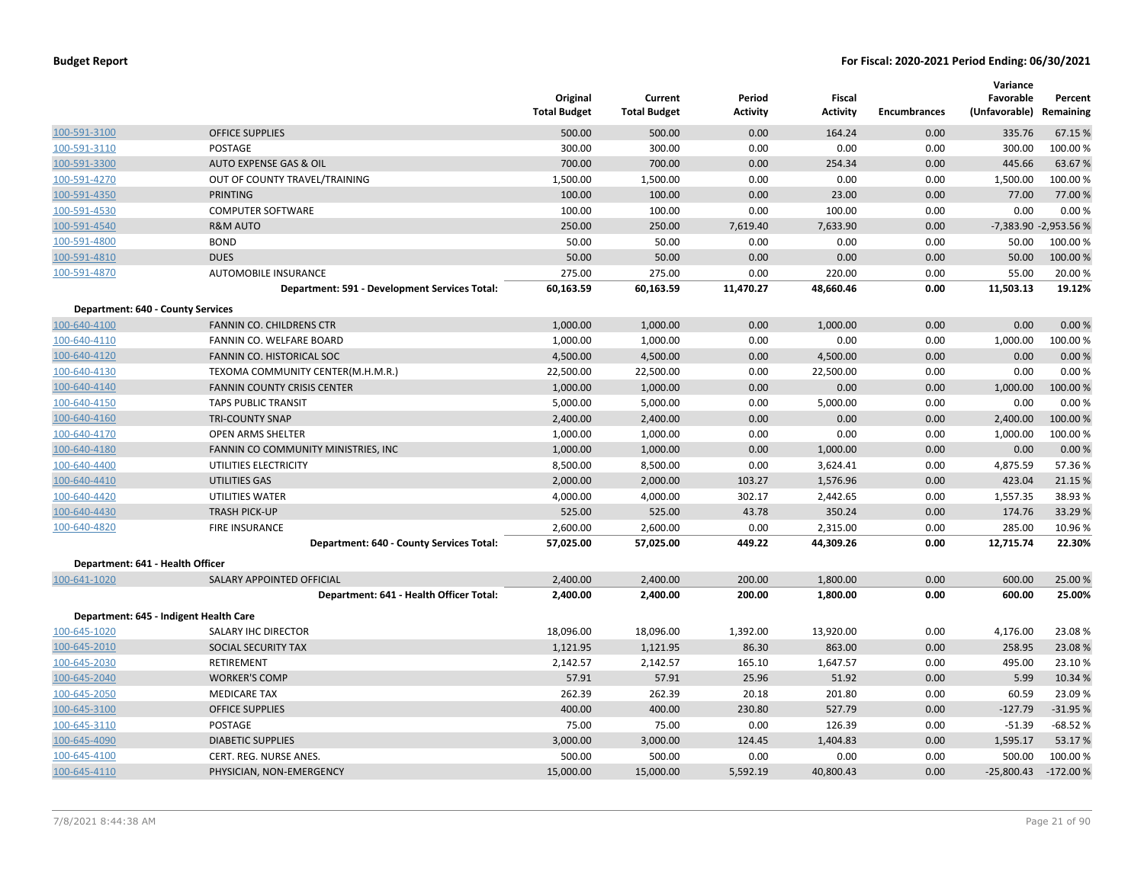|                                          |                                               | Original<br><b>Total Budget</b> | Current<br><b>Total Budget</b> | Period<br><b>Activity</b> | Fiscal<br><b>Activity</b> | <b>Encumbrances</b> | Variance<br>Favorable<br>(Unfavorable) Remaining | Percent               |
|------------------------------------------|-----------------------------------------------|---------------------------------|--------------------------------|---------------------------|---------------------------|---------------------|--------------------------------------------------|-----------------------|
| 100-591-3100                             | <b>OFFICE SUPPLIES</b>                        | 500.00                          | 500.00                         | 0.00                      | 164.24                    | 0.00                | 335.76                                           | 67.15 %               |
| 100-591-3110                             | POSTAGE                                       | 300.00                          | 300.00                         | 0.00                      | 0.00                      | 0.00                | 300.00                                           | 100.00%               |
| 100-591-3300                             | <b>AUTO EXPENSE GAS &amp; OIL</b>             | 700.00                          | 700.00                         | 0.00                      | 254.34                    | 0.00                | 445.66                                           | 63.67%                |
| 100-591-4270                             | OUT OF COUNTY TRAVEL/TRAINING                 | 1,500.00                        | 1,500.00                       | 0.00                      | 0.00                      | 0.00                | 1,500.00                                         | 100.00 %              |
| 100-591-4350                             | <b>PRINTING</b>                               | 100.00                          | 100.00                         | 0.00                      | 23.00                     | 0.00                | 77.00                                            | 77.00 %               |
| 100-591-4530                             | <b>COMPUTER SOFTWARE</b>                      | 100.00                          | 100.00                         | 0.00                      | 100.00                    | 0.00                | 0.00                                             | 0.00%                 |
| 100-591-4540                             | <b>R&amp;M AUTO</b>                           | 250.00                          | 250.00                         | 7,619.40                  | 7,633.90                  | 0.00                |                                                  | -7,383.90 -2,953.56 % |
| 100-591-4800                             | <b>BOND</b>                                   | 50.00                           | 50.00                          | 0.00                      | 0.00                      | 0.00                | 50.00                                            | 100.00%               |
| 100-591-4810                             | <b>DUES</b>                                   | 50.00                           | 50.00                          | 0.00                      | 0.00                      | 0.00                | 50.00                                            | 100.00 %              |
| 100-591-4870                             | AUTOMOBILE INSURANCE                          | 275.00                          | 275.00                         | 0.00                      | 220.00                    | 0.00                | 55.00                                            | 20.00 %               |
|                                          | Department: 591 - Development Services Total: | 60,163.59                       | 60,163.59                      | 11,470.27                 | 48,660.46                 | 0.00                | 11,503.13                                        | 19.12%                |
| <b>Department: 640 - County Services</b> |                                               |                                 |                                |                           |                           |                     |                                                  |                       |
| 100-640-4100                             | <b>FANNIN CO. CHILDRENS CTR</b>               | 1,000.00                        | 1,000.00                       | 0.00                      | 1,000.00                  | 0.00                | 0.00                                             | 0.00%                 |
| 100-640-4110                             | FANNIN CO. WELFARE BOARD                      | 1,000.00                        | 1,000.00                       | 0.00                      | 0.00                      | 0.00                | 1,000.00                                         | 100.00%               |
| 100-640-4120                             | FANNIN CO. HISTORICAL SOC                     | 4,500.00                        | 4,500.00                       | 0.00                      | 4,500.00                  | 0.00                | 0.00                                             | 0.00%                 |
| 100-640-4130                             | TEXOMA COMMUNITY CENTER(M.H.M.R.)             | 22,500.00                       | 22,500.00                      | 0.00                      | 22,500.00                 | 0.00                | 0.00                                             | 0.00%                 |
| 100-640-4140                             | FANNIN COUNTY CRISIS CENTER                   | 1,000.00                        | 1,000.00                       | 0.00                      | 0.00                      | 0.00                | 1,000.00                                         | 100.00 %              |
| 100-640-4150                             | <b>TAPS PUBLIC TRANSIT</b>                    | 5,000.00                        | 5,000.00                       | 0.00                      | 5,000.00                  | 0.00                | 0.00                                             | 0.00%                 |
| 100-640-4160                             | <b>TRI-COUNTY SNAP</b>                        | 2,400.00                        | 2,400.00                       | 0.00                      | 0.00                      | 0.00                | 2,400.00                                         | 100.00 %              |
| 100-640-4170                             | <b>OPEN ARMS SHELTER</b>                      | 1,000.00                        | 1,000.00                       | 0.00                      | 0.00                      | 0.00                | 1,000.00                                         | 100.00%               |
| 100-640-4180                             | FANNIN CO COMMUNITY MINISTRIES, INC           | 1,000.00                        | 1,000.00                       | 0.00                      | 1,000.00                  | 0.00                | 0.00                                             | 0.00%                 |
| 100-640-4400                             | UTILITIES ELECTRICITY                         | 8,500.00                        | 8,500.00                       | 0.00                      | 3,624.41                  | 0.00                | 4,875.59                                         | 57.36%                |
| 100-640-4410                             | <b>UTILITIES GAS</b>                          | 2,000.00                        | 2,000.00                       | 103.27                    | 1,576.96                  | 0.00                | 423.04                                           | 21.15 %               |
| 100-640-4420                             | UTILITIES WATER                               | 4,000.00                        | 4,000.00                       | 302.17                    | 2,442.65                  | 0.00                | 1,557.35                                         | 38.93 %               |
| 100-640-4430                             | <b>TRASH PICK-UP</b>                          | 525.00                          | 525.00                         | 43.78                     | 350.24                    | 0.00                | 174.76                                           | 33.29 %               |
| 100-640-4820                             | <b>FIRE INSURANCE</b>                         | 2,600.00                        | 2,600.00                       | 0.00                      | 2,315.00                  | 0.00                | 285.00                                           | 10.96%                |
|                                          | Department: 640 - County Services Total:      | 57,025.00                       | 57,025.00                      | 449.22                    | 44,309.26                 | 0.00                | 12,715.74                                        | 22.30%                |
| Department: 641 - Health Officer         |                                               |                                 |                                |                           |                           |                     |                                                  |                       |
| 100-641-1020                             | <b>SALARY APPOINTED OFFICIAL</b>              | 2,400.00                        | 2,400.00                       | 200.00                    | 1,800.00                  | 0.00                | 600.00                                           | 25.00 %               |
|                                          | Department: 641 - Health Officer Total:       | 2,400.00                        | 2,400.00                       | 200.00                    | 1,800.00                  | 0.00                | 600.00                                           | 25.00%                |
|                                          | Department: 645 - Indigent Health Care        |                                 |                                |                           |                           |                     |                                                  |                       |
| 100-645-1020                             | SALARY IHC DIRECTOR                           | 18,096.00                       | 18,096.00                      | 1,392.00                  | 13,920.00                 | 0.00                | 4,176.00                                         | 23.08%                |
| 100-645-2010                             | SOCIAL SECURITY TAX                           | 1,121.95                        | 1,121.95                       | 86.30                     | 863.00                    | 0.00                | 258.95                                           | 23.08%                |
| 100-645-2030                             | RETIREMENT                                    | 2,142.57                        | 2,142.57                       | 165.10                    | 1,647.57                  | 0.00                | 495.00                                           | 23.10%                |
| 100-645-2040                             | <b>WORKER'S COMP</b>                          | 57.91                           | 57.91                          | 25.96                     | 51.92                     | 0.00                | 5.99                                             | 10.34 %               |
| 100-645-2050                             | <b>MEDICARE TAX</b>                           | 262.39                          | 262.39                         | 20.18                     | 201.80                    | 0.00                | 60.59                                            | 23.09 %               |
| 100-645-3100                             | <b>OFFICE SUPPLIES</b>                        | 400.00                          | 400.00                         | 230.80                    | 527.79                    | 0.00                | $-127.79$                                        | $-31.95%$             |
| 100-645-3110                             | POSTAGE                                       | 75.00                           | 75.00                          | 0.00                      | 126.39                    | 0.00                | $-51.39$                                         | $-68.52%$             |
| 100-645-4090                             | <b>DIABETIC SUPPLIES</b>                      | 3,000.00                        | 3,000.00                       | 124.45                    | 1,404.83                  | 0.00                | 1,595.17                                         | 53.17 %               |
| 100-645-4100                             | CERT. REG. NURSE ANES.                        | 500.00                          | 500.00                         | 0.00                      | 0.00                      | 0.00                | 500.00                                           | 100.00%               |
| 100-645-4110                             | PHYSICIAN, NON-EMERGENCY                      | 15,000.00                       | 15,000.00                      | 5.592.19                  | 40,800.43                 | 0.00                | $-25,800.43$                                     | $-172.00%$            |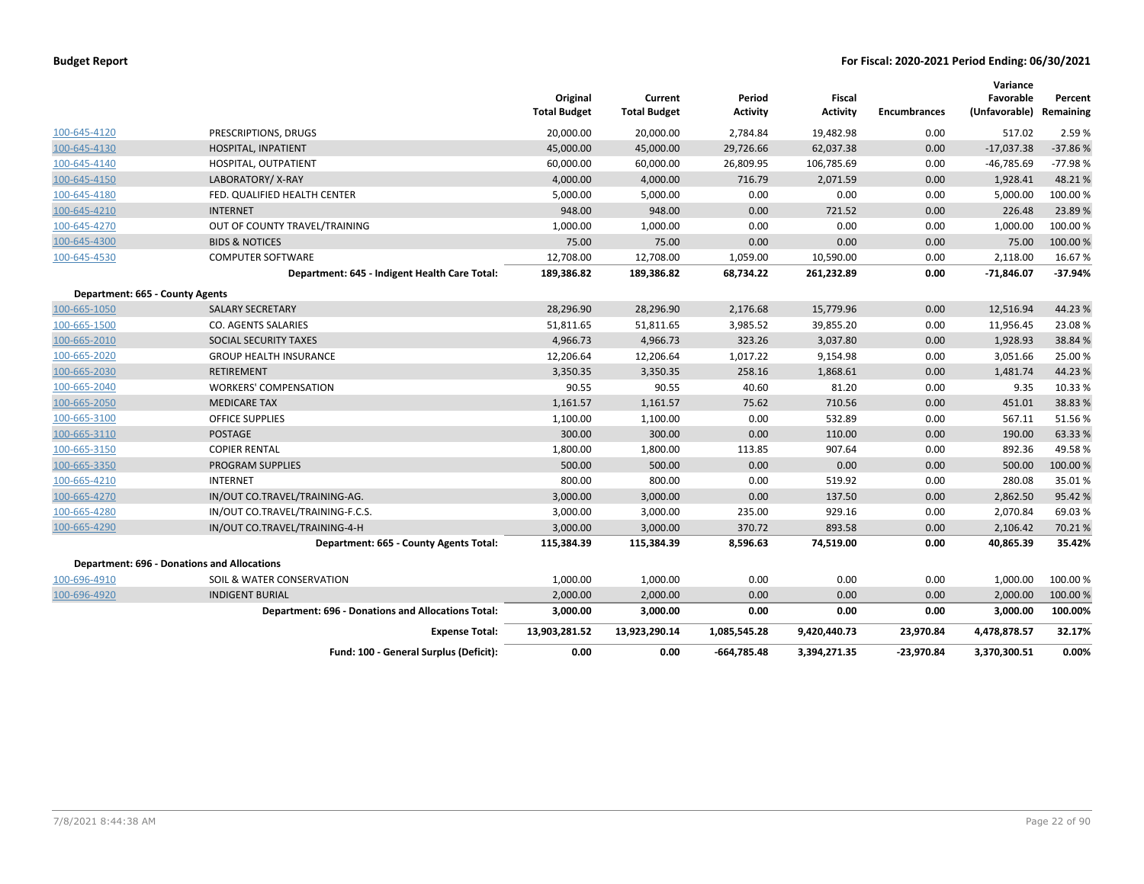|                                 | Fund: 100 - General Surplus (Deficit):                    | 0.00                            | 0.00                           | $-664,785.48$             | 3,394,271.35                     | $-23,970.84$        | 3,370,300.51                         | 0.00%     |
|---------------------------------|-----------------------------------------------------------|---------------------------------|--------------------------------|---------------------------|----------------------------------|---------------------|--------------------------------------|-----------|
|                                 | <b>Expense Total:</b>                                     | 13,903,281.52                   | 13,923,290.14                  | 1,085,545.28              | 9,420,440.73                     | 23,970.84           | 4,478,878.57                         | 32.17%    |
|                                 | <b>Department: 696 - Donations and Allocations Total:</b> | 3,000.00                        | 3,000.00                       | 0.00                      | 0.00                             | 0.00                | 3,000.00                             | 100.00%   |
| 100-696-4920                    | <b>INDIGENT BURIAL</b>                                    | 2,000.00                        | 2,000.00                       | 0.00                      | 0.00                             | 0.00                | 2,000.00                             | 100.00%   |
| 100-696-4910                    | SOIL & WATER CONSERVATION                                 | 1,000.00                        | 1,000.00                       | 0.00                      | 0.00                             | 0.00                | 1,000.00                             | 100.00%   |
|                                 | <b>Department: 696 - Donations and Allocations</b>        |                                 |                                |                           |                                  |                     |                                      |           |
|                                 | Department: 665 - County Agents Total:                    | 115,384.39                      | 115,384.39                     | 8,596.63                  | 74,519.00                        | 0.00                | 40,865.39                            | 35.42%    |
| 100-665-4290                    | IN/OUT CO.TRAVEL/TRAINING-4-H                             | 3,000.00                        | 3,000.00                       | 370.72                    | 893.58                           | 0.00                | 2,106.42                             | 70.21%    |
| 100-665-4280                    | IN/OUT CO.TRAVEL/TRAINING-F.C.S.                          | 3,000.00                        | 3,000.00                       | 235.00                    | 929.16                           | 0.00                | 2,070.84                             | 69.03%    |
| 100-665-4270                    | IN/OUT CO.TRAVEL/TRAINING-AG.                             | 3,000.00                        | 3,000.00                       | 0.00                      | 137.50                           | 0.00                | 2,862.50                             | 95.42%    |
| 100-665-4210                    | <b>INTERNET</b>                                           | 800.00                          | 800.00                         | 0.00                      | 519.92                           | 0.00                | 280.08                               | 35.01%    |
| 100-665-3350                    | <b>PROGRAM SUPPLIES</b>                                   | 500.00                          | 500.00                         | 0.00                      | 0.00                             | 0.00                | 500.00                               | 100.00 %  |
| 100-665-3150                    | <b>COPIER RENTAL</b>                                      | 1,800.00                        | 1,800.00                       | 113.85                    | 907.64                           | 0.00                | 892.36                               | 49.58%    |
| 100-665-3110                    | <b>POSTAGE</b>                                            | 300.00                          | 300.00                         | 0.00                      | 110.00                           | 0.00                | 190.00                               | 63.33%    |
| 100-665-3100                    | <b>OFFICE SUPPLIES</b>                                    | 1,100.00                        | 1,100.00                       | 0.00                      | 532.89                           | 0.00                | 567.11                               | 51.56%    |
| 100-665-2050                    | <b>MEDICARE TAX</b>                                       | 1,161.57                        | 1,161.57                       | 75.62                     | 710.56                           | 0.00                | 451.01                               | 38.83%    |
| 100-665-2040                    | <b>WORKERS' COMPENSATION</b>                              | 90.55                           | 90.55                          | 40.60                     | 81.20                            | 0.00                | 9.35                                 | 10.33%    |
| 100-665-2030                    | <b>RETIREMENT</b>                                         | 3,350.35                        | 3,350.35                       | 258.16                    | 1,868.61                         | 0.00                | 1,481.74                             | 44.23%    |
| 100-665-2020                    | <b>GROUP HEALTH INSURANCE</b>                             | 12,206.64                       | 12,206.64                      | 1,017.22                  | 9,154.98                         | 0.00                | 3,051.66                             | 25.00 %   |
| 100-665-2010                    | SOCIAL SECURITY TAXES                                     | 4,966.73                        | 4,966.73                       | 323.26                    | 3,037.80                         | 0.00                | 1,928.93                             | 38.84 %   |
| 100-665-1500                    | <b>CO. AGENTS SALARIES</b>                                | 51,811.65                       | 51,811.65                      | 3,985.52                  | 39,855.20                        | 0.00                | 11,956.45                            | 23.08%    |
| 100-665-1050                    | <b>SALARY SECRETARY</b>                                   | 28,296.90                       | 28,296.90                      | 2,176.68                  | 15,779.96                        | 0.00                | 12,516.94                            | 44.23%    |
| Department: 665 - County Agents |                                                           |                                 |                                |                           |                                  |                     |                                      |           |
|                                 | Department: 645 - Indigent Health Care Total:             | 189,386.82                      | 189,386.82                     | 68,734.22                 | 261,232.89                       | 0.00                | $-71,846.07$                         | $-37.94%$ |
| 100-645-4530                    | <b>COMPUTER SOFTWARE</b>                                  | 12,708.00                       | 12,708.00                      | 1,059.00                  | 10,590.00                        | 0.00                | 2,118.00                             | 16.67%    |
| 100-645-4300                    | <b>BIDS &amp; NOTICES</b>                                 | 75.00                           | 75.00                          | 0.00                      | 0.00                             | 0.00                | 75.00                                | 100.00 %  |
| 100-645-4270                    | OUT OF COUNTY TRAVEL/TRAINING                             | 1,000.00                        | 1,000.00                       | 0.00                      | 0.00                             | 0.00                | 1,000.00                             | 100.00%   |
| 100-645-4210                    | <b>INTERNET</b>                                           | 948.00                          | 948.00                         | 0.00                      | 721.52                           | 0.00                | 226.48                               | 23.89%    |
| 100-645-4180                    | FED. QUALIFIED HEALTH CENTER                              | 5,000.00                        | 5,000.00                       | 0.00                      | 0.00                             | 0.00                | 5,000.00                             | 100.00%   |
| 100-645-4150                    | LABORATORY/X-RAY                                          | 4,000.00                        | 4,000.00                       | 716.79                    | 2,071.59                         | 0.00                | 1,928.41                             | 48.21%    |
| 100-645-4140                    | HOSPITAL, OUTPATIENT                                      | 60,000.00                       | 60,000.00                      | 26,809.95                 | 106,785.69                       | 0.00                | $-46,785.69$                         | $-77.98%$ |
| 100-645-4130                    | HOSPITAL, INPATIENT                                       | 45,000.00                       | 45,000.00                      | 29,726.66                 | 62,037.38                        | 0.00                | $-17,037.38$                         | $-37.86%$ |
| 100-645-4120                    | PRESCRIPTIONS, DRUGS                                      | 20,000.00                       | 20,000.00                      | 2,784.84                  | 19,482.98                        | 0.00                | 517.02                               | 2.59%     |
|                                 |                                                           | Original<br><b>Total Budget</b> | Current<br><b>Total Budget</b> | Period<br><b>Activity</b> | <b>Fiscal</b><br><b>Activity</b> | <b>Encumbrances</b> | Favorable<br>(Unfavorable) Remaining | Percent   |
|                                 |                                                           |                                 |                                |                           |                                  |                     | Variance                             |           |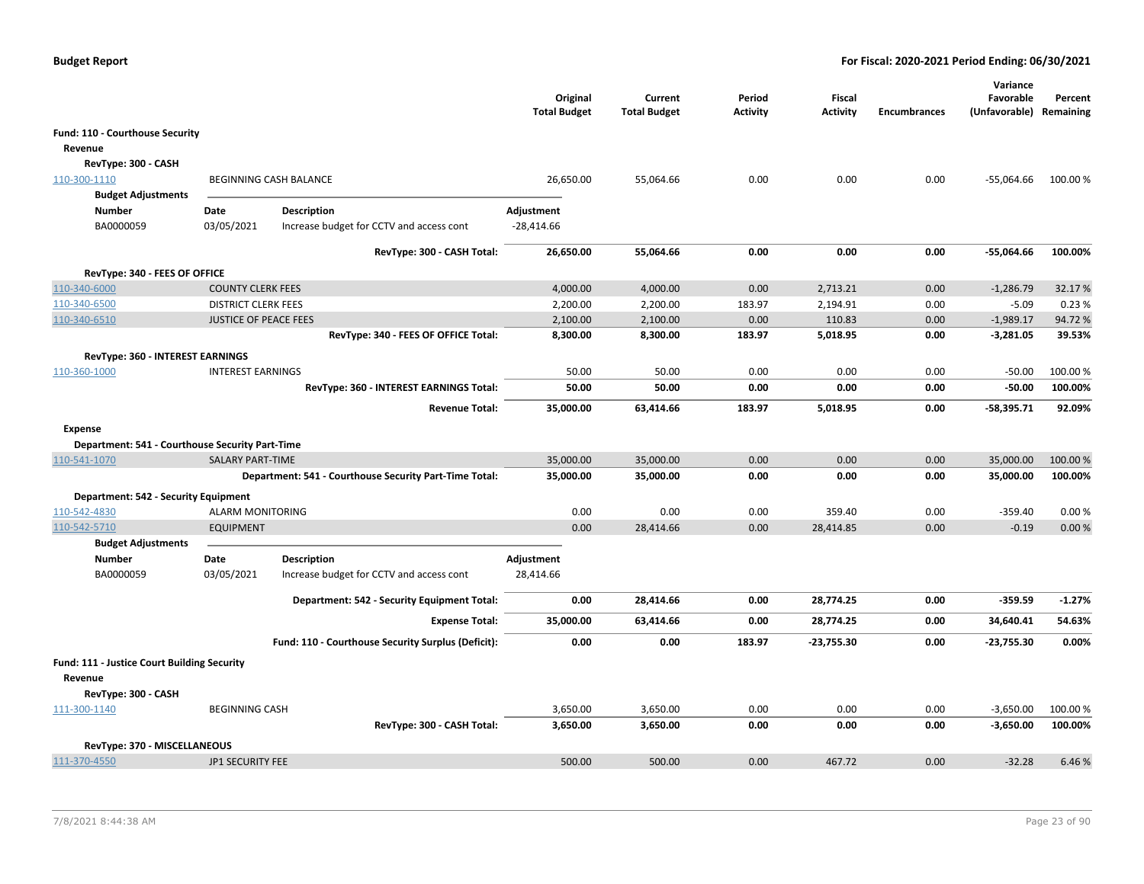|                                                 |                              |                                                        | Original<br><b>Total Budget</b> | Current<br><b>Total Budget</b> | Period<br><b>Activity</b> | Fiscal<br><b>Activity</b> | <b>Encumbrances</b> | Variance<br>Favorable<br>(Unfavorable) | Percent<br>Remaining |
|-------------------------------------------------|------------------------------|--------------------------------------------------------|---------------------------------|--------------------------------|---------------------------|---------------------------|---------------------|----------------------------------------|----------------------|
| Fund: 110 - Courthouse Security                 |                              |                                                        |                                 |                                |                           |                           |                     |                                        |                      |
| Revenue                                         |                              |                                                        |                                 |                                |                           |                           |                     |                                        |                      |
| RevType: 300 - CASH                             |                              |                                                        |                                 |                                |                           |                           |                     |                                        |                      |
| 110-300-1110                                    |                              | BEGINNING CASH BALANCE                                 | 26,650.00                       | 55,064.66                      | 0.00                      | 0.00                      | 0.00                | -55,064.66                             | 100.00%              |
| <b>Budget Adjustments</b>                       |                              |                                                        |                                 |                                |                           |                           |                     |                                        |                      |
| <b>Number</b>                                   | Date                         | <b>Description</b>                                     | Adjustment                      |                                |                           |                           |                     |                                        |                      |
| BA0000059                                       | 03/05/2021                   | Increase budget for CCTV and access cont               | $-28,414.66$                    |                                |                           |                           |                     |                                        |                      |
|                                                 |                              | RevType: 300 - CASH Total:                             | 26,650.00                       | 55,064.66                      | 0.00                      | 0.00                      | 0.00                | $-55,064.66$                           | 100.00%              |
| RevType: 340 - FEES OF OFFICE                   |                              |                                                        |                                 |                                |                           |                           |                     |                                        |                      |
| 110-340-6000                                    | <b>COUNTY CLERK FEES</b>     |                                                        | 4,000.00                        | 4,000.00                       | 0.00                      | 2,713.21                  | 0.00                | $-1,286.79$                            | 32.17 %              |
| 110-340-6500                                    | <b>DISTRICT CLERK FEES</b>   |                                                        | 2,200.00                        | 2,200.00                       | 183.97                    | 2,194.91                  | 0.00                | $-5.09$                                | 0.23%                |
| 110-340-6510                                    | <b>JUSTICE OF PEACE FEES</b> |                                                        | 2,100.00                        | 2,100.00                       | 0.00                      | 110.83                    | 0.00                | $-1,989.17$                            | 94.72%               |
|                                                 |                              | RevType: 340 - FEES OF OFFICE Total:                   | 8,300.00                        | 8,300.00                       | 183.97                    | 5,018.95                  | 0.00                | $-3,281.05$                            | 39.53%               |
| RevType: 360 - INTEREST EARNINGS                |                              |                                                        |                                 |                                |                           |                           |                     |                                        |                      |
| 110-360-1000                                    | <b>INTEREST EARNINGS</b>     |                                                        | 50.00                           | 50.00                          | 0.00                      | 0.00                      | 0.00                | $-50.00$                               | 100.00 %             |
|                                                 |                              | RevType: 360 - INTEREST EARNINGS Total:                | 50.00                           | 50.00                          | 0.00                      | 0.00                      | 0.00                | $-50.00$                               | 100.00%              |
|                                                 |                              | <b>Revenue Total:</b>                                  | 35,000.00                       | 63,414.66                      | 183.97                    | 5,018.95                  | 0.00                | $-58,395.71$                           | 92.09%               |
| Expense                                         |                              |                                                        |                                 |                                |                           |                           |                     |                                        |                      |
| Department: 541 - Courthouse Security Part-Time |                              |                                                        |                                 |                                |                           |                           |                     |                                        |                      |
| 110-541-1070                                    | <b>SALARY PART-TIME</b>      |                                                        | 35,000.00                       | 35,000.00                      | 0.00                      | 0.00                      | 0.00                | 35,000.00                              | 100.00 %             |
|                                                 |                              | Department: 541 - Courthouse Security Part-Time Total: | 35,000.00                       | 35,000.00                      | 0.00                      | 0.00                      | 0.00                | 35,000.00                              | 100.00%              |
| Department: 542 - Security Equipment            |                              |                                                        |                                 |                                |                           |                           |                     |                                        |                      |
| 110-542-4830                                    | <b>ALARM MONITORING</b>      |                                                        | 0.00                            | 0.00                           | 0.00                      | 359.40                    | 0.00                | $-359.40$                              | 0.00%                |
| 110-542-5710                                    | <b>EQUIPMENT</b>             |                                                        | 0.00                            | 28,414.66                      | 0.00                      | 28,414.85                 | 0.00                | $-0.19$                                | 0.00%                |
| <b>Budget Adjustments</b>                       |                              |                                                        |                                 |                                |                           |                           |                     |                                        |                      |
| Number                                          | Date                         | <b>Description</b>                                     | Adjustment                      |                                |                           |                           |                     |                                        |                      |
| BA0000059                                       | 03/05/2021                   | Increase budget for CCTV and access cont               | 28,414.66                       |                                |                           |                           |                     |                                        |                      |
|                                                 |                              | Department: 542 - Security Equipment Total:            | 0.00                            | 28,414.66                      | 0.00                      | 28,774.25                 | 0.00                | $-359.59$                              | $-1.27%$             |
|                                                 |                              | <b>Expense Total:</b>                                  | 35,000.00                       | 63,414.66                      | 0.00                      | 28,774.25                 | 0.00                | 34,640.41                              | 54.63%               |
|                                                 |                              | Fund: 110 - Courthouse Security Surplus (Deficit):     | 0.00                            | 0.00                           | 183.97                    | -23,755.30                | 0.00                | -23,755.30                             | 0.00%                |
| Fund: 111 - Justice Court Building Security     |                              |                                                        |                                 |                                |                           |                           |                     |                                        |                      |
| Revenue                                         |                              |                                                        |                                 |                                |                           |                           |                     |                                        |                      |
| RevType: 300 - CASH                             |                              |                                                        |                                 |                                |                           |                           |                     |                                        |                      |
| 111-300-1140                                    | <b>BEGINNING CASH</b>        |                                                        | 3,650.00                        | 3,650.00                       | 0.00                      | 0.00                      | 0.00                | $-3,650.00$                            | 100.00 %             |
|                                                 |                              | RevType: 300 - CASH Total:                             | 3,650.00                        | 3,650.00                       | 0.00                      | 0.00                      | 0.00                | $-3,650.00$                            | 100.00%              |
| RevType: 370 - MISCELLANEOUS                    |                              |                                                        |                                 |                                |                           |                           |                     |                                        |                      |
| 111-370-4550                                    | <b>JP1 SECURITY FEE</b>      |                                                        | 500.00                          | 500.00                         | 0.00                      | 467.72                    | 0.00                | $-32.28$                               | 6.46%                |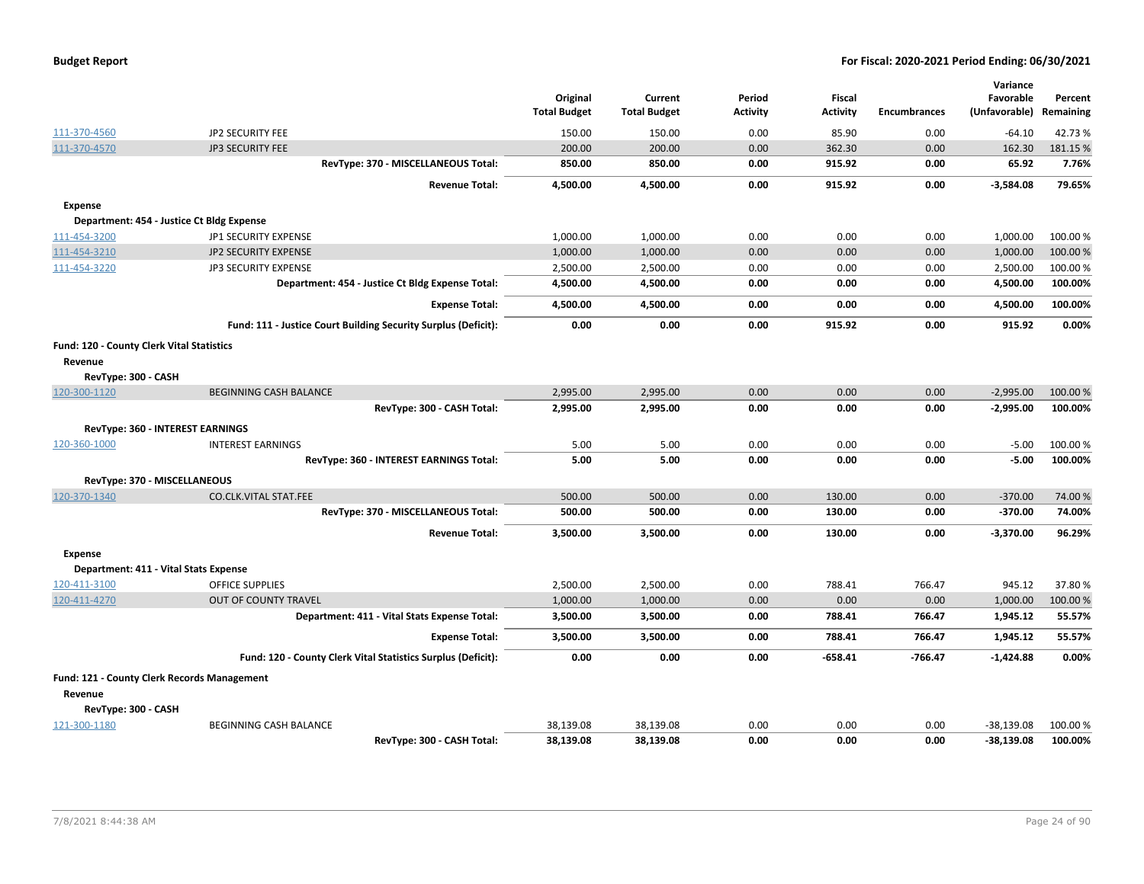| <b>Budget Report</b> |  |
|----------------------|--|
|----------------------|--|

|                                             |                                                                | Original<br><b>Total Budget</b> | Current<br><b>Total Budget</b> | Period<br><b>Activity</b> | <b>Fiscal</b><br><b>Activity</b> | <b>Encumbrances</b> | Variance<br>Favorable<br>(Unfavorable) | Percent<br>Remaining |
|---------------------------------------------|----------------------------------------------------------------|---------------------------------|--------------------------------|---------------------------|----------------------------------|---------------------|----------------------------------------|----------------------|
| 111-370-4560                                | JP2 SECURITY FEE                                               | 150.00                          | 150.00                         | 0.00                      | 85.90                            | 0.00                | $-64.10$                               | 42.73%               |
| 111-370-4570                                | <b>JP3 SECURITY FEE</b>                                        | 200.00                          | 200.00                         | 0.00                      | 362.30                           | 0.00                | 162.30                                 | 181.15 %             |
|                                             | RevType: 370 - MISCELLANEOUS Total:                            | 850.00                          | 850.00                         | 0.00                      | 915.92                           | 0.00                | 65.92                                  | 7.76%                |
|                                             | <b>Revenue Total:</b>                                          | 4,500.00                        | 4,500.00                       | 0.00                      | 915.92                           | 0.00                | $-3,584.08$                            | 79.65%               |
| <b>Expense</b>                              |                                                                |                                 |                                |                           |                                  |                     |                                        |                      |
| Department: 454 - Justice Ct Bldg Expense   |                                                                |                                 |                                |                           |                                  |                     |                                        |                      |
| 111-454-3200                                | JP1 SECURITY EXPENSE                                           | 1,000.00                        | 1,000.00                       | 0.00                      | 0.00                             | 0.00                | 1,000.00                               | 100.00%              |
| 111-454-3210                                | <b>JP2 SECURITY EXPENSE</b>                                    | 1,000.00                        | 1,000.00                       | 0.00                      | 0.00                             | 0.00                | 1,000.00                               | 100.00%              |
| 111-454-3220                                | <b>JP3 SECURITY EXPENSE</b>                                    | 2,500.00                        | 2,500.00                       | 0.00                      | 0.00                             | 0.00                | 2,500.00                               | 100.00 %             |
|                                             | Department: 454 - Justice Ct Bldg Expense Total:               | 4,500.00                        | 4,500.00                       | 0.00                      | 0.00                             | 0.00                | 4,500.00                               | 100.00%              |
|                                             | <b>Expense Total:</b>                                          | 4,500.00                        | 4,500.00                       | 0.00                      | 0.00                             | 0.00                | 4,500.00                               | 100.00%              |
|                                             | Fund: 111 - Justice Court Building Security Surplus (Deficit): | 0.00                            | 0.00                           | 0.00                      | 915.92                           | 0.00                | 915.92                                 | 0.00%                |
| Fund: 120 - County Clerk Vital Statistics   |                                                                |                                 |                                |                           |                                  |                     |                                        |                      |
| Revenue                                     |                                                                |                                 |                                |                           |                                  |                     |                                        |                      |
| RevType: 300 - CASH                         |                                                                |                                 |                                |                           |                                  |                     |                                        |                      |
| 120-300-1120                                | <b>BEGINNING CASH BALANCE</b>                                  | 2,995.00                        | 2,995.00                       | 0.00                      | 0.00                             | 0.00                | $-2,995.00$                            | 100.00 %             |
|                                             | RevType: 300 - CASH Total:                                     | 2,995.00                        | 2,995.00                       | 0.00                      | 0.00                             | 0.00                | $-2,995.00$                            | 100.00%              |
| <b>RevType: 360 - INTEREST EARNINGS</b>     |                                                                |                                 |                                |                           |                                  |                     |                                        |                      |
| 120-360-1000                                | <b>INTEREST EARNINGS</b>                                       | 5.00                            | 5.00                           | 0.00                      | 0.00                             | 0.00                | $-5.00$                                | 100.00 %             |
|                                             | RevType: 360 - INTEREST EARNINGS Total:                        | 5.00                            | 5.00                           | 0.00                      | 0.00                             | 0.00                | $-5.00$                                | 100.00%              |
| RevType: 370 - MISCELLANEOUS                |                                                                |                                 |                                |                           |                                  |                     |                                        |                      |
| 120-370-1340                                | <b>CO.CLK.VITAL STAT.FEE</b>                                   | 500.00                          | 500.00                         | 0.00                      | 130.00                           | 0.00                | $-370.00$                              | 74.00 %              |
|                                             | RevType: 370 - MISCELLANEOUS Total:                            | 500.00                          | 500.00                         | 0.00                      | 130.00                           | 0.00                | $-370.00$                              | 74.00%               |
|                                             | <b>Revenue Total:</b>                                          | 3,500.00                        | 3,500.00                       | 0.00                      | 130.00                           | 0.00                | $-3,370.00$                            | 96.29%               |
| <b>Expense</b>                              |                                                                |                                 |                                |                           |                                  |                     |                                        |                      |
| Department: 411 - Vital Stats Expense       |                                                                |                                 |                                |                           |                                  |                     |                                        |                      |
| 120-411-3100                                | <b>OFFICE SUPPLIES</b>                                         | 2,500.00                        | 2,500.00                       | 0.00                      | 788.41                           | 766.47              | 945.12                                 | 37.80%               |
| 120-411-4270                                | <b>OUT OF COUNTY TRAVEL</b>                                    | 1,000.00                        | 1,000.00                       | 0.00                      | 0.00                             | 0.00                | 1,000.00                               | 100.00 %             |
|                                             | Department: 411 - Vital Stats Expense Total:                   | 3,500.00                        | 3,500.00                       | 0.00                      | 788.41                           | 766.47              | 1,945.12                               | 55.57%               |
|                                             | <b>Expense Total:</b>                                          | 3,500.00                        | 3,500.00                       | 0.00                      | 788.41                           | 766.47              | 1,945.12                               | 55.57%               |
|                                             | Fund: 120 - County Clerk Vital Statistics Surplus (Deficit):   | 0.00                            | 0.00                           | 0.00                      | $-658.41$                        | $-766.47$           | $-1,424.88$                            | 0.00%                |
| Fund: 121 - County Clerk Records Management |                                                                |                                 |                                |                           |                                  |                     |                                        |                      |
| Revenue                                     |                                                                |                                 |                                |                           |                                  |                     |                                        |                      |
| RevType: 300 - CASH                         |                                                                |                                 |                                |                           |                                  |                     |                                        |                      |
| 121-300-1180                                | BEGINNING CASH BALANCE                                         | 38,139.08                       | 38,139.08                      | 0.00                      | 0.00                             | 0.00                | $-38,139.08$                           | 100.00 %             |
|                                             | RevType: 300 - CASH Total:                                     | 38,139.08                       | 38,139.08                      | 0.00                      | 0.00                             | 0.00                | $-38,139.08$                           | 100.00%              |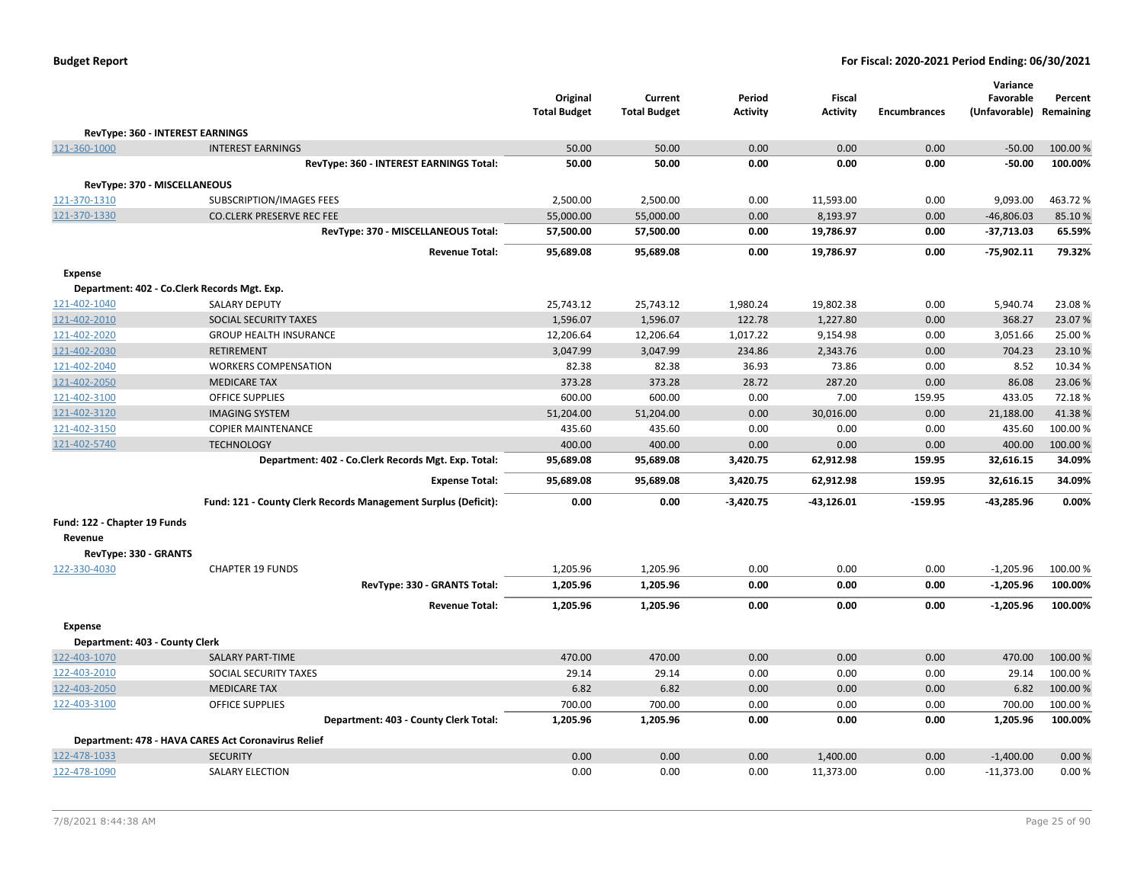|                                |                                                                | Original<br><b>Total Budget</b> | Current<br><b>Total Budget</b> | Period<br><b>Activity</b> | Fiscal<br><b>Activity</b> | <b>Encumbrances</b> | Variance<br>Favorable<br>(Unfavorable) | Percent<br>Remaining |
|--------------------------------|----------------------------------------------------------------|---------------------------------|--------------------------------|---------------------------|---------------------------|---------------------|----------------------------------------|----------------------|
|                                | <b>RevType: 360 - INTEREST EARNINGS</b>                        |                                 |                                |                           |                           |                     |                                        |                      |
| 121-360-1000                   | <b>INTEREST EARNINGS</b>                                       | 50.00                           | 50.00                          | 0.00                      | 0.00                      | 0.00                | $-50.00$                               | 100.00%              |
|                                | RevType: 360 - INTEREST EARNINGS Total:                        | 50.00                           | 50.00                          | 0.00                      | 0.00                      | 0.00                | $-50.00$                               | 100.00%              |
|                                | RevType: 370 - MISCELLANEOUS                                   |                                 |                                |                           |                           |                     |                                        |                      |
| 121-370-1310                   | SUBSCRIPTION/IMAGES FEES                                       | 2,500.00                        | 2,500.00                       | 0.00                      | 11,593.00                 | 0.00                | 9,093.00                               | 463.72%              |
| 121-370-1330                   | <b>CO.CLERK PRESERVE REC FEE</b>                               | 55,000.00                       | 55,000.00                      | 0.00                      | 8,193.97                  | 0.00                | $-46,806.03$                           | 85.10%               |
|                                | RevType: 370 - MISCELLANEOUS Total:                            | 57,500.00                       | 57,500.00                      | 0.00                      | 19,786.97                 | 0.00                | -37,713.03                             | 65.59%               |
|                                | <b>Revenue Total:</b>                                          | 95,689.08                       | 95,689.08                      | 0.00                      | 19,786.97                 | 0.00                | -75,902.11                             | 79.32%               |
|                                |                                                                |                                 |                                |                           |                           |                     |                                        |                      |
| <b>Expense</b>                 | Department: 402 - Co.Clerk Records Mgt. Exp.                   |                                 |                                |                           |                           |                     |                                        |                      |
| 121-402-1040                   | <b>SALARY DEPUTY</b>                                           | 25,743.12                       | 25,743.12                      | 1,980.24                  | 19,802.38                 | 0.00                | 5,940.74                               | 23.08%               |
| 121-402-2010                   | SOCIAL SECURITY TAXES                                          | 1,596.07                        | 1,596.07                       | 122.78                    | 1,227.80                  | 0.00                | 368.27                                 | 23.07%               |
| 121-402-2020                   | <b>GROUP HEALTH INSURANCE</b>                                  | 12,206.64                       | 12,206.64                      | 1,017.22                  | 9,154.98                  | 0.00                | 3,051.66                               | 25.00 %              |
| 121-402-2030                   | <b>RETIREMENT</b>                                              | 3,047.99                        | 3,047.99                       | 234.86                    | 2,343.76                  | 0.00                | 704.23                                 | 23.10%               |
| 121-402-2040                   | <b>WORKERS COMPENSATION</b>                                    | 82.38                           | 82.38                          | 36.93                     | 73.86                     | 0.00                | 8.52                                   | 10.34 %              |
| 121-402-2050                   | <b>MEDICARE TAX</b>                                            | 373.28                          | 373.28                         | 28.72                     | 287.20                    | 0.00                | 86.08                                  | 23.06%               |
| 121-402-3100                   | <b>OFFICE SUPPLIES</b>                                         | 600.00                          | 600.00                         | 0.00                      | 7.00                      | 159.95              | 433.05                                 | 72.18%               |
| 121-402-3120                   | <b>IMAGING SYSTEM</b>                                          | 51,204.00                       | 51,204.00                      | 0.00                      | 30,016.00                 | 0.00                | 21,188.00                              | 41.38%               |
| 121-402-3150                   | <b>COPIER MAINTENANCE</b>                                      | 435.60                          | 435.60                         | 0.00                      | 0.00                      | 0.00                | 435.60                                 | 100.00%              |
| 121-402-5740                   | <b>TECHNOLOGY</b>                                              | 400.00                          | 400.00                         | 0.00                      | 0.00                      | 0.00                | 400.00                                 | 100.00 %             |
|                                | Department: 402 - Co.Clerk Records Mgt. Exp. Total:            | 95,689.08                       | 95,689.08                      | 3,420.75                  | 62,912.98                 | 159.95              | 32,616.15                              | 34.09%               |
|                                | <b>Expense Total:</b>                                          | 95,689.08                       | 95,689.08                      | 3,420.75                  | 62,912.98                 | 159.95              | 32,616.15                              | 34.09%               |
|                                | Fund: 121 - County Clerk Records Management Surplus (Deficit): | 0.00                            | 0.00                           | $-3,420.75$               | $-43,126.01$              | $-159.95$           | $-43,285.96$                           | 0.00%                |
| Fund: 122 - Chapter 19 Funds   |                                                                |                                 |                                |                           |                           |                     |                                        |                      |
| Revenue                        |                                                                |                                 |                                |                           |                           |                     |                                        |                      |
| RevType: 330 - GRANTS          |                                                                |                                 |                                |                           |                           |                     |                                        |                      |
| 122-330-4030                   | <b>CHAPTER 19 FUNDS</b>                                        | 1,205.96                        | 1,205.96                       | 0.00                      | 0.00                      | 0.00                | $-1,205.96$                            | 100.00%              |
|                                | RevType: 330 - GRANTS Total:                                   | 1,205.96                        | 1,205.96                       | 0.00                      | 0.00                      | 0.00                | $-1,205.96$                            | 100.00%              |
|                                | <b>Revenue Total:</b>                                          | 1,205.96                        | 1,205.96                       | 0.00                      | 0.00                      | 0.00                | -1,205.96                              | 100.00%              |
| <b>Expense</b>                 |                                                                |                                 |                                |                           |                           |                     |                                        |                      |
| Department: 403 - County Clerk |                                                                |                                 |                                |                           |                           |                     |                                        |                      |
| 122-403-1070                   | <b>SALARY PART-TIME</b>                                        | 470.00                          | 470.00                         | 0.00                      | 0.00                      | 0.00                | 470.00                                 | 100.00%              |
| 122-403-2010                   | SOCIAL SECURITY TAXES                                          | 29.14                           | 29.14                          | 0.00                      | 0.00                      | 0.00                | 29.14                                  | 100.00 %             |
| 122-403-2050                   | <b>MEDICARE TAX</b>                                            | 6.82                            | 6.82                           | 0.00                      | 0.00                      | 0.00                | 6.82                                   | 100.00%              |
| 122-403-3100                   | <b>OFFICE SUPPLIES</b>                                         | 700.00                          | 700.00                         | 0.00                      | 0.00                      | 0.00                | 700.00                                 | 100.00%              |
|                                | Department: 403 - County Clerk Total:                          | 1,205.96                        | 1,205.96                       | 0.00                      | 0.00                      | 0.00                | 1,205.96                               | 100.00%              |
|                                | Department: 478 - HAVA CARES Act Coronavirus Relief            |                                 |                                |                           |                           |                     |                                        |                      |
| 122-478-1033                   | <b>SECURITY</b>                                                | 0.00                            | 0.00                           | 0.00                      | 1,400.00                  | 0.00                | $-1,400.00$                            | 0.00%                |
| 122-478-1090                   | <b>SALARY ELECTION</b>                                         | 0.00                            | 0.00                           | 0.00                      | 11,373.00                 | 0.00                | $-11,373.00$                           | 0.00%                |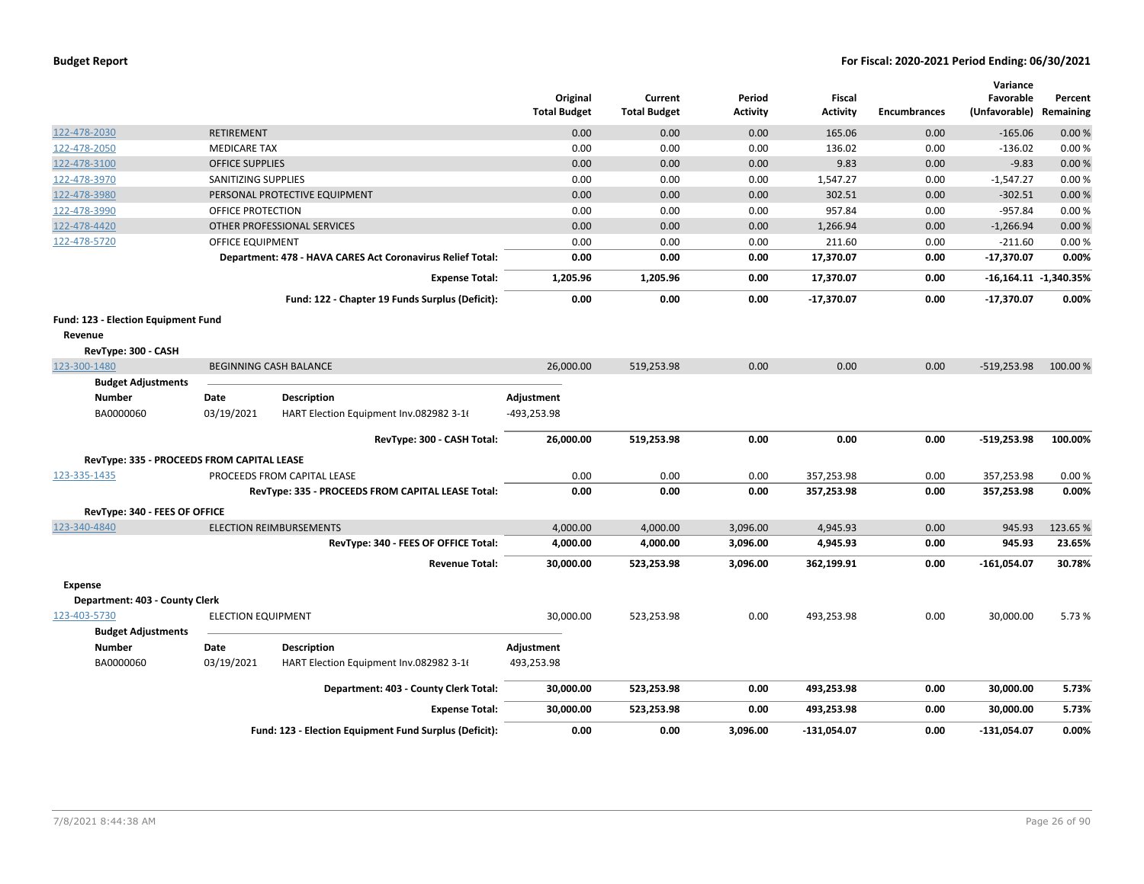|                                                |                           |                                                            | Original<br><b>Total Budget</b> | Current<br><b>Total Budget</b> | Period<br><b>Activity</b> | <b>Fiscal</b><br><b>Activity</b> | <b>Encumbrances</b> | Variance<br>Favorable<br>(Unfavorable) Remaining | Percent                 |
|------------------------------------------------|---------------------------|------------------------------------------------------------|---------------------------------|--------------------------------|---------------------------|----------------------------------|---------------------|--------------------------------------------------|-------------------------|
| 122-478-2030                                   | <b>RETIREMENT</b>         |                                                            | 0.00                            | 0.00                           | 0.00                      | 165.06                           | 0.00                | $-165.06$                                        | 0.00%                   |
| 122-478-2050                                   | <b>MEDICARE TAX</b>       |                                                            | 0.00                            | 0.00                           | 0.00                      | 136.02                           | 0.00                | $-136.02$                                        | 0.00%                   |
| 122-478-3100                                   | <b>OFFICE SUPPLIES</b>    |                                                            | 0.00                            | 0.00                           | 0.00                      | 9.83                             | 0.00                | $-9.83$                                          | 0.00%                   |
| 122-478-3970                                   | SANITIZING SUPPLIES       |                                                            | 0.00                            | 0.00                           | 0.00                      | 1,547.27                         | 0.00                | $-1,547.27$                                      | 0.00%                   |
| 122-478-3980                                   |                           | PERSONAL PROTECTIVE EQUIPMENT                              | 0.00                            | 0.00                           | 0.00                      | 302.51                           | 0.00                | $-302.51$                                        | 0.00%                   |
| 122-478-3990                                   | OFFICE PROTECTION         |                                                            | 0.00                            | 0.00                           | 0.00                      | 957.84                           | 0.00                | $-957.84$                                        | 0.00%                   |
| 122-478-4420                                   |                           | OTHER PROFESSIONAL SERVICES                                | 0.00                            | 0.00                           | 0.00                      | 1,266.94                         | 0.00                | $-1,266.94$                                      | 0.00%                   |
| 122-478-5720                                   | <b>OFFICE EQUIPMENT</b>   |                                                            | 0.00                            | 0.00                           | 0.00                      | 211.60                           | 0.00                | $-211.60$                                        | 0.00%                   |
|                                                |                           | Department: 478 - HAVA CARES Act Coronavirus Relief Total: | 0.00                            | 0.00                           | 0.00                      | 17,370.07                        | 0.00                | $-17,370.07$                                     | 0.00%                   |
|                                                |                           | <b>Expense Total:</b>                                      | 1,205.96                        | 1,205.96                       | 0.00                      | 17,370.07                        | 0.00                |                                                  | $-16,164.11 -1,340.35%$ |
|                                                |                           | Fund: 122 - Chapter 19 Funds Surplus (Deficit):            | 0.00                            | 0.00                           | 0.00                      | $-17,370.07$                     | 0.00                | $-17,370.07$                                     | 0.00%                   |
| Fund: 123 - Election Equipment Fund<br>Revenue |                           |                                                            |                                 |                                |                           |                                  |                     |                                                  |                         |
| RevType: 300 - CASH                            |                           |                                                            |                                 |                                |                           |                                  |                     |                                                  |                         |
| 123-300-1480                                   |                           | <b>BEGINNING CASH BALANCE</b>                              | 26,000.00                       | 519,253.98                     | 0.00                      | 0.00                             | 0.00                | $-519,253.98$                                    | 100.00%                 |
| <b>Budget Adjustments</b>                      |                           |                                                            |                                 |                                |                           |                                  |                     |                                                  |                         |
| <b>Number</b>                                  | Date                      | <b>Description</b>                                         | Adjustment                      |                                |                           |                                  |                     |                                                  |                         |
| BA0000060                                      | 03/19/2021                | HART Election Equipment Inv.082982 3-1                     | -493,253.98                     |                                |                           |                                  |                     |                                                  |                         |
|                                                |                           | RevType: 300 - CASH Total:                                 | 26,000.00                       | 519,253.98                     | 0.00                      | 0.00                             | 0.00                | $-519,253.98$                                    | 100.00%                 |
| RevType: 335 - PROCEEDS FROM CAPITAL LEASE     |                           |                                                            |                                 |                                |                           |                                  |                     |                                                  |                         |
| 123-335-1435                                   |                           | PROCEEDS FROM CAPITAL LEASE                                | 0.00                            | 0.00                           | 0.00                      | 357,253.98                       | 0.00                | 357,253.98                                       | 0.00%                   |
|                                                |                           | RevType: 335 - PROCEEDS FROM CAPITAL LEASE Total:          | 0.00                            | 0.00                           | 0.00                      | 357,253.98                       | 0.00                | 357,253.98                                       | 0.00%                   |
| RevType: 340 - FEES OF OFFICE                  |                           |                                                            |                                 |                                |                           |                                  |                     |                                                  |                         |
| 123-340-4840                                   |                           | <b>ELECTION REIMBURSEMENTS</b>                             | 4,000.00                        | 4,000.00                       | 3,096.00                  | 4,945.93                         | 0.00                | 945.93                                           | 123.65%                 |
|                                                |                           | RevType: 340 - FEES OF OFFICE Total:                       | 4,000.00                        | 4,000.00                       | 3,096.00                  | 4,945.93                         | 0.00                | 945.93                                           | 23.65%                  |
|                                                |                           | <b>Revenue Total:</b>                                      | 30,000.00                       | 523,253.98                     | 3,096.00                  | 362,199.91                       | 0.00                | $-161,054.07$                                    | 30.78%                  |
| <b>Expense</b>                                 |                           |                                                            |                                 |                                |                           |                                  |                     |                                                  |                         |
| Department: 403 - County Clerk                 |                           |                                                            |                                 |                                |                           |                                  |                     |                                                  |                         |
| 123-403-5730<br><b>Budget Adjustments</b>      | <b>ELECTION EQUIPMENT</b> |                                                            | 30,000.00                       | 523,253.98                     | 0.00                      | 493,253.98                       | 0.00                | 30,000.00                                        | 5.73 %                  |
| <b>Number</b>                                  | Date                      | <b>Description</b>                                         | Adjustment                      |                                |                           |                                  |                     |                                                  |                         |
| BA0000060                                      | 03/19/2021                | HART Election Equipment Inv.082982 3-16                    | 493,253.98                      |                                |                           |                                  |                     |                                                  |                         |
|                                                |                           | Department: 403 - County Clerk Total:                      | 30,000.00                       | 523,253.98                     | 0.00                      | 493,253.98                       | 0.00                | 30,000.00                                        | 5.73%                   |
|                                                |                           | <b>Expense Total:</b>                                      | 30,000.00                       | 523,253.98                     | 0.00                      | 493,253.98                       | 0.00                | 30,000.00                                        | 5.73%                   |
|                                                |                           | Fund: 123 - Election Equipment Fund Surplus (Deficit):     | 0.00                            | 0.00                           | 3,096.00                  | $-131,054.07$                    | 0.00                | -131,054.07                                      | 0.00%                   |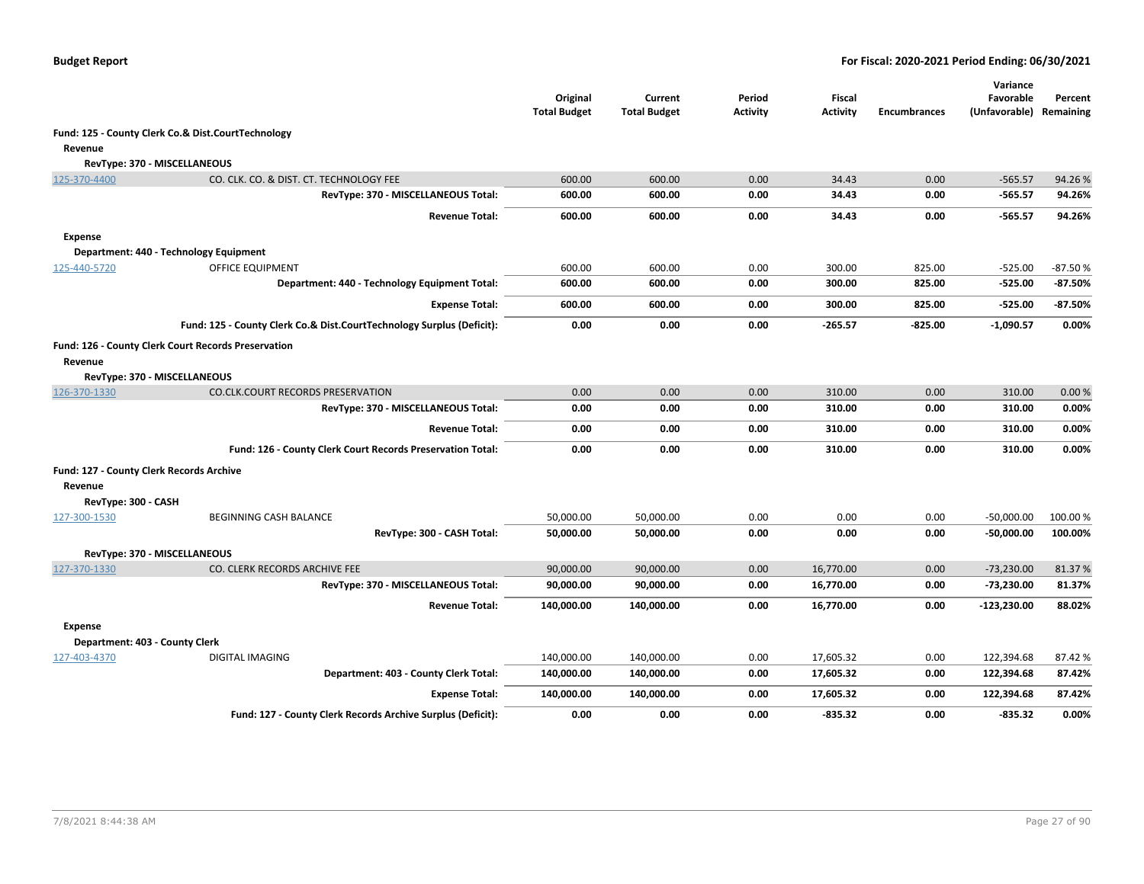|                                          |                                                                       | Original            | Current             | Period          | Fiscal          |                     | Variance<br>Favorable | Percent   |
|------------------------------------------|-----------------------------------------------------------------------|---------------------|---------------------|-----------------|-----------------|---------------------|-----------------------|-----------|
|                                          |                                                                       | <b>Total Budget</b> | <b>Total Budget</b> | <b>Activity</b> | <b>Activity</b> | <b>Encumbrances</b> | (Unfavorable)         | Remaining |
|                                          | Fund: 125 - County Clerk Co.& Dist.CourtTechnology                    |                     |                     |                 |                 |                     |                       |           |
| Revenue                                  |                                                                       |                     |                     |                 |                 |                     |                       |           |
|                                          | RevType: 370 - MISCELLANEOUS                                          |                     |                     |                 |                 |                     |                       |           |
| 125-370-4400                             | CO. CLK. CO. & DIST. CT. TECHNOLOGY FEE                               | 600.00              | 600.00              | 0.00            | 34.43           | 0.00                | $-565.57$             | 94.26%    |
|                                          | RevType: 370 - MISCELLANEOUS Total:                                   | 600.00              | 600.00              | 0.00            | 34.43           | 0.00                | -565.57               | 94.26%    |
|                                          | <b>Revenue Total:</b>                                                 | 600.00              | 600.00              | 0.00            | 34.43           | 0.00                | -565.57               | 94.26%    |
| <b>Expense</b>                           |                                                                       |                     |                     |                 |                 |                     |                       |           |
|                                          | Department: 440 - Technology Equipment                                |                     |                     |                 |                 |                     |                       |           |
| 125-440-5720                             | OFFICE EQUIPMENT                                                      | 600.00              | 600.00              | 0.00            | 300.00          | 825.00              | $-525.00$             | $-87.50%$ |
|                                          | Department: 440 - Technology Equipment Total:                         | 600.00              | 600.00              | 0.00            | 300.00          | 825.00              | -525.00               | -87.50%   |
|                                          | <b>Expense Total:</b>                                                 | 600.00              | 600.00              | 0.00            | 300.00          | 825.00              | -525.00               | -87.50%   |
|                                          | Fund: 125 - County Clerk Co.& Dist.CourtTechnology Surplus (Deficit): | 0.00                | 0.00                | 0.00            | $-265.57$       | $-825.00$           | $-1,090.57$           | 0.00%     |
|                                          | Fund: 126 - County Clerk Court Records Preservation                   |                     |                     |                 |                 |                     |                       |           |
| Revenue                                  |                                                                       |                     |                     |                 |                 |                     |                       |           |
|                                          | RevType: 370 - MISCELLANEOUS                                          |                     |                     |                 |                 |                     |                       |           |
| 126-370-1330                             | CO.CLK.COURT RECORDS PRESERVATION                                     | 0.00                | 0.00                | 0.00            | 310.00          | 0.00                | 310.00                | 0.00%     |
|                                          | RevType: 370 - MISCELLANEOUS Total:                                   | 0.00                | 0.00                | 0.00            | 310.00          | 0.00                | 310.00                | 0.00%     |
|                                          | <b>Revenue Total:</b>                                                 | 0.00                | 0.00                | 0.00            | 310.00          | 0.00                | 310.00                | 0.00%     |
|                                          | Fund: 126 - County Clerk Court Records Preservation Total:            | 0.00                | 0.00                | 0.00            | 310.00          | 0.00                | 310.00                | 0.00%     |
| Fund: 127 - County Clerk Records Archive |                                                                       |                     |                     |                 |                 |                     |                       |           |
| Revenue                                  |                                                                       |                     |                     |                 |                 |                     |                       |           |
| RevType: 300 - CASH                      |                                                                       |                     |                     |                 |                 |                     |                       |           |
| 127-300-1530                             | BEGINNING CASH BALANCE                                                | 50,000.00           | 50,000.00           | 0.00            | 0.00            | 0.00                | $-50,000.00$          | 100.00%   |
|                                          | RevType: 300 - CASH Total:                                            | 50,000.00           | 50,000.00           | 0.00            | 0.00            | 0.00                | -50,000.00            | 100.00%   |
|                                          | RevType: 370 - MISCELLANEOUS                                          |                     |                     |                 |                 |                     |                       |           |
| 127-370-1330                             | CO. CLERK RECORDS ARCHIVE FEE                                         | 90,000.00           | 90,000.00           | 0.00            | 16,770.00       | 0.00                | $-73,230.00$          | 81.37%    |
|                                          | RevType: 370 - MISCELLANEOUS Total:                                   | 90,000.00           | 90,000.00           | 0.00            | 16,770.00       | 0.00                | -73,230.00            | 81.37%    |
|                                          | <b>Revenue Total:</b>                                                 | 140,000.00          | 140,000.00          | 0.00            | 16,770.00       | 0.00                | $-123,230.00$         | 88.02%    |
| <b>Expense</b>                           |                                                                       |                     |                     |                 |                 |                     |                       |           |
| Department: 403 - County Clerk           |                                                                       |                     |                     |                 |                 |                     |                       |           |
| 127-403-4370                             | <b>DIGITAL IMAGING</b>                                                | 140,000.00          | 140,000.00          | 0.00            | 17,605.32       | 0.00                | 122,394.68            | 87.42 %   |
|                                          | Department: 403 - County Clerk Total:                                 | 140,000.00          | 140,000.00          | 0.00            | 17,605.32       | 0.00                | 122,394.68            | 87.42%    |
|                                          | <b>Expense Total:</b>                                                 | 140,000.00          | 140,000.00          | 0.00            | 17,605.32       | 0.00                | 122,394.68            | 87.42%    |
|                                          | Fund: 127 - County Clerk Records Archive Surplus (Deficit):           | 0.00                | 0.00                | 0.00            | $-835.32$       | 0.00                | -835.32               | 0.00%     |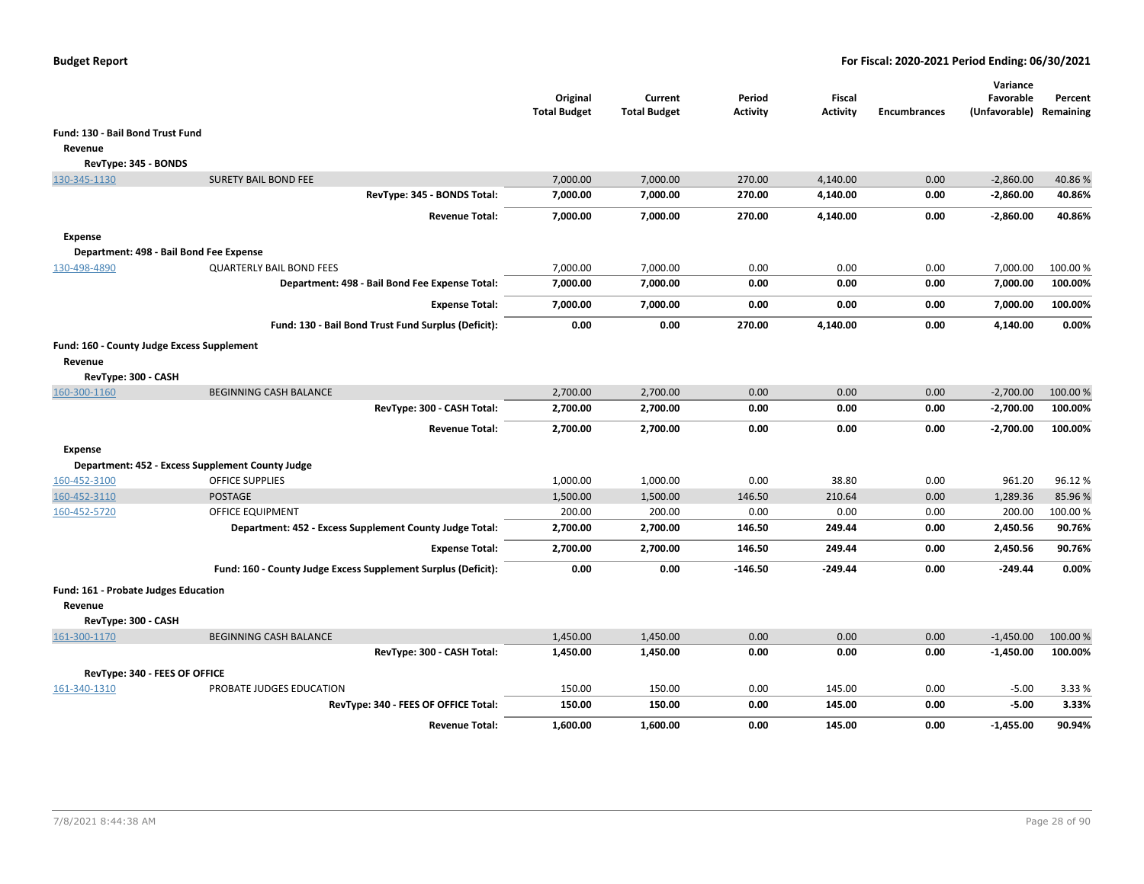|                                                       |                                                               | Original<br><b>Total Budget</b> | Current<br><b>Total Budget</b> | Period<br><b>Activity</b> | Fiscal<br><b>Activity</b> | <b>Encumbrances</b> | Variance<br>Favorable<br>(Unfavorable) Remaining | Percent  |
|-------------------------------------------------------|---------------------------------------------------------------|---------------------------------|--------------------------------|---------------------------|---------------------------|---------------------|--------------------------------------------------|----------|
| Fund: 130 - Bail Bond Trust Fund                      |                                                               |                                 |                                |                           |                           |                     |                                                  |          |
| Revenue                                               |                                                               |                                 |                                |                           |                           |                     |                                                  |          |
| RevType: 345 - BONDS                                  |                                                               |                                 |                                |                           |                           |                     |                                                  |          |
| 130-345-1130                                          | <b>SURETY BAIL BOND FEE</b>                                   | 7,000.00                        | 7,000.00                       | 270.00                    | 4,140.00                  | 0.00                | $-2,860.00$                                      | 40.86%   |
|                                                       | RevType: 345 - BONDS Total:                                   | 7,000.00                        | 7,000.00                       | 270.00                    | 4,140.00                  | 0.00                | $-2,860.00$                                      | 40.86%   |
|                                                       | <b>Revenue Total:</b>                                         | 7,000.00                        | 7,000.00                       | 270.00                    | 4,140.00                  | 0.00                | $-2,860.00$                                      | 40.86%   |
| <b>Expense</b>                                        |                                                               |                                 |                                |                           |                           |                     |                                                  |          |
| Department: 498 - Bail Bond Fee Expense               |                                                               |                                 |                                |                           |                           |                     |                                                  |          |
| 130-498-4890                                          | <b>QUARTERLY BAIL BOND FEES</b>                               | 7,000.00                        | 7,000.00                       | 0.00                      | 0.00                      | 0.00                | 7,000.00                                         | 100.00 % |
|                                                       | Department: 498 - Bail Bond Fee Expense Total:                | 7,000.00                        | 7,000.00                       | 0.00                      | 0.00                      | 0.00                | 7,000.00                                         | 100.00%  |
|                                                       | <b>Expense Total:</b>                                         | 7,000.00                        | 7,000.00                       | 0.00                      | 0.00                      | 0.00                | 7,000.00                                         | 100.00%  |
|                                                       | Fund: 130 - Bail Bond Trust Fund Surplus (Deficit):           | 0.00                            | 0.00                           | 270.00                    | 4,140.00                  | 0.00                | 4,140.00                                         | 0.00%    |
| Fund: 160 - County Judge Excess Supplement<br>Revenue |                                                               |                                 |                                |                           |                           |                     |                                                  |          |
| RevType: 300 - CASH                                   |                                                               |                                 |                                |                           |                           |                     |                                                  |          |
| 160-300-1160                                          | <b>BEGINNING CASH BALANCE</b>                                 | 2,700.00                        | 2,700.00                       | 0.00                      | 0.00                      | 0.00                | $-2,700.00$                                      | 100.00%  |
|                                                       | RevType: 300 - CASH Total:                                    | 2,700.00                        | 2,700.00                       | 0.00                      | 0.00                      | 0.00                | $-2,700.00$                                      | 100.00%  |
|                                                       | <b>Revenue Total:</b>                                         | 2,700.00                        | 2,700.00                       | 0.00                      | 0.00                      | 0.00                | $-2,700.00$                                      | 100.00%  |
| <b>Expense</b>                                        |                                                               |                                 |                                |                           |                           |                     |                                                  |          |
|                                                       | Department: 452 - Excess Supplement County Judge              |                                 |                                |                           |                           |                     |                                                  |          |
| 160-452-3100                                          | <b>OFFICE SUPPLIES</b>                                        | 1,000.00                        | 1,000.00                       | 0.00                      | 38.80                     | 0.00                | 961.20                                           | 96.12%   |
| 160-452-3110                                          | <b>POSTAGE</b>                                                | 1,500.00                        | 1,500.00                       | 146.50                    | 210.64                    | 0.00                | 1,289.36                                         | 85.96%   |
| 160-452-5720                                          | <b>OFFICE EQUIPMENT</b>                                       | 200.00                          | 200.00                         | 0.00                      | 0.00                      | 0.00                | 200.00                                           | 100.00%  |
|                                                       | Department: 452 - Excess Supplement County Judge Total:       | 2,700.00                        | 2,700.00                       | 146.50                    | 249.44                    | 0.00                | 2,450.56                                         | 90.76%   |
|                                                       | <b>Expense Total:</b>                                         | 2,700.00                        | 2,700.00                       | 146.50                    | 249.44                    | 0.00                | 2,450.56                                         | 90.76%   |
|                                                       | Fund: 160 - County Judge Excess Supplement Surplus (Deficit): | 0.00                            | 0.00                           | $-146.50$                 | $-249.44$                 | 0.00                | $-249.44$                                        | 0.00%    |
| Fund: 161 - Probate Judges Education<br>Revenue       |                                                               |                                 |                                |                           |                           |                     |                                                  |          |
| RevType: 300 - CASH                                   |                                                               |                                 |                                |                           |                           |                     |                                                  |          |
| 161-300-1170                                          | <b>BEGINNING CASH BALANCE</b>                                 | 1,450.00                        | 1,450.00                       | 0.00                      | 0.00                      | 0.00                | $-1,450.00$                                      | 100.00%  |
|                                                       | RevType: 300 - CASH Total:                                    | 1,450.00                        | 1,450.00                       | 0.00                      | 0.00                      | 0.00                | $-1,450.00$                                      | 100.00%  |
| RevType: 340 - FEES OF OFFICE                         |                                                               |                                 |                                |                           |                           |                     |                                                  |          |
| 161-340-1310                                          | PROBATE JUDGES EDUCATION                                      | 150.00                          | 150.00                         | 0.00                      | 145.00                    | 0.00                | $-5.00$                                          | 3.33 %   |
|                                                       | RevType: 340 - FEES OF OFFICE Total:                          | 150.00                          | 150.00                         | 0.00                      | 145.00                    | 0.00                | $-5.00$                                          | 3.33%    |
|                                                       | <b>Revenue Total:</b>                                         | 1,600.00                        | 1,600.00                       | 0.00                      | 145.00                    | 0.00                | $-1,455.00$                                      | 90.94%   |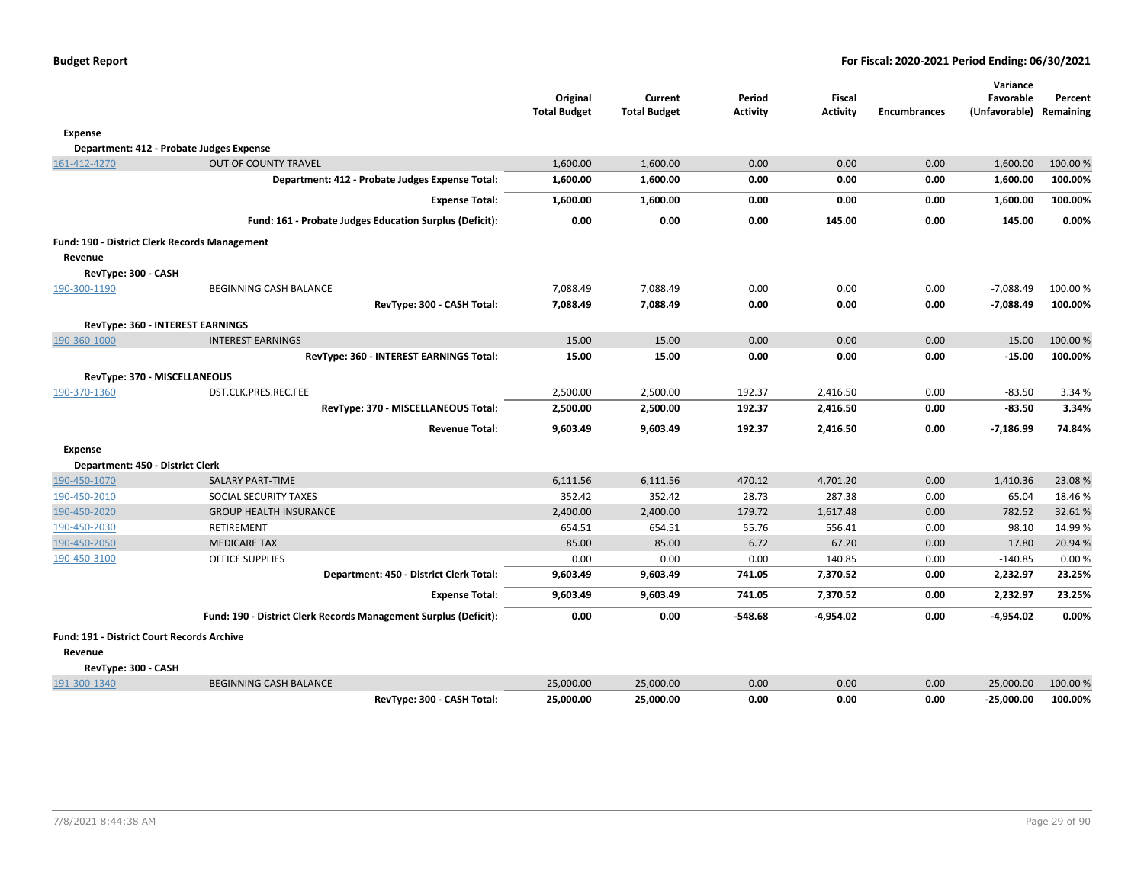| <b>Budget Report</b> |  |
|----------------------|--|
|----------------------|--|

|                                                      |                                                                  | Original            | Current             | Period          | <b>Fiscal</b>   |                     | Variance<br>Favorable   | Percent           |
|------------------------------------------------------|------------------------------------------------------------------|---------------------|---------------------|-----------------|-----------------|---------------------|-------------------------|-------------------|
|                                                      |                                                                  | <b>Total Budget</b> | <b>Total Budget</b> | <b>Activity</b> | <b>Activity</b> | <b>Encumbrances</b> | (Unfavorable) Remaining |                   |
| <b>Expense</b>                                       |                                                                  |                     |                     |                 |                 |                     |                         |                   |
| Department: 412 - Probate Judges Expense             |                                                                  |                     |                     |                 |                 |                     |                         |                   |
| 161-412-4270                                         | <b>OUT OF COUNTY TRAVEL</b>                                      | 1,600.00            | 1,600.00            | 0.00            | 0.00            | 0.00                | 1,600.00                | 100.00 %          |
|                                                      | Department: 412 - Probate Judges Expense Total:                  | 1,600.00            | 1,600.00            | 0.00            | 0.00            | 0.00                | 1,600.00                | 100.00%           |
|                                                      | <b>Expense Total:</b>                                            | 1,600.00            | 1,600.00            | 0.00            | 0.00            | 0.00                | 1,600.00                | 100.00%           |
|                                                      | Fund: 161 - Probate Judges Education Surplus (Deficit):          | 0.00                | 0.00                | 0.00            | 145.00          | 0.00                | 145.00                  | 0.00%             |
| <b>Fund: 190 - District Clerk Records Management</b> |                                                                  |                     |                     |                 |                 |                     |                         |                   |
| Revenue                                              |                                                                  |                     |                     |                 |                 |                     |                         |                   |
| RevType: 300 - CASH                                  |                                                                  |                     |                     |                 |                 |                     |                         |                   |
| 190-300-1190                                         | BEGINNING CASH BALANCE                                           | 7,088.49            | 7,088.49            | 0.00            | 0.00            | 0.00                | $-7,088.49$             | 100.00%           |
|                                                      | RevType: 300 - CASH Total:                                       | 7,088.49            | 7,088.49            | 0.00            | 0.00            | 0.00                | $-7,088.49$             | 100.00%           |
| RevType: 360 - INTEREST EARNINGS                     |                                                                  |                     |                     |                 |                 |                     |                         |                   |
| 190-360-1000                                         | <b>INTEREST EARNINGS</b>                                         | 15.00               | 15.00               | 0.00            | 0.00            | 0.00                | $-15.00$                | 100.00 %          |
|                                                      | RevType: 360 - INTEREST EARNINGS Total:                          | 15.00               | 15.00               | 0.00            | 0.00            | 0.00                | $-15.00$                | 100.00%           |
| RevType: 370 - MISCELLANEOUS                         |                                                                  |                     |                     |                 |                 |                     |                         |                   |
| 190-370-1360                                         | DST.CLK.PRES.REC.FEE                                             | 2,500.00            | 2,500.00            | 192.37          | 2,416.50        | 0.00                | $-83.50$                | 3.34 %            |
|                                                      | RevType: 370 - MISCELLANEOUS Total:                              | 2,500.00            | 2,500.00            | 192.37          | 2,416.50        | 0.00                | $-83.50$                | 3.34%             |
|                                                      | <b>Revenue Total:</b>                                            | 9,603.49            | 9,603.49            | 192.37          | 2,416.50        | 0.00                | $-7,186.99$             | 74.84%            |
| <b>Expense</b>                                       |                                                                  |                     |                     |                 |                 |                     |                         |                   |
| Department: 450 - District Clerk                     |                                                                  |                     |                     |                 |                 |                     |                         |                   |
| 190-450-1070                                         | <b>SALARY PART-TIME</b>                                          | 6,111.56            | 6,111.56            | 470.12          | 4,701.20        | 0.00                | 1,410.36                | 23.08%            |
| 190-450-2010                                         | SOCIAL SECURITY TAXES                                            | 352.42              | 352.42              | 28.73           | 287.38          | 0.00                | 65.04                   | 18.46 %           |
| 190-450-2020                                         | <b>GROUP HEALTH INSURANCE</b>                                    | 2,400.00            | 2,400.00            | 179.72          | 1,617.48        | 0.00                | 782.52                  | 32.61%            |
| 190-450-2030                                         | <b>RETIREMENT</b>                                                | 654.51<br>85.00     | 654.51<br>85.00     | 55.76<br>6.72   | 556.41<br>67.20 | 0.00<br>0.00        | 98.10                   | 14.99%<br>20.94 % |
| 190-450-2050<br>190-450-3100                         | <b>MEDICARE TAX</b><br><b>OFFICE SUPPLIES</b>                    | 0.00                | 0.00                | 0.00            | 140.85          | 0.00                | 17.80<br>$-140.85$      | 0.00%             |
|                                                      | Department: 450 - District Clerk Total:                          | 9,603.49            | 9,603.49            | 741.05          | 7,370.52        | 0.00                | 2,232.97                | 23.25%            |
|                                                      | <b>Expense Total:</b>                                            | 9,603.49            | 9,603.49            | 741.05          | 7,370.52        | 0.00                | 2,232.97                | 23.25%            |
|                                                      | Fund: 190 - District Clerk Records Management Surplus (Deficit): | 0.00                | 0.00                | $-548.68$       | $-4,954.02$     | 0.00                | $-4,954.02$             | 0.00%             |
| Fund: 191 - District Court Records Archive           |                                                                  |                     |                     |                 |                 |                     |                         |                   |
| Revenue                                              |                                                                  |                     |                     |                 |                 |                     |                         |                   |
| RevType: 300 - CASH                                  |                                                                  |                     |                     |                 |                 |                     |                         |                   |
| 191-300-1340                                         | <b>BEGINNING CASH BALANCE</b>                                    | 25,000.00           | 25,000.00           | 0.00            | 0.00            | 0.00                | $-25,000.00$            | 100.00 %          |
|                                                      | RevType: 300 - CASH Total:                                       | 25,000.00           | 25,000.00           | 0.00            | 0.00            | 0.00                | $-25,000.00$            | 100.00%           |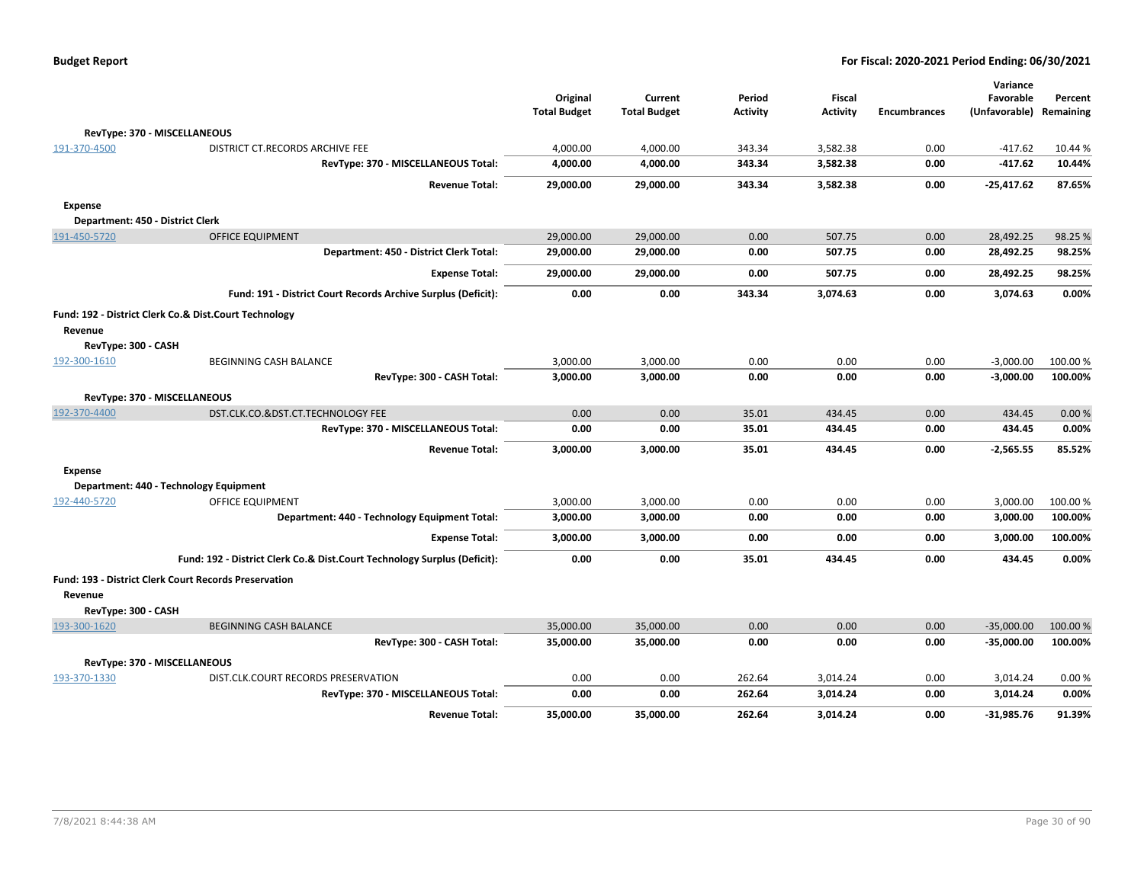| <b>Budget Report</b> |  |
|----------------------|--|
|----------------------|--|

|                                  |                                                                          |                     |                     |                 |                 |                     | Variance      |           |
|----------------------------------|--------------------------------------------------------------------------|---------------------|---------------------|-----------------|-----------------|---------------------|---------------|-----------|
|                                  |                                                                          | Original            | Current             | Period          | <b>Fiscal</b>   |                     | Favorable     | Percent   |
|                                  |                                                                          | <b>Total Budget</b> | <b>Total Budget</b> | <b>Activity</b> | <b>Activity</b> | <b>Encumbrances</b> | (Unfavorable) | Remaining |
| RevType: 370 - MISCELLANEOUS     |                                                                          |                     |                     |                 |                 |                     |               |           |
| 191-370-4500                     | DISTRICT CT.RECORDS ARCHIVE FEE                                          | 4,000.00            | 4,000.00            | 343.34          | 3,582.38        | 0.00                | $-417.62$     | 10.44 %   |
|                                  | RevType: 370 - MISCELLANEOUS Total:                                      | 4,000.00            | 4,000.00            | 343.34          | 3,582.38        | 0.00                | $-417.62$     | 10.44%    |
|                                  | <b>Revenue Total:</b>                                                    | 29,000.00           | 29,000.00           | 343.34          | 3,582.38        | 0.00                | $-25,417.62$  | 87.65%    |
| <b>Expense</b>                   |                                                                          |                     |                     |                 |                 |                     |               |           |
| Department: 450 - District Clerk |                                                                          |                     |                     |                 |                 |                     |               |           |
| 191-450-5720                     | <b>OFFICE EQUIPMENT</b>                                                  | 29,000.00           | 29,000.00           | 0.00            | 507.75          | 0.00                | 28,492.25     | 98.25 %   |
|                                  | Department: 450 - District Clerk Total:                                  | 29,000.00           | 29,000.00           | 0.00            | 507.75          | 0.00                | 28,492.25     | 98.25%    |
|                                  | <b>Expense Total:</b>                                                    | 29,000.00           | 29,000.00           | 0.00            | 507.75          | 0.00                | 28,492.25     | 98.25%    |
|                                  | Fund: 191 - District Court Records Archive Surplus (Deficit):            | 0.00                | 0.00                | 343.34          | 3,074.63        | 0.00                | 3,074.63      | 0.00%     |
|                                  | Fund: 192 - District Clerk Co.& Dist.Court Technology                    |                     |                     |                 |                 |                     |               |           |
| Revenue                          |                                                                          |                     |                     |                 |                 |                     |               |           |
| RevType: 300 - CASH              |                                                                          |                     |                     |                 |                 |                     |               |           |
| 192-300-1610                     | BEGINNING CASH BALANCE                                                   | 3,000.00            | 3,000.00            | 0.00            | 0.00            | 0.00                | $-3,000.00$   | 100.00 %  |
|                                  | RevType: 300 - CASH Total:                                               | 3,000.00            | 3,000.00            | 0.00            | 0.00            | 0.00                | $-3,000.00$   | 100.00%   |
| RevType: 370 - MISCELLANEOUS     |                                                                          |                     |                     |                 |                 |                     |               |           |
| 192-370-4400                     | DST.CLK.CO.&DST.CT.TECHNOLOGY FEE                                        | 0.00                | 0.00                | 35.01           | 434.45          | 0.00                | 434.45        | 0.00%     |
|                                  | RevType: 370 - MISCELLANEOUS Total:                                      | 0.00                | 0.00                | 35.01           | 434.45          | 0.00                | 434.45        | 0.00%     |
|                                  | <b>Revenue Total:</b>                                                    | 3,000.00            | 3,000.00            | 35.01           | 434.45          | 0.00                | $-2,565.55$   | 85.52%    |
| <b>Expense</b>                   |                                                                          |                     |                     |                 |                 |                     |               |           |
|                                  | Department: 440 - Technology Equipment                                   |                     |                     |                 |                 |                     |               |           |
| 192-440-5720                     | OFFICE EQUIPMENT                                                         | 3,000.00            | 3,000.00            | 0.00            | 0.00            | 0.00                | 3,000.00      | 100.00%   |
|                                  | Department: 440 - Technology Equipment Total:                            | 3,000.00            | 3,000.00            | 0.00            | 0.00            | 0.00                | 3,000.00      | 100.00%   |
|                                  | <b>Expense Total:</b>                                                    | 3,000.00            | 3,000.00            | 0.00            | 0.00            | 0.00                | 3,000.00      | 100.00%   |
|                                  | Fund: 192 - District Clerk Co.& Dist.Court Technology Surplus (Deficit): | 0.00                | 0.00                | 35.01           | 434.45          | 0.00                | 434.45        | 0.00%     |
| Revenue                          | <b>Fund: 193 - District Clerk Court Records Preservation</b>             |                     |                     |                 |                 |                     |               |           |
| RevType: 300 - CASH              |                                                                          |                     |                     |                 |                 |                     |               |           |
| 193-300-1620                     | <b>BEGINNING CASH BALANCE</b>                                            | 35,000.00           | 35,000.00           | 0.00            | 0.00            | 0.00                | $-35,000.00$  | 100.00 %  |
|                                  | RevType: 300 - CASH Total:                                               | 35,000.00           | 35,000.00           | 0.00            | 0.00            | 0.00                | $-35,000.00$  | 100.00%   |
| RevType: 370 - MISCELLANEOUS     |                                                                          |                     |                     |                 |                 |                     |               |           |
| 193-370-1330                     | DIST.CLK.COURT RECORDS PRESERVATION                                      | 0.00                | 0.00                | 262.64          | 3,014.24        | 0.00                | 3,014.24      | 0.00%     |
|                                  | RevType: 370 - MISCELLANEOUS Total:                                      | 0.00                | 0.00                | 262.64          | 3,014.24        | 0.00                | 3,014.24      | 0.00%     |
|                                  | <b>Revenue Total:</b>                                                    | 35,000.00           | 35,000.00           | 262.64          | 3,014.24        | 0.00                | $-31,985.76$  | 91.39%    |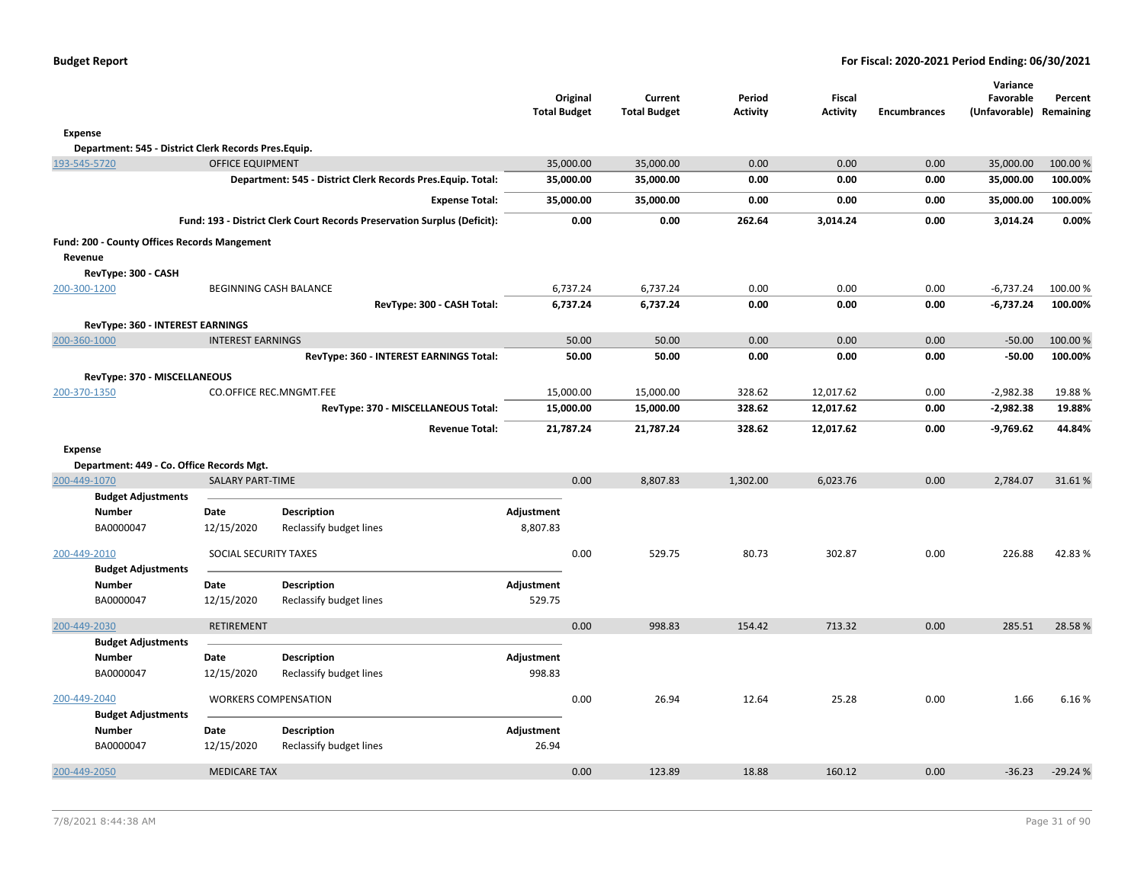| <b>Budget Report</b> |  |
|----------------------|--|
|----------------------|--|

|                |                                                      |                          |                                                                          | <b>Total Budget</b> | Original  | Current<br><b>Total Budget</b> | Period<br><b>Activity</b> | Fiscal<br><b>Activity</b> | <b>Encumbrances</b> | Variance<br>Favorable<br>(Unfavorable) | Percent<br>Remaining |
|----------------|------------------------------------------------------|--------------------------|--------------------------------------------------------------------------|---------------------|-----------|--------------------------------|---------------------------|---------------------------|---------------------|----------------------------------------|----------------------|
| <b>Expense</b> |                                                      |                          |                                                                          |                     |           |                                |                           |                           |                     |                                        |                      |
|                | Department: 545 - District Clerk Records Pres.Equip. |                          |                                                                          |                     |           |                                |                           |                           |                     |                                        |                      |
| 193-545-5720   |                                                      | <b>OFFICE EQUIPMENT</b>  |                                                                          |                     | 35,000.00 | 35,000.00                      | 0.00                      | 0.00                      | 0.00                | 35,000.00                              | 100.00 %             |
|                |                                                      |                          | Department: 545 - District Clerk Records Pres. Equip. Total:             |                     | 35,000.00 | 35,000.00                      | 0.00                      | 0.00                      | 0.00                | 35,000.00                              | 100.00%              |
|                |                                                      |                          | <b>Expense Total:</b>                                                    |                     | 35,000.00 | 35,000.00                      | 0.00                      | 0.00                      | 0.00                | 35,000.00                              | 100.00%              |
|                |                                                      |                          | Fund: 193 - District Clerk Court Records Preservation Surplus (Deficit): |                     | 0.00      | 0.00                           | 262.64                    | 3,014.24                  | 0.00                | 3,014.24                               | 0.00%                |
|                | <b>Fund: 200 - County Offices Records Mangement</b>  |                          |                                                                          |                     |           |                                |                           |                           |                     |                                        |                      |
| Revenue        |                                                      |                          |                                                                          |                     |           |                                |                           |                           |                     |                                        |                      |
|                | RevType: 300 - CASH                                  |                          |                                                                          |                     |           |                                |                           |                           |                     |                                        |                      |
| 200-300-1200   |                                                      |                          | BEGINNING CASH BALANCE                                                   |                     | 6,737.24  | 6,737.24                       | 0.00                      | 0.00                      | 0.00                | $-6,737.24$                            | 100.00%              |
|                |                                                      |                          | RevType: 300 - CASH Total:                                               |                     | 6,737.24  | 6,737.24                       | 0.00                      | 0.00                      | 0.00                | $-6,737.24$                            | 100.00%              |
|                | RevType: 360 - INTEREST EARNINGS                     |                          |                                                                          |                     |           |                                |                           |                           |                     |                                        |                      |
| 200-360-1000   |                                                      | <b>INTEREST EARNINGS</b> |                                                                          |                     | 50.00     | 50.00                          | 0.00                      | 0.00                      | 0.00                | $-50.00$                               | 100.00 %             |
|                |                                                      |                          | RevType: 360 - INTEREST EARNINGS Total:                                  |                     | 50.00     | 50.00                          | 0.00                      | 0.00                      | 0.00                | $-50.00$                               | 100.00%              |
|                | RevType: 370 - MISCELLANEOUS                         |                          |                                                                          |                     |           |                                |                           |                           |                     |                                        |                      |
| 200-370-1350   |                                                      |                          | CO.OFFICE REC.MNGMT.FEE                                                  |                     | 15,000.00 | 15,000.00                      | 328.62                    | 12,017.62                 | 0.00                | $-2,982.38$                            | 19.88%               |
|                |                                                      |                          | RevType: 370 - MISCELLANEOUS Total:                                      |                     | 15,000.00 | 15,000.00                      | 328.62                    | 12,017.62                 | 0.00                | $-2,982.38$                            | 19.88%               |
|                |                                                      |                          | <b>Revenue Total:</b>                                                    |                     | 21,787.24 | 21,787.24                      | 328.62                    | 12,017.62                 | 0.00                | $-9,769.62$                            | 44.84%               |
| <b>Expense</b> |                                                      |                          |                                                                          |                     |           |                                |                           |                           |                     |                                        |                      |
|                | Department: 449 - Co. Office Records Mgt.            |                          |                                                                          |                     |           |                                |                           |                           |                     |                                        |                      |
| 200-449-1070   |                                                      | <b>SALARY PART-TIME</b>  |                                                                          |                     | 0.00      | 8,807.83                       | 1,302.00                  | 6,023.76                  | 0.00                | 2,784.07                               | 31.61%               |
|                | <b>Budget Adjustments</b>                            |                          |                                                                          |                     |           |                                |                           |                           |                     |                                        |                      |
|                | Number                                               | Date                     | <b>Description</b>                                                       | Adjustment          |           |                                |                           |                           |                     |                                        |                      |
|                | BA0000047                                            | 12/15/2020               | Reclassify budget lines                                                  | 8,807.83            |           |                                |                           |                           |                     |                                        |                      |
| 200-449-2010   |                                                      | SOCIAL SECURITY TAXES    |                                                                          |                     | 0.00      | 529.75                         | 80.73                     | 302.87                    | 0.00                | 226.88                                 | 42.83%               |
|                | <b>Budget Adjustments</b>                            |                          |                                                                          |                     |           |                                |                           |                           |                     |                                        |                      |
|                | <b>Number</b>                                        | Date                     | <b>Description</b>                                                       | Adjustment          |           |                                |                           |                           |                     |                                        |                      |
|                | BA0000047                                            | 12/15/2020               | Reclassify budget lines                                                  | 529.75              |           |                                |                           |                           |                     |                                        |                      |
| 200-449-2030   |                                                      | <b>RETIREMENT</b>        |                                                                          |                     | 0.00      | 998.83                         | 154.42                    | 713.32                    | 0.00                | 285.51                                 | 28.58%               |
|                | <b>Budget Adjustments</b>                            |                          |                                                                          |                     |           |                                |                           |                           |                     |                                        |                      |
|                | <b>Number</b>                                        | Date                     | <b>Description</b>                                                       | Adjustment          |           |                                |                           |                           |                     |                                        |                      |
|                | BA0000047                                            | 12/15/2020               | Reclassify budget lines                                                  | 998.83              |           |                                |                           |                           |                     |                                        |                      |
| 200-449-2040   |                                                      |                          | <b>WORKERS COMPENSATION</b>                                              |                     | 0.00      | 26.94                          | 12.64                     | 25.28                     | 0.00                | 1.66                                   | 6.16%                |
|                | <b>Budget Adjustments</b>                            |                          |                                                                          |                     |           |                                |                           |                           |                     |                                        |                      |
|                | Number                                               | Date                     | <b>Description</b>                                                       | Adjustment          |           |                                |                           |                           |                     |                                        |                      |
|                | BA0000047                                            | 12/15/2020               | Reclassify budget lines                                                  | 26.94               |           |                                |                           |                           |                     |                                        |                      |
| 200-449-2050   |                                                      | <b>MEDICARE TAX</b>      |                                                                          |                     | 0.00      | 123.89                         | 18.88                     | 160.12                    | 0.00                | $-36.23$                               | $-29.24%$            |
|                |                                                      |                          |                                                                          |                     |           |                                |                           |                           |                     |                                        |                      |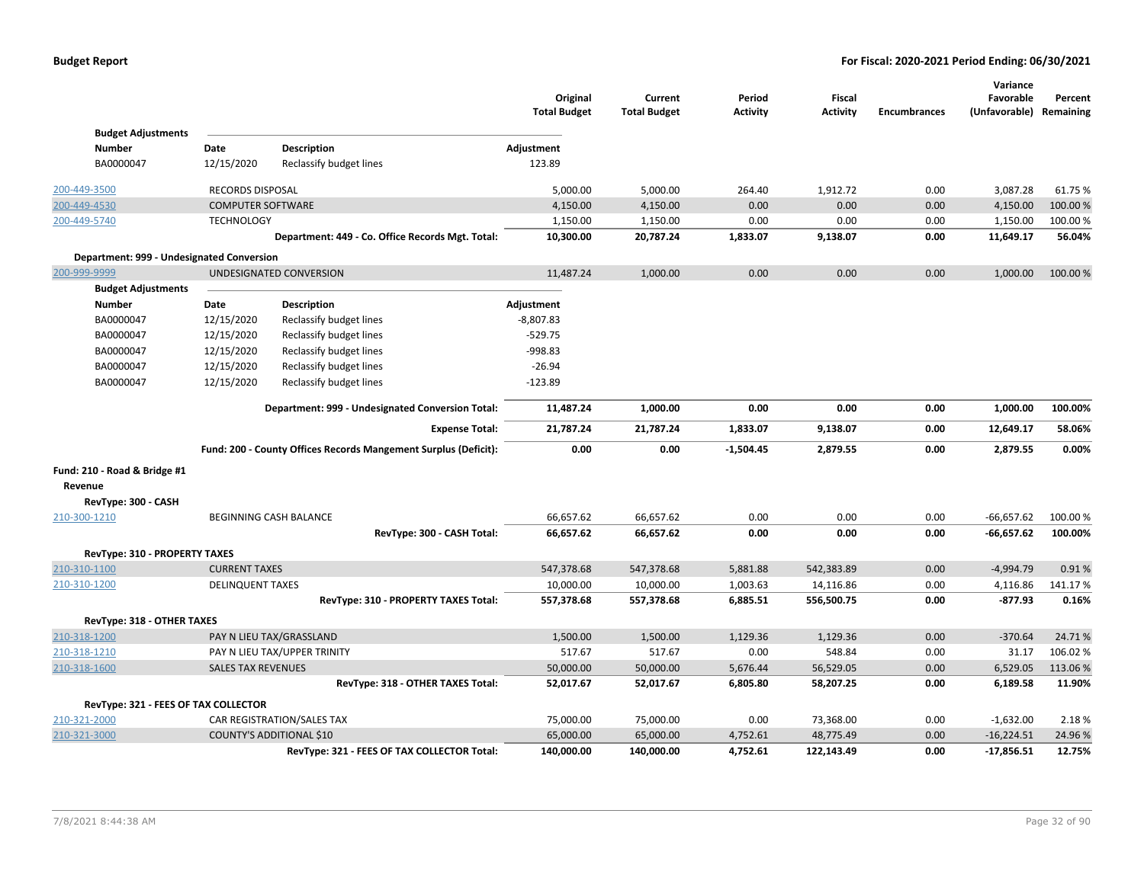|                                           |                           |                                                                 | Original<br><b>Total Budget</b> | Current<br><b>Total Budget</b> | Period<br><b>Activity</b> | <b>Fiscal</b><br><b>Activity</b> | <b>Encumbrances</b> | Variance<br>Favorable<br>(Unfavorable) Remaining | Percent  |
|-------------------------------------------|---------------------------|-----------------------------------------------------------------|---------------------------------|--------------------------------|---------------------------|----------------------------------|---------------------|--------------------------------------------------|----------|
| <b>Budget Adjustments</b>                 |                           |                                                                 |                                 |                                |                           |                                  |                     |                                                  |          |
| <b>Number</b>                             | Date                      | <b>Description</b>                                              | Adjustment                      |                                |                           |                                  |                     |                                                  |          |
| BA0000047                                 | 12/15/2020                | Reclassify budget lines                                         | 123.89                          |                                |                           |                                  |                     |                                                  |          |
| 200-449-3500                              | <b>RECORDS DISPOSAL</b>   |                                                                 | 5,000.00                        | 5,000.00                       | 264.40                    | 1,912.72                         | 0.00                | 3,087.28                                         | 61.75%   |
| 200-449-4530                              | <b>COMPUTER SOFTWARE</b>  |                                                                 | 4,150.00                        | 4,150.00                       | 0.00                      | 0.00                             | 0.00                | 4,150.00                                         | 100.00%  |
| 200-449-5740                              | <b>TECHNOLOGY</b>         |                                                                 | 1,150.00                        | 1,150.00                       | 0.00                      | 0.00                             | 0.00                | 1,150.00                                         | 100.00%  |
|                                           |                           | Department: 449 - Co. Office Records Mgt. Total:                | 10,300.00                       | 20,787.24                      | 1,833.07                  | 9,138.07                         | 0.00                | 11,649.17                                        | 56.04%   |
| Department: 999 - Undesignated Conversion |                           |                                                                 |                                 |                                |                           |                                  |                     |                                                  |          |
| 200-999-9999                              |                           | UNDESIGNATED CONVERSION                                         | 11,487.24                       | 1,000.00                       | 0.00                      | 0.00                             | 0.00                | 1,000.00                                         | 100.00 % |
| <b>Budget Adjustments</b>                 |                           |                                                                 |                                 |                                |                           |                                  |                     |                                                  |          |
| <b>Number</b>                             | Date                      | Description                                                     | Adjustment                      |                                |                           |                                  |                     |                                                  |          |
| BA0000047                                 | 12/15/2020                | Reclassify budget lines                                         | $-8,807.83$                     |                                |                           |                                  |                     |                                                  |          |
| BA0000047                                 | 12/15/2020                | Reclassify budget lines                                         | $-529.75$                       |                                |                           |                                  |                     |                                                  |          |
| BA0000047                                 | 12/15/2020                | Reclassify budget lines                                         | -998.83                         |                                |                           |                                  |                     |                                                  |          |
| BA0000047                                 | 12/15/2020                | Reclassify budget lines                                         | $-26.94$                        |                                |                           |                                  |                     |                                                  |          |
| BA0000047                                 | 12/15/2020                | Reclassify budget lines                                         | $-123.89$                       |                                |                           |                                  |                     |                                                  |          |
|                                           |                           | Department: 999 - Undesignated Conversion Total:                | 11,487.24                       | 1,000.00                       | 0.00                      | 0.00                             | 0.00                | 1,000.00                                         | 100.00%  |
|                                           |                           | <b>Expense Total:</b>                                           | 21,787.24                       | 21,787.24                      | 1,833.07                  | 9,138.07                         | 0.00                | 12,649.17                                        | 58.06%   |
|                                           |                           | Fund: 200 - County Offices Records Mangement Surplus (Deficit): | 0.00                            | 0.00                           | $-1,504.45$               | 2,879.55                         | 0.00                | 2,879.55                                         | 0.00%    |
| Fund: 210 - Road & Bridge #1              |                           |                                                                 |                                 |                                |                           |                                  |                     |                                                  |          |
| Revenue                                   |                           |                                                                 |                                 |                                |                           |                                  |                     |                                                  |          |
| RevType: 300 - CASH                       |                           |                                                                 |                                 |                                |                           |                                  |                     |                                                  |          |
| 210-300-1210                              |                           | BEGINNING CASH BALANCE                                          | 66,657.62                       | 66,657.62                      | 0.00                      | 0.00                             | 0.00                | $-66,657.62$                                     | 100.00 % |
|                                           |                           | RevType: 300 - CASH Total:                                      | 66,657.62                       | 66,657.62                      | 0.00                      | 0.00                             | 0.00                | $-66,657.62$                                     | 100.00%  |
| RevType: 310 - PROPERTY TAXES             |                           |                                                                 |                                 |                                |                           |                                  |                     |                                                  |          |
| 210-310-1100                              | <b>CURRENT TAXES</b>      |                                                                 | 547,378.68                      | 547,378.68                     | 5,881.88                  | 542,383.89                       | 0.00                | $-4,994.79$                                      | 0.91%    |
| 210-310-1200                              | <b>DELINQUENT TAXES</b>   |                                                                 | 10,000.00                       | 10,000.00                      | 1,003.63                  | 14,116.86                        | 0.00                | 4,116.86                                         | 141.17%  |
|                                           |                           | RevType: 310 - PROPERTY TAXES Total:                            | 557,378.68                      | 557,378.68                     | 6,885.51                  | 556,500.75                       | 0.00                | $-877.93$                                        | 0.16%    |
| RevType: 318 - OTHER TAXES                |                           |                                                                 |                                 |                                |                           |                                  |                     |                                                  |          |
| 210-318-1200                              |                           | PAY N LIEU TAX/GRASSLAND                                        | 1,500.00                        | 1,500.00                       | 1,129.36                  | 1,129.36                         | 0.00                | $-370.64$                                        | 24.71%   |
| 210-318-1210                              |                           | PAY N LIEU TAX/UPPER TRINITY                                    | 517.67                          | 517.67                         | 0.00                      | 548.84                           | 0.00                | 31.17                                            | 106.02%  |
| 210-318-1600                              | <b>SALES TAX REVENUES</b> |                                                                 | 50,000.00                       | 50,000.00                      | 5,676.44                  | 56,529.05                        | 0.00                | 6,529.05                                         | 113.06%  |
|                                           |                           | RevType: 318 - OTHER TAXES Total:                               | 52,017.67                       | 52,017.67                      | 6,805.80                  | 58,207.25                        | 0.00                | 6,189.58                                         | 11.90%   |
| RevType: 321 - FEES OF TAX COLLECTOR      |                           |                                                                 |                                 |                                |                           |                                  |                     |                                                  |          |
| 210-321-2000                              |                           | CAR REGISTRATION/SALES TAX                                      | 75,000.00                       | 75,000.00                      | 0.00                      | 73,368.00                        | 0.00                | $-1,632.00$                                      | 2.18%    |
| 210-321-3000                              |                           | <b>COUNTY'S ADDITIONAL \$10</b>                                 | 65,000.00                       | 65,000.00                      | 4,752.61                  | 48,775.49                        | 0.00                | $-16,224.51$                                     | 24.96%   |
|                                           |                           | RevType: 321 - FEES OF TAX COLLECTOR Total:                     | 140,000.00                      | 140,000.00                     | 4,752.61                  | 122,143.49                       | 0.00                | $-17,856.51$                                     | 12.75%   |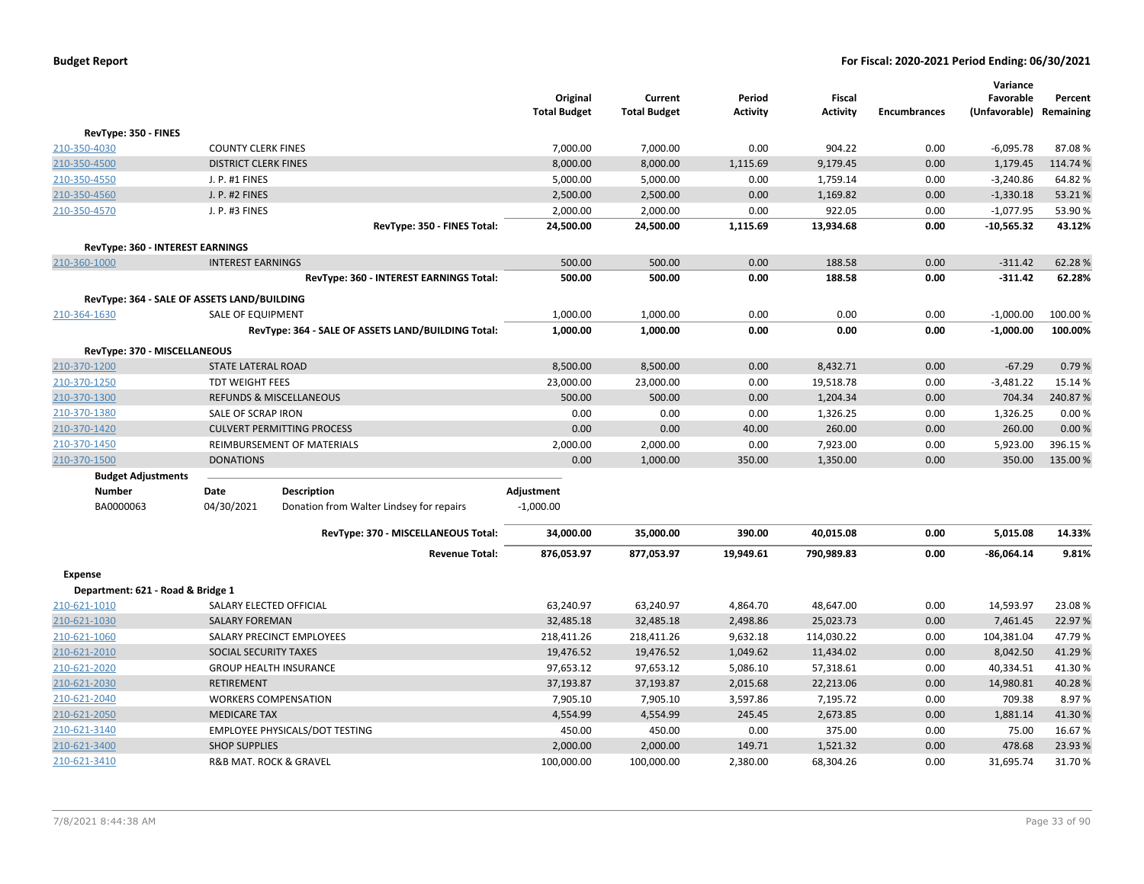|                                                             |                             |                                                                        | Original<br><b>Total Budget</b> | Current<br><b>Total Budget</b> | Period<br><b>Activity</b> | <b>Fiscal</b><br><b>Activity</b> | <b>Encumbrances</b> | Variance<br>Favorable<br>(Unfavorable) | Percent<br>Remaining |
|-------------------------------------------------------------|-----------------------------|------------------------------------------------------------------------|---------------------------------|--------------------------------|---------------------------|----------------------------------|---------------------|----------------------------------------|----------------------|
| RevType: 350 - FINES                                        |                             |                                                                        |                                 |                                |                           |                                  |                     |                                        |                      |
| 210-350-4030                                                | <b>COUNTY CLERK FINES</b>   |                                                                        | 7,000.00                        | 7,000.00                       | 0.00                      | 904.22                           | 0.00                | $-6,095.78$                            | 87.08%               |
| 210-350-4500                                                | <b>DISTRICT CLERK FINES</b> |                                                                        | 8,000.00                        | 8,000.00                       | 1,115.69                  | 9,179.45                         | 0.00                | 1,179.45                               | 114.74 %             |
| 210-350-4550                                                | J. P. #1 FINES              |                                                                        | 5,000.00                        | 5,000.00                       | 0.00                      | 1,759.14                         | 0.00                | $-3,240.86$                            | 64.82%               |
| 210-350-4560                                                | J. P. #2 FINES              |                                                                        | 2,500.00                        | 2,500.00                       | 0.00                      | 1,169.82                         | 0.00                | $-1,330.18$                            | 53.21%               |
| 210-350-4570                                                | J. P. #3 FINES              |                                                                        | 2,000.00                        | 2,000.00                       | 0.00                      | 922.05                           | 0.00                | $-1,077.95$                            | 53.90 %              |
|                                                             |                             | RevType: 350 - FINES Total:                                            | 24,500.00                       | 24,500.00                      | 1,115.69                  | 13,934.68                        | 0.00                | $-10,565.32$                           | 43.12%               |
| RevType: 360 - INTEREST EARNINGS                            |                             |                                                                        |                                 |                                |                           |                                  |                     |                                        |                      |
| 210-360-1000                                                | <b>INTEREST EARNINGS</b>    |                                                                        | 500.00                          | 500.00                         | 0.00                      | 188.58                           | 0.00                | $-311.42$                              | 62.28%               |
|                                                             |                             | RevType: 360 - INTEREST EARNINGS Total:                                | 500.00                          | 500.00                         | 0.00                      | 188.58                           | 0.00                | $-311.42$                              | 62.28%               |
|                                                             |                             |                                                                        |                                 |                                |                           |                                  |                     |                                        |                      |
| RevType: 364 - SALE OF ASSETS LAND/BUILDING<br>210-364-1630 | SALE OF EQUIPMENT           |                                                                        | 1,000.00                        | 1,000.00                       | 0.00                      | 0.00                             | 0.00                | $-1,000.00$                            | 100.00%              |
|                                                             |                             | RevType: 364 - SALE OF ASSETS LAND/BUILDING Total:                     | 1,000.00                        | 1,000.00                       | 0.00                      | 0.00                             | 0.00                | $-1,000.00$                            | 100.00%              |
|                                                             |                             |                                                                        |                                 |                                |                           |                                  |                     |                                        |                      |
| RevType: 370 - MISCELLANEOUS                                |                             |                                                                        |                                 |                                |                           |                                  |                     |                                        |                      |
| 210-370-1200                                                | <b>STATE LATERAL ROAD</b>   |                                                                        | 8,500.00                        | 8,500.00                       | 0.00                      | 8,432.71                         | 0.00                | $-67.29$                               | 0.79%                |
| 210-370-1250                                                | <b>TDT WEIGHT FEES</b>      |                                                                        | 23,000.00                       | 23,000.00                      | 0.00                      | 19,518.78                        | 0.00                | $-3,481.22$                            | 15.14 %              |
| 210-370-1300                                                |                             | <b>REFUNDS &amp; MISCELLANEOUS</b>                                     | 500.00                          | 500.00                         | 0.00                      | 1,204.34                         | 0.00                | 704.34                                 | 240.87%              |
| 210-370-1380                                                | SALE OF SCRAP IRON          |                                                                        | 0.00                            | 0.00                           | 0.00                      | 1,326.25                         | 0.00                | 1,326.25                               | 0.00%                |
| 210-370-1420                                                |                             | <b>CULVERT PERMITTING PROCESS</b><br><b>REIMBURSEMENT OF MATERIALS</b> | 0.00                            | 0.00                           | 40.00                     | 260.00                           | 0.00                | 260.00                                 | 0.00 %<br>396.15%    |
| 210-370-1450                                                |                             |                                                                        | 2,000.00                        | 2,000.00                       | 0.00                      | 7,923.00                         | 0.00                | 5,923.00                               |                      |
| 210-370-1500                                                | <b>DONATIONS</b>            |                                                                        | 0.00                            | 1,000.00                       | 350.00                    | 1,350.00                         | 0.00                | 350.00                                 | 135.00 %             |
| <b>Budget Adjustments</b><br>Number                         | Date                        | <b>Description</b>                                                     | Adjustment                      |                                |                           |                                  |                     |                                        |                      |
| BA0000063                                                   | 04/30/2021                  | Donation from Walter Lindsey for repairs                               | $-1,000.00$                     |                                |                           |                                  |                     |                                        |                      |
|                                                             |                             |                                                                        |                                 |                                |                           |                                  |                     |                                        |                      |
|                                                             |                             | RevType: 370 - MISCELLANEOUS Total:                                    | 34,000.00                       | 35,000.00                      | 390.00                    | 40,015.08                        | 0.00                | 5,015.08                               | 14.33%               |
|                                                             |                             | <b>Revenue Total:</b>                                                  | 876,053.97                      | 877,053.97                     | 19,949.61                 | 790,989.83                       | 0.00                | $-86,064.14$                           | 9.81%                |
| <b>Expense</b>                                              |                             |                                                                        |                                 |                                |                           |                                  |                     |                                        |                      |
| Department: 621 - Road & Bridge 1                           |                             |                                                                        |                                 |                                |                           |                                  |                     |                                        |                      |
| 210-621-1010                                                |                             | SALARY ELECTED OFFICIAL                                                | 63,240.97                       | 63,240.97                      | 4,864.70                  | 48,647.00                        | 0.00                | 14,593.97                              | 23.08%               |
| 210-621-1030                                                | <b>SALARY FOREMAN</b>       |                                                                        | 32,485.18                       | 32,485.18                      | 2,498.86                  | 25,023.73                        | 0.00                | 7,461.45                               | 22.97%               |
| 210-621-1060                                                |                             | SALARY PRECINCT EMPLOYEES                                              | 218,411.26                      | 218,411.26                     | 9,632.18                  | 114,030.22                       | 0.00                | 104,381.04                             | 47.79%               |
| 210-621-2010                                                | SOCIAL SECURITY TAXES       |                                                                        | 19,476.52                       | 19,476.52                      | 1,049.62                  | 11,434.02                        | 0.00                | 8,042.50                               | 41.29%               |
| 210-621-2020                                                |                             | <b>GROUP HEALTH INSURANCE</b>                                          | 97,653.12                       | 97,653.12                      | 5,086.10                  | 57,318.61                        | 0.00                | 40,334.51                              | 41.30%               |
| 210-621-2030                                                | <b>RETIREMENT</b>           |                                                                        | 37,193.87                       | 37,193.87                      | 2,015.68                  | 22,213.06                        | 0.00                | 14,980.81                              | 40.28%               |
| 210-621-2040                                                |                             | <b>WORKERS COMPENSATION</b>                                            | 7,905.10                        | 7,905.10                       | 3,597.86                  | 7,195.72                         | 0.00                | 709.38                                 | 8.97%                |
| 210-621-2050                                                | <b>MEDICARE TAX</b>         |                                                                        | 4,554.99                        | 4,554.99                       | 245.45                    | 2,673.85                         | 0.00                | 1,881.14                               | 41.30%               |
| 210-621-3140                                                |                             | EMPLOYEE PHYSICALS/DOT TESTING                                         | 450.00                          | 450.00                         | 0.00                      | 375.00                           | 0.00                | 75.00                                  | 16.67%               |
| 210-621-3400                                                | <b>SHOP SUPPLIES</b>        |                                                                        | 2,000.00                        | 2,000.00                       | 149.71                    | 1,521.32                         | 0.00                | 478.68                                 | 23.93 %              |
| 210-621-3410                                                |                             | R&B MAT. ROCK & GRAVEL                                                 | 100,000.00                      | 100,000.00                     | 2,380.00                  | 68,304.26                        | 0.00                | 31,695.74                              | 31.70%               |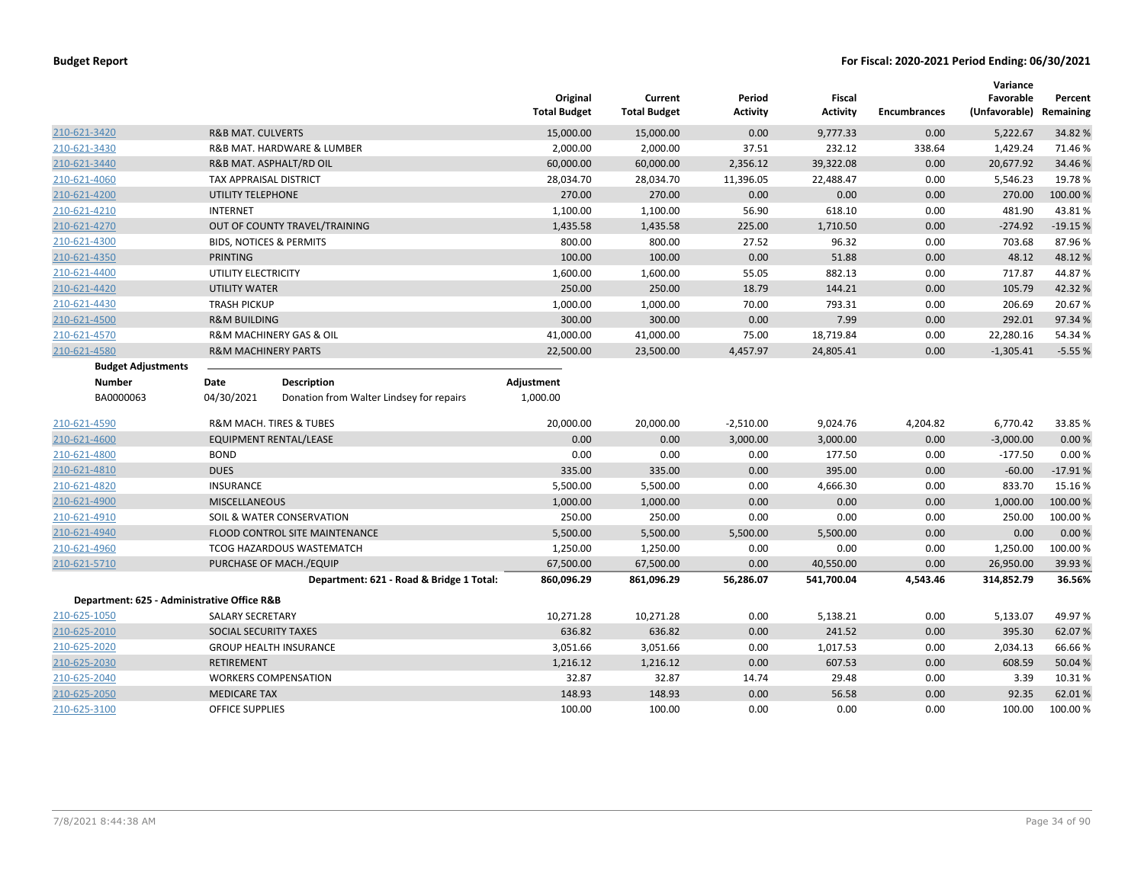|                                             |                                                        | Original<br><b>Total Budget</b> | Current<br><b>Total Budget</b> | Period<br><b>Activity</b> | Fiscal<br><b>Activity</b> | <b>Encumbrances</b> | Variance<br>Favorable<br>(Unfavorable) | Percent<br>Remaining |
|---------------------------------------------|--------------------------------------------------------|---------------------------------|--------------------------------|---------------------------|---------------------------|---------------------|----------------------------------------|----------------------|
| 210-621-3420                                | <b>R&amp;B MAT. CULVERTS</b>                           | 15,000.00                       | 15,000.00                      | 0.00                      | 9,777.33                  | 0.00                | 5,222.67                               | 34.82 %              |
| 210-621-3430                                | R&B MAT. HARDWARE & LUMBER                             | 2,000.00                        | 2,000.00                       | 37.51                     | 232.12                    | 338.64              | 1,429.24                               | 71.46%               |
| 210-621-3440                                | R&B MAT. ASPHALT/RD OIL                                | 60,000.00                       | 60,000.00                      | 2,356.12                  | 39,322.08                 | 0.00                | 20,677.92                              | 34.46%               |
| 210-621-4060                                | TAX APPRAISAL DISTRICT                                 | 28,034.70                       | 28,034.70                      | 11,396.05                 | 22,488.47                 | 0.00                | 5,546.23                               | 19.78%               |
| 210-621-4200                                | UTILITY TELEPHONE                                      | 270.00                          | 270.00                         | 0.00                      | 0.00                      | 0.00                | 270.00                                 | 100.00%              |
| 210-621-4210                                | <b>INTERNET</b>                                        | 1,100.00                        | 1,100.00                       | 56.90                     | 618.10                    | 0.00                | 481.90                                 | 43.81%               |
| 210-621-4270                                | OUT OF COUNTY TRAVEL/TRAINING                          | 1,435.58                        | 1,435.58                       | 225.00                    | 1,710.50                  | 0.00                | $-274.92$                              | $-19.15%$            |
| 210-621-4300                                | <b>BIDS, NOTICES &amp; PERMITS</b>                     | 800.00                          | 800.00                         | 27.52                     | 96.32                     | 0.00                | 703.68                                 | 87.96%               |
| 210-621-4350                                | <b>PRINTING</b>                                        | 100.00                          | 100.00                         | 0.00                      | 51.88                     | 0.00                | 48.12                                  | 48.12%               |
| 210-621-4400                                | UTILITY ELECTRICITY                                    | 1,600.00                        | 1,600.00                       | 55.05                     | 882.13                    | 0.00                | 717.87                                 | 44.87%               |
| 210-621-4420                                | <b>UTILITY WATER</b>                                   | 250.00                          | 250.00                         | 18.79                     | 144.21                    | 0.00                | 105.79                                 | 42.32%               |
| 210-621-4430                                | <b>TRASH PICKUP</b>                                    | 1,000.00                        | 1,000.00                       | 70.00                     | 793.31                    | 0.00                | 206.69                                 | 20.67%               |
| 210-621-4500                                | <b>R&amp;M BUILDING</b>                                | 300.00                          | 300.00                         | 0.00                      | 7.99                      | 0.00                | 292.01                                 | 97.34 %              |
| 210-621-4570                                | <b>R&amp;M MACHINERY GAS &amp; OIL</b>                 | 41,000.00                       | 41,000.00                      | 75.00                     | 18,719.84                 | 0.00                | 22,280.16                              | 54.34 %              |
| 210-621-4580                                | <b>R&amp;M MACHINERY PARTS</b>                         | 22,500.00                       | 23,500.00                      | 4,457.97                  | 24,805.41                 | 0.00                | $-1,305.41$                            | $-5.55%$             |
| <b>Budget Adjustments</b>                   |                                                        |                                 |                                |                           |                           |                     |                                        |                      |
| <b>Number</b>                               | <b>Description</b><br>Date                             | Adjustment                      |                                |                           |                           |                     |                                        |                      |
| BA0000063                                   | 04/30/2021<br>Donation from Walter Lindsey for repairs | 1,000.00                        |                                |                           |                           |                     |                                        |                      |
| 210-621-4590                                | R&M MACH. TIRES & TUBES                                | 20,000.00                       | 20,000.00                      | $-2,510.00$               | 9,024.76                  | 4,204.82            | 6,770.42                               | 33.85 %              |
| 210-621-4600                                | EQUIPMENT RENTAL/LEASE                                 | 0.00                            | 0.00                           | 3,000.00                  | 3,000.00                  | 0.00                | $-3,000.00$                            | 0.00%                |
| 210-621-4800                                | <b>BOND</b>                                            | 0.00                            | 0.00                           | 0.00                      | 177.50                    | 0.00                | $-177.50$                              | 0.00%                |
| 210-621-4810                                | <b>DUES</b>                                            | 335.00                          | 335.00                         | 0.00                      | 395.00                    | 0.00                | $-60.00$                               | $-17.91%$            |
| 210-621-4820                                | <b>INSURANCE</b>                                       | 5,500.00                        | 5,500.00                       | 0.00                      | 4,666.30                  | 0.00                | 833.70                                 | 15.16%               |
| 210-621-4900                                | <b>MISCELLANEOUS</b>                                   | 1,000.00                        | 1,000.00                       | 0.00                      | 0.00                      | 0.00                | 1,000.00                               | 100.00 %             |
| 210-621-4910                                | SOIL & WATER CONSERVATION                              | 250.00                          | 250.00                         | 0.00                      | 0.00                      | 0.00                | 250.00                                 | 100.00%              |
| 210-621-4940                                | FLOOD CONTROL SITE MAINTENANCE                         | 5,500.00                        | 5,500.00                       | 5,500.00                  | 5,500.00                  | 0.00                | 0.00                                   | 0.00%                |
| 210-621-4960                                | <b>TCOG HAZARDOUS WASTEMATCH</b>                       | 1,250.00                        | 1,250.00                       | 0.00                      | 0.00                      | 0.00                | 1,250.00                               | 100.00%              |
| 210-621-5710                                | PURCHASE OF MACH./EQUIP                                | 67,500.00                       | 67,500.00                      | 0.00                      | 40,550.00                 | 0.00                | 26,950.00                              | 39.93 %              |
|                                             | Department: 621 - Road & Bridge 1 Total:               | 860,096.29                      | 861,096.29                     | 56,286.07                 | 541,700.04                | 4,543.46            | 314,852.79                             | 36.56%               |
| Department: 625 - Administrative Office R&B |                                                        |                                 |                                |                           |                           |                     |                                        |                      |
| 210-625-1050                                | SALARY SECRETARY                                       | 10,271.28                       | 10,271.28                      | 0.00                      | 5,138.21                  | 0.00                | 5,133.07                               | 49.97%               |
| 210-625-2010                                | SOCIAL SECURITY TAXES                                  | 636.82                          | 636.82                         | 0.00                      | 241.52                    | 0.00                | 395.30                                 | 62.07%               |
| 210-625-2020                                | <b>GROUP HEALTH INSURANCE</b>                          | 3,051.66                        | 3,051.66                       | 0.00                      | 1,017.53                  | 0.00                | 2,034.13                               | 66.66%               |
| 210-625-2030                                | <b>RETIREMENT</b>                                      | 1,216.12                        | 1,216.12                       | 0.00                      | 607.53                    | 0.00                | 608.59                                 | 50.04 %              |
| 210-625-2040                                | <b>WORKERS COMPENSATION</b>                            | 32.87                           | 32.87                          | 14.74                     | 29.48                     | 0.00                | 3.39                                   | 10.31%               |
| 210-625-2050                                | <b>MEDICARE TAX</b>                                    | 148.93                          | 148.93                         | 0.00                      | 56.58                     | 0.00                | 92.35                                  | 62.01%               |
| 210-625-3100                                | OFFICE SUPPLIES                                        | 100.00                          | 100.00                         | 0.00                      | 0.00                      | 0.00                | 100.00                                 | 100.00%              |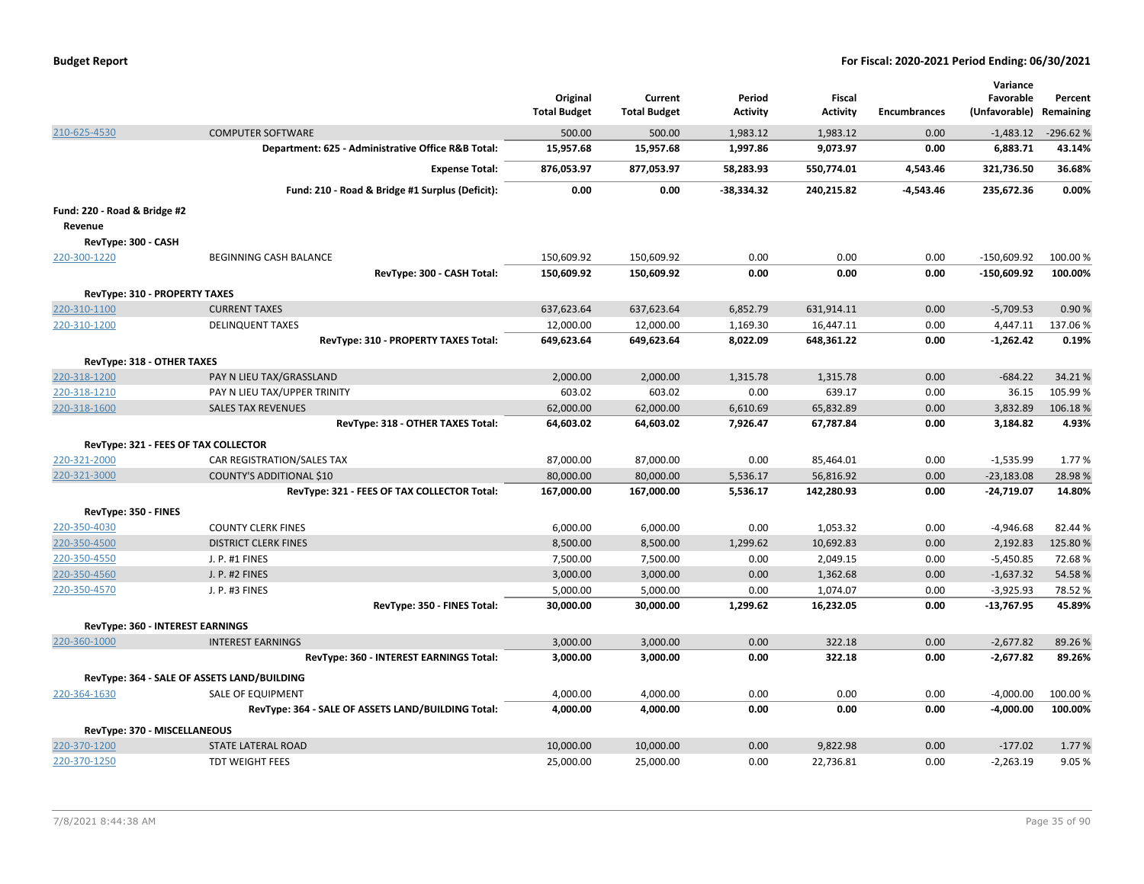| <b>Budget Report</b> |  |
|----------------------|--|
|----------------------|--|

|                                      |                                                    |                     |                     |                 |                 |                     | Variance      |            |
|--------------------------------------|----------------------------------------------------|---------------------|---------------------|-----------------|-----------------|---------------------|---------------|------------|
|                                      |                                                    | Original            | Current             | Period          | Fiscal          |                     | Favorable     | Percent    |
|                                      |                                                    | <b>Total Budget</b> | <b>Total Budget</b> | <b>Activity</b> | <b>Activity</b> | <b>Encumbrances</b> | (Unfavorable) | Remaining  |
| 210-625-4530                         | <b>COMPUTER SOFTWARE</b>                           | 500.00              | 500.00              | 1,983.12        | 1,983.12        | 0.00                | $-1,483.12$   | $-296.62%$ |
|                                      | Department: 625 - Administrative Office R&B Total: | 15,957.68           | 15,957.68           | 1,997.86        | 9,073.97        | 0.00                | 6,883.71      | 43.14%     |
|                                      | <b>Expense Total:</b>                              | 876,053.97          | 877,053.97          | 58,283.93       | 550,774.01      | 4,543.46            | 321,736.50    | 36.68%     |
|                                      | Fund: 210 - Road & Bridge #1 Surplus (Deficit):    | 0.00                | 0.00                | $-38,334.32$    | 240,215.82      | $-4,543.46$         | 235,672.36    | 0.00%      |
| Fund: 220 - Road & Bridge #2         |                                                    |                     |                     |                 |                 |                     |               |            |
| Revenue                              |                                                    |                     |                     |                 |                 |                     |               |            |
| RevType: 300 - CASH                  |                                                    |                     |                     |                 |                 |                     |               |            |
| 220-300-1220                         | BEGINNING CASH BALANCE                             | 150,609.92          | 150,609.92          | 0.00            | 0.00            | 0.00                | $-150,609.92$ | 100.00%    |
|                                      | RevType: 300 - CASH Total:                         | 150,609.92          | 150,609.92          | 0.00            | 0.00            | 0.00                | -150,609.92   | 100.00%    |
| <b>RevType: 310 - PROPERTY TAXES</b> |                                                    |                     |                     |                 |                 |                     |               |            |
| 220-310-1100                         | <b>CURRENT TAXES</b>                               | 637,623.64          | 637,623.64          | 6,852.79        | 631,914.11      | 0.00                | $-5,709.53$   | 0.90%      |
| 220-310-1200                         | <b>DELINQUENT TAXES</b>                            | 12,000.00           | 12,000.00           | 1,169.30        | 16,447.11       | 0.00                | 4,447.11      | 137.06%    |
|                                      | RevType: 310 - PROPERTY TAXES Total:               | 649,623.64          | 649,623.64          | 8,022.09        | 648,361.22      | 0.00                | $-1,262.42$   | 0.19%      |
| RevType: 318 - OTHER TAXES           |                                                    |                     |                     |                 |                 |                     |               |            |
| 220-318-1200                         | PAY N LIEU TAX/GRASSLAND                           | 2,000.00            | 2,000.00            | 1,315.78        | 1,315.78        | 0.00                | $-684.22$     | 34.21%     |
| 220-318-1210                         | PAY N LIEU TAX/UPPER TRINITY                       | 603.02              | 603.02              | 0.00            | 639.17          | 0.00                | 36.15         | 105.99%    |
| 220-318-1600                         | <b>SALES TAX REVENUES</b>                          | 62,000.00           | 62,000.00           | 6,610.69        | 65,832.89       | 0.00                | 3,832.89      | 106.18%    |
|                                      | RevType: 318 - OTHER TAXES Total:                  | 64,603.02           | 64,603.02           | 7,926.47        | 67,787.84       | 0.00                | 3,184.82      | 4.93%      |
|                                      | RevType: 321 - FEES OF TAX COLLECTOR               |                     |                     |                 |                 |                     |               |            |
| 220-321-2000                         | CAR REGISTRATION/SALES TAX                         | 87,000.00           | 87,000.00           | 0.00            | 85,464.01       | 0.00                | $-1,535.99$   | 1.77 %     |
| 220-321-3000                         | <b>COUNTY'S ADDITIONAL \$10</b>                    | 80,000.00           | 80,000.00           | 5,536.17        | 56,816.92       | 0.00                | $-23,183.08$  | 28.98%     |
|                                      | RevType: 321 - FEES OF TAX COLLECTOR Total:        | 167,000.00          | 167,000.00          | 5,536.17        | 142,280.93      | 0.00                | $-24,719.07$  | 14.80%     |
| RevType: 350 - FINES                 |                                                    |                     |                     |                 |                 |                     |               |            |
| 220-350-4030                         | <b>COUNTY CLERK FINES</b>                          | 6,000.00            | 6,000.00            | 0.00            | 1,053.32        | 0.00                | $-4,946.68$   | 82.44 %    |
| 220-350-4500                         | <b>DISTRICT CLERK FINES</b>                        | 8,500.00            | 8,500.00            | 1,299.62        | 10,692.83       | 0.00                | 2,192.83      | 125.80%    |
| 220-350-4550                         | J. P. #1 FINES                                     | 7,500.00            | 7,500.00            | 0.00            | 2,049.15        | 0.00                | $-5,450.85$   | 72.68%     |
| 220-350-4560                         | J. P. #2 FINES                                     | 3,000.00            | 3,000.00            | 0.00            | 1,362.68        | 0.00                | $-1,637.32$   | 54.58%     |
| 220-350-4570                         | J. P. #3 FINES                                     | 5,000.00            | 5,000.00            | 0.00            | 1,074.07        | 0.00                | $-3,925.93$   | 78.52 %    |
|                                      | RevType: 350 - FINES Total:                        | 30,000.00           | 30,000.00           | 1,299.62        | 16,232.05       | 0.00                | $-13,767.95$  | 45.89%     |
|                                      | RevType: 360 - INTEREST EARNINGS                   |                     |                     |                 |                 |                     |               |            |
| 220-360-1000                         | <b>INTEREST EARNINGS</b>                           | 3,000.00            | 3,000.00            | 0.00            | 322.18          | 0.00                | $-2,677.82$   | 89.26%     |
|                                      | RevType: 360 - INTEREST EARNINGS Total:            | 3,000.00            | 3,000.00            | 0.00            | 322.18          | 0.00                | $-2,677.82$   | 89.26%     |
|                                      | RevType: 364 - SALE OF ASSETS LAND/BUILDING        |                     |                     |                 |                 |                     |               |            |
| 220-364-1630                         | <b>SALE OF EQUIPMENT</b>                           | 4,000.00            | 4,000.00            | 0.00            | 0.00            | 0.00                | $-4.000.00$   | 100.00%    |
|                                      | RevType: 364 - SALE OF ASSETS LAND/BUILDING Total: | 4,000.00            | 4,000.00            | 0.00            | 0.00            | 0.00                | $-4,000.00$   | 100.00%    |
| RevType: 370 - MISCELLANEOUS         |                                                    |                     |                     |                 |                 |                     |               |            |
| 220-370-1200                         | STATE LATERAL ROAD                                 | 10,000.00           | 10,000.00           | 0.00            | 9,822.98        | 0.00                | $-177.02$     | 1.77%      |
| 220-370-1250                         | <b>TDT WEIGHT FEES</b>                             | 25,000.00           | 25,000.00           | 0.00            | 22,736.81       | 0.00                | $-2,263.19$   | 9.05%      |
|                                      |                                                    |                     |                     |                 |                 |                     |               |            |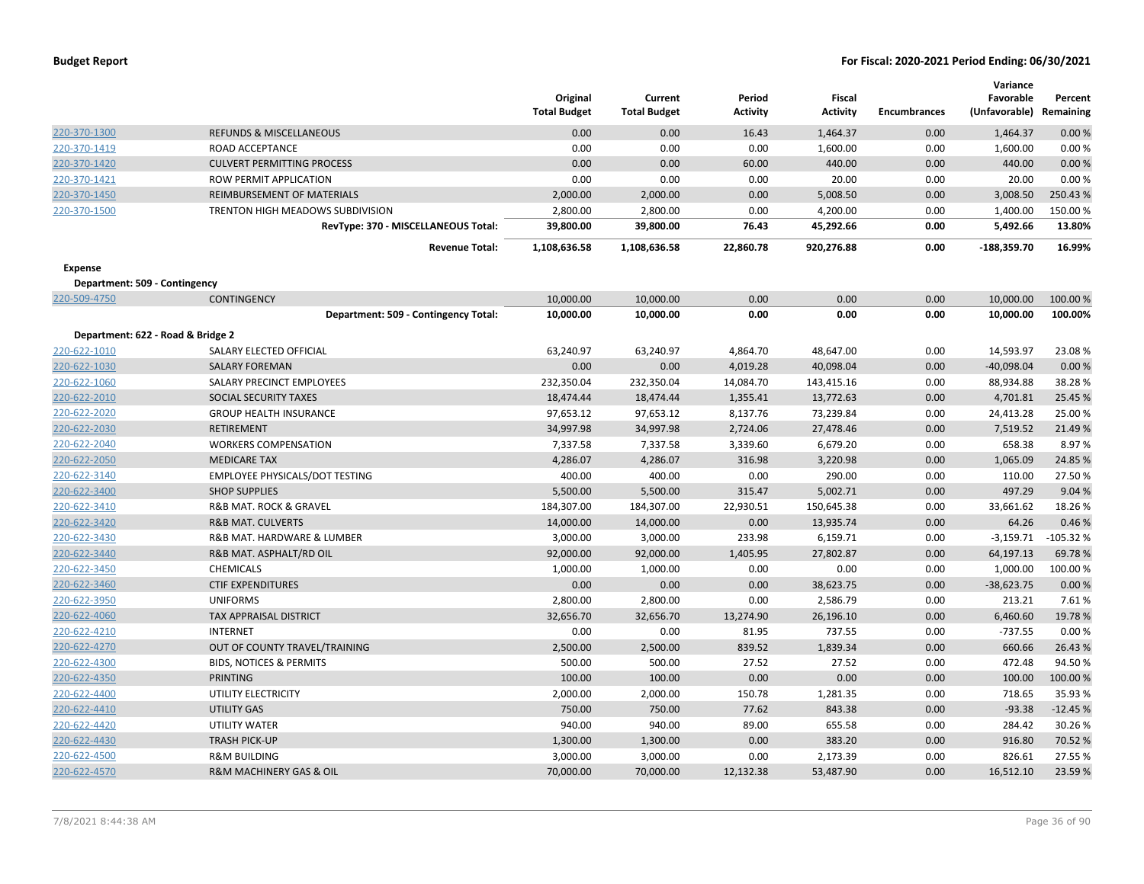|                                   |                                        | Original<br><b>Total Budget</b> | Current<br><b>Total Budget</b> | Period<br><b>Activity</b> | Fiscal<br><b>Activity</b> | <b>Encumbrances</b> | Variance<br>Favorable<br>(Unfavorable) Remaining | Percent    |
|-----------------------------------|----------------------------------------|---------------------------------|--------------------------------|---------------------------|---------------------------|---------------------|--------------------------------------------------|------------|
| 220-370-1300                      | <b>REFUNDS &amp; MISCELLANEOUS</b>     | 0.00                            | 0.00                           | 16.43                     | 1,464.37                  | 0.00                | 1,464.37                                         | 0.00%      |
| 220-370-1419                      | <b>ROAD ACCEPTANCE</b>                 | 0.00                            | 0.00                           | 0.00                      | 1,600.00                  | 0.00                | 1,600.00                                         | 0.00%      |
| 220-370-1420                      | <b>CULVERT PERMITTING PROCESS</b>      | 0.00                            | 0.00                           | 60.00                     | 440.00                    | 0.00                | 440.00                                           | 0.00%      |
| 220-370-1421                      | ROW PERMIT APPLICATION                 | 0.00                            | 0.00                           | 0.00                      | 20.00                     | 0.00                | 20.00                                            | 0.00%      |
| 220-370-1450                      | REIMBURSEMENT OF MATERIALS             | 2,000.00                        | 2,000.00                       | 0.00                      | 5,008.50                  | 0.00                | 3,008.50                                         | 250.43%    |
| 220-370-1500                      | TRENTON HIGH MEADOWS SUBDIVISION       | 2,800.00                        | 2,800.00                       | 0.00                      | 4,200.00                  | 0.00                | 1,400.00                                         | 150.00%    |
|                                   | RevType: 370 - MISCELLANEOUS Total:    | 39,800.00                       | 39,800.00                      | 76.43                     | 45,292.66                 | 0.00                | 5,492.66                                         | 13.80%     |
|                                   | <b>Revenue Total:</b>                  | 1,108,636.58                    | 1,108,636.58                   | 22,860.78                 | 920,276.88                | 0.00                | $-188,359.70$                                    | 16.99%     |
| <b>Expense</b>                    |                                        |                                 |                                |                           |                           |                     |                                                  |            |
| Department: 509 - Contingency     |                                        |                                 |                                |                           |                           |                     |                                                  |            |
| 220-509-4750                      | <b>CONTINGENCY</b>                     | 10,000.00                       | 10,000.00                      | 0.00                      | 0.00                      | 0.00                | 10,000.00                                        | 100.00 %   |
|                                   | Department: 509 - Contingency Total:   | 10,000.00                       | 10,000.00                      | 0.00                      | 0.00                      | 0.00                | 10,000.00                                        | 100.00%    |
| Department: 622 - Road & Bridge 2 |                                        |                                 |                                |                           |                           |                     |                                                  |            |
| 220-622-1010                      | SALARY ELECTED OFFICIAL                | 63,240.97                       | 63,240.97                      | 4,864.70                  | 48,647.00                 | 0.00                | 14,593.97                                        | 23.08%     |
| 220-622-1030                      | <b>SALARY FOREMAN</b>                  | 0.00                            | 0.00                           | 4,019.28                  | 40,098.04                 | 0.00                | $-40,098.04$                                     | 0.00%      |
| 220-622-1060                      | SALARY PRECINCT EMPLOYEES              | 232,350.04                      | 232,350.04                     | 14,084.70                 | 143,415.16                | 0.00                | 88,934.88                                        | 38.28%     |
| 220-622-2010                      | SOCIAL SECURITY TAXES                  | 18,474.44                       | 18,474.44                      | 1,355.41                  | 13,772.63                 | 0.00                | 4,701.81                                         | 25.45 %    |
| 220-622-2020                      | <b>GROUP HEALTH INSURANCE</b>          | 97,653.12                       | 97,653.12                      | 8,137.76                  | 73,239.84                 | 0.00                | 24,413.28                                        | 25.00 %    |
| 220-622-2030                      | RETIREMENT                             | 34,997.98                       | 34,997.98                      | 2,724.06                  | 27,478.46                 | 0.00                | 7,519.52                                         | 21.49%     |
| 220-622-2040                      | <b>WORKERS COMPENSATION</b>            | 7,337.58                        | 7,337.58                       | 3,339.60                  | 6,679.20                  | 0.00                | 658.38                                           | 8.97%      |
| 220-622-2050                      | <b>MEDICARE TAX</b>                    | 4,286.07                        | 4,286.07                       | 316.98                    | 3,220.98                  | 0.00                | 1,065.09                                         | 24.85%     |
| 220-622-3140                      | EMPLOYEE PHYSICALS/DOT TESTING         | 400.00                          | 400.00                         | 0.00                      | 290.00                    | 0.00                | 110.00                                           | 27.50%     |
| 220-622-3400                      | <b>SHOP SUPPLIES</b>                   | 5,500.00                        | 5,500.00                       | 315.47                    | 5,002.71                  | 0.00                | 497.29                                           | 9.04 %     |
| 220-622-3410                      | <b>R&amp;B MAT. ROCK &amp; GRAVEL</b>  | 184,307.00                      | 184,307.00                     | 22,930.51                 | 150,645.38                | 0.00                | 33,661.62                                        | 18.26%     |
| 220-622-3420                      | <b>R&amp;B MAT. CULVERTS</b>           | 14,000.00                       | 14,000.00                      | 0.00                      | 13,935.74                 | 0.00                | 64.26                                            | 0.46%      |
| 220-622-3430                      | R&B MAT. HARDWARE & LUMBER             | 3,000.00                        | 3,000.00                       | 233.98                    | 6,159.71                  | 0.00                | $-3,159.71$                                      | $-105.32%$ |
| 220-622-3440                      | R&B MAT. ASPHALT/RD OIL                | 92,000.00                       | 92,000.00                      | 1,405.95                  | 27,802.87                 | 0.00                | 64,197.13                                        | 69.78%     |
| 220-622-3450                      | <b>CHEMICALS</b>                       | 1,000.00                        | 1,000.00                       | 0.00                      | 0.00                      | 0.00                | 1,000.00                                         | 100.00 %   |
| 220-622-3460                      | <b>CTIF EXPENDITURES</b>               | 0.00                            | 0.00                           | 0.00                      | 38,623.75                 | 0.00                | $-38,623.75$                                     | 0.00%      |
| 220-622-3950                      | <b>UNIFORMS</b>                        | 2,800.00                        | 2,800.00                       | 0.00                      | 2,586.79                  | 0.00                | 213.21                                           | 7.61%      |
| 220-622-4060                      | TAX APPRAISAL DISTRICT                 | 32,656.70                       | 32,656.70                      | 13,274.90                 | 26,196.10                 | 0.00                | 6,460.60                                         | 19.78%     |
| 220-622-4210                      | <b>INTERNET</b>                        | 0.00                            | 0.00                           | 81.95                     | 737.55                    | 0.00                | $-737.55$                                        | 0.00%      |
| 220-622-4270                      | OUT OF COUNTY TRAVEL/TRAINING          | 2,500.00                        | 2,500.00                       | 839.52                    | 1,839.34                  | 0.00                | 660.66                                           | 26.43%     |
| 220-622-4300                      | <b>BIDS, NOTICES &amp; PERMITS</b>     | 500.00                          | 500.00                         | 27.52                     | 27.52                     | 0.00                | 472.48                                           | 94.50%     |
| 220-622-4350                      | PRINTING                               | 100.00                          | 100.00                         | 0.00                      | 0.00                      | 0.00                | 100.00                                           | 100.00 %   |
| 220-622-4400                      | UTILITY ELECTRICITY                    | 2,000.00                        | 2,000.00                       | 150.78                    | 1,281.35                  | 0.00                | 718.65                                           | 35.93%     |
| 220-622-4410                      | <b>UTILITY GAS</b>                     | 750.00                          | 750.00                         | 77.62                     | 843.38                    | 0.00                | $-93.38$                                         | $-12.45%$  |
| 220-622-4420                      | UTILITY WATER                          | 940.00                          | 940.00                         | 89.00                     | 655.58                    | 0.00                | 284.42                                           | 30.26%     |
| 220-622-4430                      | <b>TRASH PICK-UP</b>                   | 1,300.00                        | 1,300.00                       | 0.00                      | 383.20                    | 0.00                | 916.80                                           | 70.52%     |
| 220-622-4500                      | <b>R&amp;M BUILDING</b>                | 3,000.00                        | 3,000.00                       | 0.00                      | 2,173.39                  | 0.00                | 826.61                                           | 27.55%     |
| 220-622-4570                      | <b>R&amp;M MACHINERY GAS &amp; OIL</b> | 70,000.00                       | 70,000.00                      | 12,132.38                 | 53,487.90                 | 0.00                | 16.512.10                                        | 23.59%     |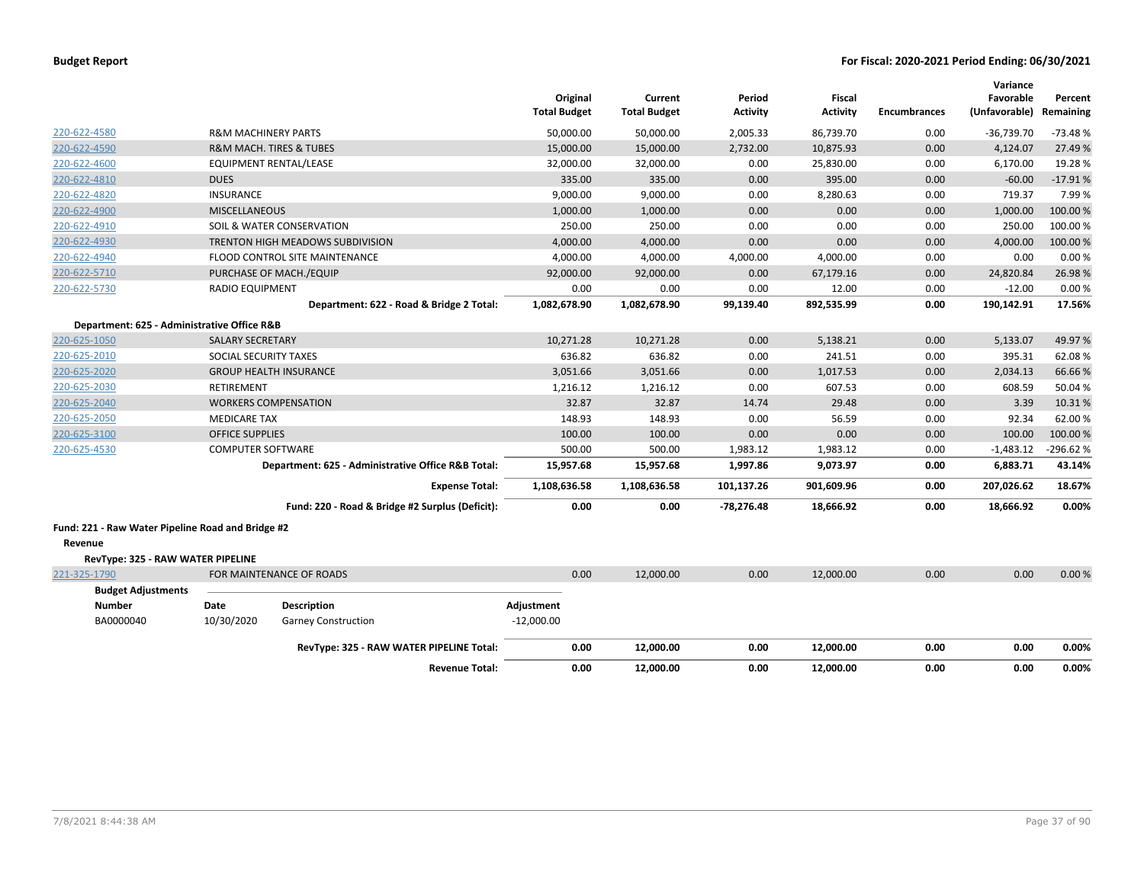|                                                              |                                |                                                    | <b>Total Budget</b> | Original  | Current<br><b>Total Budget</b> | Period<br><b>Activity</b> | <b>Fiscal</b><br>Activity | <b>Encumbrances</b> | Variance<br>Favorable<br>(Unfavorable) | Percent<br>Remaining |
|--------------------------------------------------------------|--------------------------------|----------------------------------------------------|---------------------|-----------|--------------------------------|---------------------------|---------------------------|---------------------|----------------------------------------|----------------------|
| 220-622-4580                                                 | <b>R&amp;M MACHINERY PARTS</b> |                                                    |                     | 50,000.00 | 50,000.00                      | 2,005.33                  | 86,739.70                 | 0.00                | $-36,739.70$                           | $-73.48%$            |
| 220-622-4590                                                 |                                | <b>R&amp;M MACH. TIRES &amp; TUBES</b>             |                     | 15,000.00 | 15,000.00                      | 2,732.00                  | 10,875.93                 | 0.00                | 4,124.07                               | 27.49 %              |
| 220-622-4600                                                 |                                | <b>EQUIPMENT RENTAL/LEASE</b>                      |                     | 32,000.00 | 32,000.00                      | 0.00                      | 25,830.00                 | 0.00                | 6,170.00                               | 19.28%               |
| 220-622-4810                                                 | <b>DUES</b>                    |                                                    |                     | 335.00    | 335.00                         | 0.00                      | 395.00                    | 0.00                | $-60.00$                               | $-17.91%$            |
| 220-622-4820                                                 | <b>INSURANCE</b>               |                                                    |                     | 9,000.00  | 9,000.00                       | 0.00                      | 8,280.63                  | 0.00                | 719.37                                 | 7.99%                |
| 220-622-4900                                                 | <b>MISCELLANEOUS</b>           |                                                    |                     | 1,000.00  | 1,000.00                       | 0.00                      | 0.00                      | 0.00                | 1,000.00                               | 100.00%              |
| 220-622-4910                                                 |                                | SOIL & WATER CONSERVATION                          |                     | 250.00    | 250.00                         | 0.00                      | 0.00                      | 0.00                | 250.00                                 | 100.00 %             |
| 220-622-4930                                                 |                                | <b>TRENTON HIGH MEADOWS SUBDIVISION</b>            |                     | 4,000.00  | 4,000.00                       | 0.00                      | 0.00                      | 0.00                | 4,000.00                               | 100.00%              |
| 220-622-4940                                                 |                                | FLOOD CONTROL SITE MAINTENANCE                     |                     | 4,000.00  | 4,000.00                       | 4,000.00                  | 4,000.00                  | 0.00                | 0.00                                   | 0.00%                |
| 220-622-5710                                                 |                                | PURCHASE OF MACH./EQUIP                            |                     | 92,000.00 | 92,000.00                      | 0.00                      | 67,179.16                 | 0.00                | 24,820.84                              | 26.98%               |
| 220-622-5730                                                 | RADIO EQUIPMENT                |                                                    |                     | 0.00      | 0.00                           | 0.00                      | 12.00                     | 0.00                | $-12.00$                               | 0.00%                |
|                                                              |                                | Department: 622 - Road & Bridge 2 Total:           | 1,082,678.90        |           | 1,082,678.90                   | 99,139.40                 | 892,535.99                | 0.00                | 190,142.91                             | 17.56%               |
| Department: 625 - Administrative Office R&B                  |                                |                                                    |                     |           |                                |                           |                           |                     |                                        |                      |
| 220-625-1050                                                 | <b>SALARY SECRETARY</b>        |                                                    | 10,271.28           |           | 10,271.28                      | 0.00                      | 5,138.21                  | 0.00                | 5,133.07                               | 49.97%               |
| 220-625-2010                                                 | SOCIAL SECURITY TAXES          |                                                    |                     | 636.82    | 636.82                         | 0.00                      | 241.51                    | 0.00                | 395.31                                 | 62.08%               |
| 220-625-2020                                                 |                                | <b>GROUP HEALTH INSURANCE</b>                      |                     | 3,051.66  | 3,051.66                       | 0.00                      | 1,017.53                  | 0.00                | 2,034.13                               | 66.66%               |
| 220-625-2030                                                 | <b>RETIREMENT</b>              |                                                    |                     | 1,216.12  | 1,216.12                       | 0.00                      | 607.53                    | 0.00                | 608.59                                 | 50.04 %              |
| 220-625-2040                                                 |                                | <b>WORKERS COMPENSATION</b>                        |                     | 32.87     | 32.87                          | 14.74                     | 29.48                     | 0.00                | 3.39                                   | 10.31%               |
| 220-625-2050                                                 | <b>MEDICARE TAX</b>            |                                                    |                     | 148.93    | 148.93                         | 0.00                      | 56.59                     | 0.00                | 92.34                                  | 62.00%               |
| 220-625-3100                                                 | <b>OFFICE SUPPLIES</b>         |                                                    |                     | 100.00    | 100.00                         | 0.00                      | 0.00                      | 0.00                | 100.00                                 | 100.00%              |
| 220-625-4530                                                 | <b>COMPUTER SOFTWARE</b>       |                                                    |                     | 500.00    | 500.00                         | 1,983.12                  | 1,983.12                  | 0.00                | $-1,483.12$                            | -296.62 %            |
|                                                              |                                | Department: 625 - Administrative Office R&B Total: |                     | 15,957.68 | 15,957.68                      | 1,997.86                  | 9,073.97                  | 0.00                | 6,883.71                               | 43.14%               |
|                                                              |                                | <b>Expense Total:</b>                              | 1,108,636.58        |           | 1,108,636.58                   | 101,137.26                | 901,609.96                | 0.00                | 207,026.62                             | 18.67%               |
|                                                              |                                | Fund: 220 - Road & Bridge #2 Surplus (Deficit):    |                     | 0.00      | 0.00                           | $-78,276.48$              | 18,666.92                 | 0.00                | 18,666.92                              | 0.00%                |
| Fund: 221 - Raw Water Pipeline Road and Bridge #2<br>Revenue |                                |                                                    |                     |           |                                |                           |                           |                     |                                        |                      |
| RevType: 325 - RAW WATER PIPELINE                            |                                |                                                    |                     |           |                                |                           |                           |                     |                                        |                      |
| 221-325-1790                                                 |                                | FOR MAINTENANCE OF ROADS                           |                     | 0.00      | 12,000.00                      | 0.00                      | 12,000.00                 | 0.00                | 0.00                                   | 0.00%                |
| <b>Budget Adjustments</b>                                    |                                |                                                    |                     |           |                                |                           |                           |                     |                                        |                      |
| <b>Number</b>                                                | Date                           | <b>Description</b>                                 | Adjustment          |           |                                |                           |                           |                     |                                        |                      |
| BA0000040                                                    | 10/30/2020                     | <b>Garney Construction</b>                         | $-12,000.00$        |           |                                |                           |                           |                     |                                        |                      |
|                                                              |                                |                                                    |                     |           |                                |                           |                           |                     |                                        |                      |
|                                                              |                                | RevType: 325 - RAW WATER PIPELINE Total:           |                     | 0.00      | 12,000.00                      | 0.00                      | 12,000.00                 | 0.00                | 0.00                                   | 0.00%                |
|                                                              |                                | <b>Revenue Total:</b>                              |                     | 0.00      | 12,000.00                      | 0.00                      | 12.000.00                 | 0.00                | 0.00                                   | 0.00%                |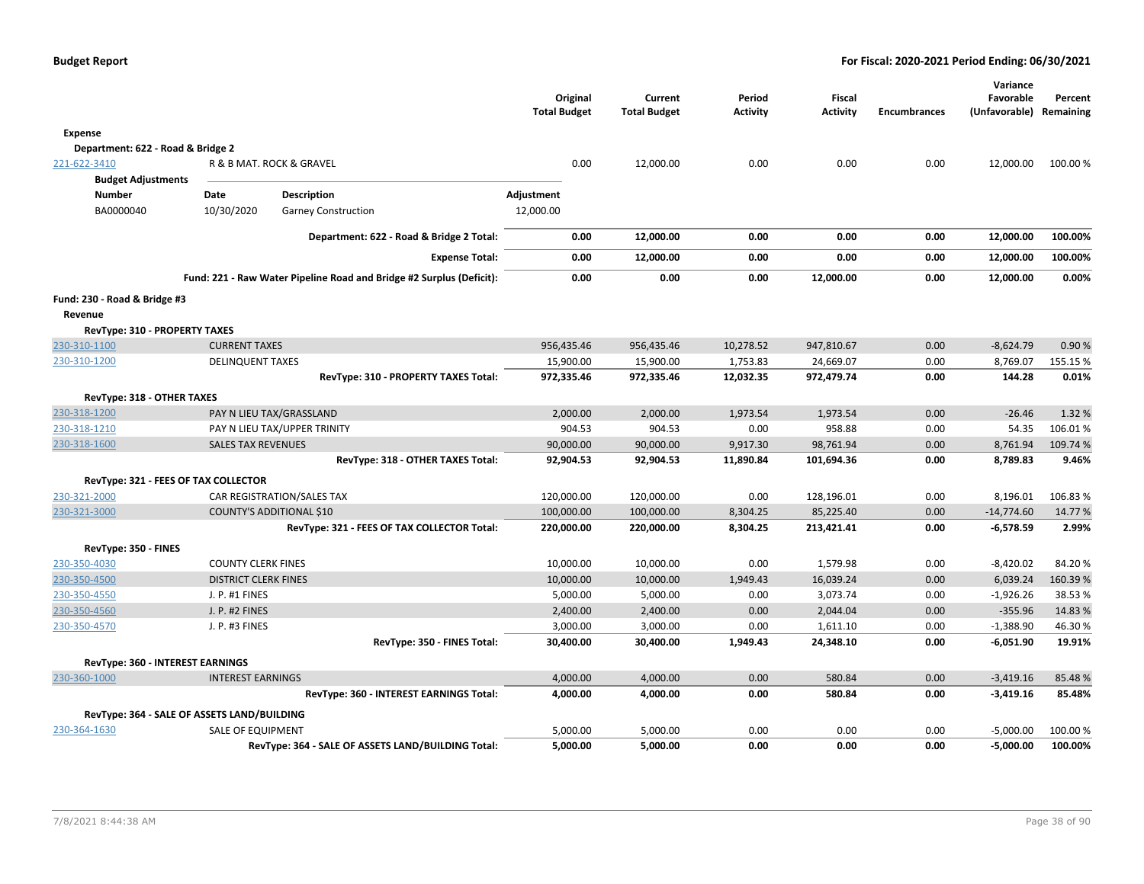|                                             |                             |                                                                      | Original<br><b>Total Budget</b> | Current<br><b>Total Budget</b> | Period<br><b>Activity</b> | <b>Fiscal</b><br><b>Activity</b> | <b>Encumbrances</b> | Variance<br>Favorable<br>(Unfavorable) | Percent<br>Remaining |
|---------------------------------------------|-----------------------------|----------------------------------------------------------------------|---------------------------------|--------------------------------|---------------------------|----------------------------------|---------------------|----------------------------------------|----------------------|
| Expense                                     |                             |                                                                      |                                 |                                |                           |                                  |                     |                                        |                      |
| Department: 622 - Road & Bridge 2           |                             |                                                                      |                                 |                                |                           |                                  |                     |                                        |                      |
| 221-622-3410                                |                             | R & B MAT. ROCK & GRAVEL                                             | 0.00                            | 12,000.00                      | 0.00                      | 0.00                             | 0.00                | 12,000.00                              | 100.00%              |
| <b>Budget Adjustments</b>                   |                             |                                                                      |                                 |                                |                           |                                  |                     |                                        |                      |
| <b>Number</b>                               | Date                        | Description                                                          | Adjustment                      |                                |                           |                                  |                     |                                        |                      |
| BA0000040                                   | 10/30/2020                  | <b>Garney Construction</b>                                           | 12,000.00                       |                                |                           |                                  |                     |                                        |                      |
|                                             |                             | Department: 622 - Road & Bridge 2 Total:                             | 0.00                            | 12,000.00                      | 0.00                      | 0.00                             | 0.00                | 12,000.00                              | 100.00%              |
|                                             |                             | <b>Expense Total:</b>                                                | 0.00                            | 12,000.00                      | 0.00                      | 0.00                             | 0.00                | 12,000.00                              | 100.00%              |
|                                             |                             | Fund: 221 - Raw Water Pipeline Road and Bridge #2 Surplus (Deficit): | 0.00                            | 0.00                           | 0.00                      | 12,000.00                        | 0.00                | 12,000.00                              | 0.00%                |
| Fund: 230 - Road & Bridge #3                |                             |                                                                      |                                 |                                |                           |                                  |                     |                                        |                      |
| Revenue                                     |                             |                                                                      |                                 |                                |                           |                                  |                     |                                        |                      |
| RevType: 310 - PROPERTY TAXES               |                             |                                                                      |                                 |                                |                           |                                  |                     |                                        |                      |
| 230-310-1100                                | <b>CURRENT TAXES</b>        |                                                                      | 956,435.46                      | 956,435.46                     | 10,278.52                 | 947,810.67                       | 0.00                | $-8,624.79$                            | 0.90%                |
| 230-310-1200                                | <b>DELINQUENT TAXES</b>     |                                                                      | 15,900.00                       | 15,900.00                      | 1,753.83                  | 24,669.07                        | 0.00                | 8,769.07                               | 155.15 %             |
|                                             |                             | RevType: 310 - PROPERTY TAXES Total:                                 | 972,335.46                      | 972,335.46                     | 12,032.35                 | 972,479.74                       | 0.00                | 144.28                                 | 0.01%                |
| RevType: 318 - OTHER TAXES                  |                             |                                                                      |                                 |                                |                           |                                  |                     |                                        |                      |
| 230-318-1200                                |                             | PAY N LIEU TAX/GRASSLAND                                             | 2,000.00                        | 2,000.00                       | 1,973.54                  | 1,973.54                         | 0.00                | $-26.46$                               | 1.32 %               |
| 230-318-1210                                |                             | PAY N LIEU TAX/UPPER TRINITY                                         | 904.53                          | 904.53                         | 0.00                      | 958.88                           | 0.00                | 54.35                                  | 106.01%              |
| 230-318-1600                                | <b>SALES TAX REVENUES</b>   |                                                                      | 90,000.00                       | 90,000.00                      | 9,917.30                  | 98,761.94                        | 0.00                | 8,761.94                               | 109.74 %             |
|                                             |                             | RevType: 318 - OTHER TAXES Total:                                    | 92,904.53                       | 92,904.53                      | 11,890.84                 | 101,694.36                       | 0.00                | 8,789.83                               | 9.46%                |
| RevType: 321 - FEES OF TAX COLLECTOR        |                             |                                                                      |                                 |                                |                           |                                  |                     |                                        |                      |
| 230-321-2000                                |                             | CAR REGISTRATION/SALES TAX                                           | 120,000.00                      | 120,000.00                     | 0.00                      | 128,196.01                       | 0.00                | 8,196.01                               | 106.83%              |
| 230-321-3000                                |                             | <b>COUNTY'S ADDITIONAL \$10</b>                                      | 100,000.00                      | 100,000.00                     | 8,304.25                  | 85,225.40                        | 0.00                | $-14,774.60$                           | 14.77%               |
|                                             |                             | RevType: 321 - FEES OF TAX COLLECTOR Total:                          | 220,000.00                      | 220,000.00                     | 8,304.25                  | 213,421.41                       | 0.00                | $-6,578.59$                            | 2.99%                |
| RevType: 350 - FINES                        |                             |                                                                      |                                 |                                |                           |                                  |                     |                                        |                      |
| 230-350-4030                                | <b>COUNTY CLERK FINES</b>   |                                                                      | 10,000.00                       | 10,000.00                      | 0.00                      | 1,579.98                         | 0.00                | $-8,420.02$                            | 84.20%               |
| 230-350-4500                                | <b>DISTRICT CLERK FINES</b> |                                                                      | 10,000.00                       | 10,000.00                      | 1,949.43                  | 16,039.24                        | 0.00                | 6,039.24                               | 160.39%              |
| 230-350-4550                                | J. P. #1 FINES              |                                                                      | 5,000.00                        | 5,000.00                       | 0.00                      | 3,073.74                         | 0.00                | $-1,926.26$                            | 38.53 %              |
| 230-350-4560                                | <b>J. P. #2 FINES</b>       |                                                                      | 2,400.00                        | 2,400.00                       | 0.00                      | 2,044.04                         | 0.00                | $-355.96$                              | 14.83 %              |
| 230-350-4570                                | J. P. #3 FINES              |                                                                      | 3,000.00                        | 3,000.00                       | 0.00                      | 1,611.10                         | 0.00                | $-1,388.90$                            | 46.30%               |
|                                             |                             | RevType: 350 - FINES Total:                                          | 30,400.00                       | 30,400.00                      | 1,949.43                  | 24,348.10                        | 0.00                | $-6,051.90$                            | 19.91%               |
| RevType: 360 - INTEREST EARNINGS            |                             |                                                                      |                                 |                                |                           |                                  |                     |                                        |                      |
| 230-360-1000                                | <b>INTEREST EARNINGS</b>    |                                                                      | 4,000.00                        | 4,000.00                       | 0.00                      | 580.84                           | 0.00                | $-3,419.16$                            | 85.48%               |
|                                             |                             | RevType: 360 - INTEREST EARNINGS Total:                              | 4,000.00                        | 4,000.00                       | 0.00                      | 580.84                           | 0.00                | $-3,419.16$                            | 85.48%               |
| RevType: 364 - SALE OF ASSETS LAND/BUILDING |                             |                                                                      |                                 |                                |                           |                                  |                     |                                        |                      |
| 230-364-1630                                | SALE OF EQUIPMENT           |                                                                      | 5,000.00                        | 5,000.00                       | 0.00                      | 0.00                             | 0.00                | $-5,000.00$                            | 100.00 %             |
|                                             |                             | RevType: 364 - SALE OF ASSETS LAND/BUILDING Total:                   | 5,000.00                        | 5,000.00                       | 0.00                      | 0.00                             | 0.00                | $-5,000.00$                            | 100.00%              |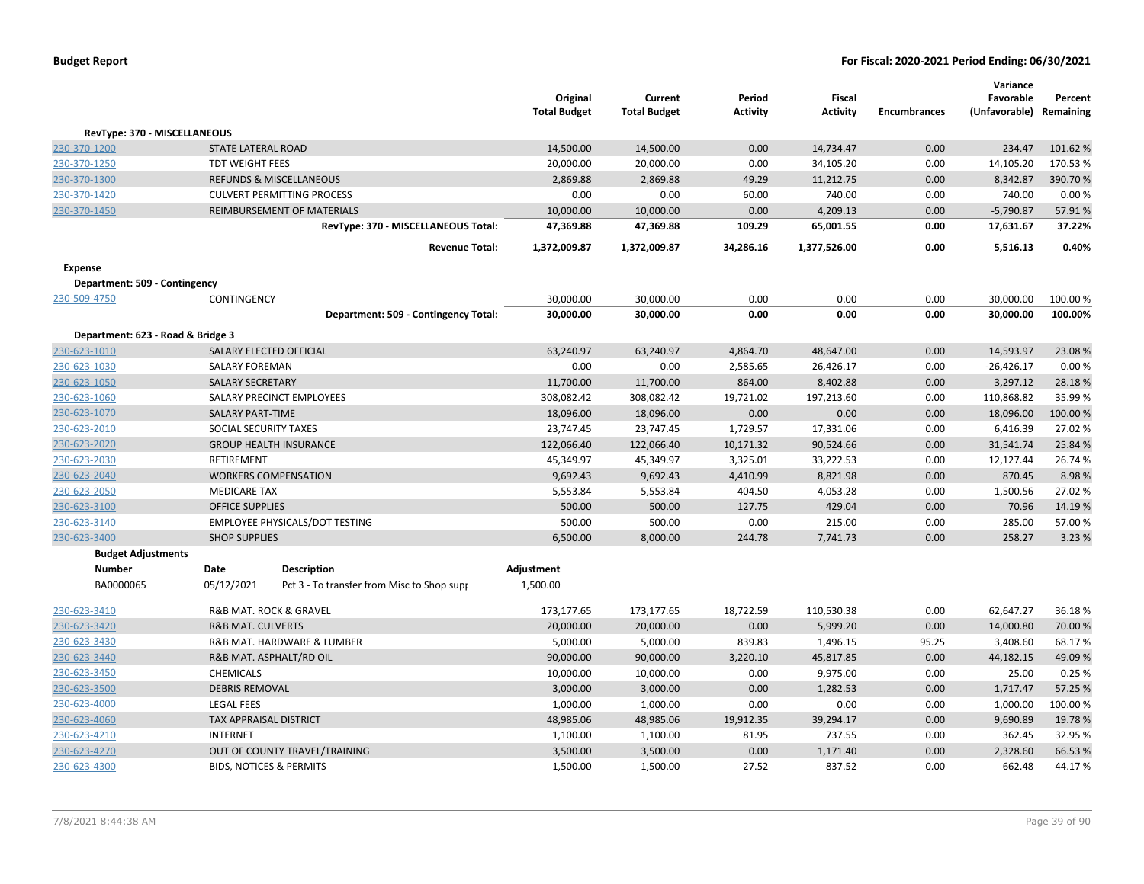| <b>Budget Report</b> |  |
|----------------------|--|
|----------------------|--|

|                                   |                                                  |                                            | Original            | Current             | Period          | Fiscal          |                     | Variance<br>Favorable   | Percent |
|-----------------------------------|--------------------------------------------------|--------------------------------------------|---------------------|---------------------|-----------------|-----------------|---------------------|-------------------------|---------|
|                                   |                                                  |                                            | <b>Total Budget</b> | <b>Total Budget</b> | <b>Activity</b> | <b>Activity</b> | <b>Encumbrances</b> | (Unfavorable) Remaining |         |
| RevType: 370 - MISCELLANEOUS      |                                                  |                                            |                     |                     |                 |                 |                     |                         |         |
| 230-370-1200                      | <b>STATE LATERAL ROAD</b>                        |                                            | 14,500.00           | 14,500.00           | 0.00            | 14,734.47       | 0.00                | 234.47                  | 101.62% |
| 230-370-1250                      | <b>TDT WEIGHT FEES</b>                           |                                            | 20,000.00           | 20,000.00           | 0.00            | 34,105.20       | 0.00                | 14,105.20               | 170.53% |
| 230-370-1300                      |                                                  | <b>REFUNDS &amp; MISCELLANEOUS</b>         | 2,869.88            | 2,869.88            | 49.29           | 11,212.75       | 0.00                | 8,342.87                | 390.70% |
| 230-370-1420                      |                                                  | <b>CULVERT PERMITTING PROCESS</b>          | 0.00                | 0.00                | 60.00           | 740.00          | 0.00                | 740.00                  | 0.00%   |
| 230-370-1450                      |                                                  | REIMBURSEMENT OF MATERIALS                 | 10,000.00           | 10,000.00           | 0.00            | 4,209.13        | 0.00                | $-5,790.87$             | 57.91%  |
|                                   |                                                  | RevType: 370 - MISCELLANEOUS Total:        | 47,369.88           | 47,369.88           | 109.29          | 65,001.55       | 0.00                | 17,631.67               | 37.22%  |
|                                   |                                                  | <b>Revenue Total:</b>                      | 1,372,009.87        | 1,372,009.87        | 34,286.16       | 1,377,526.00    | 0.00                | 5,516.13                | 0.40%   |
| <b>Expense</b>                    |                                                  |                                            |                     |                     |                 |                 |                     |                         |         |
| Department: 509 - Contingency     |                                                  |                                            |                     |                     |                 |                 |                     |                         |         |
| 230-509-4750                      | CONTINGENCY                                      |                                            | 30,000.00           | 30,000.00           | 0.00            | 0.00            | 0.00                | 30,000.00               | 100.00% |
|                                   |                                                  | Department: 509 - Contingency Total:       | 30,000.00           | 30,000.00           | 0.00            | 0.00            | 0.00                | 30,000.00               | 100.00% |
|                                   |                                                  |                                            |                     |                     |                 |                 |                     |                         |         |
| Department: 623 - Road & Bridge 3 |                                                  |                                            | 63,240.97           |                     | 4,864.70        | 48,647.00       | 0.00                | 14,593.97               | 23.08%  |
| 230-623-1010                      | SALARY ELECTED OFFICIAL<br><b>SALARY FOREMAN</b> |                                            | 0.00                | 63,240.97<br>0.00   | 2,585.65        | 26,426.17       | 0.00                | $-26,426.17$            | 0.00%   |
| 230-623-1030<br>230-623-1050      | <b>SALARY SECRETARY</b>                          |                                            | 11,700.00           | 11,700.00           | 864.00          | 8,402.88        | 0.00                | 3,297.12                | 28.18%  |
| 230-623-1060                      |                                                  | SALARY PRECINCT EMPLOYEES                  | 308,082.42          | 308,082.42          | 19,721.02       | 197,213.60      | 0.00                | 110,868.82              | 35.99%  |
| 230-623-1070                      | <b>SALARY PART-TIME</b>                          |                                            | 18,096.00           | 18,096.00           | 0.00            | 0.00            | 0.00                | 18,096.00               | 100.00% |
| 230-623-2010                      | SOCIAL SECURITY TAXES                            |                                            | 23,747.45           | 23,747.45           | 1,729.57        | 17,331.06       | 0.00                | 6,416.39                | 27.02%  |
| 230-623-2020                      |                                                  | <b>GROUP HEALTH INSURANCE</b>              | 122,066.40          | 122,066.40          | 10,171.32       | 90,524.66       | 0.00                | 31,541.74               | 25.84 % |
| 230-623-2030                      | RETIREMENT                                       |                                            | 45,349.97           | 45,349.97           | 3,325.01        | 33,222.53       | 0.00                | 12,127.44               | 26.74 % |
| 230-623-2040                      |                                                  | <b>WORKERS COMPENSATION</b>                | 9,692.43            | 9,692.43            | 4,410.99        | 8,821.98        | 0.00                | 870.45                  | 8.98%   |
| 230-623-2050                      | <b>MEDICARE TAX</b>                              |                                            | 5,553.84            | 5,553.84            | 404.50          | 4,053.28        | 0.00                | 1,500.56                | 27.02%  |
| 230-623-3100                      | <b>OFFICE SUPPLIES</b>                           |                                            | 500.00              | 500.00              | 127.75          | 429.04          | 0.00                | 70.96                   | 14.19%  |
| 230-623-3140                      |                                                  | EMPLOYEE PHYSICALS/DOT TESTING             | 500.00              | 500.00              | 0.00            | 215.00          | 0.00                | 285.00                  | 57.00 % |
| 230-623-3400                      | <b>SHOP SUPPLIES</b>                             |                                            | 6,500.00            | 8,000.00            | 244.78          | 7,741.73        | 0.00                | 258.27                  | 3.23 %  |
| <b>Budget Adjustments</b>         |                                                  |                                            |                     |                     |                 |                 |                     |                         |         |
| <b>Number</b>                     | Date                                             | <b>Description</b>                         | Adjustment          |                     |                 |                 |                     |                         |         |
| BA0000065                         | 05/12/2021                                       | Pct 3 - To transfer from Misc to Shop supp | 1,500.00            |                     |                 |                 |                     |                         |         |
|                                   |                                                  |                                            |                     |                     |                 |                 |                     |                         |         |
| 230-623-3410                      |                                                  | R&B MAT. ROCK & GRAVEL                     | 173,177.65          | 173,177.65          | 18,722.59       | 110,530.38      | 0.00                | 62,647.27               | 36.18%  |
| 230-623-3420                      | <b>R&amp;B MAT. CULVERTS</b>                     |                                            | 20,000.00           | 20,000.00           | 0.00            | 5,999.20        | 0.00                | 14,000.80               | 70.00%  |
| 230-623-3430                      |                                                  | R&B MAT. HARDWARE & LUMBER                 | 5,000.00            | 5,000.00            | 839.83          | 1,496.15        | 95.25               | 3,408.60                | 68.17%  |
| 230-623-3440                      |                                                  | R&B MAT. ASPHALT/RD OIL                    | 90,000.00           | 90,000.00           | 3,220.10        | 45,817.85       | 0.00                | 44,182.15               | 49.09%  |
| 230-623-3450                      | <b>CHEMICALS</b>                                 |                                            | 10,000.00           | 10,000.00           | 0.00            | 9,975.00        | 0.00                | 25.00                   | 0.25%   |
| 230-623-3500                      | <b>DEBRIS REMOVAL</b>                            |                                            | 3,000.00            | 3,000.00            | 0.00            | 1,282.53        | 0.00                | 1,717.47                | 57.25 % |
| 230-623-4000                      | <b>LEGAL FEES</b>                                |                                            | 1,000.00            | 1,000.00            | 0.00            | 0.00            | 0.00                | 1,000.00                | 100.00% |
| 230-623-4060                      | TAX APPRAISAL DISTRICT                           |                                            | 48,985.06           | 48,985.06           | 19,912.35       | 39,294.17       | 0.00                | 9,690.89                | 19.78%  |
| 230-623-4210                      | <b>INTERNET</b>                                  |                                            | 1,100.00            | 1,100.00            | 81.95           | 737.55          | 0.00                | 362.45                  | 32.95%  |
| 230-623-4270                      |                                                  | OUT OF COUNTY TRAVEL/TRAINING              | 3,500.00            | 3,500.00            | 0.00            | 1,171.40        | 0.00                | 2,328.60                | 66.53%  |
| 230-623-4300                      | <b>BIDS, NOTICES &amp; PERMITS</b>               |                                            | 1,500.00            | 1,500.00            | 27.52           | 837.52          | 0.00                | 662.48                  | 44.17%  |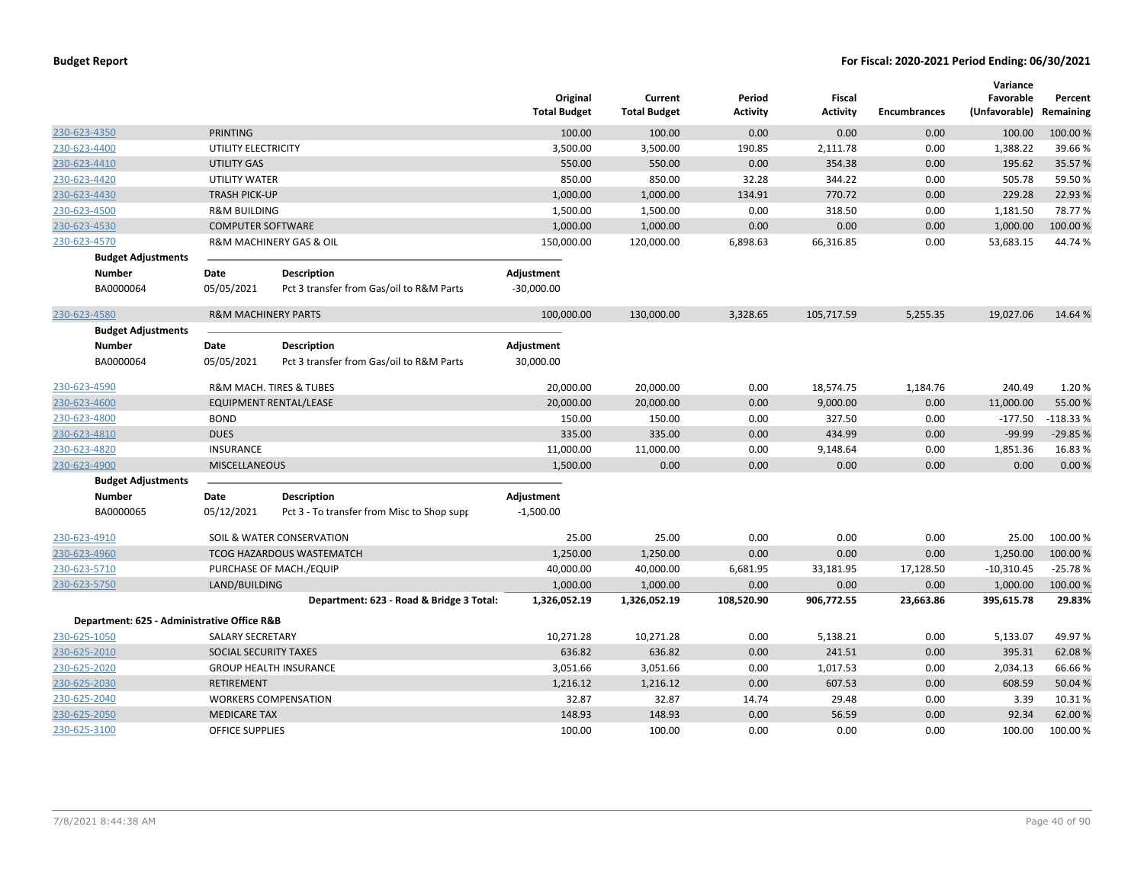|                                             |                                |                                            | Original<br><b>Total Budget</b> | Current<br><b>Total Budget</b> | Period<br><b>Activity</b> | <b>Fiscal</b><br><b>Activity</b> | <b>Encumbrances</b> | Variance<br>Favorable<br>(Unfavorable) | Percent<br>Remaining |
|---------------------------------------------|--------------------------------|--------------------------------------------|---------------------------------|--------------------------------|---------------------------|----------------------------------|---------------------|----------------------------------------|----------------------|
| 230-623-4350                                | <b>PRINTING</b>                |                                            | 100.00                          | 100.00                         | 0.00                      | 0.00                             | 0.00                | 100.00                                 | 100.00 %             |
| 230-623-4400                                | UTILITY ELECTRICITY            |                                            | 3,500.00                        | 3,500.00                       | 190.85                    | 2,111.78                         | 0.00                | 1,388.22                               | 39.66%               |
| 230-623-4410                                | <b>UTILITY GAS</b>             |                                            | 550.00                          | 550.00                         | 0.00                      | 354.38                           | 0.00                | 195.62                                 | 35.57%               |
| 230-623-4420                                | <b>UTILITY WATER</b>           |                                            | 850.00                          | 850.00                         | 32.28                     | 344.22                           | 0.00                | 505.78                                 | 59.50%               |
| 230-623-4430                                | <b>TRASH PICK-UP</b>           |                                            | 1,000.00                        | 1,000.00                       | 134.91                    | 770.72                           | 0.00                | 229.28                                 | 22.93 %              |
| 230-623-4500                                | <b>R&amp;M BUILDING</b>        |                                            | 1,500.00                        | 1,500.00                       | 0.00                      | 318.50                           | 0.00                | 1,181.50                               | 78.77%               |
| 230-623-4530                                | <b>COMPUTER SOFTWARE</b>       |                                            | 1,000.00                        | 1,000.00                       | 0.00                      | 0.00                             | 0.00                | 1,000.00                               | 100.00 %             |
| 230-623-4570                                |                                | R&M MACHINERY GAS & OIL                    | 150,000.00                      | 120,000.00                     | 6,898.63                  | 66,316.85                        | 0.00                | 53,683.15                              | 44.74%               |
| <b>Budget Adjustments</b>                   |                                |                                            |                                 |                                |                           |                                  |                     |                                        |                      |
| <b>Number</b>                               | Date                           | <b>Description</b>                         | Adjustment                      |                                |                           |                                  |                     |                                        |                      |
| BA0000064                                   | 05/05/2021                     | Pct 3 transfer from Gas/oil to R&M Parts   | $-30,000.00$                    |                                |                           |                                  |                     |                                        |                      |
| 230-623-4580                                | <b>R&amp;M MACHINERY PARTS</b> |                                            | 100,000.00                      | 130,000.00                     | 3,328.65                  | 105,717.59                       | 5,255.35            | 19,027.06                              | 14.64 %              |
| <b>Budget Adjustments</b>                   |                                |                                            |                                 |                                |                           |                                  |                     |                                        |                      |
| <b>Number</b>                               | Date                           | <b>Description</b>                         | Adjustment                      |                                |                           |                                  |                     |                                        |                      |
| BA0000064                                   | 05/05/2021                     | Pct 3 transfer from Gas/oil to R&M Parts   | 30,000.00                       |                                |                           |                                  |                     |                                        |                      |
| 230-623-4590                                |                                | R&M MACH. TIRES & TUBES                    | 20,000.00                       | 20,000.00                      | 0.00                      | 18,574.75                        | 1,184.76            | 240.49                                 | 1.20%                |
| 230-623-4600                                |                                | EQUIPMENT RENTAL/LEASE                     | 20,000.00                       | 20,000.00                      | 0.00                      | 9,000.00                         | 0.00                | 11,000.00                              | 55.00 %              |
| 230-623-4800                                | <b>BOND</b>                    |                                            | 150.00                          | 150.00                         | 0.00                      | 327.50                           | 0.00                | $-177.50$                              | $-118.33%$           |
| 230-623-4810                                | <b>DUES</b>                    |                                            | 335.00                          | 335.00                         | 0.00                      | 434.99                           | 0.00                | $-99.99$                               | $-29.85%$            |
| 230-623-4820                                | <b>INSURANCE</b>               |                                            | 11,000.00                       | 11,000.00                      | 0.00                      | 9,148.64                         | 0.00                | 1,851.36                               | 16.83%               |
| 230-623-4900                                | <b>MISCELLANEOUS</b>           |                                            | 1,500.00                        | 0.00                           | 0.00                      | 0.00                             | 0.00                | 0.00                                   | 0.00%                |
| <b>Budget Adjustments</b>                   |                                |                                            |                                 |                                |                           |                                  |                     |                                        |                      |
| Number                                      | Date                           | <b>Description</b>                         | Adjustment                      |                                |                           |                                  |                     |                                        |                      |
| BA0000065                                   | 05/12/2021                     | Pct 3 - To transfer from Misc to Shop supp | $-1,500.00$                     |                                |                           |                                  |                     |                                        |                      |
| 230-623-4910                                |                                | SOIL & WATER CONSERVATION                  | 25.00                           | 25.00                          | 0.00                      | 0.00                             | 0.00                | 25.00                                  | 100.00 %             |
| 230-623-4960                                |                                | <b>TCOG HAZARDOUS WASTEMATCH</b>           | 1,250.00                        | 1,250.00                       | 0.00                      | 0.00                             | 0.00                | 1,250.00                               | 100.00 %             |
| 230-623-5710                                |                                | PURCHASE OF MACH./EQUIP                    | 40,000.00                       | 40,000.00                      | 6,681.95                  | 33,181.95                        | 17,128.50           | $-10,310.45$                           | $-25.78%$            |
| 230-623-5750                                | LAND/BUILDING                  |                                            | 1,000.00                        | 1,000.00                       | 0.00                      | 0.00                             | 0.00                | 1,000.00                               | 100.00 %             |
|                                             |                                | Department: 623 - Road & Bridge 3 Total:   | 1,326,052.19                    | 1,326,052.19                   | 108,520.90                | 906,772.55                       | 23,663.86           | 395,615.78                             | 29.83%               |
| Department: 625 - Administrative Office R&B |                                |                                            |                                 |                                |                           |                                  |                     |                                        |                      |
| 230-625-1050                                | SALARY SECRETARY               |                                            | 10,271.28                       | 10,271.28                      | 0.00                      | 5,138.21                         | 0.00                | 5,133.07                               | 49.97%               |
| 230-625-2010                                | SOCIAL SECURITY TAXES          |                                            | 636.82                          | 636.82                         | 0.00                      | 241.51                           | 0.00                | 395.31                                 | 62.08%               |
| 230-625-2020                                |                                | <b>GROUP HEALTH INSURANCE</b>              | 3,051.66                        | 3,051.66                       | 0.00                      | 1,017.53                         | 0.00                | 2,034.13                               | 66.66%               |
| 230-625-2030                                | <b>RETIREMENT</b>              |                                            | 1,216.12                        | 1,216.12                       | 0.00                      | 607.53                           | 0.00                | 608.59                                 | 50.04 %              |
| 230-625-2040                                |                                | <b>WORKERS COMPENSATION</b>                | 32.87                           | 32.87                          | 14.74                     | 29.48                            | 0.00                | 3.39                                   | 10.31%               |
| 230-625-2050                                | <b>MEDICARE TAX</b>            |                                            | 148.93                          | 148.93                         | 0.00                      | 56.59                            | 0.00                | 92.34                                  | 62.00%               |
| 230-625-3100                                | <b>OFFICE SUPPLIES</b>         |                                            | 100.00                          | 100.00                         | 0.00                      | 0.00                             | 0.00                | 100.00                                 | 100.00 %             |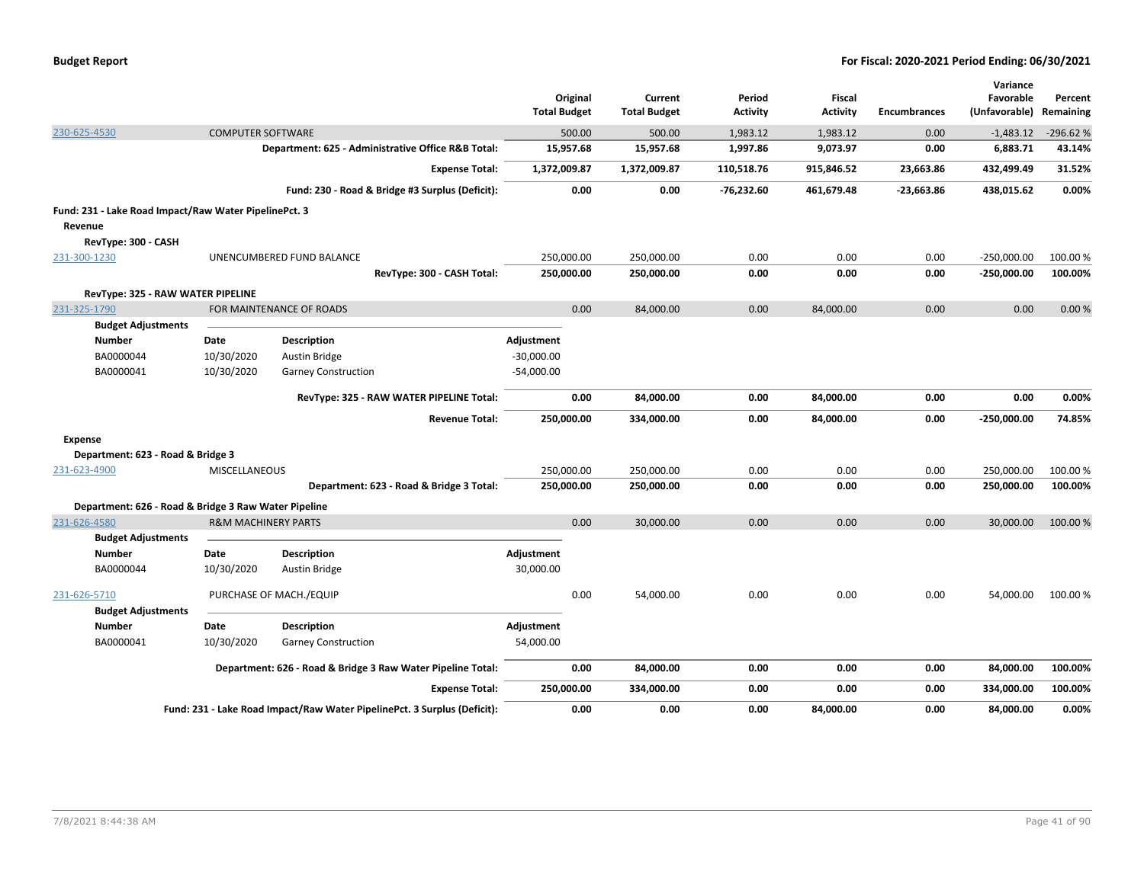|                                                       |                                                      |                                                                          | Original<br><b>Total Budget</b> | Current<br><b>Total Budget</b> | Period<br><b>Activity</b> | Fiscal<br><b>Activity</b> | <b>Encumbrances</b> | Variance<br>Favorable<br>(Unfavorable) | Percent<br>Remaining |
|-------------------------------------------------------|------------------------------------------------------|--------------------------------------------------------------------------|---------------------------------|--------------------------------|---------------------------|---------------------------|---------------------|----------------------------------------|----------------------|
| 230-625-4530                                          | <b>COMPUTER SOFTWARE</b>                             |                                                                          | 500.00                          | 500.00                         | 1,983.12                  | 1,983.12                  | 0.00                | $-1,483.12$                            | $-296.62%$           |
|                                                       |                                                      | Department: 625 - Administrative Office R&B Total:                       | 15,957.68                       | 15,957.68                      | 1,997.86                  | 9,073.97                  | 0.00                | 6,883.71                               | 43.14%               |
|                                                       |                                                      | <b>Expense Total:</b>                                                    | 1,372,009.87                    | 1,372,009.87                   | 110,518.76                | 915,846.52                | 23,663.86           | 432,499.49                             | 31.52%               |
|                                                       |                                                      | Fund: 230 - Road & Bridge #3 Surplus (Deficit):                          |                                 | 0.00<br>0.00                   | $-76,232.60$              | 461,679.48                | $-23,663.86$        | 438,015.62                             | 0.00%                |
| Fund: 231 - Lake Road Impact/Raw Water PipelinePct. 3 |                                                      |                                                                          |                                 |                                |                           |                           |                     |                                        |                      |
| Revenue                                               |                                                      |                                                                          |                                 |                                |                           |                           |                     |                                        |                      |
| RevType: 300 - CASH                                   |                                                      |                                                                          |                                 |                                |                           |                           |                     |                                        |                      |
| 231-300-1230                                          |                                                      | UNENCUMBERED FUND BALANCE                                                | 250,000.00                      | 250,000.00                     | 0.00                      | 0.00                      | 0.00                | $-250,000.00$                          | 100.00 %             |
|                                                       |                                                      | RevType: 300 - CASH Total:                                               | 250,000.00                      | 250,000.00                     | 0.00                      | 0.00                      | 0.00                | $-250,000.00$                          | 100.00%              |
|                                                       | RevType: 325 - RAW WATER PIPELINE                    |                                                                          |                                 |                                |                           |                           |                     |                                        |                      |
| 231-325-1790                                          |                                                      | FOR MAINTENANCE OF ROADS                                                 |                                 | 0.00<br>84,000.00              | 0.00                      | 84,000.00                 | 0.00                | 0.00                                   | 0.00%                |
| <b>Budget Adjustments</b>                             |                                                      |                                                                          |                                 |                                |                           |                           |                     |                                        |                      |
| <b>Number</b>                                         | Date                                                 | Description                                                              | Adjustment                      |                                |                           |                           |                     |                                        |                      |
| BA0000044                                             | 10/30/2020                                           | <b>Austin Bridge</b>                                                     | $-30,000.00$                    |                                |                           |                           |                     |                                        |                      |
| BA0000041                                             | 10/30/2020                                           | <b>Garney Construction</b>                                               | $-54,000.00$                    |                                |                           |                           |                     |                                        |                      |
|                                                       |                                                      | RevType: 325 - RAW WATER PIPELINE Total:                                 |                                 | 0.00<br>84,000.00              | 0.00                      | 84,000.00                 | 0.00                | 0.00                                   | 0.00%                |
|                                                       |                                                      | <b>Revenue Total:</b>                                                    | 250,000.00                      | 334,000.00                     | 0.00                      | 84,000.00                 | 0.00                | $-250,000.00$                          | 74.85%               |
| <b>Expense</b>                                        |                                                      |                                                                          |                                 |                                |                           |                           |                     |                                        |                      |
| Department: 623 - Road & Bridge 3                     |                                                      |                                                                          |                                 |                                |                           |                           |                     |                                        |                      |
| 231-623-4900                                          | MISCELLANEOUS                                        |                                                                          | 250,000.00                      | 250,000.00                     | 0.00                      | 0.00                      | 0.00                | 250,000.00                             | 100.00 %             |
|                                                       |                                                      | Department: 623 - Road & Bridge 3 Total:                                 | 250,000.00                      | 250,000.00                     | 0.00                      | 0.00                      | 0.00                | 250,000.00                             | 100.00%              |
|                                                       | Department: 626 - Road & Bridge 3 Raw Water Pipeline |                                                                          |                                 |                                |                           |                           |                     |                                        |                      |
| 231-626-4580                                          | <b>R&amp;M MACHINERY PARTS</b>                       |                                                                          |                                 | 0.00<br>30,000.00              | 0.00                      | 0.00                      | 0.00                | 30,000.00                              | 100.00 %             |
| <b>Budget Adjustments</b>                             |                                                      |                                                                          |                                 |                                |                           |                           |                     |                                        |                      |
| <b>Number</b>                                         | Date                                                 | <b>Description</b>                                                       | Adjustment                      |                                |                           |                           |                     |                                        |                      |
| BA0000044                                             | 10/30/2020                                           | Austin Bridge                                                            | 30,000.00                       |                                |                           |                           |                     |                                        |                      |
| 231-626-5710                                          |                                                      | PURCHASE OF MACH./EQUIP                                                  |                                 | 0.00<br>54,000.00              | 0.00                      | 0.00                      | 0.00                | 54,000.00                              | 100.00%              |
| <b>Budget Adjustments</b>                             |                                                      |                                                                          |                                 |                                |                           |                           |                     |                                        |                      |
| <b>Number</b>                                         | Date                                                 | <b>Description</b>                                                       | Adjustment                      |                                |                           |                           |                     |                                        |                      |
| BA0000041                                             | 10/30/2020                                           | <b>Garney Construction</b>                                               | 54,000.00                       |                                |                           |                           |                     |                                        |                      |
|                                                       |                                                      | Department: 626 - Road & Bridge 3 Raw Water Pipeline Total:              |                                 | 0.00<br>84,000.00              | 0.00                      | 0.00                      | 0.00                | 84,000.00                              | 100.00%              |
|                                                       |                                                      | <b>Expense Total:</b>                                                    | 250,000.00                      | 334,000.00                     | 0.00                      | 0.00                      | 0.00                | 334,000.00                             | 100.00%              |
|                                                       |                                                      | Fund: 231 - Lake Road Impact/Raw Water PipelinePct. 3 Surplus (Deficit): |                                 | 0.00<br>0.00                   | 0.00                      | 84,000.00                 | 0.00                | 84,000.00                              | 0.00%                |
|                                                       |                                                      |                                                                          |                                 |                                |                           |                           |                     |                                        |                      |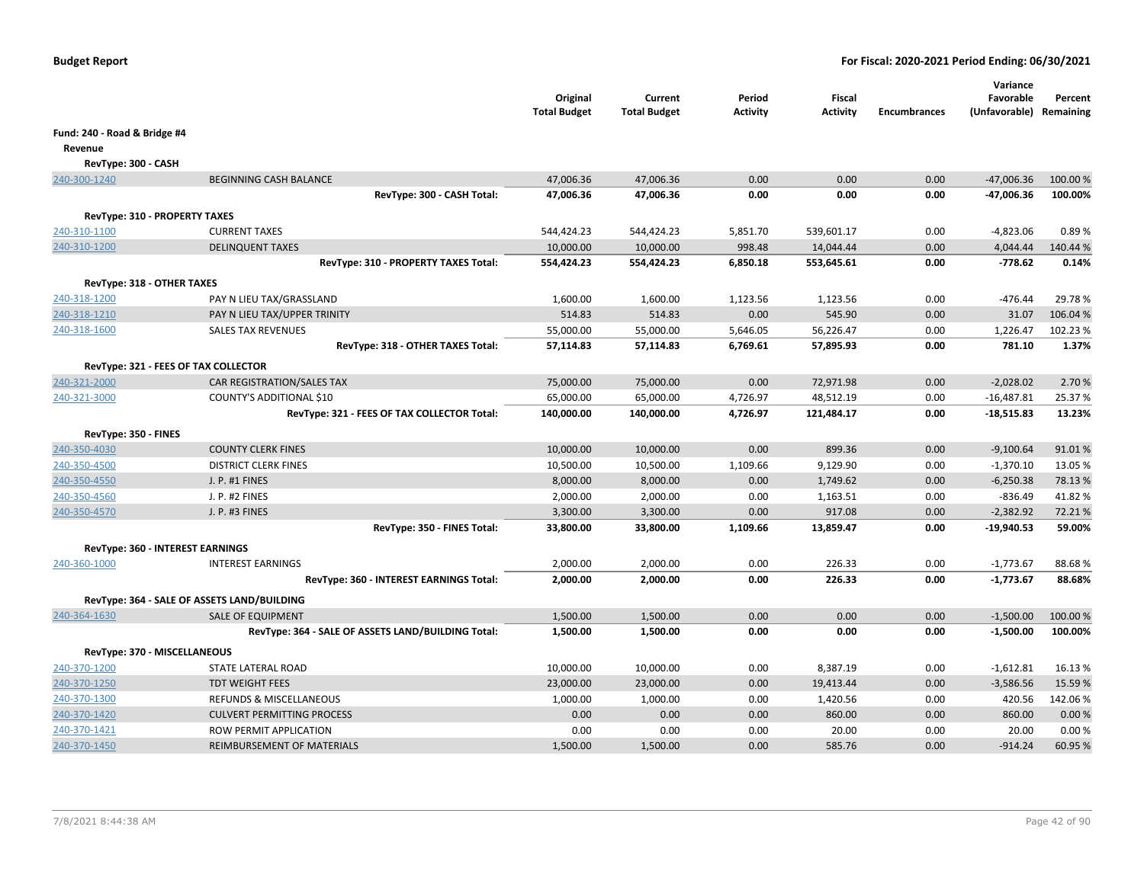|                                  |                                                    | Original<br><b>Total Budget</b> | Current<br><b>Total Budget</b> | Period<br>Activity | Fiscal<br><b>Activity</b> | <b>Encumbrances</b> | Variance<br>Favorable<br>(Unfavorable) Remaining | Percent  |
|----------------------------------|----------------------------------------------------|---------------------------------|--------------------------------|--------------------|---------------------------|---------------------|--------------------------------------------------|----------|
| Fund: 240 - Road & Bridge #4     |                                                    |                                 |                                |                    |                           |                     |                                                  |          |
| Revenue                          |                                                    |                                 |                                |                    |                           |                     |                                                  |          |
| RevType: 300 - CASH              |                                                    |                                 |                                |                    |                           |                     |                                                  |          |
| 240-300-1240                     | <b>BEGINNING CASH BALANCE</b>                      | 47,006.36                       | 47,006.36                      | 0.00               | 0.00                      | 0.00                | $-47,006.36$                                     | 100.00 % |
|                                  | RevType: 300 - CASH Total:                         | 47,006.36                       | 47,006.36                      | 0.00               | 0.00                      | 0.00                | -47,006.36                                       | 100.00%  |
|                                  |                                                    |                                 |                                |                    |                           |                     |                                                  |          |
| RevType: 310 - PROPERTY TAXES    | <b>CURRENT TAXES</b>                               |                                 |                                |                    |                           | 0.00                |                                                  | 0.89%    |
| 240-310-1100<br>240-310-1200     | <b>DELINQUENT TAXES</b>                            | 544,424.23<br>10,000.00         | 544,424.23<br>10,000.00        | 5,851.70<br>998.48 | 539,601.17<br>14,044.44   | 0.00                | $-4,823.06$<br>4,044.44                          | 140.44 % |
|                                  | RevType: 310 - PROPERTY TAXES Total:               | 554,424.23                      | 554,424.23                     | 6,850.18           | 553,645.61                | 0.00                | $-778.62$                                        | 0.14%    |
|                                  |                                                    |                                 |                                |                    |                           |                     |                                                  |          |
| RevType: 318 - OTHER TAXES       |                                                    |                                 |                                |                    |                           |                     |                                                  |          |
| 240-318-1200                     | PAY N LIEU TAX/GRASSLAND                           | 1,600.00                        | 1,600.00                       | 1,123.56           | 1,123.56                  | 0.00                | $-476.44$                                        | 29.78%   |
| 240-318-1210                     | PAY N LIEU TAX/UPPER TRINITY                       | 514.83                          | 514.83                         | 0.00               | 545.90                    | 0.00                | 31.07                                            | 106.04%  |
| 240-318-1600                     | <b>SALES TAX REVENUES</b>                          | 55,000.00                       | 55,000.00                      | 5,646.05           | 56,226.47                 | 0.00                | 1,226.47                                         | 102.23%  |
|                                  | RevType: 318 - OTHER TAXES Total:                  | 57,114.83                       | 57,114.83                      | 6,769.61           | 57,895.93                 | 0.00                | 781.10                                           | 1.37%    |
|                                  | RevType: 321 - FEES OF TAX COLLECTOR               |                                 |                                |                    |                           |                     |                                                  |          |
| 240-321-2000                     | CAR REGISTRATION/SALES TAX                         | 75,000.00                       | 75,000.00                      | 0.00               | 72,971.98                 | 0.00                | $-2,028.02$                                      | 2.70 %   |
| 240-321-3000                     | COUNTY'S ADDITIONAL \$10                           | 65,000.00                       | 65,000.00                      | 4,726.97           | 48,512.19                 | 0.00                | $-16,487.81$                                     | 25.37%   |
|                                  | RevType: 321 - FEES OF TAX COLLECTOR Total:        | 140,000.00                      | 140,000.00                     | 4,726.97           | 121,484.17                | 0.00                | $-18,515.83$                                     | 13.23%   |
| RevType: 350 - FINES             |                                                    |                                 |                                |                    |                           |                     |                                                  |          |
| 240-350-4030                     | <b>COUNTY CLERK FINES</b>                          | 10,000.00                       | 10,000.00                      | 0.00               | 899.36                    | 0.00                | $-9,100.64$                                      | 91.01%   |
| 240-350-4500                     | <b>DISTRICT CLERK FINES</b>                        | 10,500.00                       | 10,500.00                      | 1,109.66           | 9,129.90                  | 0.00                | $-1,370.10$                                      | 13.05 %  |
| 240-350-4550                     | J. P. #1 FINES                                     | 8,000.00                        | 8,000.00                       | 0.00               | 1,749.62                  | 0.00                | $-6,250.38$                                      | 78.13%   |
| 240-350-4560                     | J. P. #2 FINES                                     | 2,000.00                        | 2,000.00                       | 0.00               | 1,163.51                  | 0.00                | $-836.49$                                        | 41.82%   |
| 240-350-4570                     | J. P. #3 FINES                                     | 3,300.00                        | 3,300.00                       | 0.00               | 917.08                    | 0.00                | $-2,382.92$                                      | 72.21%   |
|                                  | RevType: 350 - FINES Total:                        | 33,800.00                       | 33,800.00                      | 1,109.66           | 13,859.47                 | 0.00                | -19,940.53                                       | 59.00%   |
| RevType: 360 - INTEREST EARNINGS |                                                    |                                 |                                |                    |                           |                     |                                                  |          |
| 240-360-1000                     | <b>INTEREST EARNINGS</b>                           | 2,000.00                        | 2,000.00                       | 0.00               | 226.33                    | 0.00                | $-1,773.67$                                      | 88.68%   |
|                                  | RevType: 360 - INTEREST EARNINGS Total:            | 2,000.00                        | 2,000.00                       | 0.00               | 226.33                    | 0.00                | $-1,773.67$                                      | 88.68%   |
|                                  |                                                    |                                 |                                |                    |                           |                     |                                                  |          |
|                                  | RevType: 364 - SALE OF ASSETS LAND/BUILDING        |                                 |                                |                    |                           |                     |                                                  |          |
| 240-364-1630                     | <b>SALE OF EQUIPMENT</b>                           | 1,500.00                        | 1,500.00                       | 0.00               | 0.00                      | 0.00                | $-1,500.00$                                      | 100.00%  |
|                                  | RevType: 364 - SALE OF ASSETS LAND/BUILDING Total: | 1,500.00                        | 1,500.00                       | 0.00               | 0.00                      | 0.00                | $-1,500.00$                                      | 100.00%  |
| RevType: 370 - MISCELLANEOUS     |                                                    |                                 |                                |                    |                           |                     |                                                  |          |
| 240-370-1200                     | STATE LATERAL ROAD                                 | 10,000.00                       | 10,000.00                      | 0.00               | 8,387.19                  | 0.00                | $-1,612.81$                                      | 16.13%   |
| 240-370-1250                     | <b>TDT WEIGHT FEES</b>                             | 23,000.00                       | 23,000.00                      | 0.00               | 19,413.44                 | 0.00                | $-3,586.56$                                      | 15.59 %  |
| 240-370-1300                     | <b>REFUNDS &amp; MISCELLANEOUS</b>                 | 1,000.00                        | 1,000.00                       | 0.00               | 1,420.56                  | 0.00                | 420.56                                           | 142.06%  |
| 240-370-1420                     | <b>CULVERT PERMITTING PROCESS</b>                  | 0.00                            | 0.00                           | 0.00               | 860.00                    | 0.00                | 860.00                                           | 0.00%    |
| 240-370-1421                     | ROW PERMIT APPLICATION                             | 0.00                            | 0.00                           | 0.00               | 20.00                     | 0.00                | 20.00                                            | 0.00%    |
| 240-370-1450                     | REIMBURSEMENT OF MATERIALS                         | 1,500.00                        | 1,500.00                       | 0.00               | 585.76                    | 0.00                | $-914.24$                                        | 60.95 %  |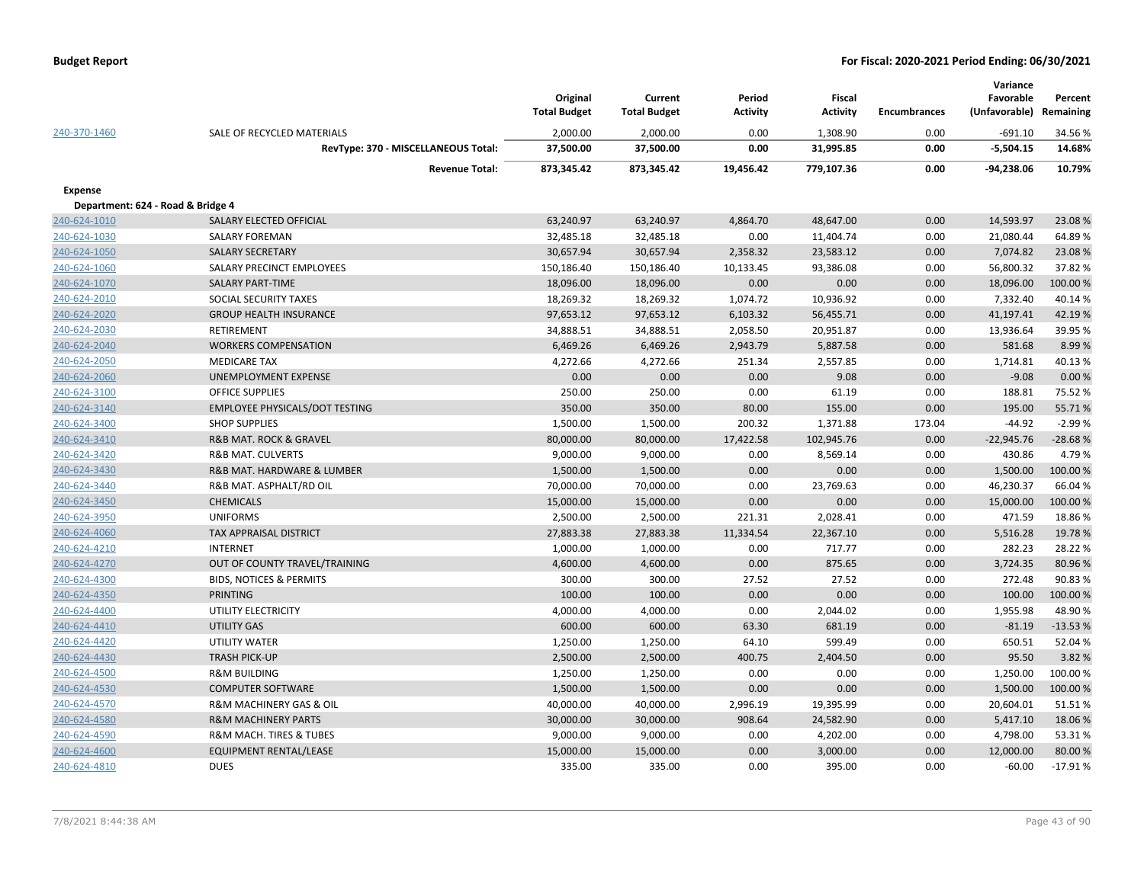|                                   |                                        | Original<br><b>Total Budget</b> | Current<br><b>Total Budget</b> | Period<br><b>Activity</b> | <b>Fiscal</b><br><b>Activity</b> | <b>Encumbrances</b> | Variance<br>Favorable<br>(Unfavorable) | Percent<br>Remaining |
|-----------------------------------|----------------------------------------|---------------------------------|--------------------------------|---------------------------|----------------------------------|---------------------|----------------------------------------|----------------------|
| 240-370-1460                      | SALE OF RECYCLED MATERIALS             | 2,000.00                        | 2,000.00                       | 0.00                      | 1,308.90                         | 0.00                | $-691.10$                              | 34.56%               |
|                                   | RevType: 370 - MISCELLANEOUS Total:    | 37,500.00                       | 37,500.00                      | 0.00                      | 31,995.85                        | 0.00                | $-5,504.15$                            | 14.68%               |
|                                   | <b>Revenue Total:</b>                  | 873,345.42                      | 873,345.42                     | 19,456.42                 | 779,107.36                       | 0.00                | $-94,238.06$                           | 10.79%               |
| <b>Expense</b>                    |                                        |                                 |                                |                           |                                  |                     |                                        |                      |
| Department: 624 - Road & Bridge 4 |                                        |                                 |                                |                           |                                  |                     |                                        |                      |
| 240-624-1010                      | SALARY ELECTED OFFICIAL                | 63,240.97                       | 63,240.97                      | 4,864.70                  | 48,647.00                        | 0.00                | 14,593.97                              | 23.08%               |
| 240-624-1030                      | <b>SALARY FOREMAN</b>                  | 32,485.18                       | 32,485.18                      | 0.00                      | 11,404.74                        | 0.00                | 21,080.44                              | 64.89%               |
| 240-624-1050                      | <b>SALARY SECRETARY</b>                | 30,657.94                       | 30,657.94                      | 2,358.32                  | 23,583.12                        | 0.00                | 7,074.82                               | 23.08%               |
| 240-624-1060                      | SALARY PRECINCT EMPLOYEES              | 150,186.40                      | 150,186.40                     | 10,133.45                 | 93,386.08                        | 0.00                | 56,800.32                              | 37.82%               |
| 240-624-1070                      | <b>SALARY PART-TIME</b>                | 18,096.00                       | 18,096.00                      | 0.00                      | 0.00                             | 0.00                | 18,096.00                              | 100.00%              |
| 240-624-2010                      | SOCIAL SECURITY TAXES                  | 18,269.32                       | 18,269.32                      | 1,074.72                  | 10,936.92                        | 0.00                | 7,332.40                               | 40.14%               |
| 240-624-2020                      | <b>GROUP HEALTH INSURANCE</b>          | 97,653.12                       | 97,653.12                      | 6,103.32                  | 56,455.71                        | 0.00                | 41,197.41                              | 42.19%               |
| 240-624-2030                      | RETIREMENT                             | 34,888.51                       | 34,888.51                      | 2,058.50                  | 20,951.87                        | 0.00                | 13,936.64                              | 39.95 %              |
| 240-624-2040                      | <b>WORKERS COMPENSATION</b>            | 6,469.26                        | 6,469.26                       | 2,943.79                  | 5,887.58                         | 0.00                | 581.68                                 | 8.99%                |
| 240-624-2050                      | <b>MEDICARE TAX</b>                    | 4,272.66                        | 4,272.66                       | 251.34                    | 2,557.85                         | 0.00                | 1,714.81                               | 40.13%               |
| 240-624-2060                      | <b>UNEMPLOYMENT EXPENSE</b>            | 0.00                            | 0.00                           | 0.00                      | 9.08                             | 0.00                | $-9.08$                                | 0.00%                |
| 240-624-3100                      | <b>OFFICE SUPPLIES</b>                 | 250.00                          | 250.00                         | 0.00                      | 61.19                            | 0.00                | 188.81                                 | 75.52 %              |
| 240-624-3140                      | <b>EMPLOYEE PHYSICALS/DOT TESTING</b>  | 350.00                          | 350.00                         | 80.00                     | 155.00                           | 0.00                | 195.00                                 | 55.71%               |
| 240-624-3400                      | <b>SHOP SUPPLIES</b>                   | 1,500.00                        | 1,500.00                       | 200.32                    | 1,371.88                         | 173.04              | $-44.92$                               | $-2.99%$             |
| 240-624-3410                      | R&B MAT. ROCK & GRAVEL                 | 80,000.00                       | 80,000.00                      | 17,422.58                 | 102,945.76                       | 0.00                | $-22,945.76$                           | $-28.68%$            |
| 240-624-3420                      | <b>R&amp;B MAT. CULVERTS</b>           | 9,000.00                        | 9,000.00                       | 0.00                      | 8,569.14                         | 0.00                | 430.86                                 | 4.79%                |
| 240-624-3430                      | R&B MAT. HARDWARE & LUMBER             | 1,500.00                        | 1,500.00                       | 0.00                      | 0.00                             | 0.00                | 1,500.00                               | 100.00%              |
| 240-624-3440                      | R&B MAT. ASPHALT/RD OIL                | 70,000.00                       | 70,000.00                      | 0.00                      | 23,769.63                        | 0.00                | 46,230.37                              | 66.04%               |
| 240-624-3450                      | <b>CHEMICALS</b>                       | 15,000.00                       | 15,000.00                      | 0.00                      | 0.00                             | 0.00                | 15,000.00                              | 100.00%              |
| 240-624-3950                      | <b>UNIFORMS</b>                        | 2,500.00                        | 2,500.00                       | 221.31                    | 2,028.41                         | 0.00                | 471.59                                 | 18.86%               |
| 240-624-4060                      | TAX APPRAISAL DISTRICT                 | 27,883.38                       | 27,883.38                      | 11,334.54                 | 22,367.10                        | 0.00                | 5,516.28                               | 19.78%               |
| 240-624-4210                      | <b>INTERNET</b>                        | 1,000.00                        | 1,000.00                       | 0.00                      | 717.77                           | 0.00                | 282.23                                 | 28.22%               |
| 240-624-4270                      | OUT OF COUNTY TRAVEL/TRAINING          | 4,600.00                        | 4,600.00                       | 0.00                      | 875.65                           | 0.00                | 3,724.35                               | 80.96%               |
| 240-624-4300                      | <b>BIDS, NOTICES &amp; PERMITS</b>     | 300.00                          | 300.00                         | 27.52                     | 27.52                            | 0.00                | 272.48                                 | 90.83%               |
| 240-624-4350                      | <b>PRINTING</b>                        | 100.00                          | 100.00                         | 0.00                      | 0.00                             | 0.00                | 100.00                                 | 100.00%              |
| 240-624-4400                      | UTILITY ELECTRICITY                    | 4,000.00                        | 4,000.00                       | 0.00                      | 2,044.02                         | 0.00                | 1,955.98                               | 48.90%               |
| 240-624-4410                      | UTILITY GAS                            | 600.00                          | 600.00                         | 63.30                     | 681.19                           | 0.00                | $-81.19$                               | $-13.53%$            |
| 240-624-4420                      | <b>UTILITY WATER</b>                   | 1,250.00                        | 1,250.00                       | 64.10                     | 599.49                           | 0.00                | 650.51                                 | 52.04%               |
| 240-624-4430                      | <b>TRASH PICK-UP</b>                   | 2,500.00                        | 2,500.00                       | 400.75                    | 2,404.50                         | 0.00                | 95.50                                  | 3.82 %               |
| 240-624-4500                      | <b>R&amp;M BUILDING</b>                | 1,250.00                        | 1,250.00                       | 0.00                      | 0.00                             | 0.00                | 1,250.00                               | 100.00%              |
| 240-624-4530                      | <b>COMPUTER SOFTWARE</b>               | 1,500.00                        | 1,500.00                       | 0.00                      | 0.00                             | 0.00                | 1,500.00                               | 100.00%              |
| 240-624-4570                      | <b>R&amp;M MACHINERY GAS &amp; OIL</b> | 40,000.00                       | 40,000.00                      | 2,996.19                  | 19,395.99                        | 0.00                | 20,604.01                              | 51.51%               |
| 240-624-4580                      | <b>R&amp;M MACHINERY PARTS</b>         | 30,000.00                       | 30,000.00                      | 908.64                    | 24,582.90                        | 0.00                | 5,417.10                               | 18.06%               |
| 240-624-4590                      | R&M MACH. TIRES & TUBES                | 9,000.00                        | 9,000.00                       | 0.00                      | 4,202.00                         | 0.00                | 4,798.00                               | 53.31%               |
| 240-624-4600                      | <b>EQUIPMENT RENTAL/LEASE</b>          | 15,000.00                       | 15,000.00                      | 0.00                      | 3,000.00                         | 0.00                | 12,000.00                              | 80.00 %              |
| 240-624-4810                      | <b>DUES</b>                            | 335.00                          | 335.00                         | 0.00                      | 395.00                           | 0.00                | $-60.00$                               | $-17.91%$            |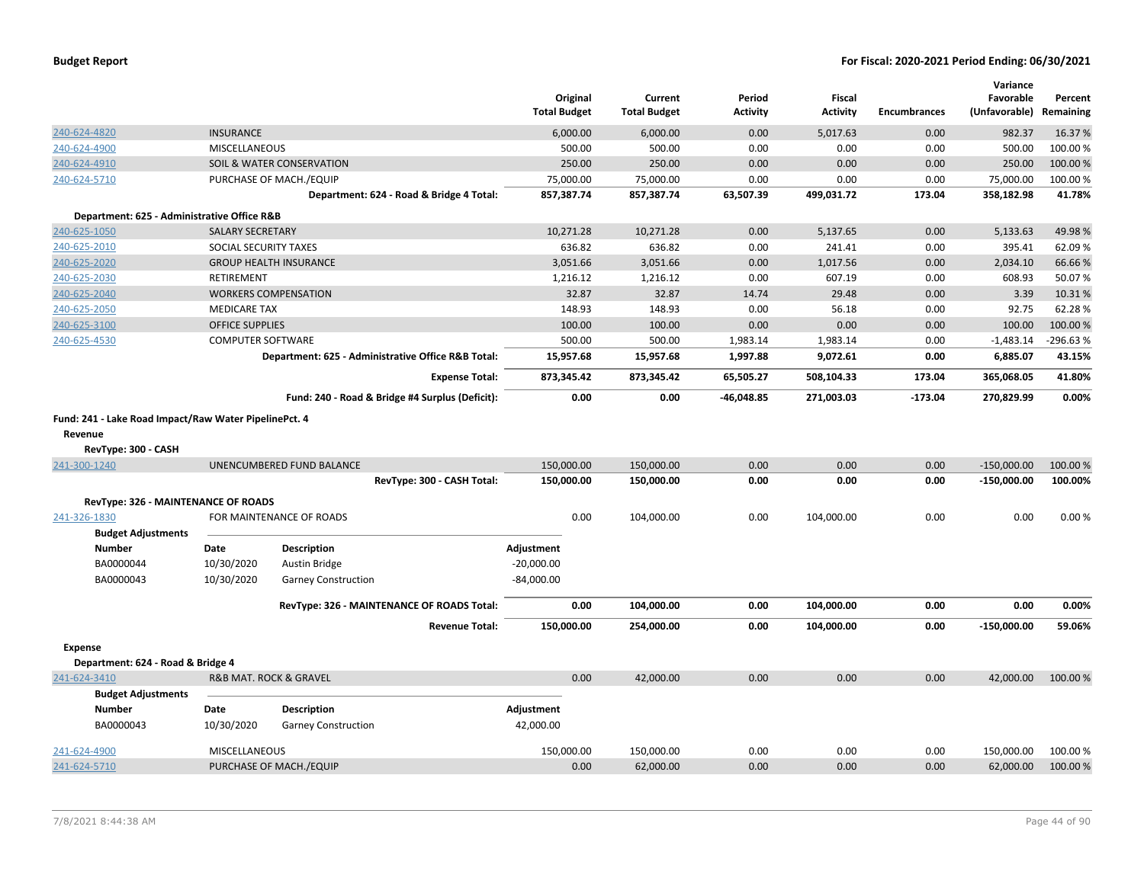|                                                       |                          |                                                    | Original<br><b>Total Budget</b> | Current<br><b>Total Budget</b> | Period<br><b>Activity</b> | <b>Fiscal</b><br><b>Activity</b> | <b>Encumbrances</b> | Variance<br>Favorable<br>(Unfavorable) | Percent<br>Remaining |
|-------------------------------------------------------|--------------------------|----------------------------------------------------|---------------------------------|--------------------------------|---------------------------|----------------------------------|---------------------|----------------------------------------|----------------------|
| 240-624-4820                                          | <b>INSURANCE</b>         |                                                    | 6,000.00                        | 6,000.00                       | 0.00                      | 5,017.63                         | 0.00                | 982.37                                 | 16.37%               |
| 240-624-4900                                          | MISCELLANEOUS            |                                                    | 500.00                          | 500.00                         | 0.00                      | 0.00                             | 0.00                | 500.00                                 | 100.00%              |
| 240-624-4910                                          |                          | SOIL & WATER CONSERVATION                          | 250.00                          | 250.00                         | 0.00                      | 0.00                             | 0.00                | 250.00                                 | 100.00 %             |
| 240-624-5710                                          |                          | PURCHASE OF MACH./EQUIP                            | 75,000.00                       | 75,000.00                      | 0.00                      | 0.00                             | 0.00                | 75,000.00                              | 100.00%              |
|                                                       |                          | Department: 624 - Road & Bridge 4 Total:           | 857,387.74                      | 857,387.74                     | 63,507.39                 | 499,031.72                       | 173.04              | 358,182.98                             | 41.78%               |
| Department: 625 - Administrative Office R&B           |                          |                                                    |                                 |                                |                           |                                  |                     |                                        |                      |
| 240-625-1050                                          | <b>SALARY SECRETARY</b>  |                                                    | 10,271.28                       | 10,271.28                      | 0.00                      | 5,137.65                         | 0.00                | 5,133.63                               | 49.98%               |
| 240-625-2010                                          | SOCIAL SECURITY TAXES    |                                                    | 636.82                          | 636.82                         | 0.00                      | 241.41                           | 0.00                | 395.41                                 | 62.09%               |
| 240-625-2020                                          |                          | <b>GROUP HEALTH INSURANCE</b>                      | 3,051.66                        | 3,051.66                       | 0.00                      | 1,017.56                         | 0.00                | 2,034.10                               | 66.66%               |
| 240-625-2030                                          | <b>RETIREMENT</b>        |                                                    | 1,216.12                        | 1,216.12                       | 0.00                      | 607.19                           | 0.00                | 608.93                                 | 50.07%               |
| 240-625-2040                                          |                          | <b>WORKERS COMPENSATION</b>                        | 32.87                           | 32.87                          | 14.74                     | 29.48                            | 0.00                | 3.39                                   | 10.31%               |
| 240-625-2050                                          | <b>MEDICARE TAX</b>      |                                                    | 148.93                          | 148.93                         | 0.00                      | 56.18                            | 0.00                | 92.75                                  | 62.28%               |
| 240-625-3100                                          | <b>OFFICE SUPPLIES</b>   |                                                    | 100.00                          | 100.00                         | 0.00                      | 0.00                             | 0.00                | 100.00                                 | 100.00 %             |
| 240-625-4530                                          | <b>COMPUTER SOFTWARE</b> |                                                    | 500.00                          | 500.00                         | 1,983.14                  | 1,983.14                         | 0.00                | $-1,483.14$                            | -296.63 %            |
|                                                       |                          | Department: 625 - Administrative Office R&B Total: | 15,957.68                       | 15,957.68                      | 1,997.88                  | 9,072.61                         | 0.00                | 6,885.07                               | 43.15%               |
|                                                       |                          | <b>Expense Total:</b>                              | 873,345.42                      | 873,345.42                     | 65,505.27                 | 508,104.33                       | 173.04              | 365,068.05                             | 41.80%               |
|                                                       |                          | Fund: 240 - Road & Bridge #4 Surplus (Deficit):    | 0.00                            | 0.00                           | -46,048.85                | 271,003.03                       | $-173.04$           | 270,829.99                             | 0.00%                |
| Fund: 241 - Lake Road Impact/Raw Water PipelinePct. 4 |                          |                                                    |                                 |                                |                           |                                  |                     |                                        |                      |
| Revenue                                               |                          |                                                    |                                 |                                |                           |                                  |                     |                                        |                      |
| RevType: 300 - CASH                                   |                          |                                                    |                                 |                                |                           |                                  |                     |                                        |                      |
| 241-300-1240                                          |                          | UNENCUMBERED FUND BALANCE                          | 150,000.00                      | 150,000.00                     | 0.00                      | 0.00                             | 0.00                | $-150,000.00$                          | 100.00 %             |
|                                                       |                          | RevType: 300 - CASH Total:                         | 150,000.00                      | 150,000.00                     | 0.00                      | 0.00                             | 0.00                | $-150,000.00$                          | 100.00%              |
| RevType: 326 - MAINTENANCE OF ROADS                   |                          |                                                    |                                 |                                |                           |                                  |                     |                                        |                      |
| 241-326-1830                                          |                          | FOR MAINTENANCE OF ROADS                           | 0.00                            | 104,000.00                     | 0.00                      | 104,000.00                       | 0.00                | 0.00                                   | 0.00%                |
| <b>Budget Adjustments</b>                             |                          |                                                    |                                 |                                |                           |                                  |                     |                                        |                      |
| <b>Number</b>                                         | Date                     | <b>Description</b>                                 | Adjustment                      |                                |                           |                                  |                     |                                        |                      |
| BA0000044                                             | 10/30/2020               | Austin Bridge                                      | $-20,000.00$                    |                                |                           |                                  |                     |                                        |                      |
| BA0000043                                             | 10/30/2020               | <b>Garney Construction</b>                         | $-84,000.00$                    |                                |                           |                                  |                     |                                        |                      |
|                                                       |                          | RevType: 326 - MAINTENANCE OF ROADS Total:         | 0.00                            | 104,000.00                     | 0.00                      | 104,000.00                       | 0.00                | 0.00                                   | 0.00%                |
|                                                       |                          | <b>Revenue Total:</b>                              | 150,000.00                      | 254,000.00                     | 0.00                      | 104,000.00                       | 0.00                | $-150,000.00$                          | 59.06%               |
| <b>Expense</b>                                        |                          |                                                    |                                 |                                |                           |                                  |                     |                                        |                      |
| Department: 624 - Road & Bridge 4                     |                          |                                                    |                                 |                                |                           |                                  |                     |                                        |                      |
| 241-624-3410                                          |                          | <b>R&amp;B MAT. ROCK &amp; GRAVEL</b>              | 0.00                            | 42,000.00                      | 0.00                      | 0.00                             | 0.00                | 42,000.00                              | 100.00 %             |
| <b>Budget Adjustments</b>                             |                          |                                                    |                                 |                                |                           |                                  |                     |                                        |                      |
| <b>Number</b>                                         | Date                     | <b>Description</b>                                 | Adjustment                      |                                |                           |                                  |                     |                                        |                      |
| BA0000043                                             | 10/30/2020               | <b>Garney Construction</b>                         | 42,000.00                       |                                |                           |                                  |                     |                                        |                      |
| 241-624-4900                                          | <b>MISCELLANEOUS</b>     |                                                    | 150,000.00                      | 150,000.00                     | 0.00                      | 0.00                             | 0.00                | 150,000.00                             | 100.00%              |
| 241-624-5710                                          |                          | PURCHASE OF MACH./EQUIP                            | 0.00                            | 62,000.00                      | 0.00                      | 0.00                             | 0.00                | 62,000.00                              | 100.00 %             |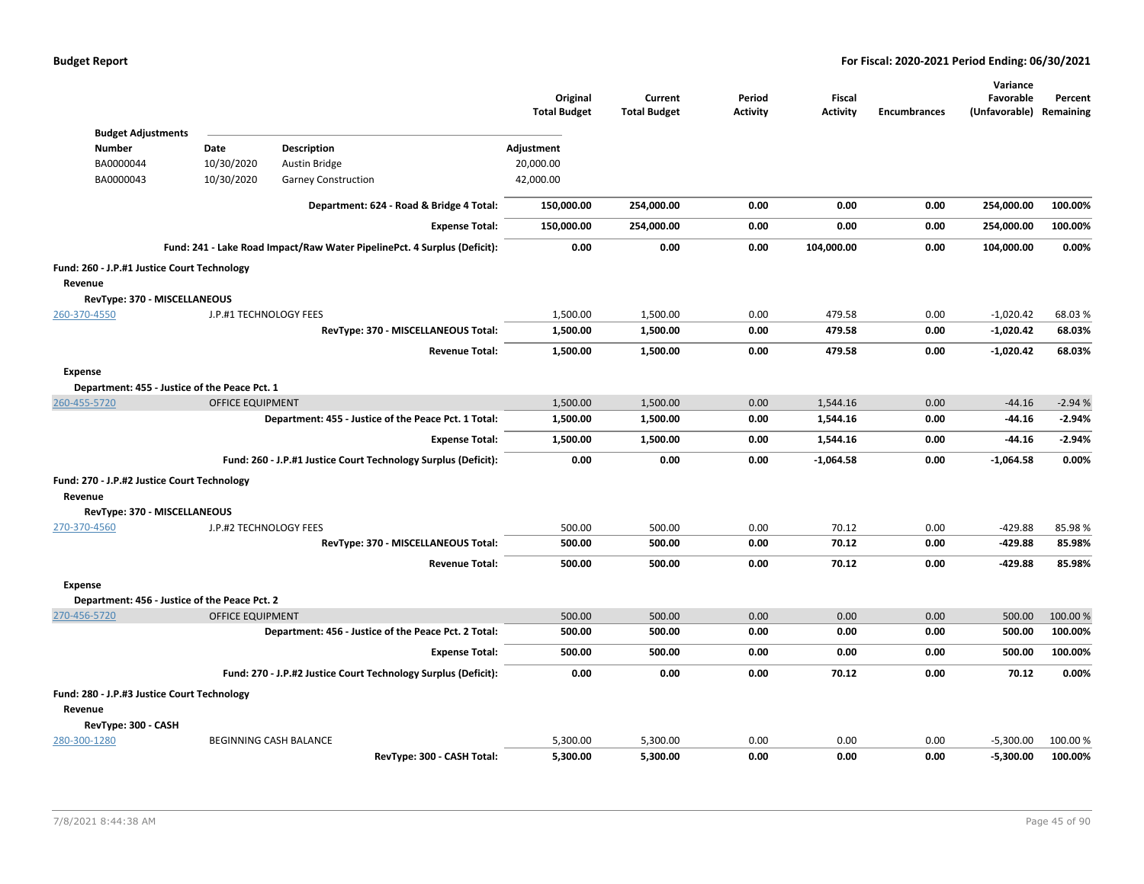|                                               |                         |                                                                          | Original<br><b>Total Budget</b> | Current<br><b>Total Budget</b> | Period<br><b>Activity</b> | Fiscal<br><b>Activity</b> | <b>Encumbrances</b> | Variance<br>Favorable<br>(Unfavorable) Remaining | Percent  |
|-----------------------------------------------|-------------------------|--------------------------------------------------------------------------|---------------------------------|--------------------------------|---------------------------|---------------------------|---------------------|--------------------------------------------------|----------|
| <b>Budget Adjustments</b>                     |                         |                                                                          |                                 |                                |                           |                           |                     |                                                  |          |
| <b>Number</b>                                 | Date                    | <b>Description</b>                                                       | Adjustment                      |                                |                           |                           |                     |                                                  |          |
| BA0000044                                     | 10/30/2020              | Austin Bridge                                                            | 20,000.00                       |                                |                           |                           |                     |                                                  |          |
| BA0000043                                     | 10/30/2020              | <b>Garney Construction</b>                                               | 42,000.00                       |                                |                           |                           |                     |                                                  |          |
|                                               |                         | Department: 624 - Road & Bridge 4 Total:                                 | 150,000.00                      | 254,000.00                     | 0.00                      | 0.00                      | 0.00                | 254,000.00                                       | 100.00%  |
|                                               |                         | <b>Expense Total:</b>                                                    | 150,000.00                      | 254,000.00                     | 0.00                      | 0.00                      | 0.00                | 254,000.00                                       | 100.00%  |
|                                               |                         | Fund: 241 - Lake Road Impact/Raw Water PipelinePct. 4 Surplus (Deficit): | 0.00                            | 0.00                           | 0.00                      | 104,000.00                | 0.00                | 104,000.00                                       | 0.00%    |
| Fund: 260 - J.P.#1 Justice Court Technology   |                         |                                                                          |                                 |                                |                           |                           |                     |                                                  |          |
| Revenue                                       |                         |                                                                          |                                 |                                |                           |                           |                     |                                                  |          |
| RevType: 370 - MISCELLANEOUS                  |                         |                                                                          |                                 |                                |                           |                           |                     |                                                  |          |
| 260-370-4550                                  | J.P.#1 TECHNOLOGY FEES  |                                                                          | 1,500.00                        | 1,500.00                       | 0.00                      | 479.58                    | 0.00                | $-1,020.42$                                      | 68.03%   |
|                                               |                         | RevType: 370 - MISCELLANEOUS Total:                                      | 1,500.00                        | 1,500.00                       | 0.00                      | 479.58                    | 0.00                | $-1,020.42$                                      | 68.03%   |
|                                               |                         | <b>Revenue Total:</b>                                                    | 1,500.00                        | 1,500.00                       | 0.00                      | 479.58                    | 0.00                | $-1,020.42$                                      | 68.03%   |
| <b>Expense</b>                                |                         |                                                                          |                                 |                                |                           |                           |                     |                                                  |          |
| Department: 455 - Justice of the Peace Pct. 1 |                         |                                                                          |                                 |                                |                           |                           |                     |                                                  |          |
| 260-455-5720                                  | OFFICE EQUIPMENT        |                                                                          | 1,500.00                        | 1,500.00                       | 0.00                      | 1,544.16                  | 0.00                | $-44.16$                                         | $-2.94%$ |
|                                               |                         | Department: 455 - Justice of the Peace Pct. 1 Total:                     | 1,500.00                        | 1,500.00                       | 0.00                      | 1,544.16                  | 0.00                | $-44.16$                                         | $-2.94%$ |
|                                               |                         | <b>Expense Total:</b>                                                    | 1,500.00                        | 1,500.00                       | 0.00                      | 1,544.16                  | 0.00                | $-44.16$                                         | $-2.94%$ |
|                                               |                         | Fund: 260 - J.P.#1 Justice Court Technology Surplus (Deficit):           | 0.00                            | 0.00                           | 0.00                      | $-1,064.58$               | 0.00                | $-1,064.58$                                      | 0.00%    |
| Fund: 270 - J.P.#2 Justice Court Technology   |                         |                                                                          |                                 |                                |                           |                           |                     |                                                  |          |
| Revenue                                       |                         |                                                                          |                                 |                                |                           |                           |                     |                                                  |          |
| RevType: 370 - MISCELLANEOUS                  |                         |                                                                          |                                 |                                |                           |                           |                     |                                                  |          |
| 270-370-4560                                  | J.P.#2 TECHNOLOGY FEES  |                                                                          | 500.00                          | 500.00                         | 0.00                      | 70.12                     | 0.00                | $-429.88$                                        | 85.98%   |
|                                               |                         | RevType: 370 - MISCELLANEOUS Total:                                      | 500.00                          | 500.00                         | 0.00                      | 70.12                     | 0.00                | -429.88                                          | 85.98%   |
|                                               |                         | <b>Revenue Total:</b>                                                    | 500.00                          | 500.00                         | 0.00                      | 70.12                     | 0.00                | -429.88                                          | 85.98%   |
| <b>Expense</b>                                |                         |                                                                          |                                 |                                |                           |                           |                     |                                                  |          |
| Department: 456 - Justice of the Peace Pct. 2 |                         |                                                                          |                                 |                                |                           |                           |                     |                                                  |          |
| 270-456-5720                                  | <b>OFFICE EQUIPMENT</b> |                                                                          | 500.00                          | 500.00                         | 0.00                      | 0.00                      | 0.00                | 500.00                                           | 100.00%  |
|                                               |                         | Department: 456 - Justice of the Peace Pct. 2 Total:                     | 500.00                          | 500.00                         | 0.00                      | 0.00                      | 0.00                | 500.00                                           | 100.00%  |
|                                               |                         | <b>Expense Total:</b>                                                    | 500.00                          | 500.00                         | 0.00                      | 0.00                      | 0.00                | 500.00                                           | 100.00%  |
|                                               |                         | Fund: 270 - J.P.#2 Justice Court Technology Surplus (Deficit):           | 0.00                            | 0.00                           | 0.00                      | 70.12                     | 0.00                | 70.12                                            | 0.00%    |
| Fund: 280 - J.P.#3 Justice Court Technology   |                         |                                                                          |                                 |                                |                           |                           |                     |                                                  |          |
| Revenue                                       |                         |                                                                          |                                 |                                |                           |                           |                     |                                                  |          |
| RevType: 300 - CASH                           |                         |                                                                          |                                 |                                |                           |                           |                     |                                                  |          |
| 280-300-1280                                  |                         | BEGINNING CASH BALANCE                                                   | 5,300.00                        | 5,300.00                       | 0.00                      | 0.00                      | 0.00                | $-5,300.00$                                      | 100.00 % |
|                                               |                         | RevType: 300 - CASH Total:                                               | 5,300.00                        | 5,300.00                       | 0.00                      | 0.00                      | 0.00                | $-5,300.00$                                      | 100.00%  |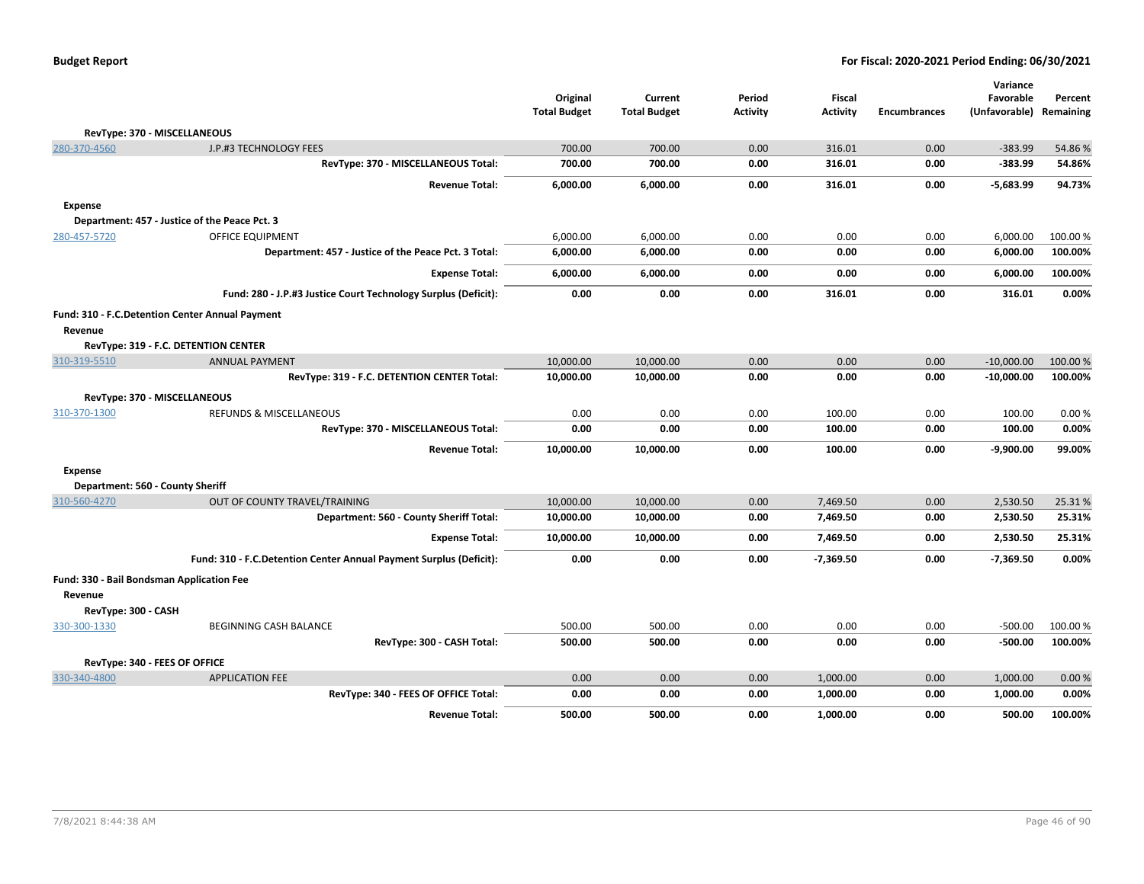|                                                            |                                                                    | Original            | Current             | Period          | <b>Fiscal</b>   |                     | Variance<br>Favorable | Percent   |
|------------------------------------------------------------|--------------------------------------------------------------------|---------------------|---------------------|-----------------|-----------------|---------------------|-----------------------|-----------|
|                                                            |                                                                    | <b>Total Budget</b> | <b>Total Budget</b> | <b>Activity</b> | <b>Activity</b> | <b>Encumbrances</b> | (Unfavorable)         | Remaining |
| RevType: 370 - MISCELLANEOUS                               |                                                                    |                     |                     |                 |                 |                     |                       |           |
| 280-370-4560                                               | J.P.#3 TECHNOLOGY FEES                                             | 700.00              | 700.00              | 0.00            | 316.01          | 0.00                | $-383.99$             | 54.86%    |
|                                                            | RevType: 370 - MISCELLANEOUS Total:                                | 700.00              | 700.00              | 0.00            | 316.01          | 0.00                | $-383.99$             | 54.86%    |
|                                                            | <b>Revenue Total:</b>                                              | 6,000.00            | 6,000.00            | 0.00            | 316.01          | 0.00                | $-5,683.99$           | 94.73%    |
| <b>Expense</b>                                             |                                                                    |                     |                     |                 |                 |                     |                       |           |
|                                                            | Department: 457 - Justice of the Peace Pct. 3                      |                     |                     |                 |                 |                     |                       |           |
| 280-457-5720                                               | <b>OFFICE EQUIPMENT</b>                                            | 6,000.00            | 6,000.00            | 0.00            | 0.00            | 0.00                | 6,000.00              | 100.00%   |
|                                                            | Department: 457 - Justice of the Peace Pct. 3 Total:               | 6,000.00            | 6,000.00            | 0.00            | 0.00            | 0.00                | 6,000.00              | 100.00%   |
|                                                            | <b>Expense Total:</b>                                              | 6,000.00            | 6,000.00            | 0.00            | 0.00            | 0.00                | 6,000.00              | 100.00%   |
|                                                            | Fund: 280 - J.P.#3 Justice Court Technology Surplus (Deficit):     | 0.00                | 0.00                | 0.00            | 316.01          | 0.00                | 316.01                | 0.00%     |
| Fund: 310 - F.C.Detention Center Annual Payment<br>Revenue |                                                                    |                     |                     |                 |                 |                     |                       |           |
|                                                            | RevType: 319 - F.C. DETENTION CENTER                               |                     |                     |                 |                 |                     |                       |           |
| 310-319-5510                                               | <b>ANNUAL PAYMENT</b>                                              | 10,000.00           | 10,000.00           | 0.00            | 0.00            | 0.00                | $-10,000.00$          | 100.00 %  |
|                                                            | RevType: 319 - F.C. DETENTION CENTER Total:                        | 10,000.00           | 10,000.00           | 0.00            | 0.00            | 0.00                | $-10,000.00$          | 100.00%   |
| RevType: 370 - MISCELLANEOUS                               |                                                                    |                     |                     |                 |                 |                     |                       |           |
| 310-370-1300                                               | <b>REFUNDS &amp; MISCELLANEOUS</b>                                 | 0.00                | 0.00                | 0.00            | 100.00          | 0.00                | 100.00                | 0.00%     |
|                                                            | RevType: 370 - MISCELLANEOUS Total:                                | 0.00                | 0.00                | 0.00            | 100.00          | 0.00                | 100.00                | 0.00%     |
|                                                            | <b>Revenue Total:</b>                                              | 10,000.00           | 10,000.00           | 0.00            | 100.00          | 0.00                | $-9,900.00$           | 99.00%    |
| <b>Expense</b>                                             |                                                                    |                     |                     |                 |                 |                     |                       |           |
| Department: 560 - County Sheriff                           |                                                                    |                     |                     |                 |                 |                     |                       |           |
| 310-560-4270                                               | OUT OF COUNTY TRAVEL/TRAINING                                      | 10,000.00           | 10,000.00           | 0.00            | 7,469.50        | 0.00                | 2,530.50              | 25.31%    |
|                                                            | Department: 560 - County Sheriff Total:                            | 10,000.00           | 10,000.00           | 0.00            | 7,469.50        | 0.00                | 2,530.50              | 25.31%    |
|                                                            | <b>Expense Total:</b>                                              | 10,000.00           | 10,000.00           | 0.00            | 7,469.50        | 0.00                | 2,530.50              | 25.31%    |
|                                                            | Fund: 310 - F.C.Detention Center Annual Payment Surplus (Deficit): | 0.00                | 0.00                | 0.00            | $-7,369.50$     | 0.00                | $-7,369.50$           | 0.00%     |
| Fund: 330 - Bail Bondsman Application Fee<br>Revenue       |                                                                    |                     |                     |                 |                 |                     |                       |           |
| RevType: 300 - CASH                                        |                                                                    |                     |                     |                 |                 |                     |                       |           |
| 330-300-1330                                               | <b>BEGINNING CASH BALANCE</b>                                      | 500.00              | 500.00              | 0.00            | 0.00            | 0.00                | $-500.00$             | 100.00%   |
|                                                            | RevType: 300 - CASH Total:                                         | 500.00              | 500.00              | 0.00            | 0.00            | 0.00                | $-500.00$             | 100.00%   |
| RevType: 340 - FEES OF OFFICE                              |                                                                    |                     |                     |                 |                 |                     |                       |           |
| 330-340-4800                                               | <b>APPLICATION FEE</b>                                             | 0.00                | 0.00                | 0.00            | 1,000.00        | 0.00                | 1,000.00              | 0.00%     |
|                                                            | RevType: 340 - FEES OF OFFICE Total:                               | 0.00                | 0.00                | 0.00            | 1,000.00        | 0.00                | 1,000.00              | 0.00%     |
|                                                            | <b>Revenue Total:</b>                                              | 500.00              | 500.00              | 0.00            | 1,000.00        | 0.00                | 500.00                | 100.00%   |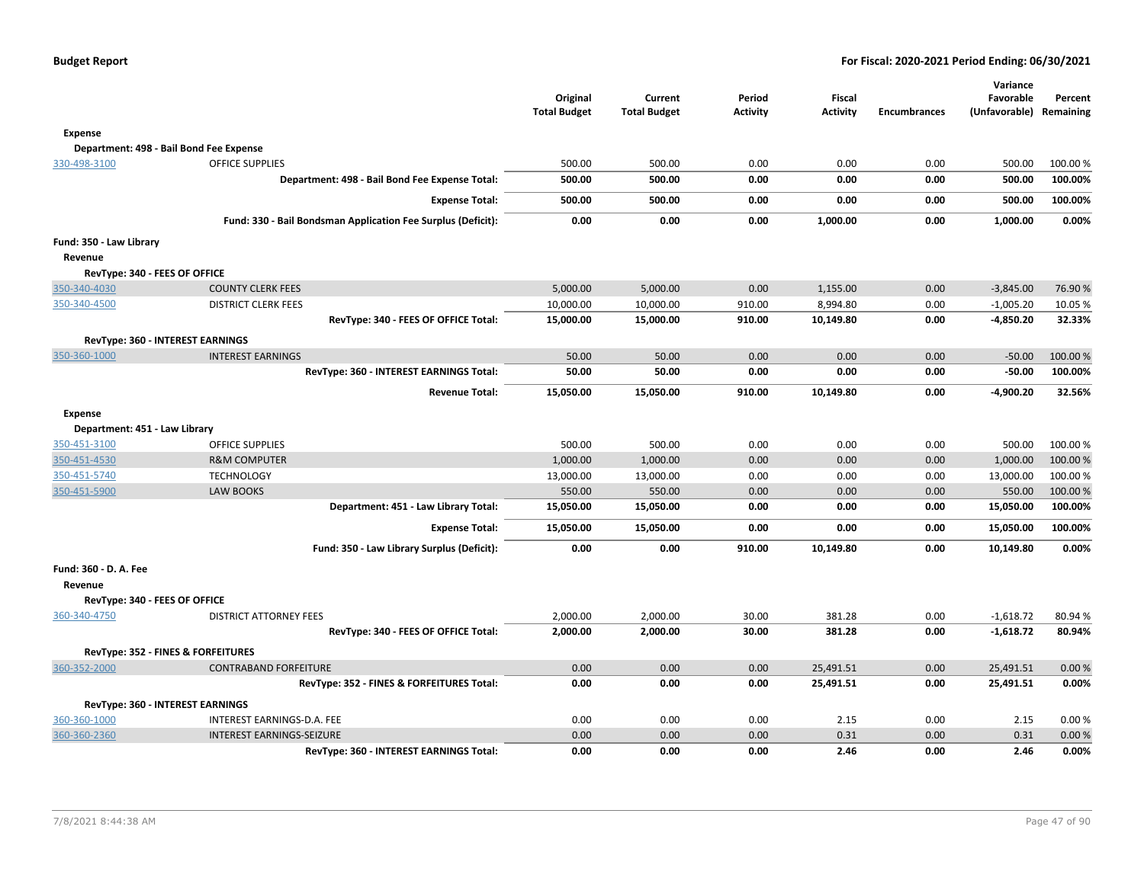**Variance Favorable**

**Percent**

|                                    |                                                              | Original<br><b>Total Budget</b> | Current<br><b>Total Budget</b> | Period<br><b>Activity</b> | <b>Fiscal</b><br><b>Activity</b> | <b>Encumbrances</b> | Variance<br>Favorable<br>(Unfavorable) Remaining | Percent  |
|------------------------------------|--------------------------------------------------------------|---------------------------------|--------------------------------|---------------------------|----------------------------------|---------------------|--------------------------------------------------|----------|
| Expense                            |                                                              |                                 |                                |                           |                                  |                     |                                                  |          |
|                                    | Department: 498 - Bail Bond Fee Expense                      |                                 |                                |                           |                                  |                     |                                                  |          |
| 330-498-3100                       | <b>OFFICE SUPPLIES</b>                                       | 500.00                          | 500.00                         | 0.00                      | 0.00                             | 0.00                | 500.00                                           | 100.00%  |
|                                    | Department: 498 - Bail Bond Fee Expense Total:               | 500.00                          | 500.00                         | 0.00                      | 0.00                             | 0.00                | 500.00                                           | 100.00%  |
|                                    | <b>Expense Total:</b>                                        | 500.00                          | 500.00                         | 0.00                      | 0.00                             | 0.00                | 500.00                                           | 100.00%  |
|                                    | Fund: 330 - Bail Bondsman Application Fee Surplus (Deficit): | 0.00                            | 0.00                           | 0.00                      | 1,000.00                         | 0.00                | 1,000.00                                         | 0.00%    |
| Fund: 350 - Law Library<br>Revenue |                                                              |                                 |                                |                           |                                  |                     |                                                  |          |
| RevType: 340 - FEES OF OFFICE      |                                                              |                                 |                                |                           |                                  |                     |                                                  |          |
| 350-340-4030                       | <b>COUNTY CLERK FEES</b>                                     | 5,000.00                        | 5,000.00                       | 0.00                      | 1,155.00                         | 0.00                | $-3,845.00$                                      | 76.90%   |
| 350-340-4500                       | <b>DISTRICT CLERK FEES</b>                                   | 10,000.00                       | 10,000.00                      | 910.00                    | 8,994.80                         | 0.00                | $-1,005.20$                                      | 10.05 %  |
|                                    | RevType: 340 - FEES OF OFFICE Total:                         | 15,000.00                       | 15,000.00                      | 910.00                    | 10,149.80                        | 0.00                | $-4,850.20$                                      | 32.33%   |
|                                    | RevType: 360 - INTEREST EARNINGS                             |                                 |                                |                           |                                  |                     |                                                  |          |
| 350-360-1000                       | <b>INTEREST EARNINGS</b>                                     | 50.00                           | 50.00                          | 0.00                      | 0.00                             | 0.00                | $-50.00$                                         | 100.00 % |
|                                    | RevType: 360 - INTEREST EARNINGS Total:                      | 50.00                           | 50.00                          | 0.00                      | 0.00                             | 0.00                | $-50.00$                                         | 100.00%  |
|                                    | <b>Revenue Total:</b>                                        | 15,050.00                       | 15,050.00                      | 910.00                    | 10,149.80                        | 0.00                | $-4,900.20$                                      | 32.56%   |
| Expense                            |                                                              |                                 |                                |                           |                                  |                     |                                                  |          |
| Department: 451 - Law Library      |                                                              |                                 |                                |                           |                                  |                     |                                                  |          |
| 350-451-3100                       | <b>OFFICE SUPPLIES</b>                                       | 500.00                          | 500.00                         | 0.00                      | 0.00                             | 0.00                | 500.00                                           | 100.00%  |
| 350-451-4530                       | <b>R&amp;M COMPUTER</b>                                      | 1,000.00                        | 1,000.00                       | 0.00                      | 0.00                             | 0.00                | 1,000.00                                         | 100.00 % |
| 350-451-5740                       | <b>TECHNOLOGY</b>                                            | 13,000.00                       | 13,000.00                      | 0.00                      | 0.00                             | 0.00                | 13,000.00                                        | 100.00 % |
| 350-451-5900                       | <b>LAW BOOKS</b>                                             | 550.00                          | 550.00                         | 0.00                      | 0.00                             | 0.00                | 550.00                                           | 100.00 % |
|                                    | Department: 451 - Law Library Total:                         | 15,050.00                       | 15,050.00                      | 0.00                      | 0.00                             | 0.00                | 15,050.00                                        | 100.00%  |
|                                    | <b>Expense Total:</b>                                        | 15,050.00                       | 15,050.00                      | 0.00                      | 0.00                             | 0.00                | 15,050.00                                        | 100.00%  |
|                                    | Fund: 350 - Law Library Surplus (Deficit):                   | 0.00                            | 0.00                           | 910.00                    | 10,149.80                        | 0.00                | 10,149.80                                        | 0.00%    |
| Fund: 360 - D. A. Fee              |                                                              |                                 |                                |                           |                                  |                     |                                                  |          |
| Revenue                            |                                                              |                                 |                                |                           |                                  |                     |                                                  |          |
| RevType: 340 - FEES OF OFFICE      |                                                              |                                 |                                |                           |                                  |                     |                                                  |          |
| 360-340-4750                       | <b>DISTRICT ATTORNEY FEES</b>                                | 2,000.00                        | 2,000.00                       | 30.00                     | 381.28                           | 0.00                | $-1,618.72$                                      | 80.94 %  |
|                                    | RevType: 340 - FEES OF OFFICE Total:                         | 2,000.00                        | 2,000.00                       | 30.00                     | 381.28                           | 0.00                | $-1,618.72$                                      | 80.94%   |
|                                    | RevType: 352 - FINES & FORFEITURES                           |                                 |                                |                           |                                  |                     |                                                  |          |
| 360-352-2000                       | <b>CONTRABAND FORFEITURE</b>                                 | 0.00                            | 0.00                           | 0.00                      | 25,491.51                        | 0.00                | 25,491.51                                        | 0.00%    |
|                                    | RevType: 352 - FINES & FORFEITURES Total:                    | 0.00                            | 0.00                           | 0.00                      | 25,491.51                        | 0.00                | 25,491.51                                        | 0.00%    |
|                                    | RevType: 360 - INTEREST EARNINGS                             |                                 |                                |                           |                                  |                     |                                                  |          |
| 360-360-1000                       | INTEREST EARNINGS-D.A. FEE                                   | 0.00                            | 0.00                           | 0.00                      | 2.15                             | 0.00                | 2.15                                             | 0.00%    |
| 360-360-2360                       | <b>INTEREST EARNINGS-SEIZURE</b>                             | 0.00                            | 0.00                           | 0.00                      | 0.31                             | 0.00                | 0.31                                             | 0.00%    |

**RevType: 360 - INTEREST EARNINGS Total: 0.00 0.00 0.00 2.46 0.00 2.46 0.00%**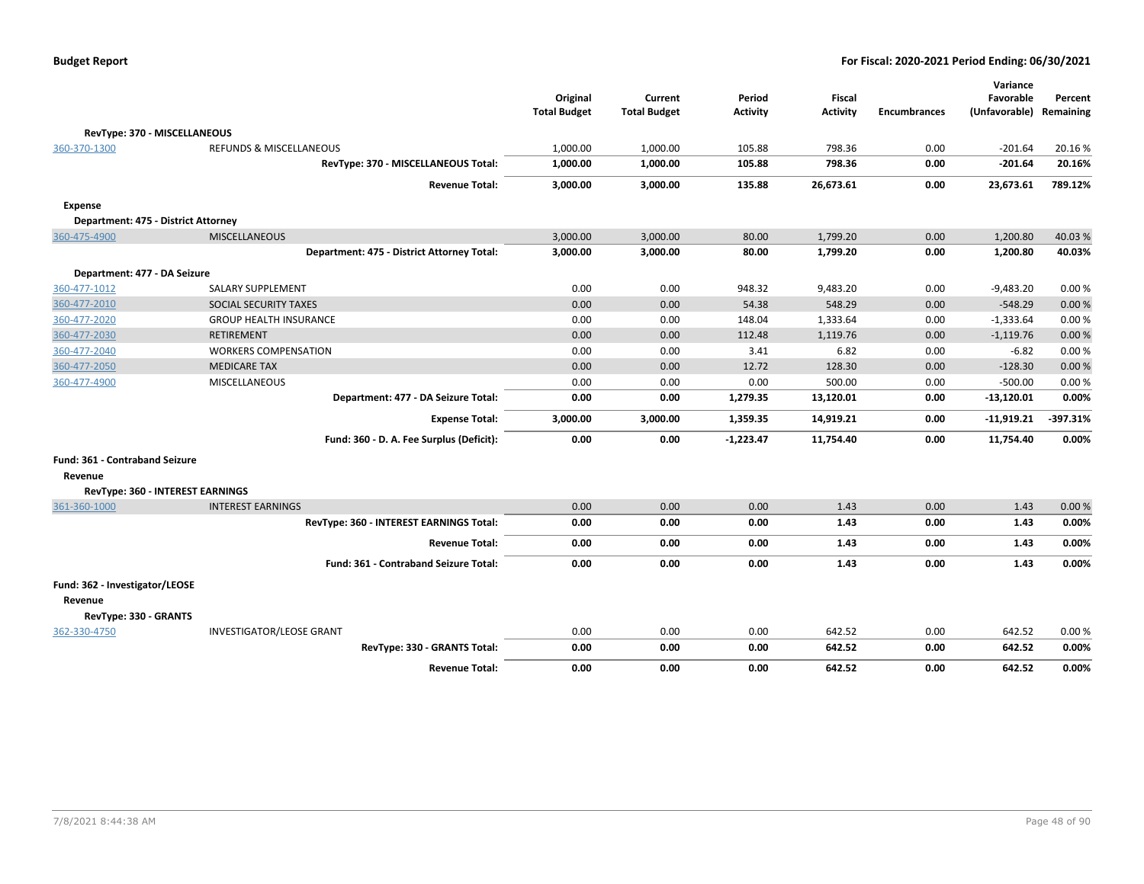| <b>Budget Report</b> |  |
|----------------------|--|
|----------------------|--|

|                                     |                                            |                                 |                                |                           |                                  |                     | Variance                   |                      |
|-------------------------------------|--------------------------------------------|---------------------------------|--------------------------------|---------------------------|----------------------------------|---------------------|----------------------------|----------------------|
|                                     |                                            | Original<br><b>Total Budget</b> | Current<br><b>Total Budget</b> | Period<br><b>Activity</b> | <b>Fiscal</b><br><b>Activity</b> | <b>Encumbrances</b> | Favorable<br>(Unfavorable) | Percent<br>Remaining |
|                                     |                                            |                                 |                                |                           |                                  |                     |                            |                      |
| RevType: 370 - MISCELLANEOUS        |                                            |                                 |                                |                           |                                  |                     |                            |                      |
| 360-370-1300                        | <b>REFUNDS &amp; MISCELLANEOUS</b>         | 1,000.00                        | 1,000.00                       | 105.88                    | 798.36                           | 0.00                | $-201.64$                  | 20.16%               |
|                                     | RevType: 370 - MISCELLANEOUS Total:        | 1,000.00                        | 1,000.00                       | 105.88                    | 798.36                           | 0.00                | $-201.64$                  | 20.16%               |
|                                     | <b>Revenue Total:</b>                      | 3,000.00                        | 3,000.00                       | 135.88                    | 26,673.61                        | 0.00                | 23,673.61                  | 789.12%              |
| Expense                             |                                            |                                 |                                |                           |                                  |                     |                            |                      |
| Department: 475 - District Attorney |                                            |                                 |                                |                           |                                  |                     |                            |                      |
| 360-475-4900                        | <b>MISCELLANEOUS</b>                       | 3,000.00                        | 3,000.00                       | 80.00                     | 1,799.20                         | 0.00                | 1,200.80                   | 40.03%               |
|                                     | Department: 475 - District Attorney Total: | 3,000.00                        | 3,000.00                       | 80.00                     | 1,799.20                         | 0.00                | 1,200.80                   | 40.03%               |
| Department: 477 - DA Seizure        |                                            |                                 |                                |                           |                                  |                     |                            |                      |
| 360-477-1012                        | <b>SALARY SUPPLEMENT</b>                   | 0.00                            | 0.00                           | 948.32                    | 9,483.20                         | 0.00                | $-9,483.20$                | 0.00%                |
| 360-477-2010                        | SOCIAL SECURITY TAXES                      | 0.00                            | 0.00                           | 54.38                     | 548.29                           | 0.00                | $-548.29$                  | 0.00%                |
| 360-477-2020                        | <b>GROUP HEALTH INSURANCE</b>              | 0.00                            | 0.00                           | 148.04                    | 1,333.64                         | 0.00                | $-1,333.64$                | 0.00%                |
| 360-477-2030                        | <b>RETIREMENT</b>                          | 0.00                            | 0.00                           | 112.48                    | 1,119.76                         | 0.00                | $-1,119.76$                | 0.00%                |
| 360-477-2040                        | <b>WORKERS COMPENSATION</b>                | 0.00                            | 0.00                           | 3.41                      | 6.82                             | 0.00                | $-6.82$                    | 0.00%                |
| 360-477-2050                        | <b>MEDICARE TAX</b>                        | 0.00                            | 0.00                           | 12.72                     | 128.30                           | 0.00                | $-128.30$                  | 0.00%                |
| 360-477-4900                        | MISCELLANEOUS                              | 0.00                            | 0.00                           | 0.00                      | 500.00                           | 0.00                | $-500.00$                  | 0.00%                |
|                                     | Department: 477 - DA Seizure Total:        | 0.00                            | 0.00                           | 1,279.35                  | 13,120.01                        | 0.00                | $-13,120.01$               | 0.00%                |
|                                     | <b>Expense Total:</b>                      | 3,000.00                        | 3,000.00                       | 1,359.35                  | 14,919.21                        | 0.00                | -11,919.21                 | -397.31%             |
|                                     | Fund: 360 - D. A. Fee Surplus (Deficit):   | 0.00                            | 0.00                           | $-1,223.47$               | 11,754.40                        | 0.00                | 11,754.40                  | 0.00%                |
| Fund: 361 - Contraband Seizure      |                                            |                                 |                                |                           |                                  |                     |                            |                      |
| Revenue                             |                                            |                                 |                                |                           |                                  |                     |                            |                      |
| RevType: 360 - INTEREST EARNINGS    |                                            |                                 |                                |                           |                                  |                     |                            |                      |
| 361-360-1000                        | <b>INTEREST EARNINGS</b>                   | 0.00                            | 0.00                           | 0.00                      | 1.43                             | 0.00                | 1.43                       | 0.00%                |
|                                     | RevType: 360 - INTEREST EARNINGS Total:    | 0.00                            | 0.00                           | 0.00                      | 1.43                             | 0.00                | 1.43                       | 0.00%                |
|                                     | <b>Revenue Total:</b>                      | 0.00                            | 0.00                           | 0.00                      | 1.43                             | 0.00                | 1.43                       | 0.00%                |
|                                     | Fund: 361 - Contraband Seizure Total:      | 0.00                            | 0.00                           | 0.00                      | 1.43                             | 0.00                | 1.43                       | 0.00%                |
| Fund: 362 - Investigator/LEOSE      |                                            |                                 |                                |                           |                                  |                     |                            |                      |
| Revenue                             |                                            |                                 |                                |                           |                                  |                     |                            |                      |
| RevType: 330 - GRANTS               |                                            |                                 |                                |                           |                                  |                     |                            |                      |
| 362-330-4750                        | <b>INVESTIGATOR/LEOSE GRANT</b>            | 0.00                            | 0.00                           | 0.00                      | 642.52                           | 0.00                | 642.52                     | 0.00%                |
|                                     | RevType: 330 - GRANTS Total:               | 0.00                            | 0.00                           | 0.00                      | 642.52                           | 0.00                | 642.52                     | 0.00%                |
|                                     | <b>Revenue Total:</b>                      | 0.00                            | 0.00                           | 0.00                      | 642.52                           | 0.00                | 642.52                     | 0.00%                |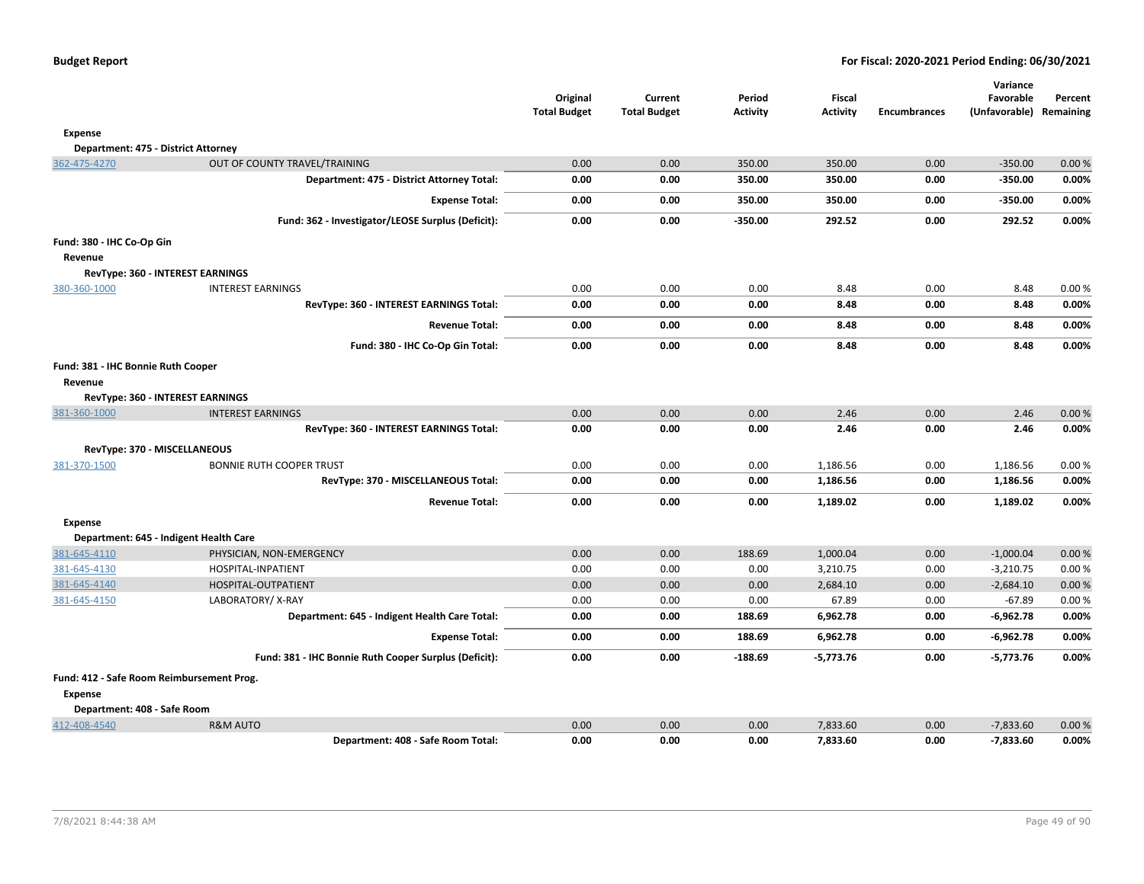|                                               |                                                       | Original<br><b>Total Budget</b> | Current<br><b>Total Budget</b> | Period<br><b>Activity</b> | <b>Fiscal</b><br><b>Activity</b> | <b>Encumbrances</b> | Variance<br>Favorable<br>(Unfavorable) Remaining | Percent        |
|-----------------------------------------------|-------------------------------------------------------|---------------------------------|--------------------------------|---------------------------|----------------------------------|---------------------|--------------------------------------------------|----------------|
| <b>Expense</b>                                |                                                       |                                 |                                |                           |                                  |                     |                                                  |                |
| Department: 475 - District Attorney           |                                                       |                                 |                                |                           |                                  |                     |                                                  |                |
| 362-475-4270                                  | OUT OF COUNTY TRAVEL/TRAINING                         | 0.00                            | 0.00                           | 350.00                    | 350.00                           | 0.00                | $-350.00$                                        | 0.00%          |
|                                               | Department: 475 - District Attorney Total:            | 0.00                            | 0.00                           | 350.00                    | 350.00                           | 0.00                | $-350.00$                                        | 0.00%          |
|                                               | <b>Expense Total:</b>                                 | 0.00                            | 0.00                           | 350.00                    | 350.00                           | 0.00                | $-350.00$                                        | 0.00%          |
|                                               | Fund: 362 - Investigator/LEOSE Surplus (Deficit):     | 0.00                            | 0.00                           | $-350.00$                 | 292.52                           | 0.00                | 292.52                                           | 0.00%          |
|                                               |                                                       |                                 |                                |                           |                                  |                     |                                                  |                |
| Fund: 380 - IHC Co-Op Gin<br>Revenue          |                                                       |                                 |                                |                           |                                  |                     |                                                  |                |
|                                               | RevType: 360 - INTEREST EARNINGS                      |                                 |                                |                           |                                  |                     |                                                  |                |
| 380-360-1000                                  | <b>INTEREST EARNINGS</b>                              | 0.00                            | 0.00                           | 0.00                      | 8.48                             | 0.00                | 8.48                                             | 0.00%          |
|                                               | RevType: 360 - INTEREST EARNINGS Total:               | 0.00                            | 0.00                           | 0.00                      | 8.48                             | 0.00                | 8.48                                             | 0.00%          |
|                                               | <b>Revenue Total:</b>                                 | 0.00                            | 0.00                           | 0.00                      | 8.48                             | 0.00                | 8.48                                             | 0.00%          |
|                                               | Fund: 380 - IHC Co-Op Gin Total:                      | 0.00                            | 0.00                           | 0.00                      | 8.48                             | 0.00                | 8.48                                             | 0.00%          |
|                                               |                                                       |                                 |                                |                           |                                  |                     |                                                  |                |
| Fund: 381 - IHC Bonnie Ruth Cooper<br>Revenue |                                                       |                                 |                                |                           |                                  |                     |                                                  |                |
|                                               | RevType: 360 - INTEREST EARNINGS                      |                                 |                                |                           |                                  |                     |                                                  |                |
| 381-360-1000                                  | <b>INTEREST EARNINGS</b>                              | 0.00                            | 0.00                           | 0.00                      | 2.46                             | 0.00                | 2.46                                             | 0.00%          |
|                                               | RevType: 360 - INTEREST EARNINGS Total:               | 0.00                            | 0.00                           | 0.00                      | 2.46                             | 0.00                | 2.46                                             | 0.00%          |
|                                               |                                                       |                                 |                                |                           |                                  |                     |                                                  |                |
| RevType: 370 - MISCELLANEOUS<br>381-370-1500  | <b>BONNIE RUTH COOPER TRUST</b>                       | 0.00                            | 0.00                           | 0.00                      | 1,186.56                         | 0.00                | 1,186.56                                         | 0.00%          |
|                                               | RevType: 370 - MISCELLANEOUS Total:                   | 0.00                            | 0.00                           | 0.00                      | 1,186.56                         | 0.00                | 1,186.56                                         | 0.00%          |
|                                               | <b>Revenue Total:</b>                                 | 0.00                            | 0.00                           | 0.00                      | 1,189.02                         | 0.00                |                                                  | 0.00%          |
|                                               |                                                       |                                 |                                |                           |                                  |                     | 1,189.02                                         |                |
| <b>Expense</b>                                |                                                       |                                 |                                |                           |                                  |                     |                                                  |                |
|                                               | Department: 645 - Indigent Health Care                |                                 |                                |                           |                                  |                     |                                                  |                |
| 381-645-4110<br>381-645-4130                  | PHYSICIAN, NON-EMERGENCY<br>HOSPITAL-INPATIENT        | 0.00<br>0.00                    | 0.00<br>0.00                   | 188.69<br>0.00            | 1,000.04<br>3,210.75             | 0.00<br>0.00        | $-1,000.04$<br>$-3,210.75$                       | 0.00%<br>0.00% |
| 381-645-4140                                  | HOSPITAL-OUTPATIENT                                   | 0.00                            | 0.00                           | 0.00                      | 2,684.10                         | 0.00                | $-2,684.10$                                      | 0.00%          |
| 381-645-4150                                  | LABORATORY/X-RAY                                      | 0.00                            | 0.00                           | 0.00                      | 67.89                            | 0.00                | $-67.89$                                         | 0.00%          |
|                                               | Department: 645 - Indigent Health Care Total:         | 0.00                            | 0.00                           | 188.69                    | 6,962.78                         | 0.00                | -6,962.78                                        | 0.00%          |
|                                               | <b>Expense Total:</b>                                 | 0.00                            | 0.00                           | 188.69                    | 6,962.78                         | 0.00                | $-6,962.78$                                      | 0.00%          |
|                                               | Fund: 381 - IHC Bonnie Ruth Cooper Surplus (Deficit): | 0.00                            | 0.00                           | -188.69                   | $-5,773.76$                      | 0.00                | $-5,773.76$                                      | 0.00%          |
| Fund: 412 - Safe Room Reimbursement Prog.     |                                                       |                                 |                                |                           |                                  |                     |                                                  |                |
| <b>Expense</b>                                |                                                       |                                 |                                |                           |                                  |                     |                                                  |                |
| Department: 408 - Safe Room                   |                                                       |                                 |                                |                           |                                  |                     |                                                  |                |
| 412-408-4540                                  | <b>R&amp;M AUTO</b>                                   | 0.00                            | 0.00                           | 0.00                      | 7,833.60                         | 0.00                | $-7,833.60$                                      | 0.00%          |
|                                               | Department: 408 - Safe Room Total:                    | 0.00                            | 0.00                           | 0.00                      | 7,833.60                         | 0.00                | $-7,833.60$                                      | 0.00%          |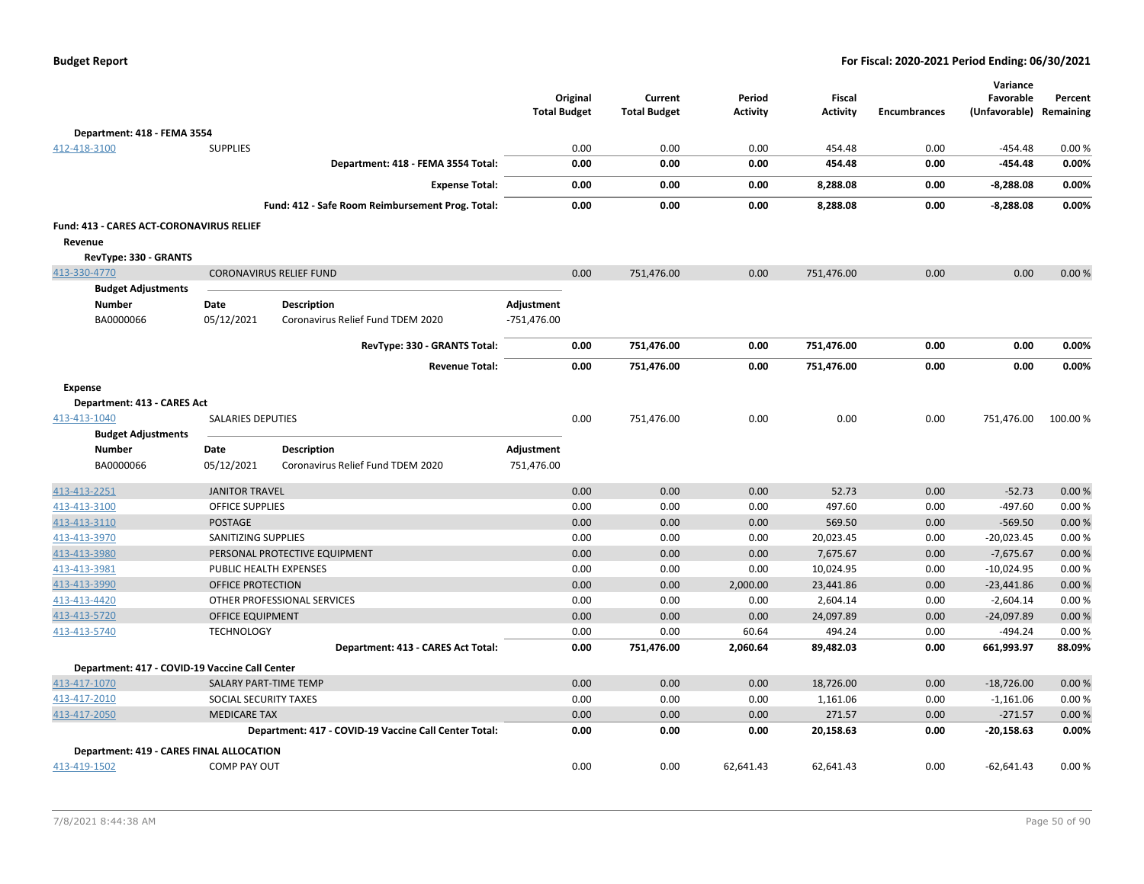|                                                 |                          |                                                       | <b>Total Budget</b> | Original | Current<br><b>Total Budget</b> | Period<br><b>Activity</b> | <b>Fiscal</b><br><b>Activity</b> | <b>Encumbrances</b> | Variance<br>Favorable<br>(Unfavorable) | Percent<br>Remaining |
|-------------------------------------------------|--------------------------|-------------------------------------------------------|---------------------|----------|--------------------------------|---------------------------|----------------------------------|---------------------|----------------------------------------|----------------------|
| Department: 418 - FEMA 3554                     |                          |                                                       |                     |          |                                |                           |                                  |                     |                                        |                      |
| 412-418-3100                                    | <b>SUPPLIES</b>          |                                                       |                     | 0.00     | 0.00                           | 0.00                      | 454.48                           | 0.00                | $-454.48$                              | 0.00%                |
|                                                 |                          | Department: 418 - FEMA 3554 Total:                    |                     | 0.00     | 0.00                           | 0.00                      | 454.48                           | 0.00                | $-454.48$                              | 0.00%                |
|                                                 |                          | <b>Expense Total:</b>                                 |                     | 0.00     | 0.00                           | 0.00                      | 8,288.08                         | 0.00                | $-8,288.08$                            | 0.00%                |
|                                                 |                          | Fund: 412 - Safe Room Reimbursement Prog. Total:      |                     | 0.00     | 0.00                           | 0.00                      | 8,288.08                         | 0.00                | $-8,288.08$                            | 0.00%                |
| Fund: 413 - CARES ACT-CORONAVIRUS RELIEF        |                          |                                                       |                     |          |                                |                           |                                  |                     |                                        |                      |
| Revenue                                         |                          |                                                       |                     |          |                                |                           |                                  |                     |                                        |                      |
| RevType: 330 - GRANTS                           |                          |                                                       |                     |          |                                |                           |                                  |                     |                                        |                      |
| 413-330-4770                                    |                          | <b>CORONAVIRUS RELIEF FUND</b>                        |                     | 0.00     | 751,476.00                     | 0.00                      | 751,476.00                       | 0.00                | 0.00                                   | 0.00%                |
| <b>Budget Adjustments</b>                       |                          |                                                       |                     |          |                                |                           |                                  |                     |                                        |                      |
| <b>Number</b>                                   | Date                     | <b>Description</b>                                    | Adjustment          |          |                                |                           |                                  |                     |                                        |                      |
| BA0000066                                       | 05/12/2021               | Coronavirus Relief Fund TDEM 2020                     | $-751,476.00$       |          |                                |                           |                                  |                     |                                        |                      |
|                                                 |                          | RevType: 330 - GRANTS Total:                          |                     | 0.00     | 751,476.00                     | 0.00                      | 751,476.00                       | 0.00                | 0.00                                   | 0.00%                |
|                                                 |                          | <b>Revenue Total:</b>                                 |                     | 0.00     | 751,476.00                     | 0.00                      | 751,476.00                       | 0.00                | 0.00                                   | 0.00%                |
| <b>Expense</b>                                  |                          |                                                       |                     |          |                                |                           |                                  |                     |                                        |                      |
| Department: 413 - CARES Act                     |                          |                                                       |                     |          |                                |                           |                                  |                     |                                        |                      |
| 413-413-1040                                    | <b>SALARIES DEPUTIES</b> |                                                       |                     | 0.00     | 751,476.00                     | 0.00                      | 0.00                             | 0.00                | 751,476.00                             | 100.00 %             |
| <b>Budget Adjustments</b>                       |                          |                                                       |                     |          |                                |                           |                                  |                     |                                        |                      |
| <b>Number</b>                                   | Date                     | Description                                           | Adjustment          |          |                                |                           |                                  |                     |                                        |                      |
| BA0000066                                       | 05/12/2021               | Coronavirus Relief Fund TDEM 2020                     | 751,476.00          |          |                                |                           |                                  |                     |                                        |                      |
| 413-413-2251                                    | <b>JANITOR TRAVEL</b>    |                                                       |                     | 0.00     | 0.00                           | 0.00                      | 52.73                            | 0.00                | $-52.73$                               | 0.00 %               |
| 413-413-3100                                    | <b>OFFICE SUPPLIES</b>   |                                                       |                     | 0.00     | 0.00                           | 0.00                      | 497.60                           | 0.00                | $-497.60$                              | 0.00%                |
| 413-413-3110                                    | POSTAGE                  |                                                       |                     | 0.00     | 0.00                           | 0.00                      | 569.50                           | 0.00                | $-569.50$                              | 0.00%                |
| 413-413-3970                                    | SANITIZING SUPPLIES      |                                                       |                     | 0.00     | 0.00                           | 0.00                      | 20,023.45                        | 0.00                | $-20,023.45$                           | 0.00%                |
| 413-413-3980                                    |                          | PERSONAL PROTECTIVE EQUIPMENT                         |                     | 0.00     | 0.00                           | 0.00                      | 7,675.67                         | 0.00                | $-7,675.67$                            | 0.00%                |
| 413-413-3981                                    | PUBLIC HEALTH EXPENSES   |                                                       |                     | 0.00     | 0.00                           | 0.00                      | 10,024.95                        | 0.00                | $-10,024.95$                           | 0.00%                |
| 413-413-3990                                    | OFFICE PROTECTION        |                                                       |                     | 0.00     | 0.00                           | 2,000.00                  | 23,441.86                        | 0.00                | $-23,441.86$                           | 0.00%                |
| 413-413-4420                                    |                          | OTHER PROFESSIONAL SERVICES                           |                     | 0.00     | 0.00                           | 0.00                      | 2,604.14                         | 0.00                | $-2,604.14$                            | 0.00%                |
| 413-413-5720                                    | <b>OFFICE EQUIPMENT</b>  |                                                       |                     | 0.00     | 0.00                           | 0.00                      | 24,097.89                        | 0.00                | $-24,097.89$                           | 0.00%                |
| 413-413-5740                                    | <b>TECHNOLOGY</b>        |                                                       |                     | 0.00     | 0.00                           | 60.64                     | 494.24                           | 0.00                | $-494.24$                              | 0.00%                |
|                                                 |                          | Department: 413 - CARES Act Total:                    |                     | 0.00     | 751,476.00                     | 2,060.64                  | 89,482.03                        | 0.00                | 661,993.97                             | 88.09%               |
| Department: 417 - COVID-19 Vaccine Call Center  |                          |                                                       |                     |          |                                |                           |                                  |                     |                                        |                      |
| 413-417-1070                                    | SALARY PART-TIME TEMP    |                                                       |                     | 0.00     | 0.00                           | 0.00                      | 18,726.00                        | 0.00                | $-18,726.00$                           | 0.00%                |
| 413-417-2010                                    | SOCIAL SECURITY TAXES    |                                                       |                     | 0.00     | 0.00                           | 0.00                      | 1,161.06                         | 0.00                | $-1,161.06$                            | 0.00%                |
| 413-417-2050                                    | <b>MEDICARE TAX</b>      |                                                       |                     | 0.00     | 0.00                           | 0.00                      | 271.57                           | 0.00                | $-271.57$                              | 0.00%                |
|                                                 |                          | Department: 417 - COVID-19 Vaccine Call Center Total: |                     | 0.00     | 0.00                           | 0.00                      | 20,158.63                        | 0.00                | $-20,158.63$                           | 0.00%                |
| <b>Department: 419 - CARES FINAL ALLOCATION</b> |                          |                                                       |                     |          |                                |                           |                                  |                     |                                        |                      |
| 413-419-1502                                    | <b>COMP PAY OUT</b>      |                                                       |                     | 0.00     | 0.00                           | 62,641.43                 | 62,641.43                        | 0.00                | $-62,641.43$                           | 0.00%                |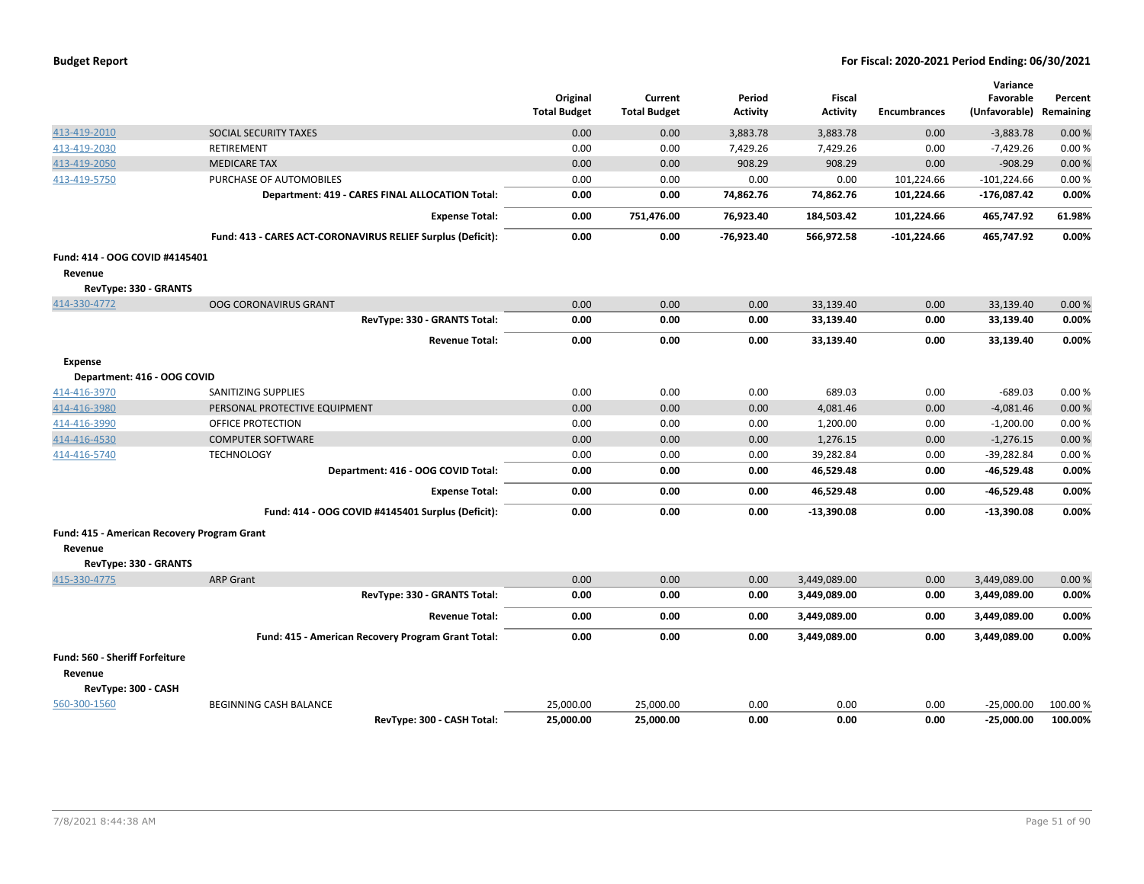|                                                        |                                                             | Original<br><b>Total Budget</b> | Current<br><b>Total Budget</b> | Period<br><b>Activity</b> | <b>Fiscal</b><br><b>Activity</b> | <b>Encumbrances</b> | Variance<br>Favorable<br>(Unfavorable) | Percent<br>Remaining |
|--------------------------------------------------------|-------------------------------------------------------------|---------------------------------|--------------------------------|---------------------------|----------------------------------|---------------------|----------------------------------------|----------------------|
| 413-419-2010                                           | SOCIAL SECURITY TAXES                                       | 0.00                            | 0.00                           | 3,883.78                  | 3,883.78                         | 0.00                | $-3,883.78$                            | 0.00%                |
| 413-419-2030                                           | RETIREMENT                                                  | 0.00                            | 0.00                           | 7,429.26                  | 7,429.26                         | 0.00                | $-7,429.26$                            | 0.00%                |
| 413-419-2050                                           | <b>MEDICARE TAX</b>                                         | 0.00                            | 0.00                           | 908.29                    | 908.29                           | 0.00                | $-908.29$                              | 0.00%                |
| 413-419-5750                                           | PURCHASE OF AUTOMOBILES                                     | 0.00                            | 0.00                           | 0.00                      | 0.00                             | 101,224.66          | $-101,224.66$                          | 0.00%                |
|                                                        | Department: 419 - CARES FINAL ALLOCATION Total:             | 0.00                            | 0.00                           | 74,862.76                 | 74,862.76                        | 101,224.66          | $-176,087.42$                          | 0.00%                |
|                                                        | <b>Expense Total:</b>                                       | 0.00                            | 751,476.00                     | 76,923.40                 | 184,503.42                       | 101,224.66          | 465,747.92                             | 61.98%               |
|                                                        | Fund: 413 - CARES ACT-CORONAVIRUS RELIEF Surplus (Deficit): | 0.00                            | 0.00                           | -76,923.40                | 566,972.58                       | $-101,224.66$       | 465,747.92                             | 0.00%                |
| Fund: 414 - OOG COVID #4145401                         |                                                             |                                 |                                |                           |                                  |                     |                                        |                      |
| Revenue                                                |                                                             |                                 |                                |                           |                                  |                     |                                        |                      |
| RevType: 330 - GRANTS                                  |                                                             |                                 |                                |                           |                                  |                     |                                        |                      |
| 414-330-4772                                           | <b>OOG CORONAVIRUS GRANT</b>                                | 0.00                            | 0.00                           | 0.00                      | 33,139.40                        | 0.00                | 33,139.40                              | 0.00%                |
|                                                        | RevType: 330 - GRANTS Total:                                | 0.00                            | 0.00                           | 0.00                      | 33,139.40                        | 0.00                | 33,139.40                              | 0.00%                |
|                                                        | <b>Revenue Total:</b>                                       | 0.00                            | 0.00                           | 0.00                      | 33,139.40                        | 0.00                | 33,139.40                              | 0.00%                |
| <b>Expense</b>                                         |                                                             |                                 |                                |                           |                                  |                     |                                        |                      |
| Department: 416 - OOG COVID                            |                                                             |                                 |                                |                           |                                  |                     |                                        |                      |
| 414-416-3970                                           | SANITIZING SUPPLIES                                         | 0.00                            | 0.00                           | 0.00                      | 689.03                           | 0.00                | $-689.03$                              | 0.00%                |
| 414-416-3980                                           | PERSONAL PROTECTIVE EQUIPMENT                               | 0.00                            | 0.00                           | 0.00                      | 4,081.46                         | 0.00                | $-4,081.46$                            | 0.00%                |
| 414-416-3990                                           | <b>OFFICE PROTECTION</b>                                    | 0.00                            | 0.00                           | 0.00                      | 1,200.00                         | 0.00                | $-1,200.00$                            | 0.00%                |
| 414-416-4530                                           | <b>COMPUTER SOFTWARE</b>                                    | 0.00                            | 0.00                           | 0.00                      | 1,276.15                         | 0.00                | $-1,276.15$                            | 0.00%                |
| 414-416-5740                                           | <b>TECHNOLOGY</b>                                           | 0.00                            | 0.00                           | 0.00                      | 39,282.84                        | 0.00                | $-39,282.84$                           | 0.00%                |
|                                                        | Department: 416 - OOG COVID Total:                          | 0.00                            | 0.00                           | 0.00                      | 46,529.48                        | 0.00                | -46,529.48                             | 0.00%                |
|                                                        | <b>Expense Total:</b>                                       | 0.00                            | 0.00                           | 0.00                      | 46,529.48                        | 0.00                | -46,529.48                             | 0.00%                |
|                                                        | Fund: 414 - OOG COVID #4145401 Surplus (Deficit):           | 0.00                            | 0.00                           | 0.00                      | $-13,390.08$                     | 0.00                | $-13,390.08$                           | 0.00%                |
| Fund: 415 - American Recovery Program Grant<br>Revenue |                                                             |                                 |                                |                           |                                  |                     |                                        |                      |
| RevType: 330 - GRANTS                                  |                                                             |                                 |                                |                           |                                  |                     |                                        |                      |
| 415-330-4775                                           | <b>ARP Grant</b>                                            | 0.00                            | 0.00                           | 0.00                      | 3,449,089.00                     | 0.00                | 3,449,089.00                           | 0.00%                |
|                                                        | RevType: 330 - GRANTS Total:                                | 0.00                            | 0.00                           | 0.00                      | 3,449,089.00                     | 0.00                | 3,449,089.00                           | 0.00%                |
|                                                        | <b>Revenue Total:</b>                                       | 0.00                            | 0.00                           | 0.00                      | 3,449,089.00                     | 0.00                | 3,449,089.00                           | 0.00%                |
|                                                        | Fund: 415 - American Recovery Program Grant Total:          | 0.00                            | 0.00                           | 0.00                      | 3,449,089.00                     | 0.00                | 3,449,089.00                           | 0.00%                |
| Fund: 560 - Sheriff Forfeiture                         |                                                             |                                 |                                |                           |                                  |                     |                                        |                      |
| Revenue                                                |                                                             |                                 |                                |                           |                                  |                     |                                        |                      |
| RevType: 300 - CASH                                    |                                                             |                                 |                                |                           |                                  |                     |                                        |                      |
| 560-300-1560                                           | BEGINNING CASH BALANCE                                      | 25,000.00                       | 25,000.00                      | 0.00                      | 0.00                             | 0.00                | $-25,000.00$                           | 100.00 %             |
|                                                        | RevType: 300 - CASH Total:                                  | 25,000.00                       | 25,000.00                      | 0.00                      | 0.00                             | 0.00                | $-25,000.00$                           | 100.00%              |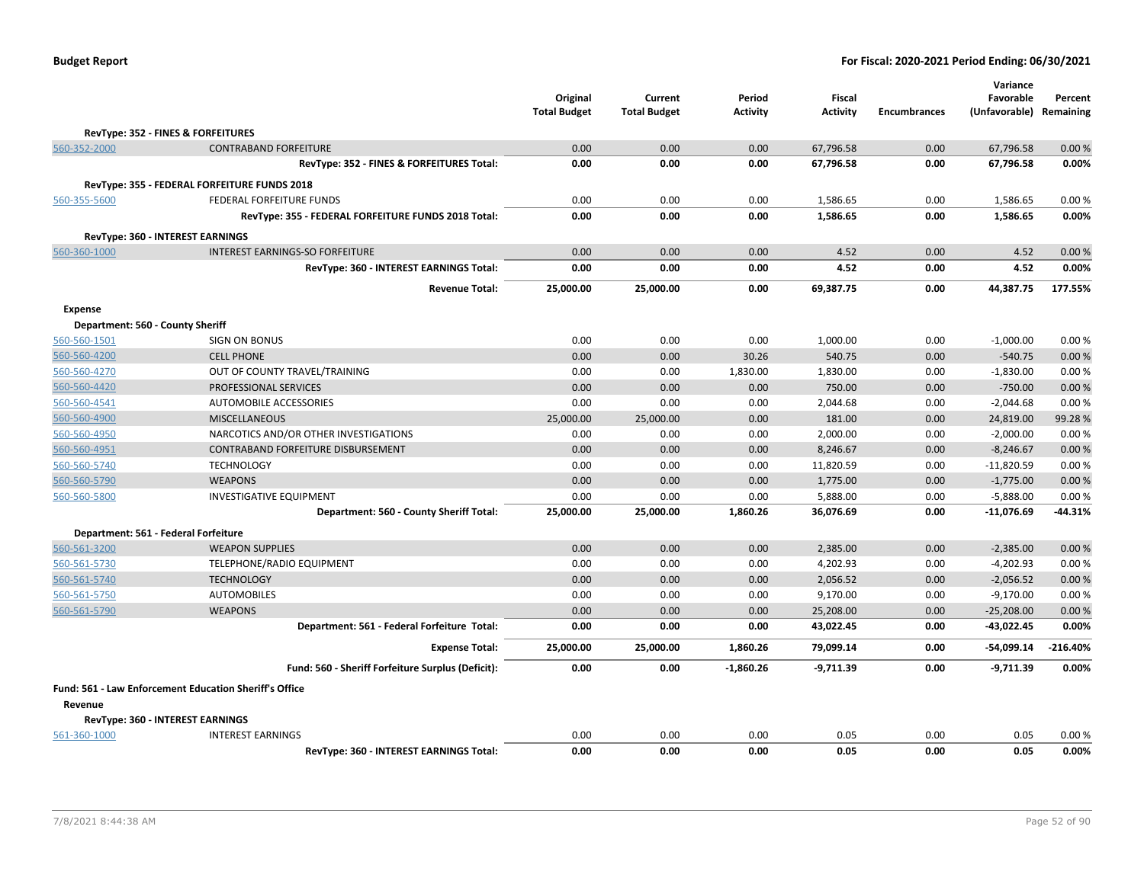|                                  |                                                               | Original<br><b>Total Budget</b> | Current<br><b>Total Budget</b> | Period<br><b>Activity</b> | <b>Fiscal</b><br><b>Activity</b> | <b>Encumbrances</b> | Variance<br>Favorable<br>(Unfavorable) Remaining | Percent    |
|----------------------------------|---------------------------------------------------------------|---------------------------------|--------------------------------|---------------------------|----------------------------------|---------------------|--------------------------------------------------|------------|
|                                  | RevType: 352 - FINES & FORFEITURES                            |                                 |                                |                           |                                  |                     |                                                  |            |
| 560-352-2000                     | <b>CONTRABAND FORFEITURE</b>                                  | 0.00                            | 0.00                           | 0.00                      | 67,796.58                        | 0.00                | 67,796.58                                        | 0.00%      |
|                                  | RevType: 352 - FINES & FORFEITURES Total:                     | 0.00                            | 0.00                           | 0.00                      | 67,796.58                        | 0.00                | 67,796.58                                        | 0.00%      |
|                                  | RevType: 355 - FEDERAL FORFEITURE FUNDS 2018                  |                                 |                                |                           |                                  |                     |                                                  |            |
| 560-355-5600                     | FEDERAL FORFEITURE FUNDS                                      | 0.00                            | 0.00                           | 0.00                      | 1,586.65                         | 0.00                | 1,586.65                                         | 0.00%      |
|                                  | RevType: 355 - FEDERAL FORFEITURE FUNDS 2018 Total:           | 0.00                            | 0.00                           | 0.00                      | 1,586.65                         | 0.00                | 1,586.65                                         | 0.00%      |
|                                  |                                                               |                                 |                                |                           |                                  |                     |                                                  |            |
|                                  | RevType: 360 - INTEREST EARNINGS                              |                                 |                                |                           |                                  |                     |                                                  |            |
| 560-360-1000                     | <b>INTEREST EARNINGS-SO FORFEITURE</b>                        | 0.00                            | 0.00                           | 0.00                      | 4.52                             | 0.00                | 4.52                                             | 0.00%      |
|                                  | RevType: 360 - INTEREST EARNINGS Total:                       | 0.00                            | 0.00                           | 0.00                      | 4.52                             | 0.00                | 4.52                                             | 0.00%      |
|                                  | <b>Revenue Total:</b>                                         | 25,000.00                       | 25,000.00                      | 0.00                      | 69,387.75                        | 0.00                | 44,387.75                                        | 177.55%    |
| <b>Expense</b>                   |                                                               |                                 |                                |                           |                                  |                     |                                                  |            |
| Department: 560 - County Sheriff |                                                               |                                 |                                |                           |                                  |                     |                                                  |            |
| 560-560-1501                     | <b>SIGN ON BONUS</b>                                          | 0.00                            | 0.00                           | 0.00                      | 1,000.00                         | 0.00                | $-1,000.00$                                      | 0.00%      |
| 560-560-4200                     | <b>CELL PHONE</b>                                             | 0.00                            | 0.00                           | 30.26                     | 540.75                           | 0.00                | $-540.75$                                        | 0.00%      |
| 560-560-4270                     | OUT OF COUNTY TRAVEL/TRAINING                                 | 0.00                            | 0.00                           | 1,830.00                  | 1,830.00                         | 0.00                | $-1,830.00$                                      | 0.00%      |
| 560-560-4420                     | PROFESSIONAL SERVICES                                         | 0.00                            | 0.00                           | 0.00                      | 750.00                           | 0.00                | $-750.00$                                        | 0.00%      |
| 560-560-4541                     | AUTOMOBILE ACCESSORIES                                        | 0.00                            | 0.00                           | 0.00                      | 2,044.68                         | 0.00                | $-2,044.68$                                      | 0.00%      |
| 560-560-4900                     | <b>MISCELLANEOUS</b>                                          | 25,000.00                       | 25,000.00                      | 0.00                      | 181.00                           | 0.00                | 24,819.00                                        | 99.28%     |
| 560-560-4950                     | NARCOTICS AND/OR OTHER INVESTIGATIONS                         | 0.00                            | 0.00                           | 0.00                      | 2,000.00                         | 0.00                | $-2,000.00$                                      | 0.00%      |
| 560-560-4951                     | <b>CONTRABAND FORFEITURE DISBURSEMENT</b>                     | 0.00                            | 0.00                           | 0.00                      | 8,246.67                         | 0.00                | $-8,246.67$                                      | 0.00%      |
| 560-560-5740                     | <b>TECHNOLOGY</b>                                             | 0.00                            | 0.00                           | 0.00                      | 11,820.59                        | 0.00                | $-11,820.59$                                     | 0.00%      |
| 560-560-5790                     | <b>WEAPONS</b>                                                | 0.00                            | 0.00                           | 0.00                      | 1,775.00                         | 0.00                | $-1,775.00$                                      | 0.00%      |
| 560-560-5800                     | <b>INVESTIGATIVE EQUIPMENT</b>                                | 0.00                            | 0.00                           | 0.00                      | 5,888.00                         | 0.00                | $-5,888.00$                                      | 0.00%      |
|                                  | Department: 560 - County Sheriff Total:                       | 25,000.00                       | 25,000.00                      | 1,860.26                  | 36,076.69                        | 0.00                | $-11,076.69$                                     | -44.31%    |
|                                  | Department: 561 - Federal Forfeiture                          |                                 |                                |                           |                                  |                     |                                                  |            |
| 560-561-3200                     | <b>WEAPON SUPPLIES</b>                                        | 0.00                            | 0.00                           | 0.00                      | 2,385.00                         | 0.00                | $-2,385.00$                                      | 0.00%      |
| 560-561-5730                     | TELEPHONE/RADIO EQUIPMENT                                     | 0.00                            | 0.00                           | 0.00                      | 4,202.93                         | 0.00                | $-4,202.93$                                      | 0.00%      |
| 560-561-5740                     | <b>TECHNOLOGY</b>                                             | 0.00                            | 0.00                           | 0.00                      | 2,056.52                         | 0.00                | $-2,056.52$                                      | 0.00%      |
| 560-561-5750                     | <b>AUTOMOBILES</b>                                            | 0.00                            | 0.00                           | 0.00                      | 9,170.00                         | 0.00                | $-9,170.00$                                      | 0.00%      |
| 560-561-5790                     | <b>WEAPONS</b>                                                | 0.00                            | 0.00                           | 0.00                      | 25,208.00                        | 0.00                | $-25,208.00$                                     | 0.00%      |
|                                  | Department: 561 - Federal Forfeiture Total:                   | 0.00                            | 0.00                           | 0.00                      | 43,022.45                        | 0.00                | $-43,022.45$                                     | 0.00%      |
|                                  | <b>Expense Total:</b>                                         | 25,000.00                       | 25,000.00                      | 1,860.26                  | 79,099.14                        | 0.00                | $-54,099.14$                                     | $-216.40%$ |
|                                  | Fund: 560 - Sheriff Forfeiture Surplus (Deficit):             | 0.00                            | 0.00                           | $-1,860.26$               | $-9,711.39$                      | 0.00                | $-9,711.39$                                      | 0.00%      |
|                                  | <b>Fund: 561 - Law Enforcement Education Sheriff's Office</b> |                                 |                                |                           |                                  |                     |                                                  |            |
| Revenue                          |                                                               |                                 |                                |                           |                                  |                     |                                                  |            |
|                                  | RevType: 360 - INTEREST EARNINGS                              |                                 |                                |                           |                                  |                     |                                                  |            |
| 561-360-1000                     | <b>INTEREST EARNINGS</b>                                      | 0.00                            | 0.00                           | 0.00                      | 0.05                             | 0.00                | 0.05                                             | 0.00%      |
|                                  | RevType: 360 - INTEREST EARNINGS Total:                       | 0.00                            | 0.00                           | 0.00                      | 0.05                             | 0.00                | 0.05                                             | 0.00%      |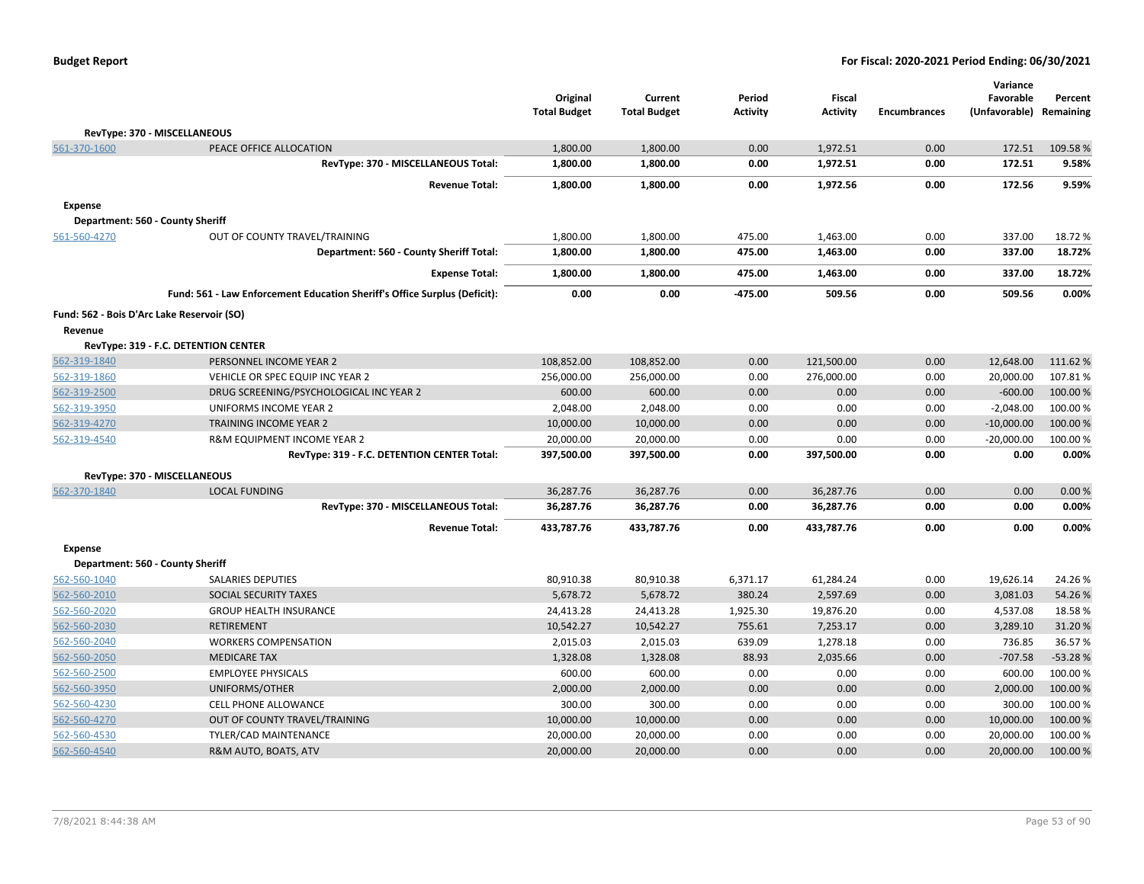|                |                                                                           | Original<br><b>Total Budget</b> | Current<br><b>Total Budget</b> | Period<br><b>Activity</b> | Fiscal<br><b>Activity</b> | <b>Encumbrances</b> | Variance<br>Favorable<br>(Unfavorable) Remaining | Percent   |
|----------------|---------------------------------------------------------------------------|---------------------------------|--------------------------------|---------------------------|---------------------------|---------------------|--------------------------------------------------|-----------|
|                | RevType: 370 - MISCELLANEOUS                                              |                                 |                                |                           |                           |                     |                                                  |           |
| 561-370-1600   | PEACE OFFICE ALLOCATION                                                   | 1,800.00                        | 1,800.00                       | 0.00                      | 1,972.51                  | 0.00                | 172.51                                           | 109.58%   |
|                | RevType: 370 - MISCELLANEOUS Total:                                       | 1,800.00                        | 1,800.00                       | 0.00                      | 1,972.51                  | 0.00                | 172.51                                           | 9.58%     |
|                | <b>Revenue Total:</b>                                                     | 1,800.00                        | 1,800.00                       | 0.00                      | 1,972.56                  | 0.00                | 172.56                                           | 9.59%     |
| <b>Expense</b> |                                                                           |                                 |                                |                           |                           |                     |                                                  |           |
|                | Department: 560 - County Sheriff                                          |                                 |                                |                           |                           |                     |                                                  |           |
| 561-560-4270   | OUT OF COUNTY TRAVEL/TRAINING                                             | 1,800.00                        | 1,800.00                       | 475.00                    | 1,463.00                  | 0.00                | 337.00                                           | 18.72%    |
|                | Department: 560 - County Sheriff Total:                                   | 1,800.00                        | 1,800.00                       | 475.00                    | 1,463.00                  | 0.00                | 337.00                                           | 18.72%    |
|                | <b>Expense Total:</b>                                                     | 1,800.00                        | 1,800.00                       | 475.00                    | 1,463.00                  | 0.00                | 337.00                                           | 18.72%    |
|                | Fund: 561 - Law Enforcement Education Sheriff's Office Surplus (Deficit): | 0.00                            | 0.00                           | $-475.00$                 | 509.56                    | 0.00                | 509.56                                           | 0.00%     |
|                | Fund: 562 - Bois D'Arc Lake Reservoir (SO)                                |                                 |                                |                           |                           |                     |                                                  |           |
| Revenue        |                                                                           |                                 |                                |                           |                           |                     |                                                  |           |
|                | RevType: 319 - F.C. DETENTION CENTER                                      |                                 |                                |                           |                           |                     |                                                  |           |
| 562-319-1840   | PERSONNEL INCOME YEAR 2                                                   | 108,852.00                      | 108,852.00                     | 0.00                      | 121,500.00                | 0.00                | 12,648.00                                        | 111.62%   |
| 562-319-1860   | VEHICLE OR SPEC EQUIP INC YEAR 2                                          | 256,000.00                      | 256,000.00                     | 0.00                      | 276,000.00                | 0.00                | 20,000.00                                        | 107.81%   |
| 562-319-2500   | DRUG SCREENING/PSYCHOLOGICAL INC YEAR 2                                   | 600.00                          | 600.00                         | 0.00                      | 0.00                      | 0.00                | $-600.00$                                        | 100.00%   |
| 562-319-3950   | UNIFORMS INCOME YEAR 2                                                    | 2,048.00                        | 2,048.00                       | 0.00                      | 0.00                      | 0.00                | $-2,048.00$                                      | 100.00%   |
| 562-319-4270   | <b>TRAINING INCOME YEAR 2</b>                                             | 10,000.00                       | 10,000.00                      | 0.00                      | 0.00                      | 0.00                | $-10,000.00$                                     | 100.00 %  |
| 562-319-4540   | R&M EQUIPMENT INCOME YEAR 2                                               | 20,000.00                       | 20,000.00                      | 0.00                      | 0.00                      | 0.00                | $-20,000.00$                                     | 100.00%   |
|                | RevType: 319 - F.C. DETENTION CENTER Total:                               | 397,500.00                      | 397,500.00                     | 0.00                      | 397,500.00                | 0.00                | 0.00                                             | 0.00%     |
|                | RevType: 370 - MISCELLANEOUS                                              |                                 |                                |                           |                           |                     |                                                  |           |
| 562-370-1840   | <b>LOCAL FUNDING</b>                                                      | 36,287.76                       | 36,287.76                      | 0.00                      | 36,287.76                 | 0.00                | 0.00                                             | 0.00%     |
|                | RevType: 370 - MISCELLANEOUS Total:                                       | 36,287.76                       | 36,287.76                      | 0.00                      | 36,287.76                 | 0.00                | 0.00                                             | 0.00%     |
|                | <b>Revenue Total:</b>                                                     | 433,787.76                      | 433,787.76                     | 0.00                      | 433,787.76                | 0.00                | 0.00                                             | 0.00%     |
| <b>Expense</b> |                                                                           |                                 |                                |                           |                           |                     |                                                  |           |
|                | Department: 560 - County Sheriff                                          |                                 |                                |                           |                           |                     |                                                  |           |
| 562-560-1040   | <b>SALARIES DEPUTIES</b>                                                  | 80,910.38                       | 80,910.38                      | 6,371.17                  | 61,284.24                 | 0.00                | 19,626.14                                        | 24.26%    |
| 562-560-2010   | SOCIAL SECURITY TAXES                                                     | 5,678.72                        | 5,678.72                       | 380.24                    | 2,597.69                  | 0.00                | 3,081.03                                         | 54.26%    |
| 562-560-2020   | <b>GROUP HEALTH INSURANCE</b>                                             | 24,413.28                       | 24,413.28                      | 1,925.30                  | 19,876.20                 | 0.00                | 4,537.08                                         | 18.58%    |
| 562-560-2030   | <b>RETIREMENT</b>                                                         | 10,542.27                       | 10,542.27                      | 755.61                    | 7,253.17                  | 0.00                | 3,289.10                                         | 31.20%    |
| 562-560-2040   | <b>WORKERS COMPENSATION</b>                                               | 2,015.03                        | 2,015.03                       | 639.09                    | 1,278.18                  | 0.00                | 736.85                                           | 36.57%    |
| 562-560-2050   | <b>MEDICARE TAX</b>                                                       | 1,328.08                        | 1,328.08                       | 88.93                     | 2,035.66                  | 0.00                | $-707.58$                                        | $-53.28%$ |
| 562-560-2500   | <b>EMPLOYEE PHYSICALS</b>                                                 | 600.00                          | 600.00                         | 0.00                      | 0.00                      | 0.00                | 600.00                                           | 100.00%   |
| 562-560-3950   | UNIFORMS/OTHER                                                            | 2,000.00                        | 2,000.00                       | 0.00                      | 0.00                      | 0.00                | 2,000.00                                         | 100.00 %  |
| 562-560-4230   | <b>CELL PHONE ALLOWANCE</b>                                               | 300.00                          | 300.00                         | 0.00                      | 0.00                      | 0.00                | 300.00                                           | 100.00 %  |
| 562-560-4270   | OUT OF COUNTY TRAVEL/TRAINING                                             | 10,000.00                       | 10,000.00                      | 0.00                      | 0.00                      | 0.00                | 10,000.00                                        | 100.00 %  |
| 562-560-4530   | TYLER/CAD MAINTENANCE                                                     | 20,000.00                       | 20,000.00                      | 0.00                      | 0.00                      | 0.00                | 20,000.00                                        | 100.00%   |
| 562-560-4540   | R&M AUTO, BOATS, ATV                                                      | 20,000.00                       | 20,000.00                      | 0.00                      | 0.00                      | 0.00                | 20,000.00                                        | 100.00 %  |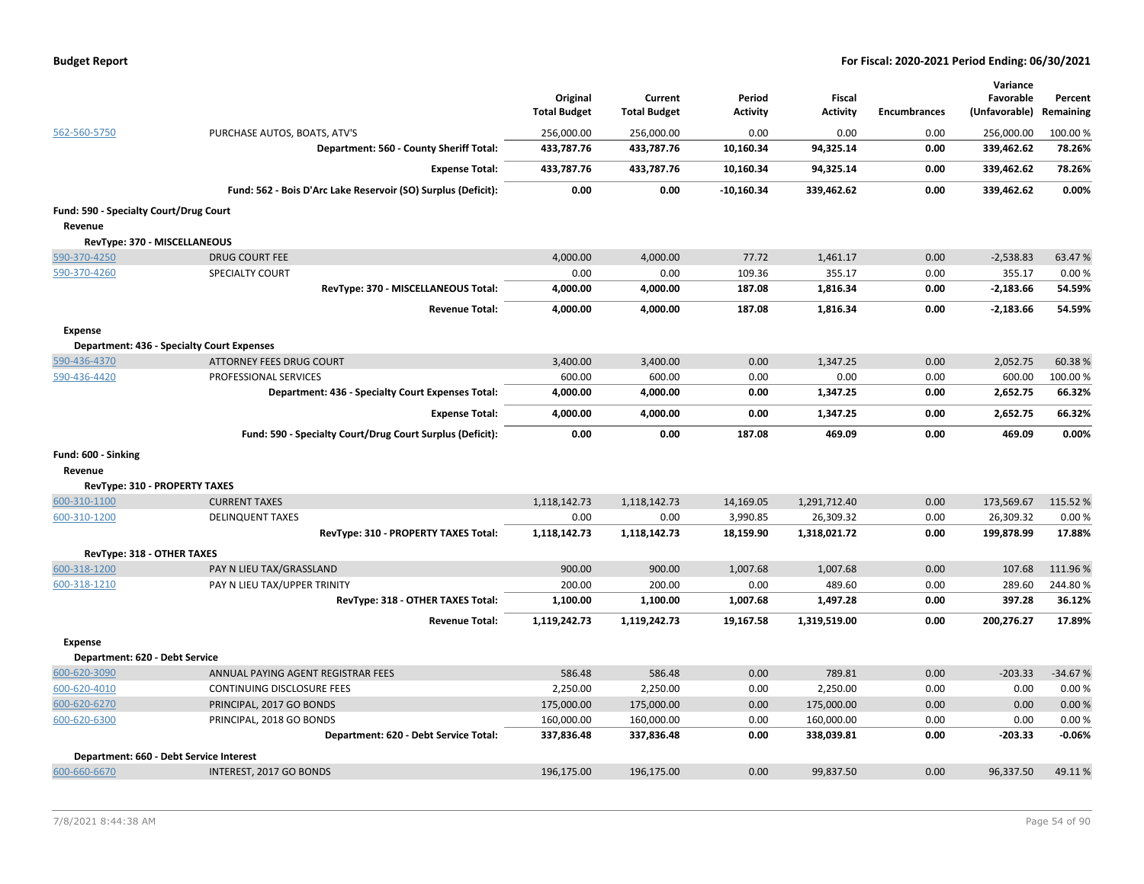| <b>Budget Report</b> |  |
|----------------------|--|
|----------------------|--|

|                                        |                                                               | Original<br><b>Total Budget</b> | Current<br><b>Total Budget</b> | Period<br><b>Activity</b> | <b>Fiscal</b><br><b>Activity</b> | <b>Encumbrances</b> | Variance<br>Favorable<br>(Unfavorable) | Percent<br>Remaining |
|----------------------------------------|---------------------------------------------------------------|---------------------------------|--------------------------------|---------------------------|----------------------------------|---------------------|----------------------------------------|----------------------|
| 562-560-5750                           | PURCHASE AUTOS, BOATS, ATV'S                                  | 256,000.00                      | 256,000.00                     | 0.00                      | 0.00                             | 0.00                | 256,000.00                             | 100.00 %             |
|                                        | Department: 560 - County Sheriff Total:                       | 433,787.76                      | 433,787.76                     | 10,160.34                 | 94,325.14                        | 0.00                | 339,462.62                             | 78.26%               |
|                                        | <b>Expense Total:</b>                                         | 433,787.76                      | 433,787.76                     | 10,160.34                 | 94,325.14                        | 0.00                | 339,462.62                             | 78.26%               |
|                                        | Fund: 562 - Bois D'Arc Lake Reservoir (SO) Surplus (Deficit): | 0.00                            | 0.00                           | $-10,160.34$              | 339,462.62                       | 0.00                | 339,462.62                             | 0.00%                |
| Fund: 590 - Specialty Court/Drug Court |                                                               |                                 |                                |                           |                                  |                     |                                        |                      |
| Revenue                                |                                                               |                                 |                                |                           |                                  |                     |                                        |                      |
| RevType: 370 - MISCELLANEOUS           |                                                               |                                 |                                |                           |                                  |                     |                                        |                      |
| 590-370-4250                           | <b>DRUG COURT FEE</b>                                         | 4,000.00                        | 4,000.00                       | 77.72                     | 1,461.17                         | 0.00                | $-2,538.83$                            | 63.47%               |
| 590-370-4260                           | <b>SPECIALTY COURT</b>                                        | 0.00                            | 0.00                           | 109.36                    | 355.17                           | 0.00                | 355.17                                 | 0.00%                |
|                                        | RevType: 370 - MISCELLANEOUS Total:                           | 4,000.00                        | 4,000.00                       | 187.08                    | 1,816.34                         | 0.00                | $-2,183.66$                            | 54.59%               |
|                                        | <b>Revenue Total:</b>                                         | 4,000.00                        | 4,000.00                       | 187.08                    | 1,816.34                         | 0.00                | $-2,183.66$                            | 54.59%               |
| <b>Expense</b>                         |                                                               |                                 |                                |                           |                                  |                     |                                        |                      |
|                                        | Department: 436 - Specialty Court Expenses                    |                                 |                                |                           |                                  |                     |                                        |                      |
| 590-436-4370                           | <b>ATTORNEY FEES DRUG COURT</b>                               | 3,400.00                        | 3,400.00                       | 0.00                      | 1,347.25                         | 0.00                | 2,052.75                               | 60.38%               |
| 590-436-4420                           | PROFESSIONAL SERVICES                                         | 600.00                          | 600.00                         | 0.00                      | 0.00                             | 0.00                | 600.00                                 | 100.00 %             |
|                                        | Department: 436 - Specialty Court Expenses Total:             | 4,000.00                        | 4,000.00                       | 0.00                      | 1,347.25                         | 0.00                | 2,652.75                               | 66.32%               |
|                                        | <b>Expense Total:</b>                                         | 4,000.00                        | 4,000.00                       | 0.00                      | 1,347.25                         | 0.00                | 2,652.75                               | 66.32%               |
|                                        | Fund: 590 - Specialty Court/Drug Court Surplus (Deficit):     | 0.00                            | 0.00                           | 187.08                    | 469.09                           | 0.00                | 469.09                                 | 0.00%                |
| Fund: 600 - Sinking                    |                                                               |                                 |                                |                           |                                  |                     |                                        |                      |
| Revenue                                |                                                               |                                 |                                |                           |                                  |                     |                                        |                      |
| <b>RevType: 310 - PROPERTY TAXES</b>   |                                                               |                                 |                                |                           |                                  |                     |                                        |                      |
| 600-310-1100                           | <b>CURRENT TAXES</b>                                          | 1,118,142.73                    | 1,118,142.73                   | 14,169.05                 | 1,291,712.40                     | 0.00                | 173,569.67                             | 115.52 %             |
| 600-310-1200                           | <b>DELINQUENT TAXES</b>                                       | 0.00                            | 0.00                           | 3,990.85                  | 26,309.32                        | 0.00                | 26,309.32                              | 0.00%                |
|                                        | RevType: 310 - PROPERTY TAXES Total:                          | 1,118,142.73                    | 1,118,142.73                   | 18,159.90                 | 1,318,021.72                     | 0.00                | 199,878.99                             | 17.88%               |
| RevType: 318 - OTHER TAXES             |                                                               |                                 |                                |                           |                                  |                     |                                        |                      |
| 600-318-1200                           | PAY N LIEU TAX/GRASSLAND                                      | 900.00                          | 900.00                         | 1,007.68                  | 1,007.68                         | 0.00                | 107.68                                 | 111.96%              |
| 600-318-1210                           | PAY N LIEU TAX/UPPER TRINITY                                  | 200.00                          | 200.00                         | 0.00                      | 489.60                           | 0.00                | 289.60                                 | 244.80%              |
|                                        | RevType: 318 - OTHER TAXES Total:                             | 1,100.00                        | 1,100.00                       | 1,007.68                  | 1,497.28                         | 0.00                | 397.28                                 | 36.12%               |
|                                        | <b>Revenue Total:</b>                                         | 1,119,242.73                    | 1,119,242.73                   | 19,167.58                 | 1,319,519.00                     | 0.00                | 200,276.27                             | 17.89%               |
| Expense                                |                                                               |                                 |                                |                           |                                  |                     |                                        |                      |
| Department: 620 - Debt Service         |                                                               |                                 |                                |                           |                                  |                     |                                        |                      |
| 600-620-3090                           | ANNUAL PAYING AGENT REGISTRAR FEES                            | 586.48                          | 586.48                         | 0.00                      | 789.81                           | 0.00                | $-203.33$                              | $-34.67%$            |
| 600-620-4010                           | CONTINUING DISCLOSURE FEES                                    | 2,250.00                        | 2,250.00                       | 0.00                      | 2,250.00                         | 0.00                | 0.00                                   | 0.00%                |
| 600-620-6270                           | PRINCIPAL, 2017 GO BONDS                                      | 175,000.00                      | 175,000.00                     | 0.00                      | 175,000.00                       | 0.00                | 0.00                                   | 0.00%                |
| 600-620-6300                           | PRINCIPAL, 2018 GO BONDS                                      | 160,000.00                      | 160,000.00                     | 0.00                      | 160,000.00                       | 0.00                | 0.00                                   | 0.00%                |
|                                        | Department: 620 - Debt Service Total:                         | 337,836.48                      | 337,836.48                     | 0.00                      | 338,039.81                       | 0.00                | -203.33                                | $-0.06%$             |
|                                        | Department: 660 - Debt Service Interest                       |                                 |                                |                           |                                  |                     |                                        |                      |
| 600-660-6670                           | INTEREST, 2017 GO BONDS                                       | 196.175.00                      | 196.175.00                     | 0.00                      | 99,837.50                        | 0.00                | 96.337.50                              | 49.11%               |
|                                        |                                                               |                                 |                                |                           |                                  |                     |                                        |                      |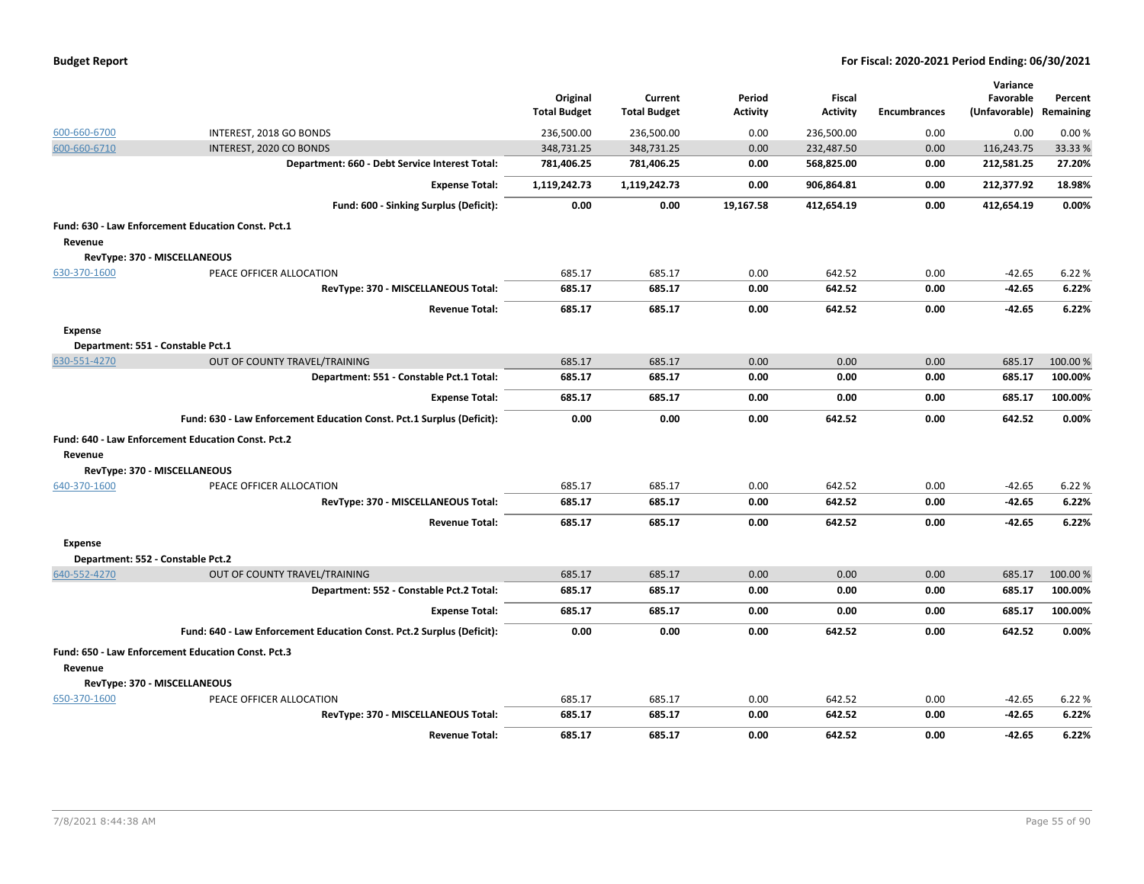|  |  |  | <b>Budget Report</b> |
|--|--|--|----------------------|
|--|--|--|----------------------|

|                |                                                                       | Original<br><b>Total Budget</b> | Current<br><b>Total Budget</b> | Period<br><b>Activity</b> | Fiscal<br><b>Activity</b> | <b>Encumbrances</b> | Variance<br>Favorable<br>(Unfavorable) | Percent<br>Remaining |
|----------------|-----------------------------------------------------------------------|---------------------------------|--------------------------------|---------------------------|---------------------------|---------------------|----------------------------------------|----------------------|
| 600-660-6700   | INTEREST, 2018 GO BONDS                                               | 236,500.00                      | 236,500.00                     | 0.00                      | 236,500.00                | 0.00                | 0.00                                   | 0.00%                |
| 600-660-6710   | INTEREST, 2020 CO BONDS                                               | 348,731.25                      | 348,731.25                     | 0.00                      | 232,487.50                | 0.00                | 116,243.75                             | 33.33 %              |
|                | Department: 660 - Debt Service Interest Total:                        | 781,406.25                      | 781,406.25                     | 0.00                      | 568,825.00                | 0.00                | 212,581.25                             | 27.20%               |
|                | <b>Expense Total:</b>                                                 | 1,119,242.73                    | 1,119,242.73                   | 0.00                      | 906,864.81                | 0.00                | 212,377.92                             | 18.98%               |
|                | Fund: 600 - Sinking Surplus (Deficit):                                | 0.00                            | 0.00                           | 19,167.58                 | 412,654.19                | 0.00                | 412,654.19                             | 0.00%                |
|                | Fund: 630 - Law Enforcement Education Const. Pct.1                    |                                 |                                |                           |                           |                     |                                        |                      |
| Revenue        |                                                                       |                                 |                                |                           |                           |                     |                                        |                      |
|                | RevType: 370 - MISCELLANEOUS                                          |                                 |                                |                           |                           |                     |                                        |                      |
| 630-370-1600   | PEACE OFFICER ALLOCATION                                              | 685.17                          | 685.17                         | 0.00                      | 642.52                    | 0.00                | $-42.65$                               | 6.22 %               |
|                | RevType: 370 - MISCELLANEOUS Total:                                   | 685.17                          | 685.17                         | 0.00                      | 642.52                    | 0.00                | $-42.65$                               | 6.22%                |
|                | <b>Revenue Total:</b>                                                 | 685.17                          | 685.17                         | 0.00                      | 642.52                    | 0.00                | -42.65                                 | 6.22%                |
| <b>Expense</b> |                                                                       |                                 |                                |                           |                           |                     |                                        |                      |
|                | Department: 551 - Constable Pct.1                                     |                                 |                                |                           |                           |                     |                                        |                      |
| 630-551-4270   | OUT OF COUNTY TRAVEL/TRAINING                                         | 685.17                          | 685.17                         | 0.00                      | 0.00                      | 0.00                | 685.17                                 | 100.00 %             |
|                | Department: 551 - Constable Pct.1 Total:                              | 685.17                          | 685.17                         | 0.00                      | 0.00                      | 0.00                | 685.17                                 | 100.00%              |
|                | <b>Expense Total:</b>                                                 | 685.17                          | 685.17                         | 0.00                      | 0.00                      | 0.00                | 685.17                                 | 100.00%              |
|                | Fund: 630 - Law Enforcement Education Const. Pct.1 Surplus (Deficit): | 0.00                            | 0.00                           | 0.00                      | 642.52                    | 0.00                | 642.52                                 | 0.00%                |
|                | Fund: 640 - Law Enforcement Education Const. Pct.2                    |                                 |                                |                           |                           |                     |                                        |                      |
| Revenue        |                                                                       |                                 |                                |                           |                           |                     |                                        |                      |
|                | RevType: 370 - MISCELLANEOUS                                          |                                 |                                |                           |                           |                     |                                        |                      |
| 640-370-1600   | PEACE OFFICER ALLOCATION                                              | 685.17                          | 685.17                         | 0.00                      | 642.52                    | 0.00                | $-42.65$                               | 6.22 %               |
|                | RevType: 370 - MISCELLANEOUS Total:                                   | 685.17                          | 685.17                         | 0.00                      | 642.52                    | 0.00                | $-42.65$                               | 6.22%                |
|                | <b>Revenue Total:</b>                                                 | 685.17                          | 685.17                         | 0.00                      | 642.52                    | 0.00                | -42.65                                 | 6.22%                |
| <b>Expense</b> |                                                                       |                                 |                                |                           |                           |                     |                                        |                      |
|                | Department: 552 - Constable Pct.2                                     |                                 |                                |                           |                           |                     |                                        |                      |
| 640-552-4270   | OUT OF COUNTY TRAVEL/TRAINING                                         | 685.17                          | 685.17                         | 0.00                      | 0.00                      | 0.00                | 685.17                                 | 100.00 %             |
|                | Department: 552 - Constable Pct.2 Total:                              | 685.17                          | 685.17                         | 0.00                      | 0.00                      | 0.00                | 685.17                                 | 100.00%              |
|                | <b>Expense Total:</b>                                                 | 685.17                          | 685.17                         | 0.00                      | 0.00                      | 0.00                | 685.17                                 | 100.00%              |
|                | Fund: 640 - Law Enforcement Education Const. Pct.2 Surplus (Deficit): | 0.00                            | 0.00                           | 0.00                      | 642.52                    | 0.00                | 642.52                                 | 0.00%                |
|                | Fund: 650 - Law Enforcement Education Const. Pct.3                    |                                 |                                |                           |                           |                     |                                        |                      |
| Revenue        |                                                                       |                                 |                                |                           |                           |                     |                                        |                      |
|                | RevType: 370 - MISCELLANEOUS                                          |                                 |                                |                           |                           |                     |                                        |                      |
| 650-370-1600   | PEACE OFFICER ALLOCATION                                              | 685.17                          | 685.17                         | 0.00                      | 642.52                    | 0.00                | $-42.65$                               | 6.22 %               |
|                | RevType: 370 - MISCELLANEOUS Total:                                   | 685.17                          | 685.17                         | 0.00                      | 642.52                    | 0.00                | $-42.65$                               | 6.22%                |
|                | <b>Revenue Total:</b>                                                 | 685.17                          | 685.17                         | 0.00                      | 642.52                    | 0.00                | $-42.65$                               | 6.22%                |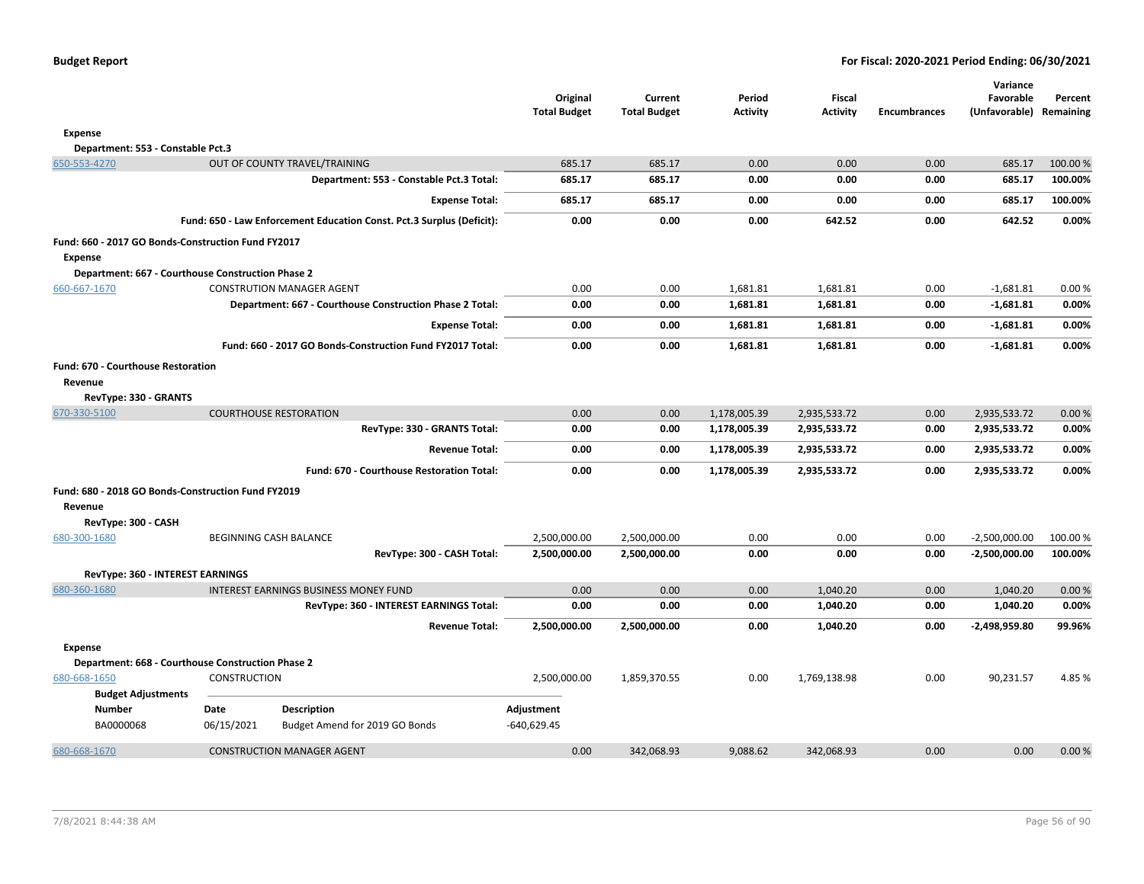|                                                               |                                                   |                                                                       | Original<br><b>Total Budget</b> | Current<br><b>Total Budget</b> | Period<br><b>Activity</b> | Fiscal<br><b>Activity</b> | <b>Encumbrances</b> | Variance<br>Favorable<br>(Unfavorable) Remaining | Percent  |
|---------------------------------------------------------------|---------------------------------------------------|-----------------------------------------------------------------------|---------------------------------|--------------------------------|---------------------------|---------------------------|---------------------|--------------------------------------------------|----------|
| Expense                                                       |                                                   |                                                                       |                                 |                                |                           |                           |                     |                                                  |          |
| Department: 553 - Constable Pct.3                             |                                                   |                                                                       |                                 |                                |                           |                           |                     |                                                  |          |
| 650-553-4270                                                  |                                                   | OUT OF COUNTY TRAVEL/TRAINING                                         | 685.17                          | 685.17                         | 0.00                      | 0.00                      | 0.00                | 685.17                                           | 100.00 % |
|                                                               |                                                   | Department: 553 - Constable Pct.3 Total:                              | 685.17                          | 685.17                         | 0.00                      | 0.00                      | 0.00                | 685.17                                           | 100.00%  |
|                                                               |                                                   | <b>Expense Total:</b>                                                 | 685.17                          | 685.17                         | 0.00                      | 0.00                      | 0.00                | 685.17                                           | 100.00%  |
|                                                               |                                                   | Fund: 650 - Law Enforcement Education Const. Pct.3 Surplus (Deficit): | 0.00                            | 0.00                           | 0.00                      | 642.52                    | 0.00                | 642.52                                           | 0.00%    |
| Fund: 660 - 2017 GO Bonds-Construction Fund FY2017<br>Expense |                                                   |                                                                       |                                 |                                |                           |                           |                     |                                                  |          |
|                                                               | Department: 667 - Courthouse Construction Phase 2 |                                                                       |                                 |                                |                           |                           |                     |                                                  |          |
| 660-667-1670                                                  |                                                   | <b>CONSTRUTION MANAGER AGENT</b>                                      | 0.00                            | 0.00                           | 1,681.81                  | 1,681.81                  | 0.00                | $-1,681.81$                                      | 0.00%    |
|                                                               |                                                   | Department: 667 - Courthouse Construction Phase 2 Total:              | 0.00                            | 0.00                           | 1,681.81                  | 1,681.81                  | 0.00                | $-1,681.81$                                      | 0.00%    |
|                                                               |                                                   | <b>Expense Total:</b>                                                 | 0.00                            | 0.00                           | 1,681.81                  | 1,681.81                  | 0.00                | $-1,681.81$                                      | 0.00%    |
|                                                               |                                                   | Fund: 660 - 2017 GO Bonds-Construction Fund FY2017 Total:             | 0.00                            | 0.00                           | 1,681.81                  | 1,681.81                  | 0.00                | $-1,681.81$                                      | 0.00%    |
| <b>Fund: 670 - Courthouse Restoration</b>                     |                                                   |                                                                       |                                 |                                |                           |                           |                     |                                                  |          |
| Revenue                                                       |                                                   |                                                                       |                                 |                                |                           |                           |                     |                                                  |          |
| RevType: 330 - GRANTS                                         |                                                   |                                                                       |                                 |                                |                           |                           |                     |                                                  |          |
| 670-330-5100                                                  |                                                   | <b>COURTHOUSE RESTORATION</b>                                         | 0.00                            | 0.00                           | 1,178,005.39              | 2,935,533.72              | 0.00                | 2,935,533.72                                     | 0.00 %   |
|                                                               |                                                   | RevType: 330 - GRANTS Total:                                          | 0.00                            | 0.00                           | 1,178,005.39              | 2,935,533.72              | 0.00                | 2,935,533.72                                     | 0.00%    |
|                                                               |                                                   | <b>Revenue Total:</b>                                                 | 0.00                            | 0.00                           | 1,178,005.39              | 2,935,533.72              | 0.00                | 2,935,533.72                                     | 0.00%    |
|                                                               |                                                   | Fund: 670 - Courthouse Restoration Total:                             | 0.00                            | 0.00                           | 1,178,005.39              | 2,935,533.72              | 0.00                | 2,935,533.72                                     | 0.00%    |
| Fund: 680 - 2018 GO Bonds-Construction Fund FY2019            |                                                   |                                                                       |                                 |                                |                           |                           |                     |                                                  |          |
| Revenue<br>RevType: 300 - CASH                                |                                                   |                                                                       |                                 |                                |                           |                           |                     |                                                  |          |
| 680-300-1680                                                  |                                                   | BEGINNING CASH BALANCE                                                | 2,500,000.00                    | 2,500,000.00                   | 0.00                      | 0.00                      | 0.00                | $-2,500,000.00$                                  | 100.00%  |
|                                                               |                                                   | RevType: 300 - CASH Total:                                            | 2,500,000.00                    | 2,500,000.00                   | 0.00                      | 0.00                      | 0.00                | $-2,500,000.00$                                  | 100.00%  |
| RevType: 360 - INTEREST EARNINGS                              |                                                   |                                                                       |                                 |                                |                           |                           |                     |                                                  |          |
| 680-360-1680                                                  |                                                   | <b>INTEREST EARNINGS BUSINESS MONEY FUND</b>                          | 0.00                            | 0.00                           | 0.00                      | 1,040.20                  | 0.00                | 1,040.20                                         | 0.00%    |
|                                                               |                                                   | RevType: 360 - INTEREST EARNINGS Total:                               | 0.00                            | 0.00                           | 0.00                      | 1,040.20                  | 0.00                | 1,040.20                                         | 0.00%    |
|                                                               |                                                   | <b>Revenue Total:</b>                                                 | 2,500,000.00                    | 2,500,000.00                   | 0.00                      | 1,040.20                  | 0.00                | -2,498,959.80                                    | 99.96%   |
| <b>Expense</b>                                                |                                                   |                                                                       |                                 |                                |                           |                           |                     |                                                  |          |
|                                                               | Department: 668 - Courthouse Construction Phase 2 |                                                                       |                                 |                                |                           |                           |                     |                                                  |          |
| 680-668-1650                                                  | <b>CONSTRUCTION</b>                               |                                                                       | 2,500,000.00                    | 1,859,370.55                   | 0.00                      | 1,769,138.98              | 0.00                | 90,231.57                                        | 4.85%    |
| <b>Budget Adjustments</b>                                     |                                                   |                                                                       |                                 |                                |                           |                           |                     |                                                  |          |
| <b>Number</b><br>BA0000068                                    | Date<br>06/15/2021                                | <b>Description</b><br>Budget Amend for 2019 GO Bonds                  | Adjustment<br>$-640,629.45$     |                                |                           |                           |                     |                                                  |          |
| 680-668-1670                                                  |                                                   | <b>CONSTRUCTION MANAGER AGENT</b>                                     | 0.00                            | 342,068.93                     | 9,088.62                  | 342,068.93                | 0.00                | 0.00                                             | 0.00 %   |
|                                                               |                                                   |                                                                       |                                 |                                |                           |                           |                     |                                                  |          |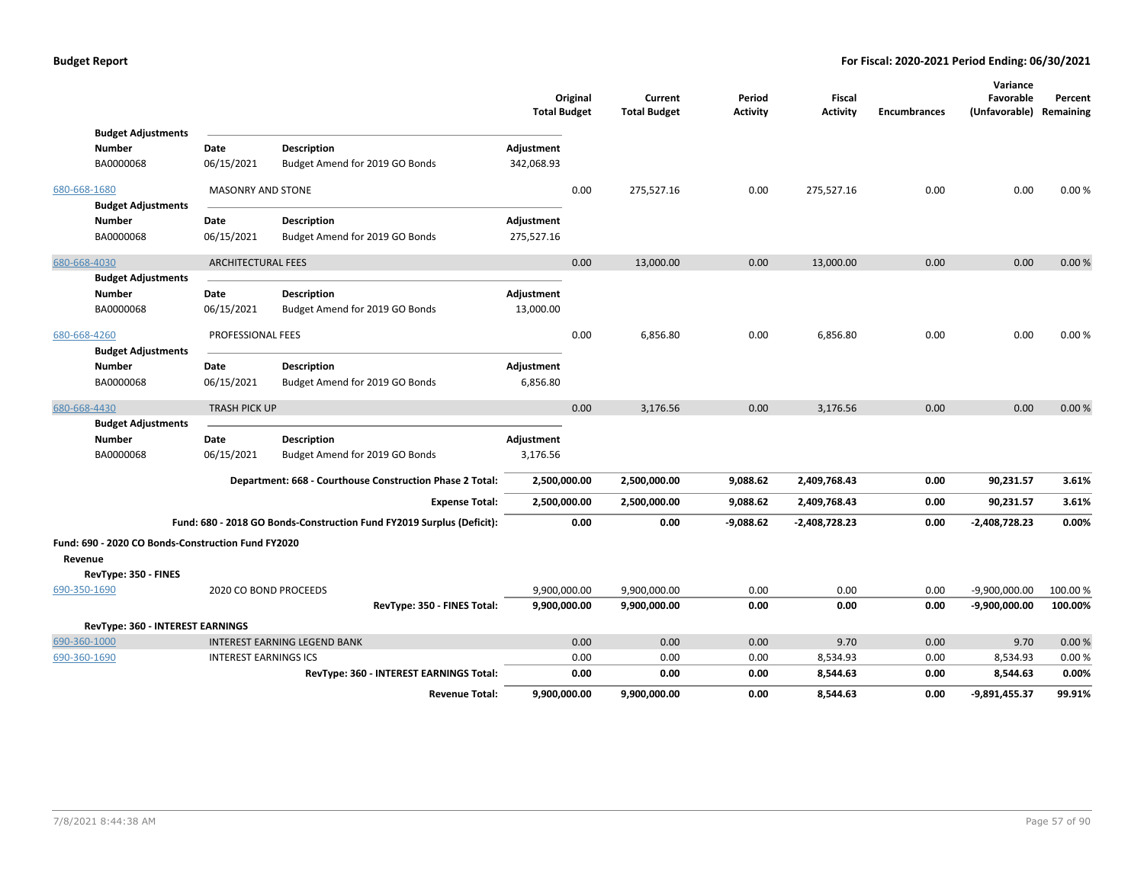|              |                                                                            |                              |                                                                       | <b>Total Budget</b>      | Original     | Current<br><b>Total Budget</b> | Period<br><b>Activity</b> | Fiscal<br><b>Activity</b> | <b>Encumbrances</b> | Variance<br>Favorable<br>(Unfavorable) Remaining | Percent        |
|--------------|----------------------------------------------------------------------------|------------------------------|-----------------------------------------------------------------------|--------------------------|--------------|--------------------------------|---------------------------|---------------------------|---------------------|--------------------------------------------------|----------------|
|              | <b>Budget Adjustments</b><br>Number<br>BA0000068                           | Date<br>06/15/2021           | <b>Description</b><br>Budget Amend for 2019 GO Bonds                  | Adjustment<br>342,068.93 |              |                                |                           |                           |                     |                                                  |                |
| 680-668-1680 | <b>Budget Adjustments</b>                                                  | <b>MASONRY AND STONE</b>     |                                                                       |                          | 0.00         | 275,527.16                     | 0.00                      | 275,527.16                | 0.00                | 0.00                                             | 0.00%          |
|              | Number<br>BA0000068                                                        | Date<br>06/15/2021           | <b>Description</b><br>Budget Amend for 2019 GO Bonds                  | Adjustment<br>275,527.16 |              |                                |                           |                           |                     |                                                  |                |
| 680-668-4030 | <b>Budget Adjustments</b>                                                  | <b>ARCHITECTURAL FEES</b>    |                                                                       |                          | 0.00         | 13,000.00                      | 0.00                      | 13,000.00                 | 0.00                | 0.00                                             | 0.00%          |
|              | Number<br>BA0000068                                                        | Date<br>06/15/2021           | <b>Description</b><br>Budget Amend for 2019 GO Bonds                  | Adjustment<br>13,000.00  |              |                                |                           |                           |                     |                                                  |                |
| 680-668-4260 | <b>Budget Adjustments</b>                                                  | PROFESSIONAL FEES            |                                                                       |                          | 0.00         | 6,856.80                       | 0.00                      | 6,856.80                  | 0.00                | 0.00                                             | 0.00%          |
|              | <b>Number</b><br>BA0000068                                                 | Date<br>06/15/2021           | <b>Description</b><br>Budget Amend for 2019 GO Bonds                  | Adjustment<br>6,856.80   |              |                                |                           |                           |                     |                                                  |                |
| 680-668-4430 |                                                                            | <b>TRASH PICK UP</b>         |                                                                       |                          | 0.00         | 3,176.56                       | 0.00                      | 3,176.56                  | 0.00                | 0.00                                             | 0.00%          |
|              | <b>Budget Adjustments</b><br>Number<br>BA0000068                           | Date<br>06/15/2021           | <b>Description</b><br>Budget Amend for 2019 GO Bonds                  | Adjustment<br>3,176.56   |              |                                |                           |                           |                     |                                                  |                |
|              |                                                                            |                              | Department: 668 - Courthouse Construction Phase 2 Total:              | 2,500,000.00             |              | 2,500,000.00                   | 9,088.62                  | 2,409,768.43              | 0.00                | 90,231.57                                        | 3.61%          |
|              |                                                                            |                              | <b>Expense Total:</b>                                                 | 2,500,000.00             |              | 2,500,000.00                   | 9,088.62                  | 2,409,768.43              | 0.00                | 90,231.57                                        | 3.61%          |
|              |                                                                            |                              | Fund: 680 - 2018 GO Bonds-Construction Fund FY2019 Surplus (Deficit): |                          | 0.00         | 0.00                           | $-9,088.62$               | $-2,408,728.23$           | 0.00                | -2,408,728.23                                    | 0.00%          |
| Revenue      | Fund: 690 - 2020 CO Bonds-Construction Fund FY2020<br>RevType: 350 - FINES |                              |                                                                       |                          |              |                                |                           |                           |                     |                                                  |                |
| 690-350-1690 |                                                                            | 2020 CO BOND PROCEEDS        |                                                                       | 9,900,000.00             |              | 9,900,000.00                   | 0.00                      | 0.00                      | 0.00                | $-9,900,000.00$                                  | 100.00 %       |
|              |                                                                            |                              | RevType: 350 - FINES Total:                                           | 9,900,000.00             |              | 9,900,000.00                   | 0.00                      | 0.00                      | 0.00                | -9,900,000.00                                    | 100.00%        |
|              | RevType: 360 - INTEREST EARNINGS                                           |                              |                                                                       |                          |              |                                |                           |                           |                     |                                                  |                |
| 690-360-1000 |                                                                            |                              | <b>INTEREST EARNING LEGEND BANK</b>                                   |                          | 0.00         | 0.00                           | 0.00                      | 9.70                      | 0.00                | 9.70                                             | 0.00%          |
| 690-360-1690 |                                                                            | <b>INTEREST EARNINGS ICS</b> | RevType: 360 - INTEREST EARNINGS Total:                               |                          | 0.00<br>0.00 | 0.00<br>0.00                   | 0.00<br>0.00              | 8,534.93<br>8,544.63      | 0.00<br>0.00        | 8,534.93<br>8,544.63                             | 0.00%<br>0.00% |
|              |                                                                            |                              | <b>Revenue Total:</b>                                                 | 9,900,000.00             |              | 9,900,000.00                   | 0.00                      | 8,544.63                  | 0.00                | $-9,891,455.37$                                  | 99.91%         |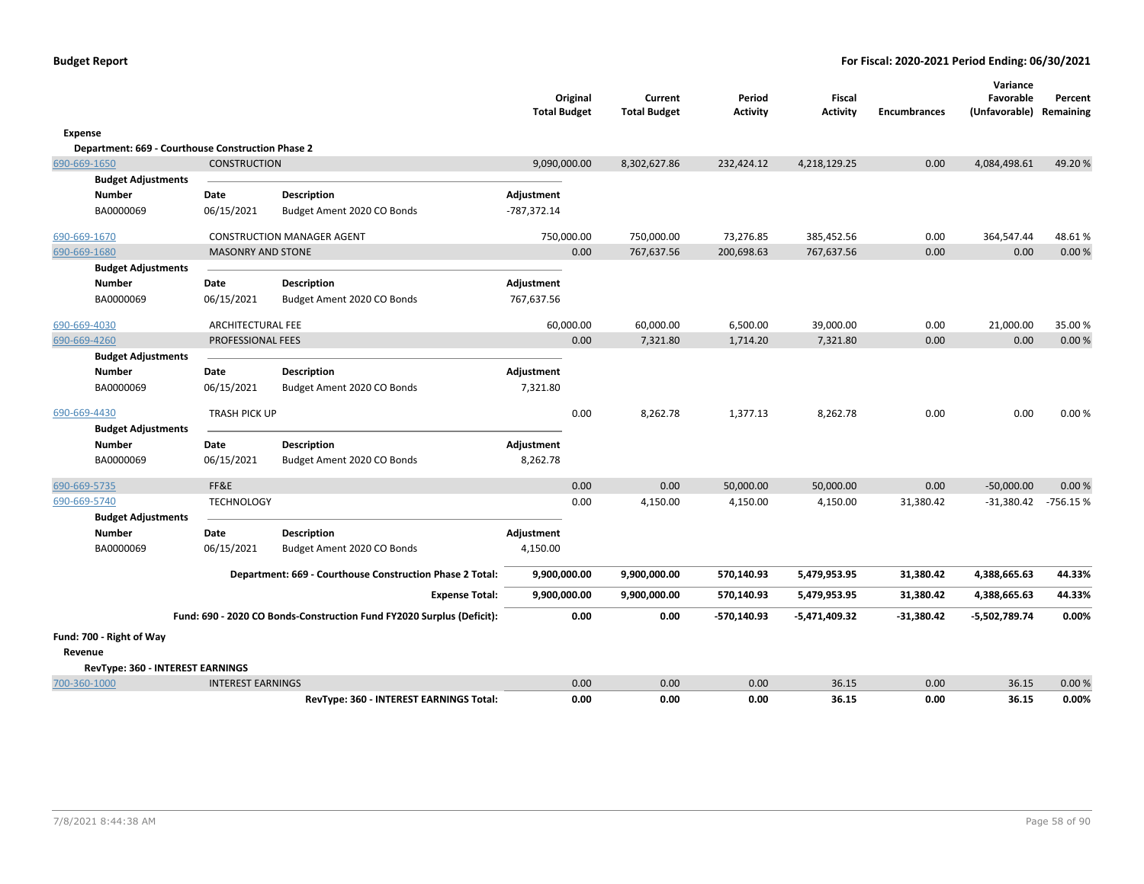|                                                   |                          |                                                                       | <b>Total Budget</b> | Original     | Current<br><b>Total Budget</b> | Period<br><b>Activity</b> | <b>Fiscal</b><br><b>Activity</b> | <b>Encumbrances</b> | Variance<br>Favorable<br>(Unfavorable) Remaining | Percent        |
|---------------------------------------------------|--------------------------|-----------------------------------------------------------------------|---------------------|--------------|--------------------------------|---------------------------|----------------------------------|---------------------|--------------------------------------------------|----------------|
| Expense                                           |                          |                                                                       |                     |              |                                |                           |                                  |                     |                                                  |                |
| Department: 669 - Courthouse Construction Phase 2 |                          |                                                                       |                     |              |                                |                           |                                  |                     |                                                  |                |
| 690-669-1650                                      | <b>CONSTRUCTION</b>      |                                                                       | 9,090,000.00        |              | 8,302,627.86                   | 232,424.12                | 4,218,129.25                     | 0.00                | 4,084,498.61                                     | 49.20%         |
| <b>Budget Adjustments</b>                         |                          |                                                                       |                     |              |                                |                           |                                  |                     |                                                  |                |
| Number                                            | Date                     | <b>Description</b>                                                    | Adjustment          |              |                                |                           |                                  |                     |                                                  |                |
| BA0000069                                         | 06/15/2021               | Budget Ament 2020 CO Bonds                                            | -787,372.14         |              |                                |                           |                                  |                     |                                                  |                |
| 690-669-1670                                      |                          | <b>CONSTRUCTION MANAGER AGENT</b>                                     | 750,000.00          |              | 750,000.00                     | 73,276.85                 | 385,452.56                       | 0.00                | 364,547.44                                       | 48.61%         |
| 690-669-1680                                      | <b>MASONRY AND STONE</b> |                                                                       |                     | 0.00         | 767,637.56                     | 200,698.63                | 767,637.56                       | 0.00                | 0.00                                             | 0.00%          |
| <b>Budget Adjustments</b>                         |                          |                                                                       |                     |              |                                |                           |                                  |                     |                                                  |                |
| <b>Number</b>                                     | Date                     | <b>Description</b>                                                    | Adjustment          |              |                                |                           |                                  |                     |                                                  |                |
| BA0000069                                         | 06/15/2021               | Budget Ament 2020 CO Bonds                                            | 767,637.56          |              |                                |                           |                                  |                     |                                                  |                |
| 690-669-4030                                      | <b>ARCHITECTURAL FEE</b> |                                                                       | 60,000.00           |              | 60,000.00                      | 6,500.00                  | 39,000.00                        | 0.00                | 21,000.00                                        | 35.00 %        |
| 690-669-4260                                      | PROFESSIONAL FEES        |                                                                       |                     | 0.00         | 7,321.80                       | 1,714.20                  | 7,321.80                         | 0.00                | 0.00                                             | 0.00%          |
| <b>Budget Adjustments</b>                         |                          |                                                                       |                     |              |                                |                           |                                  |                     |                                                  |                |
| <b>Number</b>                                     | Date                     | <b>Description</b>                                                    | Adjustment          |              |                                |                           |                                  |                     |                                                  |                |
| BA0000069                                         | 06/15/2021               | Budget Ament 2020 CO Bonds                                            | 7,321.80            |              |                                |                           |                                  |                     |                                                  |                |
| 690-669-4430                                      | <b>TRASH PICK UP</b>     |                                                                       |                     | 0.00         | 8,262.78                       | 1,377.13                  | 8,262.78                         | 0.00                | 0.00                                             | 0.00%          |
| <b>Budget Adjustments</b>                         |                          |                                                                       |                     |              |                                |                           |                                  |                     |                                                  |                |
| <b>Number</b>                                     | Date                     | <b>Description</b>                                                    | Adjustment          |              |                                |                           |                                  |                     |                                                  |                |
| BA0000069                                         | 06/15/2021               | Budget Ament 2020 CO Bonds                                            | 8,262.78            |              |                                |                           |                                  |                     |                                                  |                |
| 690-669-5735                                      | FF&E                     |                                                                       |                     | 0.00         | 0.00                           | 50,000.00                 | 50,000.00                        | 0.00                | $-50,000.00$                                     | 0.00%          |
| 690-669-5740                                      | <b>TECHNOLOGY</b>        |                                                                       |                     | 0.00         | 4,150.00                       | 4,150.00                  | 4,150.00                         | 31,380.42           | $-31,380.42$                                     | $-756.15%$     |
| <b>Budget Adjustments</b>                         |                          |                                                                       |                     |              |                                |                           |                                  |                     |                                                  |                |
| Number                                            | Date                     | <b>Description</b>                                                    | Adjustment          |              |                                |                           |                                  |                     |                                                  |                |
| BA0000069                                         | 06/15/2021               | Budget Ament 2020 CO Bonds                                            | 4,150.00            |              |                                |                           |                                  |                     |                                                  |                |
|                                                   |                          | Department: 669 - Courthouse Construction Phase 2 Total:              | 9,900,000.00        |              | 9,900,000.00                   | 570,140.93                | 5,479,953.95                     | 31,380.42           | 4,388,665.63                                     | 44.33%         |
|                                                   |                          | <b>Expense Total:</b>                                                 | 9,900,000.00        |              | 9,900,000.00                   | 570,140.93                | 5,479,953.95                     | 31,380.42           | 4,388,665.63                                     | 44.33%         |
|                                                   |                          | Fund: 690 - 2020 CO Bonds-Construction Fund FY2020 Surplus (Deficit): |                     | 0.00         | 0.00                           | -570,140.93               | -5,471,409.32                    | $-31,380.42$        | -5,502,789.74                                    | 0.00%          |
| Fund: 700 - Right of Way                          |                          |                                                                       |                     |              |                                |                           |                                  |                     |                                                  |                |
| Revenue                                           |                          |                                                                       |                     |              |                                |                           |                                  |                     |                                                  |                |
| RevType: 360 - INTEREST EARNINGS                  |                          |                                                                       |                     |              |                                |                           |                                  |                     |                                                  |                |
| 700-360-1000                                      | <b>INTEREST EARNINGS</b> | RevType: 360 - INTEREST EARNINGS Total:                               |                     | 0.00<br>0.00 | 0.00<br>0.00                   | 0.00<br>0.00              | 36.15<br>36.15                   | 0.00<br>0.00        | 36.15<br>36.15                                   | 0.00%<br>0.00% |
|                                                   |                          |                                                                       |                     |              |                                |                           |                                  |                     |                                                  |                |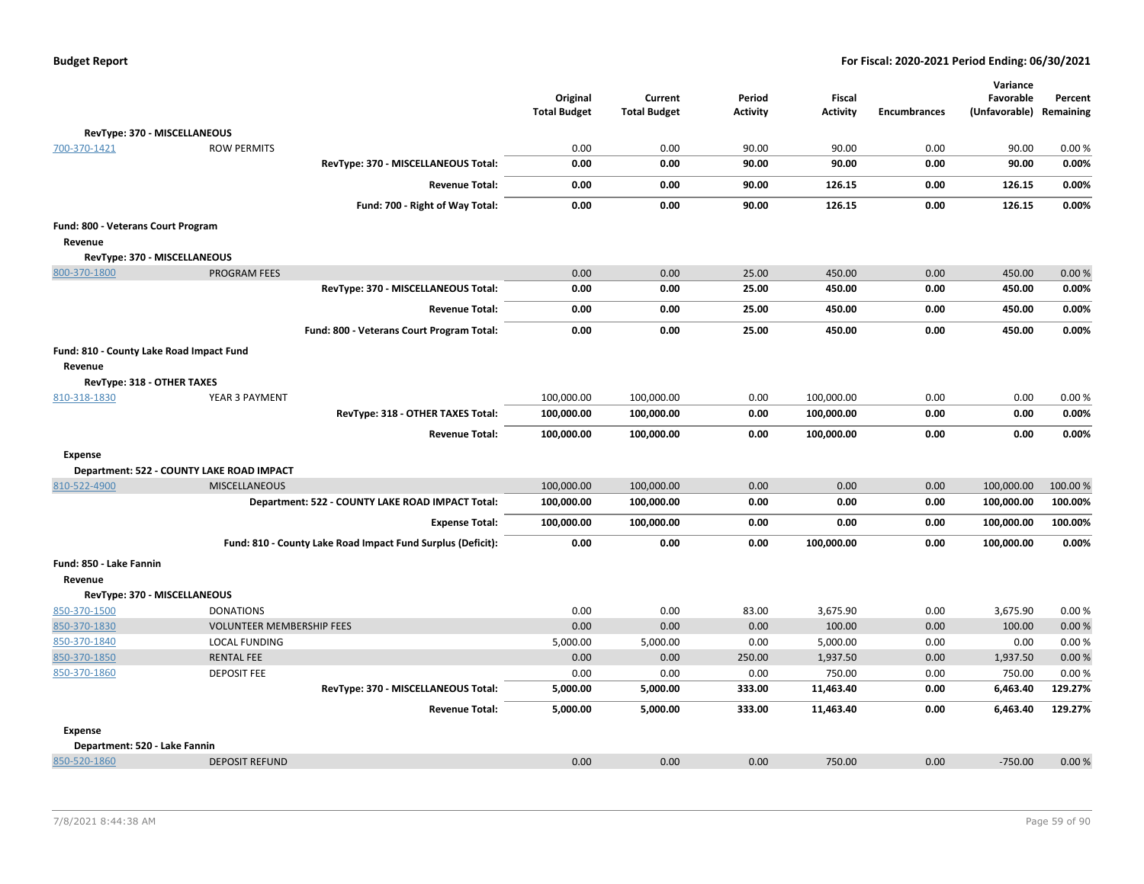| <b>Budget Report</b> |  |
|----------------------|--|
|----------------------|--|

|                                          |                                           |                                                             | Original<br><b>Total Budget</b> | Current<br><b>Total Budget</b> | Period<br><b>Activity</b> | <b>Fiscal</b><br><b>Activity</b> | <b>Encumbrances</b> | Variance<br>Favorable<br>(Unfavorable) | Percent<br>Remaining |
|------------------------------------------|-------------------------------------------|-------------------------------------------------------------|---------------------------------|--------------------------------|---------------------------|----------------------------------|---------------------|----------------------------------------|----------------------|
|                                          | RevType: 370 - MISCELLANEOUS              |                                                             |                                 |                                |                           |                                  |                     |                                        |                      |
| 700-370-1421                             | <b>ROW PERMITS</b>                        |                                                             | 0.00                            | 0.00                           | 90.00                     | 90.00                            | 0.00                | 90.00                                  | 0.00%                |
|                                          |                                           | RevType: 370 - MISCELLANEOUS Total:                         | 0.00                            | 0.00                           | 90.00                     | 90.00                            | 0.00                | 90.00                                  | 0.00%                |
|                                          |                                           | <b>Revenue Total:</b>                                       | 0.00                            | 0.00                           | 90.00                     | 126.15                           | 0.00                | 126.15                                 | 0.00%                |
|                                          |                                           | Fund: 700 - Right of Way Total:                             | 0.00                            | 0.00                           | 90.00                     | 126.15                           | 0.00                | 126.15                                 | 0.00%                |
| Fund: 800 - Veterans Court Program       |                                           |                                                             |                                 |                                |                           |                                  |                     |                                        |                      |
| Revenue                                  |                                           |                                                             |                                 |                                |                           |                                  |                     |                                        |                      |
|                                          | RevType: 370 - MISCELLANEOUS              |                                                             |                                 |                                |                           |                                  |                     |                                        |                      |
| 800-370-1800                             | <b>PROGRAM FEES</b>                       |                                                             | 0.00                            | 0.00                           | 25.00                     | 450.00                           | 0.00                | 450.00                                 | 0.00%                |
|                                          |                                           | RevType: 370 - MISCELLANEOUS Total:                         | 0.00                            | 0.00                           | 25.00                     | 450.00                           | 0.00                | 450.00                                 | 0.00%                |
|                                          |                                           | <b>Revenue Total:</b>                                       | 0.00                            | 0.00                           | 25.00                     | 450.00                           | 0.00                | 450.00                                 | 0.00%                |
|                                          |                                           | Fund: 800 - Veterans Court Program Total:                   | 0.00                            | 0.00                           | 25.00                     | 450.00                           | 0.00                | 450.00                                 | 0.00%                |
| Fund: 810 - County Lake Road Impact Fund |                                           |                                                             |                                 |                                |                           |                                  |                     |                                        |                      |
| Revenue                                  |                                           |                                                             |                                 |                                |                           |                                  |                     |                                        |                      |
| RevType: 318 - OTHER TAXES               |                                           |                                                             |                                 |                                |                           |                                  |                     |                                        |                      |
| 810-318-1830                             | YEAR 3 PAYMENT                            |                                                             | 100,000.00                      | 100,000.00                     | 0.00                      | 100,000.00                       | 0.00                | 0.00                                   | 0.00%                |
|                                          |                                           | RevType: 318 - OTHER TAXES Total:                           | 100,000.00                      | 100,000.00                     | 0.00                      | 100,000.00                       | 0.00                | 0.00                                   | 0.00%                |
|                                          |                                           | <b>Revenue Total:</b>                                       | 100,000.00                      | 100,000.00                     | 0.00                      | 100,000.00                       | 0.00                | 0.00                                   | 0.00%                |
| <b>Expense</b>                           |                                           |                                                             |                                 |                                |                           |                                  |                     |                                        |                      |
|                                          | Department: 522 - COUNTY LAKE ROAD IMPACT |                                                             |                                 |                                |                           |                                  |                     |                                        |                      |
| 810-522-4900                             | <b>MISCELLANEOUS</b>                      |                                                             | 100,000.00                      | 100,000.00                     | 0.00                      | 0.00                             | 0.00                | 100,000.00                             | 100.00%              |
|                                          |                                           | Department: 522 - COUNTY LAKE ROAD IMPACT Total:            | 100,000.00                      | 100,000.00                     | 0.00                      | 0.00                             | 0.00                | 100,000.00                             | 100.00%              |
|                                          |                                           | <b>Expense Total:</b>                                       | 100,000.00                      | 100,000.00                     | 0.00                      | 0.00                             | 0.00                | 100,000.00                             | 100.00%              |
|                                          |                                           | Fund: 810 - County Lake Road Impact Fund Surplus (Deficit): | 0.00                            | 0.00                           | 0.00                      | 100,000.00                       | 0.00                | 100,000.00                             | 0.00%                |
| Fund: 850 - Lake Fannin                  |                                           |                                                             |                                 |                                |                           |                                  |                     |                                        |                      |
| Revenue                                  |                                           |                                                             |                                 |                                |                           |                                  |                     |                                        |                      |
|                                          | RevType: 370 - MISCELLANEOUS              |                                                             |                                 |                                |                           |                                  |                     |                                        |                      |
| 850-370-1500                             | <b>DONATIONS</b>                          |                                                             | 0.00                            | 0.00                           | 83.00                     | 3,675.90                         | 0.00                | 3,675.90                               | 0.00%                |
| 850-370-1830                             | <b>VOLUNTEER MEMBERSHIP FEES</b>          |                                                             | 0.00                            | 0.00                           | 0.00                      | 100.00                           | 0.00                | 100.00                                 | 0.00%                |
| 850-370-1840                             | <b>LOCAL FUNDING</b>                      |                                                             | 5,000.00                        | 5,000.00                       | 0.00                      | 5,000.00                         | 0.00                | 0.00                                   | 0.00%                |
| 850-370-1850                             | <b>RENTAL FEE</b>                         |                                                             | 0.00                            | 0.00                           | 250.00                    | 1,937.50                         | 0.00                | 1,937.50                               | 0.00%                |
| 850-370-1860                             | <b>DEPOSIT FEE</b>                        |                                                             | 0.00                            | 0.00                           | 0.00                      | 750.00                           | 0.00                | 750.00                                 | 0.00%                |
|                                          |                                           | RevType: 370 - MISCELLANEOUS Total:                         | 5,000.00                        | 5,000.00                       | 333.00                    | 11,463.40                        | 0.00                | 6,463.40                               | 129.27%              |
|                                          |                                           | <b>Revenue Total:</b>                                       | 5,000.00                        | 5,000.00                       | 333.00                    | 11,463.40                        | 0.00                | 6,463.40                               | 129.27%              |
| <b>Expense</b>                           |                                           |                                                             |                                 |                                |                           |                                  |                     |                                        |                      |
| Department: 520 - Lake Fannin            |                                           |                                                             |                                 |                                |                           |                                  |                     |                                        |                      |
| 850-520-1860                             | <b>DEPOSIT REFUND</b>                     |                                                             | 0.00                            | 0.00                           | 0.00                      | 750.00                           | 0.00                | $-750.00$                              | 0.00%                |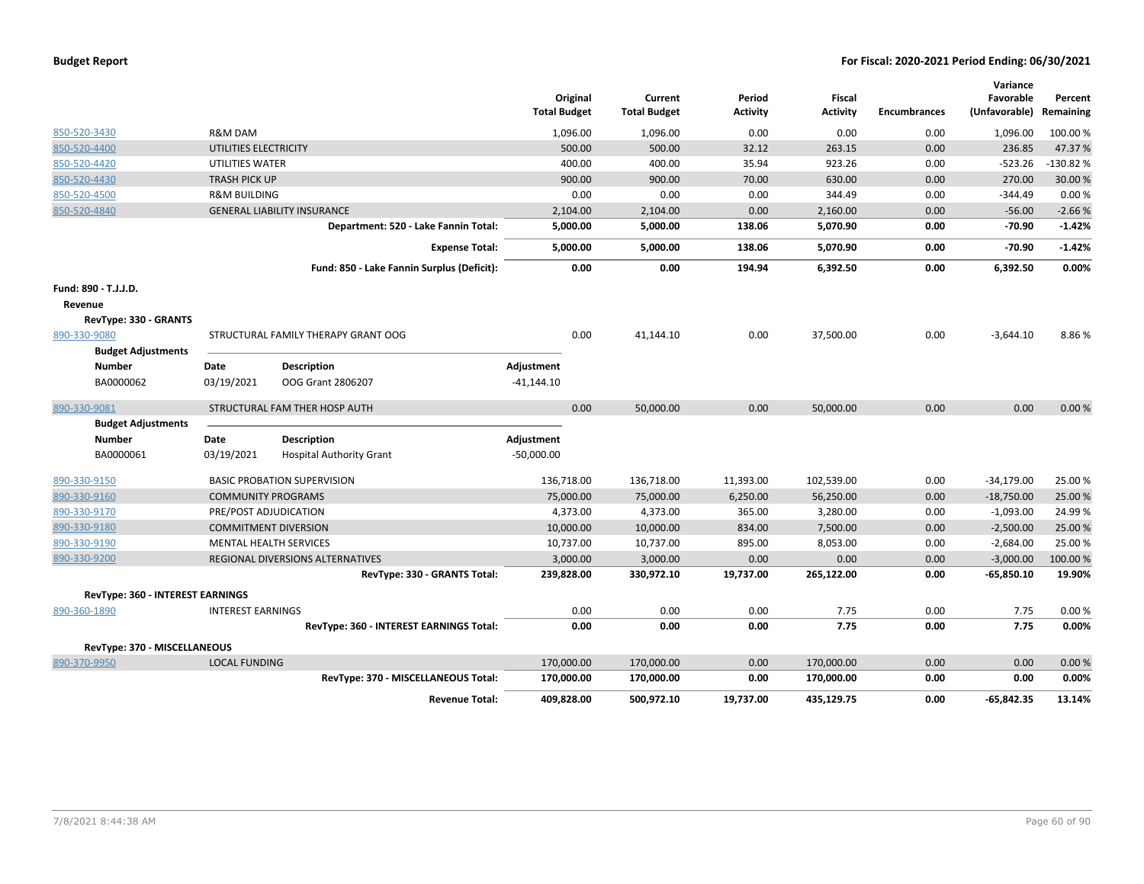| <b>Budget Report</b> |  |
|----------------------|--|
|----------------------|--|

|                                  |                               |                                            | Original            | Current             | Period          | Fiscal          |                     | Variance<br>Favorable | Percent    |
|----------------------------------|-------------------------------|--------------------------------------------|---------------------|---------------------|-----------------|-----------------|---------------------|-----------------------|------------|
|                                  |                               |                                            | <b>Total Budget</b> | <b>Total Budget</b> | <b>Activity</b> | <b>Activity</b> | <b>Encumbrances</b> | (Unfavorable)         | Remaining  |
| 850-520-3430                     | R&M DAM                       |                                            | 1,096.00            | 1,096.00            | 0.00            | 0.00            | 0.00                | 1,096.00              | 100.00%    |
| 850-520-4400                     | UTILITIES ELECTRICITY         |                                            | 500.00              | 500.00              | 32.12           | 263.15          | 0.00                | 236.85                | 47.37%     |
| 850-520-4420                     | UTILITIES WATER               |                                            | 400.00              | 400.00              | 35.94           | 923.26          | 0.00                | $-523.26$             | $-130.82%$ |
| 850-520-4430                     | <b>TRASH PICK UP</b>          |                                            | 900.00              | 900.00              | 70.00           | 630.00          | 0.00                | 270.00                | 30.00 %    |
| 850-520-4500                     | <b>R&amp;M BUILDING</b>       |                                            | 0.00                | 0.00                | 0.00            | 344.49          | 0.00                | $-344.49$             | 0.00%      |
| 850-520-4840                     |                               | <b>GENERAL LIABILITY INSURANCE</b>         | 2,104.00            | 2,104.00            | 0.00            | 2,160.00        | 0.00                | $-56.00$              | $-2.66%$   |
|                                  |                               | Department: 520 - Lake Fannin Total:       | 5,000.00            | 5,000.00            | 138.06          | 5,070.90        | 0.00                | $-70.90$              | $-1.42%$   |
|                                  |                               | <b>Expense Total:</b>                      | 5,000.00            | 5,000.00            | 138.06          | 5,070.90        | 0.00                | $-70.90$              | $-1.42%$   |
|                                  |                               | Fund: 850 - Lake Fannin Surplus (Deficit): | 0.00                | 0.00                | 194.94          | 6,392.50        | 0.00                | 6,392.50              | 0.00%      |
| Fund: 890 - T.J.J.D.             |                               |                                            |                     |                     |                 |                 |                     |                       |            |
| Revenue                          |                               |                                            |                     |                     |                 |                 |                     |                       |            |
| RevType: 330 - GRANTS            |                               |                                            |                     |                     |                 |                 |                     |                       |            |
| 890-330-9080                     |                               | STRUCTURAL FAMILY THERAPY GRANT OOG        | 0.00                | 41,144.10           | 0.00            | 37,500.00       | 0.00                | $-3,644.10$           | 8.86%      |
| <b>Budget Adjustments</b>        |                               |                                            |                     |                     |                 |                 |                     |                       |            |
| Number                           | Date                          | <b>Description</b>                         | Adjustment          |                     |                 |                 |                     |                       |            |
| BA0000062                        | 03/19/2021                    | OOG Grant 2806207                          | $-41,144.10$        |                     |                 |                 |                     |                       |            |
| 890-330-9081                     |                               | STRUCTURAL FAM THER HOSP AUTH              | 0.00                | 50,000.00           | 0.00            | 50,000.00       | 0.00                | 0.00                  | 0.00%      |
| <b>Budget Adjustments</b>        |                               |                                            |                     |                     |                 |                 |                     |                       |            |
| Number                           | Date                          | <b>Description</b>                         | Adjustment          |                     |                 |                 |                     |                       |            |
| BA0000061                        | 03/19/2021                    | <b>Hospital Authority Grant</b>            | $-50,000.00$        |                     |                 |                 |                     |                       |            |
| 890-330-9150                     |                               | <b>BASIC PROBATION SUPERVISION</b>         | 136,718.00          | 136,718.00          | 11,393.00       | 102,539.00      | 0.00                | $-34,179.00$          | 25.00 %    |
| 890-330-9160                     | <b>COMMUNITY PROGRAMS</b>     |                                            | 75,000.00           | 75,000.00           | 6,250.00        | 56,250.00       | 0.00                | $-18,750.00$          | 25.00 %    |
| 890-330-9170                     | PRE/POST ADJUDICATION         |                                            | 4,373.00            | 4,373.00            | 365.00          | 3,280.00        | 0.00                | $-1,093.00$           | 24.99%     |
| 890-330-9180                     | <b>COMMITMENT DIVERSION</b>   |                                            | 10,000.00           | 10,000.00           | 834.00          | 7,500.00        | 0.00                | $-2,500.00$           | 25.00 %    |
| 890-330-9190                     | <b>MENTAL HEALTH SERVICES</b> |                                            | 10,737.00           | 10,737.00           | 895.00          | 8,053.00        | 0.00                | $-2,684.00$           | 25.00%     |
| 890-330-9200                     |                               | REGIONAL DIVERSIONS ALTERNATIVES           | 3,000.00            | 3,000.00            | 0.00            | 0.00            | 0.00                | $-3,000.00$           | 100.00 %   |
|                                  |                               | RevType: 330 - GRANTS Total:               | 239,828.00          | 330,972.10          | 19,737.00       | 265,122.00      | 0.00                | $-65,850.10$          | 19.90%     |
| RevType: 360 - INTEREST EARNINGS |                               |                                            |                     |                     |                 |                 |                     |                       |            |
| 890-360-1890                     | <b>INTEREST EARNINGS</b>      |                                            | 0.00                | 0.00                | 0.00            | 7.75            | 0.00                | 7.75                  | 0.00%      |
|                                  |                               | RevType: 360 - INTEREST EARNINGS Total:    | 0.00                | 0.00                | 0.00            | 7.75            | 0.00                | 7.75                  | 0.00%      |
| RevType: 370 - MISCELLANEOUS     |                               |                                            |                     |                     |                 |                 |                     |                       |            |
| 890-370-9950                     | <b>LOCAL FUNDING</b>          |                                            | 170,000.00          | 170,000.00          | 0.00            | 170,000.00      | 0.00                | 0.00                  | 0.00%      |
|                                  |                               | RevType: 370 - MISCELLANEOUS Total:        | 170,000.00          | 170,000.00          | 0.00            | 170,000.00      | 0.00                | 0.00                  | 0.00%      |
|                                  |                               | <b>Revenue Total:</b>                      | 409,828.00          | 500,972.10          | 19,737.00       | 435,129.75      | 0.00                | $-65,842.35$          | 13.14%     |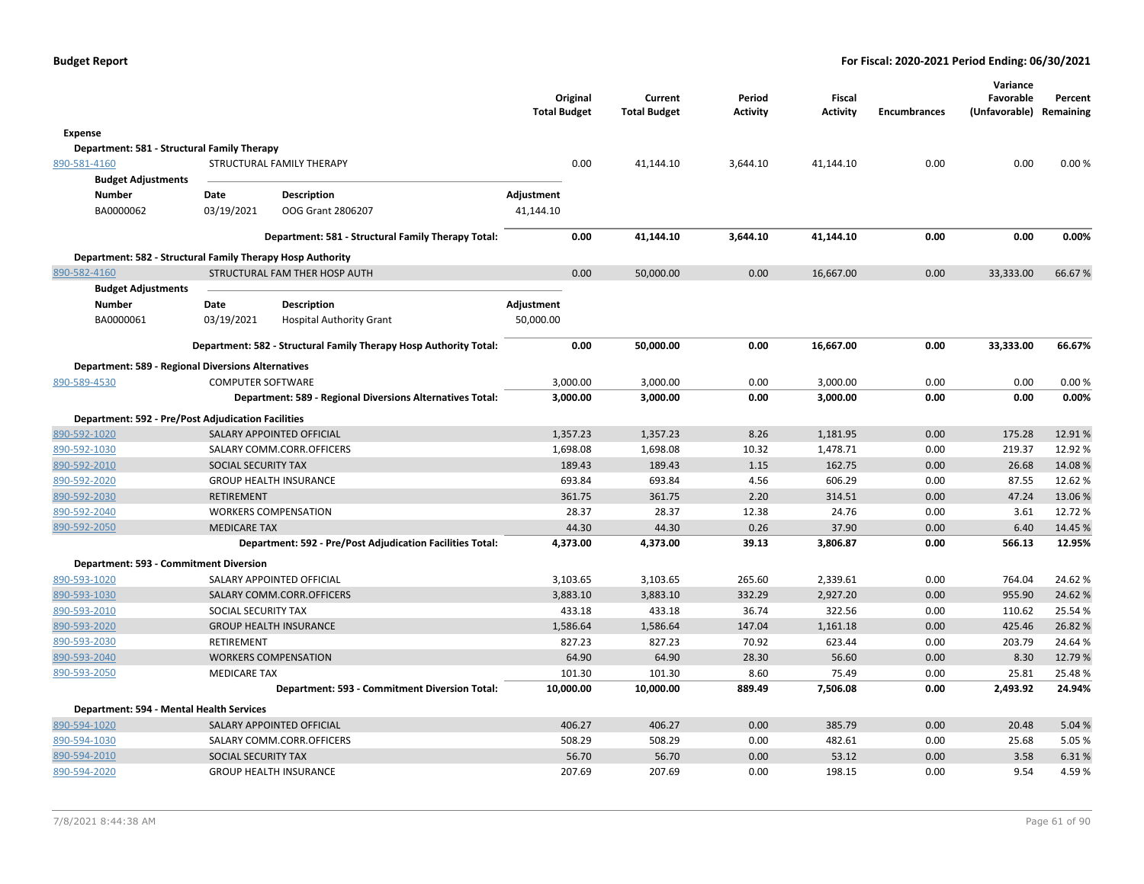|                                                            |                          |                                                                   | <b>Total Budget</b> | Original | Current<br><b>Total Budget</b> | Period<br>Activity | <b>Fiscal</b><br><b>Activity</b> | <b>Encumbrances</b> | Variance<br>Favorable<br>(Unfavorable) Remaining | Percent |
|------------------------------------------------------------|--------------------------|-------------------------------------------------------------------|---------------------|----------|--------------------------------|--------------------|----------------------------------|---------------------|--------------------------------------------------|---------|
| Expense                                                    |                          |                                                                   |                     |          |                                |                    |                                  |                     |                                                  |         |
| Department: 581 - Structural Family Therapy                |                          |                                                                   |                     |          |                                |                    |                                  |                     |                                                  |         |
| 890-581-4160                                               |                          | STRUCTURAL FAMILY THERAPY                                         |                     | 0.00     | 41,144.10                      | 3,644.10           | 41,144.10                        | 0.00                | 0.00                                             | 0.00%   |
| <b>Budget Adjustments</b>                                  |                          |                                                                   |                     |          |                                |                    |                                  |                     |                                                  |         |
| Number                                                     | Date                     | Description                                                       | Adjustment          |          |                                |                    |                                  |                     |                                                  |         |
| BA0000062                                                  | 03/19/2021               | OOG Grant 2806207                                                 | 41,144.10           |          |                                |                    |                                  |                     |                                                  |         |
|                                                            |                          | Department: 581 - Structural Family Therapy Total:                |                     | 0.00     | 41,144.10                      | 3,644.10           | 41,144.10                        | 0.00                | 0.00                                             | 0.00%   |
| Department: 582 - Structural Family Therapy Hosp Authority |                          |                                                                   |                     |          |                                |                    |                                  |                     |                                                  |         |
| 890-582-4160                                               |                          | STRUCTURAL FAM THER HOSP AUTH                                     |                     | 0.00     | 50,000.00                      | 0.00               | 16,667.00                        | 0.00                | 33,333.00                                        | 66.67%  |
| <b>Budget Adjustments</b>                                  |                          |                                                                   |                     |          |                                |                    |                                  |                     |                                                  |         |
| Number                                                     | Date                     | Description                                                       | Adjustment          |          |                                |                    |                                  |                     |                                                  |         |
| BA0000061                                                  | 03/19/2021               | <b>Hospital Authority Grant</b>                                   | 50,000.00           |          |                                |                    |                                  |                     |                                                  |         |
|                                                            |                          | Department: 582 - Structural Family Therapy Hosp Authority Total: |                     | 0.00     | 50,000.00                      | 0.00               | 16,667.00                        | 0.00                | 33,333.00                                        | 66.67%  |
| <b>Department: 589 - Regional Diversions Alternatives</b>  |                          |                                                                   |                     |          |                                |                    |                                  |                     |                                                  |         |
| 890-589-4530                                               | <b>COMPUTER SOFTWARE</b> |                                                                   | 3,000.00            |          | 3,000.00                       | 0.00               | 3,000.00                         | 0.00                | 0.00                                             | 0.00%   |
|                                                            |                          | Department: 589 - Regional Diversions Alternatives Total:         |                     | 3,000.00 | 3,000.00                       | 0.00               | 3,000.00                         | 0.00                | 0.00                                             | 0.00%   |
| <b>Department: 592 - Pre/Post Adjudication Facilities</b>  |                          |                                                                   |                     |          |                                |                    |                                  |                     |                                                  |         |
| 890-592-1020                                               |                          | SALARY APPOINTED OFFICIAL                                         |                     | 1,357.23 | 1,357.23                       | 8.26               | 1,181.95                         | 0.00                | 175.28                                           | 12.91%  |
| 890-592-1030                                               |                          | SALARY COMM.CORR.OFFICERS                                         |                     | 1,698.08 | 1,698.08                       | 10.32              | 1,478.71                         | 0.00                | 219.37                                           | 12.92%  |
| 890-592-2010                                               | SOCIAL SECURITY TAX      |                                                                   |                     | 189.43   | 189.43                         | 1.15               | 162.75                           | 0.00                | 26.68                                            | 14.08%  |
| 890-592-2020                                               |                          | <b>GROUP HEALTH INSURANCE</b>                                     |                     | 693.84   | 693.84                         | 4.56               | 606.29                           | 0.00                | 87.55                                            | 12.62%  |
| 890-592-2030                                               | RETIREMENT               |                                                                   |                     | 361.75   | 361.75                         | 2.20               | 314.51                           | 0.00                | 47.24                                            | 13.06%  |
| 890-592-2040                                               |                          | <b>WORKERS COMPENSATION</b>                                       |                     | 28.37    | 28.37                          | 12.38              | 24.76                            | 0.00                | 3.61                                             | 12.72 % |
| 890-592-2050                                               | <b>MEDICARE TAX</b>      |                                                                   |                     | 44.30    | 44.30                          | 0.26               | 37.90                            | 0.00                | 6.40                                             | 14.45 % |
|                                                            |                          | Department: 592 - Pre/Post Adjudication Facilities Total:         |                     | 4,373.00 | 4,373.00                       | 39.13              | 3,806.87                         | 0.00                | 566.13                                           | 12.95%  |
| Department: 593 - Commitment Diversion                     |                          |                                                                   |                     |          |                                |                    |                                  |                     |                                                  |         |
| 890-593-1020                                               |                          | SALARY APPOINTED OFFICIAL                                         |                     | 3,103.65 | 3,103.65                       | 265.60             | 2,339.61                         | 0.00                | 764.04                                           | 24.62%  |
| 890-593-1030                                               |                          | SALARY COMM.CORR.OFFICERS                                         |                     | 3,883.10 | 3,883.10                       | 332.29             | 2,927.20                         | 0.00                | 955.90                                           | 24.62%  |
| 890-593-2010                                               | SOCIAL SECURITY TAX      |                                                                   |                     | 433.18   | 433.18                         | 36.74              | 322.56                           | 0.00                | 110.62                                           | 25.54 % |
| 890-593-2020                                               |                          | <b>GROUP HEALTH INSURANCE</b>                                     |                     | 1,586.64 | 1,586.64                       | 147.04             | 1,161.18                         | 0.00                | 425.46                                           | 26.82%  |
| 890-593-2030                                               | RETIREMENT               |                                                                   |                     | 827.23   | 827.23                         | 70.92              | 623.44                           | 0.00                | 203.79                                           | 24.64%  |
| 890-593-2040                                               |                          | <b>WORKERS COMPENSATION</b>                                       |                     | 64.90    | 64.90                          | 28.30              | 56.60                            | 0.00                | 8.30                                             | 12.79 % |
| 890-593-2050                                               | <b>MEDICARE TAX</b>      |                                                                   |                     | 101.30   | 101.30                         | 8.60               | 75.49                            | 0.00                | 25.81                                            | 25.48%  |
|                                                            |                          | Department: 593 - Commitment Diversion Total:                     | 10,000.00           |          | 10,000.00                      | 889.49             | 7,506.08                         | 0.00                | 2,493.92                                         | 24.94%  |
| Department: 594 - Mental Health Services                   |                          |                                                                   |                     |          |                                |                    |                                  |                     |                                                  |         |
| 890-594-1020                                               |                          | SALARY APPOINTED OFFICIAL                                         |                     | 406.27   | 406.27                         | 0.00               | 385.79                           | 0.00                | 20.48                                            | 5.04 %  |
| 890-594-1030                                               |                          | SALARY COMM.CORR.OFFICERS                                         |                     | 508.29   | 508.29                         | 0.00               | 482.61                           | 0.00                | 25.68                                            | 5.05 %  |
| 890-594-2010                                               | SOCIAL SECURITY TAX      |                                                                   |                     | 56.70    | 56.70                          | 0.00               | 53.12                            | 0.00                | 3.58                                             | 6.31%   |
| 890-594-2020                                               |                          | <b>GROUP HEALTH INSURANCE</b>                                     |                     | 207.69   | 207.69                         | 0.00               | 198.15                           | 0.00                | 9.54                                             | 4.59%   |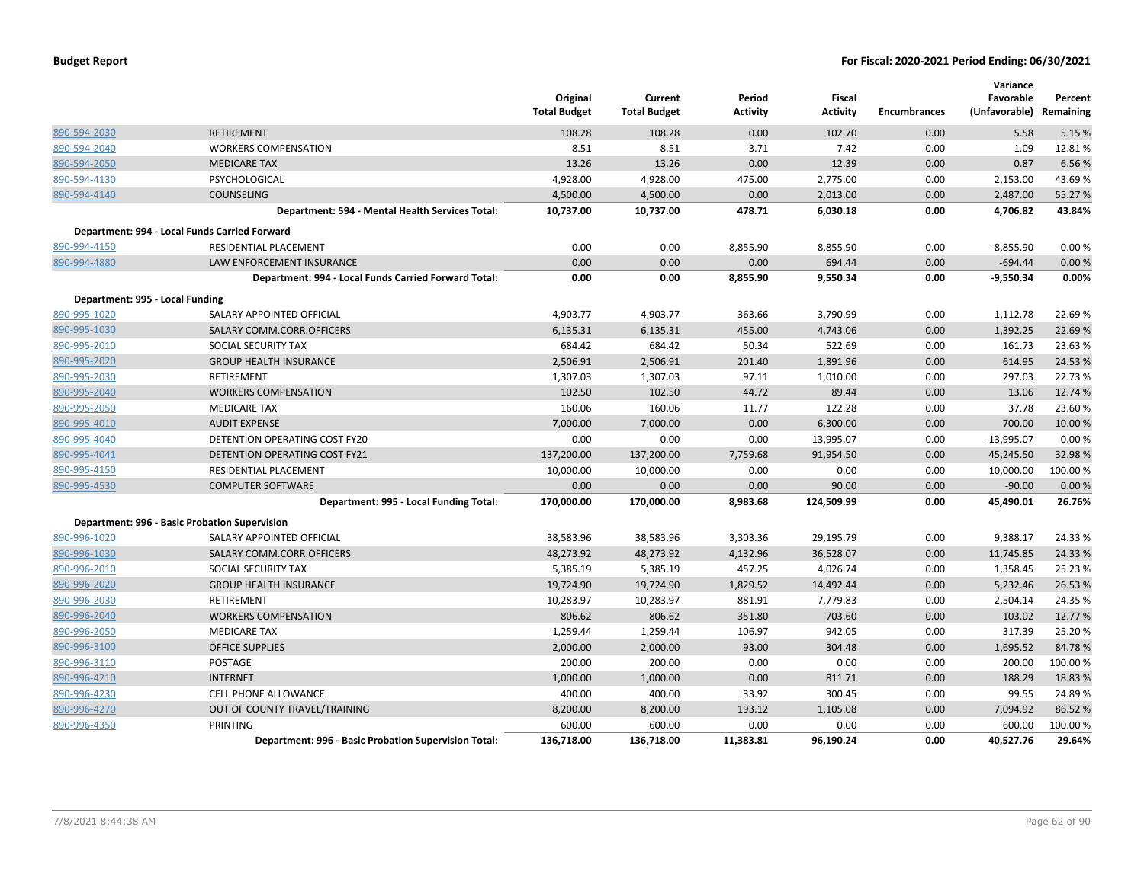|                                 |                                                      | Original<br><b>Total Budget</b> | Current<br><b>Total Budget</b> | Period<br><b>Activity</b> | Fiscal<br><b>Activity</b> | <b>Encumbrances</b> | Variance<br>Favorable<br>(Unfavorable) Remaining | Percent  |
|---------------------------------|------------------------------------------------------|---------------------------------|--------------------------------|---------------------------|---------------------------|---------------------|--------------------------------------------------|----------|
| 890-594-2030                    | <b>RETIREMENT</b>                                    | 108.28                          | 108.28                         | 0.00                      | 102.70                    | 0.00                | 5.58                                             | 5.15 %   |
| 890-594-2040                    | <b>WORKERS COMPENSATION</b>                          | 8.51                            | 8.51                           | 3.71                      | 7.42                      | 0.00                | 1.09                                             | 12.81%   |
| 890-594-2050                    | <b>MEDICARE TAX</b>                                  | 13.26                           | 13.26                          | 0.00                      | 12.39                     | 0.00                | 0.87                                             | 6.56 %   |
| 890-594-4130                    | PSYCHOLOGICAL                                        | 4,928.00                        | 4,928.00                       | 475.00                    | 2,775.00                  | 0.00                | 2,153.00                                         | 43.69%   |
| 890-594-4140                    | COUNSELING                                           | 4,500.00                        | 4,500.00                       | 0.00                      | 2,013.00                  | 0.00                | 2,487.00                                         | 55.27 %  |
|                                 | Department: 594 - Mental Health Services Total:      | 10,737.00                       | 10,737.00                      | 478.71                    | 6,030.18                  | 0.00                | 4,706.82                                         | 43.84%   |
|                                 | Department: 994 - Local Funds Carried Forward        |                                 |                                |                           |                           |                     |                                                  |          |
| 890-994-4150                    | RESIDENTIAL PLACEMENT                                | 0.00                            | 0.00                           | 8,855.90                  | 8,855.90                  | 0.00                | $-8,855.90$                                      | 0.00%    |
| 890-994-4880                    | LAW ENFORCEMENT INSURANCE                            | 0.00                            | 0.00                           | 0.00                      | 694.44                    | 0.00                | $-694.44$                                        | 0.00%    |
|                                 | Department: 994 - Local Funds Carried Forward Total: | 0.00                            | 0.00                           | 8,855.90                  | 9,550.34                  | 0.00                | $-9,550.34$                                      | 0.00%    |
| Department: 995 - Local Funding |                                                      |                                 |                                |                           |                           |                     |                                                  |          |
| 890-995-1020                    | SALARY APPOINTED OFFICIAL                            | 4,903.77                        | 4,903.77                       | 363.66                    | 3,790.99                  | 0.00                | 1,112.78                                         | 22.69%   |
| 890-995-1030                    | SALARY COMM.CORR.OFFICERS                            | 6,135.31                        | 6,135.31                       | 455.00                    | 4,743.06                  | 0.00                | 1,392.25                                         | 22.69%   |
| 890-995-2010                    | SOCIAL SECURITY TAX                                  | 684.42                          | 684.42                         | 50.34                     | 522.69                    | 0.00                | 161.73                                           | 23.63 %  |
| 890-995-2020                    | <b>GROUP HEALTH INSURANCE</b>                        | 2,506.91                        | 2,506.91                       | 201.40                    | 1,891.96                  | 0.00                | 614.95                                           | 24.53 %  |
| 890-995-2030                    | RETIREMENT                                           | 1,307.03                        | 1,307.03                       | 97.11                     | 1,010.00                  | 0.00                | 297.03                                           | 22.73 %  |
| 890-995-2040                    | <b>WORKERS COMPENSATION</b>                          | 102.50                          | 102.50                         | 44.72                     | 89.44                     | 0.00                | 13.06                                            | 12.74 %  |
| 890-995-2050                    | <b>MEDICARE TAX</b>                                  | 160.06                          | 160.06                         | 11.77                     | 122.28                    | 0.00                | 37.78                                            | 23.60%   |
| 890-995-4010                    | <b>AUDIT EXPENSE</b>                                 | 7.000.00                        | 7,000.00                       | 0.00                      | 6,300.00                  | 0.00                | 700.00                                           | 10.00 %  |
| 890-995-4040                    | DETENTION OPERATING COST FY20                        | 0.00                            | 0.00                           | 0.00                      | 13,995.07                 | 0.00                | $-13,995.07$                                     | 0.00%    |
| 890-995-4041                    | DETENTION OPERATING COST FY21                        | 137,200.00                      | 137,200.00                     | 7,759.68                  | 91,954.50                 | 0.00                | 45,245.50                                        | 32.98%   |
| 890-995-4150                    | RESIDENTIAL PLACEMENT                                | 10,000.00                       | 10,000.00                      | 0.00                      | 0.00                      | 0.00                | 10,000.00                                        | 100.00%  |
| 890-995-4530                    | <b>COMPUTER SOFTWARE</b>                             | 0.00                            | 0.00                           | 0.00                      | 90.00                     | 0.00                | $-90.00$                                         | 0.00%    |
|                                 | Department: 995 - Local Funding Total:               | 170,000.00                      | 170,000.00                     | 8,983.68                  | 124,509.99                | 0.00                | 45,490.01                                        | 26.76%   |
|                                 | Department: 996 - Basic Probation Supervision        |                                 |                                |                           |                           |                     |                                                  |          |
| 890-996-1020                    | SALARY APPOINTED OFFICIAL                            | 38,583.96                       | 38,583.96                      | 3,303.36                  | 29,195.79                 | 0.00                | 9,388.17                                         | 24.33 %  |
| 890-996-1030                    | SALARY COMM.CORR.OFFICERS                            | 48,273.92                       | 48,273.92                      | 4,132.96                  | 36,528.07                 | 0.00                | 11,745.85                                        | 24.33 %  |
| 890-996-2010                    | SOCIAL SECURITY TAX                                  | 5,385.19                        | 5,385.19                       | 457.25                    | 4,026.74                  | 0.00                | 1,358.45                                         | 25.23 %  |
| 890-996-2020                    | <b>GROUP HEALTH INSURANCE</b>                        | 19,724.90                       | 19,724.90                      | 1,829.52                  | 14,492.44                 | 0.00                | 5,232.46                                         | 26.53 %  |
| 890-996-2030                    | RETIREMENT                                           | 10,283.97                       | 10,283.97                      | 881.91                    | 7,779.83                  | 0.00                | 2,504.14                                         | 24.35 %  |
| 890-996-2040                    | <b>WORKERS COMPENSATION</b>                          | 806.62                          | 806.62                         | 351.80                    | 703.60                    | 0.00                | 103.02                                           | 12.77 %  |
| 890-996-2050                    | <b>MEDICARE TAX</b>                                  | 1,259.44                        | 1,259.44                       | 106.97                    | 942.05                    | 0.00                | 317.39                                           | 25.20%   |
| 890-996-3100                    | <b>OFFICE SUPPLIES</b>                               | 2,000.00                        | 2,000.00                       | 93.00                     | 304.48                    | 0.00                | 1,695.52                                         | 84.78%   |
| 890-996-3110                    | POSTAGE                                              | 200.00                          | 200.00                         | 0.00                      | 0.00                      | 0.00                | 200.00                                           | 100.00 % |
| 890-996-4210                    | <b>INTERNET</b>                                      | 1,000.00                        | 1,000.00                       | 0.00                      | 811.71                    | 0.00                | 188.29                                           | 18.83 %  |
| 890-996-4230                    | CELL PHONE ALLOWANCE                                 | 400.00                          | 400.00                         | 33.92                     | 300.45                    | 0.00                | 99.55                                            | 24.89%   |
| 890-996-4270                    | OUT OF COUNTY TRAVEL/TRAINING                        | 8,200.00                        | 8,200.00                       | 193.12                    | 1,105.08                  | 0.00                | 7,094.92                                         | 86.52 %  |
| 890-996-4350                    | <b>PRINTING</b>                                      | 600.00                          | 600.00                         | 0.00                      | 0.00                      | 0.00                | 600.00                                           | 100.00 % |
|                                 | Department: 996 - Basic Probation Supervision Total: | 136,718.00                      | 136,718.00                     | 11,383.81                 | 96.190.24                 | 0.00                | 40,527.76                                        | 29.64%   |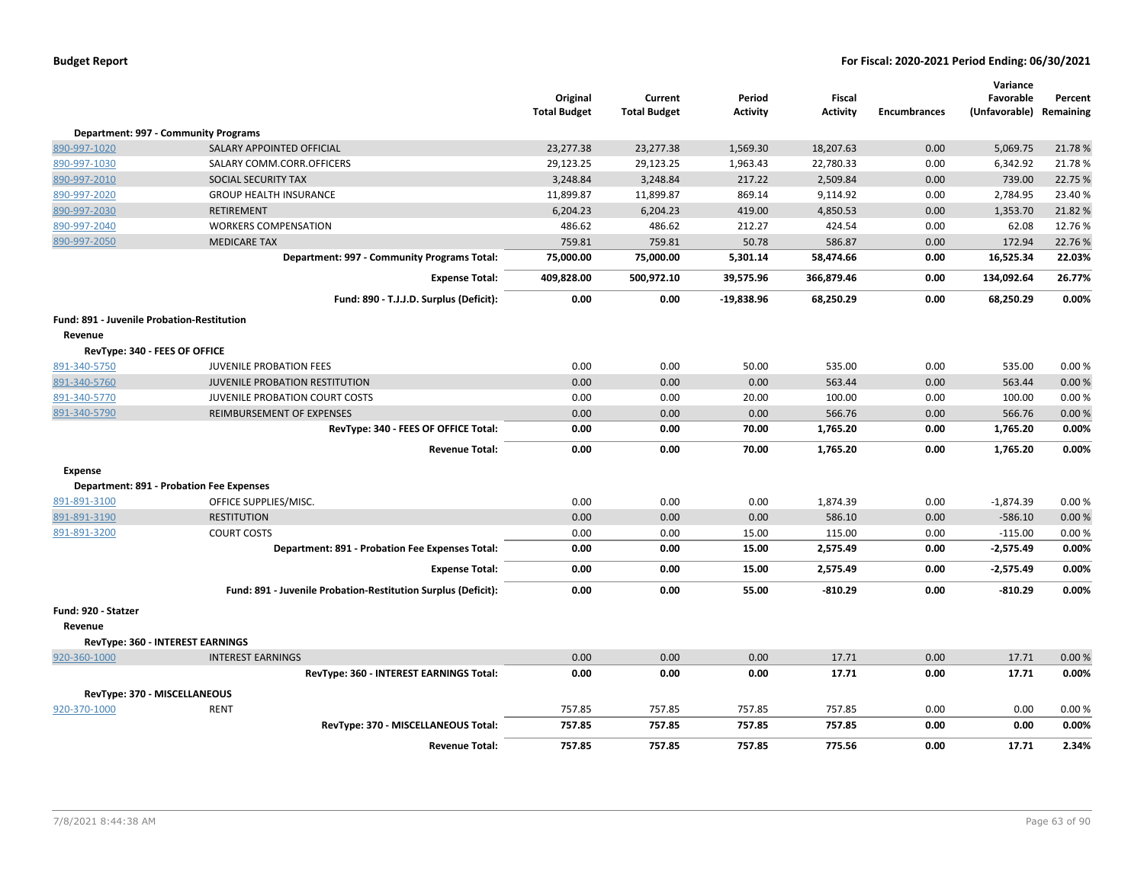|                                            |                                                               | Original<br><b>Total Budget</b> | Current<br><b>Total Budget</b> | Period<br><b>Activity</b> | Fiscal<br>Activity | <b>Encumbrances</b> | Variance<br>Favorable<br>(Unfavorable) | Percent<br>Remaining |
|--------------------------------------------|---------------------------------------------------------------|---------------------------------|--------------------------------|---------------------------|--------------------|---------------------|----------------------------------------|----------------------|
|                                            | Department: 997 - Community Programs                          |                                 |                                |                           |                    |                     |                                        |                      |
| 890-997-1020                               | SALARY APPOINTED OFFICIAL                                     | 23,277.38                       | 23,277.38                      | 1,569.30                  | 18,207.63          | 0.00                | 5,069.75                               | 21.78%               |
| 890-997-1030                               | SALARY COMM.CORR.OFFICERS                                     | 29,123.25                       | 29,123.25                      | 1,963.43                  | 22,780.33          | 0.00                | 6,342.92                               | 21.78%               |
| 890-997-2010                               | SOCIAL SECURITY TAX                                           | 3,248.84                        | 3,248.84                       | 217.22                    | 2,509.84           | 0.00                | 739.00                                 | 22.75 %              |
| 890-997-2020                               | <b>GROUP HEALTH INSURANCE</b>                                 | 11,899.87                       | 11,899.87                      | 869.14                    | 9,114.92           | 0.00                | 2,784.95                               | 23.40 %              |
| 890-997-2030                               | <b>RETIREMENT</b>                                             | 6,204.23                        | 6,204.23                       | 419.00                    | 4,850.53           | 0.00                | 1,353.70                               | 21.82%               |
| 890-997-2040                               | <b>WORKERS COMPENSATION</b>                                   | 486.62                          | 486.62                         | 212.27                    | 424.54             | 0.00                | 62.08                                  | 12.76 %              |
| 890-997-2050                               | <b>MEDICARE TAX</b>                                           | 759.81                          | 759.81                         | 50.78                     | 586.87             | 0.00                | 172.94                                 | 22.76 %              |
|                                            | Department: 997 - Community Programs Total:                   | 75,000.00                       | 75,000.00                      | 5,301.14                  | 58,474.66          | 0.00                | 16,525.34                              | 22.03%               |
|                                            | <b>Expense Total:</b>                                         | 409,828.00                      | 500,972.10                     | 39,575.96                 | 366,879.46         | 0.00                | 134,092.64                             | 26.77%               |
|                                            | Fund: 890 - T.J.J.D. Surplus (Deficit):                       | 0.00                            | 0.00                           | $-19,838.96$              | 68,250.29          | 0.00                | 68,250.29                              | 0.00%                |
| Fund: 891 - Juvenile Probation-Restitution |                                                               |                                 |                                |                           |                    |                     |                                        |                      |
| Revenue                                    |                                                               |                                 |                                |                           |                    |                     |                                        |                      |
| RevType: 340 - FEES OF OFFICE              |                                                               |                                 |                                |                           |                    |                     |                                        |                      |
| 891-340-5750                               | <b>JUVENILE PROBATION FEES</b>                                | 0.00                            | 0.00                           | 50.00                     | 535.00             | 0.00                | 535.00                                 | 0.00%                |
| 891-340-5760                               | <b>JUVENILE PROBATION RESTITUTION</b>                         | 0.00                            | 0.00                           | 0.00                      | 563.44             | 0.00                | 563.44                                 | 0.00%                |
| 891-340-5770                               | JUVENILE PROBATION COURT COSTS                                | 0.00                            | 0.00                           | 20.00                     | 100.00             | 0.00                | 100.00                                 | 0.00%                |
| 891-340-5790                               | REIMBURSEMENT OF EXPENSES                                     | 0.00                            | 0.00                           | 0.00                      | 566.76             | 0.00                | 566.76                                 | 0.00 %               |
|                                            | RevType: 340 - FEES OF OFFICE Total:                          | 0.00                            | 0.00                           | 70.00                     | 1,765.20           | 0.00                | 1,765.20                               | 0.00%                |
|                                            | <b>Revenue Total:</b>                                         | 0.00                            | 0.00                           | 70.00                     | 1,765.20           | 0.00                | 1,765.20                               | 0.00%                |
| <b>Expense</b>                             |                                                               |                                 |                                |                           |                    |                     |                                        |                      |
|                                            | <b>Department: 891 - Probation Fee Expenses</b>               |                                 |                                |                           |                    |                     |                                        |                      |
| 891-891-3100                               | OFFICE SUPPLIES/MISC.                                         | 0.00                            | 0.00                           | 0.00                      | 1,874.39           | 0.00                | $-1,874.39$                            | 0.00%                |
| 891-891-3190                               | <b>RESTITUTION</b>                                            | 0.00                            | 0.00                           | 0.00                      | 586.10             | 0.00                | $-586.10$                              | 0.00%                |
| 891-891-3200                               | <b>COURT COSTS</b>                                            | 0.00                            | 0.00                           | 15.00                     | 115.00             | 0.00                | $-115.00$                              | 0.00%                |
|                                            | Department: 891 - Probation Fee Expenses Total:               | 0.00                            | 0.00                           | 15.00                     | 2,575.49           | 0.00                | $-2,575.49$                            | 0.00%                |
|                                            | <b>Expense Total:</b>                                         | 0.00                            | 0.00                           | 15.00                     | 2,575.49           | 0.00                | $-2,575.49$                            | 0.00%                |
|                                            | Fund: 891 - Juvenile Probation-Restitution Surplus (Deficit): | 0.00                            | 0.00                           | 55.00                     | $-810.29$          | 0.00                | $-810.29$                              | 0.00%                |
| Fund: 920 - Statzer                        |                                                               |                                 |                                |                           |                    |                     |                                        |                      |
| Revenue                                    |                                                               |                                 |                                |                           |                    |                     |                                        |                      |
|                                            | <b>RevType: 360 - INTEREST EARNINGS</b>                       |                                 |                                |                           |                    |                     |                                        |                      |
| 920-360-1000                               | <b>INTEREST EARNINGS</b>                                      | 0.00                            | 0.00                           | 0.00                      | 17.71              | 0.00                | 17.71                                  | 0.00%                |
|                                            | RevType: 360 - INTEREST EARNINGS Total:                       | 0.00                            | 0.00                           | 0.00                      | 17.71              | 0.00                | 17.71                                  | 0.00%                |
|                                            | RevType: 370 - MISCELLANEOUS                                  |                                 |                                |                           |                    |                     |                                        |                      |
| 920-370-1000                               | <b>RENT</b>                                                   | 757.85                          | 757.85                         | 757.85                    | 757.85             | 0.00                | 0.00                                   | 0.00%                |
|                                            | RevType: 370 - MISCELLANEOUS Total:                           | 757.85                          | 757.85                         | 757.85                    | 757.85             | 0.00                | 0.00                                   | 0.00%                |
|                                            | <b>Revenue Total:</b>                                         | 757.85                          | 757.85                         | 757.85                    | 775.56             | 0.00                | 17.71                                  | 2.34%                |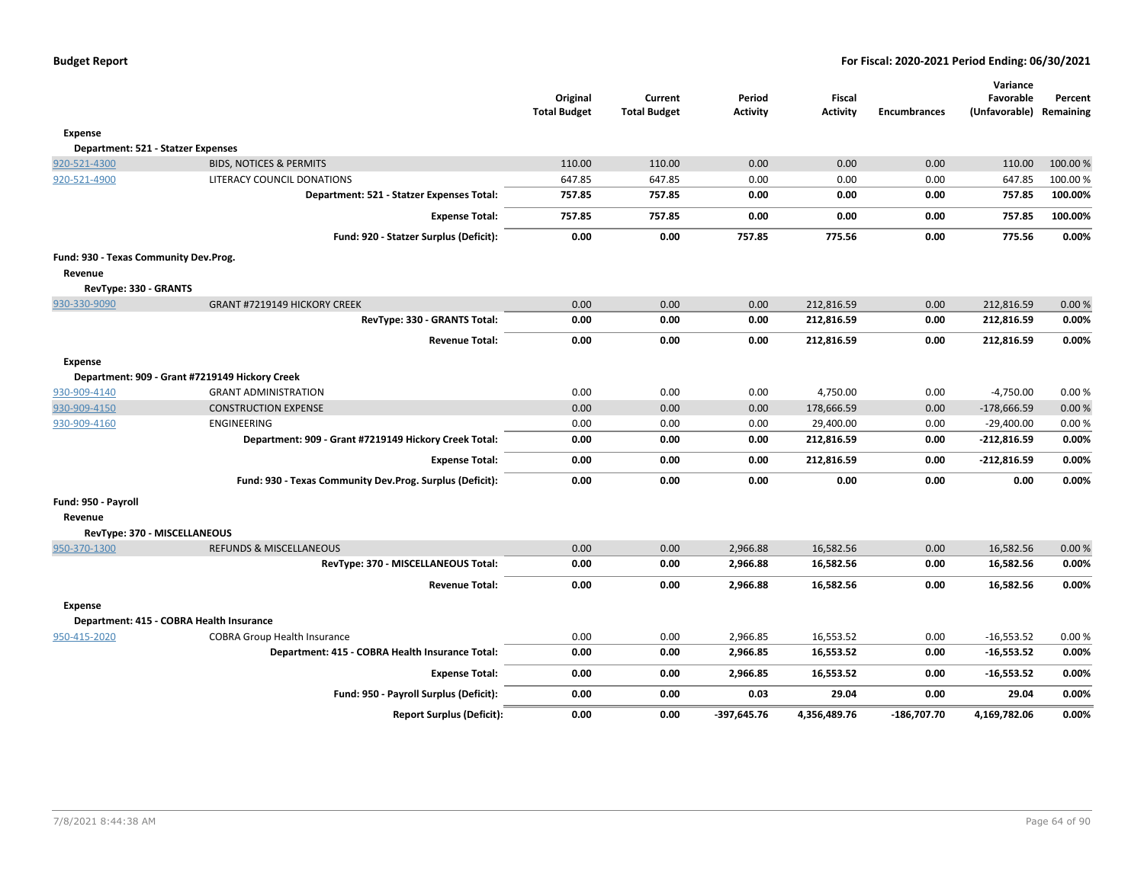|                                       |                                                          | Original<br><b>Total Budget</b> | Current<br><b>Total Budget</b> | Period<br><b>Activity</b> | Fiscal<br><b>Activity</b> | <b>Encumbrances</b> | Variance<br>Favorable<br>(Unfavorable) | Percent<br>Remaining |
|---------------------------------------|----------------------------------------------------------|---------------------------------|--------------------------------|---------------------------|---------------------------|---------------------|----------------------------------------|----------------------|
| <b>Expense</b>                        |                                                          |                                 |                                |                           |                           |                     |                                        |                      |
| Department: 521 - Statzer Expenses    |                                                          |                                 |                                |                           |                           |                     |                                        |                      |
| 920-521-4300                          | <b>BIDS, NOTICES &amp; PERMITS</b>                       | 110.00                          | 110.00                         | 0.00                      | 0.00                      | 0.00                | 110.00                                 | 100.00 %             |
| 920-521-4900                          | LITERACY COUNCIL DONATIONS                               | 647.85                          | 647.85                         | 0.00                      | 0.00                      | 0.00                | 647.85                                 | 100.00 %             |
|                                       | Department: 521 - Statzer Expenses Total:                | 757.85                          | 757.85                         | 0.00                      | 0.00                      | 0.00                | 757.85                                 | 100.00%              |
|                                       | <b>Expense Total:</b>                                    | 757.85                          | 757.85                         | 0.00                      | 0.00                      | 0.00                | 757.85                                 | 100.00%              |
|                                       | Fund: 920 - Statzer Surplus (Deficit):                   | 0.00                            | 0.00                           | 757.85                    | 775.56                    | 0.00                | 775.56                                 | 0.00%                |
| Fund: 930 - Texas Community Dev.Prog. |                                                          |                                 |                                |                           |                           |                     |                                        |                      |
| Revenue                               |                                                          |                                 |                                |                           |                           |                     |                                        |                      |
| RevType: 330 - GRANTS                 |                                                          |                                 |                                |                           |                           |                     |                                        |                      |
| 930-330-9090                          | GRANT #7219149 HICKORY CREEK                             | 0.00                            | 0.00                           | 0.00                      | 212,816.59                | 0.00                | 212,816.59                             | 0.00%                |
|                                       | RevType: 330 - GRANTS Total:                             | 0.00                            | 0.00                           | 0.00                      | 212,816.59                | 0.00                | 212,816.59                             | 0.00%                |
|                                       | <b>Revenue Total:</b>                                    | 0.00                            | 0.00                           | 0.00                      | 212,816.59                | 0.00                | 212,816.59                             | 0.00%                |
| <b>Expense</b>                        |                                                          |                                 |                                |                           |                           |                     |                                        |                      |
|                                       | Department: 909 - Grant #7219149 Hickory Creek           |                                 |                                |                           |                           |                     |                                        |                      |
| 930-909-4140                          | <b>GRANT ADMINISTRATION</b>                              | 0.00                            | 0.00                           | 0.00                      | 4,750.00                  | 0.00                | $-4,750.00$                            | 0.00%                |
| 930-909-4150                          | <b>CONSTRUCTION EXPENSE</b>                              | 0.00                            | 0.00                           | 0.00                      | 178,666.59                | 0.00                | $-178,666.59$                          | 0.00%                |
| 930-909-4160                          | ENGINEERING                                              | 0.00                            | 0.00                           | 0.00                      | 29,400.00                 | 0.00                | $-29,400.00$                           | 0.00%                |
|                                       | Department: 909 - Grant #7219149 Hickory Creek Total:    | 0.00                            | 0.00                           | 0.00                      | 212,816.59                | 0.00                | $-212,816.59$                          | 0.00%                |
|                                       | <b>Expense Total:</b>                                    | 0.00                            | 0.00                           | 0.00                      | 212,816.59                | 0.00                | -212,816.59                            | 0.00%                |
|                                       | Fund: 930 - Texas Community Dev.Prog. Surplus (Deficit): | 0.00                            | 0.00                           | 0.00                      | 0.00                      | 0.00                | 0.00                                   | 0.00%                |
| Fund: 950 - Payroll                   |                                                          |                                 |                                |                           |                           |                     |                                        |                      |
| Revenue                               |                                                          |                                 |                                |                           |                           |                     |                                        |                      |
| RevType: 370 - MISCELLANEOUS          |                                                          |                                 |                                |                           |                           |                     |                                        |                      |
| 950-370-1300                          | <b>REFUNDS &amp; MISCELLANEOUS</b>                       | 0.00                            | 0.00                           | 2,966.88                  | 16,582.56                 | 0.00                | 16,582.56                              | 0.00%                |
|                                       | RevType: 370 - MISCELLANEOUS Total:                      | 0.00                            | 0.00                           | 2,966.88                  | 16,582.56                 | 0.00                | 16,582.56                              | 0.00%                |
|                                       | <b>Revenue Total:</b>                                    | 0.00                            | 0.00                           | 2,966.88                  | 16,582.56                 | 0.00                | 16,582.56                              | 0.00%                |
| Expense                               |                                                          |                                 |                                |                           |                           |                     |                                        |                      |
|                                       | Department: 415 - COBRA Health Insurance                 |                                 |                                |                           |                           |                     |                                        |                      |
| 950-415-2020                          | <b>COBRA Group Health Insurance</b>                      | 0.00                            | 0.00                           | 2,966.85                  | 16,553.52                 | 0.00                | $-16,553.52$                           | 0.00%                |
|                                       | Department: 415 - COBRA Health Insurance Total:          | 0.00                            | 0.00                           | 2,966.85                  | 16,553.52                 | 0.00                | $-16,553.52$                           | 0.00%                |
|                                       | <b>Expense Total:</b>                                    | 0.00                            | 0.00                           | 2,966.85                  | 16,553.52                 | 0.00                | $-16,553.52$                           | 0.00%                |
|                                       | Fund: 950 - Payroll Surplus (Deficit):                   | 0.00                            | 0.00                           | 0.03                      | 29.04                     | 0.00                | 29.04                                  | 0.00%                |
|                                       | <b>Report Surplus (Deficit):</b>                         | 0.00                            | 0.00                           | -397,645.76               | 4,356,489.76              | $-186,707.70$       | 4,169,782.06                           | 0.00%                |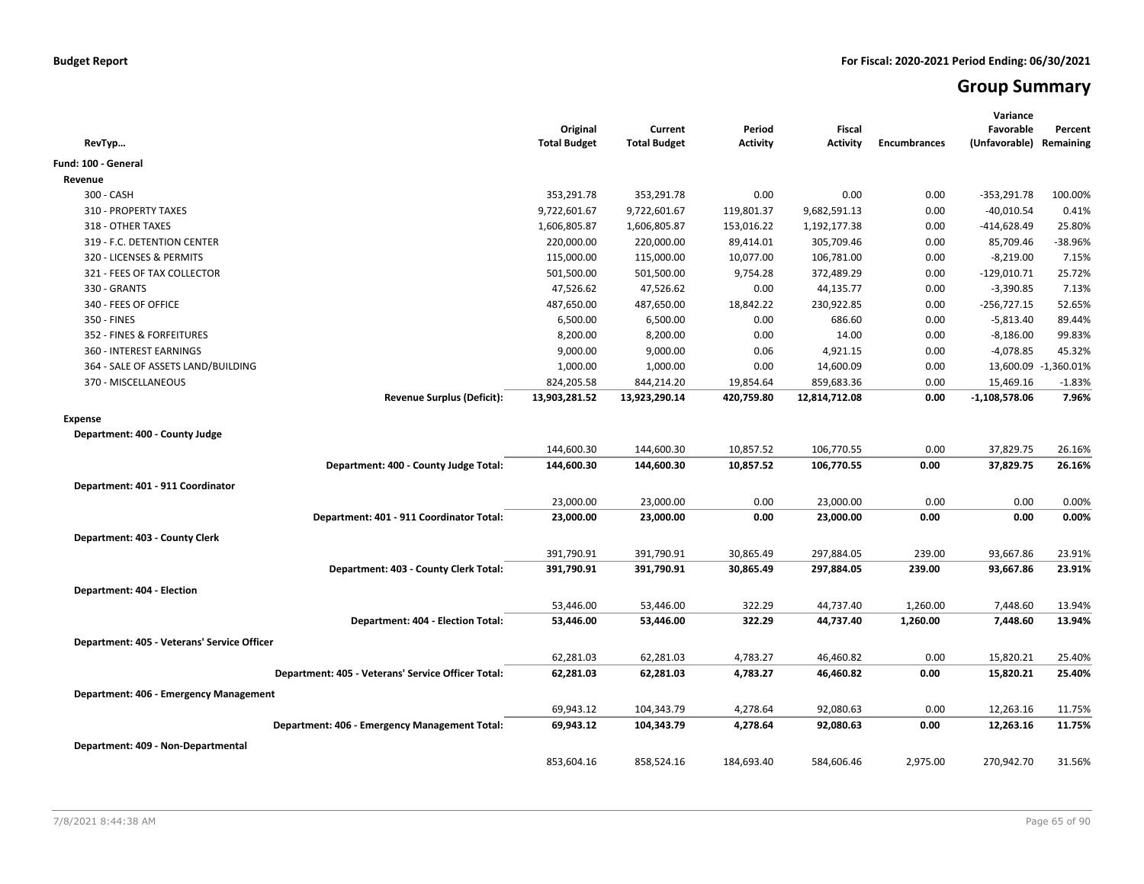# **Group Summary**

| RevTyp                                             | Original<br><b>Total Budget</b> | Current<br><b>Total Budget</b> | Period<br><b>Activity</b> | <b>Fiscal</b><br><b>Activity</b> | <b>Encumbrances</b> | Variance<br>Favorable<br>(Unfavorable) Remaining | Percent              |
|----------------------------------------------------|---------------------------------|--------------------------------|---------------------------|----------------------------------|---------------------|--------------------------------------------------|----------------------|
| Fund: 100 - General                                |                                 |                                |                           |                                  |                     |                                                  |                      |
| Revenue                                            |                                 |                                |                           |                                  |                     |                                                  |                      |
| 300 - CASH                                         | 353,291.78                      | 353,291.78                     | 0.00                      | 0.00                             | 0.00                | $-353,291.78$                                    | 100.00%              |
| 310 - PROPERTY TAXES                               | 9,722,601.67                    | 9,722,601.67                   | 119,801.37                | 9,682,591.13                     | 0.00                | $-40,010.54$                                     | 0.41%                |
| 318 - OTHER TAXES                                  | 1,606,805.87                    | 1,606,805.87                   | 153,016.22                | 1,192,177.38                     | 0.00                | $-414,628.49$                                    | 25.80%               |
| 319 - F.C. DETENTION CENTER                        | 220,000.00                      | 220,000.00                     | 89,414.01                 | 305,709.46                       | 0.00                | 85,709.46                                        | -38.96%              |
| 320 - LICENSES & PERMITS                           | 115,000.00                      | 115,000.00                     | 10,077.00                 | 106,781.00                       | 0.00                | $-8,219.00$                                      | 7.15%                |
| 321 - FEES OF TAX COLLECTOR                        | 501,500.00                      | 501,500.00                     | 9,754.28                  | 372,489.29                       | 0.00                | $-129,010.71$                                    | 25.72%               |
| 330 - GRANTS                                       | 47,526.62                       | 47,526.62                      | 0.00                      | 44,135.77                        | 0.00                | $-3,390.85$                                      | 7.13%                |
| 340 - FEES OF OFFICE                               | 487,650.00                      | 487,650.00                     | 18,842.22                 | 230,922.85                       | 0.00                | $-256,727.15$                                    | 52.65%               |
| 350 - FINES                                        | 6,500.00                        | 6,500.00                       | 0.00                      | 686.60                           | 0.00                | $-5,813.40$                                      | 89.44%               |
| 352 - FINES & FORFEITURES                          | 8,200.00                        | 8,200.00                       | 0.00                      | 14.00                            | 0.00                | $-8,186.00$                                      | 99.83%               |
| 360 - INTEREST EARNINGS                            | 9,000.00                        | 9,000.00                       | 0.06                      | 4,921.15                         | 0.00                | $-4,078.85$                                      | 45.32%               |
| 364 - SALE OF ASSETS LAND/BUILDING                 | 1,000.00                        | 1,000.00                       | 0.00                      | 14,600.09                        | 0.00                |                                                  | 13,600.09 -1,360.01% |
| 370 - MISCELLANEOUS                                | 824,205.58                      | 844,214.20                     | 19,854.64                 | 859,683.36                       | 0.00                | 15,469.16                                        | $-1.83%$             |
| <b>Revenue Surplus (Deficit):</b>                  | 13,903,281.52                   | 13,923,290.14                  | 420,759.80                | 12,814,712.08                    | 0.00                | $-1,108,578.06$                                  | 7.96%                |
| <b>Expense</b>                                     |                                 |                                |                           |                                  |                     |                                                  |                      |
| Department: 400 - County Judge                     |                                 |                                |                           |                                  |                     |                                                  |                      |
|                                                    | 144,600.30                      | 144,600.30                     | 10,857.52                 | 106,770.55                       | 0.00                | 37,829.75                                        | 26.16%               |
| Department: 400 - County Judge Total:              | 144,600.30                      | 144,600.30                     | 10,857.52                 | 106,770.55                       | 0.00                | 37,829.75                                        | 26.16%               |
|                                                    |                                 |                                |                           |                                  |                     |                                                  |                      |
| Department: 401 - 911 Coordinator                  |                                 |                                |                           |                                  |                     |                                                  |                      |
|                                                    | 23,000.00                       | 23,000.00                      | 0.00<br>0.00              | 23,000.00                        | 0.00<br>0.00        | 0.00<br>0.00                                     | 0.00%<br>0.00%       |
| Department: 401 - 911 Coordinator Total:           | 23,000.00                       | 23,000.00                      |                           | 23,000.00                        |                     |                                                  |                      |
| Department: 403 - County Clerk                     |                                 |                                |                           |                                  |                     |                                                  |                      |
|                                                    | 391,790.91                      | 391,790.91                     | 30,865.49                 | 297,884.05                       | 239.00              | 93,667.86                                        | 23.91%               |
| Department: 403 - County Clerk Total:              | 391,790.91                      | 391,790.91                     | 30,865.49                 | 297,884.05                       | 239.00              | 93,667.86                                        | 23.91%               |
| Department: 404 - Election                         |                                 |                                |                           |                                  |                     |                                                  |                      |
|                                                    | 53,446.00                       | 53,446.00                      | 322.29                    | 44,737.40                        | 1,260.00            | 7,448.60                                         | 13.94%               |
| Department: 404 - Election Total:                  | 53,446.00                       | 53,446.00                      | 322.29                    | 44,737.40                        | 1,260.00            | 7,448.60                                         | 13.94%               |
| Department: 405 - Veterans' Service Officer        |                                 |                                |                           |                                  |                     |                                                  |                      |
|                                                    | 62,281.03                       | 62,281.03                      | 4,783.27                  | 46,460.82                        | 0.00                | 15,820.21                                        | 25.40%               |
| Department: 405 - Veterans' Service Officer Total: | 62,281.03                       | 62,281.03                      | 4,783.27                  | 46,460.82                        | 0.00                | 15,820.21                                        | 25.40%               |
|                                                    |                                 |                                |                           |                                  |                     |                                                  |                      |
| Department: 406 - Emergency Management             |                                 |                                |                           |                                  |                     |                                                  |                      |
|                                                    | 69,943.12                       | 104,343.79                     | 4,278.64                  | 92,080.63                        | 0.00                | 12,263.16                                        | 11.75%               |
| Department: 406 - Emergency Management Total:      | 69,943.12                       | 104,343.79                     | 4,278.64                  | 92,080.63                        | 0.00                | 12,263.16                                        | 11.75%               |
| Department: 409 - Non-Departmental                 |                                 |                                |                           |                                  |                     |                                                  |                      |
|                                                    | 853,604.16                      | 858,524.16                     | 184,693.40                | 584,606.46                       | 2,975.00            | 270,942.70                                       | 31.56%               |
|                                                    |                                 |                                |                           |                                  |                     |                                                  |                      |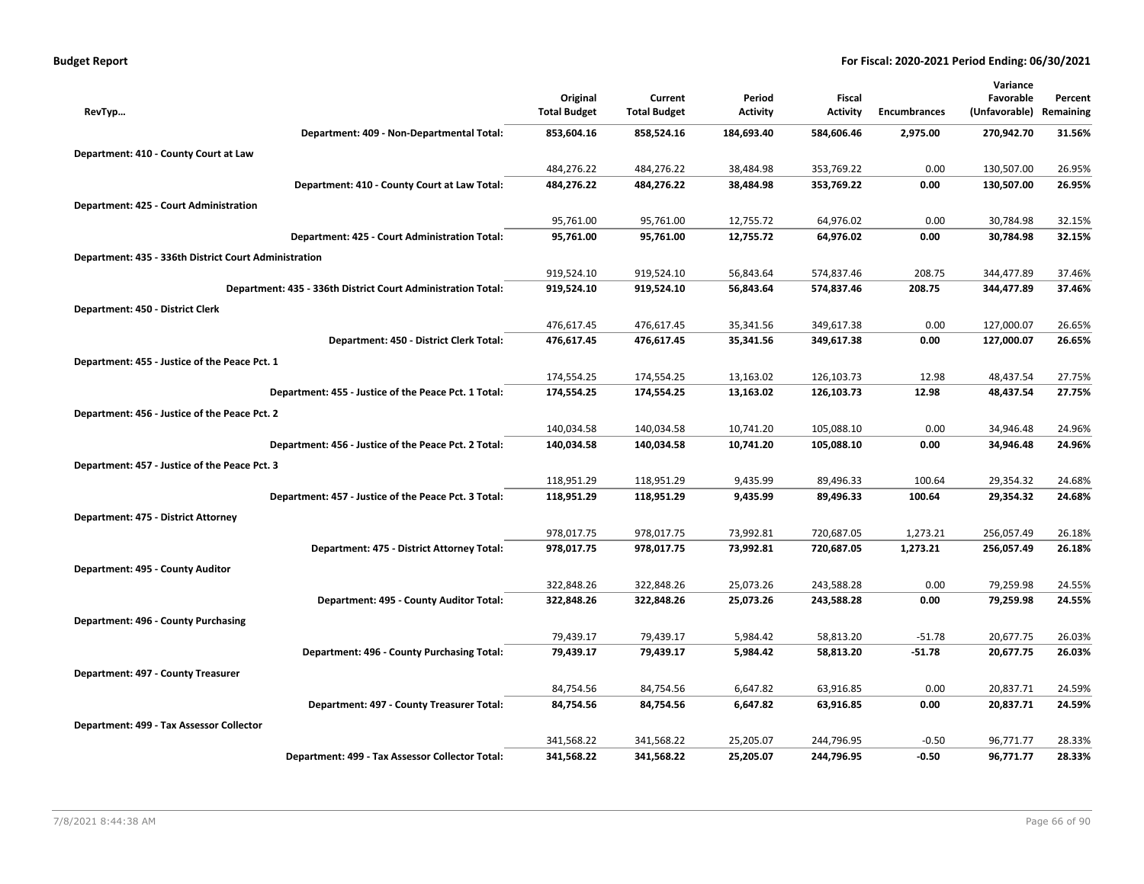| <b>Budget Report</b> |
|----------------------|
|----------------------|

|                                                              |                     |                     |                 |                 |                     | Variance      |           |
|--------------------------------------------------------------|---------------------|---------------------|-----------------|-----------------|---------------------|---------------|-----------|
|                                                              | Original            | Current             | Period          | Fiscal          |                     | Favorable     | Percent   |
| RevTyp                                                       | <b>Total Budget</b> | <b>Total Budget</b> | <b>Activity</b> | <b>Activity</b> | <b>Encumbrances</b> | (Unfavorable) | Remaining |
| Department: 409 - Non-Departmental Total:                    | 853,604.16          | 858,524.16          | 184,693.40      | 584,606.46      | 2,975.00            | 270,942.70    | 31.56%    |
| Department: 410 - County Court at Law                        |                     |                     |                 |                 |                     |               |           |
|                                                              | 484,276.22          | 484,276.22          | 38,484.98       | 353,769.22      | 0.00                | 130,507.00    | 26.95%    |
| Department: 410 - County Court at Law Total:                 | 484,276.22          | 484,276.22          | 38,484.98       | 353,769.22      | 0.00                | 130,507.00    | 26.95%    |
| Department: 425 - Court Administration                       |                     |                     |                 |                 |                     |               |           |
|                                                              | 95,761.00           | 95,761.00           | 12,755.72       | 64,976.02       | 0.00                | 30,784.98     | 32.15%    |
| Department: 425 - Court Administration Total:                | 95,761.00           | 95,761.00           | 12,755.72       | 64,976.02       | 0.00                | 30,784.98     | 32.15%    |
| Department: 435 - 336th District Court Administration        |                     |                     |                 |                 |                     |               |           |
|                                                              | 919,524.10          | 919,524.10          | 56,843.64       | 574,837.46      | 208.75              | 344,477.89    | 37.46%    |
| Department: 435 - 336th District Court Administration Total: | 919,524.10          | 919,524.10          | 56,843.64       | 574,837.46      | 208.75              | 344,477.89    | 37.46%    |
| Department: 450 - District Clerk                             |                     |                     |                 |                 |                     |               |           |
|                                                              | 476,617.45          | 476,617.45          | 35,341.56       | 349,617.38      | 0.00                | 127,000.07    | 26.65%    |
| Department: 450 - District Clerk Total:                      | 476,617.45          | 476,617.45          | 35,341.56       | 349,617.38      | 0.00                | 127,000.07    | 26.65%    |
| Department: 455 - Justice of the Peace Pct. 1                |                     |                     |                 |                 |                     |               |           |
|                                                              | 174,554.25          | 174,554.25          | 13,163.02       | 126,103.73      | 12.98               | 48,437.54     | 27.75%    |
| Department: 455 - Justice of the Peace Pct. 1 Total:         | 174,554.25          | 174,554.25          | 13,163.02       | 126,103.73      | 12.98               | 48,437.54     | 27.75%    |
| Department: 456 - Justice of the Peace Pct. 2                |                     |                     |                 |                 |                     |               |           |
|                                                              | 140,034.58          | 140,034.58          | 10,741.20       | 105,088.10      | 0.00                | 34,946.48     | 24.96%    |
| Department: 456 - Justice of the Peace Pct. 2 Total:         | 140,034.58          | 140,034.58          | 10,741.20       | 105,088.10      | 0.00                | 34,946.48     | 24.96%    |
| Department: 457 - Justice of the Peace Pct. 3                |                     |                     |                 |                 |                     |               |           |
|                                                              | 118,951.29          | 118,951.29          | 9,435.99        | 89,496.33       | 100.64              | 29,354.32     | 24.68%    |
| Department: 457 - Justice of the Peace Pct. 3 Total:         | 118,951.29          | 118,951.29          | 9,435.99        | 89,496.33       | 100.64              | 29,354.32     | 24.68%    |
| Department: 475 - District Attorney                          |                     |                     |                 |                 |                     |               |           |
|                                                              | 978,017.75          | 978,017.75          | 73,992.81       | 720,687.05      | 1,273.21            | 256,057.49    | 26.18%    |
| Department: 475 - District Attorney Total:                   | 978,017.75          | 978,017.75          | 73,992.81       | 720,687.05      | 1,273.21            | 256,057.49    | 26.18%    |
| Department: 495 - County Auditor                             |                     |                     |                 |                 |                     |               |           |
|                                                              | 322,848.26          | 322,848.26          | 25,073.26       | 243,588.28      | 0.00                | 79,259.98     | 24.55%    |
| Department: 495 - County Auditor Total:                      | 322,848.26          | 322,848.26          | 25,073.26       | 243,588.28      | 0.00                | 79,259.98     | 24.55%    |
| Department: 496 - County Purchasing                          |                     |                     |                 |                 |                     |               |           |
|                                                              | 79,439.17           | 79,439.17           | 5,984.42        | 58,813.20       | $-51.78$            | 20,677.75     | 26.03%    |
| Department: 496 - County Purchasing Total:                   | 79,439.17           | 79,439.17           | 5,984.42        | 58,813.20       | $-51.78$            | 20,677.75     | 26.03%    |
| Department: 497 - County Treasurer                           |                     |                     |                 |                 |                     |               |           |
|                                                              | 84,754.56           | 84,754.56           | 6,647.82        | 63,916.85       | 0.00                | 20,837.71     | 24.59%    |
| Department: 497 - County Treasurer Total:                    | 84,754.56           | 84,754.56           | 6,647.82        | 63,916.85       | 0.00                | 20,837.71     | 24.59%    |
| Department: 499 - Tax Assessor Collector                     |                     |                     |                 |                 |                     |               |           |
|                                                              | 341,568.22          | 341,568.22          | 25,205.07       | 244,796.95      | $-0.50$             | 96,771.77     | 28.33%    |
| Department: 499 - Tax Assessor Collector Total:              | 341,568.22          | 341,568.22          | 25,205.07       | 244,796.95      | $-0.50$             | 96,771.77     | 28.33%    |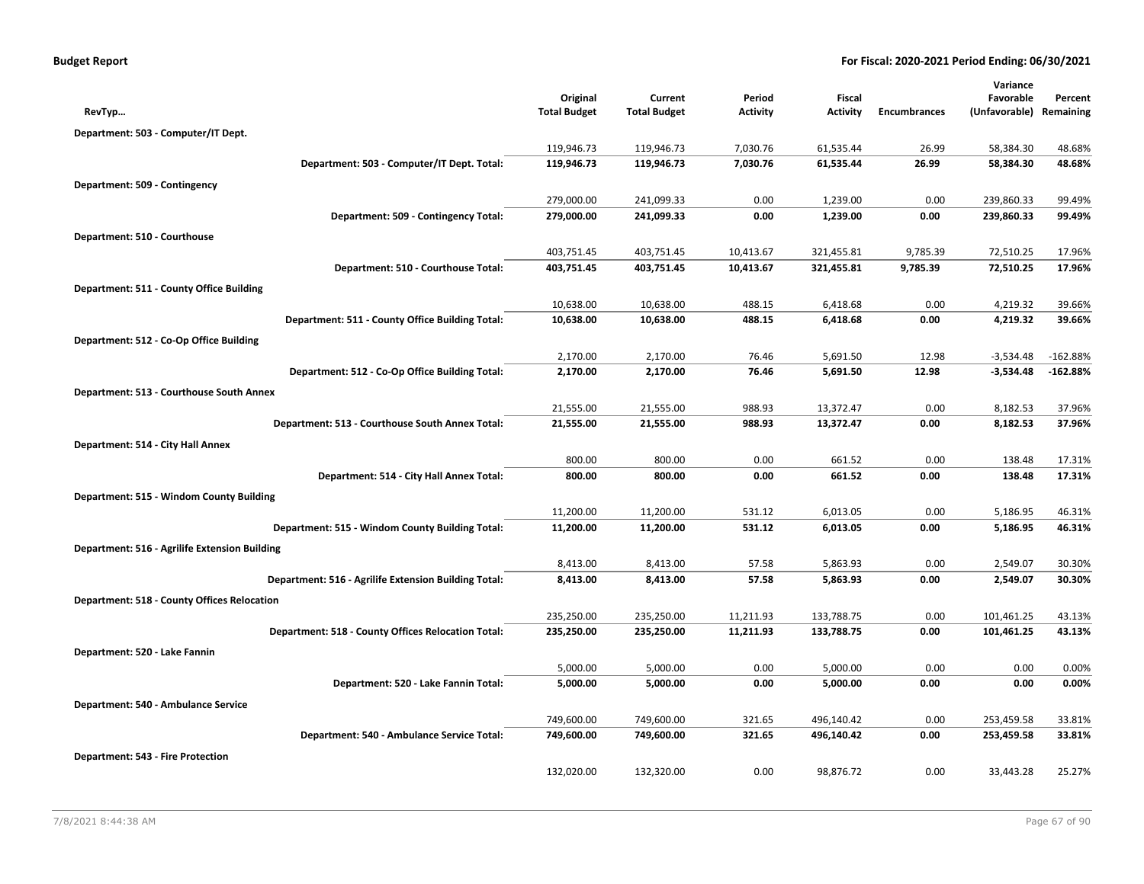|                                                      |                                 |                                |                           |                           |                      | Variance                             |                  |
|------------------------------------------------------|---------------------------------|--------------------------------|---------------------------|---------------------------|----------------------|--------------------------------------|------------------|
| RevTyp                                               | Original<br><b>Total Budget</b> | Current<br><b>Total Budget</b> | Period<br><b>Activity</b> | Fiscal<br><b>Activity</b> | <b>Encumbrances</b>  | Favorable<br>(Unfavorable) Remaining | Percent          |
|                                                      |                                 |                                |                           |                           |                      |                                      |                  |
| Department: 503 - Computer/IT Dept.                  | 119,946.73                      | 119,946.73                     | 7,030.76                  | 61,535.44                 | 26.99                | 58,384.30                            | 48.68%           |
| Department: 503 - Computer/IT Dept. Total:           | 119,946.73                      | 119,946.73                     | 7,030.76                  | 61,535.44                 | 26.99                | 58,384.30                            | 48.68%           |
|                                                      |                                 |                                |                           |                           |                      |                                      |                  |
| Department: 509 - Contingency                        | 279,000.00                      |                                | 0.00                      | 1,239.00                  | 0.00                 |                                      |                  |
| Department: 509 - Contingency Total:                 | 279,000.00                      | 241,099.33<br>241,099.33       | 0.00                      | 1,239.00                  | 0.00                 | 239,860.33<br>239,860.33             | 99.49%<br>99.49% |
|                                                      |                                 |                                |                           |                           |                      |                                      |                  |
| Department: 510 - Courthouse                         |                                 |                                |                           |                           |                      |                                      |                  |
| Department: 510 - Courthouse Total:                  | 403,751.45<br>403,751.45        | 403,751.45<br>403,751.45       | 10,413.67<br>10,413.67    | 321,455.81<br>321,455.81  | 9,785.39<br>9,785.39 | 72,510.25<br>72,510.25               | 17.96%<br>17.96% |
|                                                      |                                 |                                |                           |                           |                      |                                      |                  |
| Department: 511 - County Office Building             |                                 |                                |                           |                           |                      |                                      |                  |
|                                                      | 10,638.00                       | 10,638.00                      | 488.15                    | 6,418.68                  | 0.00                 | 4,219.32                             | 39.66%           |
| Department: 511 - County Office Building Total:      | 10,638.00                       | 10,638.00                      | 488.15                    | 6,418.68                  | 0.00                 | 4,219.32                             | 39.66%           |
| Department: 512 - Co-Op Office Building              |                                 |                                |                           |                           |                      |                                      |                  |
|                                                      | 2,170.00                        | 2,170.00                       | 76.46                     | 5,691.50                  | 12.98                | $-3,534.48$                          | $-162.88%$       |
| Department: 512 - Co-Op Office Building Total:       | 2,170.00                        | 2,170.00                       | 76.46                     | 5,691.50                  | 12.98                | $-3,534.48$                          | $-162.88%$       |
| Department: 513 - Courthouse South Annex             |                                 |                                |                           |                           |                      |                                      |                  |
|                                                      | 21,555.00                       | 21,555.00                      | 988.93                    | 13,372.47                 | 0.00                 | 8,182.53                             | 37.96%           |
| Department: 513 - Courthouse South Annex Total:      | 21,555.00                       | 21,555.00                      | 988.93                    | 13,372.47                 | 0.00                 | 8,182.53                             | 37.96%           |
| Department: 514 - City Hall Annex                    |                                 |                                |                           |                           |                      |                                      |                  |
|                                                      | 800.00                          | 800.00                         | 0.00                      | 661.52                    | 0.00                 | 138.48                               | 17.31%           |
| Department: 514 - City Hall Annex Total:             | 800.00                          | 800.00                         | 0.00                      | 661.52                    | 0.00                 | 138.48                               | 17.31%           |
| Department: 515 - Windom County Building             |                                 |                                |                           |                           |                      |                                      |                  |
|                                                      | 11,200.00                       | 11,200.00                      | 531.12                    | 6,013.05                  | 0.00                 | 5,186.95                             | 46.31%           |
| Department: 515 - Windom County Building Total:      | 11,200.00                       | 11,200.00                      | 531.12                    | 6,013.05                  | 0.00                 | 5,186.95                             | 46.31%           |
| Department: 516 - Agrilife Extension Building        |                                 |                                |                           |                           |                      |                                      |                  |
|                                                      | 8,413.00                        | 8,413.00                       | 57.58                     | 5,863.93                  | 0.00                 | 2,549.07                             | 30.30%           |
| Department: 516 - Agrilife Extension Building Total: | 8,413.00                        | 8,413.00                       | 57.58                     | 5,863.93                  | 0.00                 | 2,549.07                             | 30.30%           |
| <b>Department: 518 - County Offices Relocation</b>   |                                 |                                |                           |                           |                      |                                      |                  |
|                                                      | 235,250.00                      | 235,250.00                     | 11,211.93                 | 133,788.75                | 0.00                 | 101,461.25                           | 43.13%           |
| Department: 518 - County Offices Relocation Total:   | 235,250.00                      | 235,250.00                     | 11,211.93                 | 133,788.75                | 0.00                 | 101,461.25                           | 43.13%           |
| Department: 520 - Lake Fannin                        |                                 |                                |                           |                           |                      |                                      |                  |
|                                                      | 5,000.00                        | 5,000.00                       | 0.00                      | 5,000.00                  | 0.00                 | 0.00                                 | 0.00%            |
| Department: 520 - Lake Fannin Total:                 | 5,000.00                        | 5,000.00                       | 0.00                      | 5,000.00                  | 0.00                 | 0.00                                 | 0.00%            |
| Department: 540 - Ambulance Service                  |                                 |                                |                           |                           |                      |                                      |                  |
|                                                      | 749,600.00                      | 749,600.00                     | 321.65                    | 496,140.42                | 0.00                 | 253,459.58                           | 33.81%           |
| Department: 540 - Ambulance Service Total:           | 749,600.00                      | 749,600.00                     | 321.65                    | 496,140.42                | 0.00                 | 253,459.58                           | 33.81%           |
| <b>Department: 543 - Fire Protection</b>             |                                 |                                |                           |                           |                      |                                      |                  |
|                                                      | 132,020.00                      | 132,320.00                     | 0.00                      | 98,876.72                 | 0.00                 | 33,443.28                            | 25.27%           |
|                                                      |                                 |                                |                           |                           |                      |                                      |                  |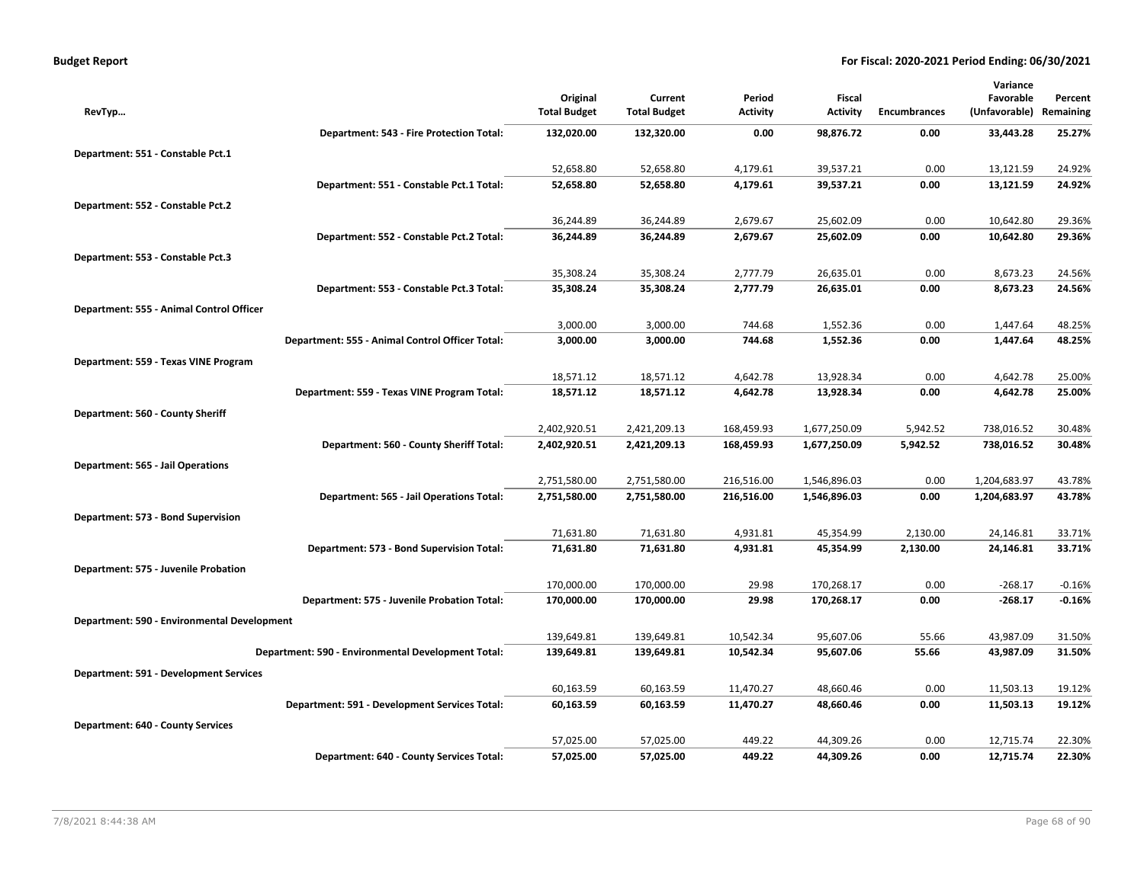| <b>Budget Report</b> |  |
|----------------------|--|
|----------------------|--|

|                                               |                                                    |                                 |                                |                           |                           |                     | Variance                   |                      |
|-----------------------------------------------|----------------------------------------------------|---------------------------------|--------------------------------|---------------------------|---------------------------|---------------------|----------------------------|----------------------|
| RevTyp                                        |                                                    | Original<br><b>Total Budget</b> | Current<br><b>Total Budget</b> | Period<br><b>Activity</b> | Fiscal<br><b>Activity</b> | <b>Encumbrances</b> | Favorable<br>(Unfavorable) | Percent<br>Remaining |
|                                               | Department: 543 - Fire Protection Total:           | 132,020.00                      | 132,320.00                     | 0.00                      | 98,876.72                 | 0.00                | 33,443.28                  | 25.27%               |
| Department: 551 - Constable Pct.1             |                                                    |                                 |                                |                           |                           |                     |                            |                      |
|                                               |                                                    | 52,658.80                       | 52,658.80                      | 4,179.61                  | 39,537.21                 | 0.00                | 13,121.59                  | 24.92%               |
|                                               | Department: 551 - Constable Pct.1 Total:           | 52,658.80                       | 52,658.80                      | 4,179.61                  | 39,537.21                 | 0.00                | 13,121.59                  | 24.92%               |
| Department: 552 - Constable Pct.2             |                                                    |                                 |                                |                           |                           |                     |                            |                      |
|                                               |                                                    | 36,244.89                       | 36,244.89                      | 2,679.67                  | 25,602.09                 | 0.00                | 10,642.80                  | 29.36%               |
|                                               | Department: 552 - Constable Pct.2 Total:           | 36,244.89                       | 36,244.89                      | 2,679.67                  | 25,602.09                 | 0.00                | 10,642.80                  | 29.36%               |
| Department: 553 - Constable Pct.3             |                                                    |                                 |                                |                           |                           |                     |                            |                      |
|                                               |                                                    | 35,308.24                       | 35,308.24                      | 2,777.79                  | 26,635.01                 | 0.00                | 8,673.23                   | 24.56%               |
|                                               | Department: 553 - Constable Pct.3 Total:           | 35,308.24                       | 35,308.24                      | 2,777.79                  | 26,635.01                 | 0.00                | 8,673.23                   | 24.56%               |
| Department: 555 - Animal Control Officer      |                                                    |                                 |                                |                           |                           |                     |                            |                      |
|                                               |                                                    | 3,000.00                        | 3,000.00                       | 744.68                    | 1,552.36                  | 0.00                | 1,447.64                   | 48.25%               |
|                                               | Department: 555 - Animal Control Officer Total:    | 3,000.00                        | 3,000.00                       | 744.68                    | 1,552.36                  | 0.00                | 1,447.64                   | 48.25%               |
| Department: 559 - Texas VINE Program          |                                                    |                                 |                                |                           |                           |                     |                            |                      |
|                                               |                                                    | 18,571.12                       | 18,571.12                      | 4,642.78                  | 13,928.34                 | 0.00                | 4,642.78                   | 25.00%               |
|                                               | Department: 559 - Texas VINE Program Total:        | 18,571.12                       | 18,571.12                      | 4,642.78                  | 13,928.34                 | 0.00                | 4,642.78                   | 25.00%               |
| Department: 560 - County Sheriff              |                                                    |                                 |                                |                           |                           |                     |                            |                      |
|                                               |                                                    | 2,402,920.51                    | 2,421,209.13                   | 168,459.93                | 1,677,250.09              | 5,942.52            | 738,016.52                 | 30.48%               |
|                                               | Department: 560 - County Sheriff Total:            | 2,402,920.51                    | 2,421,209.13                   | 168,459.93                | 1,677,250.09              | 5,942.52            | 738,016.52                 | 30.48%               |
| Department: 565 - Jail Operations             |                                                    |                                 |                                |                           |                           |                     |                            |                      |
|                                               |                                                    | 2,751,580.00                    | 2,751,580.00                   | 216,516.00                | 1,546,896.03              | 0.00                | 1,204,683.97               | 43.78%               |
|                                               | Department: 565 - Jail Operations Total:           | 2,751,580.00                    | 2,751,580.00                   | 216,516.00                | 1,546,896.03              | 0.00                | 1,204,683.97               | 43.78%               |
| Department: 573 - Bond Supervision            |                                                    |                                 |                                |                           |                           |                     |                            |                      |
|                                               |                                                    | 71,631.80                       | 71,631.80                      | 4,931.81                  | 45,354.99                 | 2,130.00            | 24,146.81                  | 33.71%               |
|                                               | Department: 573 - Bond Supervision Total:          | 71,631.80                       | 71,631.80                      | 4,931.81                  | 45,354.99                 | 2,130.00            | 24,146.81                  | 33.71%               |
| Department: 575 - Juvenile Probation          |                                                    |                                 |                                |                           |                           |                     |                            |                      |
|                                               |                                                    | 170,000.00                      | 170,000.00                     | 29.98                     | 170,268.17                | 0.00                | $-268.17$                  | $-0.16%$             |
|                                               | Department: 575 - Juvenile Probation Total:        | 170,000.00                      | 170,000.00                     | 29.98                     | 170,268.17                | 0.00                | $-268.17$                  | $-0.16%$             |
| Department: 590 - Environmental Development   |                                                    |                                 |                                |                           |                           |                     |                            |                      |
|                                               |                                                    | 139,649.81                      | 139,649.81                     | 10,542.34                 | 95,607.06                 | 55.66               | 43,987.09                  | 31.50%               |
|                                               | Department: 590 - Environmental Development Total: | 139,649.81                      | 139,649.81                     | 10,542.34                 | 95,607.06                 | 55.66               | 43,987.09                  | 31.50%               |
| <b>Department: 591 - Development Services</b> |                                                    |                                 |                                |                           |                           |                     |                            |                      |
|                                               |                                                    | 60,163.59                       | 60,163.59                      | 11,470.27                 | 48,660.46                 | 0.00                | 11,503.13                  | 19.12%               |
|                                               | Department: 591 - Development Services Total:      | 60,163.59                       | 60,163.59                      | 11,470.27                 | 48,660.46                 | 0.00                | 11,503.13                  | 19.12%               |
| <b>Department: 640 - County Services</b>      |                                                    |                                 |                                |                           |                           |                     |                            |                      |
|                                               |                                                    | 57,025.00                       | 57,025.00                      | 449.22                    | 44,309.26                 | 0.00                | 12,715.74                  | 22.30%               |
|                                               | Department: 640 - County Services Total:           | 57,025.00                       | 57,025.00                      | 449.22                    | 44,309.26                 | 0.00                | 12,715.74                  | 22.30%               |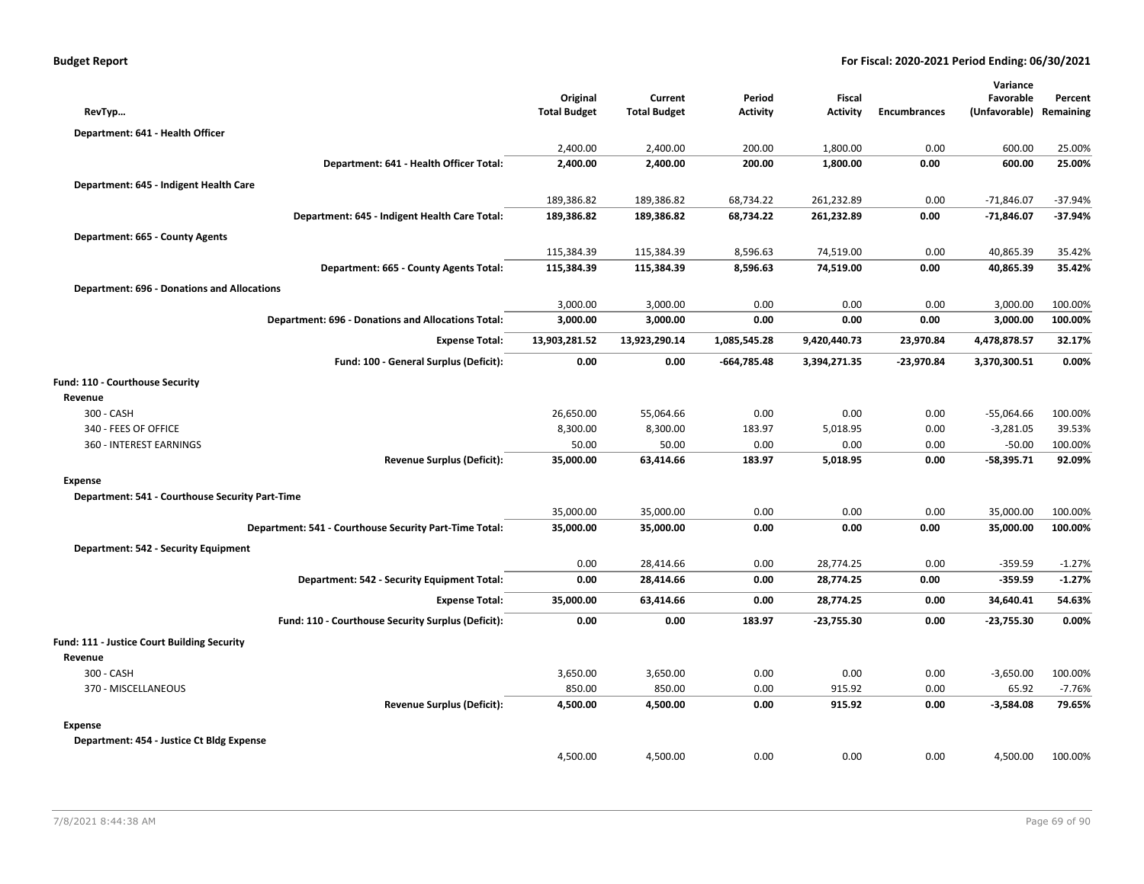|                                                    |                                                        |                     |                     |                 |                 |                     | Variance      |           |
|----------------------------------------------------|--------------------------------------------------------|---------------------|---------------------|-----------------|-----------------|---------------------|---------------|-----------|
|                                                    |                                                        | Original            | Current             | Period          | Fiscal          |                     | Favorable     | Percent   |
| RevTyp                                             |                                                        | <b>Total Budget</b> | <b>Total Budget</b> | <b>Activity</b> | <b>Activity</b> | <b>Encumbrances</b> | (Unfavorable) | Remaining |
| Department: 641 - Health Officer                   |                                                        |                     |                     |                 |                 |                     |               |           |
|                                                    |                                                        | 2,400.00            | 2,400.00            | 200.00          | 1,800.00        | 0.00                | 600.00        | 25.00%    |
|                                                    | Department: 641 - Health Officer Total:                | 2,400.00            | 2,400.00            | 200.00          | 1,800.00        | 0.00                | 600.00        | 25.00%    |
| Department: 645 - Indigent Health Care             |                                                        |                     |                     |                 |                 |                     |               |           |
|                                                    |                                                        | 189,386.82          | 189,386.82          | 68,734.22       | 261,232.89      | 0.00                | $-71,846.07$  | $-37.94%$ |
|                                                    | Department: 645 - Indigent Health Care Total:          | 189,386.82          | 189,386.82          | 68,734.22       | 261,232.89      | 0.00                | $-71,846.07$  | -37.94%   |
| Department: 665 - County Agents                    |                                                        |                     |                     |                 |                 |                     |               |           |
|                                                    |                                                        | 115,384.39          | 115,384.39          | 8,596.63        | 74,519.00       | 0.00                | 40,865.39     | 35.42%    |
|                                                    | Department: 665 - County Agents Total:                 | 115,384.39          | 115,384.39          | 8,596.63        | 74,519.00       | 0.00                | 40,865.39     | 35.42%    |
| <b>Department: 696 - Donations and Allocations</b> |                                                        |                     |                     |                 |                 |                     |               |           |
|                                                    |                                                        | 3,000.00            | 3,000.00            | 0.00            | 0.00            | 0.00                | 3,000.00      | 100.00%   |
|                                                    | Department: 696 - Donations and Allocations Total:     | 3,000.00            | 3,000.00            | 0.00            | 0.00            | 0.00                | 3,000.00      | 100.00%   |
|                                                    | <b>Expense Total:</b>                                  | 13,903,281.52       | 13,923,290.14       | 1,085,545.28    | 9,420,440.73    | 23,970.84           | 4,478,878.57  | 32.17%    |
|                                                    |                                                        |                     |                     |                 |                 |                     |               |           |
|                                                    | Fund: 100 - General Surplus (Deficit):                 | 0.00                | 0.00                | $-664,785.48$   | 3,394,271.35    | $-23,970.84$        | 3,370,300.51  | 0.00%     |
| Fund: 110 - Courthouse Security                    |                                                        |                     |                     |                 |                 |                     |               |           |
| Revenue                                            |                                                        |                     |                     |                 |                 |                     |               |           |
| 300 - CASH                                         |                                                        | 26,650.00           | 55,064.66           | 0.00            | 0.00            | 0.00                | $-55,064.66$  | 100.00%   |
| 340 - FEES OF OFFICE                               |                                                        | 8,300.00            | 8,300.00            | 183.97          | 5,018.95        | 0.00                | $-3,281.05$   | 39.53%    |
| 360 - INTEREST EARNINGS                            |                                                        | 50.00               | 50.00               | 0.00            | 0.00            | 0.00                | $-50.00$      | 100.00%   |
|                                                    | <b>Revenue Surplus (Deficit):</b>                      | 35,000.00           | 63,414.66           | 183.97          | 5,018.95        | 0.00                | $-58,395.71$  | 92.09%    |
| <b>Expense</b>                                     |                                                        |                     |                     |                 |                 |                     |               |           |
| Department: 541 - Courthouse Security Part-Time    |                                                        |                     |                     |                 |                 |                     |               |           |
|                                                    |                                                        | 35,000.00           | 35,000.00           | 0.00            | 0.00            | 0.00                | 35,000.00     | 100.00%   |
|                                                    | Department: 541 - Courthouse Security Part-Time Total: | 35,000.00           | 35,000.00           | 0.00            | 0.00            | 0.00                | 35,000.00     | 100.00%   |
| Department: 542 - Security Equipment               |                                                        |                     |                     |                 |                 |                     |               |           |
|                                                    |                                                        | 0.00                | 28,414.66           | 0.00            | 28,774.25       | 0.00                | $-359.59$     | $-1.27%$  |
|                                                    | Department: 542 - Security Equipment Total:            | 0.00                | 28,414.66           | 0.00            | 28,774.25       | 0.00                | $-359.59$     | $-1.27%$  |
|                                                    | <b>Expense Total:</b>                                  | 35,000.00           | 63,414.66           | 0.00            | 28,774.25       | 0.00                | 34,640.41     | 54.63%    |
|                                                    | Fund: 110 - Courthouse Security Surplus (Deficit):     | 0.00                | 0.00                | 183.97          | $-23,755.30$    | 0.00                | $-23,755.30$  | 0.00%     |
| Fund: 111 - Justice Court Building Security        |                                                        |                     |                     |                 |                 |                     |               |           |
| Revenue                                            |                                                        |                     |                     |                 |                 |                     |               |           |
| 300 - CASH                                         |                                                        | 3,650.00            | 3,650.00            | 0.00            | 0.00            | 0.00                | $-3,650.00$   | 100.00%   |
| 370 - MISCELLANEOUS                                |                                                        | 850.00              | 850.00              | 0.00            | 915.92          | 0.00                | 65.92         | $-7.76%$  |
|                                                    | <b>Revenue Surplus (Deficit):</b>                      | 4,500.00            | 4,500.00            | 0.00            | 915.92          | 0.00                | $-3,584.08$   | 79.65%    |
| <b>Expense</b>                                     |                                                        |                     |                     |                 |                 |                     |               |           |
| Department: 454 - Justice Ct Bldg Expense          |                                                        |                     |                     |                 |                 |                     |               |           |
|                                                    |                                                        | 4,500.00            | 4,500.00            | 0.00            | 0.00            | 0.00                | 4,500.00      | 100.00%   |
|                                                    |                                                        |                     |                     |                 |                 |                     |               |           |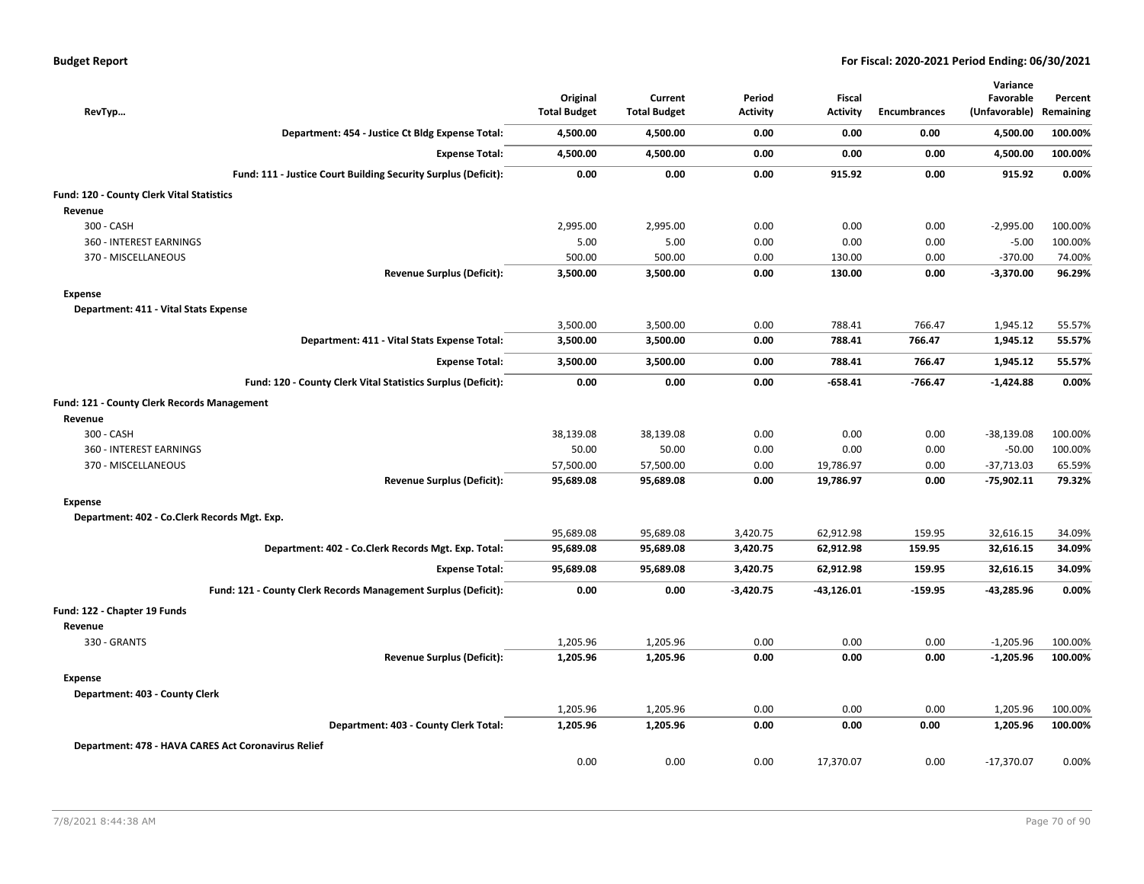| RevTyp                                              |                                                                | Original<br><b>Total Budget</b> | Current<br><b>Total Budget</b> | Period<br><b>Activity</b> | <b>Fiscal</b><br><b>Activity</b> | <b>Encumbrances</b> | Variance<br>Favorable<br>(Unfavorable) | Percent<br>Remaining |
|-----------------------------------------------------|----------------------------------------------------------------|---------------------------------|--------------------------------|---------------------------|----------------------------------|---------------------|----------------------------------------|----------------------|
|                                                     | Department: 454 - Justice Ct Bldg Expense Total:               | 4,500.00                        | 4,500.00                       | 0.00                      | 0.00                             | 0.00                | 4,500.00                               | 100.00%              |
|                                                     | <b>Expense Total:</b>                                          | 4,500.00                        | 4,500.00                       | 0.00                      | 0.00                             | 0.00                | 4,500.00                               | 100.00%              |
|                                                     | Fund: 111 - Justice Court Building Security Surplus (Deficit): | 0.00                            | 0.00                           | 0.00                      | 915.92                           | 0.00                | 915.92                                 | 0.00%                |
| Fund: 120 - County Clerk Vital Statistics           |                                                                |                                 |                                |                           |                                  |                     |                                        |                      |
| Revenue                                             |                                                                |                                 |                                |                           |                                  |                     |                                        |                      |
| 300 - CASH                                          |                                                                | 2,995.00                        | 2,995.00                       | 0.00                      | 0.00                             | 0.00                | $-2,995.00$                            | 100.00%              |
| 360 - INTEREST EARNINGS                             |                                                                | 5.00                            | 5.00                           | 0.00                      | 0.00                             | 0.00                | $-5.00$                                | 100.00%              |
| 370 - MISCELLANEOUS                                 |                                                                | 500.00                          | 500.00                         | 0.00                      | 130.00                           | 0.00                | $-370.00$                              | 74.00%               |
|                                                     | <b>Revenue Surplus (Deficit):</b>                              | 3,500.00                        | 3,500.00                       | 0.00                      | 130.00                           | 0.00                | $-3,370.00$                            | 96.29%               |
| <b>Expense</b>                                      |                                                                |                                 |                                |                           |                                  |                     |                                        |                      |
| Department: 411 - Vital Stats Expense               |                                                                |                                 |                                |                           |                                  |                     |                                        |                      |
|                                                     |                                                                | 3,500.00                        | 3,500.00                       | 0.00                      | 788.41                           | 766.47              | 1,945.12                               | 55.57%               |
|                                                     | Department: 411 - Vital Stats Expense Total:                   | 3,500.00                        | 3,500.00                       | 0.00                      | 788.41                           | 766.47              | 1,945.12                               | 55.57%               |
|                                                     | <b>Expense Total:</b>                                          | 3,500.00                        | 3,500.00                       | 0.00                      | 788.41                           | 766.47              | 1,945.12                               | 55.57%               |
|                                                     | Fund: 120 - County Clerk Vital Statistics Surplus (Deficit):   | 0.00                            | 0.00                           | 0.00                      | $-658.41$                        | $-766.47$           | $-1,424.88$                            | 0.00%                |
| <b>Fund: 121 - County Clerk Records Management</b>  |                                                                |                                 |                                |                           |                                  |                     |                                        |                      |
| Revenue                                             |                                                                |                                 |                                |                           |                                  |                     |                                        |                      |
| 300 - CASH                                          |                                                                | 38,139.08                       | 38,139.08                      | 0.00                      | 0.00                             | 0.00                | $-38,139.08$                           | 100.00%              |
| 360 - INTEREST EARNINGS                             |                                                                | 50.00                           | 50.00                          | 0.00                      | 0.00                             | 0.00                | $-50.00$                               | 100.00%              |
| 370 - MISCELLANEOUS                                 |                                                                | 57,500.00                       | 57,500.00                      | 0.00                      | 19,786.97                        | 0.00                | $-37,713.03$                           | 65.59%               |
|                                                     | <b>Revenue Surplus (Deficit):</b>                              | 95,689.08                       | 95,689.08                      | 0.00                      | 19,786.97                        | 0.00                | $-75,902.11$                           | 79.32%               |
| <b>Expense</b>                                      |                                                                |                                 |                                |                           |                                  |                     |                                        |                      |
| Department: 402 - Co.Clerk Records Mgt. Exp.        |                                                                |                                 |                                |                           |                                  |                     |                                        |                      |
|                                                     |                                                                | 95,689.08                       | 95,689.08                      | 3,420.75                  | 62,912.98                        | 159.95              | 32,616.15                              | 34.09%               |
|                                                     | Department: 402 - Co.Clerk Records Mgt. Exp. Total:            | 95,689.08                       | 95,689.08                      | 3,420.75                  | 62,912.98                        | 159.95              | 32,616.15                              | 34.09%               |
|                                                     | <b>Expense Total:</b>                                          | 95,689.08                       | 95,689.08                      | 3,420.75                  | 62,912.98                        | 159.95              | 32,616.15                              | 34.09%               |
|                                                     | Fund: 121 - County Clerk Records Management Surplus (Deficit): | 0.00                            | 0.00                           | $-3,420.75$               | $-43,126.01$                     | $-159.95$           | -43,285.96                             | 0.00%                |
| Fund: 122 - Chapter 19 Funds                        |                                                                |                                 |                                |                           |                                  |                     |                                        |                      |
| Revenue                                             |                                                                |                                 |                                |                           |                                  |                     |                                        |                      |
| 330 - GRANTS                                        |                                                                | 1,205.96                        | 1,205.96                       | 0.00                      | 0.00                             | 0.00                | $-1,205.96$                            | 100.00%              |
|                                                     | <b>Revenue Surplus (Deficit):</b>                              | 1,205.96                        | 1,205.96                       | 0.00                      | 0.00                             | 0.00                | $-1,205.96$                            | 100.00%              |
| <b>Expense</b>                                      |                                                                |                                 |                                |                           |                                  |                     |                                        |                      |
| Department: 403 - County Clerk                      |                                                                |                                 |                                |                           |                                  |                     |                                        |                      |
|                                                     |                                                                | 1,205.96                        | 1,205.96                       | 0.00                      | 0.00                             | 0.00                | 1,205.96                               | 100.00%              |
|                                                     | Department: 403 - County Clerk Total:                          | 1,205.96                        | 1,205.96                       | 0.00                      | 0.00                             | 0.00                | 1,205.96                               | 100.00%              |
| Department: 478 - HAVA CARES Act Coronavirus Relief |                                                                |                                 |                                |                           |                                  |                     |                                        |                      |
|                                                     |                                                                | 0.00                            | 0.00                           | 0.00                      | 17,370.07                        | 0.00                | $-17,370.07$                           | 0.00%                |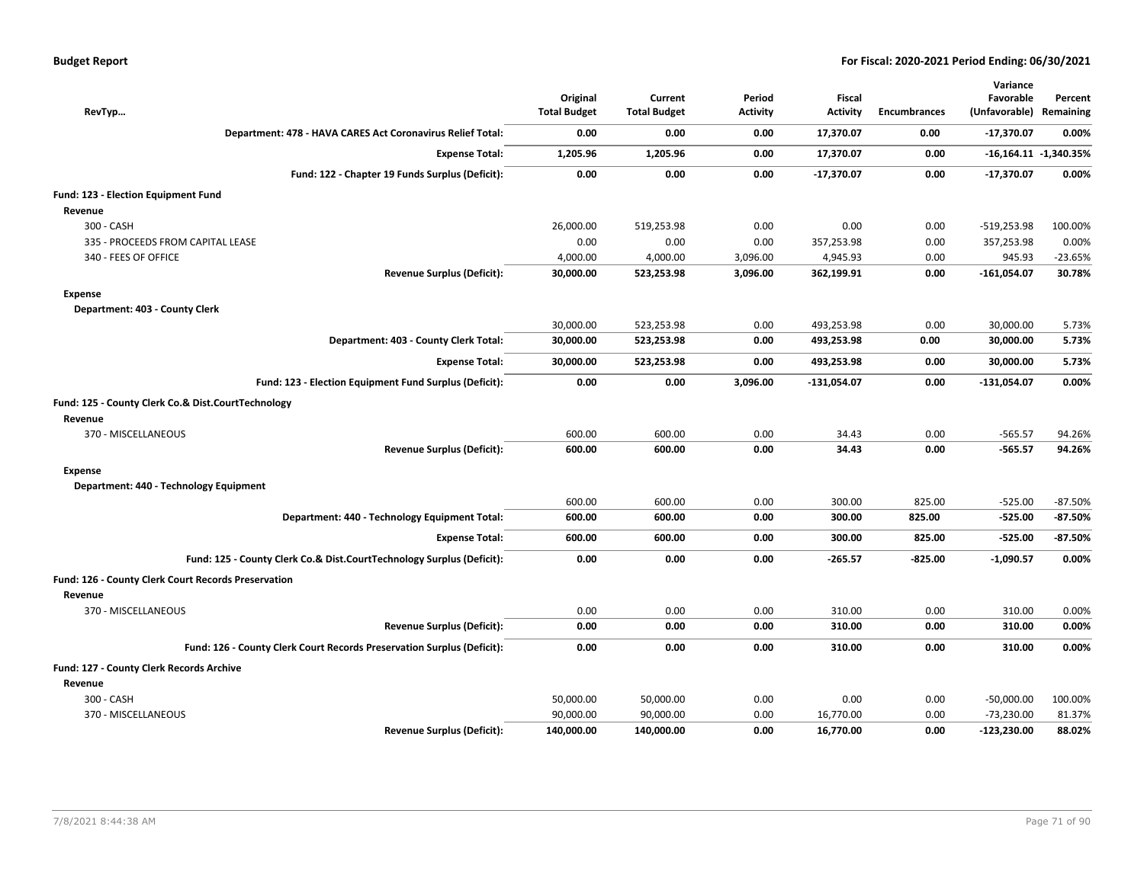| RevTyp                                                                 | Original<br><b>Total Budget</b> | Current<br><b>Total Budget</b> | Period<br><b>Activity</b> | Fiscal<br><b>Activity</b> | Encumbrances | Variance<br>Favorable<br>(Unfavorable) Remaining | Percent                   |
|------------------------------------------------------------------------|---------------------------------|--------------------------------|---------------------------|---------------------------|--------------|--------------------------------------------------|---------------------------|
| Department: 478 - HAVA CARES Act Coronavirus Relief Total:             | 0.00                            | 0.00                           | 0.00                      | 17,370.07                 | 0.00         | -17,370.07                                       | 0.00%                     |
| <b>Expense Total:</b>                                                  | 1,205.96                        | 1,205.96                       | 0.00                      | 17,370.07                 | 0.00         |                                                  | $-16,164.11$ $-1,340.35%$ |
| Fund: 122 - Chapter 19 Funds Surplus (Deficit):                        | 0.00                            | 0.00                           | 0.00                      | $-17,370.07$              | 0.00         | $-17,370.07$                                     | 0.00%                     |
| Fund: 123 - Election Equipment Fund                                    |                                 |                                |                           |                           |              |                                                  |                           |
| Revenue                                                                |                                 |                                |                           |                           |              |                                                  |                           |
| 300 - CASH                                                             | 26,000.00                       | 519,253.98                     | 0.00                      | 0.00                      | 0.00         | $-519,253.98$                                    | 100.00%                   |
| 335 - PROCEEDS FROM CAPITAL LEASE                                      | 0.00                            | 0.00                           | 0.00                      | 357,253.98                | 0.00         | 357,253.98                                       | 0.00%                     |
| 340 - FEES OF OFFICE                                                   | 4,000.00                        | 4,000.00                       | 3,096.00                  | 4,945.93                  | 0.00         | 945.93                                           | $-23.65%$                 |
| <b>Revenue Surplus (Deficit):</b>                                      | 30,000.00                       | 523,253.98                     | 3,096.00                  | 362,199.91                | 0.00         | $-161,054.07$                                    | 30.78%                    |
| Expense                                                                |                                 |                                |                           |                           |              |                                                  |                           |
| Department: 403 - County Clerk                                         |                                 |                                |                           |                           |              |                                                  |                           |
|                                                                        | 30,000.00                       | 523,253.98                     | 0.00                      | 493,253.98                | 0.00         | 30,000.00                                        | 5.73%                     |
| Department: 403 - County Clerk Total:                                  | 30,000.00                       | 523,253.98                     | 0.00                      | 493,253.98                | 0.00         | 30,000.00                                        | 5.73%                     |
| <b>Expense Total:</b>                                                  | 30,000.00                       | 523,253.98                     | 0.00                      | 493,253.98                | 0.00         | 30,000.00                                        | 5.73%                     |
| Fund: 123 - Election Equipment Fund Surplus (Deficit):                 | 0.00                            | 0.00                           | 3,096.00                  | $-131,054.07$             | 0.00         | $-131,054.07$                                    | 0.00%                     |
| Fund: 125 - County Clerk Co.& Dist.CourtTechnology                     |                                 |                                |                           |                           |              |                                                  |                           |
| Revenue                                                                |                                 |                                |                           |                           |              |                                                  |                           |
| 370 - MISCELLANEOUS                                                    | 600.00                          | 600.00                         | 0.00                      | 34.43                     | 0.00         | $-565.57$                                        | 94.26%                    |
| <b>Revenue Surplus (Deficit):</b>                                      | 600.00                          | 600.00                         | 0.00                      | 34.43                     | 0.00         | $-565.57$                                        | 94.26%                    |
| <b>Expense</b>                                                         |                                 |                                |                           |                           |              |                                                  |                           |
|                                                                        |                                 |                                |                           |                           |              |                                                  |                           |
| Department: 440 - Technology Equipment                                 |                                 |                                |                           |                           |              |                                                  |                           |
|                                                                        | 600.00                          | 600.00                         | 0.00                      | 300.00                    | 825.00       | $-525.00$                                        | $-87.50%$                 |
| Department: 440 - Technology Equipment Total:                          | 600.00                          | 600.00                         | 0.00                      | 300.00                    | 825.00       | $-525.00$                                        | $-87.50%$                 |
| <b>Expense Total:</b>                                                  | 600.00                          | 600.00                         | 0.00                      | 300.00                    | 825.00       | $-525.00$                                        | $-87.50\%$                |
| Fund: 125 - County Clerk Co.& Dist.CourtTechnology Surplus (Deficit):  | 0.00                            | 0.00                           | 0.00                      | $-265.57$                 | $-825.00$    | -1,090.57                                        | 0.00%                     |
| Fund: 126 - County Clerk Court Records Preservation                    |                                 |                                |                           |                           |              |                                                  |                           |
| Revenue                                                                |                                 |                                |                           |                           |              |                                                  |                           |
| 370 - MISCELLANEOUS                                                    | 0.00                            | 0.00                           | 0.00                      | 310.00                    | 0.00         | 310.00                                           | 0.00%                     |
| <b>Revenue Surplus (Deficit):</b>                                      | 0.00                            | 0.00                           | 0.00                      | 310.00                    | 0.00         | 310.00                                           | 0.00%                     |
| Fund: 126 - County Clerk Court Records Preservation Surplus (Deficit): | 0.00                            | 0.00                           | 0.00                      | 310.00                    | 0.00         | 310.00                                           | 0.00%                     |
| Fund: 127 - County Clerk Records Archive                               |                                 |                                |                           |                           |              |                                                  |                           |
| Revenue                                                                |                                 |                                |                           |                           |              |                                                  |                           |
| 300 - CASH                                                             | 50,000.00                       | 50,000.00                      | 0.00                      | 0.00                      | 0.00         | $-50,000.00$                                     | 100.00%                   |
| 370 - MISCELLANEOUS                                                    | 90,000.00                       | 90,000.00                      | 0.00                      | 16,770.00                 | 0.00         | $-73,230.00$                                     | 81.37%                    |
| <b>Revenue Surplus (Deficit):</b>                                      | 140,000.00                      | 140,000.00                     | 0.00                      | 16,770.00                 | 0.00         | $-123,230.00$                                    | 88.02%                    |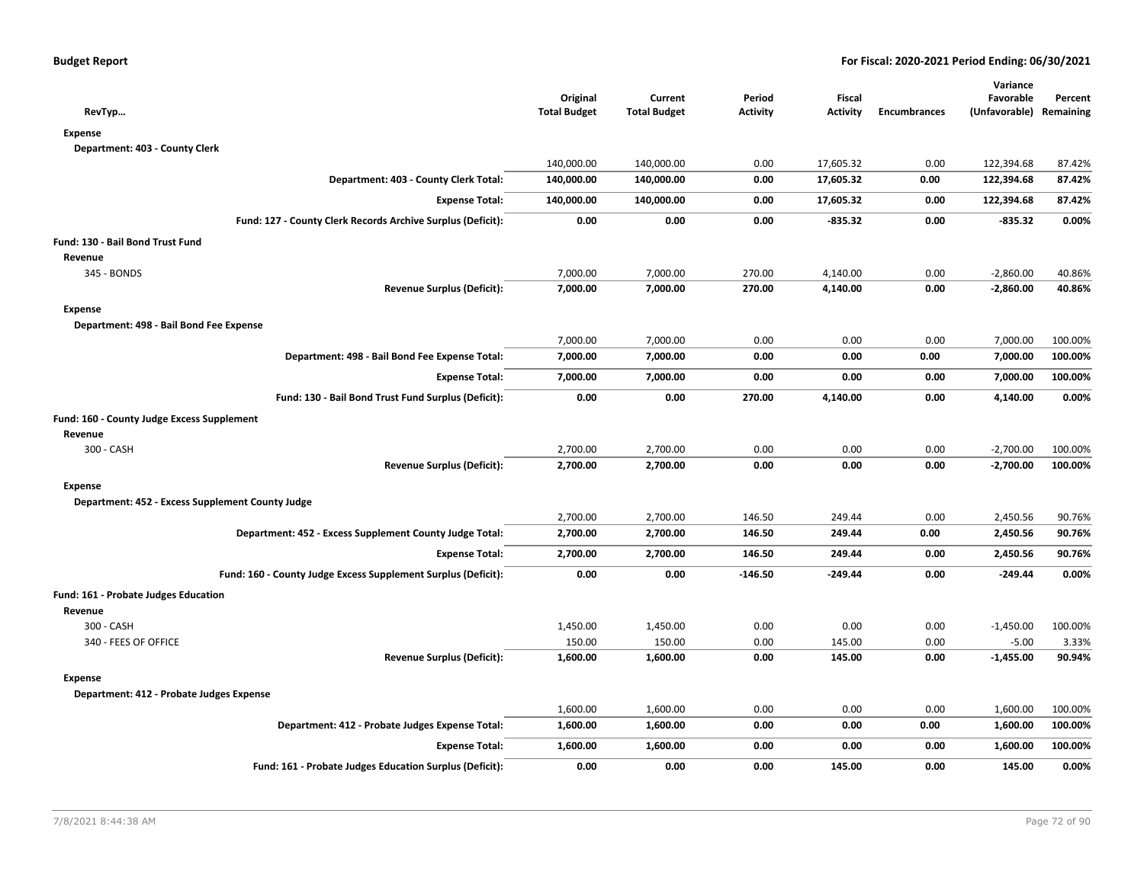| RevTyp                                                        | Original<br><b>Total Budget</b> | Current<br><b>Total Budget</b> | Period<br><b>Activity</b> | Fiscal<br><b>Activity</b> | <b>Encumbrances</b> | Variance<br>Favorable<br>(Unfavorable) Remaining | Percent |
|---------------------------------------------------------------|---------------------------------|--------------------------------|---------------------------|---------------------------|---------------------|--------------------------------------------------|---------|
| <b>Expense</b>                                                |                                 |                                |                           |                           |                     |                                                  |         |
| Department: 403 - County Clerk                                |                                 |                                |                           |                           |                     |                                                  |         |
|                                                               | 140,000.00                      | 140,000.00                     | 0.00                      | 17,605.32                 | 0.00                | 122,394.68                                       | 87.42%  |
| Department: 403 - County Clerk Total:                         | 140,000.00                      | 140,000.00                     | 0.00                      | 17,605.32                 | 0.00                | 122,394.68                                       | 87.42%  |
| <b>Expense Total:</b>                                         | 140,000.00                      | 140,000.00                     | 0.00                      | 17,605.32                 | 0.00                | 122,394.68                                       | 87.42%  |
| Fund: 127 - County Clerk Records Archive Surplus (Deficit):   | 0.00                            | 0.00                           | 0.00                      | $-835.32$                 | 0.00                | $-835.32$                                        | 0.00%   |
| Fund: 130 - Bail Bond Trust Fund                              |                                 |                                |                           |                           |                     |                                                  |         |
| Revenue                                                       |                                 |                                |                           |                           |                     |                                                  |         |
| 345 - BONDS                                                   | 7,000.00                        | 7,000.00                       | 270.00                    | 4,140.00                  | 0.00                | $-2,860.00$                                      | 40.86%  |
| <b>Revenue Surplus (Deficit):</b>                             | 7,000.00                        | 7,000.00                       | 270.00                    | 4,140.00                  | 0.00                | $-2,860.00$                                      | 40.86%  |
| <b>Expense</b>                                                |                                 |                                |                           |                           |                     |                                                  |         |
| Department: 498 - Bail Bond Fee Expense                       |                                 |                                |                           |                           |                     |                                                  |         |
|                                                               | 7,000.00                        | 7,000.00                       | 0.00                      | 0.00                      | 0.00                | 7,000.00                                         | 100.00% |
| Department: 498 - Bail Bond Fee Expense Total:                | 7,000.00                        | 7,000.00                       | 0.00                      | 0.00                      | 0.00                | 7,000.00                                         | 100.00% |
| <b>Expense Total:</b>                                         | 7,000.00                        | 7,000.00                       | 0.00                      | 0.00                      | 0.00                | 7,000.00                                         | 100.00% |
| Fund: 130 - Bail Bond Trust Fund Surplus (Deficit):           | 0.00                            | 0.00                           | 270.00                    | 4,140.00                  | 0.00                | 4,140.00                                         | 0.00%   |
| Fund: 160 - County Judge Excess Supplement                    |                                 |                                |                           |                           |                     |                                                  |         |
| Revenue                                                       |                                 |                                |                           |                           |                     |                                                  |         |
| 300 - CASH                                                    | 2,700.00                        | 2,700.00                       | 0.00                      | 0.00                      | 0.00                | $-2,700.00$                                      | 100.00% |
| <b>Revenue Surplus (Deficit):</b>                             | 2,700.00                        | 2,700.00                       | 0.00                      | 0.00                      | 0.00                | $-2,700.00$                                      | 100.00% |
| <b>Expense</b>                                                |                                 |                                |                           |                           |                     |                                                  |         |
| Department: 452 - Excess Supplement County Judge              |                                 |                                |                           |                           |                     |                                                  |         |
|                                                               | 2,700.00                        | 2,700.00                       | 146.50                    | 249.44                    | 0.00                | 2,450.56                                         | 90.76%  |
| Department: 452 - Excess Supplement County Judge Total:       | 2,700.00                        | 2,700.00                       | 146.50                    | 249.44                    | 0.00                | 2,450.56                                         | 90.76%  |
| <b>Expense Total:</b>                                         | 2,700.00                        | 2,700.00                       | 146.50                    | 249.44                    | 0.00                | 2,450.56                                         | 90.76%  |
| Fund: 160 - County Judge Excess Supplement Surplus (Deficit): | 0.00                            | 0.00                           | $-146.50$                 | -249.44                   | 0.00                | $-249.44$                                        | 0.00%   |
| <b>Fund: 161 - Probate Judges Education</b>                   |                                 |                                |                           |                           |                     |                                                  |         |
| Revenue                                                       |                                 |                                |                           |                           |                     |                                                  |         |
| 300 - CASH                                                    | 1,450.00                        | 1,450.00                       | 0.00                      | 0.00                      | 0.00                | $-1,450.00$                                      | 100.00% |
| 340 - FEES OF OFFICE                                          | 150.00                          | 150.00                         | 0.00                      | 145.00                    | 0.00                | $-5.00$                                          | 3.33%   |
| <b>Revenue Surplus (Deficit):</b>                             | 1,600.00                        | 1,600.00                       | 0.00                      | 145.00                    | 0.00                | $-1,455.00$                                      | 90.94%  |
| <b>Expense</b>                                                |                                 |                                |                           |                           |                     |                                                  |         |
| Department: 412 - Probate Judges Expense                      |                                 |                                |                           |                           |                     |                                                  |         |
|                                                               | 1,600.00                        | 1,600.00                       | 0.00                      | 0.00                      | 0.00                | 1,600.00                                         | 100.00% |
| Department: 412 - Probate Judges Expense Total:               | 1,600.00                        | 1,600.00                       | 0.00                      | 0.00                      | 0.00                | 1,600.00                                         | 100.00% |
| <b>Expense Total:</b>                                         | 1,600.00                        | 1,600.00                       | 0.00                      | 0.00                      | 0.00                | 1,600.00                                         | 100.00% |
| Fund: 161 - Probate Judges Education Surplus (Deficit):       | 0.00                            | 0.00                           | 0.00                      | 145.00                    | 0.00                | 145.00                                           | 0.00%   |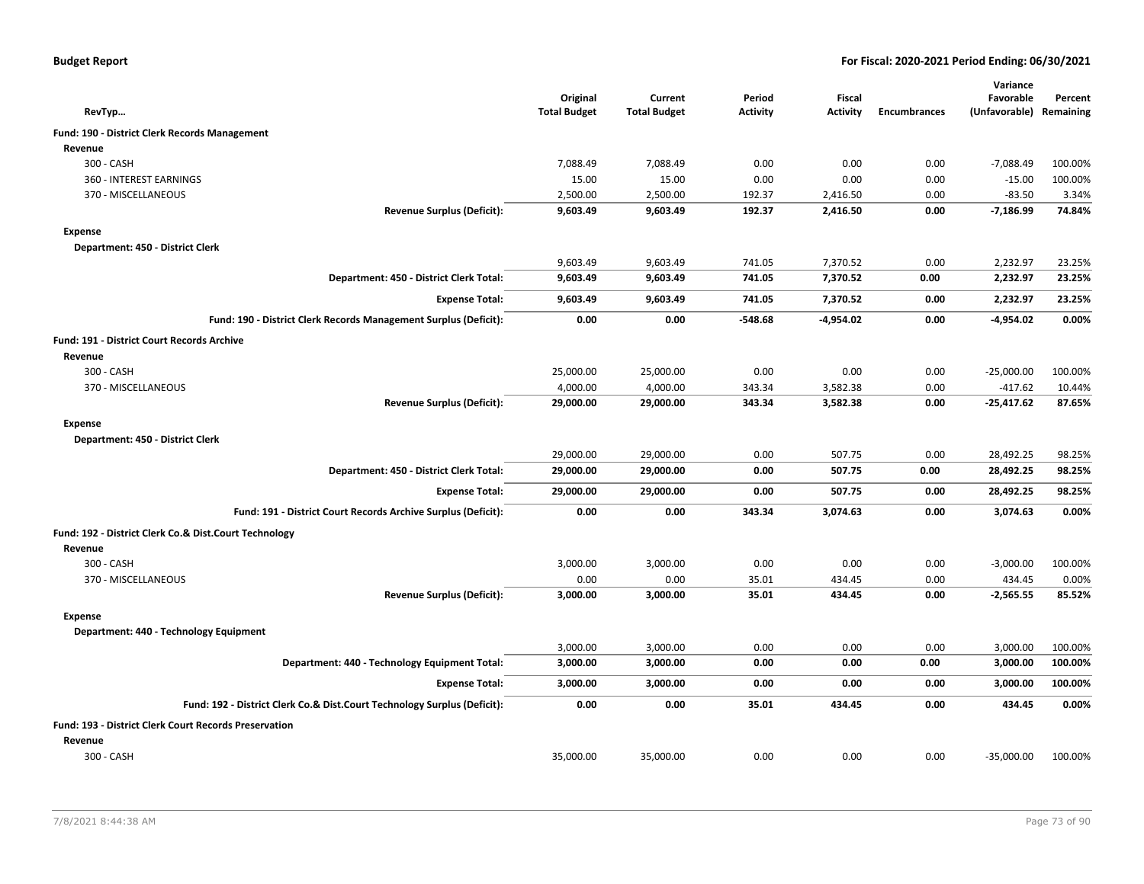| <b>Budget Report</b> |  |
|----------------------|--|
|----------------------|--|

| RevTyp                                                                   | Original<br><b>Total Budget</b> | Current<br><b>Total Budget</b> | Period<br><b>Activity</b> | Fiscal<br><b>Activity</b> | <b>Encumbrances</b> | Variance<br>Favorable<br>(Unfavorable) Remaining | Percent |
|--------------------------------------------------------------------------|---------------------------------|--------------------------------|---------------------------|---------------------------|---------------------|--------------------------------------------------|---------|
| Fund: 190 - District Clerk Records Management                            |                                 |                                |                           |                           |                     |                                                  |         |
| Revenue                                                                  |                                 |                                |                           |                           |                     |                                                  |         |
| 300 - CASH                                                               | 7,088.49                        | 7,088.49                       | 0.00                      | 0.00                      | 0.00                | $-7,088.49$                                      | 100.00% |
| 360 - INTEREST EARNINGS                                                  | 15.00                           | 15.00                          | 0.00                      | 0.00                      | 0.00                | $-15.00$                                         | 100.00% |
| 370 - MISCELLANEOUS                                                      | 2,500.00                        | 2,500.00                       | 192.37                    | 2,416.50                  | 0.00                | $-83.50$                                         | 3.34%   |
| <b>Revenue Surplus (Deficit):</b>                                        | 9,603.49                        | 9,603.49                       | 192.37                    | 2,416.50                  | 0.00                | $-7,186.99$                                      | 74.84%  |
| <b>Expense</b>                                                           |                                 |                                |                           |                           |                     |                                                  |         |
| Department: 450 - District Clerk                                         |                                 |                                |                           |                           |                     |                                                  |         |
|                                                                          | 9,603.49                        | 9,603.49                       | 741.05                    | 7,370.52                  | 0.00                | 2,232.97                                         | 23.25%  |
| Department: 450 - District Clerk Total:                                  | 9,603.49                        | 9,603.49                       | 741.05                    | 7,370.52                  | 0.00                | 2,232.97                                         | 23.25%  |
| <b>Expense Total:</b>                                                    | 9,603.49                        | 9,603.49                       | 741.05                    | 7,370.52                  | 0.00                | 2,232.97                                         | 23.25%  |
| Fund: 190 - District Clerk Records Management Surplus (Deficit):         | 0.00                            | 0.00                           | $-548.68$                 | $-4,954.02$               | 0.00                | $-4,954.02$                                      | 0.00%   |
| <b>Fund: 191 - District Court Records Archive</b>                        |                                 |                                |                           |                           |                     |                                                  |         |
| Revenue                                                                  |                                 |                                |                           |                           |                     |                                                  |         |
| 300 - CASH                                                               | 25,000.00                       | 25,000.00                      | 0.00                      | 0.00                      | 0.00                | $-25,000.00$                                     | 100.00% |
| 370 - MISCELLANEOUS                                                      | 4,000.00                        | 4,000.00                       | 343.34                    | 3,582.38                  | 0.00                | $-417.62$                                        | 10.44%  |
| <b>Revenue Surplus (Deficit):</b>                                        | 29,000.00                       | 29,000.00                      | 343.34                    | 3,582.38                  | 0.00                | $-25,417.62$                                     | 87.65%  |
| <b>Expense</b>                                                           |                                 |                                |                           |                           |                     |                                                  |         |
| Department: 450 - District Clerk                                         |                                 |                                |                           |                           |                     |                                                  |         |
|                                                                          | 29,000.00                       | 29,000.00                      | 0.00                      | 507.75                    | 0.00                | 28,492.25                                        | 98.25%  |
| Department: 450 - District Clerk Total:                                  | 29,000.00                       | 29,000.00                      | 0.00                      | 507.75                    | 0.00                | 28,492.25                                        | 98.25%  |
| <b>Expense Total:</b>                                                    | 29,000.00                       | 29,000.00                      | 0.00                      | 507.75                    | 0.00                | 28,492.25                                        | 98.25%  |
| Fund: 191 - District Court Records Archive Surplus (Deficit):            | 0.00                            | 0.00                           | 343.34                    | 3,074.63                  | 0.00                | 3,074.63                                         | 0.00%   |
| Fund: 192 - District Clerk Co.& Dist.Court Technology                    |                                 |                                |                           |                           |                     |                                                  |         |
| Revenue                                                                  |                                 |                                |                           |                           |                     |                                                  |         |
| 300 - CASH                                                               | 3,000.00                        | 3,000.00                       | 0.00                      | 0.00                      | 0.00                | $-3,000.00$                                      | 100.00% |
| 370 - MISCELLANEOUS                                                      | 0.00                            | 0.00                           | 35.01                     | 434.45                    | 0.00                | 434.45                                           | 0.00%   |
| <b>Revenue Surplus (Deficit):</b>                                        | 3,000.00                        | 3,000.00                       | 35.01                     | 434.45                    | 0.00                | $-2,565.55$                                      | 85.52%  |
| Expense                                                                  |                                 |                                |                           |                           |                     |                                                  |         |
| Department: 440 - Technology Equipment                                   |                                 |                                |                           |                           |                     |                                                  |         |
|                                                                          | 3,000.00                        | 3,000.00                       | 0.00                      | 0.00                      | 0.00                | 3,000.00                                         | 100.00% |
| Department: 440 - Technology Equipment Total:                            | 3,000.00                        | 3,000.00                       | 0.00                      | 0.00                      | 0.00                | 3,000.00                                         | 100.00% |
| <b>Expense Total:</b>                                                    | 3,000.00                        | 3,000.00                       | 0.00                      | 0.00                      | 0.00                | 3,000.00                                         | 100.00% |
| Fund: 192 - District Clerk Co.& Dist.Court Technology Surplus (Deficit): | 0.00                            | 0.00                           | 35.01                     | 434.45                    | 0.00                | 434.45                                           | 0.00%   |
| <b>Fund: 193 - District Clerk Court Records Preservation</b>             |                                 |                                |                           |                           |                     |                                                  |         |
| Revenue                                                                  |                                 |                                |                           |                           |                     |                                                  |         |
| 300 - CASH                                                               | 35,000.00                       | 35,000.00                      | 0.00                      | 0.00                      | 0.00                | $-35,000.00$                                     | 100.00% |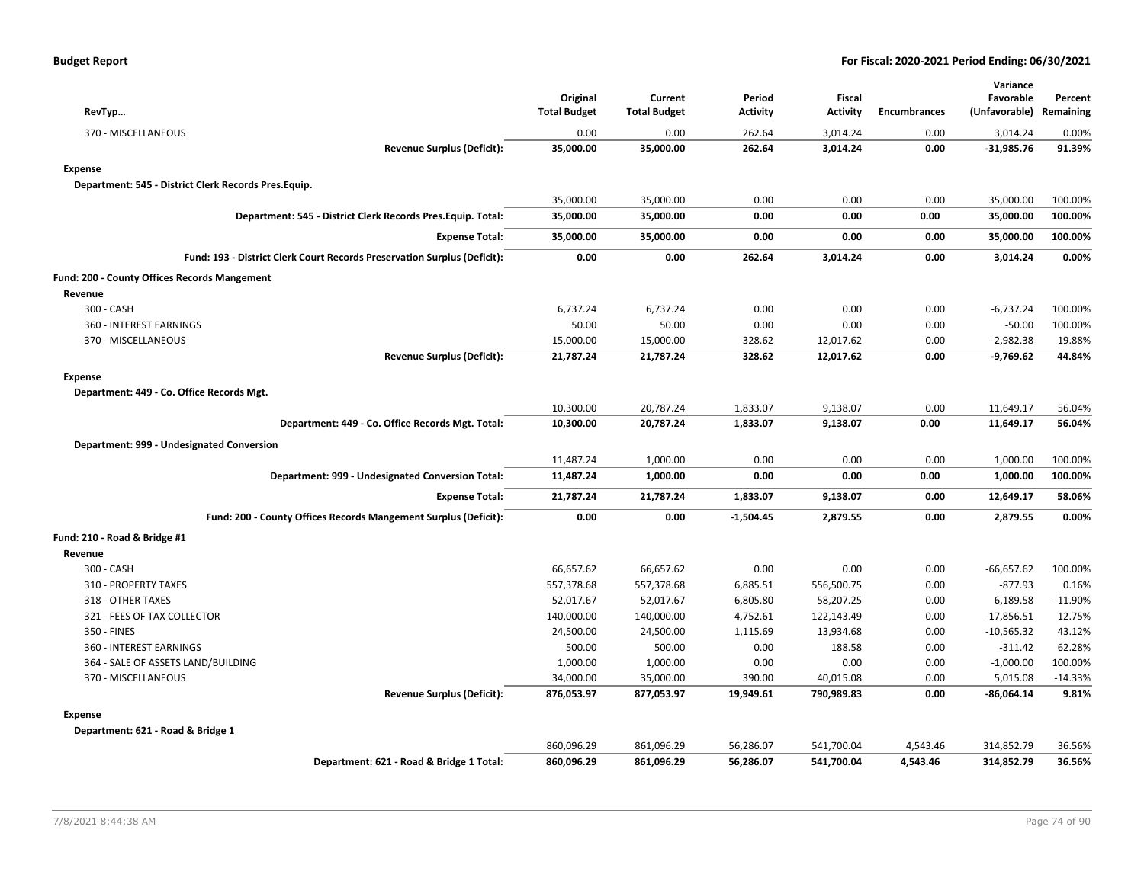| RevTyp                                                                   | Original<br><b>Total Budget</b> | Current<br><b>Total Budget</b> | Period<br><b>Activity</b> | <b>Fiscal</b><br><b>Activity</b> | <b>Encumbrances</b> | Variance<br>Favorable<br>(Unfavorable) Remaining | Percent   |
|--------------------------------------------------------------------------|---------------------------------|--------------------------------|---------------------------|----------------------------------|---------------------|--------------------------------------------------|-----------|
| 370 - MISCELLANEOUS                                                      | 0.00                            | 0.00                           | 262.64                    | 3,014.24                         | 0.00                | 3,014.24                                         | 0.00%     |
| <b>Revenue Surplus (Deficit):</b>                                        | 35,000.00                       | 35,000.00                      | 262.64                    | 3,014.24                         | 0.00                | $-31,985.76$                                     | 91.39%    |
| <b>Expense</b>                                                           |                                 |                                |                           |                                  |                     |                                                  |           |
| Department: 545 - District Clerk Records Pres.Equip.                     |                                 |                                |                           |                                  |                     |                                                  |           |
|                                                                          | 35,000.00                       | 35,000.00                      | 0.00                      | 0.00                             | 0.00                | 35,000.00                                        | 100.00%   |
| Department: 545 - District Clerk Records Pres. Equip. Total:             | 35,000.00                       | 35,000.00                      | 0.00                      | 0.00                             | 0.00                | 35,000.00                                        | 100.00%   |
| <b>Expense Total:</b>                                                    | 35,000.00                       | 35,000.00                      | 0.00                      | 0.00                             | 0.00                | 35,000.00                                        | 100.00%   |
| Fund: 193 - District Clerk Court Records Preservation Surplus (Deficit): | 0.00                            | 0.00                           | 262.64                    | 3,014.24                         | 0.00                | 3,014.24                                         | 0.00%     |
| Fund: 200 - County Offices Records Mangement                             |                                 |                                |                           |                                  |                     |                                                  |           |
| Revenue                                                                  |                                 |                                |                           |                                  |                     |                                                  |           |
| 300 - CASH                                                               | 6,737.24                        | 6,737.24                       | 0.00                      | 0.00                             | 0.00                | $-6,737.24$                                      | 100.00%   |
| 360 - INTEREST EARNINGS                                                  | 50.00                           | 50.00                          | 0.00                      | 0.00                             | 0.00                | $-50.00$                                         | 100.00%   |
| 370 - MISCELLANEOUS                                                      | 15,000.00                       | 15,000.00                      | 328.62                    | 12,017.62                        | 0.00                | $-2,982.38$                                      | 19.88%    |
| <b>Revenue Surplus (Deficit):</b>                                        | 21,787.24                       | 21,787.24                      | 328.62                    | 12,017.62                        | 0.00                | -9,769.62                                        | 44.84%    |
| <b>Expense</b>                                                           |                                 |                                |                           |                                  |                     |                                                  |           |
| Department: 449 - Co. Office Records Mgt.                                |                                 |                                |                           |                                  |                     |                                                  |           |
|                                                                          | 10,300.00                       | 20,787.24                      | 1,833.07                  | 9,138.07                         | 0.00                | 11,649.17                                        | 56.04%    |
| Department: 449 - Co. Office Records Mgt. Total:                         | 10,300.00                       | 20,787.24                      | 1,833.07                  | 9,138.07                         | 0.00                | 11,649.17                                        | 56.04%    |
| Department: 999 - Undesignated Conversion                                |                                 |                                |                           |                                  |                     |                                                  |           |
|                                                                          | 11,487.24                       | 1,000.00                       | 0.00                      | 0.00                             | 0.00                | 1,000.00                                         | 100.00%   |
| Department: 999 - Undesignated Conversion Total:                         | 11,487.24                       | 1,000.00                       | 0.00                      | 0.00                             | 0.00                | 1,000.00                                         | 100.00%   |
| <b>Expense Total:</b>                                                    | 21,787.24                       | 21,787.24                      | 1,833.07                  | 9,138.07                         | 0.00                | 12,649.17                                        | 58.06%    |
| Fund: 200 - County Offices Records Mangement Surplus (Deficit):          | 0.00                            | 0.00                           | $-1,504.45$               | 2,879.55                         | 0.00                | 2,879.55                                         | 0.00%     |
| Fund: 210 - Road & Bridge #1                                             |                                 |                                |                           |                                  |                     |                                                  |           |
| Revenue                                                                  |                                 |                                |                           |                                  |                     |                                                  |           |
| 300 - CASH                                                               | 66,657.62                       | 66,657.62                      | 0.00                      | 0.00                             | 0.00                | $-66,657.62$                                     | 100.00%   |
| 310 - PROPERTY TAXES                                                     | 557,378.68                      | 557,378.68                     | 6,885.51                  | 556,500.75                       | 0.00                | $-877.93$                                        | 0.16%     |
| 318 - OTHER TAXES                                                        | 52,017.67                       | 52,017.67                      | 6,805.80                  | 58,207.25                        | 0.00                | 6,189.58                                         | $-11.90%$ |
| 321 - FEES OF TAX COLLECTOR                                              | 140,000.00                      | 140,000.00                     | 4,752.61                  | 122,143.49                       | 0.00                | $-17,856.51$                                     | 12.75%    |
| 350 - FINES                                                              | 24,500.00                       | 24,500.00                      | 1,115.69                  | 13,934.68                        | 0.00                | $-10,565.32$                                     | 43.12%    |
| 360 - INTEREST EARNINGS                                                  | 500.00                          | 500.00                         | 0.00                      | 188.58                           | 0.00                | $-311.42$                                        | 62.28%    |
| 364 - SALE OF ASSETS LAND/BUILDING                                       | 1,000.00                        | 1,000.00                       | 0.00                      | 0.00                             | 0.00                | $-1,000.00$                                      | 100.00%   |
| 370 - MISCELLANEOUS                                                      | 34,000.00                       | 35,000.00                      | 390.00                    | 40,015.08                        | 0.00                | 5,015.08                                         | $-14.33%$ |
| <b>Revenue Surplus (Deficit):</b>                                        | 876,053.97                      | 877,053.97                     | 19,949.61                 | 790,989.83                       | 0.00                | $-86,064.14$                                     | 9.81%     |
| <b>Expense</b>                                                           |                                 |                                |                           |                                  |                     |                                                  |           |
| Department: 621 - Road & Bridge 1                                        |                                 |                                |                           |                                  |                     |                                                  |           |
|                                                                          | 860,096.29                      | 861,096.29                     | 56,286.07                 | 541,700.04                       | 4,543.46            | 314,852.79                                       | 36.56%    |
| Department: 621 - Road & Bridge 1 Total:                                 | 860,096.29                      | 861,096.29                     | 56,286.07                 | 541,700.04                       | 4,543.46            | 314,852.79                                       | 36.56%    |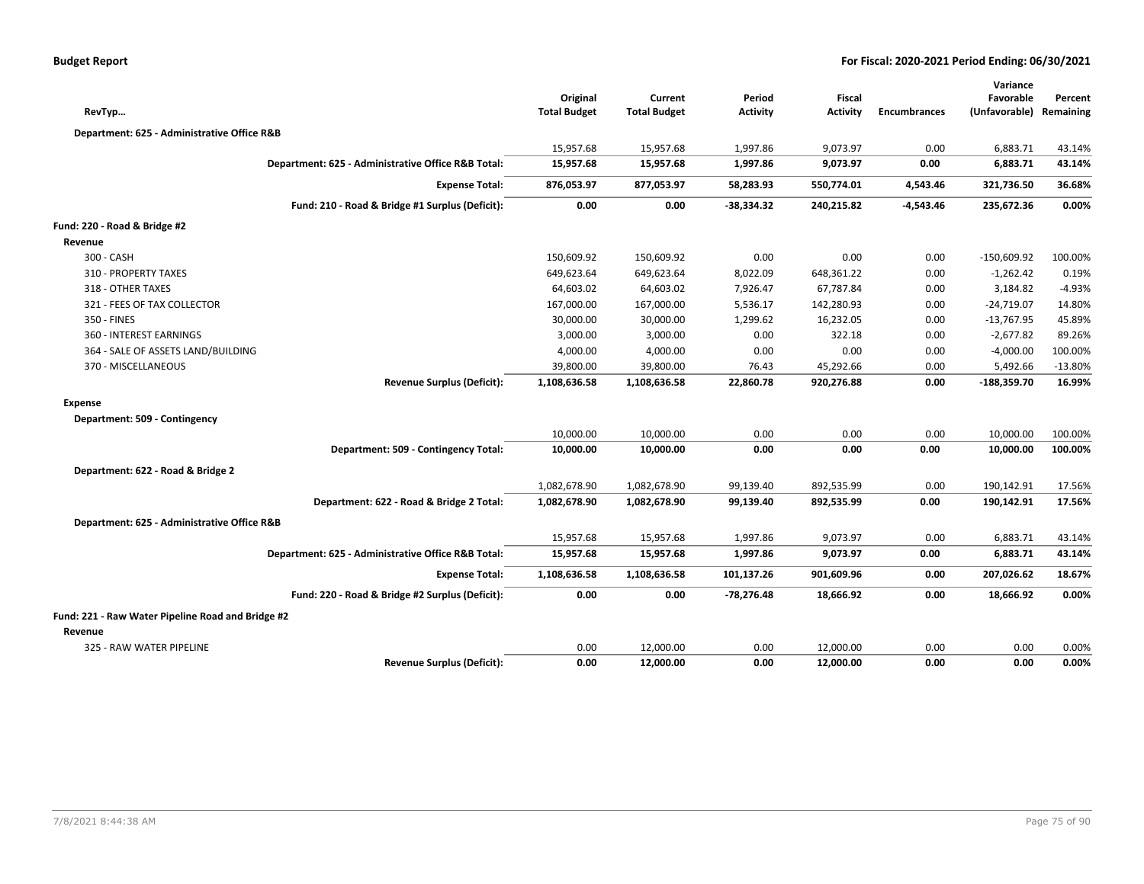|                                                   |                                                    | Original            | Current             | Period          | <b>Fiscal</b>   |                     | Variance<br>Favorable   | Percent   |
|---------------------------------------------------|----------------------------------------------------|---------------------|---------------------|-----------------|-----------------|---------------------|-------------------------|-----------|
| RevTyp                                            |                                                    | <b>Total Budget</b> | <b>Total Budget</b> | <b>Activity</b> | <b>Activity</b> | <b>Encumbrances</b> | (Unfavorable) Remaining |           |
| Department: 625 - Administrative Office R&B       |                                                    |                     |                     |                 |                 |                     |                         |           |
|                                                   |                                                    | 15,957.68           | 15,957.68           | 1,997.86        | 9,073.97        | 0.00                | 6,883.71                | 43.14%    |
|                                                   | Department: 625 - Administrative Office R&B Total: | 15,957.68           | 15,957.68           | 1,997.86        | 9,073.97        | 0.00                | 6,883.71                | 43.14%    |
|                                                   | <b>Expense Total:</b>                              | 876,053.97          | 877,053.97          | 58,283.93       | 550,774.01      | 4,543.46            | 321,736.50              | 36.68%    |
|                                                   | Fund: 210 - Road & Bridge #1 Surplus (Deficit):    | 0.00                | 0.00                | -38,334.32      | 240,215.82      | -4,543.46           | 235,672.36              | 0.00%     |
| Fund: 220 - Road & Bridge #2                      |                                                    |                     |                     |                 |                 |                     |                         |           |
| Revenue                                           |                                                    |                     |                     |                 |                 |                     |                         |           |
| 300 - CASH                                        |                                                    | 150,609.92          | 150,609.92          | 0.00            | 0.00            | 0.00                | $-150,609.92$           | 100.00%   |
| 310 - PROPERTY TAXES                              |                                                    | 649,623.64          | 649,623.64          | 8,022.09        | 648,361.22      | 0.00                | $-1,262.42$             | 0.19%     |
| 318 - OTHER TAXES                                 |                                                    | 64,603.02           | 64,603.02           | 7,926.47        | 67,787.84       | 0.00                | 3,184.82                | $-4.93%$  |
| 321 - FEES OF TAX COLLECTOR                       |                                                    | 167,000.00          | 167,000.00          | 5,536.17        | 142,280.93      | 0.00                | $-24,719.07$            | 14.80%    |
| 350 - FINES                                       |                                                    | 30,000.00           | 30,000.00           | 1,299.62        | 16,232.05       | 0.00                | $-13,767.95$            | 45.89%    |
| 360 - INTEREST EARNINGS                           |                                                    | 3,000.00            | 3,000.00            | 0.00            | 322.18          | 0.00                | $-2,677.82$             | 89.26%    |
| 364 - SALE OF ASSETS LAND/BUILDING                |                                                    | 4,000.00            | 4,000.00            | 0.00            | 0.00            | 0.00                | $-4,000.00$             | 100.00%   |
| 370 - MISCELLANEOUS                               |                                                    | 39,800.00           | 39,800.00           | 76.43           | 45,292.66       | 0.00                | 5,492.66                | $-13.80%$ |
|                                                   | <b>Revenue Surplus (Deficit):</b>                  | 1,108,636.58        | 1,108,636.58        | 22,860.78       | 920,276.88      | 0.00                | $-188,359.70$           | 16.99%    |
| <b>Expense</b>                                    |                                                    |                     |                     |                 |                 |                     |                         |           |
| Department: 509 - Contingency                     |                                                    |                     |                     |                 |                 |                     |                         |           |
|                                                   |                                                    | 10,000.00           | 10,000.00           | 0.00            | 0.00            | 0.00                | 10,000.00               | 100.00%   |
|                                                   | Department: 509 - Contingency Total:               | 10,000.00           | 10,000.00           | 0.00            | 0.00            | 0.00                | 10,000.00               | 100.00%   |
| Department: 622 - Road & Bridge 2                 |                                                    |                     |                     |                 |                 |                     |                         |           |
|                                                   |                                                    | 1,082,678.90        | 1,082,678.90        | 99,139.40       | 892,535.99      | 0.00                | 190,142.91              | 17.56%    |
|                                                   | Department: 622 - Road & Bridge 2 Total:           | 1,082,678.90        | 1,082,678.90        | 99,139.40       | 892,535.99      | 0.00                | 190,142.91              | 17.56%    |
| Department: 625 - Administrative Office R&B       |                                                    |                     |                     |                 |                 |                     |                         |           |
|                                                   |                                                    | 15,957.68           | 15,957.68           | 1,997.86        | 9,073.97        | 0.00                | 6,883.71                | 43.14%    |
|                                                   | Department: 625 - Administrative Office R&B Total: | 15,957.68           | 15,957.68           | 1,997.86        | 9,073.97        | 0.00                | 6,883.71                | 43.14%    |
|                                                   | <b>Expense Total:</b>                              | 1,108,636.58        | 1,108,636.58        | 101,137.26      | 901,609.96      | 0.00                | 207,026.62              | 18.67%    |
|                                                   | Fund: 220 - Road & Bridge #2 Surplus (Deficit):    | 0.00                | 0.00                | $-78,276.48$    | 18,666.92       | 0.00                | 18,666.92               | 0.00%     |
| Fund: 221 - Raw Water Pipeline Road and Bridge #2 |                                                    |                     |                     |                 |                 |                     |                         |           |
| Revenue                                           |                                                    |                     |                     |                 |                 |                     |                         |           |
| 325 - RAW WATER PIPELINE                          |                                                    | 0.00                | 12,000.00           | 0.00            | 12,000.00       | 0.00                | 0.00                    | 0.00%     |
|                                                   | <b>Revenue Surplus (Deficit):</b>                  | 0.00                | 12,000.00           | 0.00            | 12,000.00       | 0.00                | 0.00                    | 0.00%     |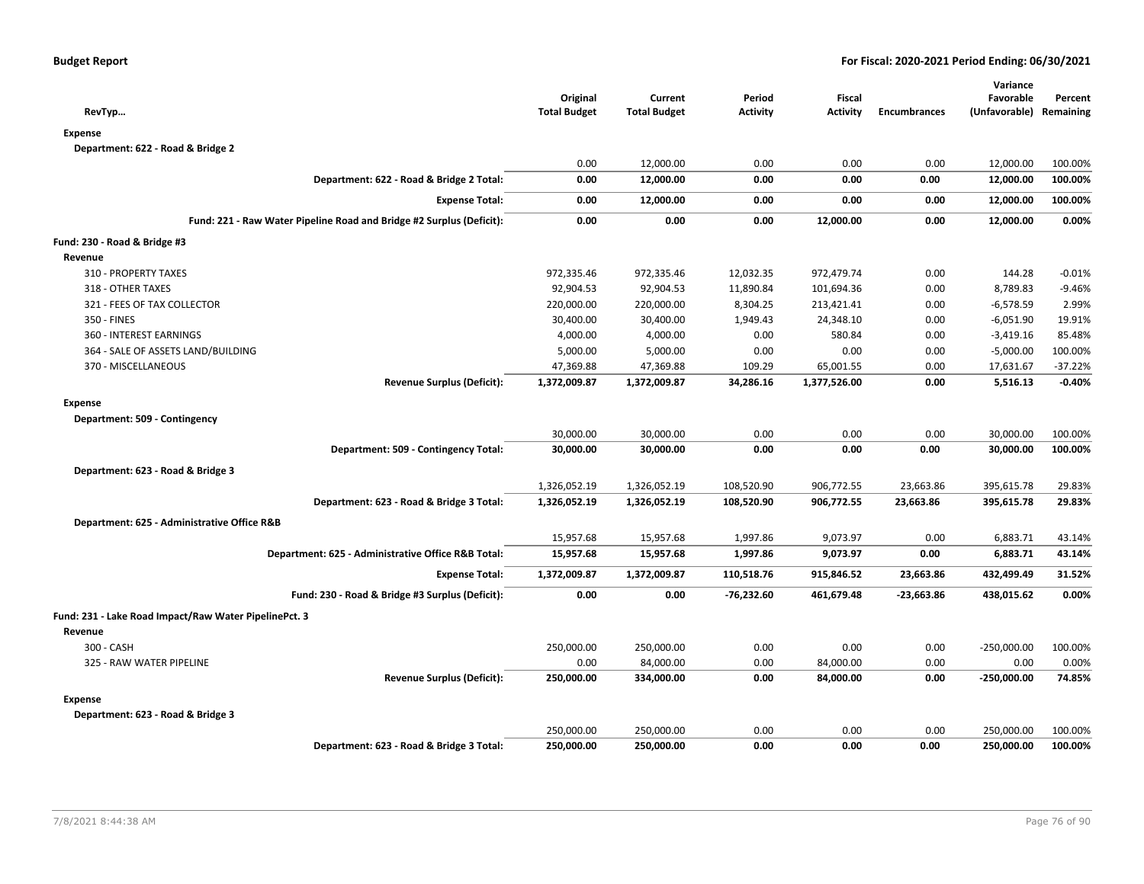| RevTyp                                                               | Original<br><b>Total Budget</b> | Current<br><b>Total Budget</b> | Period<br><b>Activity</b> | Fiscal<br><b>Activity</b> | <b>Encumbrances</b> | Variance<br>Favorable<br>(Unfavorable) Remaining | Percent   |
|----------------------------------------------------------------------|---------------------------------|--------------------------------|---------------------------|---------------------------|---------------------|--------------------------------------------------|-----------|
| <b>Expense</b>                                                       |                                 |                                |                           |                           |                     |                                                  |           |
| Department: 622 - Road & Bridge 2                                    |                                 |                                |                           |                           |                     |                                                  |           |
|                                                                      | 0.00                            | 12,000.00                      | 0.00                      | 0.00                      | 0.00                | 12,000.00                                        | 100.00%   |
| Department: 622 - Road & Bridge 2 Total:                             | 0.00                            | 12,000.00                      | 0.00                      | 0.00                      | 0.00                | 12,000.00                                        | 100.00%   |
| <b>Expense Total:</b>                                                | 0.00                            | 12,000.00                      | 0.00                      | 0.00                      | 0.00                | 12,000.00                                        | 100.00%   |
| Fund: 221 - Raw Water Pipeline Road and Bridge #2 Surplus (Deficit): | 0.00                            | 0.00                           | 0.00                      | 12,000.00                 | 0.00                | 12,000.00                                        | 0.00%     |
| Fund: 230 - Road & Bridge #3                                         |                                 |                                |                           |                           |                     |                                                  |           |
| Revenue                                                              |                                 |                                |                           |                           |                     |                                                  |           |
| 310 - PROPERTY TAXES                                                 | 972,335.46                      | 972,335.46                     | 12,032.35                 | 972,479.74                | 0.00                | 144.28                                           | $-0.01%$  |
| 318 - OTHER TAXES                                                    | 92,904.53                       | 92,904.53                      | 11,890.84                 | 101,694.36                | 0.00                | 8,789.83                                         | $-9.46%$  |
| 321 - FEES OF TAX COLLECTOR                                          | 220,000.00                      | 220,000.00                     | 8,304.25                  | 213,421.41                | 0.00                | $-6,578.59$                                      | 2.99%     |
| 350 - FINES                                                          | 30,400.00                       | 30,400.00                      | 1,949.43                  | 24,348.10                 | 0.00                | $-6,051.90$                                      | 19.91%    |
| 360 - INTEREST EARNINGS                                              | 4,000.00                        | 4,000.00                       | 0.00                      | 580.84                    | 0.00                | $-3,419.16$                                      | 85.48%    |
| 364 - SALE OF ASSETS LAND/BUILDING                                   | 5,000.00                        | 5,000.00                       | 0.00                      | 0.00                      | 0.00                | $-5,000.00$                                      | 100.00%   |
| 370 - MISCELLANEOUS                                                  | 47,369.88                       | 47,369.88                      | 109.29                    | 65,001.55                 | 0.00                | 17,631.67                                        | $-37.22%$ |
| <b>Revenue Surplus (Deficit):</b>                                    | 1,372,009.87                    | 1,372,009.87                   | 34,286.16                 | 1,377,526.00              | 0.00                | 5,516.13                                         | $-0.40%$  |
| <b>Expense</b>                                                       |                                 |                                |                           |                           |                     |                                                  |           |
| Department: 509 - Contingency                                        |                                 |                                |                           |                           |                     |                                                  |           |
|                                                                      | 30,000.00                       | 30,000.00                      | 0.00                      | 0.00                      | 0.00                | 30,000.00                                        | 100.00%   |
| Department: 509 - Contingency Total:                                 | 30,000.00                       | 30,000.00                      | 0.00                      | 0.00                      | 0.00                | 30,000.00                                        | 100.00%   |
| Department: 623 - Road & Bridge 3                                    |                                 |                                |                           |                           |                     |                                                  |           |
|                                                                      | 1,326,052.19                    | 1,326,052.19                   | 108,520.90                | 906,772.55                | 23,663.86           | 395,615.78                                       | 29.83%    |
| Department: 623 - Road & Bridge 3 Total:                             | 1,326,052.19                    | 1,326,052.19                   | 108,520.90                | 906,772.55                | 23,663.86           | 395,615.78                                       | 29.83%    |
| Department: 625 - Administrative Office R&B                          |                                 |                                |                           |                           |                     |                                                  |           |
|                                                                      | 15,957.68                       | 15,957.68                      | 1,997.86                  | 9,073.97                  | 0.00                | 6,883.71                                         | 43.14%    |
| Department: 625 - Administrative Office R&B Total:                   | 15,957.68                       | 15,957.68                      | 1,997.86                  | 9,073.97                  | 0.00                | 6,883.71                                         | 43.14%    |
| <b>Expense Total:</b>                                                | 1,372,009.87                    | 1,372,009.87                   | 110,518.76                | 915,846.52                | 23,663.86           | 432,499.49                                       | 31.52%    |
| Fund: 230 - Road & Bridge #3 Surplus (Deficit):                      | 0.00                            | 0.00                           | $-76,232.60$              | 461,679.48                | $-23,663.86$        | 438,015.62                                       | 0.00%     |
|                                                                      |                                 |                                |                           |                           |                     |                                                  |           |
| Fund: 231 - Lake Road Impact/Raw Water PipelinePct. 3                |                                 |                                |                           |                           |                     |                                                  |           |
| Revenue                                                              |                                 |                                |                           |                           |                     |                                                  |           |
| 300 - CASH                                                           | 250,000.00                      | 250,000.00                     | 0.00                      | 0.00                      | 0.00                | $-250,000.00$                                    | 100.00%   |
| 325 - RAW WATER PIPELINE                                             | 0.00                            | 84,000.00                      | 0.00                      | 84,000.00                 | 0.00                | 0.00                                             | 0.00%     |
| <b>Revenue Surplus (Deficit):</b>                                    | 250,000.00                      | 334,000.00                     | 0.00                      | 84,000.00                 | 0.00                | $-250,000.00$                                    | 74.85%    |
| <b>Expense</b>                                                       |                                 |                                |                           |                           |                     |                                                  |           |
| Department: 623 - Road & Bridge 3                                    |                                 |                                |                           |                           |                     |                                                  |           |
|                                                                      | 250,000.00                      | 250,000.00                     | 0.00                      | 0.00                      | 0.00                | 250,000.00                                       | 100.00%   |
| Department: 623 - Road & Bridge 3 Total:                             | 250,000.00                      | 250,000.00                     | 0.00                      | 0.00                      | 0.00                | 250,000.00                                       | 100.00%   |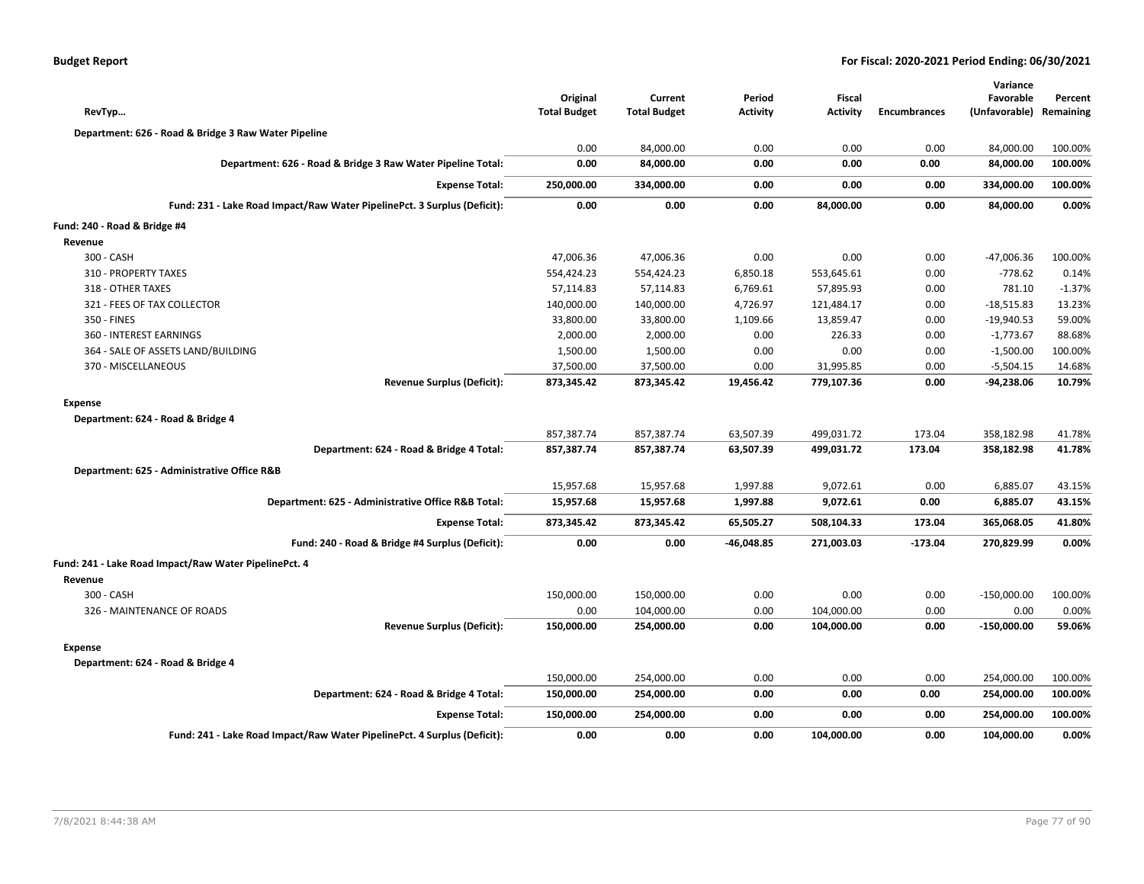| <b>Budget Report</b> |  |
|----------------------|--|
|----------------------|--|

| RevTyp                                                                   | Original<br><b>Total Budget</b> | Current<br><b>Total Budget</b> | Period<br><b>Activity</b> | Fiscal<br><b>Activity</b> | <b>Encumbrances</b> | Variance<br>Favorable<br>(Unfavorable) | Percent<br>Remaining |
|--------------------------------------------------------------------------|---------------------------------|--------------------------------|---------------------------|---------------------------|---------------------|----------------------------------------|----------------------|
| Department: 626 - Road & Bridge 3 Raw Water Pipeline                     |                                 |                                |                           |                           |                     |                                        |                      |
|                                                                          | 0.00                            | 84,000.00                      | 0.00                      | 0.00                      | 0.00                | 84,000.00                              | 100.00%              |
| Department: 626 - Road & Bridge 3 Raw Water Pipeline Total:              | 0.00                            | 84,000.00                      | 0.00                      | 0.00                      | 0.00                | 84,000.00                              | 100.00%              |
| <b>Expense Total:</b>                                                    | 250,000.00                      | 334,000.00                     | 0.00                      | 0.00                      | 0.00                | 334,000.00                             | 100.00%              |
| Fund: 231 - Lake Road Impact/Raw Water PipelinePct. 3 Surplus (Deficit): | 0.00                            | 0.00                           | 0.00                      | 84,000.00                 | 0.00                | 84,000.00                              | 0.00%                |
| Fund: 240 - Road & Bridge #4                                             |                                 |                                |                           |                           |                     |                                        |                      |
| Revenue                                                                  |                                 |                                |                           |                           |                     |                                        |                      |
| 300 - CASH                                                               | 47,006.36                       | 47,006.36                      | 0.00                      | 0.00                      | 0.00                | -47,006.36                             | 100.00%              |
| 310 - PROPERTY TAXES                                                     | 554,424.23                      | 554,424.23                     | 6,850.18                  | 553,645.61                | 0.00                | $-778.62$                              | 0.14%                |
| 318 - OTHER TAXES                                                        | 57,114.83                       | 57,114.83                      | 6,769.61                  | 57,895.93                 | 0.00                | 781.10                                 | $-1.37%$             |
| 321 - FEES OF TAX COLLECTOR                                              | 140,000.00                      | 140,000.00                     | 4,726.97                  | 121,484.17                | 0.00                | $-18,515.83$                           | 13.23%               |
| 350 - FINES                                                              | 33,800.00                       | 33,800.00                      | 1,109.66                  | 13,859.47                 | 0.00                | $-19,940.53$                           | 59.00%               |
| 360 - INTEREST EARNINGS                                                  | 2,000.00                        | 2,000.00                       | 0.00                      | 226.33                    | 0.00                | $-1,773.67$                            | 88.68%               |
| 364 - SALE OF ASSETS LAND/BUILDING                                       | 1,500.00                        | 1,500.00                       | 0.00                      | 0.00                      | 0.00                | $-1,500.00$                            | 100.00%              |
| 370 - MISCELLANEOUS                                                      | 37,500.00                       | 37,500.00                      | 0.00                      | 31,995.85                 | 0.00                | $-5,504.15$                            | 14.68%               |
| <b>Revenue Surplus (Deficit):</b>                                        | 873,345.42                      | 873,345.42                     | 19,456.42                 | 779,107.36                | 0.00                | -94,238.06                             | 10.79%               |
| <b>Expense</b>                                                           |                                 |                                |                           |                           |                     |                                        |                      |
| Department: 624 - Road & Bridge 4                                        |                                 |                                |                           |                           |                     |                                        |                      |
|                                                                          | 857,387.74                      | 857,387.74                     | 63,507.39                 | 499,031.72                | 173.04              | 358,182.98                             | 41.78%               |
| Department: 624 - Road & Bridge 4 Total:                                 | 857,387.74                      | 857,387.74                     | 63,507.39                 | 499,031.72                | 173.04              | 358,182.98                             | 41.78%               |
| Department: 625 - Administrative Office R&B                              |                                 |                                |                           |                           |                     |                                        |                      |
|                                                                          | 15,957.68                       | 15,957.68                      | 1,997.88                  | 9,072.61                  | 0.00                | 6,885.07                               | 43.15%               |
| Department: 625 - Administrative Office R&B Total:                       | 15,957.68                       | 15,957.68                      | 1,997.88                  | 9,072.61                  | 0.00                | 6,885.07                               | 43.15%               |
| <b>Expense Total:</b>                                                    | 873,345.42                      | 873,345.42                     | 65,505.27                 | 508,104.33                | 173.04              | 365,068.05                             | 41.80%               |
| Fund: 240 - Road & Bridge #4 Surplus (Deficit):                          | 0.00                            | 0.00                           | -46,048.85                | 271,003.03                | $-173.04$           | 270,829.99                             | 0.00%                |
| Fund: 241 - Lake Road Impact/Raw Water PipelinePct. 4                    |                                 |                                |                           |                           |                     |                                        |                      |
| Revenue                                                                  |                                 |                                |                           |                           |                     |                                        |                      |
| 300 - CASH                                                               | 150,000.00                      | 150,000.00                     | 0.00                      | 0.00                      | 0.00                | $-150,000.00$                          | 100.00%              |
| 326 - MAINTENANCE OF ROADS                                               | 0.00                            | 104,000.00                     | 0.00                      | 104,000.00                | 0.00                | 0.00                                   | 0.00%                |
| <b>Revenue Surplus (Deficit):</b>                                        | 150,000.00                      | 254,000.00                     | 0.00                      | 104,000.00                | 0.00                | $-150,000.00$                          | 59.06%               |
| <b>Expense</b>                                                           |                                 |                                |                           |                           |                     |                                        |                      |
| Department: 624 - Road & Bridge 4                                        |                                 |                                |                           |                           |                     |                                        |                      |
|                                                                          | 150,000.00                      | 254,000.00                     | 0.00                      | 0.00                      | 0.00                | 254,000.00                             | 100.00%              |
| Department: 624 - Road & Bridge 4 Total:                                 | 150,000.00                      | 254,000.00                     | 0.00                      | 0.00                      | 0.00                | 254,000.00                             | 100.00%              |
| <b>Expense Total:</b>                                                    | 150,000.00                      | 254,000.00                     | 0.00                      | 0.00                      | 0.00                | 254,000.00                             | 100.00%              |
| Fund: 241 - Lake Road Impact/Raw Water PipelinePct. 4 Surplus (Deficit): | 0.00                            | 0.00                           | 0.00                      | 104,000.00                | 0.00                | 104,000.00                             | 0.00%                |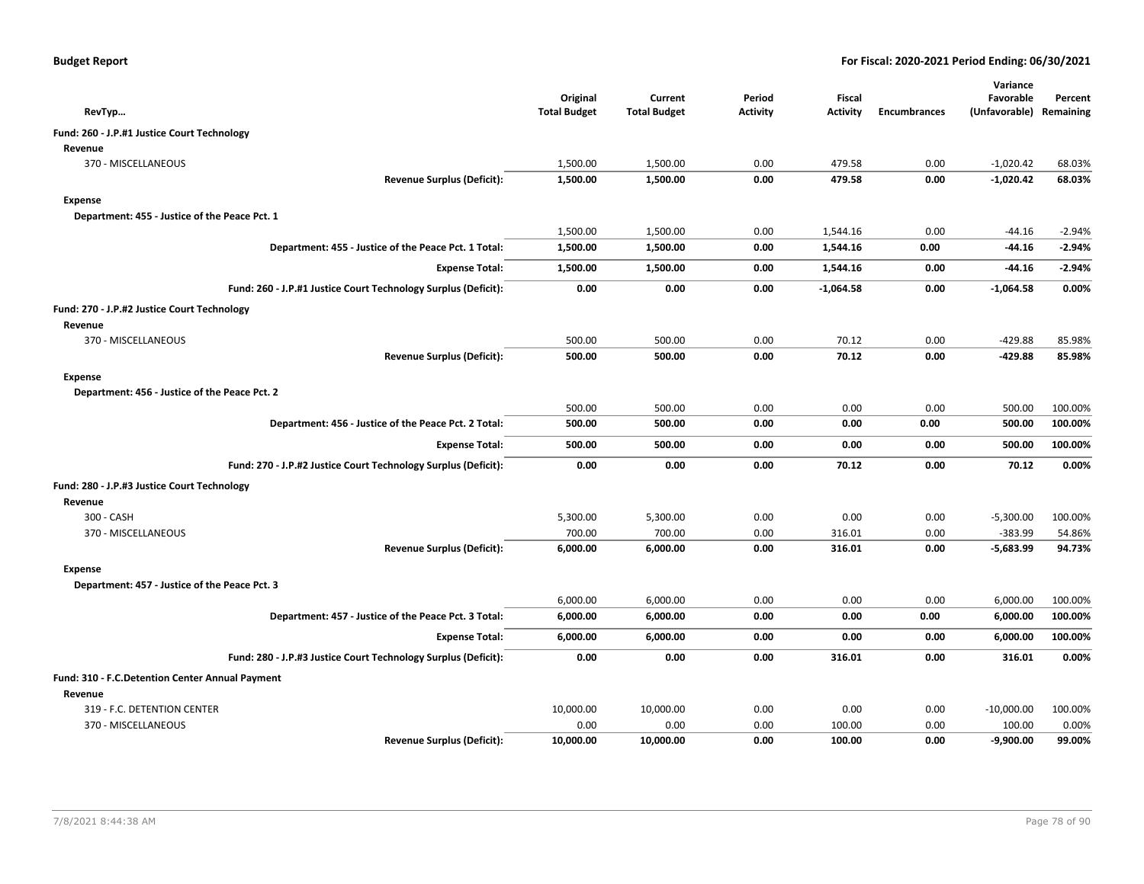| RevTyp                                                         |                                   | Original<br><b>Total Budget</b> | Current<br><b>Total Budget</b> | Period<br><b>Activity</b> | Fiscal<br><b>Activity</b> | <b>Encumbrances</b> | Variance<br>Favorable<br>(Unfavorable) Remaining | Percent  |
|----------------------------------------------------------------|-----------------------------------|---------------------------------|--------------------------------|---------------------------|---------------------------|---------------------|--------------------------------------------------|----------|
| Fund: 260 - J.P.#1 Justice Court Technology                    |                                   |                                 |                                |                           |                           |                     |                                                  |          |
| Revenue                                                        |                                   |                                 |                                |                           |                           |                     |                                                  |          |
| 370 - MISCELLANEOUS                                            |                                   | 1,500.00                        | 1,500.00                       | 0.00                      | 479.58                    | 0.00                | $-1,020.42$                                      | 68.03%   |
|                                                                | <b>Revenue Surplus (Deficit):</b> | 1,500.00                        | 1,500.00                       | 0.00                      | 479.58                    | 0.00                | $-1,020.42$                                      | 68.03%   |
| Expense                                                        |                                   |                                 |                                |                           |                           |                     |                                                  |          |
| Department: 455 - Justice of the Peace Pct. 1                  |                                   |                                 |                                |                           |                           |                     |                                                  |          |
|                                                                |                                   | 1,500.00                        | 1,500.00                       | 0.00                      | 1,544.16                  | 0.00                | -44.16                                           | $-2.94%$ |
| Department: 455 - Justice of the Peace Pct. 1 Total:           |                                   | 1,500.00                        | 1,500.00                       | 0.00                      | 1,544.16                  | 0.00                | -44.16                                           | $-2.94%$ |
|                                                                | <b>Expense Total:</b>             | 1,500.00                        | 1,500.00                       | 0.00                      | 1,544.16                  | 0.00                | -44.16                                           | $-2.94%$ |
| Fund: 260 - J.P.#1 Justice Court Technology Surplus (Deficit): |                                   | 0.00                            | 0.00                           | 0.00                      | $-1,064.58$               | 0.00                | $-1,064.58$                                      | 0.00%    |
| Fund: 270 - J.P.#2 Justice Court Technology                    |                                   |                                 |                                |                           |                           |                     |                                                  |          |
| Revenue                                                        |                                   |                                 |                                |                           |                           |                     |                                                  |          |
| 370 - MISCELLANEOUS                                            |                                   | 500.00                          | 500.00                         | 0.00                      | 70.12                     | 0.00                | $-429.88$                                        | 85.98%   |
|                                                                | <b>Revenue Surplus (Deficit):</b> | 500.00                          | 500.00                         | 0.00                      | 70.12                     | 0.00                | $-429.88$                                        | 85.98%   |
| Expense                                                        |                                   |                                 |                                |                           |                           |                     |                                                  |          |
| Department: 456 - Justice of the Peace Pct. 2                  |                                   |                                 |                                |                           |                           |                     |                                                  |          |
|                                                                |                                   | 500.00                          | 500.00                         | 0.00                      | 0.00                      | 0.00                | 500.00                                           | 100.00%  |
| Department: 456 - Justice of the Peace Pct. 2 Total:           |                                   | 500.00                          | 500.00                         | 0.00                      | 0.00                      | 0.00                | 500.00                                           | 100.00%  |
|                                                                | <b>Expense Total:</b>             | 500.00                          | 500.00                         | 0.00                      | 0.00                      | 0.00                | 500.00                                           | 100.00%  |
| Fund: 270 - J.P.#2 Justice Court Technology Surplus (Deficit): |                                   | 0.00                            | 0.00                           | 0.00                      | 70.12                     | 0.00                | 70.12                                            | 0.00%    |
| Fund: 280 - J.P.#3 Justice Court Technology                    |                                   |                                 |                                |                           |                           |                     |                                                  |          |
| Revenue                                                        |                                   |                                 |                                |                           |                           |                     |                                                  |          |
| 300 - CASH                                                     |                                   | 5,300.00                        | 5,300.00                       | 0.00                      | 0.00                      | 0.00                | $-5,300.00$                                      | 100.00%  |
| 370 - MISCELLANEOUS                                            |                                   | 700.00                          | 700.00                         | 0.00                      | 316.01                    | 0.00                | $-383.99$                                        | 54.86%   |
|                                                                | <b>Revenue Surplus (Deficit):</b> | 6,000.00                        | 6,000.00                       | 0.00                      | 316.01                    | 0.00                | $-5,683.99$                                      | 94.73%   |
| <b>Expense</b>                                                 |                                   |                                 |                                |                           |                           |                     |                                                  |          |
| Department: 457 - Justice of the Peace Pct. 3                  |                                   |                                 |                                |                           |                           |                     |                                                  |          |
|                                                                |                                   | 6,000.00                        | 6,000.00                       | 0.00                      | 0.00                      | 0.00                | 6,000.00                                         | 100.00%  |
| Department: 457 - Justice of the Peace Pct. 3 Total:           |                                   | 6,000.00                        | 6,000.00                       | 0.00                      | 0.00                      | 0.00                | 6,000.00                                         | 100.00%  |
|                                                                | <b>Expense Total:</b>             | 6,000.00                        | 6,000.00                       | 0.00                      | 0.00                      | 0.00                | 6,000.00                                         | 100.00%  |
| Fund: 280 - J.P.#3 Justice Court Technology Surplus (Deficit): |                                   | 0.00                            | 0.00                           | 0.00                      | 316.01                    | 0.00                | 316.01                                           | 0.00%    |
| Fund: 310 - F.C.Detention Center Annual Payment                |                                   |                                 |                                |                           |                           |                     |                                                  |          |
| Revenue                                                        |                                   |                                 |                                |                           |                           |                     |                                                  |          |
| 319 - F.C. DETENTION CENTER                                    |                                   | 10,000.00                       | 10,000.00                      | 0.00                      | 0.00                      | 0.00                | $-10,000.00$                                     | 100.00%  |
| 370 - MISCELLANEOUS                                            |                                   | 0.00                            | 0.00                           | 0.00                      | 100.00                    | 0.00                | 100.00                                           | 0.00%    |
|                                                                | <b>Revenue Surplus (Deficit):</b> | 10,000.00                       | 10,000.00                      | 0.00                      | 100.00                    | 0.00                | $-9,900.00$                                      | 99.00%   |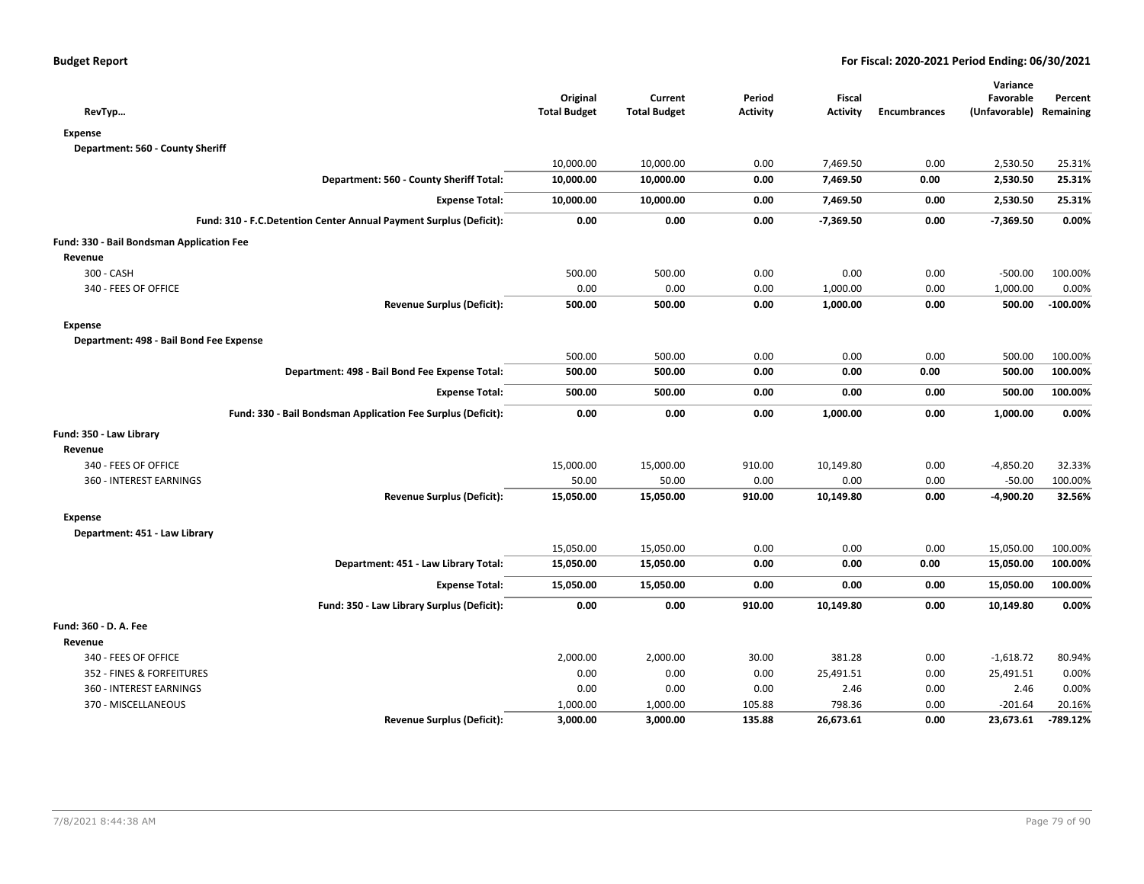| RevTyp                                                             | Original<br><b>Total Budget</b> | Current<br><b>Total Budget</b> | Period<br><b>Activity</b> | <b>Fiscal</b><br><b>Activity</b> | <b>Encumbrances</b> | Variance<br>Favorable<br>(Unfavorable) | Percent<br>Remaining |
|--------------------------------------------------------------------|---------------------------------|--------------------------------|---------------------------|----------------------------------|---------------------|----------------------------------------|----------------------|
| <b>Expense</b>                                                     |                                 |                                |                           |                                  |                     |                                        |                      |
| Department: 560 - County Sheriff                                   |                                 |                                |                           |                                  |                     |                                        |                      |
|                                                                    | 10,000.00                       | 10,000.00                      | 0.00                      | 7,469.50                         | 0.00                | 2,530.50                               | 25.31%               |
| Department: 560 - County Sheriff Total:                            | 10,000.00                       | 10,000.00                      | 0.00                      | 7,469.50                         | 0.00                | 2,530.50                               | 25.31%               |
| <b>Expense Total:</b>                                              | 10,000.00                       | 10,000.00                      | 0.00                      | 7,469.50                         | 0.00                | 2,530.50                               | 25.31%               |
| Fund: 310 - F.C.Detention Center Annual Payment Surplus (Deficit): | 0.00                            | 0.00                           | 0.00                      | $-7,369.50$                      | 0.00                | $-7,369.50$                            | 0.00%                |
| Fund: 330 - Bail Bondsman Application Fee                          |                                 |                                |                           |                                  |                     |                                        |                      |
| Revenue                                                            |                                 |                                |                           |                                  |                     |                                        |                      |
| 300 - CASH                                                         | 500.00                          | 500.00                         | 0.00                      | 0.00                             | 0.00                | $-500.00$                              | 100.00%              |
| 340 - FEES OF OFFICE                                               | 0.00                            | 0.00                           | 0.00                      | 1,000.00                         | 0.00                | 1,000.00                               | 0.00%                |
| <b>Revenue Surplus (Deficit):</b>                                  | 500.00                          | 500.00                         | 0.00                      | 1,000.00                         | 0.00                | 500.00                                 | $-100.00%$           |
| <b>Expense</b>                                                     |                                 |                                |                           |                                  |                     |                                        |                      |
| Department: 498 - Bail Bond Fee Expense                            |                                 |                                |                           |                                  |                     |                                        |                      |
|                                                                    | 500.00                          | 500.00                         | 0.00                      | 0.00                             | 0.00                | 500.00                                 | 100.00%              |
| Department: 498 - Bail Bond Fee Expense Total:                     | 500.00                          | 500.00                         | 0.00                      | 0.00                             | 0.00                | 500.00                                 | 100.00%              |
| <b>Expense Total:</b>                                              | 500.00                          | 500.00                         | 0.00                      | 0.00                             | 0.00                | 500.00                                 | 100.00%              |
| Fund: 330 - Bail Bondsman Application Fee Surplus (Deficit):       | 0.00                            | 0.00                           | 0.00                      | 1,000.00                         | 0.00                | 1,000.00                               | 0.00%                |
| Fund: 350 - Law Library                                            |                                 |                                |                           |                                  |                     |                                        |                      |
| Revenue                                                            |                                 |                                |                           |                                  |                     |                                        |                      |
| 340 - FEES OF OFFICE                                               | 15,000.00                       | 15,000.00                      | 910.00                    | 10,149.80                        | 0.00                | $-4,850.20$                            | 32.33%               |
| 360 - INTEREST EARNINGS                                            | 50.00                           | 50.00                          | 0.00                      | 0.00                             | 0.00                | $-50.00$                               | 100.00%              |
| <b>Revenue Surplus (Deficit):</b>                                  | 15,050.00                       | 15,050.00                      | 910.00                    | 10,149.80                        | 0.00                | $-4,900.20$                            | 32.56%               |
| <b>Expense</b>                                                     |                                 |                                |                           |                                  |                     |                                        |                      |
| Department: 451 - Law Library                                      |                                 |                                |                           |                                  |                     |                                        |                      |
|                                                                    | 15,050.00                       | 15,050.00                      | 0.00                      | 0.00                             | 0.00                | 15,050.00                              | 100.00%              |
| Department: 451 - Law Library Total:                               | 15,050.00                       | 15,050.00                      | 0.00                      | 0.00                             | 0.00                | 15,050.00                              | 100.00%              |
| <b>Expense Total:</b>                                              | 15,050.00                       | 15,050.00                      | 0.00                      | 0.00                             | 0.00                | 15,050.00                              | 100.00%              |
| Fund: 350 - Law Library Surplus (Deficit):                         | 0.00                            | 0.00                           | 910.00                    | 10,149.80                        | 0.00                | 10,149.80                              | 0.00%                |
| Fund: 360 - D. A. Fee                                              |                                 |                                |                           |                                  |                     |                                        |                      |
| Revenue                                                            |                                 |                                |                           |                                  |                     |                                        |                      |
| 340 - FEES OF OFFICE                                               | 2,000.00                        | 2,000.00                       | 30.00                     | 381.28                           | 0.00                | $-1,618.72$                            | 80.94%               |
| 352 - FINES & FORFEITURES                                          | 0.00                            | 0.00                           | 0.00                      | 25,491.51                        | 0.00                | 25,491.51                              | 0.00%                |
| 360 - INTEREST EARNINGS                                            | 0.00                            | 0.00                           | 0.00                      | 2.46                             | 0.00                | 2.46                                   | 0.00%                |
| 370 - MISCELLANEOUS                                                | 1,000.00                        | 1,000.00                       | 105.88                    | 798.36                           | 0.00                | $-201.64$                              | 20.16%               |
| <b>Revenue Surplus (Deficit):</b>                                  | 3,000.00                        | 3,000.00                       | 135.88                    | 26,673.61                        | 0.00                | 23,673.61                              | $-789.12%$           |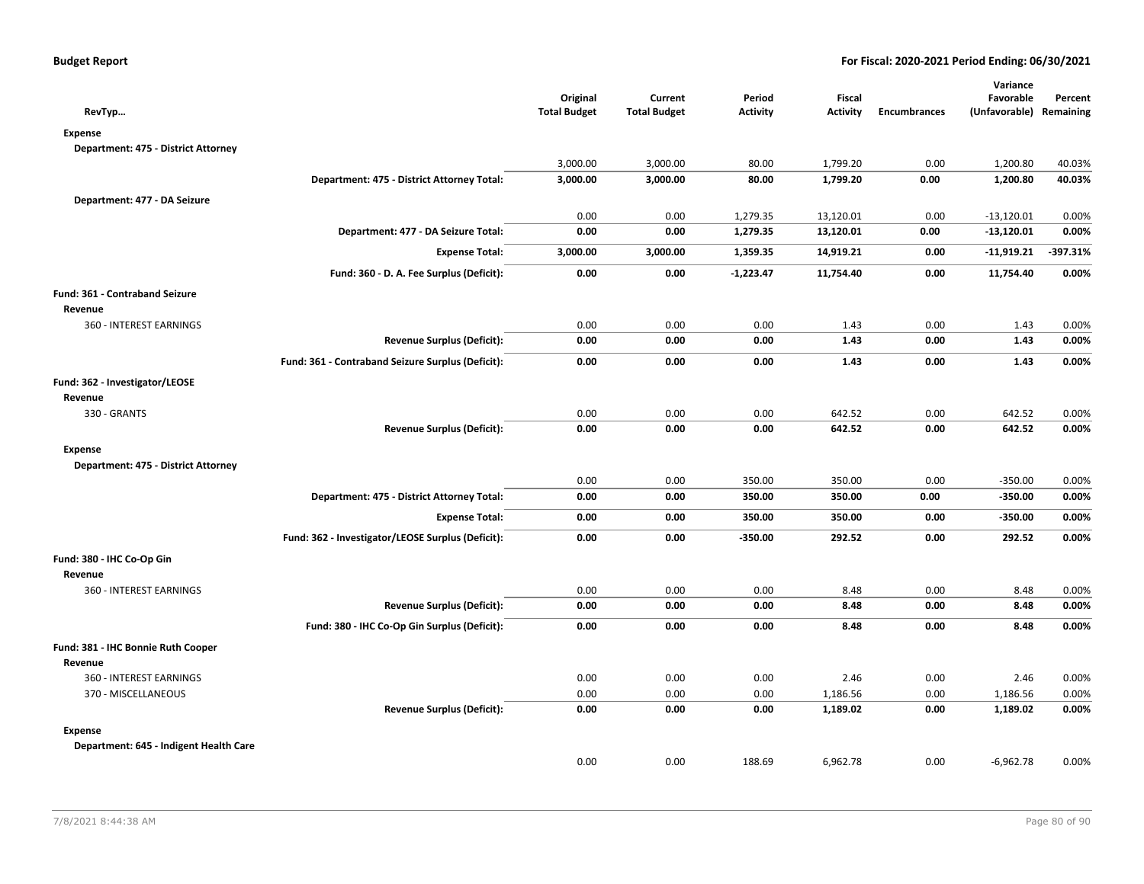| RevTyp                                 |                                                   | Original<br><b>Total Budget</b> | Current<br><b>Total Budget</b> | Period<br><b>Activity</b> | Fiscal<br><b>Activity</b> | <b>Encumbrances</b> | Variance<br>Favorable<br>(Unfavorable) Remaining | Percent    |
|----------------------------------------|---------------------------------------------------|---------------------------------|--------------------------------|---------------------------|---------------------------|---------------------|--------------------------------------------------|------------|
| <b>Expense</b>                         |                                                   |                                 |                                |                           |                           |                     |                                                  |            |
| Department: 475 - District Attorney    |                                                   |                                 |                                |                           |                           |                     |                                                  |            |
|                                        |                                                   | 3,000.00                        | 3,000.00                       | 80.00                     | 1,799.20                  | 0.00                | 1,200.80                                         | 40.03%     |
|                                        | Department: 475 - District Attorney Total:        | 3,000.00                        | 3,000.00                       | 80.00                     | 1,799.20                  | 0.00                | 1,200.80                                         | 40.03%     |
| Department: 477 - DA Seizure           |                                                   |                                 |                                |                           |                           |                     |                                                  |            |
|                                        |                                                   | 0.00                            | 0.00                           | 1,279.35                  | 13,120.01                 | 0.00                | $-13,120.01$                                     | 0.00%      |
|                                        | Department: 477 - DA Seizure Total:               | 0.00                            | 0.00                           | 1,279.35                  | 13,120.01                 | 0.00                | $-13,120.01$                                     | 0.00%      |
|                                        | <b>Expense Total:</b>                             | 3,000.00                        | 3,000.00                       | 1,359.35                  | 14,919.21                 | 0.00                | $-11,919.21$                                     | $-397.31%$ |
|                                        | Fund: 360 - D. A. Fee Surplus (Deficit):          | 0.00                            | 0.00                           | $-1,223.47$               | 11,754.40                 | 0.00                | 11,754.40                                        | 0.00%      |
| Fund: 361 - Contraband Seizure         |                                                   |                                 |                                |                           |                           |                     |                                                  |            |
| Revenue                                |                                                   |                                 |                                |                           |                           |                     |                                                  |            |
| 360 - INTEREST EARNINGS                |                                                   | 0.00                            | 0.00                           | 0.00                      | 1.43                      | 0.00                | 1.43                                             | 0.00%      |
|                                        | <b>Revenue Surplus (Deficit):</b>                 | 0.00                            | 0.00                           | 0.00                      | 1.43                      | 0.00                | 1.43                                             | 0.00%      |
|                                        | Fund: 361 - Contraband Seizure Surplus (Deficit): | 0.00                            | 0.00                           | 0.00                      | 1.43                      | 0.00                | 1.43                                             | 0.00%      |
| Fund: 362 - Investigator/LEOSE         |                                                   |                                 |                                |                           |                           |                     |                                                  |            |
| Revenue                                |                                                   |                                 |                                |                           |                           |                     |                                                  |            |
| 330 - GRANTS                           |                                                   | 0.00                            | 0.00                           | 0.00                      | 642.52                    | 0.00                | 642.52                                           | 0.00%      |
|                                        | <b>Revenue Surplus (Deficit):</b>                 | 0.00                            | 0.00                           | 0.00                      | 642.52                    | 0.00                | 642.52                                           | 0.00%      |
| <b>Expense</b>                         |                                                   |                                 |                                |                           |                           |                     |                                                  |            |
| Department: 475 - District Attorney    |                                                   |                                 |                                |                           |                           |                     |                                                  |            |
|                                        |                                                   | 0.00                            | 0.00                           | 350.00                    | 350.00                    | 0.00                | $-350.00$                                        | 0.00%      |
|                                        | Department: 475 - District Attorney Total:        | 0.00                            | 0.00                           | 350.00                    | 350.00                    | 0.00                | $-350.00$                                        | 0.00%      |
|                                        | <b>Expense Total:</b>                             | 0.00                            | 0.00                           | 350.00                    | 350.00                    | 0.00                | $-350.00$                                        | 0.00%      |
|                                        | Fund: 362 - Investigator/LEOSE Surplus (Deficit): | 0.00                            | 0.00                           | $-350.00$                 | 292.52                    | 0.00                | 292.52                                           | 0.00%      |
| Fund: 380 - IHC Co-Op Gin              |                                                   |                                 |                                |                           |                           |                     |                                                  |            |
| Revenue                                |                                                   |                                 |                                |                           |                           |                     |                                                  |            |
| 360 - INTEREST EARNINGS                |                                                   | 0.00                            | 0.00                           | 0.00                      | 8.48                      | 0.00                | 8.48                                             | 0.00%      |
|                                        | <b>Revenue Surplus (Deficit):</b>                 | 0.00                            | 0.00                           | 0.00                      | 8.48                      | 0.00                | 8.48                                             | 0.00%      |
|                                        | Fund: 380 - IHC Co-Op Gin Surplus (Deficit):      | 0.00                            | 0.00                           | 0.00                      | 8.48                      | 0.00                | 8.48                                             | 0.00%      |
| Fund: 381 - IHC Bonnie Ruth Cooper     |                                                   |                                 |                                |                           |                           |                     |                                                  |            |
| Revenue                                |                                                   |                                 |                                |                           |                           |                     |                                                  |            |
| 360 - INTEREST EARNINGS                |                                                   | 0.00                            | 0.00                           | 0.00                      | 2.46                      | 0.00                | 2.46                                             | 0.00%      |
| 370 - MISCELLANEOUS                    |                                                   | 0.00                            | 0.00                           | 0.00                      | 1,186.56                  | 0.00                | 1,186.56                                         | 0.00%      |
|                                        | <b>Revenue Surplus (Deficit):</b>                 | 0.00                            | 0.00                           | 0.00                      | 1,189.02                  | 0.00                | 1,189.02                                         | 0.00%      |
| <b>Expense</b>                         |                                                   |                                 |                                |                           |                           |                     |                                                  |            |
| Department: 645 - Indigent Health Care |                                                   |                                 |                                |                           |                           |                     |                                                  |            |
|                                        |                                                   | 0.00                            | 0.00                           | 188.69                    | 6,962.78                  | 0.00                | $-6,962.78$                                      | 0.00%      |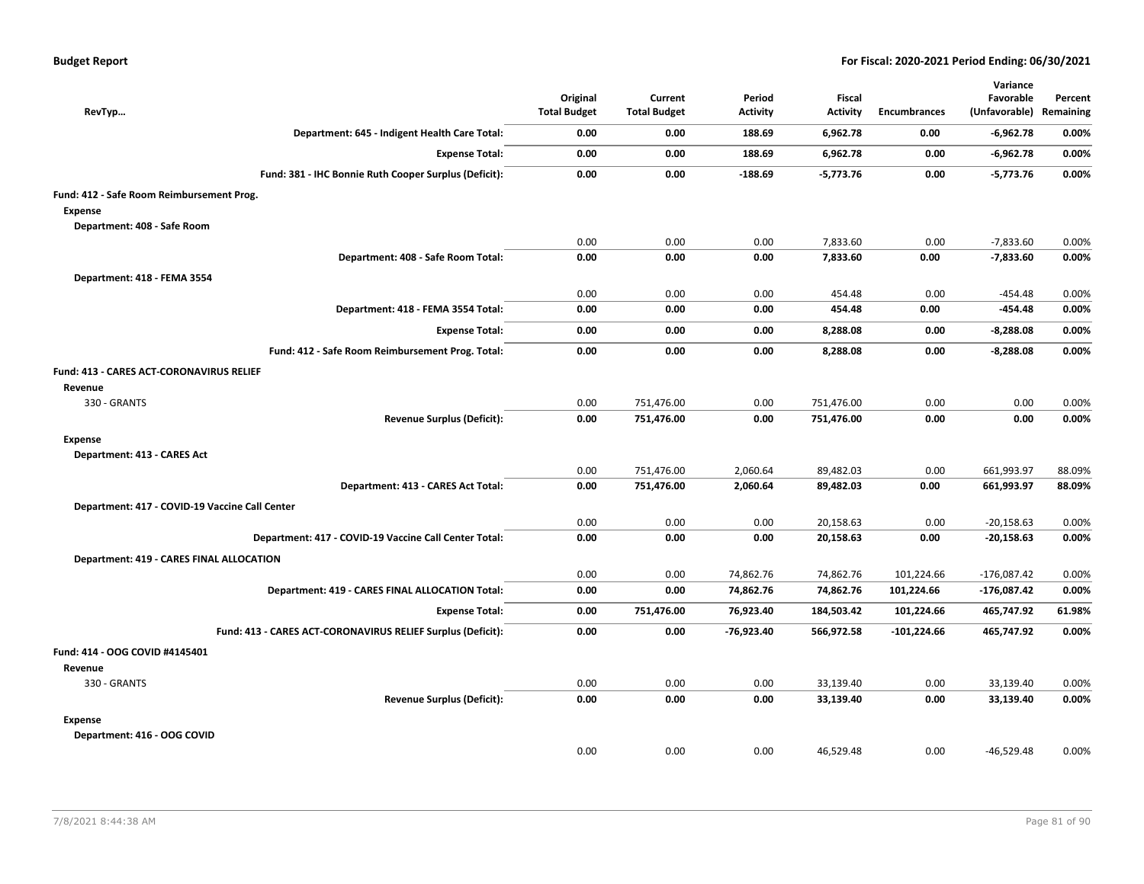| RevTyp                                                      | Original<br><b>Total Budget</b> | Current<br><b>Total Budget</b> | Period<br><b>Activity</b> | Fiscal<br><b>Activity</b> | Encumbrances  | Variance<br>Favorable<br>(Unfavorable) Remaining | Percent        |
|-------------------------------------------------------------|---------------------------------|--------------------------------|---------------------------|---------------------------|---------------|--------------------------------------------------|----------------|
| Department: 645 - Indigent Health Care Total:               | 0.00                            | 0.00                           | 188.69                    | 6,962.78                  | 0.00          | $-6,962.78$                                      | 0.00%          |
| <b>Expense Total:</b>                                       | 0.00                            | 0.00                           | 188.69                    | 6,962.78                  | 0.00          | $-6,962.78$                                      | 0.00%          |
| Fund: 381 - IHC Bonnie Ruth Cooper Surplus (Deficit):       | 0.00                            | 0.00                           | $-188.69$                 | $-5,773.76$               | 0.00          | $-5,773.76$                                      | 0.00%          |
| Fund: 412 - Safe Room Reimbursement Prog.                   |                                 |                                |                           |                           |               |                                                  |                |
| <b>Expense</b>                                              |                                 |                                |                           |                           |               |                                                  |                |
| Department: 408 - Safe Room                                 |                                 |                                |                           |                           |               |                                                  |                |
| Department: 408 - Safe Room Total:                          | 0.00<br>0.00                    | 0.00<br>0.00                   | 0.00<br>0.00              | 7,833.60<br>7,833.60      | 0.00<br>0.00  | $-7,833.60$<br>$-7,833.60$                       | 0.00%<br>0.00% |
|                                                             |                                 |                                |                           |                           |               |                                                  |                |
| Department: 418 - FEMA 3554                                 |                                 |                                |                           |                           |               |                                                  |                |
| Department: 418 - FEMA 3554 Total:                          | 0.00<br>0.00                    | 0.00<br>0.00                   | 0.00<br>0.00              | 454.48<br>454.48          | 0.00<br>0.00  | -454.48<br>-454.48                               | 0.00%<br>0.00% |
|                                                             |                                 |                                |                           |                           |               |                                                  |                |
| <b>Expense Total:</b>                                       | 0.00                            | 0.00                           | 0.00                      | 8,288.08                  | 0.00          | -8,288.08                                        | 0.00%          |
| Fund: 412 - Safe Room Reimbursement Prog. Total:            | 0.00                            | 0.00                           | 0.00                      | 8,288.08                  | 0.00          | $-8,288.08$                                      | 0.00%          |
| <b>Fund: 413 - CARES ACT-CORONAVIRUS RELIEF</b><br>Revenue  |                                 |                                |                           |                           |               |                                                  |                |
| 330 - GRANTS                                                | 0.00                            | 751,476.00                     | 0.00                      | 751,476.00                | 0.00          | 0.00                                             | 0.00%          |
| <b>Revenue Surplus (Deficit):</b>                           | 0.00                            | 751,476.00                     | 0.00                      | 751,476.00                | 0.00          | 0.00                                             | 0.00%          |
| Expense                                                     |                                 |                                |                           |                           |               |                                                  |                |
| Department: 413 - CARES Act                                 |                                 |                                |                           |                           |               |                                                  |                |
|                                                             | 0.00                            | 751,476.00                     | 2.060.64                  | 89,482.03                 | 0.00          | 661,993.97                                       | 88.09%         |
| Department: 413 - CARES Act Total:                          | 0.00                            | 751,476.00                     | 2,060.64                  | 89,482.03                 | 0.00          | 661,993.97                                       | 88.09%         |
| Department: 417 - COVID-19 Vaccine Call Center              |                                 |                                |                           |                           |               |                                                  |                |
|                                                             | 0.00                            | 0.00                           | 0.00                      | 20,158.63                 | 0.00          | $-20,158.63$                                     | 0.00%          |
| Department: 417 - COVID-19 Vaccine Call Center Total:       | 0.00                            | 0.00                           | 0.00                      | 20,158.63                 | 0.00          | $-20,158.63$                                     | 0.00%          |
| <b>Department: 419 - CARES FINAL ALLOCATION</b>             |                                 |                                |                           |                           |               |                                                  |                |
|                                                             | 0.00                            | 0.00                           | 74,862.76                 | 74,862.76                 | 101,224.66    | $-176,087.42$                                    | 0.00%          |
| Department: 419 - CARES FINAL ALLOCATION Total:             | 0.00                            | 0.00                           | 74,862.76                 | 74,862.76                 | 101,224.66    | $-176,087.42$                                    | 0.00%          |
| <b>Expense Total:</b>                                       | 0.00                            | 751,476.00                     | 76,923.40                 | 184,503.42                | 101,224.66    | 465,747.92                                       | 61.98%         |
| Fund: 413 - CARES ACT-CORONAVIRUS RELIEF Surplus (Deficit): | 0.00                            | 0.00                           | $-76,923.40$              | 566,972.58                | $-101,224.66$ | 465,747.92                                       | 0.00%          |
| Fund: 414 - OOG COVID #4145401                              |                                 |                                |                           |                           |               |                                                  |                |
| Revenue                                                     |                                 |                                |                           |                           |               |                                                  |                |
| 330 - GRANTS                                                | 0.00                            | 0.00                           | 0.00                      | 33,139.40                 | 0.00          | 33,139.40                                        | 0.00%          |
| <b>Revenue Surplus (Deficit):</b>                           | 0.00                            | 0.00                           | 0.00                      | 33,139.40                 | 0.00          | 33,139.40                                        | 0.00%          |
| <b>Expense</b>                                              |                                 |                                |                           |                           |               |                                                  |                |
| Department: 416 - OOG COVID                                 |                                 |                                |                           |                           |               |                                                  |                |
|                                                             | 0.00                            | 0.00                           | 0.00                      | 46,529.48                 | 0.00          | $-46,529.48$                                     | 0.00%          |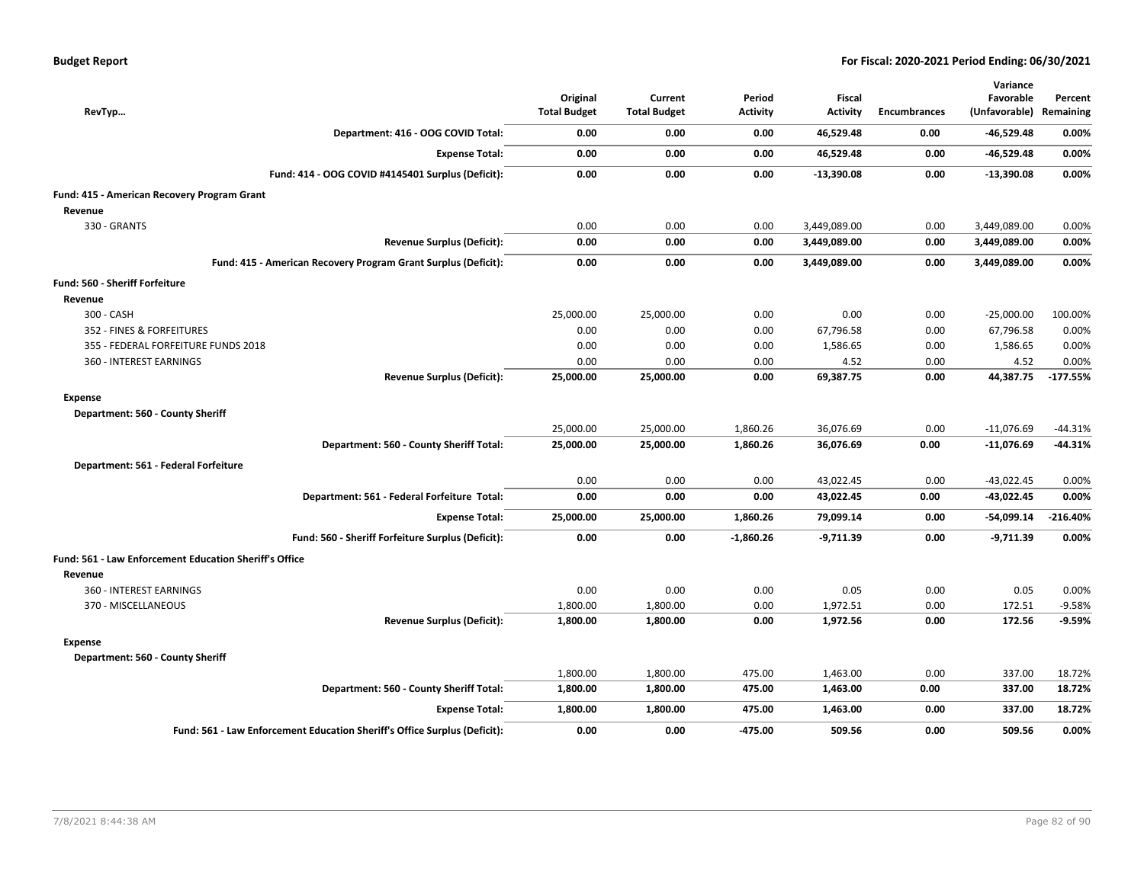| RevTyp                                                 |                                                                           | Original<br><b>Total Budget</b> | Current<br><b>Total Budget</b> | Period<br><b>Activity</b> | Fiscal<br><b>Activity</b> | <b>Encumbrances</b> | Variance<br>Favorable<br>(Unfavorable) | Percent<br>Remaining |
|--------------------------------------------------------|---------------------------------------------------------------------------|---------------------------------|--------------------------------|---------------------------|---------------------------|---------------------|----------------------------------------|----------------------|
|                                                        | Department: 416 - OOG COVID Total:                                        | 0.00                            | 0.00                           | 0.00                      | 46,529.48                 | 0.00                | $-46,529.48$                           | 0.00%                |
|                                                        | <b>Expense Total:</b>                                                     | 0.00                            | 0.00                           | 0.00                      | 46,529.48                 | 0.00                | $-46,529.48$                           | 0.00%                |
|                                                        | Fund: 414 - OOG COVID #4145401 Surplus (Deficit):                         | 0.00                            | 0.00                           | 0.00                      | $-13,390.08$              | 0.00                | $-13,390.08$                           | 0.00%                |
| Fund: 415 - American Recovery Program Grant<br>Revenue |                                                                           |                                 |                                |                           |                           |                     |                                        |                      |
| 330 - GRANTS                                           |                                                                           | 0.00                            | 0.00                           | 0.00                      | 3,449,089.00              | 0.00                | 3,449,089.00                           | 0.00%                |
|                                                        | <b>Revenue Surplus (Deficit):</b>                                         | 0.00                            | 0.00                           | 0.00                      | 3,449,089.00              | 0.00                | 3,449,089.00                           | 0.00%                |
|                                                        | Fund: 415 - American Recovery Program Grant Surplus (Deficit):            | 0.00                            | 0.00                           | 0.00                      | 3,449,089.00              | 0.00                | 3,449,089.00                           | 0.00%                |
| Fund: 560 - Sheriff Forfeiture                         |                                                                           |                                 |                                |                           |                           |                     |                                        |                      |
| Revenue                                                |                                                                           |                                 |                                |                           |                           |                     |                                        |                      |
| 300 - CASH                                             |                                                                           | 25,000.00                       | 25,000.00                      | 0.00                      | 0.00                      | 0.00                | $-25,000.00$                           | 100.00%              |
| 352 - FINES & FORFEITURES                              |                                                                           | 0.00                            | 0.00                           | 0.00                      | 67,796.58                 | 0.00                | 67,796.58                              | 0.00%                |
| 355 - FEDERAL FORFEITURE FUNDS 2018                    |                                                                           | 0.00                            | 0.00                           | 0.00                      | 1,586.65                  | 0.00                | 1,586.65                               | 0.00%                |
| 360 - INTEREST EARNINGS                                |                                                                           | 0.00                            | 0.00                           | 0.00                      | 4.52                      | 0.00                | 4.52                                   | 0.00%                |
|                                                        | <b>Revenue Surplus (Deficit):</b>                                         | 25,000.00                       | 25,000.00                      | 0.00                      | 69,387.75                 | 0.00                | 44,387.75                              | $-177.55%$           |
| Expense                                                |                                                                           |                                 |                                |                           |                           |                     |                                        |                      |
| Department: 560 - County Sheriff                       |                                                                           |                                 |                                |                           |                           |                     |                                        |                      |
|                                                        |                                                                           | 25,000.00                       | 25,000.00                      | 1,860.26                  | 36,076.69                 | 0.00                | $-11,076.69$                           | $-44.31%$            |
|                                                        | Department: 560 - County Sheriff Total:                                   | 25,000.00                       | 25,000.00                      | 1,860.26                  | 36,076.69                 | 0.00                | $-11,076.69$                           | $-44.31%$            |
| Department: 561 - Federal Forfeiture                   |                                                                           |                                 |                                |                           |                           |                     |                                        |                      |
|                                                        |                                                                           | 0.00                            | 0.00                           | 0.00                      | 43,022.45                 | 0.00                | $-43,022.45$                           | 0.00%                |
|                                                        | Department: 561 - Federal Forfeiture Total:                               | 0.00                            | 0.00                           | 0.00                      | 43,022.45                 | 0.00                | $-43,022.45$                           | 0.00%                |
|                                                        | <b>Expense Total:</b>                                                     | 25,000.00                       | 25,000.00                      | 1,860.26                  | 79,099.14                 | 0.00                | $-54,099.14$                           | $-216.40%$           |
|                                                        | Fund: 560 - Sheriff Forfeiture Surplus (Deficit):                         | 0.00                            | 0.00                           | $-1,860.26$               | $-9,711.39$               | 0.00                | $-9,711.39$                            | 0.00%                |
| Fund: 561 - Law Enforcement Education Sheriff's Office |                                                                           |                                 |                                |                           |                           |                     |                                        |                      |
| Revenue                                                |                                                                           |                                 |                                |                           |                           |                     |                                        |                      |
| 360 - INTEREST EARNINGS                                |                                                                           | 0.00                            | 0.00                           | 0.00                      | 0.05                      | 0.00                | 0.05                                   | 0.00%                |
| 370 - MISCELLANEOUS                                    |                                                                           | 1,800.00                        | 1,800.00                       | 0.00                      | 1,972.51                  | 0.00                | 172.51                                 | $-9.58%$             |
|                                                        | <b>Revenue Surplus (Deficit):</b>                                         | 1,800.00                        | 1,800.00                       | 0.00                      | 1,972.56                  | 0.00                | 172.56                                 | -9.59%               |
| Expense                                                |                                                                           |                                 |                                |                           |                           |                     |                                        |                      |
| Department: 560 - County Sheriff                       |                                                                           |                                 |                                |                           |                           |                     |                                        |                      |
|                                                        |                                                                           | 1,800.00                        | 1,800.00                       | 475.00                    | 1,463.00                  | 0.00<br>0.00        | 337.00                                 | 18.72%<br>18.72%     |
|                                                        | Department: 560 - County Sheriff Total:                                   | 1,800.00                        | 1,800.00                       | 475.00                    | 1,463.00                  |                     | 337.00                                 |                      |
|                                                        | <b>Expense Total:</b>                                                     | 1,800.00                        | 1,800.00                       | 475.00                    | 1,463.00                  | 0.00                | 337.00                                 | 18.72%               |
|                                                        | Fund: 561 - Law Enforcement Education Sheriff's Office Surplus (Deficit): | 0.00                            | 0.00                           | -475.00                   | 509.56                    | 0.00                | 509.56                                 | 0.00%                |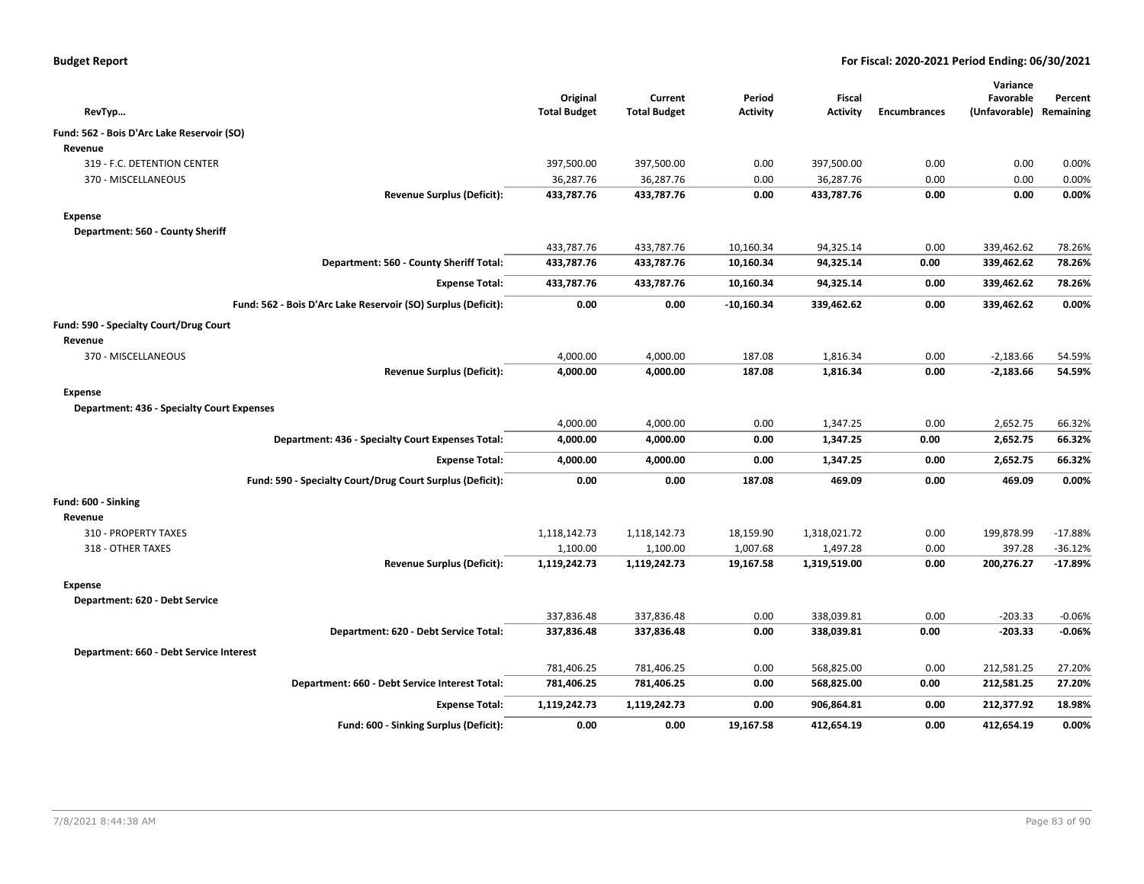| <b>Budget Report</b> |  |
|----------------------|--|
|----------------------|--|

|                                                               | Original            | Current             | Period          | <b>Fiscal</b>   |                     | Variance<br>Favorable | Percent   |
|---------------------------------------------------------------|---------------------|---------------------|-----------------|-----------------|---------------------|-----------------------|-----------|
| RevTyp                                                        | <b>Total Budget</b> | <b>Total Budget</b> | <b>Activity</b> | <b>Activity</b> | <b>Encumbrances</b> | (Unfavorable)         | Remaining |
| Fund: 562 - Bois D'Arc Lake Reservoir (SO)                    |                     |                     |                 |                 |                     |                       |           |
| Revenue                                                       |                     |                     |                 |                 |                     |                       |           |
| 319 - F.C. DETENTION CENTER                                   | 397,500.00          | 397,500.00          | 0.00            | 397,500.00      | 0.00                | 0.00                  | 0.00%     |
| 370 - MISCELLANEOUS                                           | 36,287.76           | 36,287.76           | 0.00            | 36,287.76       | 0.00                | 0.00                  | 0.00%     |
| <b>Revenue Surplus (Deficit):</b>                             | 433,787.76          | 433,787.76          | 0.00            | 433,787.76      | 0.00                | 0.00                  | 0.00%     |
| <b>Expense</b>                                                |                     |                     |                 |                 |                     |                       |           |
| Department: 560 - County Sheriff                              |                     |                     |                 |                 |                     |                       |           |
|                                                               | 433,787.76          | 433,787.76          | 10,160.34       | 94,325.14       | 0.00                | 339,462.62            | 78.26%    |
| Department: 560 - County Sheriff Total:                       | 433,787.76          | 433,787.76          | 10,160.34       | 94,325.14       | 0.00                | 339,462.62            | 78.26%    |
| <b>Expense Total:</b>                                         | 433,787.76          | 433,787.76          | 10,160.34       | 94,325.14       | 0.00                | 339,462.62            | 78.26%    |
| Fund: 562 - Bois D'Arc Lake Reservoir (SO) Surplus (Deficit): | 0.00                | 0.00                | $-10,160.34$    | 339,462.62      | 0.00                | 339,462.62            | 0.00%     |
| Fund: 590 - Specialty Court/Drug Court                        |                     |                     |                 |                 |                     |                       |           |
| Revenue                                                       |                     |                     |                 |                 |                     |                       |           |
| 370 - MISCELLANEOUS                                           | 4,000.00            | 4,000.00            | 187.08          | 1,816.34        | 0.00                | $-2,183.66$           | 54.59%    |
| <b>Revenue Surplus (Deficit):</b>                             | 4,000.00            | 4,000.00            | 187.08          | 1,816.34        | 0.00                | $-2,183.66$           | 54.59%    |
| <b>Expense</b>                                                |                     |                     |                 |                 |                     |                       |           |
| <b>Department: 436 - Specialty Court Expenses</b>             |                     |                     |                 |                 |                     |                       |           |
|                                                               | 4,000.00            | 4,000.00            | 0.00            | 1,347.25        | 0.00                | 2,652.75              | 66.32%    |
| Department: 436 - Specialty Court Expenses Total:             | 4,000.00            | 4,000.00            | 0.00            | 1,347.25        | 0.00                | 2,652.75              | 66.32%    |
| <b>Expense Total:</b>                                         | 4,000.00            | 4,000.00            | 0.00            | 1,347.25        | 0.00                | 2,652.75              | 66.32%    |
| Fund: 590 - Specialty Court/Drug Court Surplus (Deficit):     | 0.00                | 0.00                | 187.08          | 469.09          | 0.00                | 469.09                | 0.00%     |
| Fund: 600 - Sinking                                           |                     |                     |                 |                 |                     |                       |           |
| Revenue                                                       |                     |                     |                 |                 |                     |                       |           |
| 310 - PROPERTY TAXES                                          | 1,118,142.73        | 1,118,142.73        | 18,159.90       | 1,318,021.72    | 0.00                | 199,878.99            | $-17.88%$ |
| 318 - OTHER TAXES                                             | 1,100.00            | 1,100.00            | 1,007.68        | 1,497.28        | 0.00                | 397.28                | $-36.12%$ |
| <b>Revenue Surplus (Deficit):</b>                             | 1,119,242.73        | 1,119,242.73        | 19,167.58       | 1,319,519.00    | 0.00                | 200,276.27            | $-17.89%$ |
| <b>Expense</b>                                                |                     |                     |                 |                 |                     |                       |           |
| Department: 620 - Debt Service                                |                     |                     |                 |                 |                     |                       |           |
|                                                               | 337,836.48          | 337,836.48          | 0.00            | 338,039.81      | 0.00                | $-203.33$             | $-0.06%$  |
| Department: 620 - Debt Service Total:                         | 337,836.48          | 337,836.48          | 0.00            | 338,039.81      | 0.00                | $-203.33$             | $-0.06%$  |
| Department: 660 - Debt Service Interest                       |                     |                     |                 |                 |                     |                       |           |
|                                                               | 781,406.25          | 781,406.25          | 0.00            | 568,825.00      | 0.00                | 212,581.25            | 27.20%    |
| Department: 660 - Debt Service Interest Total:                | 781,406.25          | 781,406.25          | 0.00            | 568,825.00      | 0.00                | 212,581.25            | 27.20%    |
| <b>Expense Total:</b>                                         | 1,119,242.73        | 1,119,242.73        | 0.00            | 906,864.81      | 0.00                | 212,377.92            | 18.98%    |
| Fund: 600 - Sinking Surplus (Deficit):                        | 0.00                | 0.00                | 19,167.58       | 412,654.19      | 0.00                | 412,654.19            | 0.00%     |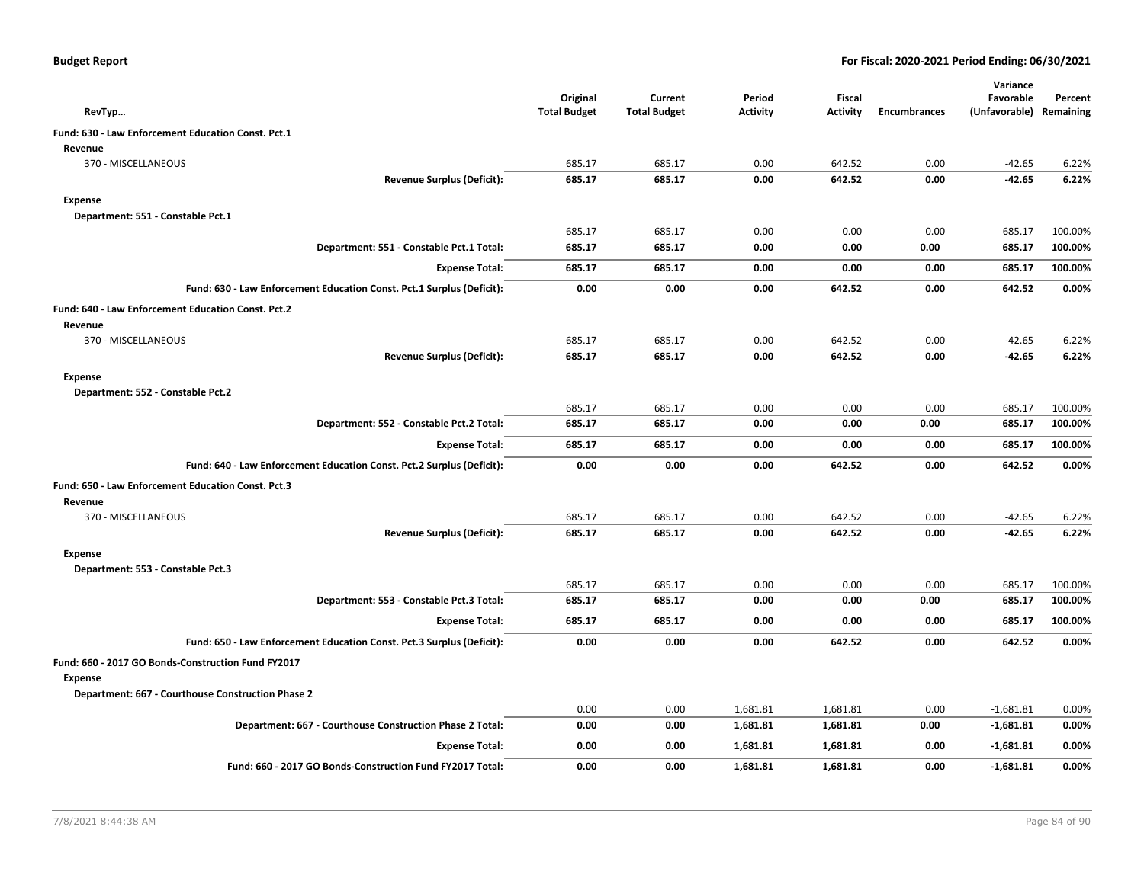|  |  |  | <b>Budget Report</b> |
|--|--|--|----------------------|
|--|--|--|----------------------|

| RevTyp                                                                | Original<br><b>Total Budget</b> | Current<br><b>Total Budget</b> | Period<br><b>Activity</b> | <b>Fiscal</b><br><b>Activity</b> | <b>Encumbrances</b> | Variance<br>Favorable<br>(Unfavorable) Remaining | Percent |
|-----------------------------------------------------------------------|---------------------------------|--------------------------------|---------------------------|----------------------------------|---------------------|--------------------------------------------------|---------|
|                                                                       |                                 |                                |                           |                                  |                     |                                                  |         |
| Fund: 630 - Law Enforcement Education Const. Pct.1<br>Revenue         |                                 |                                |                           |                                  |                     |                                                  |         |
| 370 - MISCELLANEOUS                                                   | 685.17                          | 685.17                         | 0.00                      | 642.52                           | 0.00                | $-42.65$                                         | 6.22%   |
| <b>Revenue Surplus (Deficit):</b>                                     | 685.17                          | 685.17                         | 0.00                      | 642.52                           | 0.00                | $-42.65$                                         | 6.22%   |
| <b>Expense</b>                                                        |                                 |                                |                           |                                  |                     |                                                  |         |
| Department: 551 - Constable Pct.1                                     |                                 |                                |                           |                                  |                     |                                                  |         |
|                                                                       | 685.17                          | 685.17                         | 0.00                      | 0.00                             | 0.00                | 685.17                                           | 100.00% |
| Department: 551 - Constable Pct.1 Total:                              | 685.17                          | 685.17                         | 0.00                      | 0.00                             | 0.00                | 685.17                                           | 100.00% |
| <b>Expense Total:</b>                                                 | 685.17                          | 685.17                         | 0.00                      | 0.00                             | 0.00                | 685.17                                           | 100.00% |
|                                                                       |                                 |                                |                           |                                  |                     |                                                  |         |
| Fund: 630 - Law Enforcement Education Const. Pct.1 Surplus (Deficit): | 0.00                            | 0.00                           | 0.00                      | 642.52                           | 0.00                | 642.52                                           | 0.00%   |
| Fund: 640 - Law Enforcement Education Const. Pct.2                    |                                 |                                |                           |                                  |                     |                                                  |         |
| Revenue                                                               |                                 |                                |                           |                                  |                     |                                                  |         |
| 370 - MISCELLANEOUS                                                   | 685.17                          | 685.17                         | 0.00                      | 642.52                           | 0.00                | $-42.65$                                         | 6.22%   |
| <b>Revenue Surplus (Deficit):</b>                                     | 685.17                          | 685.17                         | 0.00                      | 642.52                           | 0.00                | $-42.65$                                         | 6.22%   |
| <b>Expense</b>                                                        |                                 |                                |                           |                                  |                     |                                                  |         |
| Department: 552 - Constable Pct.2                                     |                                 |                                |                           |                                  |                     |                                                  |         |
|                                                                       | 685.17                          | 685.17                         | 0.00                      | 0.00                             | 0.00                | 685.17                                           | 100.00% |
| Department: 552 - Constable Pct.2 Total:                              | 685.17                          | 685.17                         | 0.00                      | 0.00                             | 0.00                | 685.17                                           | 100.00% |
| <b>Expense Total:</b>                                                 | 685.17                          | 685.17                         | 0.00                      | 0.00                             | 0.00                | 685.17                                           | 100.00% |
| Fund: 640 - Law Enforcement Education Const. Pct.2 Surplus (Deficit): | 0.00                            | 0.00                           | 0.00                      | 642.52                           | 0.00                | 642.52                                           | 0.00%   |
| Fund: 650 - Law Enforcement Education Const. Pct.3                    |                                 |                                |                           |                                  |                     |                                                  |         |
| Revenue                                                               |                                 |                                |                           |                                  |                     |                                                  |         |
| 370 - MISCELLANEOUS                                                   | 685.17                          | 685.17                         | 0.00                      | 642.52                           | 0.00                | $-42.65$                                         | 6.22%   |
| <b>Revenue Surplus (Deficit):</b>                                     | 685.17                          | 685.17                         | 0.00                      | 642.52                           | 0.00                | $-42.65$                                         | 6.22%   |
| <b>Expense</b>                                                        |                                 |                                |                           |                                  |                     |                                                  |         |
| Department: 553 - Constable Pct.3                                     |                                 |                                |                           |                                  |                     |                                                  |         |
|                                                                       | 685.17                          | 685.17                         | 0.00                      | 0.00                             | 0.00                | 685.17                                           | 100.00% |
| Department: 553 - Constable Pct.3 Total:                              | 685.17                          | 685.17                         | 0.00                      | 0.00                             | 0.00                | 685.17                                           | 100.00% |
| <b>Expense Total:</b>                                                 | 685.17                          | 685.17                         | 0.00                      | 0.00                             | 0.00                | 685.17                                           | 100.00% |
| Fund: 650 - Law Enforcement Education Const. Pct.3 Surplus (Deficit): | 0.00                            | 0.00                           | 0.00                      | 642.52                           | 0.00                | 642.52                                           | 0.00%   |
| Fund: 660 - 2017 GO Bonds-Construction Fund FY2017                    |                                 |                                |                           |                                  |                     |                                                  |         |
| <b>Expense</b>                                                        |                                 |                                |                           |                                  |                     |                                                  |         |
| Department: 667 - Courthouse Construction Phase 2                     |                                 |                                |                           |                                  |                     |                                                  |         |
|                                                                       | 0.00                            | 0.00                           | 1,681.81                  | 1,681.81                         | 0.00                | $-1,681.81$                                      | 0.00%   |
| Department: 667 - Courthouse Construction Phase 2 Total:              | 0.00                            | 0.00                           | 1,681.81                  | 1,681.81                         | 0.00                | $-1,681.81$                                      | 0.00%   |
| <b>Expense Total:</b>                                                 | 0.00                            | 0.00                           | 1,681.81                  | 1,681.81                         | 0.00                | $-1,681.81$                                      | 0.00%   |
| Fund: 660 - 2017 GO Bonds-Construction Fund FY2017 Total:             | 0.00                            | 0.00                           | 1.681.81                  | 1,681.81                         | 0.00                | $-1,681.81$                                      | 0.00%   |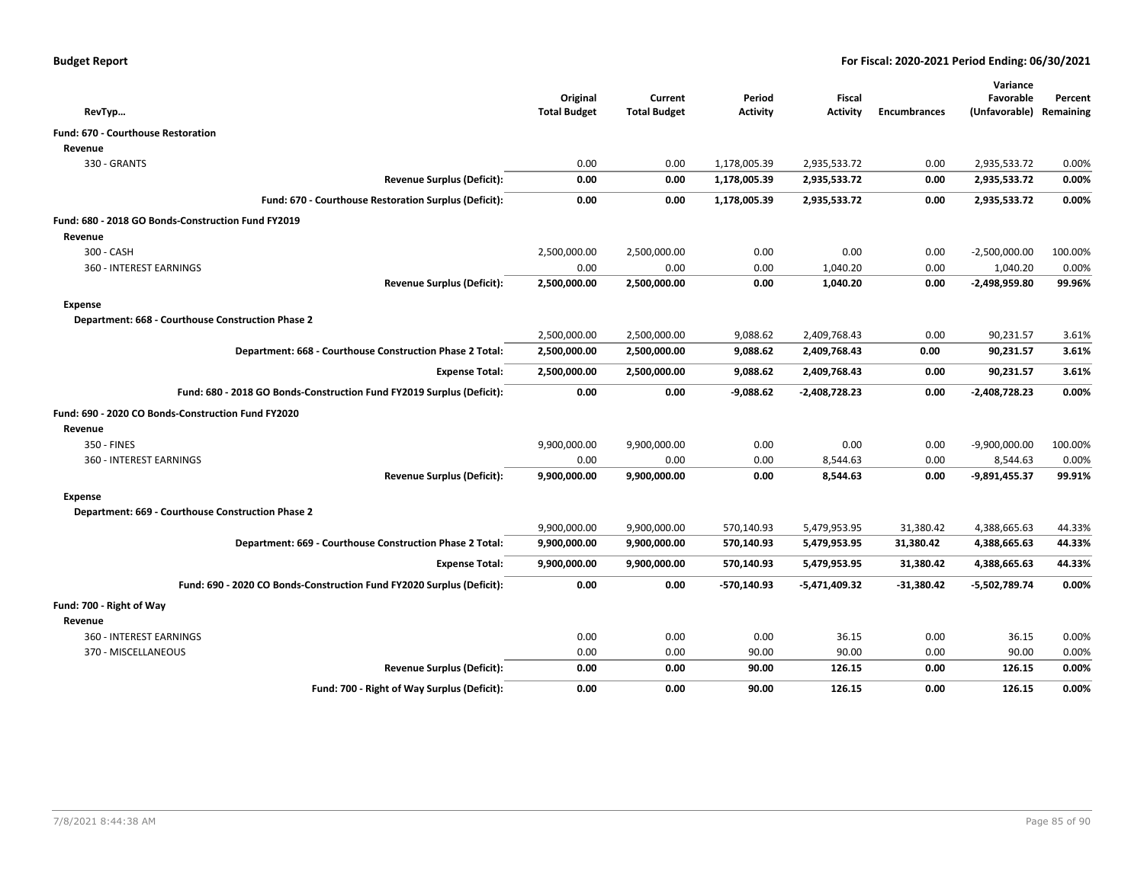| RevTyp                                                                | Original<br><b>Total Budget</b> | Current<br><b>Total Budget</b> | Period<br><b>Activity</b> | Fiscal<br><b>Activity</b> | <b>Encumbrances</b> | Variance<br>Favorable<br>(Unfavorable) | Percent<br>Remaining |
|-----------------------------------------------------------------------|---------------------------------|--------------------------------|---------------------------|---------------------------|---------------------|----------------------------------------|----------------------|
|                                                                       |                                 |                                |                           |                           |                     |                                        |                      |
| <b>Fund: 670 - Courthouse Restoration</b>                             |                                 |                                |                           |                           |                     |                                        |                      |
| Revenue                                                               |                                 |                                |                           |                           |                     |                                        |                      |
| 330 - GRANTS                                                          | 0.00                            | 0.00                           | 1,178,005.39              | 2,935,533.72              | 0.00                | 2,935,533.72                           | 0.00%                |
| <b>Revenue Surplus (Deficit):</b>                                     | 0.00                            | 0.00                           | 1,178,005.39              | 2,935,533.72              | 0.00                | 2,935,533.72                           | 0.00%                |
| Fund: 670 - Courthouse Restoration Surplus (Deficit):                 | 0.00                            | 0.00                           | 1,178,005.39              | 2,935,533.72              | 0.00                | 2,935,533.72                           | 0.00%                |
| Fund: 680 - 2018 GO Bonds-Construction Fund FY2019                    |                                 |                                |                           |                           |                     |                                        |                      |
| Revenue                                                               |                                 |                                |                           |                           |                     |                                        |                      |
| 300 - CASH                                                            | 2,500,000.00                    | 2,500,000.00                   | 0.00                      | 0.00                      | 0.00                | $-2,500,000.00$                        | 100.00%              |
| 360 - INTEREST EARNINGS                                               | 0.00                            | 0.00                           | 0.00                      | 1,040.20                  | 0.00                | 1,040.20                               | 0.00%                |
| <b>Revenue Surplus (Deficit):</b>                                     | 2,500,000.00                    | 2,500,000.00                   | 0.00                      | 1,040.20                  | 0.00                | -2,498,959.80                          | 99.96%               |
| Expense                                                               |                                 |                                |                           |                           |                     |                                        |                      |
| Department: 668 - Courthouse Construction Phase 2                     |                                 |                                |                           |                           |                     |                                        |                      |
|                                                                       | 2,500,000.00                    | 2,500,000.00                   | 9,088.62                  | 2,409,768.43              | 0.00                | 90,231.57                              | 3.61%                |
| Department: 668 - Courthouse Construction Phase 2 Total:              | 2,500,000.00                    | 2,500,000.00                   | 9,088.62                  | 2,409,768.43              | 0.00                | 90,231.57                              | 3.61%                |
| <b>Expense Total:</b>                                                 | 2,500,000.00                    | 2,500,000.00                   | 9,088.62                  | 2,409,768.43              | 0.00                | 90,231.57                              | 3.61%                |
| Fund: 680 - 2018 GO Bonds-Construction Fund FY2019 Surplus (Deficit): | 0.00                            | 0.00                           | $-9,088.62$               | $-2,408,728.23$           | 0.00                | -2,408,728.23                          | 0.00%                |
| Fund: 690 - 2020 CO Bonds-Construction Fund FY2020                    |                                 |                                |                           |                           |                     |                                        |                      |
| Revenue                                                               |                                 |                                |                           |                           |                     |                                        |                      |
| 350 - FINES                                                           | 9,900,000.00                    | 9,900,000.00                   | 0.00                      | 0.00                      | 0.00                | $-9,900,000.00$                        | 100.00%              |
| 360 - INTEREST EARNINGS                                               | 0.00                            | 0.00                           | 0.00                      | 8,544.63                  | 0.00                | 8,544.63                               | 0.00%                |
| <b>Revenue Surplus (Deficit):</b>                                     | 9,900,000.00                    | 9,900,000.00                   | 0.00                      | 8,544.63                  | 0.00                | -9,891,455.37                          | 99.91%               |
| <b>Expense</b>                                                        |                                 |                                |                           |                           |                     |                                        |                      |
| Department: 669 - Courthouse Construction Phase 2                     |                                 |                                |                           |                           |                     |                                        |                      |
|                                                                       | 9,900,000.00                    | 9,900,000.00                   | 570,140.93                | 5,479,953.95              | 31,380.42           | 4,388,665.63                           | 44.33%               |
| Department: 669 - Courthouse Construction Phase 2 Total:              | 9,900,000.00                    | 9,900,000.00                   | 570,140.93                | 5,479,953.95              | 31,380.42           | 4,388,665.63                           | 44.33%               |
| <b>Expense Total:</b>                                                 | 9,900,000.00                    | 9,900,000.00                   | 570,140.93                | 5,479,953.95              | 31,380.42           | 4,388,665.63                           | 44.33%               |
| Fund: 690 - 2020 CO Bonds-Construction Fund FY2020 Surplus (Deficit): | 0.00                            | 0.00                           | -570,140.93               | $-5,471,409.32$           | $-31,380.42$        | -5,502,789.74                          | 0.00%                |
| Fund: 700 - Right of Way                                              |                                 |                                |                           |                           |                     |                                        |                      |
| Revenue                                                               |                                 |                                |                           |                           |                     |                                        |                      |
| 360 - INTEREST EARNINGS                                               | 0.00                            | 0.00                           | 0.00                      | 36.15                     | 0.00                | 36.15                                  | 0.00%                |
| 370 - MISCELLANEOUS                                                   | 0.00                            | 0.00                           | 90.00                     | 90.00                     | 0.00                | 90.00                                  | 0.00%                |
| <b>Revenue Surplus (Deficit):</b>                                     | 0.00                            | 0.00                           | 90.00                     | 126.15                    | 0.00                | 126.15                                 | 0.00%                |
| Fund: 700 - Right of Way Surplus (Deficit):                           | 0.00                            | 0.00                           | 90.00                     | 126.15                    | 0.00                | 126.15                                 | 0.00%                |
|                                                                       |                                 |                                |                           |                           |                     |                                        |                      |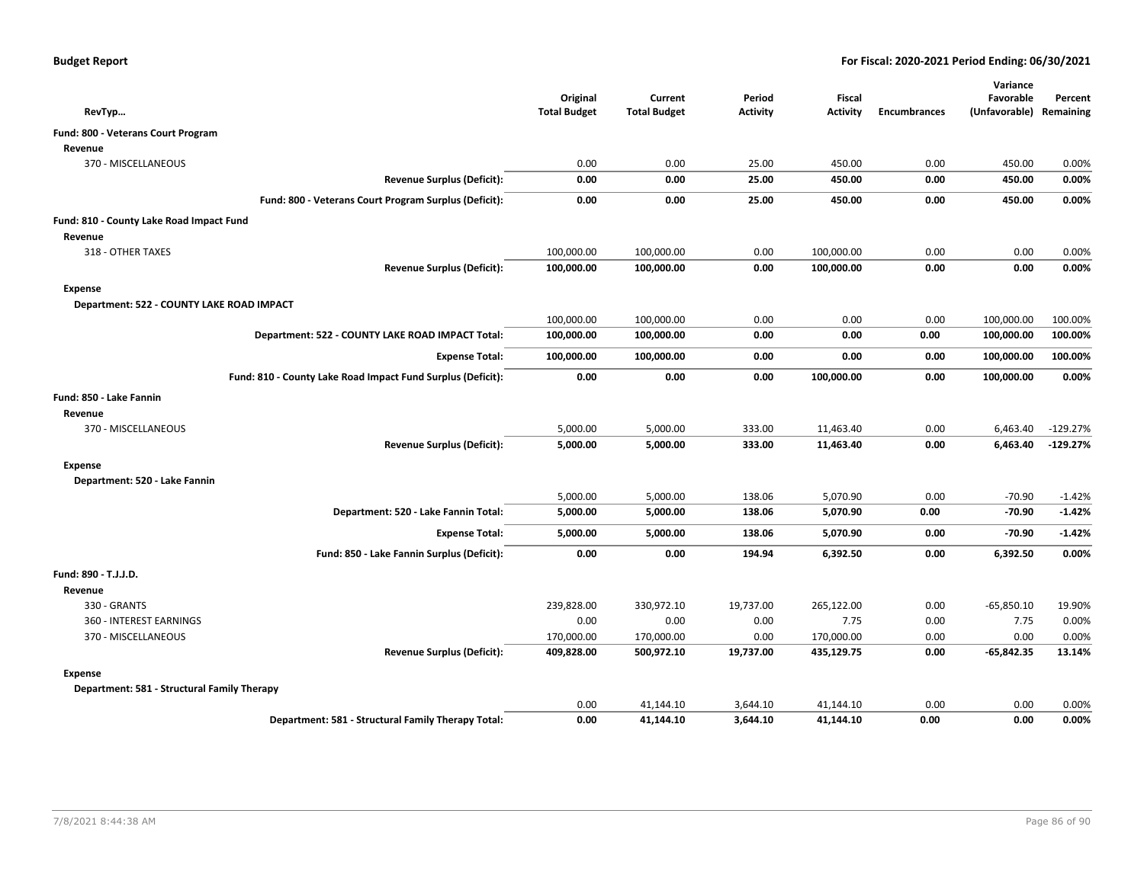| RevTyp                                                      | Original<br><b>Total Budget</b> | Current<br><b>Total Budget</b> | Period<br><b>Activity</b> | <b>Fiscal</b><br><b>Activity</b> | <b>Encumbrances</b> | Variance<br>Favorable<br>(Unfavorable) | Percent<br>Remaining |
|-------------------------------------------------------------|---------------------------------|--------------------------------|---------------------------|----------------------------------|---------------------|----------------------------------------|----------------------|
| Fund: 800 - Veterans Court Program                          |                                 |                                |                           |                                  |                     |                                        |                      |
| Revenue                                                     |                                 |                                |                           |                                  |                     |                                        |                      |
| 370 - MISCELLANEOUS                                         | 0.00                            | 0.00                           | 25.00                     | 450.00                           | 0.00                | 450.00                                 | 0.00%                |
| <b>Revenue Surplus (Deficit):</b>                           | 0.00                            | 0.00                           | 25.00                     | 450.00                           | 0.00                | 450.00                                 | 0.00%                |
| Fund: 800 - Veterans Court Program Surplus (Deficit):       | 0.00                            | 0.00                           | 25.00                     | 450.00                           | 0.00                | 450.00                                 | 0.00%                |
| Fund: 810 - County Lake Road Impact Fund                    |                                 |                                |                           |                                  |                     |                                        |                      |
| Revenue                                                     |                                 |                                |                           |                                  |                     |                                        |                      |
| 318 - OTHER TAXES                                           | 100,000.00                      | 100,000.00                     | 0.00                      | 100,000.00                       | 0.00                | 0.00                                   | 0.00%                |
| <b>Revenue Surplus (Deficit):</b>                           | 100,000.00                      | 100,000.00                     | 0.00                      | 100,000.00                       | 0.00                | 0.00                                   | 0.00%                |
| <b>Expense</b>                                              |                                 |                                |                           |                                  |                     |                                        |                      |
| Department: 522 - COUNTY LAKE ROAD IMPACT                   |                                 |                                |                           |                                  |                     |                                        |                      |
|                                                             | 100,000.00                      | 100,000.00                     | 0.00                      | 0.00                             | 0.00                | 100,000.00                             | 100.00%              |
| Department: 522 - COUNTY LAKE ROAD IMPACT Total:            | 100,000.00                      | 100,000.00                     | 0.00                      | 0.00                             | 0.00                | 100,000.00                             | 100.00%              |
| <b>Expense Total:</b>                                       | 100,000.00                      | 100,000.00                     | 0.00                      | 0.00                             | 0.00                | 100,000.00                             | 100.00%              |
| Fund: 810 - County Lake Road Impact Fund Surplus (Deficit): | 0.00                            | 0.00                           | 0.00                      | 100,000.00                       | 0.00                | 100,000.00                             | 0.00%                |
| Fund: 850 - Lake Fannin                                     |                                 |                                |                           |                                  |                     |                                        |                      |
| Revenue                                                     |                                 |                                |                           |                                  |                     |                                        |                      |
| 370 - MISCELLANEOUS                                         | 5,000.00                        | 5,000.00                       | 333.00                    | 11,463.40                        | 0.00                | 6,463.40                               | $-129.27%$           |
| <b>Revenue Surplus (Deficit):</b>                           | 5,000.00                        | 5,000.00                       | 333.00                    | 11,463.40                        | 0.00                | 6,463.40                               | $-129.27%$           |
| <b>Expense</b>                                              |                                 |                                |                           |                                  |                     |                                        |                      |
| Department: 520 - Lake Fannin                               |                                 |                                |                           |                                  |                     |                                        |                      |
|                                                             | 5,000.00                        | 5,000.00                       | 138.06                    | 5,070.90                         | 0.00                | $-70.90$                               | $-1.42%$             |
| Department: 520 - Lake Fannin Total:                        | 5,000.00                        | 5,000.00                       | 138.06                    | 5,070.90                         | 0.00                | $-70.90$                               | $-1.42%$             |
| <b>Expense Total:</b>                                       | 5,000.00                        | 5,000.00                       | 138.06                    | 5,070.90                         | 0.00                | $-70.90$                               | $-1.42%$             |
| Fund: 850 - Lake Fannin Surplus (Deficit):                  | 0.00                            | 0.00                           | 194.94                    | 6,392.50                         | 0.00                | 6,392.50                               | 0.00%                |
| Fund: 890 - T.J.J.D.                                        |                                 |                                |                           |                                  |                     |                                        |                      |
| Revenue                                                     |                                 |                                |                           |                                  |                     |                                        |                      |
| 330 - GRANTS                                                | 239,828.00                      | 330,972.10                     | 19,737.00                 | 265,122.00                       | 0.00                | $-65,850.10$                           | 19.90%               |
| 360 - INTEREST EARNINGS                                     | 0.00                            | 0.00                           | 0.00                      | 7.75                             | 0.00                | 7.75                                   | 0.00%                |
| 370 - MISCELLANEOUS                                         | 170,000.00                      | 170,000.00                     | 0.00                      | 170,000.00                       | 0.00                | 0.00                                   | 0.00%                |
| <b>Revenue Surplus (Deficit):</b>                           | 409,828.00                      | 500,972.10                     | 19,737.00                 | 435,129.75                       | 0.00                | -65,842.35                             | 13.14%               |
| <b>Expense</b>                                              |                                 |                                |                           |                                  |                     |                                        |                      |
| Department: 581 - Structural Family Therapy                 |                                 |                                |                           |                                  |                     |                                        |                      |
|                                                             | 0.00                            | 41,144.10                      | 3,644.10                  | 41,144.10                        | 0.00                | 0.00                                   | 0.00%                |
| Department: 581 - Structural Family Therapy Total:          | 0.00                            | 41,144.10                      | 3,644.10                  | 41,144.10                        | 0.00                | 0.00                                   | 0.00%                |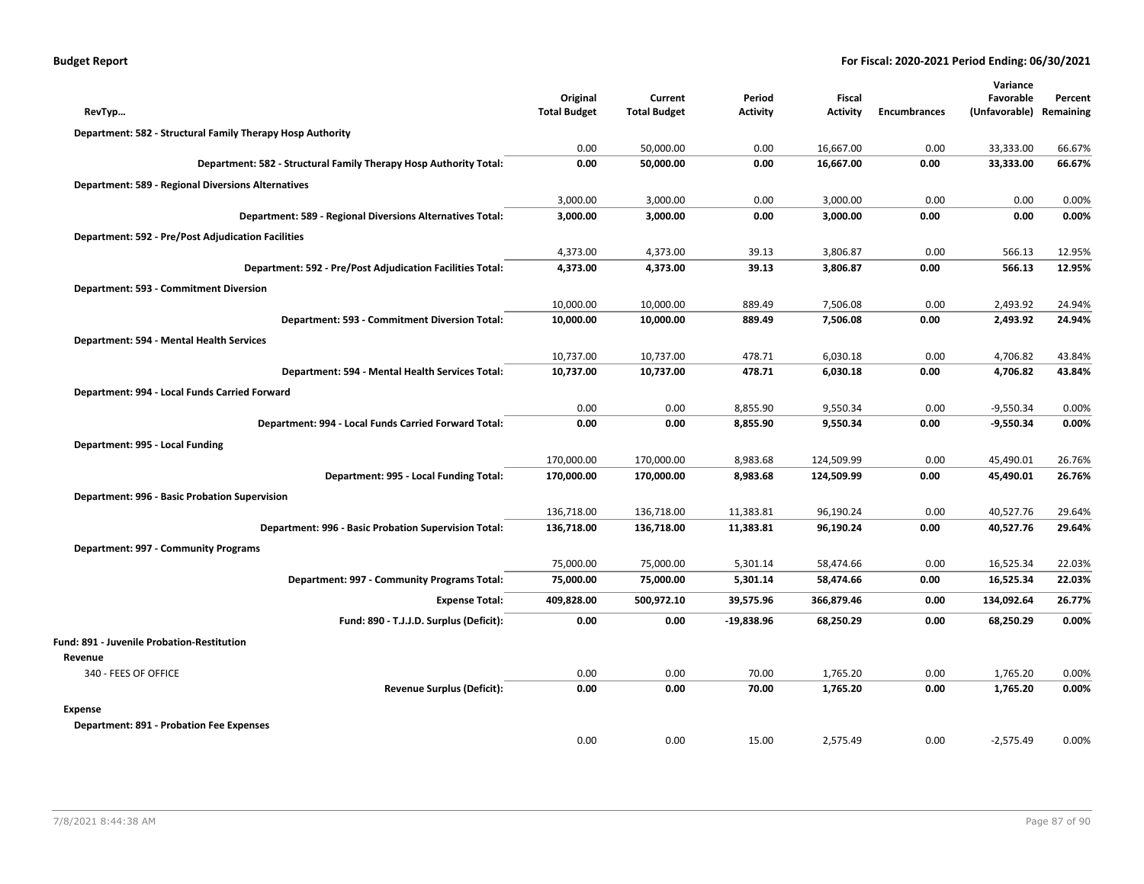| <b>Budget Report</b> |  |
|----------------------|--|
|----------------------|--|

|                                                                   |                                 |                                |                 |                                  |                     | Variance      |           |
|-------------------------------------------------------------------|---------------------------------|--------------------------------|-----------------|----------------------------------|---------------------|---------------|-----------|
|                                                                   | Original<br><b>Total Budget</b> | Current<br><b>Total Budget</b> | Period          | <b>Fiscal</b><br><b>Activity</b> |                     | Favorable     | Percent   |
| RevTyp                                                            |                                 |                                | <b>Activity</b> |                                  | <b>Encumbrances</b> | (Unfavorable) | Remaining |
| Department: 582 - Structural Family Therapy Hosp Authority        |                                 |                                |                 |                                  |                     |               |           |
|                                                                   | 0.00                            | 50,000.00                      | 0.00            | 16,667.00                        | 0.00                | 33,333.00     | 66.67%    |
| Department: 582 - Structural Family Therapy Hosp Authority Total: | 0.00                            | 50,000.00                      | 0.00            | 16,667.00                        | 0.00                | 33,333.00     | 66.67%    |
| <b>Department: 589 - Regional Diversions Alternatives</b>         |                                 |                                |                 |                                  |                     |               |           |
|                                                                   | 3,000.00                        | 3,000.00                       | 0.00            | 3,000.00                         | 0.00                | 0.00          | 0.00%     |
| Department: 589 - Regional Diversions Alternatives Total:         | 3,000.00                        | 3,000.00                       | 0.00            | 3,000.00                         | 0.00                | 0.00          | 0.00%     |
| <b>Department: 592 - Pre/Post Adjudication Facilities</b>         |                                 |                                |                 |                                  |                     |               |           |
|                                                                   | 4,373.00                        | 4,373.00                       | 39.13           | 3,806.87                         | 0.00                | 566.13        | 12.95%    |
| Department: 592 - Pre/Post Adjudication Facilities Total:         | 4,373.00                        | 4,373.00                       | 39.13           | 3,806.87                         | 0.00                | 566.13        | 12.95%    |
| Department: 593 - Commitment Diversion                            |                                 |                                |                 |                                  |                     |               |           |
|                                                                   | 10,000.00                       | 10,000.00                      | 889.49          | 7,506.08                         | 0.00                | 2,493.92      | 24.94%    |
| Department: 593 - Commitment Diversion Total:                     | 10,000.00                       | 10,000.00                      | 889.49          | 7,506.08                         | 0.00                | 2,493.92      | 24.94%    |
| Department: 594 - Mental Health Services                          |                                 |                                |                 |                                  |                     |               |           |
|                                                                   | 10,737.00                       | 10,737.00                      | 478.71          | 6,030.18                         | 0.00                | 4,706.82      | 43.84%    |
| Department: 594 - Mental Health Services Total:                   | 10,737.00                       | 10,737.00                      | 478.71          | 6,030.18                         | 0.00                | 4,706.82      | 43.84%    |
| Department: 994 - Local Funds Carried Forward                     |                                 |                                |                 |                                  |                     |               |           |
|                                                                   | 0.00                            | 0.00                           | 8,855.90        | 9,550.34                         | 0.00                | $-9,550.34$   | 0.00%     |
| Department: 994 - Local Funds Carried Forward Total:              | 0.00                            | 0.00                           | 8,855.90        | 9,550.34                         | 0.00                | $-9,550.34$   | 0.00%     |
| Department: 995 - Local Funding                                   |                                 |                                |                 |                                  |                     |               |           |
|                                                                   | 170,000.00                      | 170,000.00                     | 8,983.68        | 124,509.99                       | 0.00                | 45,490.01     | 26.76%    |
| Department: 995 - Local Funding Total:                            | 170,000.00                      | 170,000.00                     | 8,983.68        | 124,509.99                       | 0.00                | 45,490.01     | 26.76%    |
| Department: 996 - Basic Probation Supervision                     |                                 |                                |                 |                                  |                     |               |           |
|                                                                   | 136,718.00                      | 136,718.00                     | 11,383.81       | 96,190.24                        | 0.00                | 40,527.76     | 29.64%    |
| Department: 996 - Basic Probation Supervision Total:              | 136,718.00                      | 136,718.00                     | 11,383.81       | 96,190.24                        | 0.00                | 40,527.76     | 29.64%    |
| Department: 997 - Community Programs                              |                                 |                                |                 |                                  |                     |               |           |
|                                                                   | 75,000.00                       | 75,000.00                      | 5,301.14        | 58,474.66                        | 0.00                | 16,525.34     | 22.03%    |
| Department: 997 - Community Programs Total:                       | 75,000.00                       | 75,000.00                      | 5,301.14        | 58,474.66                        | 0.00                | 16,525.34     | 22.03%    |
| <b>Expense Total:</b>                                             | 409,828.00                      | 500,972.10                     | 39,575.96       | 366,879.46                       | 0.00                | 134,092.64    | 26.77%    |
| Fund: 890 - T.J.J.D. Surplus (Deficit):                           | 0.00                            | 0.00                           | $-19,838.96$    | 68,250.29                        | 0.00                | 68,250.29     | 0.00%     |
| Fund: 891 - Juvenile Probation-Restitution                        |                                 |                                |                 |                                  |                     |               |           |
| Revenue                                                           |                                 |                                |                 |                                  |                     |               |           |
| 340 - FEES OF OFFICE                                              | 0.00                            | 0.00                           | 70.00           | 1,765.20                         | 0.00                | 1,765.20      | 0.00%     |
| <b>Revenue Surplus (Deficit):</b>                                 | 0.00                            | 0.00                           | 70.00           | 1,765.20                         | 0.00                | 1,765.20      | 0.00%     |
| <b>Expense</b>                                                    |                                 |                                |                 |                                  |                     |               |           |
| <b>Department: 891 - Probation Fee Expenses</b>                   |                                 |                                |                 |                                  |                     |               |           |
|                                                                   | 0.00                            | 0.00                           | 15.00           | 2,575.49                         | 0.00                | $-2,575.49$   | 0.00%     |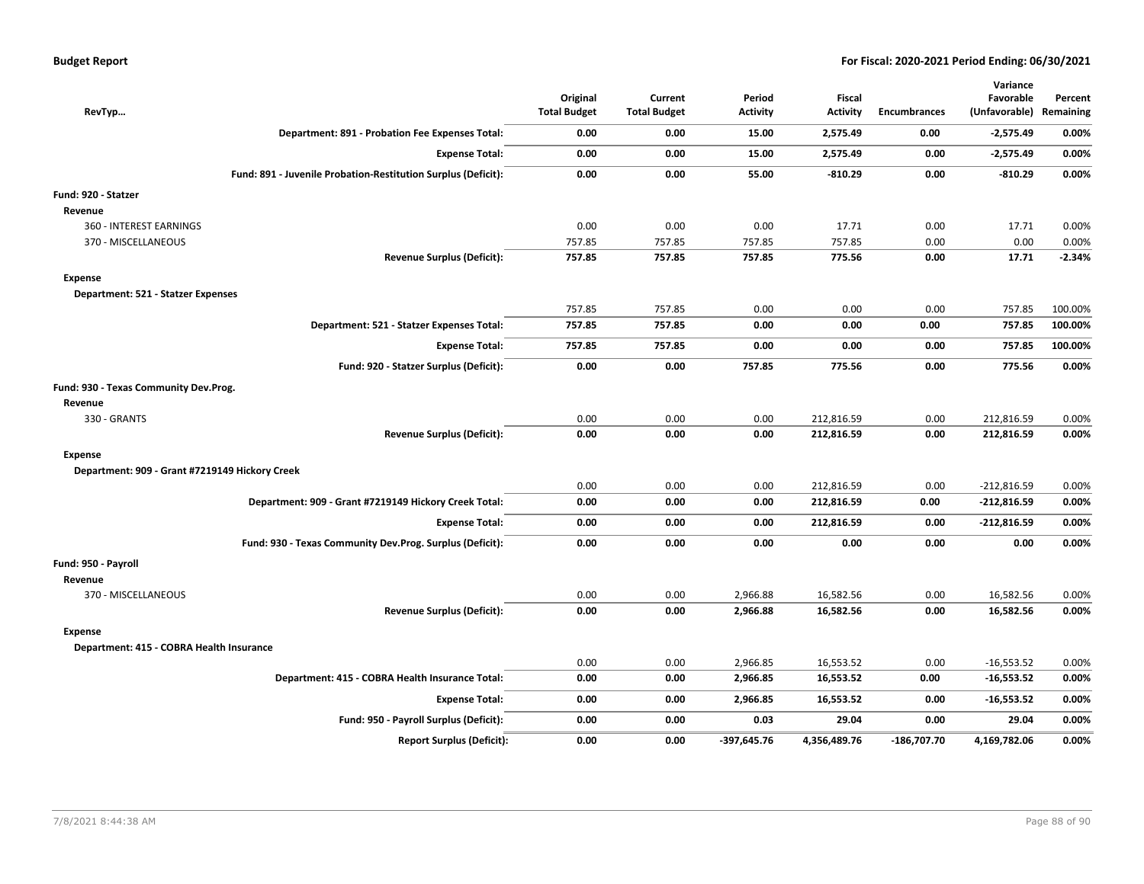| RevTyp                                         |                                                               | Original<br><b>Total Budget</b> | Current<br><b>Total Budget</b> | Period<br><b>Activity</b> | Fiscal<br><b>Activity</b> | <b>Encumbrances</b> | Variance<br>Favorable<br>(Unfavorable) Remaining | Percent  |
|------------------------------------------------|---------------------------------------------------------------|---------------------------------|--------------------------------|---------------------------|---------------------------|---------------------|--------------------------------------------------|----------|
|                                                | Department: 891 - Probation Fee Expenses Total:               | 0.00                            | 0.00                           | 15.00                     | 2,575.49                  | 0.00                | $-2,575.49$                                      | 0.00%    |
|                                                | <b>Expense Total:</b>                                         | 0.00                            | 0.00                           | 15.00                     | 2,575.49                  | 0.00                | $-2,575.49$                                      | 0.00%    |
|                                                | Fund: 891 - Juvenile Probation-Restitution Surplus (Deficit): | 0.00                            | 0.00                           | 55.00                     | $-810.29$                 | 0.00                | $-810.29$                                        | 0.00%    |
| Fund: 920 - Statzer                            |                                                               |                                 |                                |                           |                           |                     |                                                  |          |
| Revenue                                        |                                                               |                                 |                                |                           |                           |                     |                                                  |          |
| 360 - INTEREST EARNINGS                        |                                                               | 0.00                            | 0.00                           | 0.00                      | 17.71                     | 0.00                | 17.71                                            | 0.00%    |
| 370 - MISCELLANEOUS                            |                                                               | 757.85                          | 757.85                         | 757.85                    | 757.85                    | 0.00                | 0.00                                             | 0.00%    |
|                                                | <b>Revenue Surplus (Deficit):</b>                             | 757.85                          | 757.85                         | 757.85                    | 775.56                    | 0.00                | 17.71                                            | $-2.34%$ |
| Expense                                        |                                                               |                                 |                                |                           |                           |                     |                                                  |          |
| Department: 521 - Statzer Expenses             |                                                               |                                 |                                |                           |                           |                     |                                                  |          |
|                                                |                                                               | 757.85                          | 757.85                         | 0.00                      | 0.00                      | 0.00                | 757.85                                           | 100.00%  |
|                                                | Department: 521 - Statzer Expenses Total:                     | 757.85                          | 757.85                         | 0.00                      | 0.00                      | 0.00                | 757.85                                           | 100.00%  |
|                                                | <b>Expense Total:</b>                                         | 757.85                          | 757.85                         | 0.00                      | 0.00                      | 0.00                | 757.85                                           | 100.00%  |
|                                                | Fund: 920 - Statzer Surplus (Deficit):                        | 0.00                            | 0.00                           | 757.85                    | 775.56                    | 0.00                | 775.56                                           | 0.00%    |
| Fund: 930 - Texas Community Dev.Prog.          |                                                               |                                 |                                |                           |                           |                     |                                                  |          |
| Revenue                                        |                                                               |                                 |                                |                           |                           |                     |                                                  |          |
| 330 - GRANTS                                   |                                                               | 0.00                            | 0.00                           | 0.00                      | 212,816.59                | 0.00                | 212,816.59                                       | 0.00%    |
|                                                | <b>Revenue Surplus (Deficit):</b>                             | 0.00                            | 0.00                           | 0.00                      | 212,816.59                | 0.00                | 212,816.59                                       | 0.00%    |
| Expense                                        |                                                               |                                 |                                |                           |                           |                     |                                                  |          |
| Department: 909 - Grant #7219149 Hickory Creek |                                                               |                                 |                                |                           |                           |                     |                                                  |          |
|                                                |                                                               | 0.00                            | 0.00                           | 0.00                      | 212,816.59                | 0.00                | $-212,816.59$                                    | 0.00%    |
|                                                | Department: 909 - Grant #7219149 Hickory Creek Total:         | 0.00                            | 0.00                           | 0.00                      | 212,816.59                | 0.00                | $-212,816.59$                                    | 0.00%    |
|                                                | <b>Expense Total:</b>                                         | 0.00                            | 0.00                           | 0.00                      | 212,816.59                | 0.00                | $-212,816.59$                                    | 0.00%    |
|                                                | Fund: 930 - Texas Community Dev.Prog. Surplus (Deficit):      | 0.00                            | 0.00                           | 0.00                      | 0.00                      | 0.00                | 0.00                                             | 0.00%    |
| Fund: 950 - Payroll                            |                                                               |                                 |                                |                           |                           |                     |                                                  |          |
| Revenue                                        |                                                               |                                 |                                |                           |                           |                     |                                                  |          |
| 370 - MISCELLANEOUS                            |                                                               | 0.00                            | 0.00                           | 2,966.88                  | 16,582.56                 | 0.00                | 16,582.56                                        | 0.00%    |
|                                                | <b>Revenue Surplus (Deficit):</b>                             | 0.00                            | 0.00                           | 2,966.88                  | 16,582.56                 | 0.00                | 16,582.56                                        | 0.00%    |
| Expense                                        |                                                               |                                 |                                |                           |                           |                     |                                                  |          |
| Department: 415 - COBRA Health Insurance       |                                                               |                                 |                                |                           |                           |                     |                                                  |          |
|                                                |                                                               | 0.00                            | 0.00                           | 2,966.85                  | 16,553.52                 | 0.00                | $-16,553.52$                                     | 0.00%    |
|                                                | Department: 415 - COBRA Health Insurance Total:               | 0.00                            | 0.00                           | 2,966.85                  | 16,553.52                 | 0.00                | $-16,553.52$                                     | 0.00%    |
|                                                | <b>Expense Total:</b>                                         | 0.00                            | 0.00                           | 2,966.85                  | 16,553.52                 | 0.00                | $-16,553.52$                                     | 0.00%    |
|                                                | Fund: 950 - Payroll Surplus (Deficit):                        | 0.00                            | 0.00                           | 0.03                      | 29.04                     | 0.00                | 29.04                                            | 0.00%    |
|                                                | <b>Report Surplus (Deficit):</b>                              | 0.00                            | 0.00                           | $-397,645.76$             | 4,356,489.76              | $-186,707.70$       | 4,169,782.06                                     | 0.00%    |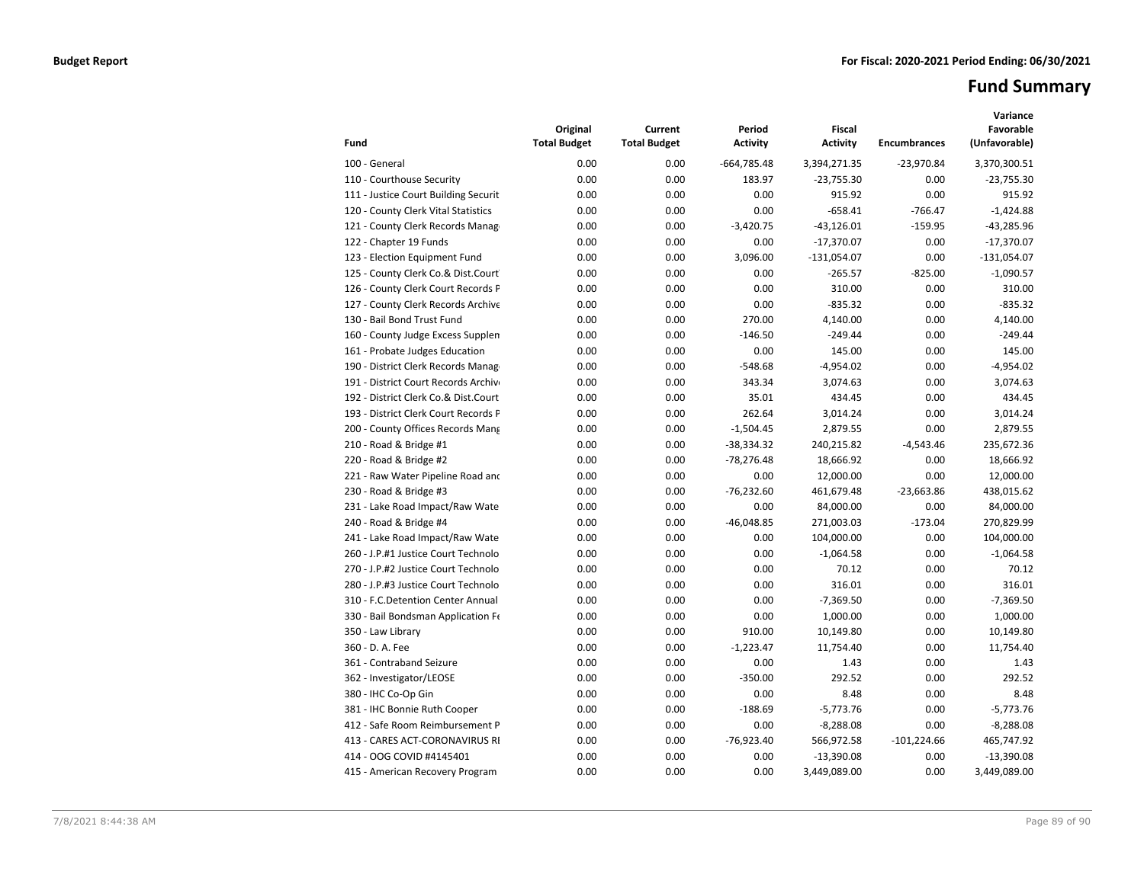# **Fund Summary**

| Fund                                 | Original<br><b>Total Budget</b> | Current<br><b>Total Budget</b> | Period<br><b>Activity</b> | <b>Fiscal</b><br><b>Activity</b> | <b>Encumbrances</b> | Variance<br>Favorable<br>(Unfavorable) |
|--------------------------------------|---------------------------------|--------------------------------|---------------------------|----------------------------------|---------------------|----------------------------------------|
| 100 - General                        | 0.00                            | 0.00                           | $-664,785.48$             | 3,394,271.35                     | $-23,970.84$        | 3,370,300.51                           |
| 110 - Courthouse Security            | 0.00                            | 0.00                           | 183.97                    | $-23,755.30$                     | 0.00                | $-23,755.30$                           |
| 111 - Justice Court Building Securit | 0.00                            | 0.00                           | 0.00                      | 915.92                           | 0.00                | 915.92                                 |
| 120 - County Clerk Vital Statistics  | 0.00                            | 0.00                           | 0.00                      | $-658.41$                        | $-766.47$           | $-1,424.88$                            |
| 121 - County Clerk Records Manag     | 0.00                            | 0.00                           | $-3,420.75$               | $-43,126.01$                     | $-159.95$           | $-43,285.96$                           |
| 122 - Chapter 19 Funds               | 0.00                            | 0.00                           | 0.00                      | $-17,370.07$                     | 0.00                | $-17,370.07$                           |
| 123 - Election Equipment Fund        | 0.00                            | 0.00                           | 3,096.00                  | $-131,054.07$                    | 0.00                | $-131,054.07$                          |
| 125 - County Clerk Co.& Dist.Court   | 0.00                            | 0.00                           | 0.00                      | $-265.57$                        | $-825.00$           | $-1,090.57$                            |
| 126 - County Clerk Court Records P   | 0.00                            | 0.00                           | 0.00                      | 310.00                           | 0.00                | 310.00                                 |
| 127 - County Clerk Records Archive   | 0.00                            | 0.00                           | 0.00                      | $-835.32$                        | 0.00                | $-835.32$                              |
| 130 - Bail Bond Trust Fund           | 0.00                            | 0.00                           | 270.00                    | 4,140.00                         | 0.00                | 4,140.00                               |
| 160 - County Judge Excess Supplen    | 0.00                            | 0.00                           | $-146.50$                 | $-249.44$                        | 0.00                | $-249.44$                              |
| 161 - Probate Judges Education       | 0.00                            | 0.00                           | 0.00                      | 145.00                           | 0.00                | 145.00                                 |
| 190 - District Clerk Records Manag   | 0.00                            | 0.00                           | $-548.68$                 | $-4,954.02$                      | 0.00                | $-4,954.02$                            |
| 191 - District Court Records Archive | 0.00                            | 0.00                           | 343.34                    | 3,074.63                         | 0.00                | 3,074.63                               |
| 192 - District Clerk Co.& Dist.Court | 0.00                            | 0.00                           | 35.01                     | 434.45                           | 0.00                | 434.45                                 |
| 193 - District Clerk Court Records P | 0.00                            | 0.00                           | 262.64                    | 3,014.24                         | 0.00                | 3,014.24                               |
| 200 - County Offices Records Mang    | 0.00                            | 0.00                           | $-1,504.45$               | 2,879.55                         | 0.00                | 2,879.55                               |
| 210 - Road & Bridge #1               | 0.00                            | 0.00                           | $-38,334.32$              | 240,215.82                       | $-4,543.46$         | 235,672.36                             |
| 220 - Road & Bridge #2               | 0.00                            | 0.00                           | $-78,276.48$              | 18,666.92                        | 0.00                | 18,666.92                              |
| 221 - Raw Water Pipeline Road and    | 0.00                            | 0.00                           | 0.00                      | 12,000.00                        | 0.00                | 12,000.00                              |
| 230 - Road & Bridge #3               | 0.00                            | 0.00                           | $-76,232.60$              | 461,679.48                       | $-23,663.86$        | 438,015.62                             |
| 231 - Lake Road Impact/Raw Wate      | 0.00                            | 0.00                           | 0.00                      | 84,000.00                        | 0.00                | 84,000.00                              |
| 240 - Road & Bridge #4               | 0.00                            | 0.00                           | $-46,048.85$              | 271,003.03                       | $-173.04$           | 270,829.99                             |
| 241 - Lake Road Impact/Raw Wate      | 0.00                            | 0.00                           | 0.00                      | 104,000.00                       | 0.00                | 104,000.00                             |
| 260 - J.P.#1 Justice Court Technolo  | 0.00                            | 0.00                           | 0.00                      | $-1,064.58$                      | 0.00                | $-1,064.58$                            |
| 270 - J.P.#2 Justice Court Technolo  | 0.00                            | 0.00                           | 0.00                      | 70.12                            | 0.00                | 70.12                                  |
| 280 - J.P.#3 Justice Court Technolo  | 0.00                            | 0.00                           | 0.00                      | 316.01                           | 0.00                | 316.01                                 |
| 310 - F.C.Detention Center Annual    | 0.00                            | 0.00                           | 0.00                      | $-7,369.50$                      | 0.00                | $-7,369.50$                            |
| 330 - Bail Bondsman Application Fe   | 0.00                            | 0.00                           | 0.00                      | 1,000.00                         | 0.00                | 1,000.00                               |
| 350 - Law Library                    | 0.00                            | 0.00                           | 910.00                    | 10,149.80                        | 0.00                | 10,149.80                              |
| 360 - D. A. Fee                      | 0.00                            | 0.00                           | $-1,223.47$               | 11,754.40                        | 0.00                | 11,754.40                              |
| 361 - Contraband Seizure             | 0.00                            | 0.00                           | 0.00                      | 1.43                             | 0.00                | 1.43                                   |
| 362 - Investigator/LEOSE             | 0.00                            | 0.00                           | $-350.00$                 | 292.52                           | 0.00                | 292.52                                 |
| 380 - IHC Co-Op Gin                  | 0.00                            | 0.00                           | 0.00                      | 8.48                             | 0.00                | 8.48                                   |
| 381 - IHC Bonnie Ruth Cooper         | 0.00                            | 0.00                           | $-188.69$                 | $-5,773.76$                      | 0.00                | $-5,773.76$                            |
| 412 - Safe Room Reimbursement P      | 0.00                            | 0.00                           | 0.00                      | $-8,288.08$                      | 0.00                | $-8,288.08$                            |
| 413 - CARES ACT-CORONAVIRUS RI       | 0.00                            | 0.00                           | $-76,923.40$              | 566,972.58                       | $-101,224.66$       | 465,747.92                             |
| 414 - OOG COVID #4145401             | 0.00                            | 0.00                           | 0.00                      | $-13,390.08$                     | 0.00                | $-13,390.08$                           |
| 415 - American Recovery Program      | 0.00                            | 0.00                           | 0.00                      | 3,449,089.00                     | 0.00                | 3,449,089.00                           |